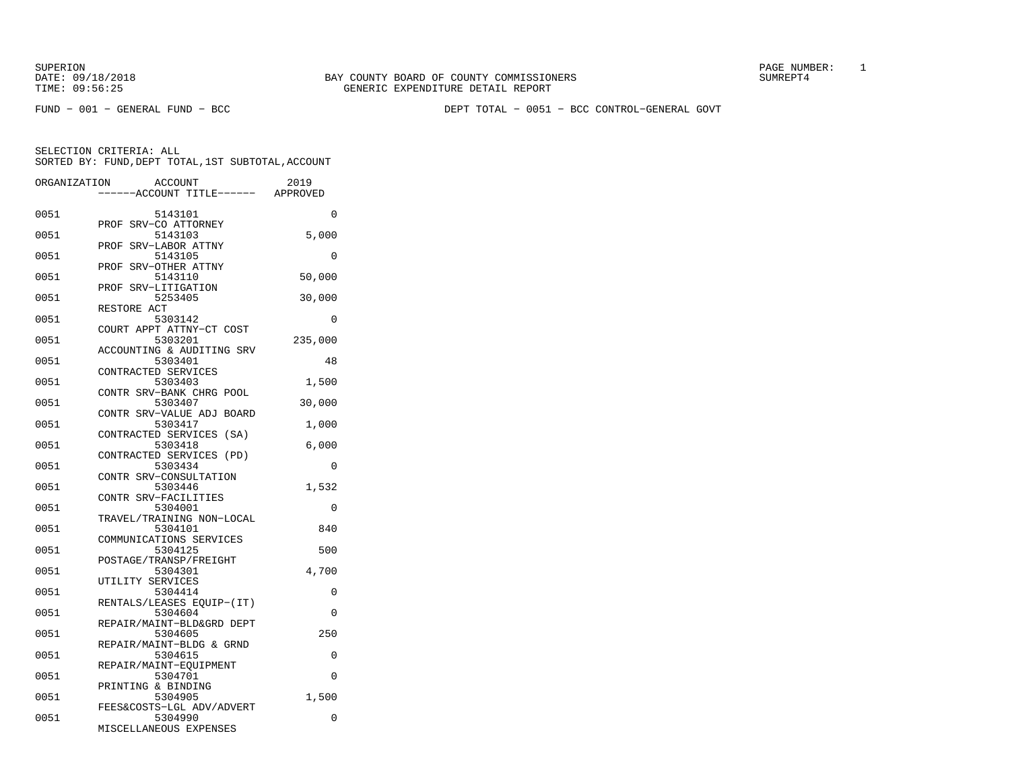SUPERION PAGE NUMBER: 1

FUND − 001 − GENERAL FUND − BCC DEPT TOTAL − 0051 − BCC CONTROL−GENERAL GOVT

| ORGANIZATION | <b>ACCOUNT</b><br>---ACCOUNT TITLE------ APPROVED             | 2019     |
|--------------|---------------------------------------------------------------|----------|
| 0051         | 5143101                                                       | 0        |
| 0051         | SRV-CO ATTORNEY<br>PROF<br>5143103                            | 5,000    |
| 0051         | SRV-LABOR ATTNY<br>PROF<br>5143105<br>PROF<br>SRV-OTHER ATTNY | 0        |
| 0051         | 5143110<br>SRV-LITIGATION<br>PROF                             | 50,000   |
| 0051         | 5253405<br>RESTORE ACT                                        | 30,000   |
| 0051         | 5303142<br>COURT APPT ATTNY-CT COST                           | 0        |
| 0051         | 5303201<br>ACCOUNTING & AUDITING SRV                          | 235,000  |
| 0051         | 5303401<br>CONTRACTED SERVICES                                | 48       |
| 0051         | 5303403<br>CONTR SRV-BANK CHRG POOL                           | 1,500    |
| 0051         | 5303407<br>CONTR SRV-VALUE ADJ BOARD                          | 30,000   |
| 0051         | 5303417<br>CONTRACTED SERVICES (SA)                           | 1,000    |
| 0051         | 5303418<br>CONTRACTED SERVICES (PD)                           | 6,000    |
| 0051         | 5303434<br>CONTR SRV-CONSULTATION                             | 0        |
| 0051         | 5303446<br>CONTR SRV-FACILITIES                               | 1,532    |
| 0051         | 5304001<br>TRAVEL/TRAINING NON-LOCAL                          | 0        |
| 0051         | 5304101<br>COMMUNICATIONS SERVICES                            | 840      |
| 0051         | 5304125<br>POSTAGE/TRANSP/FREIGHT                             | 500      |
| 0051         | 5304301<br>UTILITY SERVICES                                   | 4,700    |
| 0051         | 5304414<br>RENTALS/LEASES EQUIP-(IT)                          | 0        |
| 0051         | 5304604<br>REPAIR/MAINT-BLD&GRD DEPT                          | 0        |
| 0051         | 5304605<br>REPAIR/MAINT-BLDG & GRND                           | 250      |
| 0051         | 5304615<br>REPAIR/MAINT-EQUIPMENT                             | 0        |
| 0051         | 5304701<br>PRINTING & BINDING                                 | $\Omega$ |
| 0051         | 5304905<br>FEES&COSTS-LGL ADV/ADVERT                          | 1,500    |
| 0051         | 5304990<br>MISCELLANEOUS EXPENSES                             | 0        |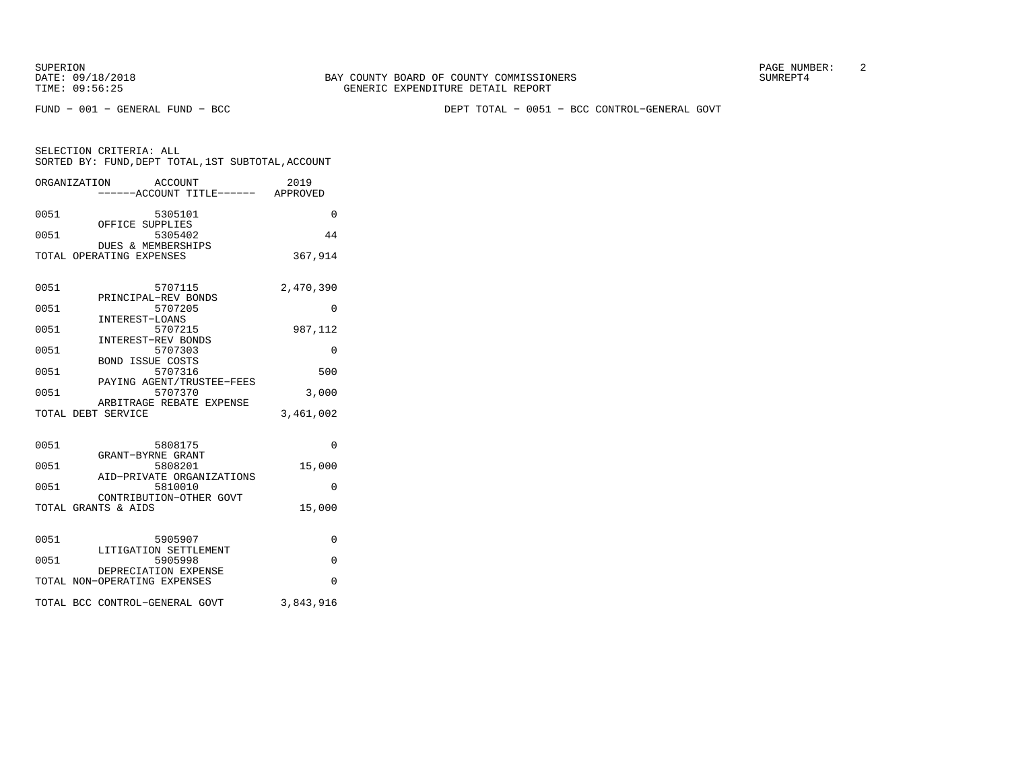SUPERION PAGE NUMBER: 2

FUND − 001 − GENERAL FUND − BCC DEPT TOTAL − 0051 − BCC CONTROL−GENERAL GOVT

|      | ORGANIZATION<br><b>ACCOUNT</b>                            | ----ACCOUNT TITLE------ APPROVED | 2019      |
|------|-----------------------------------------------------------|----------------------------------|-----------|
| 0051 | 5305101                                                   |                                  | $\Omega$  |
| 0051 | OFFICE SUPPLIES<br>5305402<br>DUES & MEMBERSHIPS          |                                  | 44        |
|      | TOTAL OPERATING EXPENSES                                  |                                  | 367,914   |
| 0051 | 5707115                                                   |                                  | 2,470,390 |
| 0051 | PRINCIPAL-REV BONDS<br>5707205                            |                                  | 0         |
| 0051 | INTEREST-LOANS<br>5707215<br>INTEREST-REV BONDS           |                                  | 987,112   |
| 0051 | 5707303<br><b>BOND ISSUE COSTS</b>                        |                                  | $\Omega$  |
| 0051 | 5707316<br>PAYING AGENT/TRUSTEE-FEES                      |                                  | 500       |
| 0051 | 5707370<br>ARBITRAGE REBATE EXPENSE                       |                                  | 3,000     |
|      | TOTAL DEBT SERVICE                                        |                                  | 3,461,002 |
| 0051 | 5808175                                                   |                                  | $\Omega$  |
| 0051 | GRANT-BYRNE GRANT<br>5808201<br>AID-PRIVATE ORGANIZATIONS |                                  | 15,000    |
| 0051 | 5810010<br>CONTRIBUTION-OTHER GOVT                        |                                  | 0         |
|      | TOTAL GRANTS & AIDS                                       |                                  | 15,000    |
| 0051 | 5905907                                                   |                                  | $\Omega$  |
| 0051 | LITIGATION SETTLEMENT<br>5905998                          |                                  | $\Omega$  |
|      | DEPRECIATION EXPENSE<br>TOTAL NON-OPERATING EXPENSES      |                                  | $\Omega$  |
|      | TOTAL BCC CONTROL-GENERAL GOVT                            |                                  | 3,843,916 |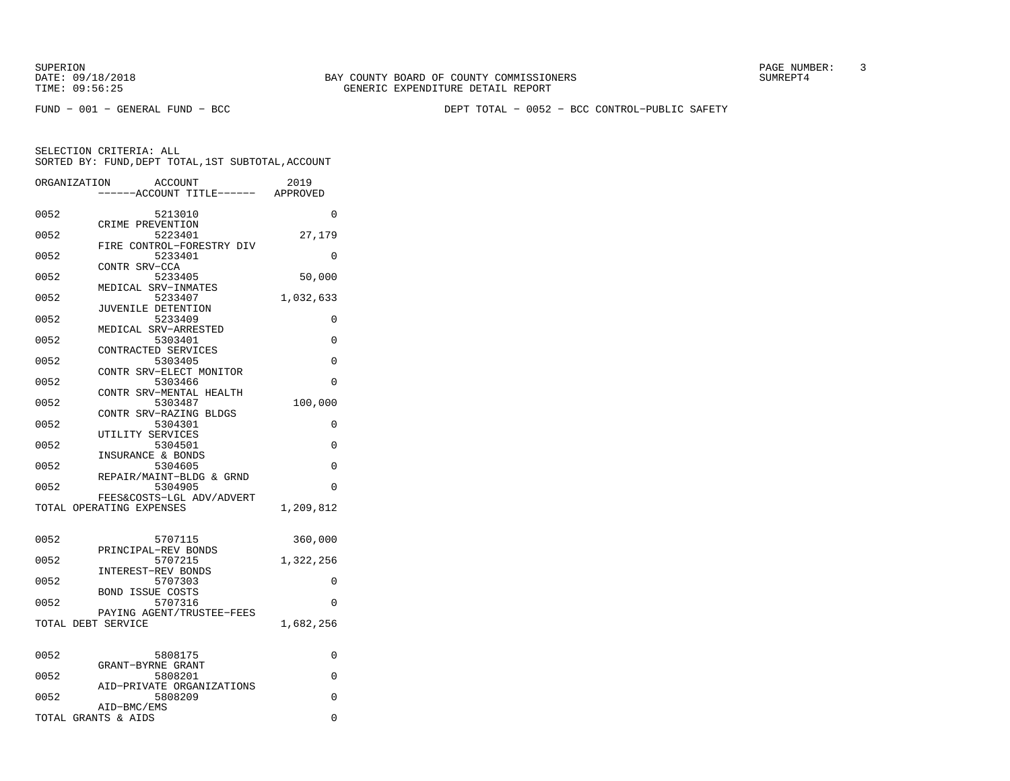FUND − 001 − GENERAL FUND − BCC DEPT TOTAL − 0052 − BCC CONTROL−PUBLIC SAFETY

| ORGANIZATION | ACCOUNT<br>---ACCOUNT TITLE------ APPROVED | 2019      |
|--------------|--------------------------------------------|-----------|
| 0052         | 5213010                                    | 0         |
|              | CRIME PREVENTION                           |           |
| 0052         | 5223401                                    | 27,179    |
|              | FIRE CONTROL-FORESTRY DIV                  |           |
| 0052         | 5233401                                    | 0         |
|              | CONTR SRV-CCA                              |           |
| 0052         | 5233405                                    | 50,000    |
|              | MEDICAL SRV-INMATES                        |           |
| 0052         | 5233407                                    | 1,032,633 |
|              | JUVENILE DETENTION                         |           |
| 0052         | 5233409                                    | 0         |
|              | MEDICAL SRV-ARRESTED                       |           |
| 0052         | 5303401                                    | 0         |
|              | CONTRACTED SERVICES                        |           |
| 0052         | 5303405                                    | 0         |
|              | CONTR SRV-ELECT MONITOR                    |           |
| 0052         | 5303466                                    | 0         |
|              | CONTR SRV-MENTAL HEALTH                    |           |
| 0052         | 5303487                                    | 100,000   |
|              | CONTR SRV-RAZING BLDGS                     |           |
| 0052         | 5304301                                    | 0         |
|              | UTILITY SERVICES                           | $\Omega$  |
| 0052         | 5304501<br>INSURANCE & BONDS               |           |
| 0052         | 5304605                                    | 0         |
|              | REPAIR/MAINT-BLDG & GRND                   |           |
| 0052         | 5304905                                    | 0         |
|              | FEES&COSTS-LGL ADV/ADVERT                  |           |
|              | TOTAL OPERATING EXPENSES                   | 1,209,812 |
|              |                                            |           |
| 0052         | 5707115                                    | 360,000   |
|              | PRINCIPAL-REV BONDS                        |           |
| 0052         | 5707215                                    | 1,322,256 |
|              | <b>INTEREST-REV BONDS</b>                  |           |
| 0052         | 5707303                                    | 0         |
|              | <b>BOND ISSUE COSTS</b>                    |           |
| 0052         | 5707316                                    | $\Omega$  |
|              | PAYING AGENT/TRUSTEE-FEES                  |           |
|              | TOTAL DEBT SERVICE                         | 1,682,256 |
|              |                                            |           |
|              |                                            |           |
| 0052         | 5808175                                    | 0         |
| 0052         | GRANT-BYRNE GRANT<br>5808201               | 0         |
|              | AID-PRIVATE ORGANIZATIONS                  |           |
| 0052         | 5808209                                    | 0         |
|              | AID-BMC/EMS                                |           |
|              | TOTAL GRANTS & AIDS                        | 0         |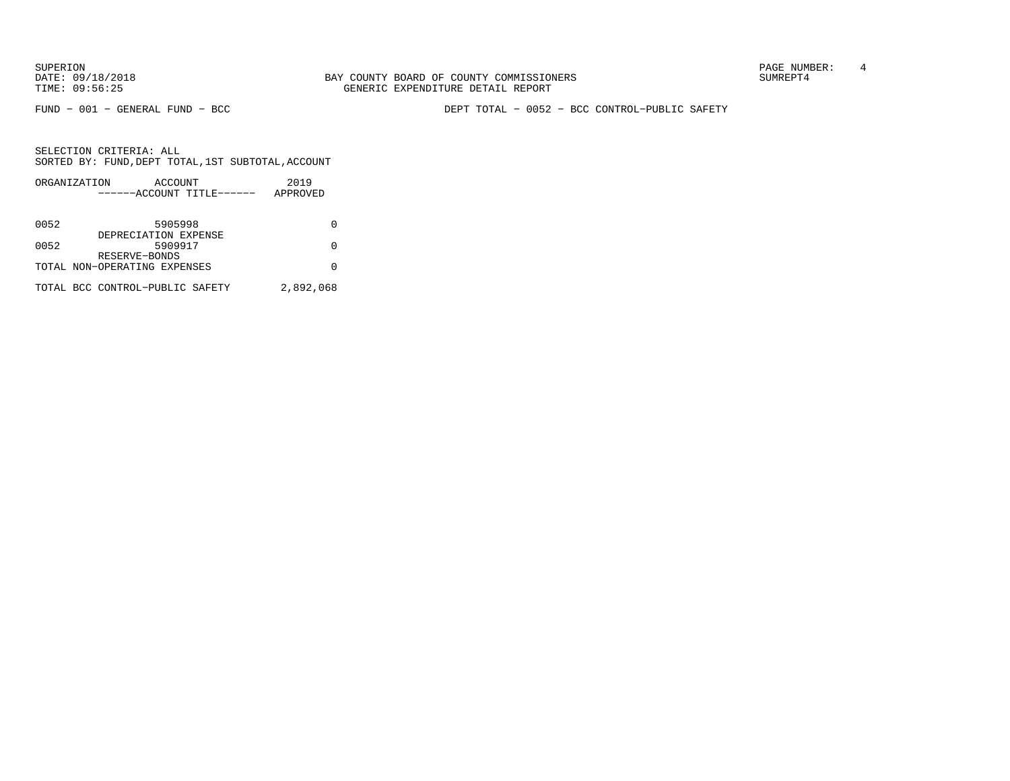FUND − 001 − GENERAL FUND − BCC DEPT TOTAL − 0052 − BCC CONTROL−PUBLIC SAFETY

|      | ORGANIZATION                    | ACCOUNT |                           | 2019      |  |
|------|---------------------------------|---------|---------------------------|-----------|--|
|      |                                 |         | ------ACCOUNT TITLE------ | APPROVED  |  |
|      |                                 |         |                           |           |  |
| 0052 |                                 | 5905998 |                           |           |  |
|      | DEPRECIATION EXPENSE            |         |                           |           |  |
| 0052 |                                 | 5909917 |                           |           |  |
|      | RESERVE-BONDS                   |         |                           |           |  |
|      | TOTAL NON-OPERATING EXPENSES    |         |                           |           |  |
|      |                                 |         |                           |           |  |
|      | TOTAL BCC CONTROL-PUBLIC SAFETY |         |                           | 2,892,068 |  |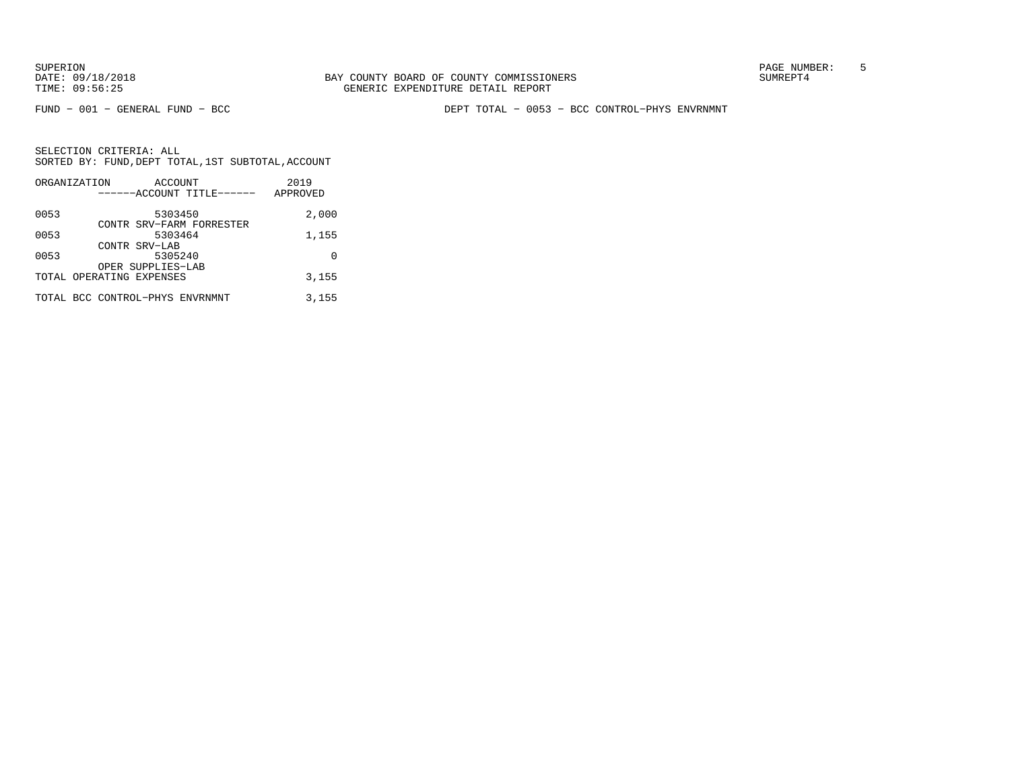FUND − 001 − GENERAL FUND − BCC DEPT TOTAL − 0053 − BCC CONTROL−PHYS ENVRNMNT

|      | ORGANIZATION<br>ACCOUNT         | 2019     |
|------|---------------------------------|----------|
|      | ------ACCOUNT TITLE------       | APPROVED |
| 0053 | 5303450                         | 2,000    |
|      | CONTR SRV-FARM FORRESTER        |          |
| 0053 | 5303464                         | 1,155    |
|      | CONTR SRV-LAB                   |          |
| 0053 | 5305240                         | O        |
|      | OPER SUPPLIES-LAB               |          |
|      | TOTAL OPERATING EXPENSES        | 3,155    |
|      | TOTAL BCC CONTROL-PHYS ENVRNMNT | 3,155    |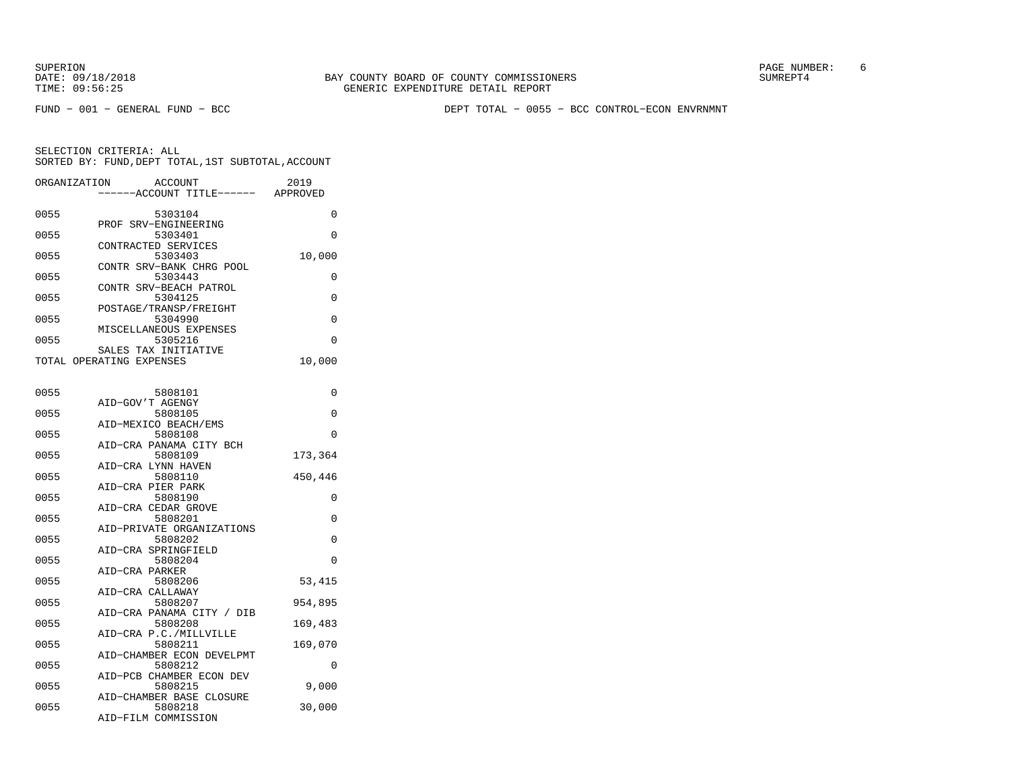FUND − 001 − GENERAL FUND − BCC DEPT TOTAL − 0055 − BCC CONTROL−ECON ENVRNMNT

| ORGANIZATION |                                                  | <b>ACCOUNT</b><br>---ACCOUNT TITLE------ APPROVED | 2019     |
|--------------|--------------------------------------------------|---------------------------------------------------|----------|
| 0055         | PROF SRV-ENGINEERING                             | 5303104                                           | 0        |
| 0055         |                                                  | 5303401                                           | $\Omega$ |
| 0055         | CONTRACTED SERVICES                              | 5303403                                           | 10,000   |
| 0055         |                                                  | CONTR SRV-BANK CHRG POOL<br>5303443               | 0        |
| 0055         |                                                  | CONTR SRV-BEACH PATROL<br>5304125                 | 0        |
| 0055         |                                                  | POSTAGE/TRANSP/FREIGHT<br>5304990                 | 0        |
| 0055         |                                                  | MISCELLANEOUS EXPENSES<br>5305216                 | $\Omega$ |
|              | SALES TAX INITIATIVE<br>TOTAL OPERATING EXPENSES |                                                   | 10,000   |
| 0055         |                                                  | 5808101                                           | 0        |
| 0055         | AID-GOV'T AGENGY                                 | 5808105                                           | 0        |
| 0055         | AID-MEXICO BEACH/EMS                             | 5808108                                           | $\Omega$ |
| 0055         |                                                  | AID-CRA PANAMA CITY BCH<br>5808109                | 173,364  |
| 0055         | AID-CRA LYNN HAVEN                               | 5808110                                           | 450,446  |
| 0055         | AID-CRA PIER PARK                                | 5808190                                           | $\Omega$ |
| 0055         | AID-CRA CEDAR GROVE                              | 5808201                                           | 0        |
| 0055         |                                                  | AID-PRIVATE ORGANIZATIONS<br>5808202              | $\Omega$ |
| 0055         | AID-CRA SPRINGFIELD                              | 5808204                                           | 0        |
| 0055         | AID-CRA PARKER                                   | 5808206                                           | 53,415   |
| 0055         | AID-CRA CALLAWAY                                 | 5808207                                           | 954,895  |
| 0055         |                                                  | AID-CRA PANAMA CITY / DIB<br>5808208              | 169,483  |
| 0055         |                                                  | AID-CRA P.C./MILLVILLE<br>5808211                 | 169,070  |
|              |                                                  | AID-CHAMBER ECON DEVELPMT                         |          |
| 0055         |                                                  | 5808212<br>AID-PCB CHAMBER ECON DEV               | 0        |
| 0055         |                                                  | 5808215<br>AID-CHAMBER BASE CLOSURE               | 9,000    |
| 0055         | AID-FILM COMMISSION                              | 5808218                                           | 30,000   |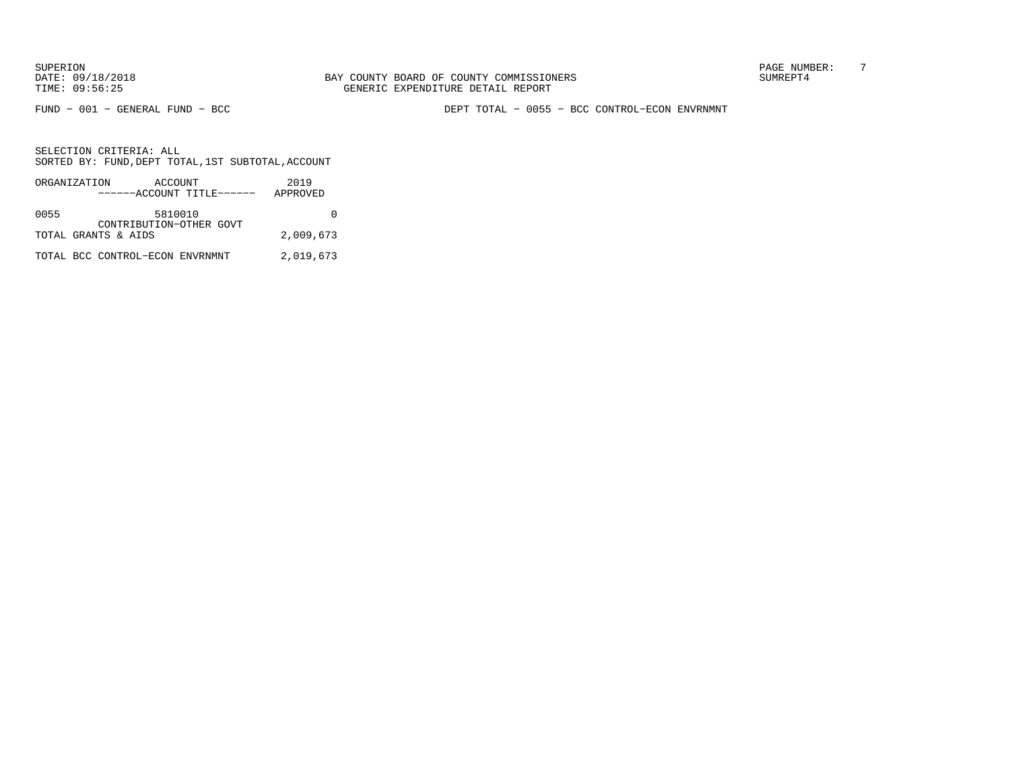FUND − 001 − GENERAL FUND − BCC DEPT TOTAL − 0055 − BCC CONTROL−ECON ENVRNMNT

|      | ORGANIZATION<br>ACCOUNT<br>------ACCOUNT TITLE------ | 2019<br>APPROVED |
|------|------------------------------------------------------|------------------|
| 0055 | 5810010<br>CONTRIBUTION-OTHER GOVT                   |                  |
|      | TOTAL GRANTS & AIDS                                  | 2,009,673        |
|      | TOTAL BCC CONTROL-ECON ENVRNMNT                      | 2,019,673        |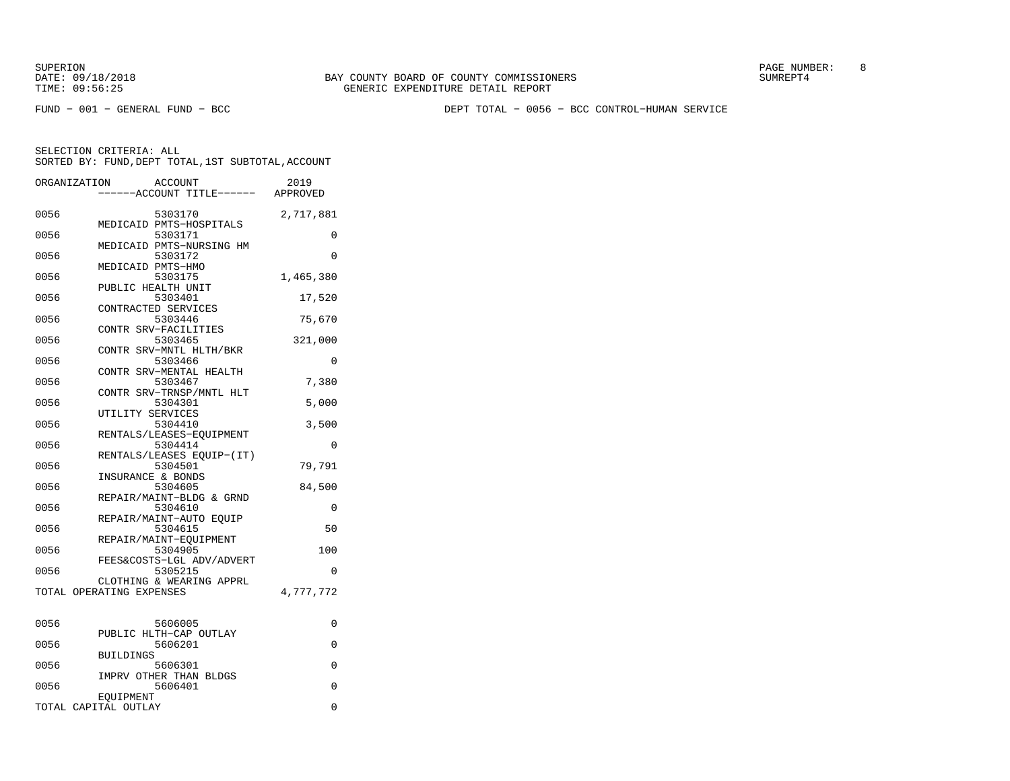FUND − 001 − GENERAL FUND − BCC DEPT TOTAL − 0056 − BCC CONTROL−HUMAN SERVICE

|      | ORGANIZATION<br><b>ACCOUNT</b>       | 2019      |
|------|--------------------------------------|-----------|
|      | ---ACCOUNT TITLE------ APPROVED      |           |
| 0056 | 5303170                              | 2,717,881 |
|      | MEDICAID PMTS-HOSPITALS              |           |
| 0056 | 5303171<br>MEDICAID PMTS-NURSING HM  | 0         |
| 0056 | 5303172                              | 0         |
|      | MEDICAID PMTS-HMO                    |           |
| 0056 | 5303175                              | 1,465,380 |
| 0056 | PUBLIC HEALTH UNIT<br>5303401        | 17,520    |
|      | CONTRACTED SERVICES                  |           |
| 0056 | 5303446                              | 75,670    |
|      | CONTR SRV-FACILITIES                 |           |
| 0056 | 5303465<br>CONTR SRV-MNTL HLTH/BKR   | 321,000   |
| 0056 | 5303466                              | 0         |
|      | CONTR SRV-MENTAL HEALTH              |           |
| 0056 | 5303467                              | 7,380     |
|      | CONTR SRV-TRNSP/MNTL HLT             |           |
| 0056 | 5304301                              | 5,000     |
| 0056 | UTILITY SERVICES<br>5304410          | 3,500     |
|      | RENTALS/LEASES-EOUIPMENT             |           |
| 0056 | 5304414                              | 0         |
|      | RENTALS/LEASES EQUIP-(IT)            |           |
| 0056 | 5304501                              | 79,791    |
|      | INSURANCE & BONDS                    |           |
| 0056 | 5304605                              | 84,500    |
| 0056 | REPAIR/MAINT-BLDG & GRND<br>5304610  | 0         |
|      | REPAIR/MAINT-AUTO EQUIP              |           |
| 0056 | 5304615                              | 50        |
|      | REPAIR/MAINT-EQUIPMENT               |           |
| 0056 | 5304905                              | 100       |
| 0056 | FEES&COSTS-LGL ADV/ADVERT<br>5305215 | 0         |
|      | CLOTHING & WEARING APPRL             |           |
|      | TOTAL OPERATING EXPENSES             | 4,777,772 |
|      |                                      |           |
|      |                                      |           |
| 0056 | 5606005                              | 0         |
| 0056 | PUBLIC HLTH-CAP OUTLAY<br>5606201    | 0         |
|      | <b>BUILDINGS</b>                     |           |
| 0056 | 5606301                              | 0         |
|      | IMPRV OTHER THAN BLDGS               |           |
| 0056 | 5606401                              | 0         |
|      | EOUIPMENT<br>TOTAL CAPITAL OUTLAY    | $\Omega$  |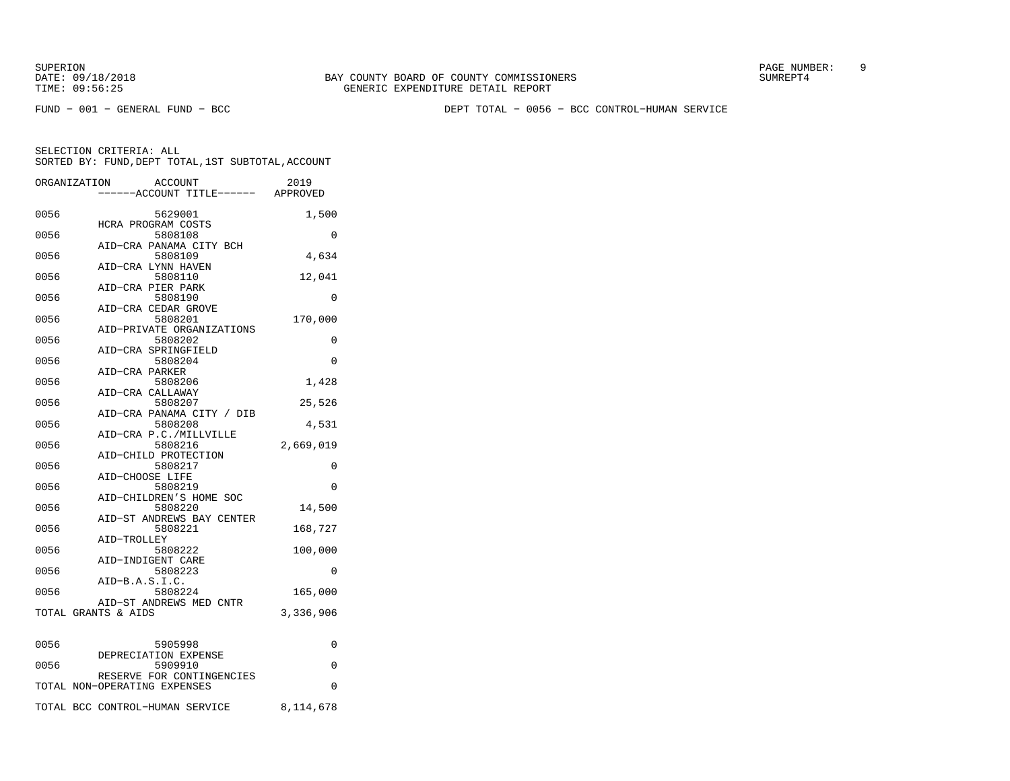FUND − 001 − GENERAL FUND − BCC DEPT TOTAL − 0056 − BCC CONTROL−HUMAN SERVICE

|      | ORGANIZATION                 | <b>ACCOUNT</b><br>----ACCOUNT TITLE------ APPROVED | 2019      |
|------|------------------------------|----------------------------------------------------|-----------|
| 0056 |                              | 5629001<br>HCRA PROGRAM COSTS                      | 1,500     |
| 0056 |                              | 5808108<br>AID-CRA PANAMA CITY BCH                 | 0         |
| 0056 |                              | 5808109<br>AID-CRA LYNN HAVEN                      | 4,634     |
| 0056 |                              | 5808110<br>AID-CRA PIER PARK                       | 12,041    |
| 0056 |                              | 5808190<br>AID-CRA CEDAR GROVE                     | 0         |
| 0056 |                              | 5808201<br>AID-PRIVATE ORGANIZATIONS               | 170,000   |
| 0056 |                              | 5808202<br>AID-CRA SPRINGFIELD                     | 0         |
| 0056 | AID-CRA PARKER               | 5808204                                            | 0         |
| 0056 |                              | 5808206<br>AID-CRA CALLAWAY                        | 1,428     |
| 0056 |                              | 5808207                                            | 25,526    |
| 0056 |                              | AID-CRA PANAMA CITY / DIB<br>5808208               | 4,531     |
| 0056 |                              | AID-CRA P.C./MILLVILLE<br>5808216                  | 2,669,019 |
| 0056 |                              | AID-CHILD PROTECTION<br>5808217<br>AID-CHOOSE LIFE | 0         |
| 0056 |                              | 5808219                                            | $\Omega$  |
| 0056 |                              | AID-CHILDREN'S HOME SOC<br>5808220                 | 14,500    |
| 0056 |                              | AID-ST ANDREWS BAY CENTER<br>5808221               | 168,727   |
| 0056 | AID-TROLLEY                  | 5808222                                            | 100,000   |
| 0056 |                              | AID-INDIGENT CARE<br>5808223                       | 0         |
| 0056 | AID-B.A.S.I.C.               | 5808224                                            | 165,000   |
|      | TOTAL GRANTS & AIDS          | AID-ST ANDREWS MED CNTR                            | 3,336,906 |
| 0056 |                              | 5905998                                            | 0         |
| 0056 |                              | DEPRECIATION EXPENSE<br>5909910                    | 0         |
|      | TOTAL NON-OPERATING EXPENSES | RESERVE FOR CONTINGENCIES                          | 0         |
|      |                              | TOTAL BCC CONTROL-HUMAN SERVICE                    | 8,114,678 |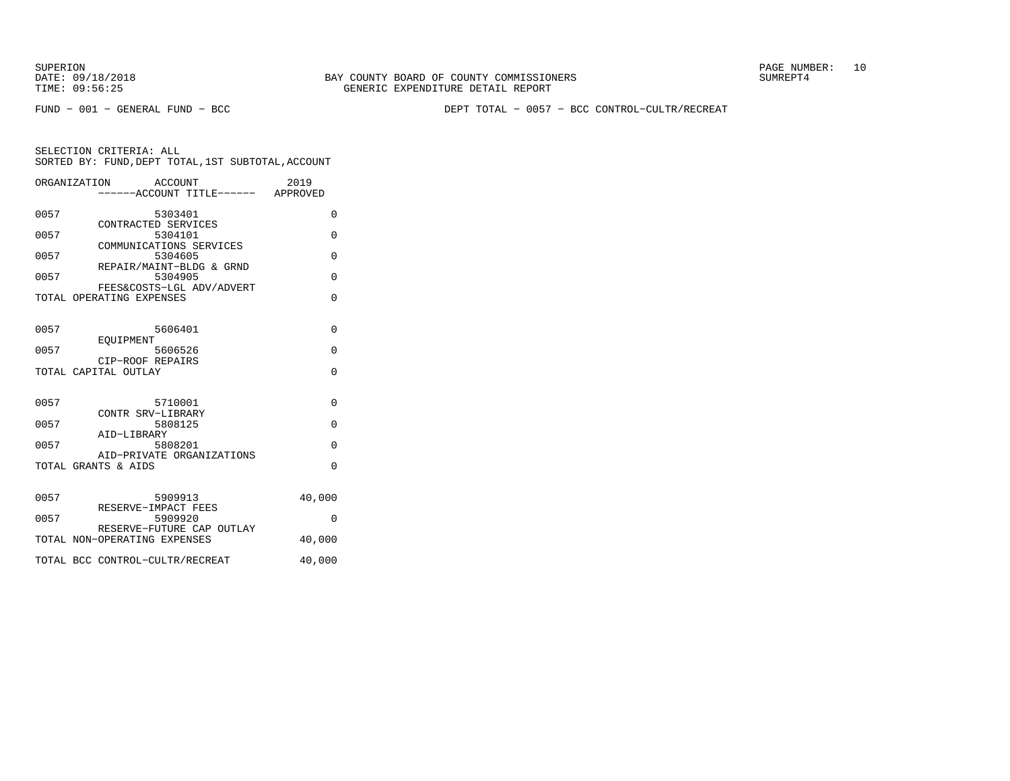SUPERION PAGE NUMBER: 10

FUND − 001 − GENERAL FUND − BCC DEPT TOTAL − 0057 − BCC CONTROL−CULTR/RECREAT

|      | ORGANIZATION                    | ACCOUNT<br>-----ACCOUNT TITLE------ APPROVED | 2019     |
|------|---------------------------------|----------------------------------------------|----------|
| 0057 |                                 | 5303401                                      | 0        |
| 0057 | CONTRACTED SERVICES             | 5304101                                      | $\Omega$ |
| 0057 |                                 | COMMUNICATIONS SERVICES<br>5304605           | $\Omega$ |
| 0057 |                                 | REPAIR/MAINT-BLDG & GRND<br>5304905          | $\Omega$ |
|      | TOTAL OPERATING EXPENSES        | FEES&COSTS-LGL ADV/ADVERT                    | $\Omega$ |
| 0057 |                                 | 5606401                                      | $\Omega$ |
| 0057 | EOUIPMENT<br>CIP-ROOF REPAIRS   | 5606526                                      | $\Omega$ |
|      | TOTAL CAPITAL OUTLAY            |                                              | $\Omega$ |
| 0057 | CONTR SRV-LIBRARY               | 5710001                                      | $\Omega$ |
| 0057 | AID-LIBRARY                     | 5808125                                      | $\Omega$ |
| 0057 |                                 | 5808201<br>AID-PRIVATE ORGANIZATIONS         | $\Omega$ |
|      | TOTAL GRANTS & AIDS             |                                              | $\Omega$ |
| 0057 | RESERVE-IMPACT FEES             | 5909913                                      | 40,000   |
| 0057 |                                 | 5909920<br>RESERVE-FUTURE CAP OUTLAY         | 0        |
|      | TOTAL NON-OPERATING EXPENSES    |                                              | 40,000   |
|      | TOTAL BCC CONTROL-CULTR/RECREAT |                                              | 40,000   |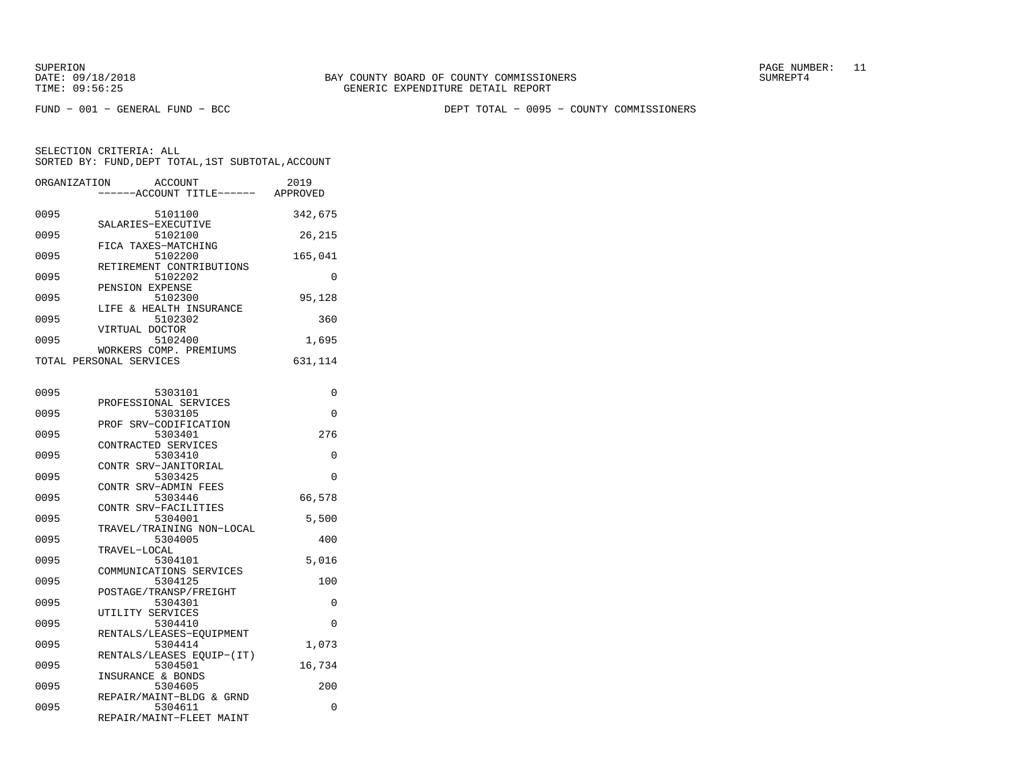SUPERION PAGE NUMBER: 11

FUND − 001 − GENERAL FUND − BCC DEPT TOTAL − 0095 − COUNTY COMMISSIONERS

| ORGANIZATION | ACCOUNT<br>---ACCOUNT TITLE------                               | 2019<br>APPROVED |
|--------------|-----------------------------------------------------------------|------------------|
| 0095         | 5101100<br>SALARIES-EXECUTIVE                                   | 342,675          |
| 0095         | 5102100<br>FICA TAXES-MATCHING                                  | 26,215           |
| 0095         | 5102200                                                         | 165,041          |
| 0095         | RETIREMENT CONTRIBUTIONS<br>5102202                             | 0                |
| 0095         | PENSION EXPENSE<br>5102300                                      | 95,128           |
| 0095         | LIFE & HEALTH INSURANCE<br>5102302                              | 360              |
| 0095         | VIRTUAL DOCTOR<br>5102400                                       | 1,695            |
|              | WORKERS COMP. PREMIUMS<br>TOTAL PERSONAL SERVICES               | 631,114          |
| 0095         | 5303101                                                         | 0                |
| 0095         | PROFESSIONAL SERVICES<br>5303105                                | 0                |
| 0095         | PROF SRV-CODIFICATION<br>5303401                                | 276              |
| 0095         | CONTRACTED SERVICES<br>5303410                                  | 0                |
| 0095         | CONTR SRV-JANITORIAL<br>5303425                                 | 0                |
|              | CONTR SRV-ADMIN FEES                                            |                  |
| 0095         | 5303446<br>CONTR SRV-FACILITIES                                 | 66,578           |
| 0095         | 5304001<br>TRAVEL/TRAINING NON-LOCAL                            | 5,500            |
| 0095         | 5304005<br>TRAVEL-LOCAL                                         | 400              |
| 0095         | 5304101<br>COMMUNICATIONS SERVICES                              | 5,016            |
| 0095         | 5304125<br>POSTAGE/TRANSP/FREIGHT                               | 100              |
| 0095         | 5304301<br>UTILITY SERVICES                                     | $\Omega$         |
| 0095         | 5304410<br>RENTALS/LEASES-EQUIPMENT                             | 0                |
| 0095         | 5304414<br>RENTALS/LEASES EOUIP-(IT)                            | 1,073            |
| 0095         | 5304501<br>INSURANCE & BONDS                                    | 16,734           |
| 0095         | 5304605                                                         | 200              |
| 0095         | REPAIR/MAINT-BLDG & GRND<br>5304611<br>REPAIR/MAINT-FLEET MAINT | 0                |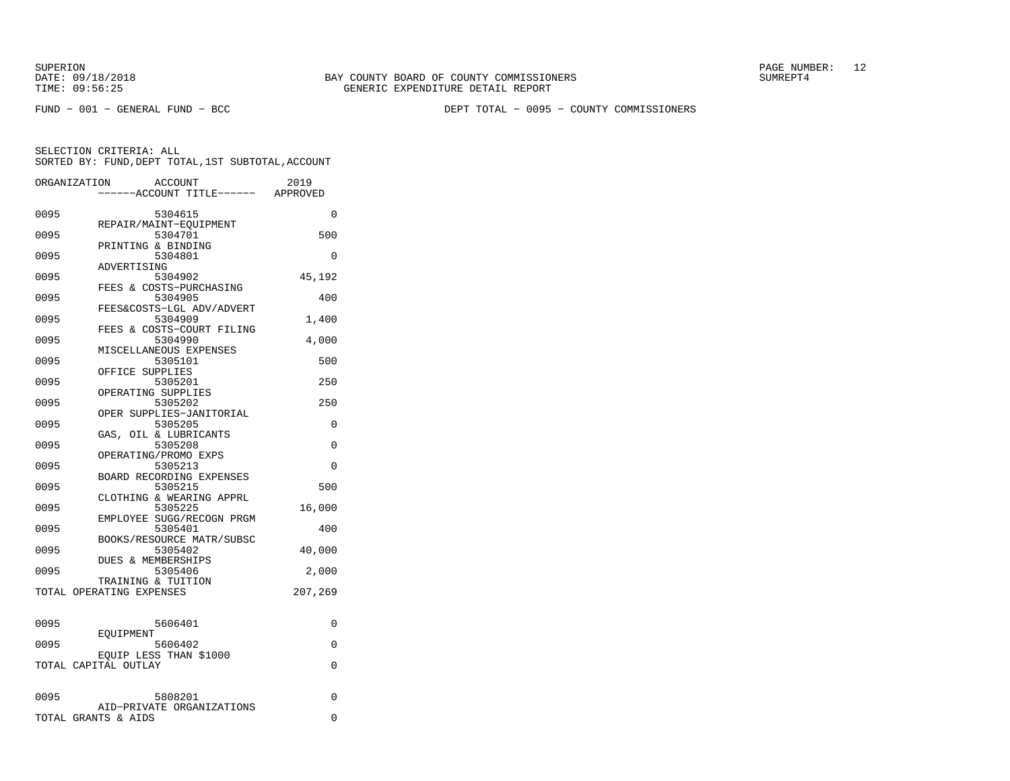SUPERION PAGE NUMBER: 12

FUND − 001 − GENERAL FUND − BCC DEPT TOTAL − 0095 − COUNTY COMMISSIONERS

|      | ORGANIZATION<br><b>ACCOUNT</b><br>---ACCOUNT TITLE------ APPROVED | 2019     |
|------|-------------------------------------------------------------------|----------|
| 0095 | 5304615                                                           | $\Omega$ |
| 0095 | REPAIR/MAINT-EOUIPMENT<br>5304701                                 | 500      |
| 0095 | PRINTING & BINDING<br>5304801                                     | 0        |
| 0095 | ADVERTISING<br>5304902<br>FEES & COSTS-PURCHASING                 | 45,192   |
| 0095 | 5304905<br>FEES&COSTS-LGL ADV/ADVERT                              | 400      |
| 0095 | 5304909<br>FEES & COSTS-COURT FILING                              | 1,400    |
| 0095 | 5304990<br>MISCELLANEOUS EXPENSES                                 | 4,000    |
| 0095 | 5305101<br>OFFICE SUPPLIES                                        | 500      |
| 0095 | 5305201<br>OPERATING SUPPLIES                                     | 250      |
| 0095 | 5305202<br>OPER SUPPLIES-JANITORIAL                               | 250      |
| 0095 | 5305205<br>GAS, OIL & LUBRICANTS                                  | $\Omega$ |
| 0095 | 5305208<br>OPERATING/PROMO EXPS                                   | $\Omega$ |
| 0095 | 5305213<br>BOARD RECORDING EXPENSES                               | 0        |
| 0095 | 5305215<br>CLOTHING & WEARING APPRL                               | 500      |
| 0095 | 5305225<br>EMPLOYEE SUGG/RECOGN PRGM                              | 16,000   |
| 0095 | 5305401<br>BOOKS/RESOURCE MATR/SUBSC                              | 400      |
| 0095 | 5305402<br>DUES & MEMBERSHIPS                                     | 40,000   |
| 0095 | 5305406<br>TRAINING & TUITION                                     | 2,000    |
|      | TOTAL OPERATING EXPENSES                                          | 207,269  |
| 0095 | 5606401                                                           | 0        |
| 0095 | EOUIPMENT<br>5606402                                              | $\Omega$ |
|      | EQUIP LESS THAN \$1000<br>TOTAL CAPITAL OUTLAY                    | $\Omega$ |
| 0095 | 5808201                                                           | 0        |
|      | AID-PRIVATE ORGANIZATIONS<br>TOTAL GRANTS & AIDS                  | 0        |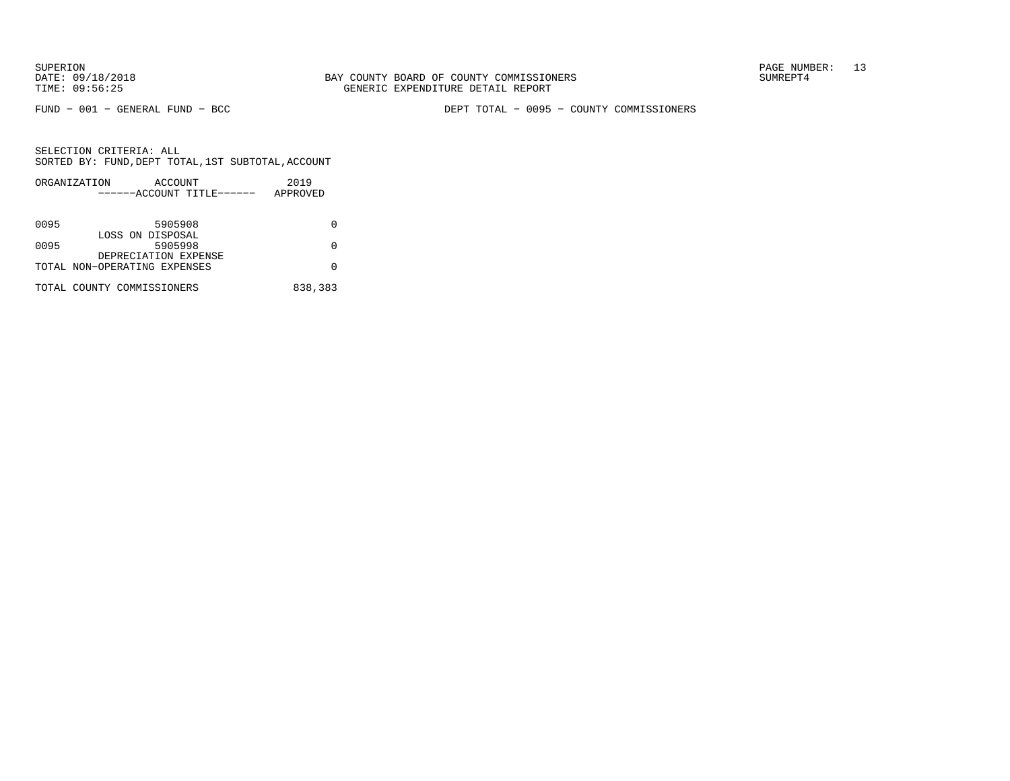FUND − 001 − GENERAL FUND − BCC DEPT TOTAL − 0095 − COUNTY COMMISSIONERS

|      | ORGANIZATION                 | ACCOUNT |                           | 2019     |
|------|------------------------------|---------|---------------------------|----------|
|      |                              |         | ------ACCOUNT TITLE------ | APPROVED |
|      |                              |         |                           |          |
| 0095 |                              | 5905908 |                           | O        |
|      |                              |         |                           |          |
|      | LOSS ON DISPOSAL             |         |                           |          |
| 0095 |                              | 5905998 |                           | O        |
|      | DEPRECIATION EXPENSE         |         |                           |          |
|      | TOTAL NON-OPERATING EXPENSES |         |                           |          |
|      |                              |         |                           |          |
|      | TOTAL COUNTY COMMISSIONERS   |         |                           | 838,383  |
|      |                              |         |                           |          |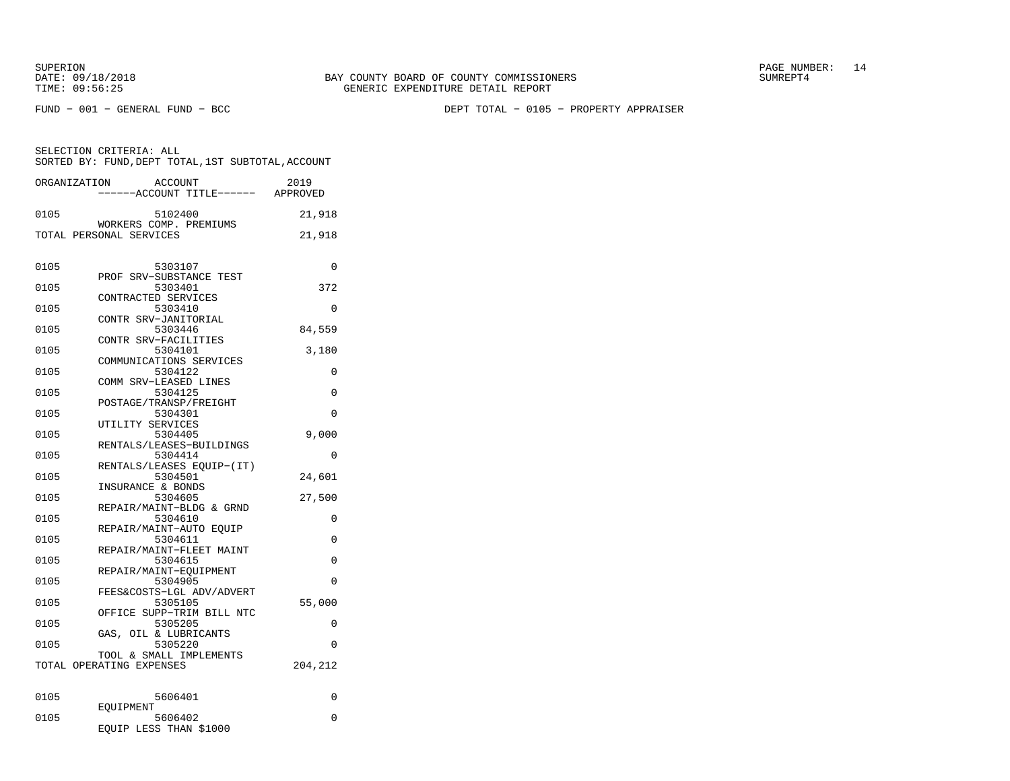SUPERION PAGE NUMBER: 14

FUND − 001 − GENERAL FUND − BCC DEPT TOTAL − 0105 − PROPERTY APPRAISER

| SELECTION CRITERIA: ALL |  |                                                    |  |
|-------------------------|--|----------------------------------------------------|--|
|                         |  | SORTED BY: FUND. DEPT TOTAL. 1ST SUBTOTAL. ACCOUNT |  |

| ORGANIZATION | <b>ACCOUNT</b><br>---ACCOUNT TITLE------ APPROVED   | 2019     |
|--------------|-----------------------------------------------------|----------|
| 0105         | 5102400                                             | 21,918   |
|              | WORKERS COMP. PREMIUMS<br>TOTAL PERSONAL SERVICES   | 21,918   |
| 0105         | 5303107                                             | 0        |
| 0105         | PROF SRV-SUBSTANCE TEST<br>5303401                  | 372      |
| 0105         | CONTRACTED SERVICES<br>5303410                      | $\Omega$ |
| 0105         | CONTR SRV-JANITORIAL<br>5303446                     | 84,559   |
| 0105         | CONTR SRV-FACILITIES<br>5304101                     | 3,180    |
| 0105         | COMMUNICATIONS SERVICES<br>5304122                  | 0        |
| 0105         | COMM SRV-LEASED LINES<br>5304125                    | $\Omega$ |
| 0105         | POSTAGE/TRANSP/FREIGHT<br>5304301                   | 0        |
|              | UTILITY SERVICES                                    |          |
| 0105         | 5304405<br>RENTALS/LEASES-BUILDINGS                 | 9,000    |
| 0105         | 5304414<br>RENTALS/LEASES EOUIP-(IT)                | 0        |
| 0105         | 5304501<br>INSURANCE & BONDS                        | 24,601   |
| 0105         | 5304605<br>REPAIR/MAINT-BLDG & GRND                 | 27,500   |
| 0105         | 5304610<br>REPAIR/MAINT-AUTO EOUIP                  | $\Omega$ |
| 0105         | 5304611<br>REPAIR/MAINT-FLEET MAINT                 | $\Omega$ |
| 0105         | 5304615<br>REPAIR/MAINT-EOUIPMENT                   | 0        |
| 0105         | 5304905                                             | 0        |
| 0105         | FEES&COSTS-LGL ADV/ADVERT<br>5305105                | 55,000   |
| 0105         | OFFICE SUPP-TRIM BILL NTC<br>5305205                | 0        |
| 0105         | OIL & LUBRICANTS<br>GAS,<br>5305220                 | 0        |
|              | TOOL & SMALL IMPLEMENTS<br>TOTAL OPERATING EXPENSES | 204,212  |
| 0105         | 5606401                                             | 0        |
| 0105         | EOUIPMENT<br>5606402<br>EQUIP LESS THAN \$1000      | 0        |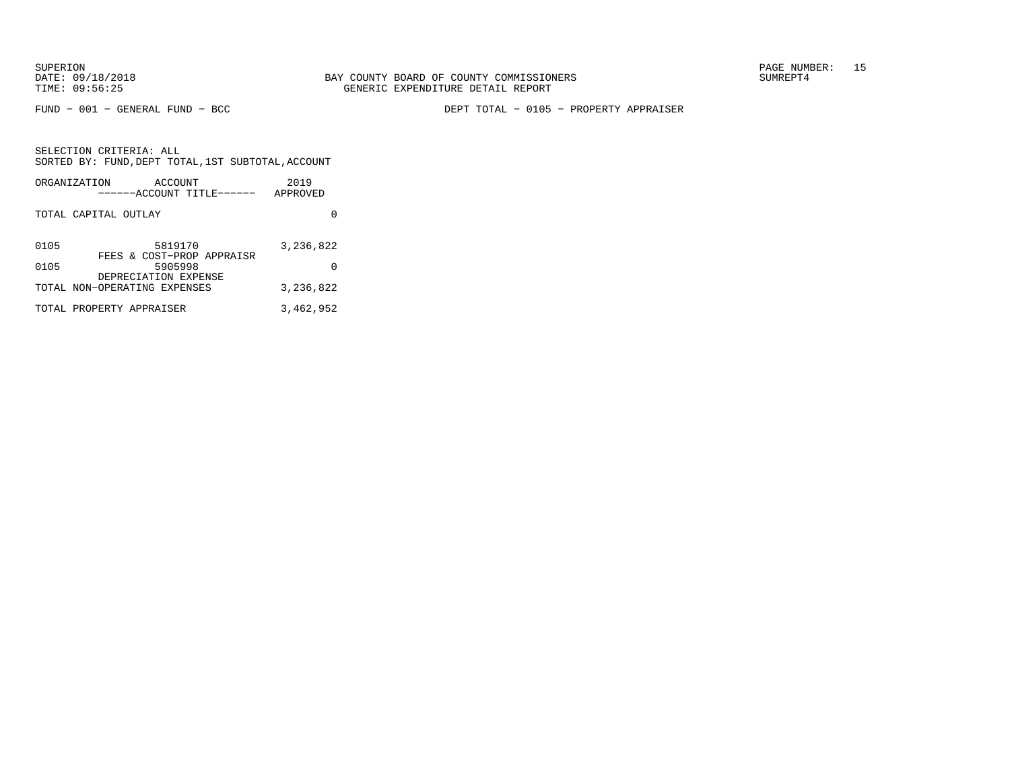SELECTION CRITERIA: ALL

FUND − 001 − GENERAL FUND − BCC DEPT TOTAL − 0105 − PROPERTY APPRAISER

 SORTED BY: FUND,DEPT TOTAL,1ST SUBTOTAL,ACCOUNTORGANIZATION ACCOUNT 2019 −−−−−−ACCOUNT TITLE−−−−−− APPROVEDTOTAL CAPITAL OUTLAY 0 0105 5819170 3,236,822

| .    | .                            | --------  |
|------|------------------------------|-----------|
|      | FEES & COST-PROP APPRAISR    |           |
| 0105 | 5905998                      | 0         |
|      | DEPRECIATION EXPENSE         |           |
|      | TOTAL NON-OPERATING EXPENSES | 3,236,822 |
|      |                              |           |
|      | TOTAL PROPERTY APPRAISER     | 3,462,952 |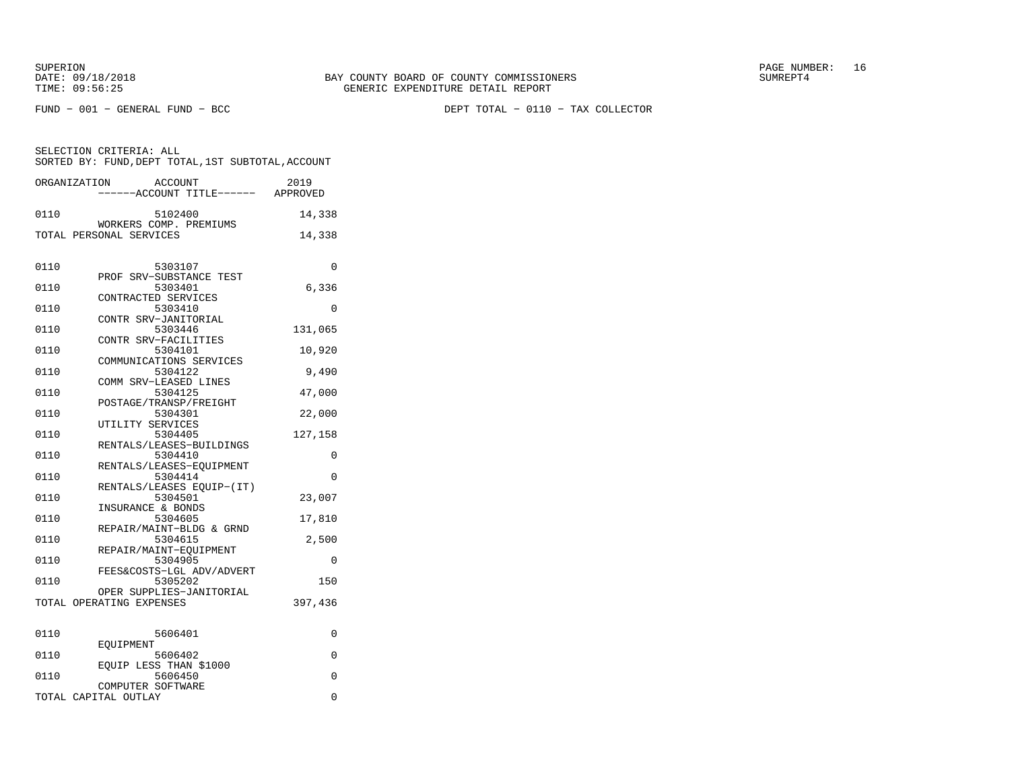FUND − 001 − GENERAL FUND − BCC DEPT TOTAL − 0110 − TAX COLLECTOR

| ORGANIZATION |                          | <b>ACCOUNT</b>                       | 2019<br>-----ACCOUNT TITLE------ APPROVED |
|--------------|--------------------------|--------------------------------------|-------------------------------------------|
| 0110         |                          | 5102400                              | 14,338                                    |
|              |                          | WORKERS COMP. PREMIUMS               |                                           |
|              | TOTAL PERSONAL SERVICES  |                                      | 14,338                                    |
|              |                          |                                      |                                           |
| 0110         |                          | 5303107                              | 0                                         |
|              |                          | PROF SRV-SUBSTANCE TEST              |                                           |
| 0110         |                          | 5303401                              | 6,336                                     |
|              |                          | CONTRACTED SERVICES                  |                                           |
| 0110         |                          | 5303410                              | 0                                         |
| 0110         |                          | CONTR SRV-JANITORIAL<br>5303446      | 131,065                                   |
|              |                          | CONTR SRV-FACILITIES                 |                                           |
| 0110         |                          | 5304101                              | 10,920                                    |
|              |                          | COMMUNICATIONS SERVICES              |                                           |
| 0110         |                          | 5304122                              | 9,490                                     |
|              |                          | COMM SRV-LEASED LINES                |                                           |
| 0110         |                          | 5304125                              | 47,000                                    |
|              |                          | POSTAGE/TRANSP/FREIGHT               |                                           |
| 0110         |                          | 5304301                              | 22,000                                    |
|              | UTILITY SERVICES         |                                      |                                           |
| 0110         |                          | 5304405<br>RENTALS/LEASES-BUILDINGS  | 127,158                                   |
| 0110         |                          | 5304410                              | 0                                         |
|              |                          | RENTALS/LEASES-EOUIPMENT             |                                           |
| 0110         |                          | 5304414                              | $\Omega$                                  |
|              |                          | RENTALS/LEASES EOUIP-(IT)            |                                           |
| 0110         |                          | 5304501                              | 23,007                                    |
|              |                          | INSURANCE & BONDS                    |                                           |
| 0110         |                          | 5304605                              | 17,810                                    |
|              |                          | REPAIR/MAINT-BLDG & GRND             |                                           |
| 0110         |                          | 5304615                              | 2,500                                     |
|              |                          | REPAIR/MAINT-EQUIPMENT               |                                           |
| 0110         |                          | 5304905<br>FEES&COSTS-LGL ADV/ADVERT | 0                                         |
| 0110         |                          | 5305202                              | 150                                       |
|              |                          | OPER SUPPLIES-JANITORIAL             |                                           |
|              | TOTAL OPERATING EXPENSES |                                      | 397,436                                   |
|              |                          |                                      |                                           |
| 0110         |                          | 5606401                              | 0                                         |
|              | EOUIPMENT                |                                      |                                           |
| 0110         |                          | 5606402                              | 0                                         |
|              |                          | EQUIP LESS THAN \$1000               |                                           |
| 0110         |                          | 5606450                              | $\mathbf 0$                               |
|              |                          | COMPUTER SOFTWARE                    |                                           |
|              | TOTAL CAPITAL OUTLAY     |                                      | 0                                         |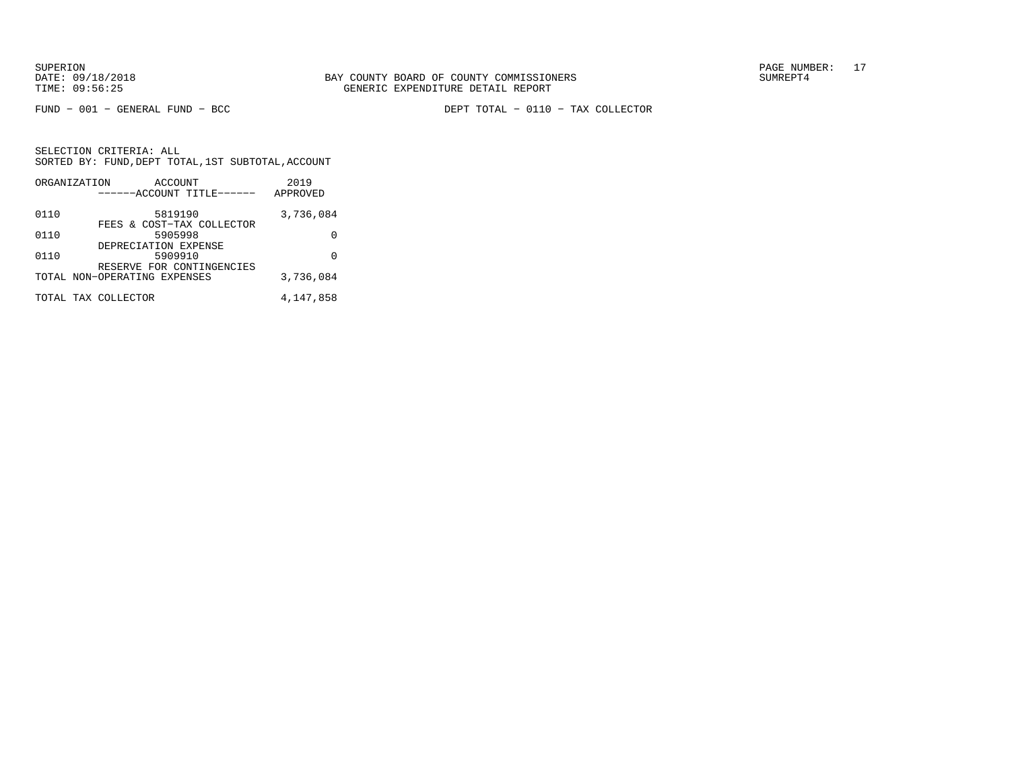FUND − 001 − GENERAL FUND − BCC DEPT TOTAL − 0110 − TAX COLLECTOR

|      | ORGANIZATION<br>ACCOUNT                                   | 2019      |
|------|-----------------------------------------------------------|-----------|
|      | ------ACCOUNT TITLE------                                 | APPROVED  |
| 0110 | 5819190<br>FEES & COST-TAX COLLECTOR                      | 3,736,084 |
| 0110 | 5905998                                                   | O         |
| 0110 | DEPRECIATION EXPENSE<br>5909910                           | U         |
|      | RESERVE FOR CONTINGENCIES<br>TOTAL NON-OPERATING EXPENSES | 3,736,084 |
|      |                                                           |           |
|      | TOTAL TAX COLLECTOR                                       | 4,147,858 |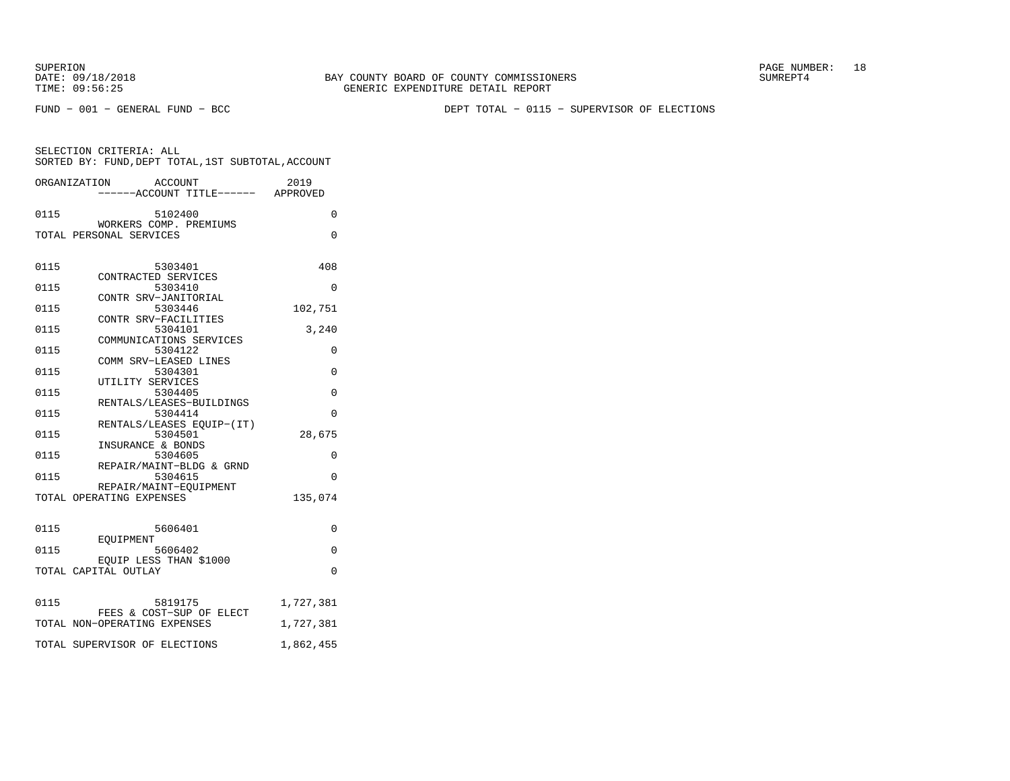SUPERION PAGE NUMBER: 18

FUND − 001 − GENERAL FUND − BCC DEPT TOTAL − 0115 − SUPERVISOR OF ELECTIONS

SELECTION CRITERIA: ALL SORTED BY: FUND,DEPT TOTAL,1ST SUBTOTAL,ACCOUNTORGANIZATION ACCOUNT 2019

|      | OKGANI LAHI TOM<br>ACCOUN I                              | ムリエン      |
|------|----------------------------------------------------------|-----------|
| 0115 | 5102400                                                  | $\Omega$  |
|      | WORKERS COMP. PREMIUMS<br>TOTAL PERSONAL SERVICES        | $\Omega$  |
| 0115 | 5303401<br>CONTRACTED SERVICES                           | 408       |
| 0115 | 5303410<br>CONTR SRV-JANITORIAL                          | 0         |
| 0115 | 5303446                                                  | 102,751   |
| 0115 | CONTR SRV-FACILITIES<br>5304101                          | 3,240     |
| 0115 | COMMUNICATIONS SERVICES<br>5304122                       | 0         |
| 0115 | COMM SRV-LEASED LINES<br>5304301                         | 0         |
| 0115 | UTILITY SERVICES<br>5304405                              | 0         |
| 0115 | RENTALS/LEASES-BUILDINGS<br>5304414                      | 0         |
| 0115 | RENTALS/LEASES EOUIP-(IT)<br>5304501                     | 28,675    |
| 0115 | INSURANCE & BONDS<br>5304605                             | 0         |
| 0115 | REPAIR/MAINT-BLDG & GRND<br>5304615                      | $\Omega$  |
|      | REPAIR/MAINT-EOUIPMENT<br>TOTAL OPERATING EXPENSES       | 135,074   |
|      |                                                          |           |
| 0115 | 5606401<br>EOUIPMENT                                     | $\Omega$  |
| 0115 | 5606402                                                  | 0         |
|      | EQUIP LESS THAN \$1000<br>TOTAL CAPITAL OUTLAY           | $\Omega$  |
| 0115 | 5819175                                                  | 1,727,381 |
|      | FEES & COST-SUP OF ELECT<br>TOTAL NON-OPERATING EXPENSES | 1,727,381 |
|      | TOTAL SUPERVISOR OF ELECTIONS                            | 1,862,455 |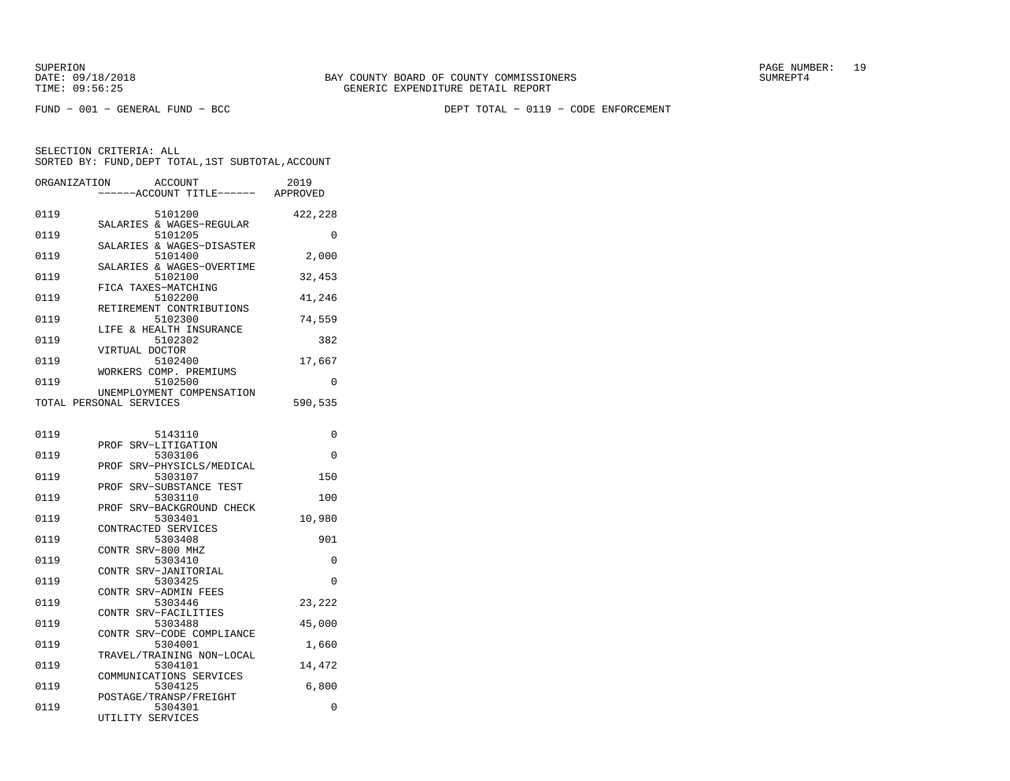FUND − 001 − GENERAL FUND − BCC DEPT TOTAL − 0119 − CODE ENFORCEMENT

| ORGANIZATION |                         | ACCOUNT<br>---ACCOUNT TITLE------    | 2019<br>APPROVED |
|--------------|-------------------------|--------------------------------------|------------------|
| 0119         |                         | 5101200<br>SALARIES & WAGES-REGULAR  | 422,228          |
| 0119         |                         | 5101205                              | 0                |
| 0119         |                         | SALARIES & WAGES-DISASTER<br>5101400 | 2,000            |
| 0119         |                         | SALARIES & WAGES-OVERTIME<br>5102100 | 32,453           |
| 0119         | FICA TAXES-MATCHING     | 5102200                              | 41,246           |
| 0119         |                         | RETIREMENT CONTRIBUTIONS<br>5102300  | 74,559           |
| 0119         |                         | LIFE & HEALTH INSURANCE<br>5102302   | 382              |
| 0119         | VIRTUAL DOCTOR          | 5102400                              | 17,667           |
| 0119         |                         | WORKERS COMP. PREMIUMS<br>5102500    | 0                |
|              | TOTAL PERSONAL SERVICES | UNEMPLOYMENT COMPENSATION            | 590,535          |
| 0119         |                         | 5143110                              | 0                |
| 0119         | PROF                    | SRV-LITIGATION<br>5303106            | 0                |
| 0119         | PROF                    | SRV-PHYSICLS/MEDICAL<br>5303107      | 150              |
| 0119         | PROF                    | SRV-SUBSTANCE TEST<br>5303110        | 100              |
| 0119         | PROF                    | SRV-BACKGROUND CHECK<br>5303401      | 10,980           |
| 0119         | CONTRACTED SERVICES     | 5303408                              | 901              |
| 0119         | CONTR SRV-800 MHZ       | 5303410                              | 0                |
| 0119         | CONTR                   | SRV-JANITORIAL<br>5303425            | $\Omega$         |
| 0119         | CONTR SRV-ADMIN FEES    | 5303446                              | 23,222           |
|              | CONTR SRV-FACILITIES    |                                      |                  |
| 0119         |                         | 5303488<br>CONTR SRV-CODE COMPLIANCE | 45,000           |
| 0119         |                         | 5304001<br>TRAVEL/TRAINING NON-LOCAL | 1,660            |
| 0119         |                         | 5304101<br>COMMUNICATIONS SERVICES   | 14,472           |
| 0119         |                         | 5304125<br>POSTAGE/TRANSP/FREIGHT    | 6,800            |
| 0119         | UTILITY SERVICES        | 5304301                              | 0                |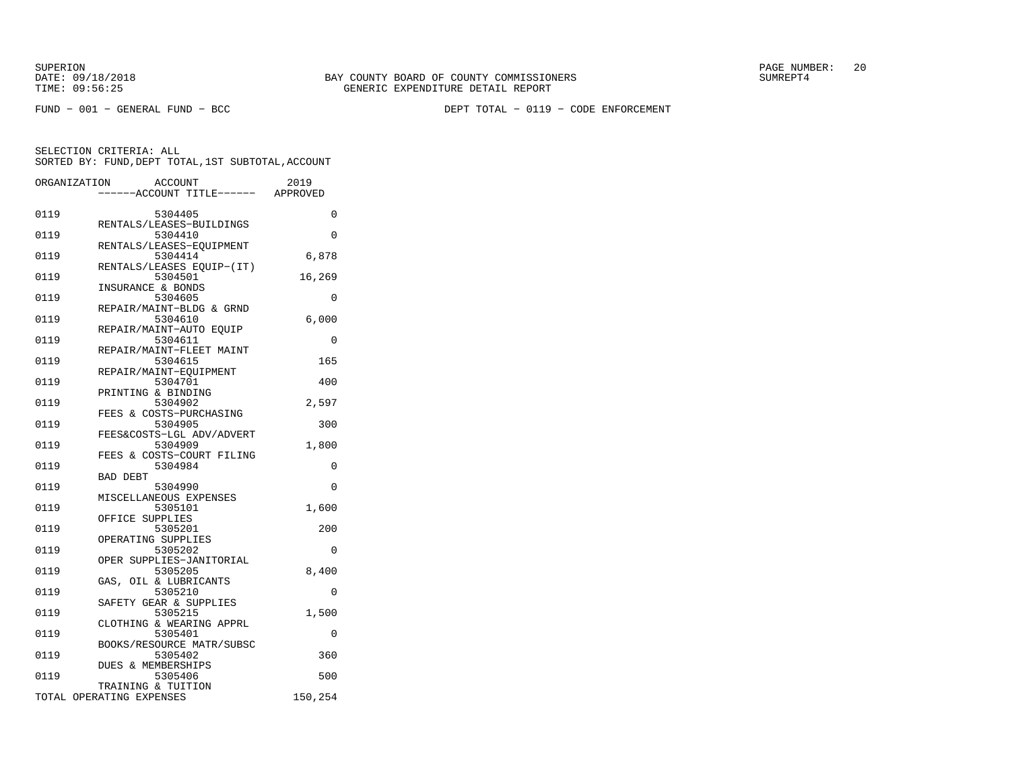FUND − 001 − GENERAL FUND − BCC DEPT TOTAL − 0119 − CODE ENFORCEMENT

|      | ORGANIZATION<br>ACCOUNT<br>---ACCOUNT TITLE------ APPROVED | 2019     |
|------|------------------------------------------------------------|----------|
|      |                                                            |          |
| 0119 | 5304405                                                    | 0        |
|      | RENTALS/LEASES-BUILDINGS                                   |          |
| 0119 | 5304410                                                    | 0        |
| 0119 | RENTALS/LEASES-EQUIPMENT<br>5304414                        | 6,878    |
|      | RENTALS/LEASES EQUIP-(IT)                                  |          |
| 0119 | 5304501                                                    | 16,269   |
|      | INSURANCE & BONDS                                          |          |
| 0119 | 5304605                                                    | 0        |
|      | REPAIR/MAINT-BLDG & GRND                                   |          |
| 0119 | 5304610                                                    | 6,000    |
|      | REPAIR/MAINT-AUTO EQUIP                                    |          |
| 0119 | 5304611                                                    | 0        |
| 0119 | REPAIR/MAINT-FLEET MAINT<br>5304615                        | 165      |
|      | REPAIR/MAINT-EOUIPMENT                                     |          |
| 0119 | 5304701                                                    | 400      |
|      | PRINTING & BINDING                                         |          |
| 0119 | 5304902                                                    | 2,597    |
|      | FEES & COSTS-PURCHASING                                    |          |
| 0119 | 5304905                                                    | 300      |
|      | FEES&COSTS-LGL ADV/ADVERT                                  |          |
| 0119 | 5304909                                                    | 1,800    |
| 0119 | FEES & COSTS-COURT FILING<br>5304984                       | 0        |
|      | <b>BAD DEBT</b>                                            |          |
| 0119 | 5304990                                                    | 0        |
|      | MISCELLANEOUS EXPENSES                                     |          |
| 0119 | 5305101                                                    | 1,600    |
|      | OFFICE SUPPLIES                                            |          |
| 0119 | 5305201                                                    | 200      |
|      | OPERATING SUPPLIES                                         |          |
| 0119 | 5305202                                                    | 0        |
| 0119 | OPER SUPPLIES-JANITORIAL<br>5305205                        | 8,400    |
|      | OIL & LUBRICANTS<br>GAS,                                   |          |
| 0119 | 5305210                                                    | $\Omega$ |
|      | SAFETY GEAR & SUPPLIES                                     |          |
| 0119 | 5305215                                                    | 1,500    |
|      | CLOTHING & WEARING APPRL                                   |          |
| 0119 | 5305401                                                    | $\Omega$ |
|      | BOOKS/RESOURCE MATR/SUBSC                                  |          |
| 0119 | 5305402                                                    | 360      |
| 0119 | DUES & MEMBERSHIPS<br>5305406                              | 500      |
|      | TRAINING & TUITION                                         |          |
|      | TOTAL OPERATING EXPENSES                                   | 150,254  |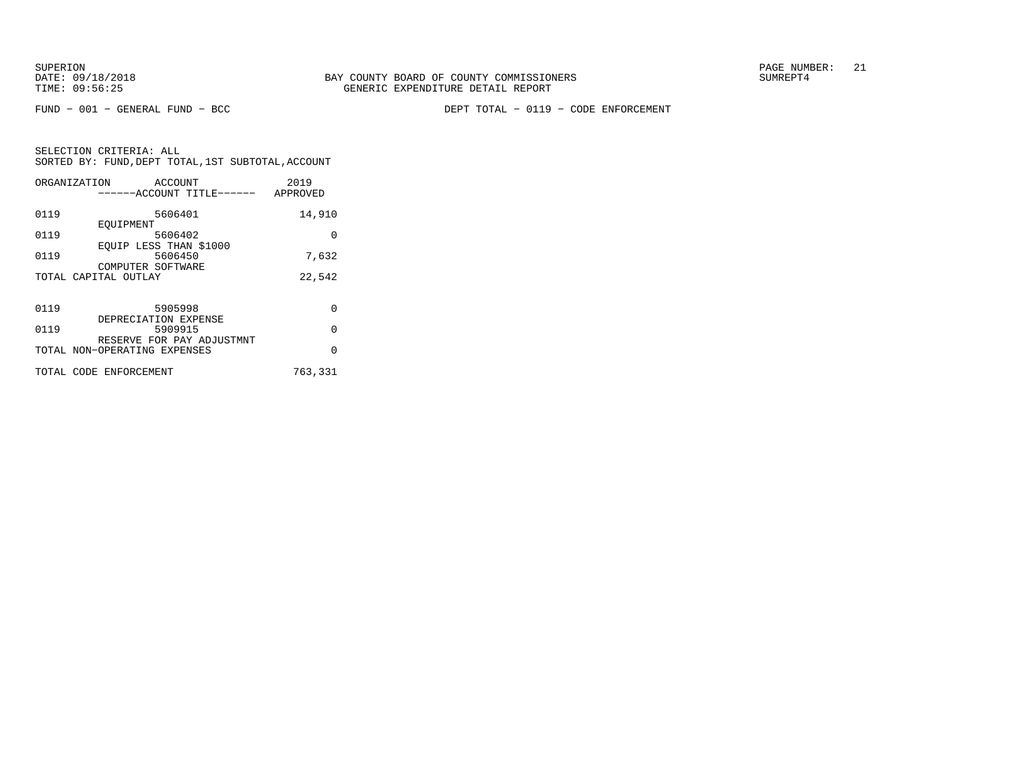FUND − 001 − GENERAL FUND − BCC DEPT TOTAL − 0119 − CODE ENFORCEMENT

| ORGANIZATION                 | ACCOUNT                   | 2019     |
|------------------------------|---------------------------|----------|
|                              | ------ACCOUNT TITLE------ | APPROVED |
|                              |                           |          |
| 0119                         | 5606401                   | 14,910   |
| EOUIPMENT                    |                           |          |
| 0119                         | 5606402                   | 0        |
|                              | EOUIP LESS THAN \$1000    |          |
| 0119                         | 5606450                   | 7.632    |
|                              | COMPUTER SOFTWARE         |          |
| TOTAL CAPITAL OUTLAY         |                           | 22,542   |
|                              |                           |          |
|                              |                           |          |
| 0119                         | 5905998                   | $\Omega$ |
|                              | DEPRECIATION EXPENSE      |          |
| 0119                         | 5909915                   | $\Omega$ |
|                              | RESERVE FOR PAY ADJUSTMNT |          |
| TOTAL NON-OPERATING EXPENSES |                           | $\Omega$ |
|                              |                           |          |
| TOTAL CODE ENFORCEMENT       |                           | 763,331  |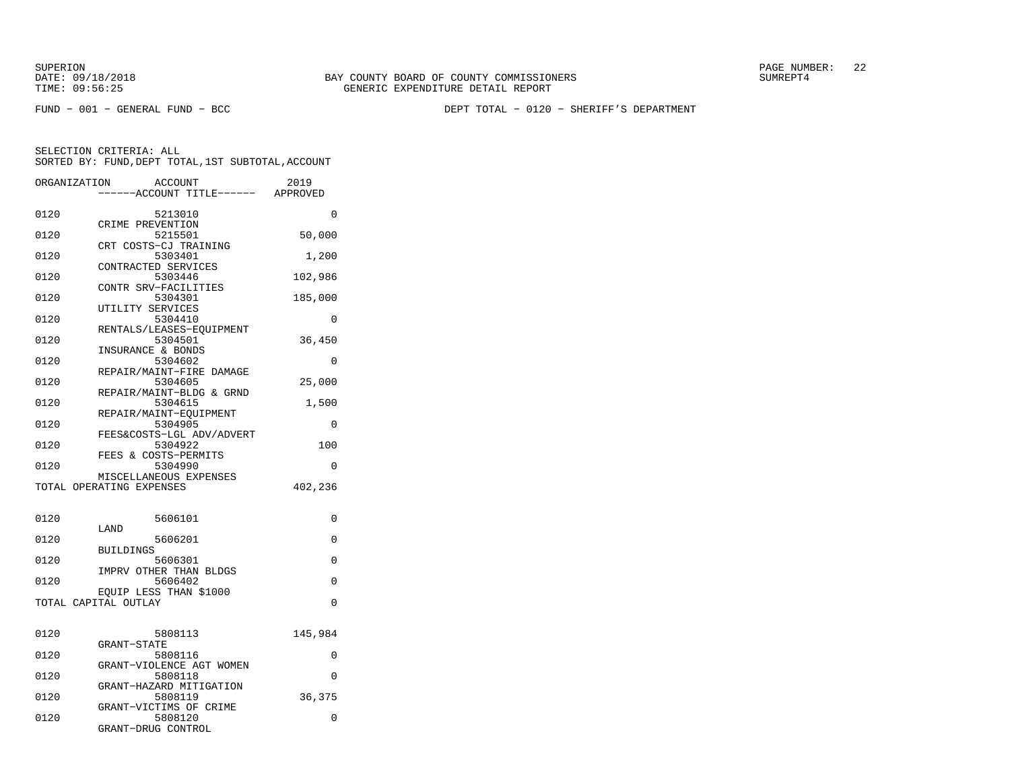SUPERION PAGE NUMBER: 22

FUND − 001 − GENERAL FUND − BCC DEPT TOTAL − 0120 − SHERIFF'S DEPARTMENT

| ORGANIZATION | <b>ACCOUNT</b><br>---ACCOUNT TITLE------ APPROVED    | 2019     |
|--------------|------------------------------------------------------|----------|
| 0120         | 5213010                                              | 0        |
| 0120         | CRIME PREVENTION<br>5215501<br>CRT COSTS-CJ TRAINING | 50,000   |
| 0120         | 5303401<br>CONTRACTED SERVICES                       | 1,200    |
| 0120         | 5303446<br>CONTR SRV-FACILITIES                      | 102,986  |
| 0120         | 5304301<br>UTILITY SERVICES                          | 185,000  |
| 0120         | 5304410<br>RENTALS/LEASES-EQUIPMENT                  | $\Omega$ |
| 0120         | 5304501<br>INSURANCE & BONDS                         | 36,450   |
| 0120         | 5304602<br>REPAIR/MAINT-FIRE DAMAGE                  | 0        |
| 0120         | 5304605<br>REPAIR/MAINT-BLDG & GRND                  | 25,000   |
| 0120         | 5304615<br>REPAIR/MAINT-EQUIPMENT                    | 1,500    |
| 0120         | 5304905<br>FEES&COSTS-LGL ADV/ADVERT                 | $\Omega$ |
| 0120         | 5304922<br>FEES & COSTS-PERMITS                      | 100      |
| 0120         | 5304990<br>MISCELLANEOUS EXPENSES                    | 0        |
|              | TOTAL OPERATING EXPENSES                             | 402,236  |
| 0120         | 5606101                                              | 0        |
| 0120         | LAND<br>5606201<br><b>BUILDINGS</b>                  | 0        |
| 0120         | 5606301<br>IMPRV OTHER THAN BLDGS                    | 0        |
| 0120         | 5606402<br>EQUIP LESS THAN \$1000                    | $\Omega$ |
|              | TOTAL CAPITAL OUTLAY                                 | $\Omega$ |
| 0120         | 5808113<br><b>GRANT-STATE</b>                        | 145,984  |
| 0120         | 5808116<br>GRANT-VIOLENCE AGT WOMEN                  | 0        |
| 0120         | 5808118<br>GRANT-HAZARD MITIGATION                   | $\Omega$ |
| 0120         | 5808119<br>GRANT-VICTIMS OF CRIME                    | 36,375   |
| 0120         | 5808120<br>GRANT-DRUG CONTROL                        | 0        |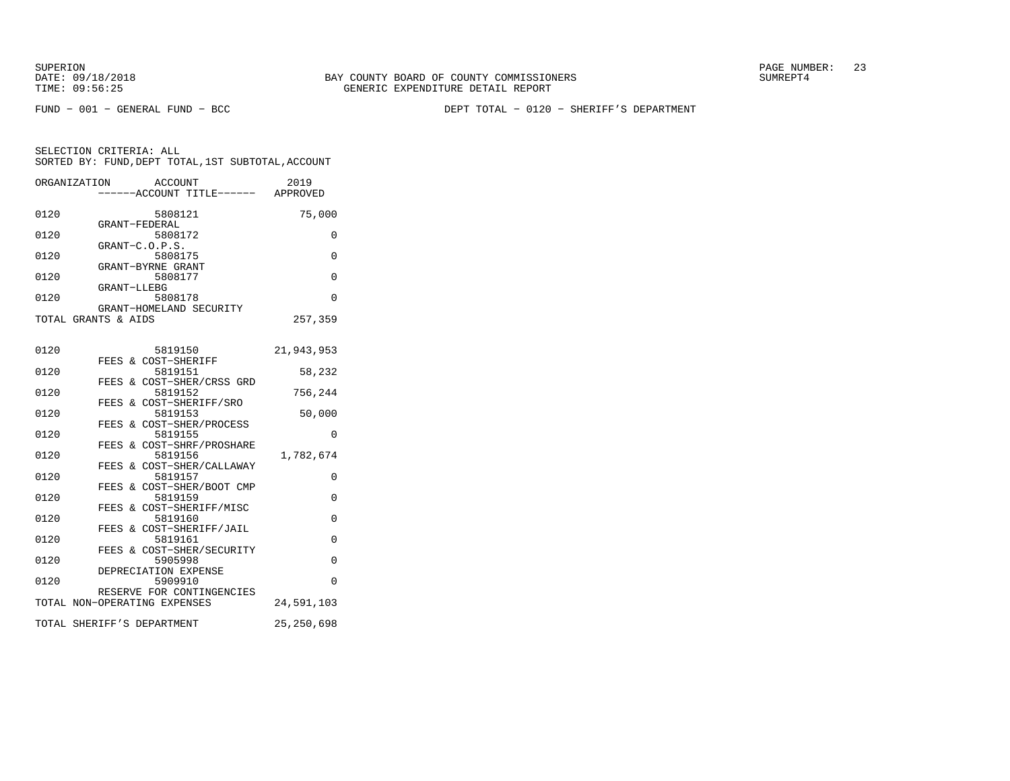FUND − 001 − GENERAL FUND − BCC DEPT TOTAL − 0120 − SHERIFF'S DEPARTMENT

| ORGANIZATION |                     | ACCOUNT<br>-----ACCOUNT TITLE------ APPROVED                 | 2019         |
|--------------|---------------------|--------------------------------------------------------------|--------------|
| 0120         |                     | 5808121                                                      | 75,000       |
| 0120         |                     | GRANT-FEDERAL<br>5808172                                     | 0            |
| 0120         |                     | GRANT-C.O.P.S.<br>5808175<br>GRANT-BYRNE GRANT               | 0            |
| 0120         | GRANT-LLEBG         | 5808177                                                      | $\Omega$     |
| 0120         |                     | 5808178<br>GRANT-HOMELAND SECURITY                           | $\Omega$     |
|              | TOTAL GRANTS & AIDS |                                                              | 257,359      |
| 0120         |                     | 5819150                                                      | 21,943,953   |
| 0120         |                     | FEES & COST-SHERIFF<br>5819151                               | 58,232       |
| 0120         |                     | FEES & COST-SHER/CRSS GRD<br>5819152                         | 756,244      |
| 0120         | FEES                | & COST-SHERIFF/SRO<br>5819153                                | 50,000       |
| 0120         |                     | FEES & COST-SHER/PROCESS<br>5819155                          | 0            |
| 0120         |                     | FEES & COST-SHRF/PROSHARE<br>5819156                         | 1,782,674    |
| 0120         | FEES                | FEES & COST-SHER/CALLAWAY<br>5819157<br>& COST-SHER/BOOT CMP | 0            |
| 0120         |                     | 5819159<br>FEES & COST-SHERIFF/MISC                          | $\Omega$     |
| 0120         |                     | 5819160<br>FEES & COST-SHERIFF/JAIL                          | 0            |
| 0120         |                     | 5819161<br>FEES & COST-SHER/SECURITY                         | $\Omega$     |
| 0120         |                     | 5905998<br>DEPRECIATION EXPENSE                              | $\Omega$     |
| 0120         |                     | 5909910<br>RESERVE FOR CONTINGENCIES                         | $\Omega$     |
|              |                     | TOTAL NON-OPERATING EXPENSES                                 | 24,591,103   |
|              |                     | TOTAL SHERIFF'S DEPARTMENT                                   | 25, 250, 698 |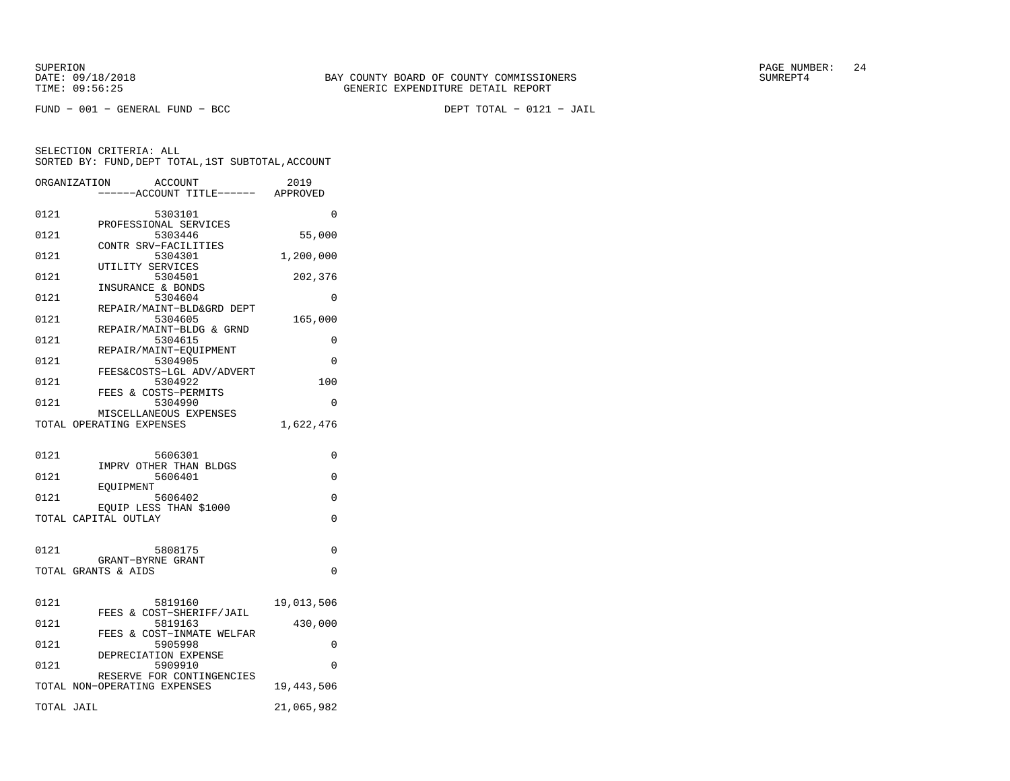FUND − 001 − GENERAL FUND − BCC DEPT TOTAL − 0121 − JAIL

|            | ORGANIZATION<br><b>ACCOUNT</b><br>---ACCOUNT TITLE------ | 2019<br>APPROVED |
|------------|----------------------------------------------------------|------------------|
| 0121       | 5303101                                                  | 0                |
| 0121       | PROFESSIONAL SERVICES<br>5303446                         | 55,000           |
| 0121       | CONTR SRV-FACILITIES<br>5304301                          | 1,200,000        |
| 0121       | UTILITY SERVICES<br>5304501                              | 202,376          |
| 0121       | INSURANCE & BONDS<br>5304604                             | $\Omega$         |
| 0121       | REPAIR/MAINT-BLD&GRD DEPT<br>5304605                     | 165,000          |
|            | REPAIR/MAINT-BLDG & GRND                                 |                  |
| 0121       | 5304615<br>REPAIR/MAINT-EQUIPMENT                        | 0                |
| 0121       | 5304905<br>FEES&COSTS-LGL ADV/ADVERT                     | $\Omega$         |
| 0121       | 5304922<br>FEES & COSTS-PERMITS                          | 100              |
| 0121       | 5304990                                                  | $\Omega$         |
|            | MISCELLANEOUS EXPENSES<br>TOTAL OPERATING EXPENSES       | 1,622,476        |
|            |                                                          |                  |
| 0121       | 5606301<br>IMPRV OTHER THAN BLDGS                        | 0                |
| 0121       | 5606401<br>EOUIPMENT                                     | 0                |
| 0121       | 5606402                                                  | 0                |
|            | EQUIP LESS THAN \$1000<br>TOTAL CAPITAL OUTLAY           | $\Omega$         |
|            |                                                          |                  |
| 0121       | 5808175<br>GRANT-BYRNE GRANT                             | 0                |
|            | TOTAL GRANTS & AIDS                                      | 0                |
|            |                                                          |                  |
| 0121       | 5819160<br>FEES & COST-SHERIFF/JAIL                      | 19,013,506       |
| 0121       | 5819163<br>FEES & COST-INMATE WELFAR                     | 430,000          |
| 0121       | 5905998<br>DEPRECIATION EXPENSE                          | 0                |
| 0121       | 5909910<br>RESERVE FOR CONTINGENCIES                     | 0                |
|            | TOTAL NON-OPERATING EXPENSES                             | 19,443,506       |
| TOTAL JAIL |                                                          | 21,065,982       |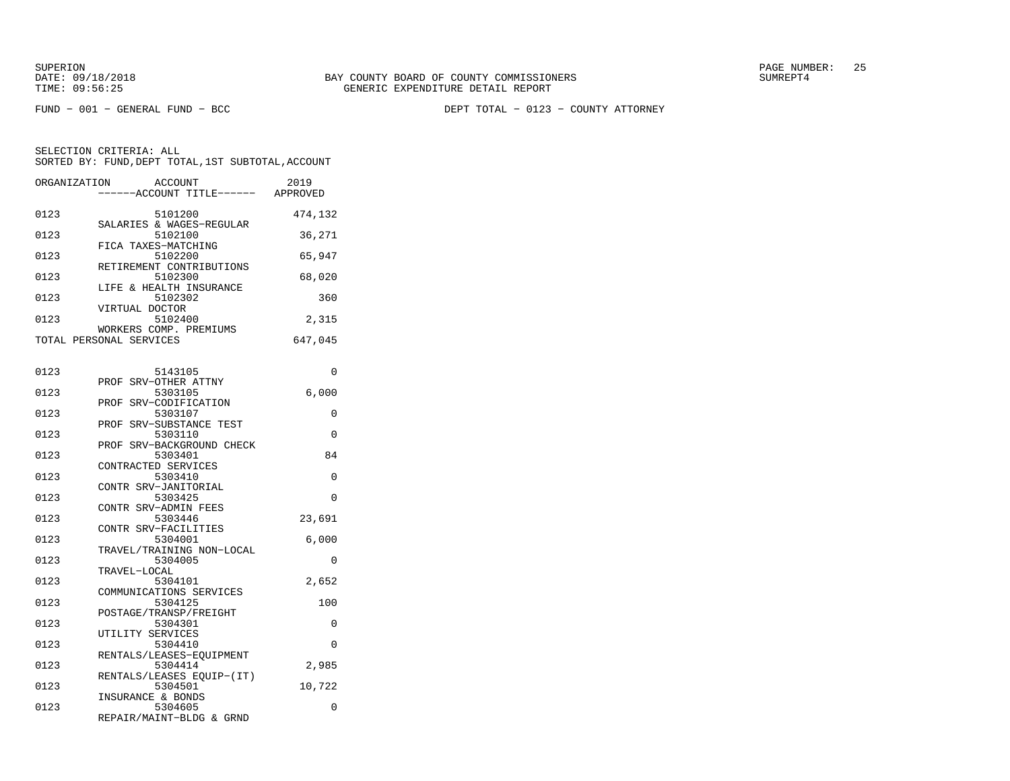FUND − 001 − GENERAL FUND − BCC DEPT TOTAL − 0123 − COUNTY ATTORNEY

| ORGANIZATION | <b>ACCOUNT</b><br>----ACCOUNT TITLE------ APPROVED     | 2019    |
|--------------|--------------------------------------------------------|---------|
| 0123         | 5101200<br>SALARIES & WAGES-REGULAR                    | 474,132 |
| 0123         | 5102100<br>FICA TAXES-MATCHING                         | 36,271  |
| 0123         | 5102200<br>RETIREMENT CONTRIBUTIONS                    | 65,947  |
| 0123         | 5102300<br>LIFE & HEALTH INSURANCE                     | 68,020  |
| 0123         | 5102302<br>VIRTUAL DOCTOR                              | 360     |
| 0123         | 5102400<br>WORKERS COMP. PREMIUMS                      | 2,315   |
|              | TOTAL PERSONAL SERVICES                                | 647,045 |
| 0123         | 5143105                                                | 0       |
| 0123         | SRV-OTHER ATTNY<br>PROF<br>5303105                     | 6,000   |
| 0123         | SRV-CODIFICATION<br>PROF<br>5303107                    | 0       |
| 0123         | PROF SRV-SUBSTANCE TEST<br>5303110                     | 0       |
| 0123         | PROF SRV-BACKGROUND CHECK<br>5303401                   | 84      |
| 0123         | CONTRACTED SERVICES<br>5303410<br>CONTR SRV-JANITORIAL | 0       |
| 0123         | 5303425<br>CONTR SRV-ADMIN FEES                        | 0       |
| 0123         | 5303446<br>CONTR SRV-FACILITIES                        | 23,691  |
| 0123         | 5304001<br>TRAVEL/TRAINING NON-LOCAL                   | 6,000   |
| 0123         | 5304005<br>TRAVEL-LOCAL                                | 0       |
| 0123         | 5304101<br>COMMUNICATIONS SERVICES                     | 2,652   |
| 0123         | 5304125<br>POSTAGE/TRANSP/FREIGHT                      | 100     |
| 0123         | 5304301<br>UTILITY SERVICES                            | 0       |
| 0123         | 5304410<br>RENTALS/LEASES-EQUIPMENT                    | 0       |
| 0123         | 5304414<br>RENTALS/LEASES EQUIP-(IT)                   | 2,985   |
| 0123         | 5304501<br>INSURANCE & BONDS                           | 10,722  |
| 0123         | 5304605<br>REPAIR/MAINT-BLDG & GRND                    | 0       |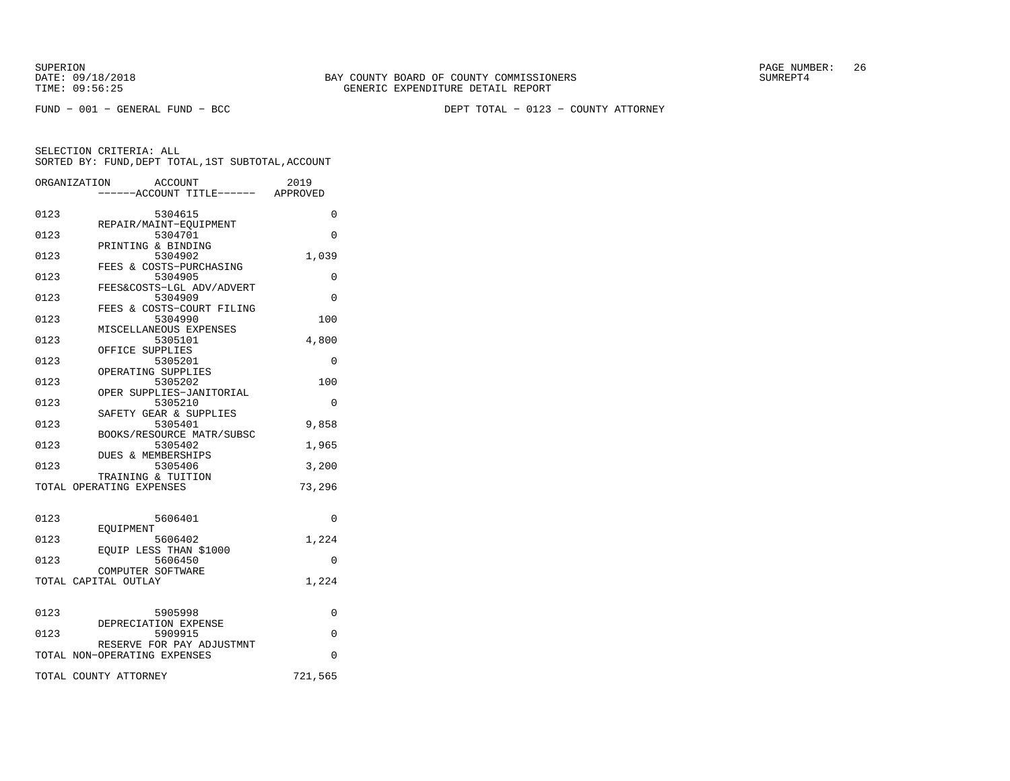FUND − 001 − GENERAL FUND − BCC DEPT TOTAL − 0123 − COUNTY ATTORNEY

|      | ORGANIZATION<br><b>ACCOUNT</b>            | 2019     |
|------|-------------------------------------------|----------|
|      | ----ACCOUNT TITLE------ APPROVED          |          |
| 0123 | 5304615                                   | $\Omega$ |
| 0123 | REPAIR/MAINT-EOUIPMENT<br>5304701         | 0        |
|      | PRINTING & BINDING                        |          |
| 0123 | 5304902                                   | 1,039    |
| 0123 | FEES & COSTS-PURCHASING<br>5304905        | 0        |
|      | FEES&COSTS-LGL ADV/ADVERT                 |          |
| 0123 | 5304909                                   | 0        |
| 0123 | FEES & COSTS-COURT FILING<br>5304990      | 100      |
|      | MISCELLANEOUS EXPENSES                    |          |
| 0123 | 5305101                                   | 4,800    |
| 0123 | OFFICE SUPPLIES<br>5305201                | 0        |
|      | OPERATING SUPPLIES                        |          |
| 0123 | 5305202                                   | 100      |
|      | OPER SUPPLIES-JANITORIAL                  |          |
| 0123 | 5305210<br>SAFETY GEAR & SUPPLIES         | $\Omega$ |
| 0123 | 5305401                                   | 9,858    |
|      | BOOKS/RESOURCE MATR/SUBSC                 |          |
| 0123 | 5305402<br><b>DUES &amp; MEMBERSHIPS</b>  | 1,965    |
| 0123 | 5305406                                   | 3,200    |
|      | TRAINING & TUITION                        |          |
|      | TOTAL OPERATING EXPENSES                  | 73,296   |
|      |                                           |          |
| 0123 | 5606401                                   | $\Omega$ |
| 0123 | EOUIPMENT<br>5606402                      | 1,224    |
|      | EOUIP LESS THAN \$1000                    |          |
| 0123 | 5606450                                   | $\Omega$ |
|      | COMPUTER SOFTWARE<br>TOTAL CAPITAL OUTLAY | 1,224    |
|      |                                           |          |
|      |                                           |          |
| 0123 | 5905998<br>DEPRECIATION EXPENSE           | 0        |
| 0123 | 5909915                                   | $\Omega$ |
|      | RESERVE FOR PAY ADJUSTMNT                 |          |
|      | TOTAL NON-OPERATING EXPENSES              | $\Omega$ |
|      | TOTAL COUNTY ATTORNEY                     | 721,565  |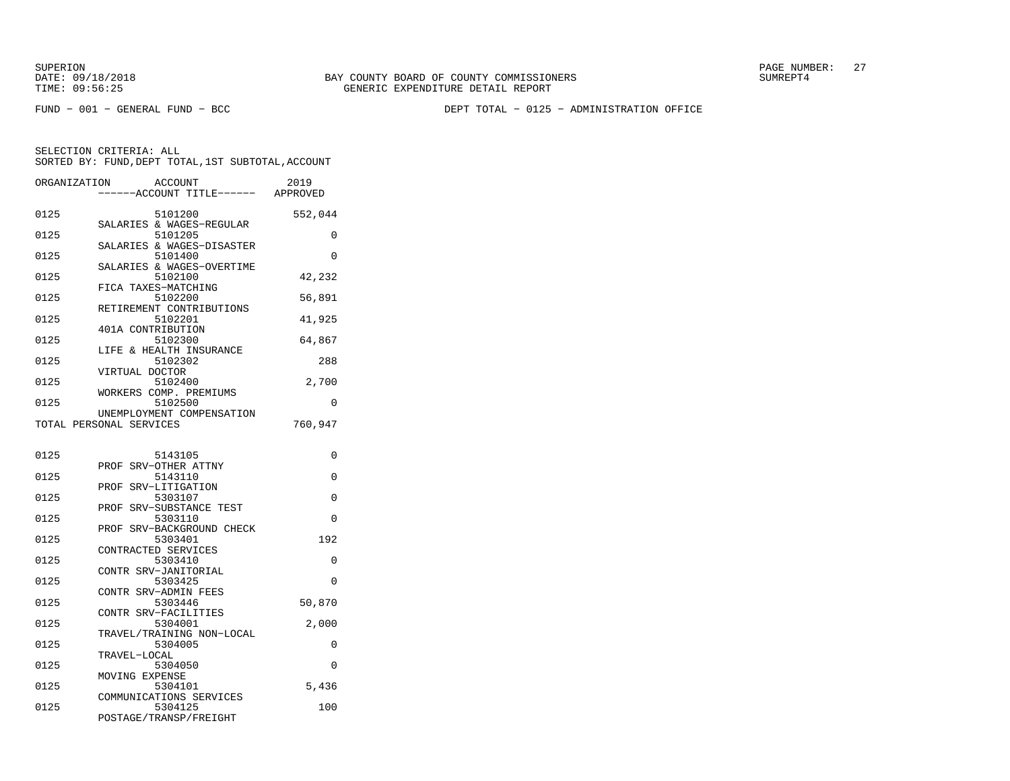SUPERION PAGE NUMBER: 27

FUND − 001 − GENERAL FUND − BCC DEPT TOTAL − 0125 − ADMINISTRATION OFFICE

| ORGANIZATION | <b>ACCOUNT</b><br>------ACCOUNT TITLE------ APPROVED         | 2019     |
|--------------|--------------------------------------------------------------|----------|
| 0125         | 5101200                                                      | 552,044  |
| 0125         | SALARIES & WAGES-REGULAR<br>5101205                          | 0        |
| 0125         | SALARIES & WAGES-DISASTER<br>5101400                         | $\Omega$ |
| 0125         | SALARIES & WAGES-OVERTIME<br>5102100                         | 42,232   |
| 0125         | FICA TAXES-MATCHING<br>5102200                               | 56,891   |
| 0125         | RETIREMENT CONTRIBUTIONS<br>5102201                          | 41,925   |
| 0125         | 401A CONTRIBUTION<br>5102300                                 | 64,867   |
| 0125         | LIFE & HEALTH INSURANCE<br>5102302                           | 288      |
| 0125         | VIRTUAL DOCTOR<br>5102400                                    | 2,700    |
| 0125         | WORKERS COMP. PREMIUMS<br>5102500                            | 0        |
|              | UNEMPLOYMENT COMPENSATION<br>TOTAL PERSONAL SERVICES         | 760,947  |
| 0125         | 5143105                                                      | 0        |
| 0125         | PROF SRV-OTHER ATTNY<br>5143110                              | 0        |
| 0125         | PROF SRV-LITIGATION<br>5303107                               | $\Omega$ |
| 0125         | SRV-SUBSTANCE TEST<br>PROF<br>5303110                        | 0        |
| 0125         | SRV-BACKGROUND CHECK<br>PROF<br>5303401                      | 192      |
| 0125         | CONTRACTED SERVICES<br>5303410                               | 0        |
| 0125         | CONTR SRV-JANITORIAL<br>5303425                              | $\Omega$ |
| 0125         | CONTR SRV-ADMIN FEES<br>5303446                              | 50,870   |
| 0125         | CONTR SRV-FACILITIES<br>5304001                              | 2,000    |
| 0125         | TRAVEL/TRAINING NON-LOCAL<br>5304005                         | 0        |
| 0125         | TRAVEL-LOCAL<br>5304050                                      | 0        |
| 0125         | MOVING EXPENSE<br>5304101                                    | 5,436    |
| 0125         | COMMUNICATIONS SERVICES<br>5304125<br>POSTAGE/TRANSP/FREIGHT | 100      |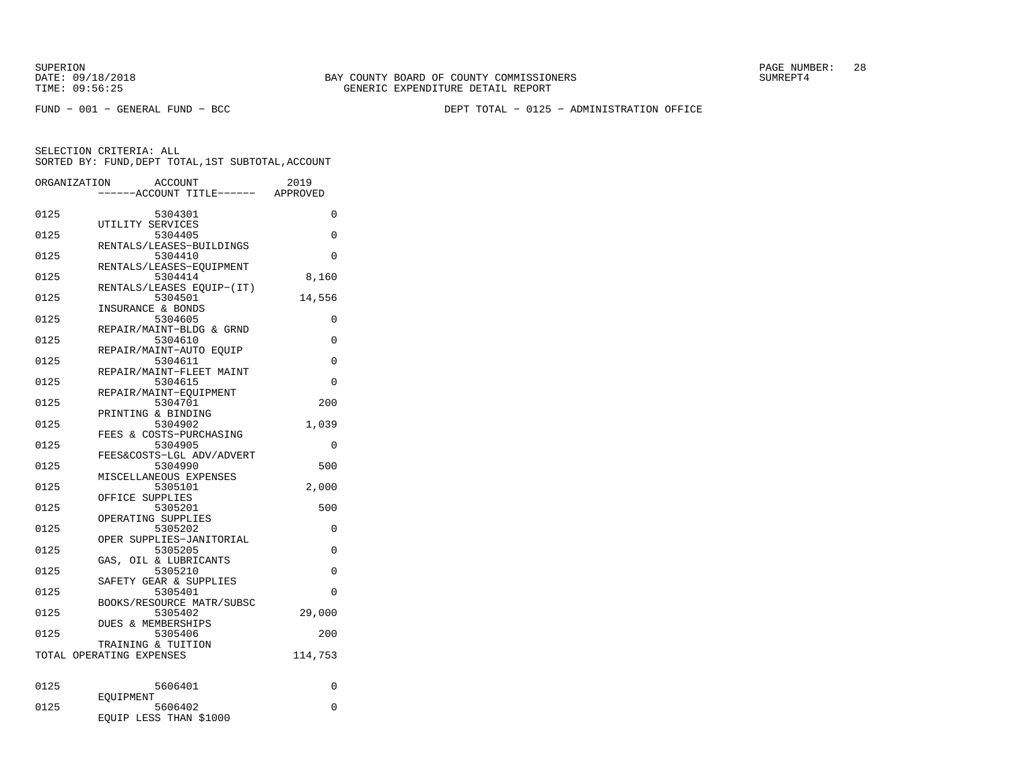FUND − 001 − GENERAL FUND − BCC DEPT TOTAL − 0125 − ADMINISTRATION OFFICE

| ---ACCOUNT TITLE------ APPROVED<br>0125<br>5304301<br>0<br>UTILITY SERVICES<br>0125<br>5304405<br>0<br>RENTALS/LEASES-BUILDINGS<br>0125<br>5304410<br>$\Omega$<br>RENTALS/LEASES-EQUIPMENT<br>0125<br>5304414<br>8,160<br>RENTALS/LEASES EQUIP-(IT)<br>0125<br>5304501<br>14,556<br>INSURANCE & BONDS<br>0125<br>5304605<br>0<br>REPAIR/MAINT-BLDG & GRND<br>0125<br>5304610<br>0<br>REPAIR/MAINT-AUTO EOUIP<br>0125<br>5304611<br>0<br>REPAIR/MAINT-FLEET MAINT<br>0125<br>5304615<br>0<br>REPAIR/MAINT-EOUIPMENT<br>5304701<br>0125<br>200<br>PRINTING & BINDING<br>0125<br>5304902<br>1,039<br>FEES & COSTS-PURCHASING<br>0125<br>5304905<br>$\Omega$<br>FEES&COSTS-LGL ADV/ADVERT<br>0125<br>5304990<br>500<br>MISCELLANEOUS EXPENSES<br>0125<br>5305101<br>2,000<br>OFFICE SUPPLIES<br>0125<br>5305201<br>500<br>OPERATING SUPPLIES<br>0125<br>5305202<br>0<br>OPER SUPPLIES-JANITORIAL<br>5305205<br>0125<br>0<br>GAS, OIL & LUBRICANTS<br>0125<br>5305210<br>$\Omega$<br>SAFETY GEAR & SUPPLIES<br>0125<br>5305401<br>0<br>BOOKS/RESOURCE MATR/SUBSC<br>0125<br>5305402<br>29,000<br>& MEMBERSHIPS<br>DUES<br>0125<br>5305406<br>200<br>TRAINING & TUITION<br>114,753<br>TOTAL OPERATING EXPENSES<br>0125<br>5606401<br>0<br>EOUIPMENT<br>0125<br>5606402<br>0<br>EQUIP LESS THAN \$1000 | ORGANIZATION | <b>ACCOUNT</b> | 2019 |
|-------------------------------------------------------------------------------------------------------------------------------------------------------------------------------------------------------------------------------------------------------------------------------------------------------------------------------------------------------------------------------------------------------------------------------------------------------------------------------------------------------------------------------------------------------------------------------------------------------------------------------------------------------------------------------------------------------------------------------------------------------------------------------------------------------------------------------------------------------------------------------------------------------------------------------------------------------------------------------------------------------------------------------------------------------------------------------------------------------------------------------------------------------------------------------------------------------------------------------------------------------------------------------------------------|--------------|----------------|------|
|                                                                                                                                                                                                                                                                                                                                                                                                                                                                                                                                                                                                                                                                                                                                                                                                                                                                                                                                                                                                                                                                                                                                                                                                                                                                                                 |              |                |      |
|                                                                                                                                                                                                                                                                                                                                                                                                                                                                                                                                                                                                                                                                                                                                                                                                                                                                                                                                                                                                                                                                                                                                                                                                                                                                                                 |              |                |      |
|                                                                                                                                                                                                                                                                                                                                                                                                                                                                                                                                                                                                                                                                                                                                                                                                                                                                                                                                                                                                                                                                                                                                                                                                                                                                                                 |              |                |      |
|                                                                                                                                                                                                                                                                                                                                                                                                                                                                                                                                                                                                                                                                                                                                                                                                                                                                                                                                                                                                                                                                                                                                                                                                                                                                                                 |              |                |      |
|                                                                                                                                                                                                                                                                                                                                                                                                                                                                                                                                                                                                                                                                                                                                                                                                                                                                                                                                                                                                                                                                                                                                                                                                                                                                                                 |              |                |      |
|                                                                                                                                                                                                                                                                                                                                                                                                                                                                                                                                                                                                                                                                                                                                                                                                                                                                                                                                                                                                                                                                                                                                                                                                                                                                                                 |              |                |      |
|                                                                                                                                                                                                                                                                                                                                                                                                                                                                                                                                                                                                                                                                                                                                                                                                                                                                                                                                                                                                                                                                                                                                                                                                                                                                                                 |              |                |      |
|                                                                                                                                                                                                                                                                                                                                                                                                                                                                                                                                                                                                                                                                                                                                                                                                                                                                                                                                                                                                                                                                                                                                                                                                                                                                                                 |              |                |      |
|                                                                                                                                                                                                                                                                                                                                                                                                                                                                                                                                                                                                                                                                                                                                                                                                                                                                                                                                                                                                                                                                                                                                                                                                                                                                                                 |              |                |      |
|                                                                                                                                                                                                                                                                                                                                                                                                                                                                                                                                                                                                                                                                                                                                                                                                                                                                                                                                                                                                                                                                                                                                                                                                                                                                                                 |              |                |      |
|                                                                                                                                                                                                                                                                                                                                                                                                                                                                                                                                                                                                                                                                                                                                                                                                                                                                                                                                                                                                                                                                                                                                                                                                                                                                                                 |              |                |      |
|                                                                                                                                                                                                                                                                                                                                                                                                                                                                                                                                                                                                                                                                                                                                                                                                                                                                                                                                                                                                                                                                                                                                                                                                                                                                                                 |              |                |      |
|                                                                                                                                                                                                                                                                                                                                                                                                                                                                                                                                                                                                                                                                                                                                                                                                                                                                                                                                                                                                                                                                                                                                                                                                                                                                                                 |              |                |      |
|                                                                                                                                                                                                                                                                                                                                                                                                                                                                                                                                                                                                                                                                                                                                                                                                                                                                                                                                                                                                                                                                                                                                                                                                                                                                                                 |              |                |      |
|                                                                                                                                                                                                                                                                                                                                                                                                                                                                                                                                                                                                                                                                                                                                                                                                                                                                                                                                                                                                                                                                                                                                                                                                                                                                                                 |              |                |      |
|                                                                                                                                                                                                                                                                                                                                                                                                                                                                                                                                                                                                                                                                                                                                                                                                                                                                                                                                                                                                                                                                                                                                                                                                                                                                                                 |              |                |      |
|                                                                                                                                                                                                                                                                                                                                                                                                                                                                                                                                                                                                                                                                                                                                                                                                                                                                                                                                                                                                                                                                                                                                                                                                                                                                                                 |              |                |      |
|                                                                                                                                                                                                                                                                                                                                                                                                                                                                                                                                                                                                                                                                                                                                                                                                                                                                                                                                                                                                                                                                                                                                                                                                                                                                                                 |              |                |      |
|                                                                                                                                                                                                                                                                                                                                                                                                                                                                                                                                                                                                                                                                                                                                                                                                                                                                                                                                                                                                                                                                                                                                                                                                                                                                                                 |              |                |      |
|                                                                                                                                                                                                                                                                                                                                                                                                                                                                                                                                                                                                                                                                                                                                                                                                                                                                                                                                                                                                                                                                                                                                                                                                                                                                                                 |              |                |      |
|                                                                                                                                                                                                                                                                                                                                                                                                                                                                                                                                                                                                                                                                                                                                                                                                                                                                                                                                                                                                                                                                                                                                                                                                                                                                                                 |              |                |      |
|                                                                                                                                                                                                                                                                                                                                                                                                                                                                                                                                                                                                                                                                                                                                                                                                                                                                                                                                                                                                                                                                                                                                                                                                                                                                                                 |              |                |      |
|                                                                                                                                                                                                                                                                                                                                                                                                                                                                                                                                                                                                                                                                                                                                                                                                                                                                                                                                                                                                                                                                                                                                                                                                                                                                                                 |              |                |      |
|                                                                                                                                                                                                                                                                                                                                                                                                                                                                                                                                                                                                                                                                                                                                                                                                                                                                                                                                                                                                                                                                                                                                                                                                                                                                                                 |              |                |      |
|                                                                                                                                                                                                                                                                                                                                                                                                                                                                                                                                                                                                                                                                                                                                                                                                                                                                                                                                                                                                                                                                                                                                                                                                                                                                                                 |              |                |      |
|                                                                                                                                                                                                                                                                                                                                                                                                                                                                                                                                                                                                                                                                                                                                                                                                                                                                                                                                                                                                                                                                                                                                                                                                                                                                                                 |              |                |      |
|                                                                                                                                                                                                                                                                                                                                                                                                                                                                                                                                                                                                                                                                                                                                                                                                                                                                                                                                                                                                                                                                                                                                                                                                                                                                                                 |              |                |      |
|                                                                                                                                                                                                                                                                                                                                                                                                                                                                                                                                                                                                                                                                                                                                                                                                                                                                                                                                                                                                                                                                                                                                                                                                                                                                                                 |              |                |      |
|                                                                                                                                                                                                                                                                                                                                                                                                                                                                                                                                                                                                                                                                                                                                                                                                                                                                                                                                                                                                                                                                                                                                                                                                                                                                                                 |              |                |      |
|                                                                                                                                                                                                                                                                                                                                                                                                                                                                                                                                                                                                                                                                                                                                                                                                                                                                                                                                                                                                                                                                                                                                                                                                                                                                                                 |              |                |      |
|                                                                                                                                                                                                                                                                                                                                                                                                                                                                                                                                                                                                                                                                                                                                                                                                                                                                                                                                                                                                                                                                                                                                                                                                                                                                                                 |              |                |      |
|                                                                                                                                                                                                                                                                                                                                                                                                                                                                                                                                                                                                                                                                                                                                                                                                                                                                                                                                                                                                                                                                                                                                                                                                                                                                                                 |              |                |      |
|                                                                                                                                                                                                                                                                                                                                                                                                                                                                                                                                                                                                                                                                                                                                                                                                                                                                                                                                                                                                                                                                                                                                                                                                                                                                                                 |              |                |      |
|                                                                                                                                                                                                                                                                                                                                                                                                                                                                                                                                                                                                                                                                                                                                                                                                                                                                                                                                                                                                                                                                                                                                                                                                                                                                                                 |              |                |      |
|                                                                                                                                                                                                                                                                                                                                                                                                                                                                                                                                                                                                                                                                                                                                                                                                                                                                                                                                                                                                                                                                                                                                                                                                                                                                                                 |              |                |      |
|                                                                                                                                                                                                                                                                                                                                                                                                                                                                                                                                                                                                                                                                                                                                                                                                                                                                                                                                                                                                                                                                                                                                                                                                                                                                                                 |              |                |      |
|                                                                                                                                                                                                                                                                                                                                                                                                                                                                                                                                                                                                                                                                                                                                                                                                                                                                                                                                                                                                                                                                                                                                                                                                                                                                                                 |              |                |      |
|                                                                                                                                                                                                                                                                                                                                                                                                                                                                                                                                                                                                                                                                                                                                                                                                                                                                                                                                                                                                                                                                                                                                                                                                                                                                                                 |              |                |      |
|                                                                                                                                                                                                                                                                                                                                                                                                                                                                                                                                                                                                                                                                                                                                                                                                                                                                                                                                                                                                                                                                                                                                                                                                                                                                                                 |              |                |      |
|                                                                                                                                                                                                                                                                                                                                                                                                                                                                                                                                                                                                                                                                                                                                                                                                                                                                                                                                                                                                                                                                                                                                                                                                                                                                                                 |              |                |      |
|                                                                                                                                                                                                                                                                                                                                                                                                                                                                                                                                                                                                                                                                                                                                                                                                                                                                                                                                                                                                                                                                                                                                                                                                                                                                                                 |              |                |      |
|                                                                                                                                                                                                                                                                                                                                                                                                                                                                                                                                                                                                                                                                                                                                                                                                                                                                                                                                                                                                                                                                                                                                                                                                                                                                                                 |              |                |      |
|                                                                                                                                                                                                                                                                                                                                                                                                                                                                                                                                                                                                                                                                                                                                                                                                                                                                                                                                                                                                                                                                                                                                                                                                                                                                                                 |              |                |      |
|                                                                                                                                                                                                                                                                                                                                                                                                                                                                                                                                                                                                                                                                                                                                                                                                                                                                                                                                                                                                                                                                                                                                                                                                                                                                                                 |              |                |      |
|                                                                                                                                                                                                                                                                                                                                                                                                                                                                                                                                                                                                                                                                                                                                                                                                                                                                                                                                                                                                                                                                                                                                                                                                                                                                                                 |              |                |      |
|                                                                                                                                                                                                                                                                                                                                                                                                                                                                                                                                                                                                                                                                                                                                                                                                                                                                                                                                                                                                                                                                                                                                                                                                                                                                                                 |              |                |      |
|                                                                                                                                                                                                                                                                                                                                                                                                                                                                                                                                                                                                                                                                                                                                                                                                                                                                                                                                                                                                                                                                                                                                                                                                                                                                                                 |              |                |      |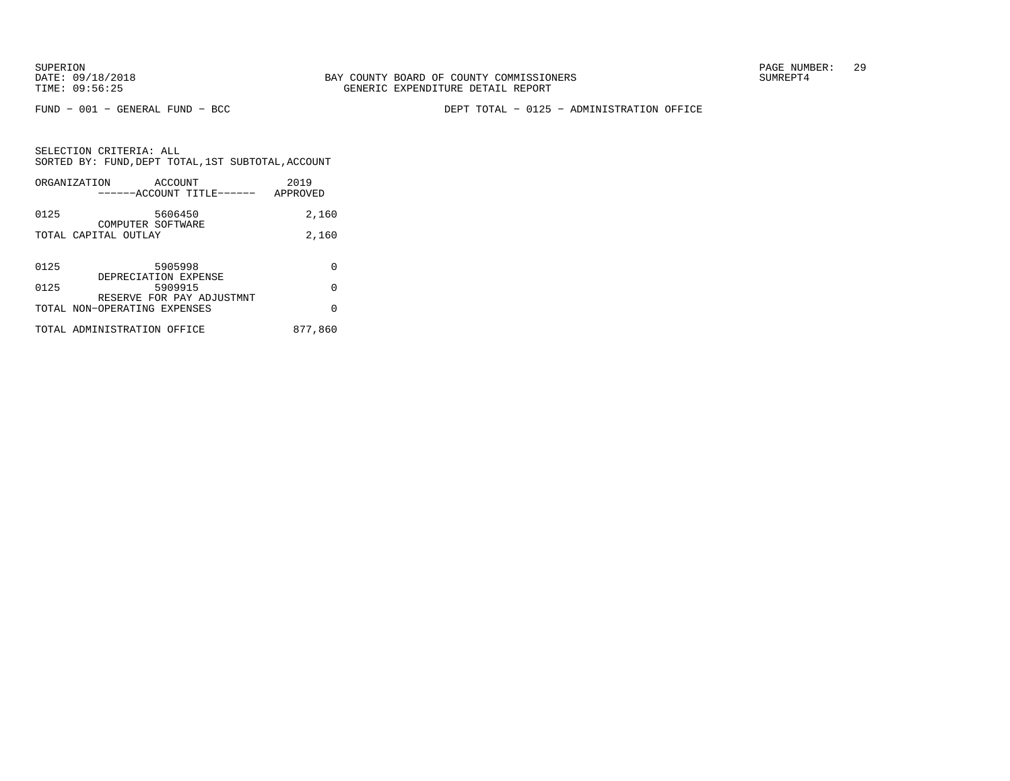FUND − 001 − GENERAL FUND − BCC DEPT TOTAL − 0125 − ADMINISTRATION OFFICE

|      | ORGANIZATION<br>ACCOUNT<br>------ACCOUNT TITLE------      | 2019<br>APPROVED |
|------|-----------------------------------------------------------|------------------|
| 0125 | 5606450<br>COMPUTER SOFTWARE                              | 2,160            |
|      | TOTAL CAPITAL OUTLAY                                      | 2,160            |
| 0125 | 5905998                                                   | U                |
| 0125 | DEPRECIATION EXPENSE<br>5909915                           | O                |
|      | RESERVE FOR PAY ADJUSTMNT<br>TOTAL NON-OPERATING EXPENSES | O                |
|      | TOTAL ADMINISTRATION OFFICE                               | 877,860          |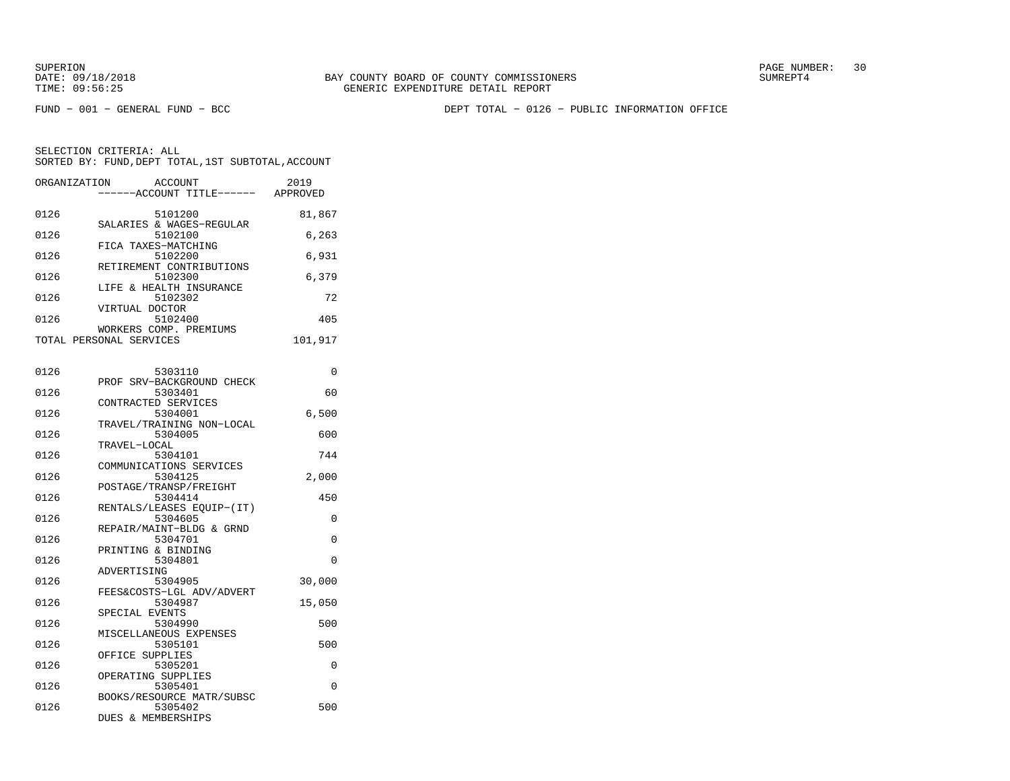FUND − 001 − GENERAL FUND − BCC DEPT TOTAL − 0126 − PUBLIC INFORMATION OFFICE

| ORGANIZATION | ACCOUNT<br>------ACCOUNT TITLE------              | 2019<br>APPROVED |
|--------------|---------------------------------------------------|------------------|
| 0126         | 5101200                                           | 81,867           |
| 0126         | SALARIES & WAGES-REGULAR<br>5102100               | 6,263            |
| 0126         | FICA TAXES-MATCHING<br>5102200                    | 6,931            |
| 0126         | RETIREMENT CONTRIBUTIONS<br>5102300               | 6,379            |
| 0126         | LIFE & HEALTH INSURANCE<br>5102302                | 72               |
| 0126         | VIRTUAL DOCTOR<br>5102400                         | 405              |
|              | WORKERS COMP. PREMIUMS<br>TOTAL PERSONAL SERVICES | 101,917          |

| 0126 | 5303110                   | 0        |
|------|---------------------------|----------|
|      | PROF SRV-BACKGROUND CHECK |          |
| 0126 | 5303401                   | 60       |
|      | CONTRACTED SERVICES       |          |
| 0126 | 5304001                   | 6.500    |
|      | TRAVEL/TRAINING NON-LOCAL |          |
| 0126 | 5304005                   | 600      |
|      | TRAVEL-LOCAL              |          |
| 0126 | 5304101                   | 744      |
|      | COMMUNICATIONS SERVICES   |          |
| 0126 | 5304125                   | 2,000    |
|      | POSTAGE/TRANSP/FREIGHT    |          |
| 0126 | 5304414                   | 450      |
|      | RENTALS/LEASES EOUIP-(IT) |          |
| 0126 | 5304605                   | $\Omega$ |
|      | REPAIR/MAINT-BLDG & GRND  |          |
| 0126 | 5304701                   | $\Omega$ |
|      | PRINTING & BINDING        |          |
| 0126 | 5304801                   | $\Omega$ |
|      | ADVERTISING               |          |
| 0126 | 5304905                   | 30,000   |
|      | FEES&COSTS-LGL ADV/ADVERT |          |
| 0126 | 5304987                   | 15,050   |
|      | SPECIAL EVENTS            |          |
| 0126 | 5304990                   | 500      |
|      | MISCELLANEOUS EXPENSES    |          |
| 0126 | 5305101                   | 500      |
|      | OFFICE SUPPLIES           |          |
| 0126 | 5305201                   | 0        |
|      | OPERATING SUPPLIES        |          |
| 0126 | 5305401                   | $\Omega$ |
|      | BOOKS/RESOURCE MATR/SUBSC |          |
| 0126 | 5305402                   | 500      |
|      | DUES & MEMBERSHIPS        |          |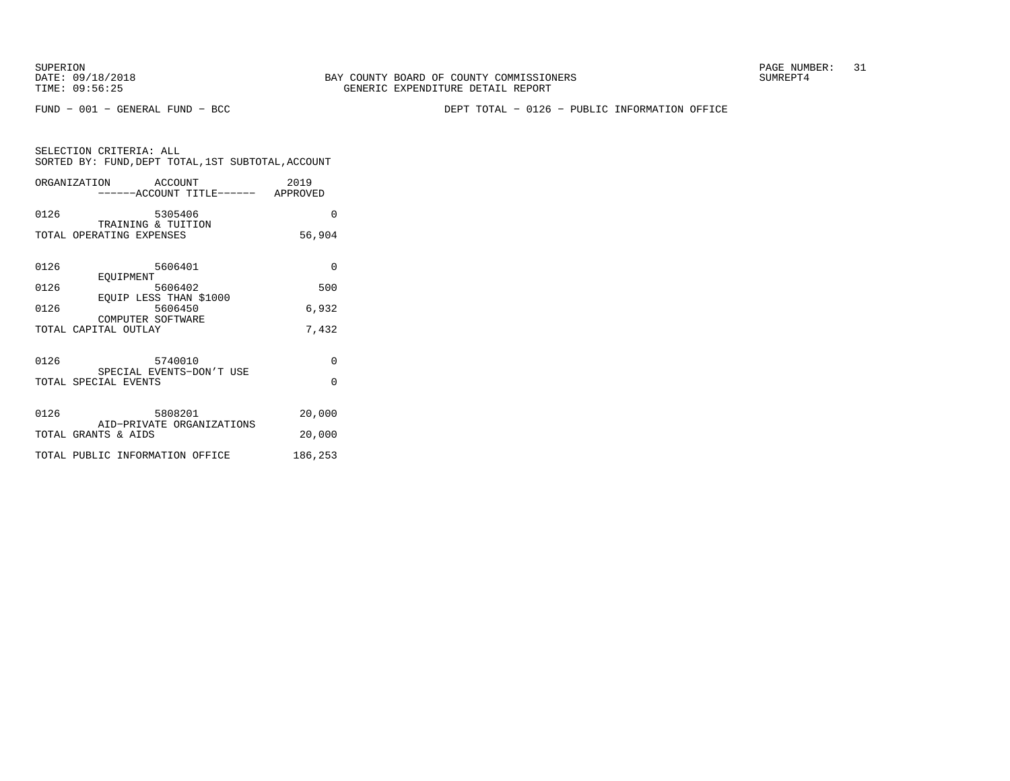SUPERION PAGE NUMBER: 31

FUND − 001 − GENERAL FUND − BCC DEPT TOTAL − 0126 − PUBLIC INFORMATION OFFICE

|      | ORGANIZATION ACCOUNT<br>-----ACCOUNT TITLE------ APPROVED | 2019     |
|------|-----------------------------------------------------------|----------|
| 0126 | 5305406<br>TRAINING & TUITION                             | $\Omega$ |
|      | TOTAL OPERATING EXPENSES                                  | 56,904   |
| 0126 | 5606401<br>EOUIPMENT                                      | $\Omega$ |
| 0126 | 5606402<br>EOUIP LESS THAN \$1000                         | 500      |
| 0126 | 5606450<br>COMPUTER SOFTWARE                              | 6,932    |
|      | TOTAL CAPITAL OUTLAY                                      | 7,432    |
| 0126 | 5740010<br>SPECIAL EVENTS-DON'T USE                       | $\Omega$ |
|      | TOTAL SPECIAL EVENTS                                      | $\Omega$ |
| 0126 | 5808201<br>AID-PRIVATE ORGANIZATIONS                      | 20,000   |
|      | TOTAL GRANTS & AIDS                                       | 20,000   |
|      | TOTAL PUBLIC INFORMATION OFFICE                           | 186,253  |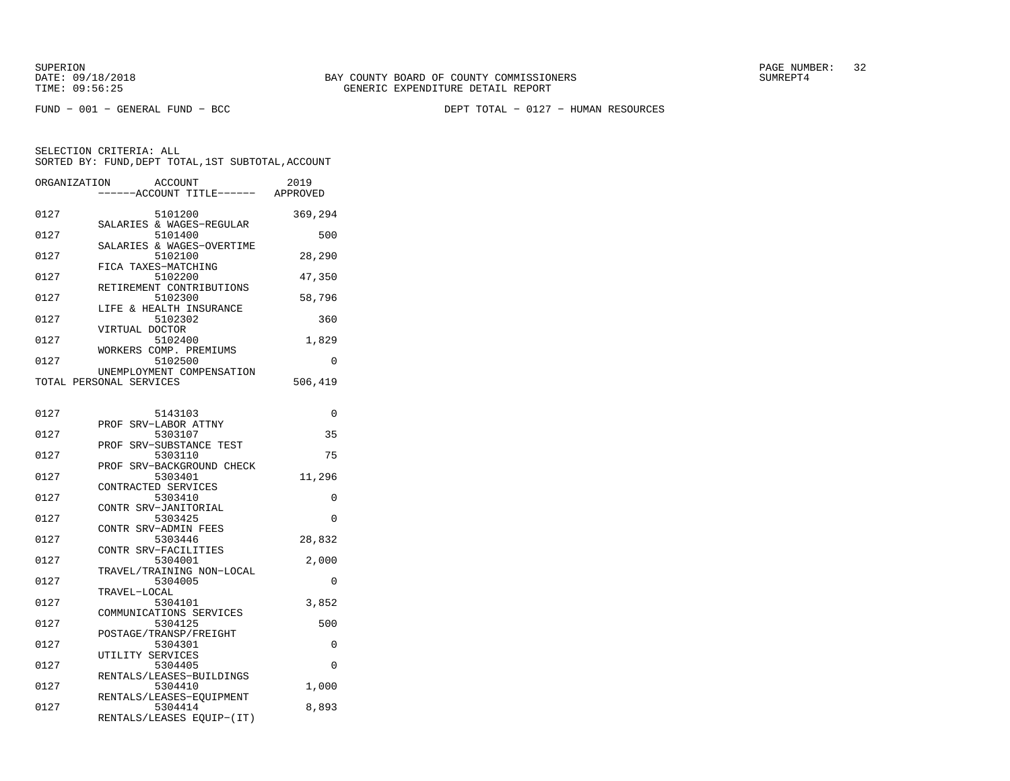FUND − 001 − GENERAL FUND − BCC DEPT TOTAL − 0127 − HUMAN RESOURCES

| ORGANIZATION | ACCOUNT<br>----ACCOUNT TITLE------ APPROVED                      | 2019     |
|--------------|------------------------------------------------------------------|----------|
| 0127         | 5101200<br>SALARIES & WAGES-REGULAR                              | 369,294  |
| 0127         | 5101400                                                          | 500      |
| 0127         | SALARIES & WAGES-OVERTIME<br>5102100                             | 28,290   |
| 0127         | FICA TAXES-MATCHING<br>5102200                                   | 47,350   |
| 0127         | RETIREMENT CONTRIBUTIONS<br>5102300                              | 58,796   |
| 0127         | LIFE & HEALTH INSURANCE<br>5102302                               | 360      |
| 0127         | VIRTUAL DOCTOR<br>5102400                                        | 1,829    |
| 0127         | WORKERS COMP. PREMIUMS<br>5102500                                | 0        |
|              | UNEMPLOYMENT COMPENSATION<br>TOTAL PERSONAL SERVICES             | 506,419  |
| 0127         | 5143103                                                          | 0        |
| 0127         | PROF SRV-LABOR ATTNY<br>5303107                                  | 35       |
|              | PROF SRV-SUBSTANCE TEST                                          | 75       |
| 0127         | 5303110<br>PROF SRV-BACKGROUND CHECK                             |          |
| 0127         | 5303401<br>CONTRACTED SERVICES                                   | 11,296   |
| 0127         | 5303410<br>CONTR SRV-JANITORIAL                                  | 0        |
| 0127         | 5303425<br>CONTR SRV-ADMIN FEES                                  | $\Omega$ |
| 0127         | 5303446<br>CONTR SRV-FACILITIES                                  | 28,832   |
| 0127         | 5304001<br>TRAVEL/TRAINING NON-LOCAL                             | 2,000    |
| 0127         | 5304005<br>TRAVEL-LOCAL                                          | 0        |
| 0127         | 5304101<br>COMMUNICATIONS SERVICES                               | 3,852    |
| 0127         | 5304125<br>POSTAGE/TRANSP/FREIGHT                                | 500      |
| 0127         | 5304301                                                          | 0        |
| 0127         | UTILITY SERVICES<br>5304405                                      | 0        |
| 0127         | RENTALS/LEASES-BUILDINGS<br>5304410                              | 1,000    |
| 0127         | RENTALS/LEASES-EQUIPMENT<br>5304414<br>RENTALS/LEASES EQUIP-(IT) | 8,893    |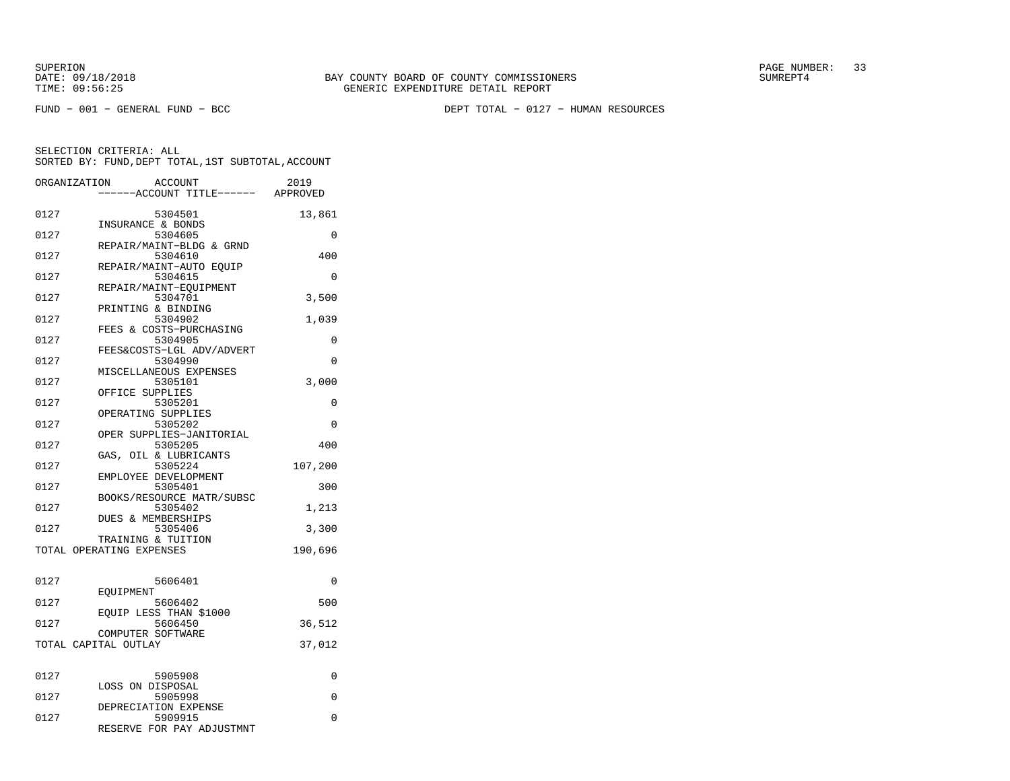FUND − 001 − GENERAL FUND − BCC DEPT TOTAL − 0127 − HUMAN RESOURCES

| ORGANIZATION         |           | ACCOUNT<br>---ACCOUNT TITLE------ APPROVED                   | 2019     |
|----------------------|-----------|--------------------------------------------------------------|----------|
| 0127                 |           | 5304501<br>INSURANCE & BONDS                                 | 13,861   |
| 0127                 |           | 5304605<br>REPAIR/MAINT-BLDG & GRND                          | $\Omega$ |
| 0127                 |           | 5304610                                                      | 400      |
| 0127                 |           | REPAIR/MAINT-AUTO EQUIP<br>5304615                           | 0        |
| 0127                 |           | REPAIR/MAINT-EOUIPMENT<br>5304701                            | 3,500    |
| 0127                 |           | PRINTING & BINDING<br>5304902                                | 1,039    |
| 0127                 |           | FEES & COSTS-PURCHASING<br>5304905                           | 0        |
| 0127                 |           | FEES&COSTS-LGL ADV/ADVERT<br>5304990                         | 0        |
| 0127                 |           | MISCELLANEOUS EXPENSES<br>5305101                            | 3,000    |
| 0127                 |           | OFFICE SUPPLIES<br>5305201                                   | 0        |
| 0127                 |           | OPERATING SUPPLIES<br>5305202                                | $\Omega$ |
| 0127                 |           | OPER SUPPLIES-JANITORIAL<br>5305205                          | 400      |
| 0127                 |           | GAS, OIL & LUBRICANTS<br>5305224                             | 107,200  |
| 0127                 |           | EMPLOYEE DEVELOPMENT<br>5305401                              | 300      |
| 0127                 |           | BOOKS/RESOURCE MATR/SUBSC<br>5305402                         | 1,213    |
| 0127                 |           | DUES & MEMBERSHIPS<br>5305406                                | 3,300    |
|                      |           | TRAINING & TUITION<br>TOTAL OPERATING EXPENSES               | 190,696  |
|                      |           |                                                              |          |
| 0127                 | EOUIPMENT | 5606401                                                      | $\Omega$ |
| 0127                 |           | 5606402<br>EOUIP LESS THAN \$1000                            | 500      |
| 0127                 |           | 5606450<br>COMPUTER SOFTWARE                                 | 36,512   |
| TOTAL CAPITAL OUTLAY |           |                                                              | 37,012   |
| 0127                 |           | 5905908                                                      | 0        |
| 0127                 |           | LOSS ON DISPOSAL<br>5905998                                  | 0        |
| 0127                 |           | DEPRECIATION EXPENSE<br>5909915<br>RESERVE FOR PAY ADJUSTMNT | $\Omega$ |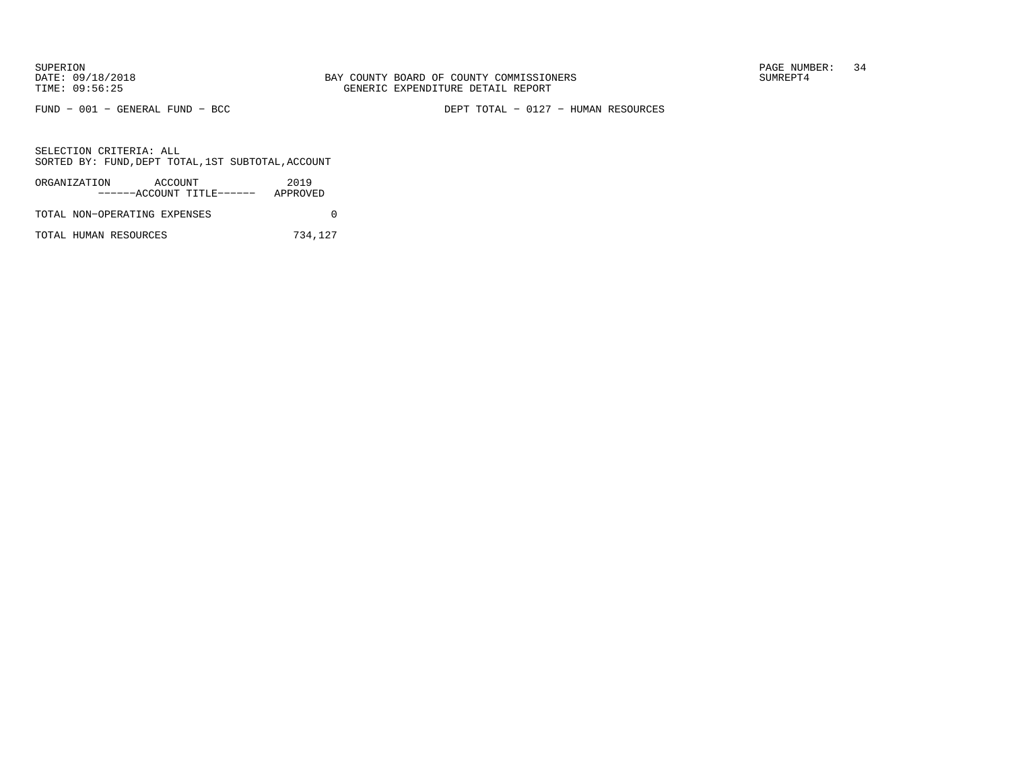FUND − 001 − GENERAL FUND − BCC DEPT TOTAL − 0127 − HUMAN RESOURCES

SELECTION CRITERIA: ALLSORTED BY: FUND,DEPT TOTAL,1ST SUBTOTAL,ACCOUNT

| ORGANIZATION                 | ACCOUNT |                           | 2019     |  |
|------------------------------|---------|---------------------------|----------|--|
|                              |         | ------ACCOUNT TITLE------ | APPROVED |  |
| TOTAL NON-OPERATING EXPENSES |         |                           |          |  |

TOTAL HUMAN RESOURCES 734,127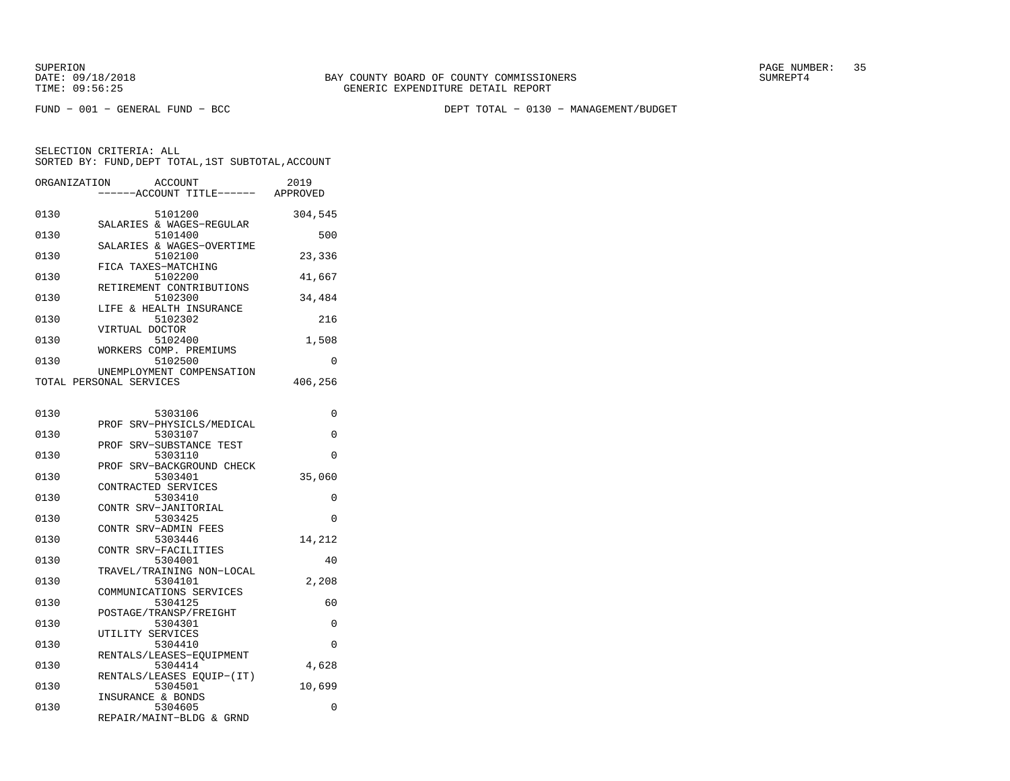FUND − 001 − GENERAL FUND − BCC DEPT TOTAL − 0130 − MANAGEMENT/BUDGET

| ORGANIZATION | ACCOUNT<br>-----ACCOUNT TITLE------ APPROVED             | 2019     |
|--------------|----------------------------------------------------------|----------|
| 0130         | 5101200                                                  | 304,545  |
| 0130         | SALARIES & WAGES-REGULAR<br>5101400                      | 500      |
| 0130         | SALARIES & WAGES-OVERTIME<br>5102100                     | 23,336   |
| 0130         | FICA TAXES-MATCHING<br>5102200                           | 41,667   |
| 0130         | RETIREMENT CONTRIBUTIONS<br>5102300                      | 34,484   |
| 0130         | LIFE & HEALTH INSURANCE<br>5102302                       | 216      |
| 0130         | VIRTUAL DOCTOR<br>5102400                                | 1,508    |
| 0130         | WORKERS COMP. PREMIUMS<br>5102500                        | 0        |
|              | UNEMPLOYMENT COMPENSATION<br>TOTAL PERSONAL SERVICES     | 406,256  |
|              |                                                          |          |
| 0130         | 5303106                                                  | $\Omega$ |
| 0130         | PROF SRV-PHYSICLS/MEDICAL<br>5303107                     | $\Omega$ |
| 0130         | SRV-SUBSTANCE TEST<br>PROF<br>5303110                    | $\Omega$ |
| 0130         | SRV-BACKGROUND CHECK<br>PROF<br>5303401                  | 35,060   |
| 0130         | CONTRACTED SERVICES<br>5303410                           | $\Omega$ |
| 0130         | CONTR SRV-JANITORIAL<br>5303425                          | 0        |
| 0130         | CONTR SRV-ADMIN FEES<br>5303446                          |          |
|              | CONTR SRV-FACILITIES                                     | 14,212   |
| 0130         | 5304001<br>TRAVEL/TRAINING NON-LOCAL                     | 40       |
| 0130         | 5304101<br>COMMUNICATIONS SERVICES                       | 2,208    |
| 0130         | 5304125<br>POSTAGE/TRANSP/FREIGHT                        | 60       |
| 0130         | 5304301<br>UTILITY SERVICES                              | 0        |
| 0130         | 5304410<br>RENTALS/LEASES-EQUIPMENT                      | $\Omega$ |
| 0130         | 5304414                                                  | 4,628    |
| 0130         | RENTALS/LEASES EQUIP-(IT)<br>5304501                     | 10,699   |
| 0130         | INSURANCE & BONDS<br>5304605<br>REPAIR/MAINT-BLDG & GRND | 0        |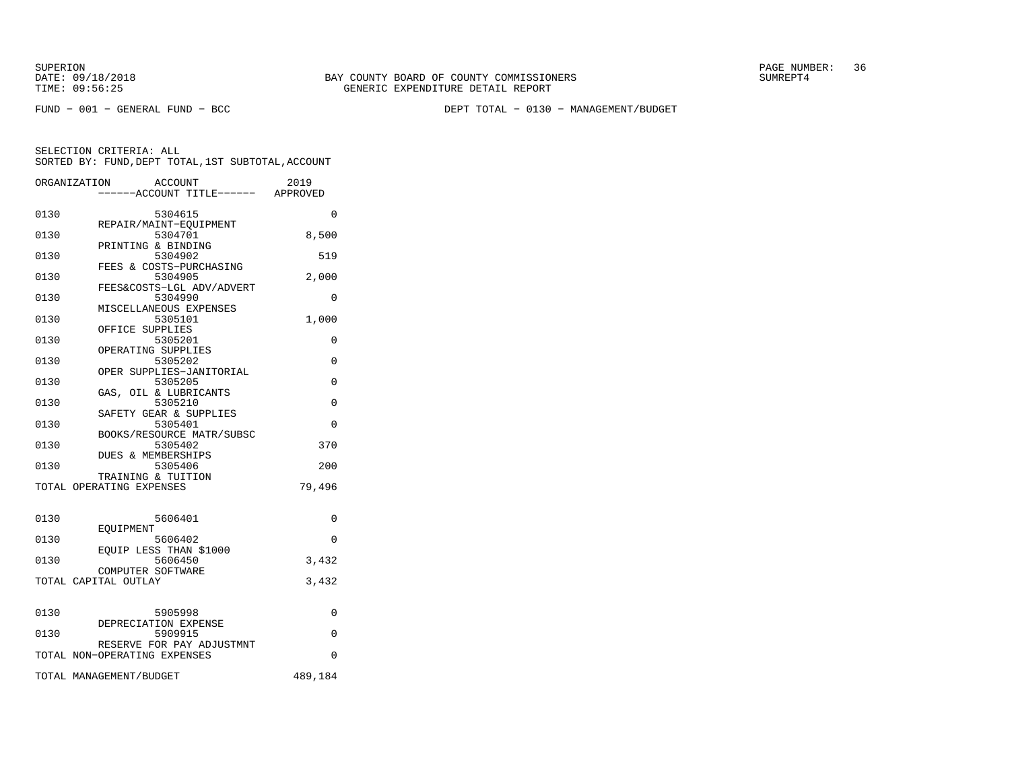FUND − 001 − GENERAL FUND − BCC DEPT TOTAL − 0130 − MANAGEMENT/BUDGET

|      | ORGANIZATION<br>ACCOUNT<br>-----ACCOUNT TITLE------ APPROVED | 2019     |
|------|--------------------------------------------------------------|----------|
| 0130 | 5304615                                                      | $\Omega$ |
| 0130 | REPAIR/MAINT-EOUIPMENT<br>5304701                            | 8,500    |
| 0130 | PRINTING & BINDING<br>5304902<br>FEES & COSTS-PURCHASING     | 519      |
| 0130 | 5304905<br>FEES&COSTS-LGL ADV/ADVERT                         | 2,000    |
| 0130 | 5304990<br>MISCELLANEOUS EXPENSES                            | 0        |
| 0130 | 5305101<br>OFFICE SUPPLIES                                   | 1,000    |
| 0130 | 5305201<br>OPERATING SUPPLIES                                | 0        |
| 0130 | 5305202<br>OPER SUPPLIES-JANITORIAL                          | $\Omega$ |
| 0130 | 5305205<br>GAS, OIL & LUBRICANTS                             | $\Omega$ |
| 0130 | 5305210<br>SAFETY GEAR & SUPPLIES                            | $\Omega$ |
| 0130 | 5305401<br>BOOKS/RESOURCE MATR/SUBSC                         | $\Omega$ |
| 0130 | 5305402<br><b>DUES &amp; MEMBERSHIPS</b>                     | 370      |
| 0130 | 5305406<br>TRAINING & TUITION                                | 200      |
|      | TOTAL OPERATING EXPENSES                                     | 79,496   |
| 0130 | 5606401                                                      | $\Omega$ |
| 0130 | EOUIPMENT<br>5606402                                         | $\Omega$ |
| 0130 | EQUIP LESS THAN \$1000<br>5606450<br>COMPUTER SOFTWARE       | 3,432    |
|      | TOTAL CAPITAL OUTLAY                                         | 3,432    |
| 0130 | 5905998                                                      | 0        |
| 0130 | DEPRECIATION EXPENSE<br>5909915                              | 0        |
|      | RESERVE FOR PAY ADJUSTMNT<br>TOTAL NON-OPERATING EXPENSES    | $\Omega$ |
|      | TOTAL MANAGEMENT/BUDGET                                      | 489,184  |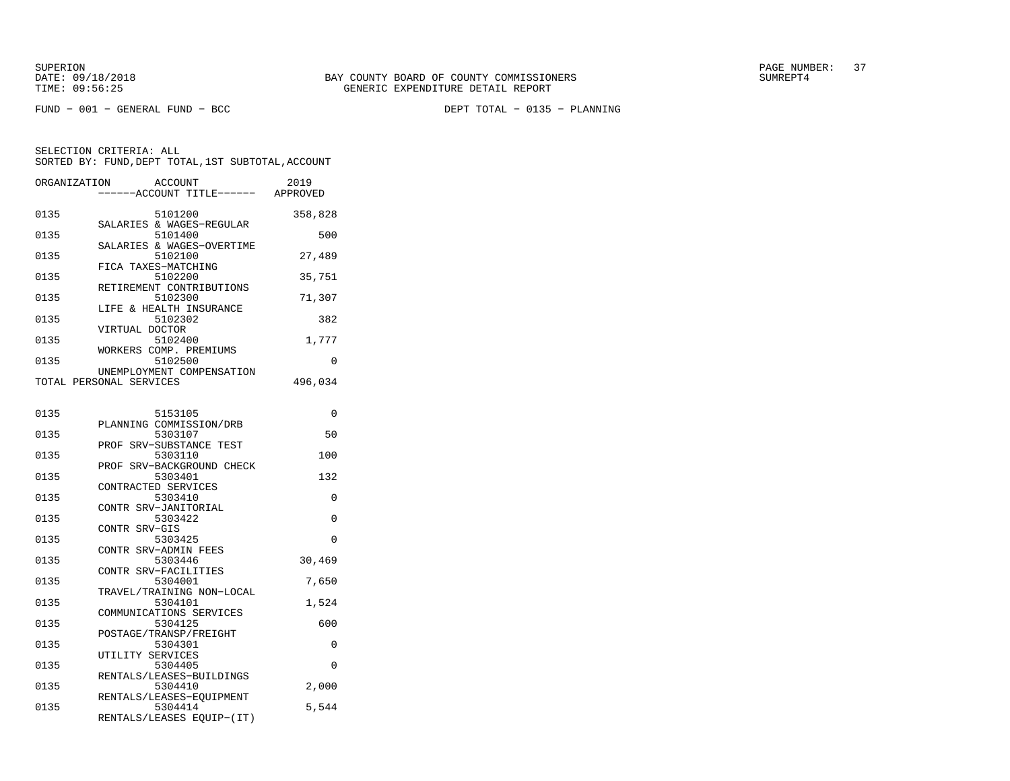FUND − 001 − GENERAL FUND − BCC DEPT TOTAL − 0135 − PLANNING

| ORGANIZATION            |                  | <b>ACCOUNT</b><br>---ACCOUNT TITLE------ APPROVED | 2019     |
|-------------------------|------------------|---------------------------------------------------|----------|
| 0135                    |                  | 5101200<br>SALARIES & WAGES-REGULAR               | 358,828  |
| 0135                    |                  | 5101400                                           | 500      |
| 0135                    |                  | SALARIES & WAGES-OVERTIME<br>5102100              | 27,489   |
| 0135                    |                  | FICA TAXES-MATCHING<br>5102200                    | 35,751   |
| 0135                    |                  | RETIREMENT CONTRIBUTIONS<br>5102300               | 71,307   |
| 0135                    |                  | LIFE & HEALTH INSURANCE<br>5102302                | 382      |
| 0135                    | VIRTUAL DOCTOR   | 5102400                                           | 1,777    |
| 0135                    |                  | WORKERS COMP. PREMIUMS<br>5102500                 | $\Omega$ |
| TOTAL PERSONAL SERVICES |                  | UNEMPLOYMENT COMPENSATION                         | 496,034  |
|                         |                  |                                                   |          |
| 0135                    |                  | 5153105<br>PLANNING COMMISSION/DRB                | $\Omega$ |
| 0135                    |                  | 5303107<br>PROF SRV-SUBSTANCE TEST                | 50       |
| 0135                    |                  | 5303110<br>PROF SRV-BACKGROUND CHECK              | 100      |
| 0135                    |                  | 5303401<br>CONTRACTED SERVICES                    | 132      |
| 0135                    |                  | 5303410<br>CONTR SRV-JANITORIAL                   | 0        |
| 0135                    | CONTR SRV-GIS    | 5303422                                           | $\Omega$ |
| 0135                    |                  | 5303425<br>CONTR SRV-ADMIN FEES                   | 0        |
| 0135                    |                  | 5303446                                           | 30,469   |
| 0135                    |                  | CONTR SRV-FACILITIES<br>5304001                   | 7,650    |
| 0135                    |                  | TRAVEL/TRAINING NON-LOCAL<br>5304101              | 1,524    |
| 0135                    |                  | COMMUNICATIONS SERVICES<br>5304125                | 600      |
| 0135                    |                  | POSTAGE/TRANSP/FREIGHT<br>5304301                 | $\Omega$ |
| 0135                    | UTILITY SERVICES | 5304405                                           | 0        |
| 0135                    |                  | RENTALS/LEASES-BUILDINGS<br>5304410               | 2,000    |
| 0135                    |                  | RENTALS/LEASES-EQUIPMENT<br>5304414               | 5,544    |
|                         |                  | RENTALS/LEASES EQUIP-(IT)                         |          |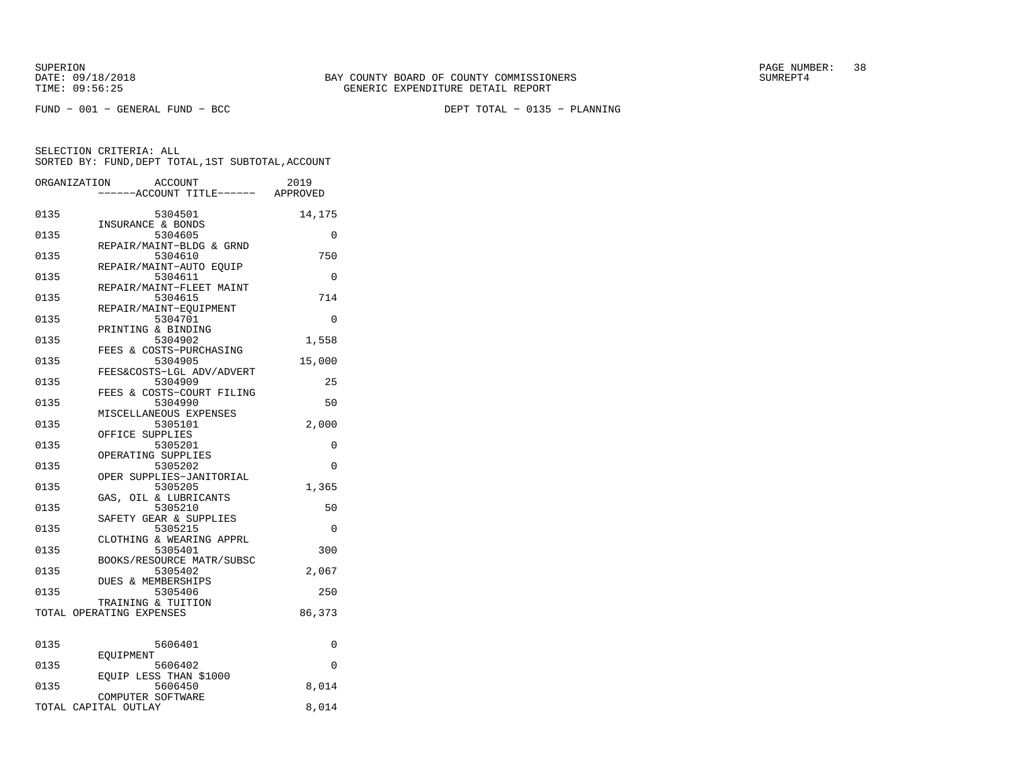FUND − 001 − GENERAL FUND − BCC DEPT TOTAL − 0135 − PLANNING

| ORGANIZATION |                          | <b>ACCOUNT</b><br>----ACCOUNT TITLE------ APPROVED | 2019     |
|--------------|--------------------------|----------------------------------------------------|----------|
| 0135         |                          | 5304501<br>INSURANCE & BONDS                       | 14,175   |
| 0135         |                          | 5304605                                            | 0        |
| 0135         |                          | REPAIR/MAINT-BLDG & GRND<br>5304610                | 750      |
| 0135         |                          | REPAIR/MAINT-AUTO EQUIP<br>5304611                 | $\Omega$ |
| 0135         |                          | REPAIR/MAINT-FLEET MAINT<br>5304615                | 714      |
| 0135         |                          | REPAIR/MAINT-EQUIPMENT<br>5304701                  | $\Omega$ |
| 0135         |                          | PRINTING & BINDING<br>5304902                      | 1,558    |
| 0135         |                          | FEES & COSTS-PURCHASING<br>5304905                 | 15,000   |
| 0135         |                          | FEES&COSTS-LGL ADV/ADVERT<br>5304909               | 25       |
| 0135         |                          | FEES & COSTS-COURT FILING<br>5304990               | 50       |
| 0135         |                          | MISCELLANEOUS EXPENSES<br>5305101                  | 2,000    |
| 0135         |                          | OFFICE SUPPLIES<br>5305201                         | 0        |
| 0135         |                          | OPERATING SUPPLIES<br>5305202                      | 0        |
| 0135         |                          | OPER SUPPLIES-JANITORIAL<br>5305205                | 1,365    |
| 0135         |                          | GAS, OIL & LUBRICANTS<br>5305210                   | 50       |
| 0135         |                          | SAFETY GEAR & SUPPLIES<br>5305215                  | 0        |
| 0135         |                          | CLOTHING & WEARING APPRL<br>5305401                | 300      |
| 0135         |                          | BOOKS/RESOURCE MATR/SUBSC<br>5305402               | 2,067    |
| 0135         |                          | DUES & MEMBERSHIPS<br>5305406                      | 250      |
|              | TOTAL OPERATING EXPENSES | TRAINING & TUITION                                 | 86,373   |
|              |                          |                                                    |          |
| 0135         | EOUIPMENT                | 5606401                                            | 0        |
| 0135         |                          | 5606402<br>EQUIP LESS THAN \$1000                  | $\Omega$ |
| 0135         |                          | 5606450<br>COMPUTER SOFTWARE                       | 8,014    |
|              | TOTAL CAPITAL OUTLAY     |                                                    | 8,014    |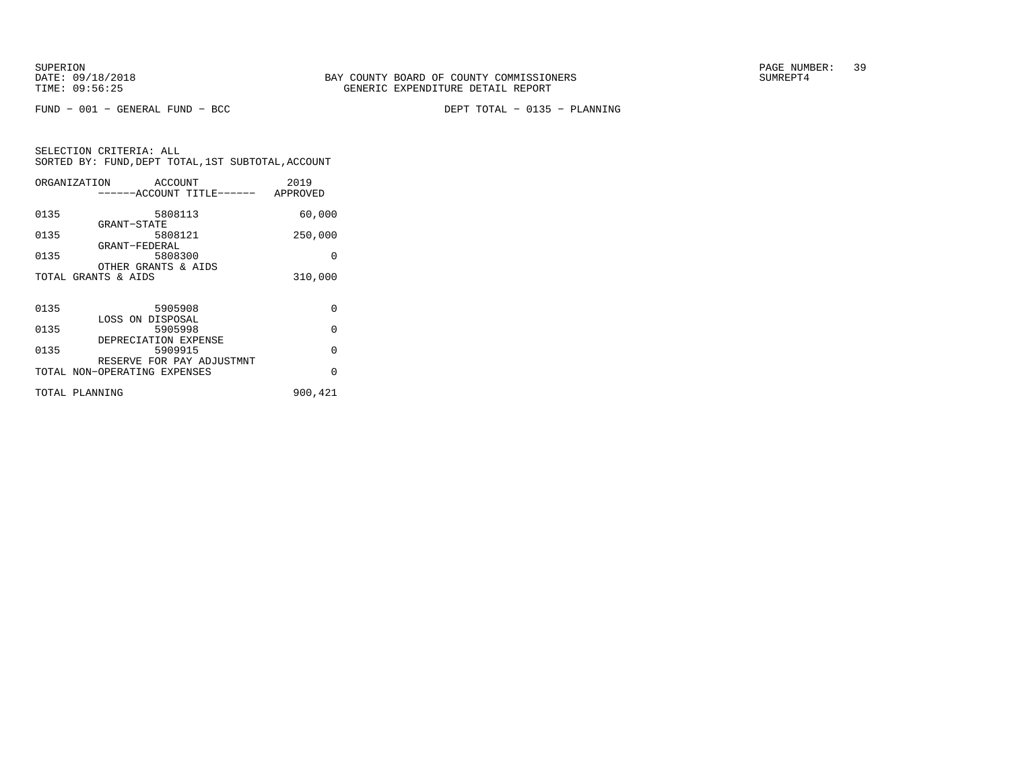FUND − 001 − GENERAL FUND − BCC DEPT TOTAL − 0135 − PLANNING

|                | ORGANIZATION ACCOUNT                                      | 2019     |
|----------------|-----------------------------------------------------------|----------|
|                | ------ACCOUNT TITLE------ APPROVED                        |          |
| 0135           | 5808113                                                   | 60,000   |
| 0135           | GRANT-STATE<br>5808121                                    | 250,000  |
| 0135           | GRANT-FEDERAL<br>5808300                                  | O        |
|                | OTHER GRANTS & AIDS<br>TOTAL GRANTS & AIDS                | 310,000  |
|                |                                                           |          |
| 0135           | 5905908                                                   | $\Omega$ |
| 0135           | LOSS ON DISPOSAL<br>5905998                               | $\Omega$ |
| 0135           | DEPRECIATION EXPENSE<br>5909915                           | $\Omega$ |
|                | RESERVE FOR PAY ADJUSTMNT<br>TOTAL NON-OPERATING EXPENSES | $\Omega$ |
|                |                                                           |          |
| TOTAL PLANNING |                                                           | 900,421  |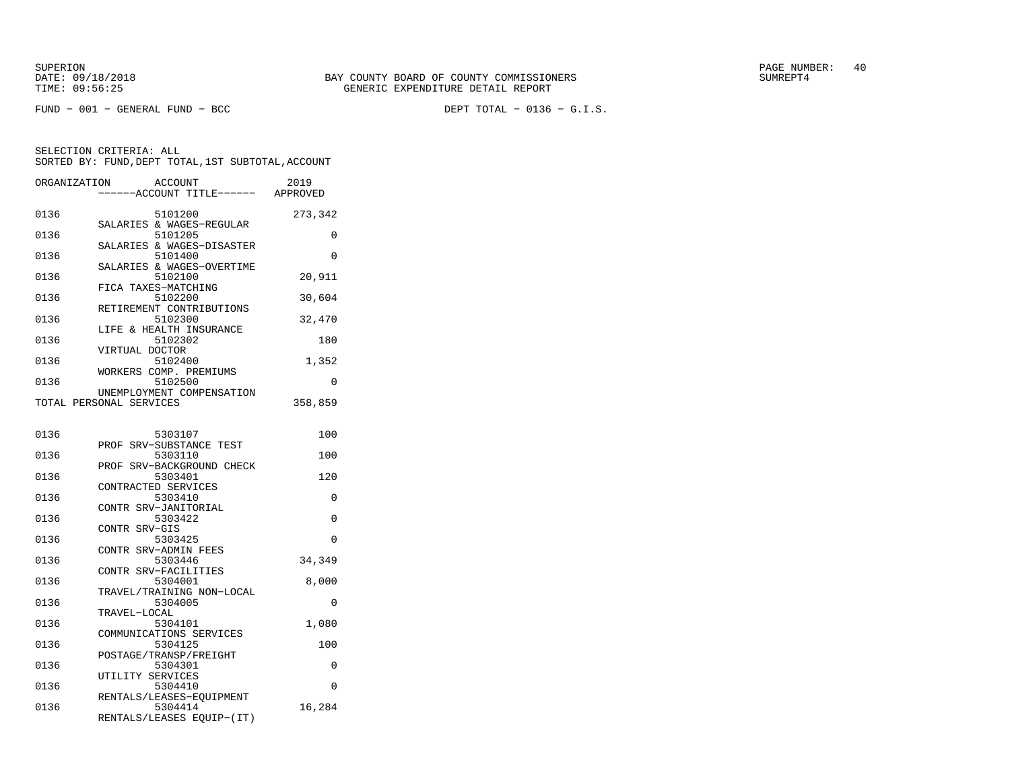FUND − 001 − GENERAL FUND − BCC DEPT TOTAL − 0136 − G.I.S.

| ORGANIZATION | ACCOUNT<br>----ACCOUNT TITLE------ APPROVED          | 2019     |
|--------------|------------------------------------------------------|----------|
| 0136         | 5101200<br>SALARIES & WAGES-REGULAR                  | 273,342  |
| 0136         | 5101205                                              | $\Omega$ |
| 0136         | SALARIES & WAGES-DISASTER<br>5101400                 | 0        |
| 0136         | SALARIES & WAGES-OVERTIME<br>5102100                 | 20,911   |
| 0136         | FICA TAXES-MATCHING<br>5102200                       | 30,604   |
| 0136         | RETIREMENT CONTRIBUTIONS<br>5102300                  | 32,470   |
| 0136         | LIFE & HEALTH INSURANCE<br>5102302                   | 180      |
| 0136         | VIRTUAL DOCTOR<br>5102400                            | 1,352    |
| 0136         | WORKERS COMP. PREMIUMS<br>5102500                    | $\Omega$ |
|              | UNEMPLOYMENT COMPENSATION<br>TOTAL PERSONAL SERVICES | 358,859  |
| 0136         | 5303107                                              | 100      |
| 0136         | PROF SRV-SUBSTANCE TEST<br>5303110                   | 100      |
| 0136         | PROF SRV-BACKGROUND CHECK<br>5303401                 | 120      |
| 0136         | CONTRACTED SERVICES<br>5303410                       | $\Omega$ |
| 0136         | CONTR SRV-JANITORIAL<br>5303422                      | $\Omega$ |
| 0136         | CONTR SRV-GIS<br>5303425                             | $\Omega$ |
| 0136         | CONTR SRV-ADMIN FEES<br>5303446                      | 34,349   |
| 0136         | CONTR SRV-FACILITIES<br>5304001                      | 8,000    |
| 0136         | TRAVEL/TRAINING NON-LOCAL<br>5304005                 | $\Omega$ |
| 0136         | TRAVEL-LOCAL<br>5304101                              | 1,080    |
| 0136         | COMMUNICATIONS SERVICES<br>5304125                   | 100      |
| 0136         | POSTAGE/TRANSP/FREIGHT<br>5304301                    | 0        |
| 0136         | UTILITY SERVICES<br>5304410                          | $\Omega$ |
| 0136         | RENTALS/LEASES-EQUIPMENT<br>5304414                  | 16,284   |
|              | RENTALS/LEASES EQUIP-(IT)                            |          |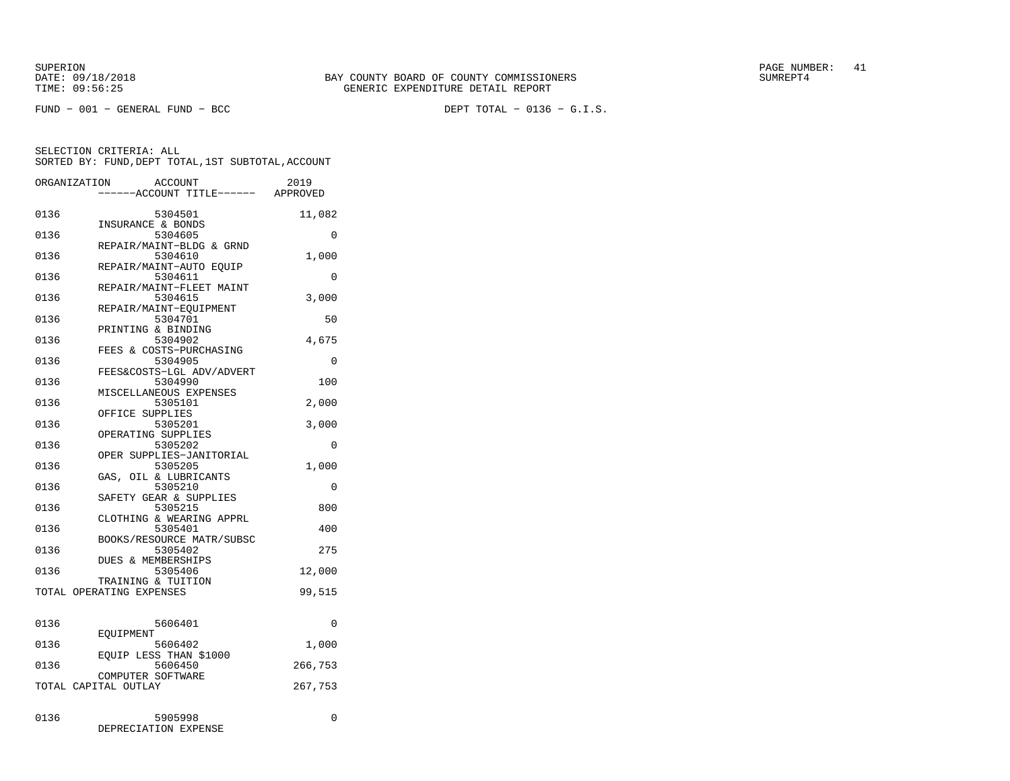FUND − 001 − GENERAL FUND − BCC DEPT TOTAL − 0136 − G.I.S.

|      | ORGANIZATION<br>ACCOUNT<br>---ACCOUNT TITLE------ APPROVED | 2019     |
|------|------------------------------------------------------------|----------|
| 0136 | 5304501<br>INSURANCE & BONDS                               | 11,082   |
| 0136 | 5304605<br>REPAIR/MAINT-BLDG & GRND                        | 0        |
| 0136 | 5304610<br>REPAIR/MAINT-AUTO EOUIP                         | 1,000    |
| 0136 | 5304611<br>REPAIR/MAINT-FLEET MAINT                        | 0        |
| 0136 | 5304615<br>REPAIR/MAINT-EOUIPMENT                          | 3,000    |
| 0136 | 5304701<br>PRINTING & BINDING                              | 50       |
| 0136 | 5304902<br>FEES & COSTS-PURCHASING                         | 4,675    |
| 0136 | 5304905<br>FEES&COSTS-LGL ADV/ADVERT                       | 0        |
| 0136 | 5304990<br>MISCELLANEOUS EXPENSES                          | 100      |
| 0136 | 5305101<br>OFFICE SUPPLIES                                 | 2,000    |
| 0136 | 5305201<br>OPERATING SUPPLIES                              | 3,000    |
| 0136 | 5305202<br>OPER SUPPLIES-JANITORIAL                        | 0        |
| 0136 | 5305205<br>GAS, OIL & LUBRICANTS                           | 1,000    |
| 0136 | 5305210<br>SAFETY GEAR & SUPPLIES                          | 0        |
| 0136 | 5305215<br>CLOTHING & WEARING APPRL                        | 800      |
| 0136 | 5305401<br>BOOKS/RESOURCE MATR/SUBSC                       | 400      |
| 0136 | 5305402<br><b>DUES &amp; MEMBERSHIPS</b>                   | 275      |
| 0136 | 5305406<br>TRAINING & TUITION                              | 12,000   |
|      | TOTAL OPERATING EXPENSES                                   | 99,515   |
| 0136 | 5606401                                                    | $\Omega$ |
| 0136 | EOUIPMENT<br>5606402                                       | 1,000    |
| 0136 | EQUIP LESS THAN \$1000<br>5606450                          | 266,753  |
|      | COMPUTER SOFTWARE<br>TOTAL CAPITAL OUTLAY                  | 267,753  |
| 0136 | 5905998<br>DEPRECIATION EXPENSE                            | 0        |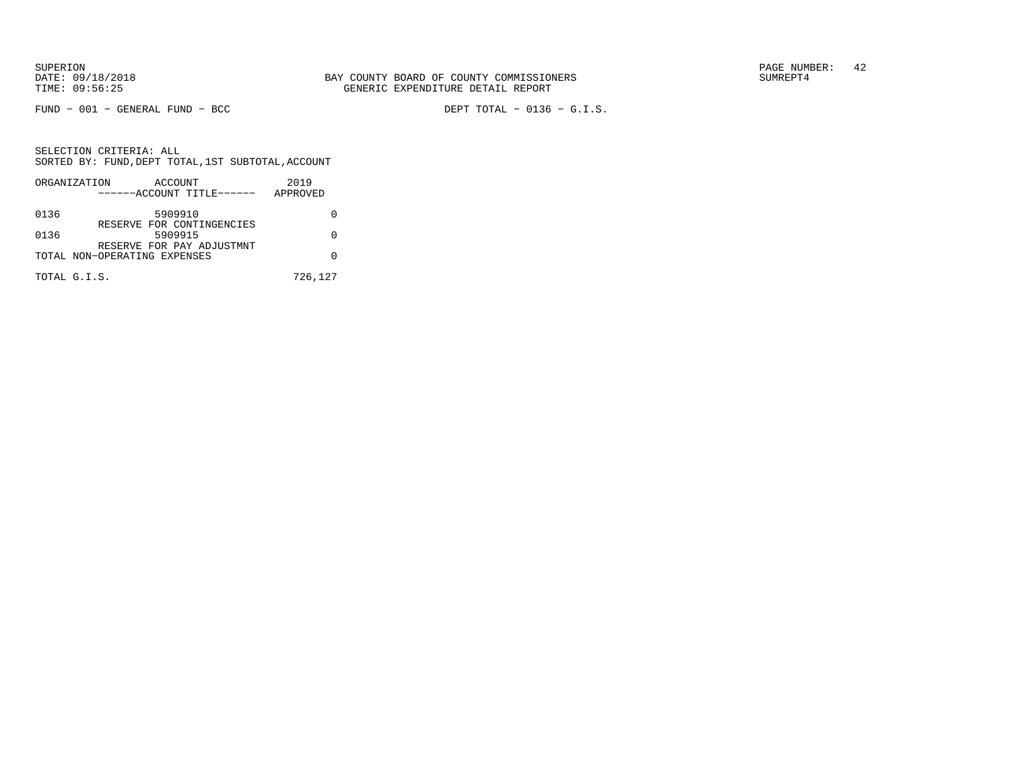FUND − 001 − GENERAL FUND − BCC DEPT TOTAL − 0136 − G.I.S.

SELECTION CRITERIA: ALL SORTED BY: FUND,DEPT TOTAL,1ST SUBTOTAL,ACCOUNTORGANIZATION ACCOUNT 2019

|      | ORGANIZATION<br>ACCOUNT<br>------ACCOUNT TITLE------      | 2019<br>APPROVED |
|------|-----------------------------------------------------------|------------------|
| 0136 | 5909910                                                   |                  |
| 0136 | RESERVE FOR CONTINGENCIES<br>5909915                      |                  |
|      | RESERVE FOR PAY ADJUSTMNT<br>TOTAL NON-OPERATING EXPENSES |                  |
|      | TOTAL G.I.S.                                              | 726,127          |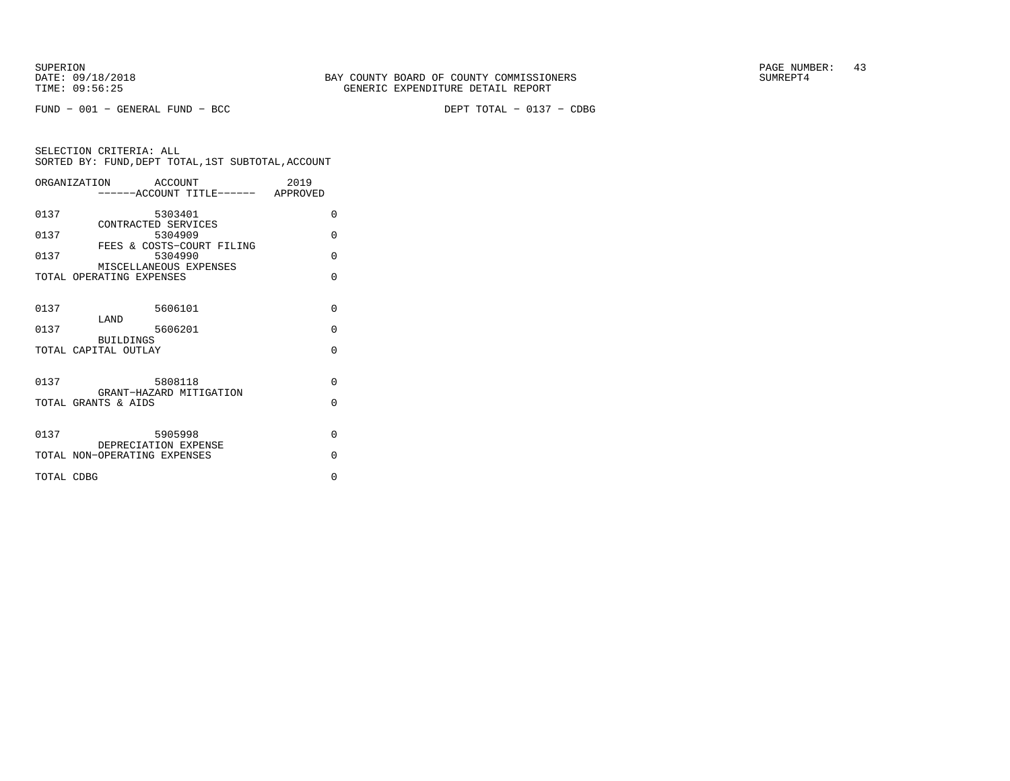FUND − 001 − GENERAL FUND − BCC DEPT TOTAL − 0137 − CDBG

|            | ORGANIZATION ACCOUNT<br>----ACCOUNT TITLE------ APPROVED | 2019     |
|------------|----------------------------------------------------------|----------|
| 0137       | 5303401<br>CONTRACTED SERVICES                           | $\Omega$ |
| 0137       | 5304909<br>FEES & COSTS-COURT FILING                     | $\Omega$ |
| 0137       | 5304990<br>MISCELLANEOUS EXPENSES                        | $\Omega$ |
|            | TOTAL OPERATING EXPENSES                                 | $\Omega$ |
| 0137       | 5606101                                                  | $\Omega$ |
| 0137       | LAND<br>5606201                                          | $\Omega$ |
|            | <b>BUILDINGS</b><br>TOTAL CAPITAL OUTLAY                 | $\Omega$ |
| 0137       | 5808118<br>GRANT-HAZARD MITIGATION                       | $\Omega$ |
|            | TOTAL GRANTS & AIDS                                      | $\Omega$ |
| 0137       | 5905998                                                  | $\Omega$ |
|            | DEPRECIATION EXPENSE<br>TOTAL NON-OPERATING EXPENSES     | $\Omega$ |
| TOTAL CDBG |                                                          | $\Omega$ |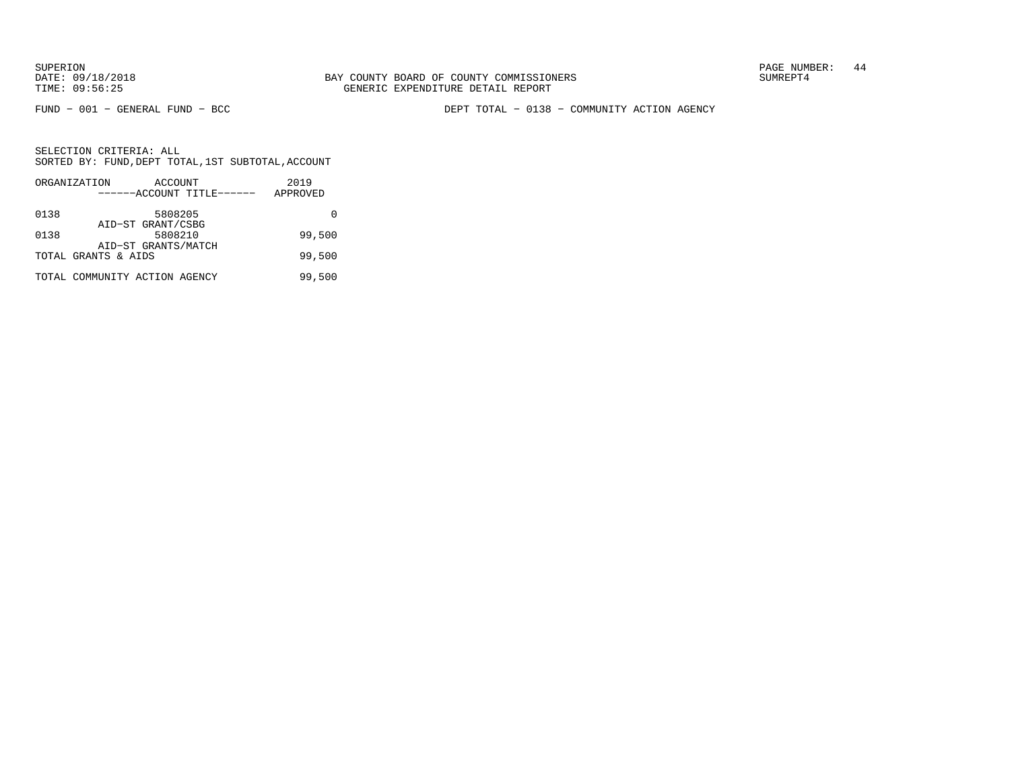FUND − 001 − GENERAL FUND − BCC DEPT TOTAL − 0138 − COMMUNITY ACTION AGENCY

|      | ORGANIZATION                  | ACCOUNT             |                           | 2019     |
|------|-------------------------------|---------------------|---------------------------|----------|
|      |                               |                     | ------ACCOUNT TITLE------ | APPROVED |
| 0138 |                               | 5808205             |                           |          |
|      |                               | AID-ST GRANT/CSBG   |                           |          |
| 0138 |                               | 5808210             |                           | 99,500   |
|      |                               | AID-ST GRANTS/MATCH |                           |          |
|      | TOTAL GRANTS & AIDS           |                     |                           | 99,500   |
|      | TOTAL COMMUNITY ACTION AGENCY |                     |                           | 99,500   |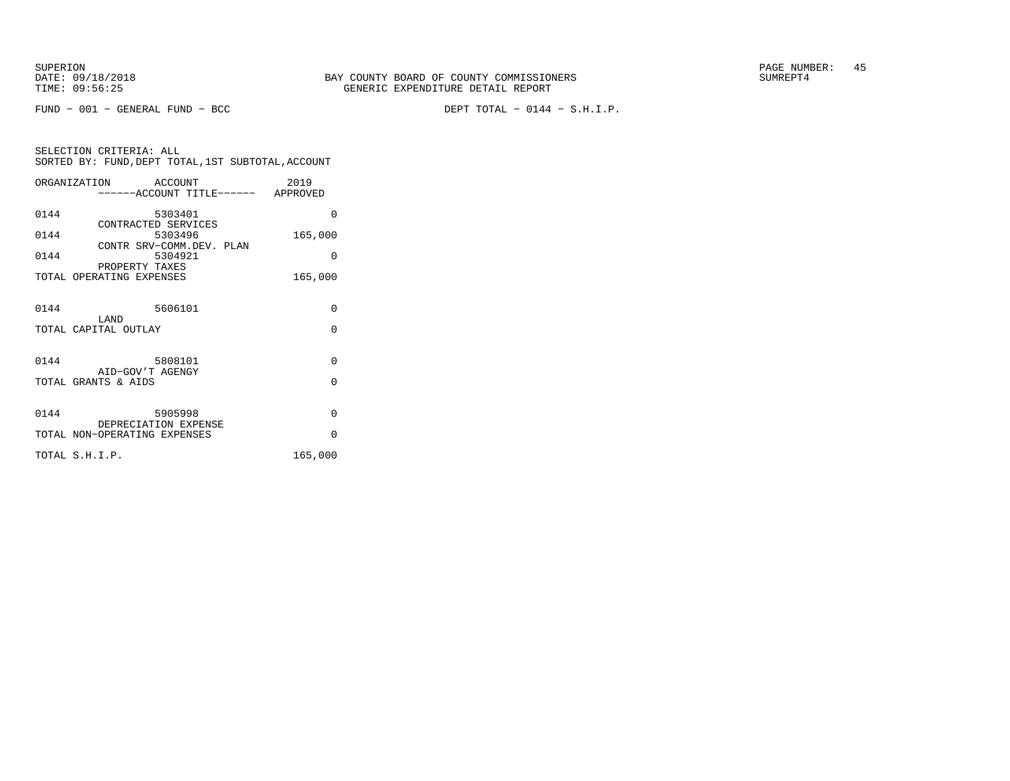FUND − 001 − GENERAL FUND − BCC DEPT TOTAL − 0144 − S.H.I.P.

|      | ORGANIZATION                               | ACCOUNT |  | 2019                              |
|------|--------------------------------------------|---------|--|-----------------------------------|
|      |                                            |         |  | -----ACCOUNT TITLE------ APPROVED |
| 0144 |                                            | 5303401 |  | $\Omega$                          |
| 0144 | CONTRACTED SERVICES                        | 5303496 |  | 165,000                           |
|      | CONTR SRV-COMM.DEV. PLAN                   |         |  |                                   |
| 0144 |                                            | 5304921 |  | $\Omega$                          |
|      | PROPERTY TAXES<br>TOTAL OPERATING EXPENSES |         |  | 165,000                           |
|      |                                            |         |  |                                   |
|      |                                            |         |  |                                   |
| 0144 | T.AND                                      | 5606101 |  | $\Omega$                          |
|      | TOTAL CAPITAL OUTLAY                       |         |  | $\Omega$                          |
|      |                                            |         |  |                                   |
| 0144 |                                            | 5808101 |  | $\Omega$                          |
|      | AID-GOV'T AGENGY                           |         |  |                                   |
|      | TOTAL GRANTS & AIDS                        |         |  | $\Omega$                          |
|      |                                            |         |  |                                   |
| 0144 |                                            | 5905998 |  | $\Omega$                          |
|      | DEPRECIATION EXPENSE                       |         |  | $\Omega$                          |
|      | TOTAL NON-OPERATING EXPENSES               |         |  |                                   |
|      | TOTAL S.H.I.P.                             |         |  | 165,000                           |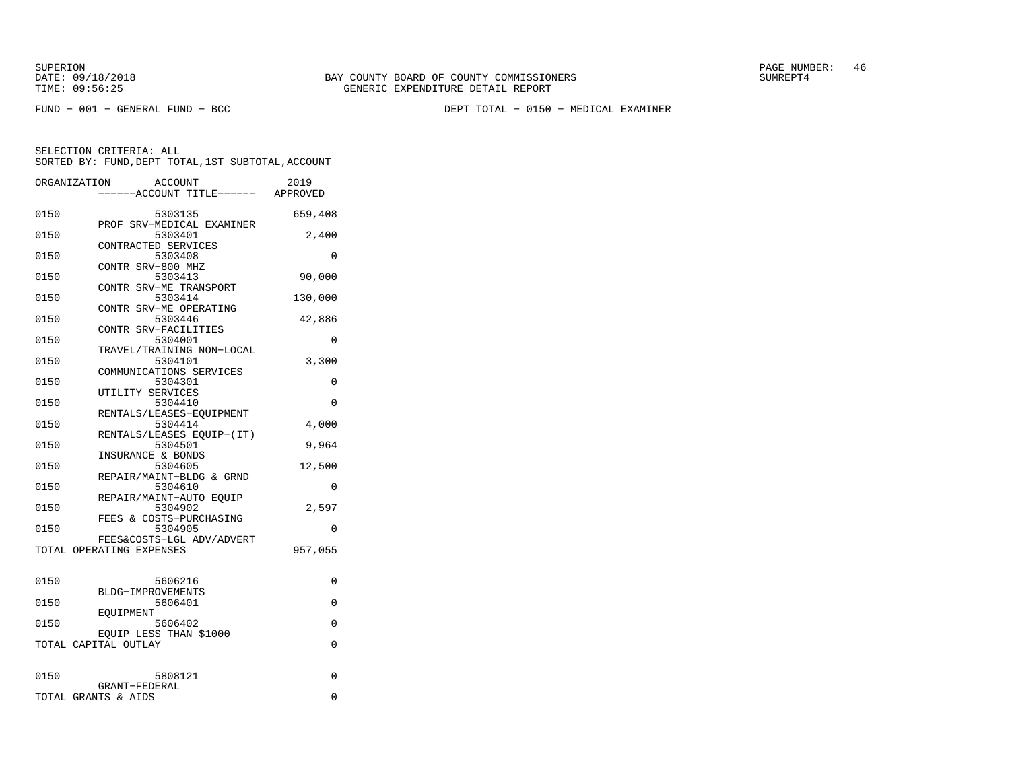FUND − 001 − GENERAL FUND − BCC DEPT TOTAL − 0150 − MEDICAL EXAMINER

|      | ORGANIZATION<br>ACCOUNT<br>-----ACCOUNT TITLE------ APPROVED    | 2019     |
|------|-----------------------------------------------------------------|----------|
| 0150 | 5303135                                                         | 659,408  |
| 0150 | PROF SRV-MEDICAL EXAMINER<br>5303401<br>CONTRACTED SERVICES     | 2,400    |
| 0150 | 5303408<br>CONTR SRV-800 MHZ                                    | $\Omega$ |
| 0150 | 5303413<br>CONTR SRV-ME TRANSPORT                               | 90,000   |
| 0150 | 5303414<br>CONTR SRV-ME OPERATING                               | 130,000  |
| 0150 | 5303446<br>CONTR SRV-FACILITIES                                 | 42,886   |
| 0150 | 5304001                                                         | 0        |
| 0150 | TRAVEL/TRAINING NON-LOCAL<br>5304101<br>COMMUNICATIONS SERVICES | 3,300    |
| 0150 | 5304301<br>UTILITY SERVICES                                     | 0        |
| 0150 | 5304410<br>RENTALS/LEASES-EQUIPMENT                             | 0        |
| 0150 | 5304414                                                         | 4,000    |
| 0150 | RENTALS/LEASES EQUIP-(IT)<br>5304501                            | 9,964    |
| 0150 | INSURANCE & BONDS<br>5304605                                    | 12,500   |
| 0150 | REPAIR/MAINT-BLDG & GRND<br>5304610                             | 0        |
| 0150 | REPAIR/MAINT-AUTO EOUIP<br>5304902<br>FEES & COSTS-PURCHASING   | 2,597    |
| 0150 | 5304905                                                         | 0        |
|      | FEES&COSTS-LGL ADV/ADVERT<br>TOTAL OPERATING EXPENSES           | 957,055  |
| 0150 | 5606216                                                         | 0        |
| 0150 | BLDG-IMPROVEMENTS<br>5606401                                    | 0        |
| 0150 | EOUIPMENT<br>5606402                                            | $\Omega$ |
|      | EQUIP LESS THAN \$1000<br>TOTAL CAPITAL OUTLAY                  | 0        |
|      |                                                                 |          |
| 0150 | 5808121<br>GRANT-FEDERAL                                        | 0        |
|      | TOTAL GRANTS & AIDS                                             | $\Omega$ |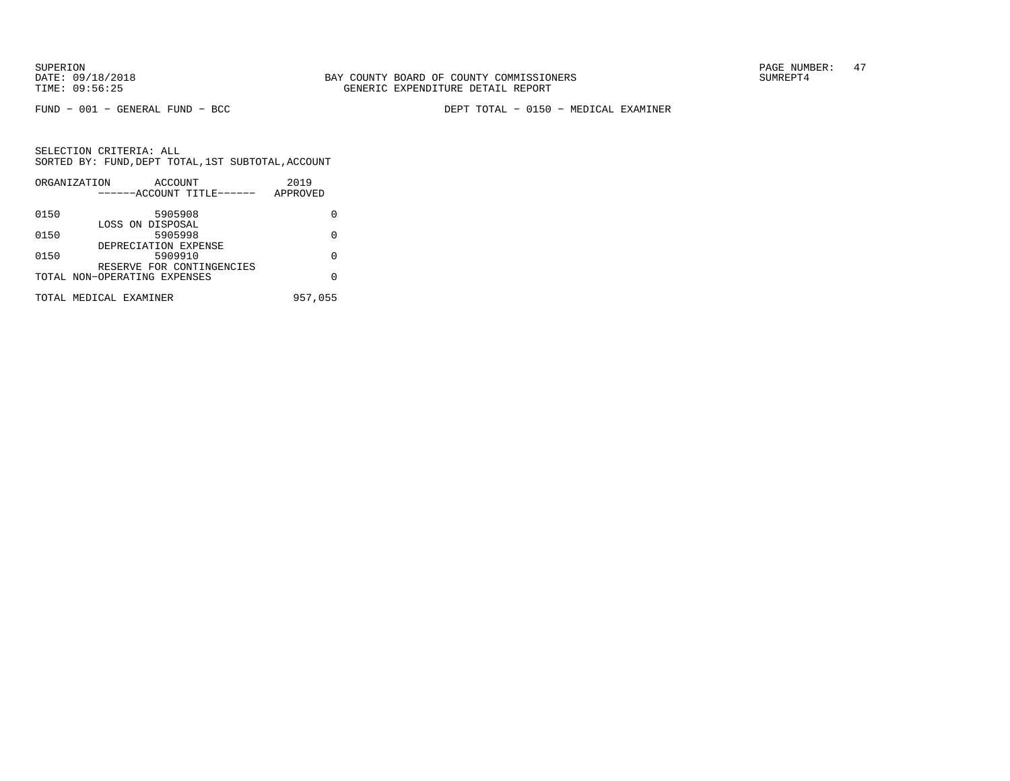FUND − 001 − GENERAL FUND − BCC DEPT TOTAL − 0150 − MEDICAL EXAMINER

|      | ORGANIZATION<br>ACCOUNT      | 2019     |
|------|------------------------------|----------|
|      | ------ACCOUNT TITLE------    | APPROVED |
| 0150 | 5905908                      |          |
| 0150 | LOSS ON DISPOSAL<br>5905998  | U        |
|      | DEPRECIATION EXPENSE         |          |
| 0150 | 5909910                      | U        |
|      | RESERVE FOR CONTINGENCIES    |          |
|      | TOTAL NON-OPERATING EXPENSES | O        |
|      | TOTAL MEDICAL EXAMINER       | 957,055  |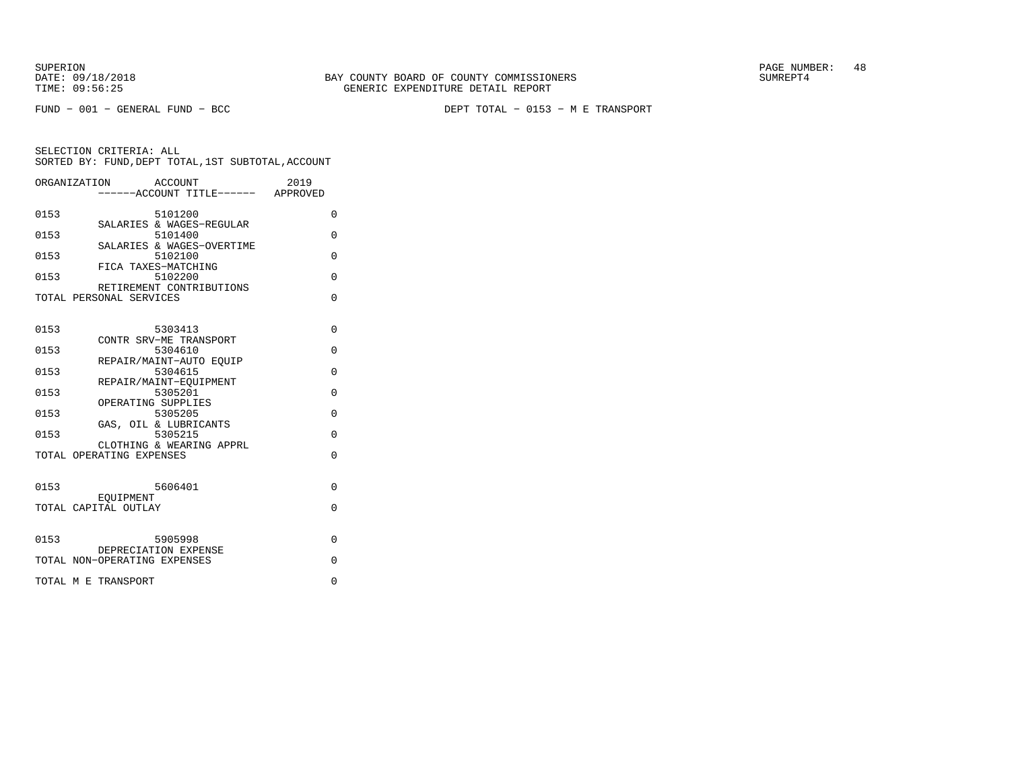FUND − 001 − GENERAL FUND − BCC DEPT TOTAL − 0153 − M E TRANSPORT

| ORGANIZATION                 | ACCOUNT<br>-----ACCOUNT TITLE------ APPROVED | 2019     |
|------------------------------|----------------------------------------------|----------|
| 0153                         | 5101200                                      | $\Omega$ |
| 0153                         | SALARIES & WAGES-REGULAR<br>5101400          | 0        |
| 0153                         | SALARIES & WAGES-OVERTIME<br>5102100         | 0        |
| 0153                         | FICA TAXES-MATCHING<br>5102200               | $\Omega$ |
| TOTAL PERSONAL SERVICES      | RETIREMENT CONTRIBUTIONS                     | $\Omega$ |
| 0153                         | 5303413                                      | $\Omega$ |
|                              | CONTR SRV-ME TRANSPORT                       |          |
| 0153                         | 5304610<br>REPAIR/MAINT-AUTO EOUIP           | $\Omega$ |
| 0153                         | 5304615<br>REPAIR/MAINT-EOUIPMENT            | $\Omega$ |
| 0153                         | 5305201<br>OPERATING SUPPLIES                | $\Omega$ |
| 0153                         | 5305205<br>GAS, OIL & LUBRICANTS             | $\Omega$ |
| 0153                         | 5305215<br>CLOTHING & WEARING APPRL          | $\Omega$ |
| TOTAL OPERATING EXPENSES     |                                              | $\Omega$ |
| 0153                         | 5606401                                      | $\Omega$ |
| TOTAL CAPITAL OUTLAY         | EOUIPMENT                                    | 0        |
|                              |                                              |          |
| 0153                         | 5905998<br>DEPRECIATION EXPENSE              | $\Omega$ |
| TOTAL NON-OPERATING EXPENSES |                                              | $\Omega$ |
| TOTAL M E TRANSPORT          |                                              | $\Omega$ |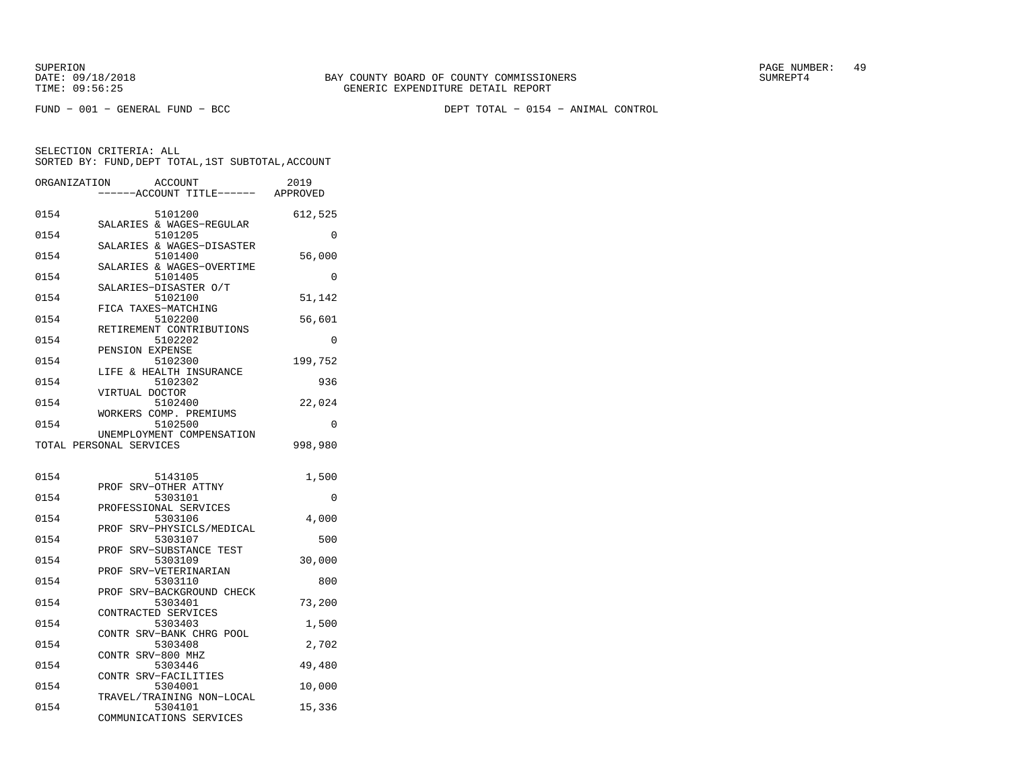FUND − 001 − GENERAL FUND − BCC DEPT TOTAL − 0154 − ANIMAL CONTROL

| ---ACCOUNT TITLE------ APPROVED<br>0154<br>5101200<br>612,525<br>SALARIES & WAGES-REGULAR<br>0154<br>5101205<br>0<br>SALARIES & WAGES-DISASTER<br>56,000<br>0154<br>5101400<br>SALARIES & WAGES-OVERTIME<br>0154<br>5101405<br>0<br>SALARIES-DISASTER O/T<br>0154<br>5102100<br>51,142<br>FICA TAXES-MATCHING<br>0154<br>5102200<br>56,601<br>RETIREMENT CONTRIBUTIONS<br>0154<br>5102202<br>0<br>PENSION EXPENSE<br>0154<br>5102300<br>199,752<br>LIFE & HEALTH INSURANCE<br>0154<br>5102302<br>936<br>VIRTUAL DOCTOR<br>0154<br>5102400<br>22,024<br>WORKERS COMP. PREMIUMS<br>5102500<br>0154<br>0<br>UNEMPLOYMENT COMPENSATION<br>998,980<br>TOTAL PERSONAL SERVICES<br>0154<br>5143105<br>1,500<br>PROF SRV-OTHER ATTNY<br>0154<br>5303101<br>0<br>PROFESSIONAL SERVICES<br>0154<br>5303106<br>4,000<br>PROF SRV-PHYSICLS/MEDICAL<br>0154<br>5303107<br>500<br>SRV-SUBSTANCE TEST<br>PROF<br>0154<br>30,000<br>5303109<br>PROF<br>SRV-VETERINARIAN<br>0154<br>5303110<br>800<br>PROF SRV-BACKGROUND CHECK<br>0154<br>5303401<br>73,200<br>CONTRACTED SERVICES<br>0154<br>5303403<br>1,500<br>CONTR SRV-BANK CHRG POOL<br>0154<br>5303408<br>2,702<br>CONTR SRV-800 MHZ<br>5303446<br>0154<br>49,480<br>CONTR SRV-FACILITIES<br>0154<br>5304001<br>10,000<br>TRAVEL/TRAINING NON-LOCAL<br>0154<br>5304101<br>15,336 | ORGANIZATION | <b>ACCOUNT</b>          | 2019 |
|-------------------------------------------------------------------------------------------------------------------------------------------------------------------------------------------------------------------------------------------------------------------------------------------------------------------------------------------------------------------------------------------------------------------------------------------------------------------------------------------------------------------------------------------------------------------------------------------------------------------------------------------------------------------------------------------------------------------------------------------------------------------------------------------------------------------------------------------------------------------------------------------------------------------------------------------------------------------------------------------------------------------------------------------------------------------------------------------------------------------------------------------------------------------------------------------------------------------------------------------------------------------------------------------------------------------------|--------------|-------------------------|------|
|                                                                                                                                                                                                                                                                                                                                                                                                                                                                                                                                                                                                                                                                                                                                                                                                                                                                                                                                                                                                                                                                                                                                                                                                                                                                                                                         |              |                         |      |
|                                                                                                                                                                                                                                                                                                                                                                                                                                                                                                                                                                                                                                                                                                                                                                                                                                                                                                                                                                                                                                                                                                                                                                                                                                                                                                                         |              |                         |      |
|                                                                                                                                                                                                                                                                                                                                                                                                                                                                                                                                                                                                                                                                                                                                                                                                                                                                                                                                                                                                                                                                                                                                                                                                                                                                                                                         |              |                         |      |
|                                                                                                                                                                                                                                                                                                                                                                                                                                                                                                                                                                                                                                                                                                                                                                                                                                                                                                                                                                                                                                                                                                                                                                                                                                                                                                                         |              |                         |      |
|                                                                                                                                                                                                                                                                                                                                                                                                                                                                                                                                                                                                                                                                                                                                                                                                                                                                                                                                                                                                                                                                                                                                                                                                                                                                                                                         |              |                         |      |
|                                                                                                                                                                                                                                                                                                                                                                                                                                                                                                                                                                                                                                                                                                                                                                                                                                                                                                                                                                                                                                                                                                                                                                                                                                                                                                                         |              |                         |      |
|                                                                                                                                                                                                                                                                                                                                                                                                                                                                                                                                                                                                                                                                                                                                                                                                                                                                                                                                                                                                                                                                                                                                                                                                                                                                                                                         |              |                         |      |
|                                                                                                                                                                                                                                                                                                                                                                                                                                                                                                                                                                                                                                                                                                                                                                                                                                                                                                                                                                                                                                                                                                                                                                                                                                                                                                                         |              |                         |      |
|                                                                                                                                                                                                                                                                                                                                                                                                                                                                                                                                                                                                                                                                                                                                                                                                                                                                                                                                                                                                                                                                                                                                                                                                                                                                                                                         |              |                         |      |
|                                                                                                                                                                                                                                                                                                                                                                                                                                                                                                                                                                                                                                                                                                                                                                                                                                                                                                                                                                                                                                                                                                                                                                                                                                                                                                                         |              |                         |      |
|                                                                                                                                                                                                                                                                                                                                                                                                                                                                                                                                                                                                                                                                                                                                                                                                                                                                                                                                                                                                                                                                                                                                                                                                                                                                                                                         |              |                         |      |
|                                                                                                                                                                                                                                                                                                                                                                                                                                                                                                                                                                                                                                                                                                                                                                                                                                                                                                                                                                                                                                                                                                                                                                                                                                                                                                                         |              |                         |      |
|                                                                                                                                                                                                                                                                                                                                                                                                                                                                                                                                                                                                                                                                                                                                                                                                                                                                                                                                                                                                                                                                                                                                                                                                                                                                                                                         |              |                         |      |
|                                                                                                                                                                                                                                                                                                                                                                                                                                                                                                                                                                                                                                                                                                                                                                                                                                                                                                                                                                                                                                                                                                                                                                                                                                                                                                                         |              |                         |      |
|                                                                                                                                                                                                                                                                                                                                                                                                                                                                                                                                                                                                                                                                                                                                                                                                                                                                                                                                                                                                                                                                                                                                                                                                                                                                                                                         |              |                         |      |
|                                                                                                                                                                                                                                                                                                                                                                                                                                                                                                                                                                                                                                                                                                                                                                                                                                                                                                                                                                                                                                                                                                                                                                                                                                                                                                                         |              |                         |      |
|                                                                                                                                                                                                                                                                                                                                                                                                                                                                                                                                                                                                                                                                                                                                                                                                                                                                                                                                                                                                                                                                                                                                                                                                                                                                                                                         |              |                         |      |
|                                                                                                                                                                                                                                                                                                                                                                                                                                                                                                                                                                                                                                                                                                                                                                                                                                                                                                                                                                                                                                                                                                                                                                                                                                                                                                                         |              |                         |      |
|                                                                                                                                                                                                                                                                                                                                                                                                                                                                                                                                                                                                                                                                                                                                                                                                                                                                                                                                                                                                                                                                                                                                                                                                                                                                                                                         |              |                         |      |
|                                                                                                                                                                                                                                                                                                                                                                                                                                                                                                                                                                                                                                                                                                                                                                                                                                                                                                                                                                                                                                                                                                                                                                                                                                                                                                                         |              |                         |      |
|                                                                                                                                                                                                                                                                                                                                                                                                                                                                                                                                                                                                                                                                                                                                                                                                                                                                                                                                                                                                                                                                                                                                                                                                                                                                                                                         |              |                         |      |
|                                                                                                                                                                                                                                                                                                                                                                                                                                                                                                                                                                                                                                                                                                                                                                                                                                                                                                                                                                                                                                                                                                                                                                                                                                                                                                                         |              |                         |      |
|                                                                                                                                                                                                                                                                                                                                                                                                                                                                                                                                                                                                                                                                                                                                                                                                                                                                                                                                                                                                                                                                                                                                                                                                                                                                                                                         |              |                         |      |
|                                                                                                                                                                                                                                                                                                                                                                                                                                                                                                                                                                                                                                                                                                                                                                                                                                                                                                                                                                                                                                                                                                                                                                                                                                                                                                                         |              |                         |      |
|                                                                                                                                                                                                                                                                                                                                                                                                                                                                                                                                                                                                                                                                                                                                                                                                                                                                                                                                                                                                                                                                                                                                                                                                                                                                                                                         |              | COMMUNICATIONS SERVICES |      |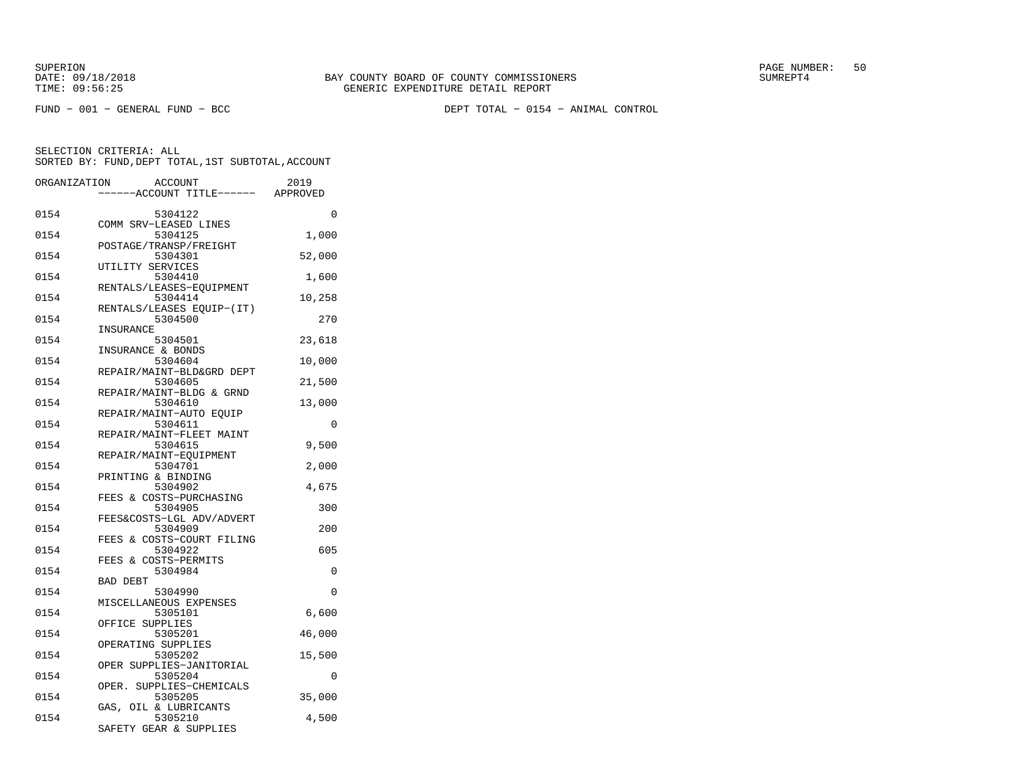FUND − 001 − GENERAL FUND − BCC DEPT TOTAL − 0154 − ANIMAL CONTROL

| ORGANIZATION | <b>ACCOUNT</b>                       | 2019     |
|--------------|--------------------------------------|----------|
|              | ---ACCOUNT TITLE------               | APPROVED |
| 0154         | 5304122                              | $\Omega$ |
| 0154         | COMM SRV-LEASED LINES<br>5304125     | 1,000    |
| 0154         | POSTAGE/TRANSP/FREIGHT<br>5304301    | 52,000   |
| 0154         | UTILITY SERVICES<br>5304410          | 1,600    |
| 0154         | RENTALS/LEASES-EQUIPMENT<br>5304414  | 10,258   |
|              | RENTALS/LEASES EQUIP-(IT)            |          |
| 0154         | 5304500<br>INSURANCE                 | 270      |
| 0154         | 5304501<br>INSURANCE & BONDS         | 23,618   |
| 0154         | 5304604<br>REPAIR/MAINT-BLD&GRD DEPT | 10,000   |
| 0154         | 5304605<br>REPAIR/MAINT-BLDG & GRND  | 21,500   |
| 0154         | 5304610                              | 13,000   |
| 0154         | REPAIR/MAINT-AUTO EOUIP<br>5304611   | 0        |
| 0154         | REPAIR/MAINT-FLEET MAINT<br>5304615  | 9,500    |
| 0154         | REPAIR/MAINT-EOUIPMENT<br>5304701    | 2,000    |
| 0154         | PRINTING & BINDING<br>5304902        | 4,675    |
|              | FEES & COSTS-PURCHASING              |          |
| 0154         | 5304905<br>FEES&COSTS-LGL ADV/ADVERT | 300      |
| 0154         | 5304909<br>FEES & COSTS-COURT FILING | 200      |
| 0154         | 5304922<br>FEES & COSTS-PERMITS      | 605      |
| 0154         | 5304984<br><b>BAD DEBT</b>           | 0        |
| 0154         | 5304990                              | $\Omega$ |
| 0154         | MISCELLANEOUS EXPENSES<br>5305101    | 6,600    |
| 0154         | OFFICE SUPPLIES<br>5305201           | 46,000   |
| 0154         | OPERATING SUPPLIES<br>5305202        | 15,500   |
| 0154         | OPER SUPPLIES-JANITORIAL<br>5305204  | $\Omega$ |
|              | OPER. SUPPLIES-CHEMICALS             |          |
| 0154         | 5305205<br>GAS, OIL & LUBRICANTS     | 35,000   |
| 0154         | 5305210<br>SAFETY GEAR & SUPPLIES    | 4,500    |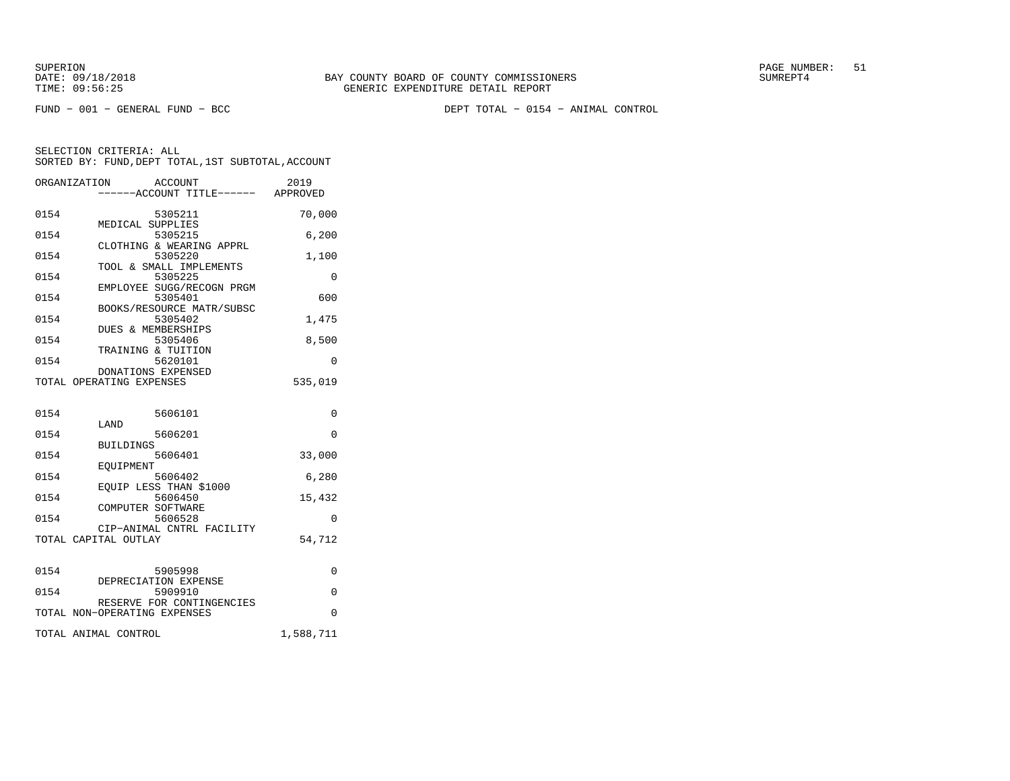FUND − 001 − GENERAL FUND − BCC DEPT TOTAL − 0154 − ANIMAL CONTROL

|      | ORGANIZATION<br>ACCOUNT<br>-----ACCOUNT TITLE------ APPROVED | 2019      |
|------|--------------------------------------------------------------|-----------|
| 0154 | 5305211<br>MEDICAL SUPPLIES                                  | 70,000    |
| 0154 | 5305215<br>CLOTHING & WEARING APPRL                          | 6,200     |
| 0154 | 5305220<br>TOOL & SMALL IMPLEMENTS                           | 1,100     |
| 0154 | 5305225<br>EMPLOYEE SUGG/RECOGN PRGM                         | 0         |
| 0154 | 5305401<br>BOOKS/RESOURCE MATR/SUBSC                         | 600       |
| 0154 | 5305402<br><b>DUES &amp; MEMBERSHIPS</b>                     | 1,475     |
| 0154 | 5305406                                                      | 8,500     |
| 0154 | TRAINING & TUITION<br>5620101                                | $\Omega$  |
|      | DONATIONS EXPENSED<br>TOTAL OPERATING EXPENSES               | 535,019   |
| 0154 | 5606101                                                      | 0         |
| 0154 | LAND<br>5606201                                              | $\Omega$  |
| 0154 | <b>BUILDINGS</b><br>5606401                                  | 33,000    |
| 0154 | <b>EOUIPMENT</b><br>5606402                                  | 6,280     |
| 0154 | EQUIP LESS THAN \$1000<br>5606450                            | 15,432    |
| 0154 | COMPUTER SOFTWARE<br>5606528                                 | $\Omega$  |
|      | CIP-ANIMAL CNTRL FACILITY<br>TOTAL CAPITAL OUTLAY            | 54,712    |
| 0154 | 5905998                                                      | 0         |
| 0154 | DEPRECIATION EXPENSE<br>5909910                              | 0         |
|      | RESERVE FOR CONTINGENCIES<br>TOTAL NON-OPERATING EXPENSES    | $\Omega$  |
|      | TOTAL ANIMAL CONTROL                                         | 1,588,711 |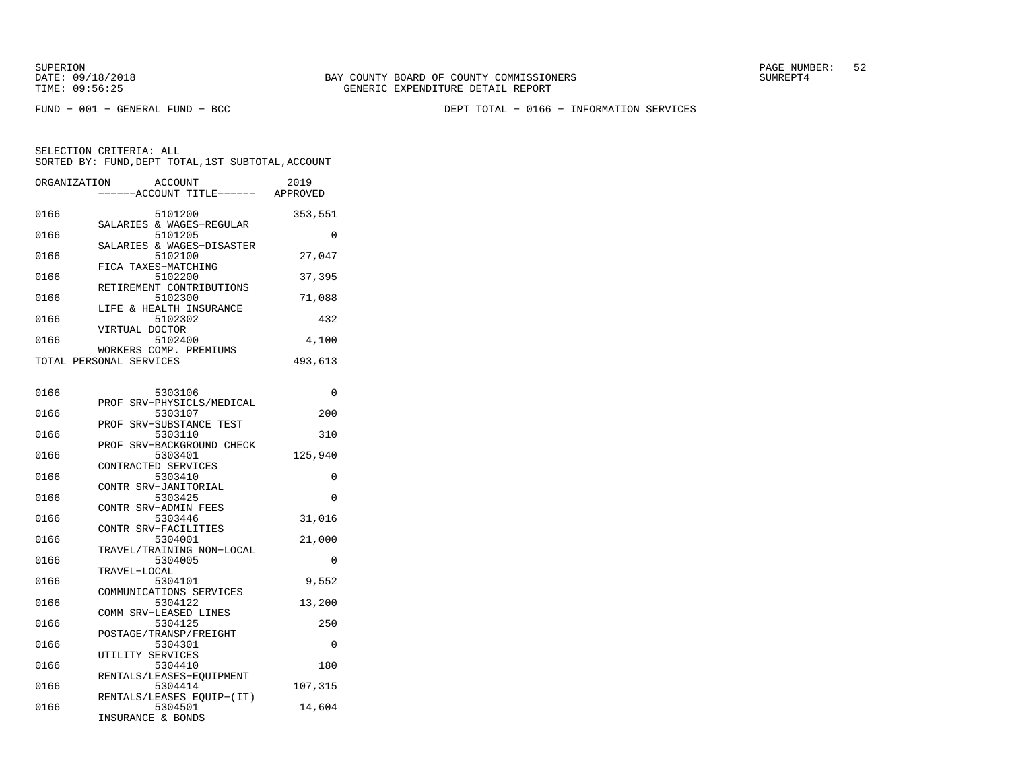SUPERION PAGE NUMBER: 52

FUND − 001 − GENERAL FUND − BCC DEPT TOTAL − 0166 − INFORMATION SERVICES

SELECTION CRITERIA: ALLSORTED BY: FUND,DEPT TOTAL,1ST SUBTOTAL,ACCOUNT

| ORGANIZATION | ACCOUNT<br>----ACCOUNT TITLE------ APPROVED       | 2019     |
|--------------|---------------------------------------------------|----------|
| 0166         | 5101200                                           | 353,551  |
| 0166         | SALARIES & WAGES-REGULAR<br>5101205               | $\Omega$ |
| 0166         | SALARIES & WAGES-DISASTER<br>5102100              | 27,047   |
| 0166         | FICA TAXES-MATCHING<br>5102200                    | 37,395   |
| 0166         | RETIREMENT CONTRIBUTIONS<br>5102300               | 71,088   |
| 0166         | LIFE & HEALTH INSURANCE<br>5102302                | 432      |
| 0166         | VIRTUAL DOCTOR<br>5102400                         | 4,100    |
|              | WORKERS COMP. PREMIUMS<br>TOTAL PERSONAL SERVICES | 493,613  |
|              |                                                   |          |
| 0166         | 5303106                                           | $\Omega$ |
| 0166         | PROF SRV-PHYSICLS/MEDICAL<br>5303107              | 200      |
| 0166         | PROF SRV-SUBSTANCE TEST<br>5303110                | 310      |
| 0166         | PROF SRV-BACKGROUND CHECK<br>5303401              | 125,940  |
| 0166         | CONTRACTED SERVICES<br>5303410                    | 0        |
| 0166         | CONTR SRV-JANITORIAL<br>5303425                   | $\Omega$ |
| 0166         | CONTR SRV-ADMIN FEES<br>5303446                   | 31,016   |
| 0166         | CONTR SRV-FACILITIES<br>5304001                   |          |
|              | TRAVEL/TRAINING NON-LOCAL                         | 21,000   |
| 0166         | 5304005                                           | $\Omega$ |

| 0166 | 5303106                   | $\Omega$ |
|------|---------------------------|----------|
|      | PROF SRV-PHYSICLS/MEDICAL |          |
| 0166 | 5303107                   | 200      |
|      | PROF SRV-SUBSTANCE TEST   |          |
| 0166 | 5303110                   | 310      |
|      | PROF SRV-BACKGROUND CHECK |          |
| 0166 | 5303401                   | 125,940  |
|      | CONTRACTED SERVICES       |          |
| 0166 | 5303410                   | 0        |
|      | CONTR SRV-JANITORIAL      |          |
| 0166 | 5303425                   | $\Omega$ |
|      | CONTR SRV-ADMIN FEES      |          |
| 0166 | 5303446                   | 31,016   |
|      | CONTR SRV-FACILITIES      |          |
| 0166 | 5304001                   | 21,000   |
|      | TRAVEL/TRAINING NON-LOCAL |          |
| 0166 | 5304005                   | $\Omega$ |
|      | TRAVEL-LOCAL              |          |
| 0166 | 5304101                   | 9,552    |
|      | COMMUNICATIONS SERVICES   |          |
| 0166 | 5304122                   | 13,200   |
|      | COMM SRV-LEASED LINES     |          |
| 0166 | 5304125                   | 250      |
|      | POSTAGE/TRANSP/FREIGHT    |          |
| 0166 | 5304301                   | $\Omega$ |
|      | UTILITY SERVICES          |          |
| 0166 | 5304410                   | 180      |
|      | RENTALS/LEASES-EOUIPMENT  |          |
| 0166 | 5304414                   | 107,315  |
|      | RENTALS/LEASES EOUIP-(IT) |          |
| 0166 | 5304501                   | 14,604   |

INSURANCE & BONDS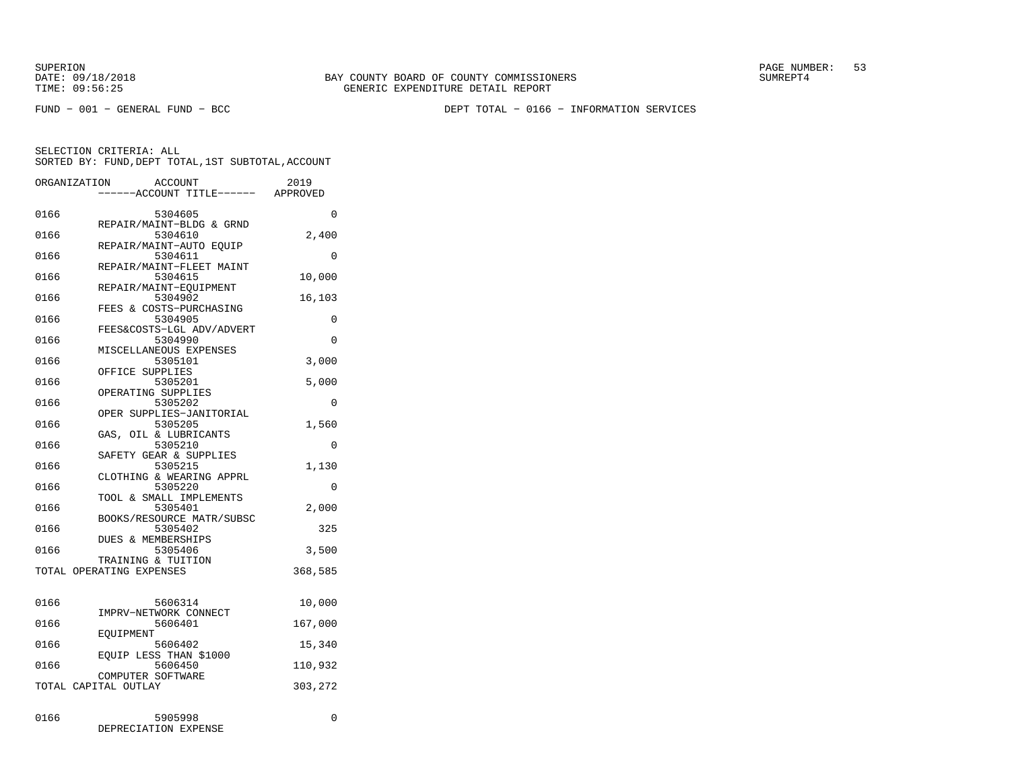FUND − 001 − GENERAL FUND − BCC DEPT TOTAL − 0166 − INFORMATION SERVICES

|      | ORGANIZATION<br><b>ACCOUNT</b><br>--ACCOUNT TITLE------ | 2019<br>APPROVED |
|------|---------------------------------------------------------|------------------|
| 0166 | 5304605                                                 | $\Omega$         |
| 0166 | REPAIR/MAINT-BLDG & GRND<br>5304610                     | 2,400            |
| 0166 | REPAIR/MAINT-AUTO EOUIP<br>5304611                      | 0                |
| 0166 | REPAIR/MAINT-FLEET MAINT<br>5304615                     | 10,000           |
| 0166 | REPAIR/MAINT-EOUIPMENT<br>5304902                       | 16,103           |
| 0166 | FEES & COSTS-PURCHASING<br>5304905                      | 0                |
| 0166 | FEES&COSTS-LGL ADV/ADVERT<br>5304990                    | 0                |
| 0166 | MISCELLANEOUS EXPENSES<br>5305101                       | 3,000            |
| 0166 | OFFICE SUPPLIES<br>5305201                              | 5,000            |
| 0166 | OPERATING SUPPLIES<br>5305202                           | 0                |
| 0166 | OPER SUPPLIES-JANITORIAL<br>5305205                     | 1,560            |
| 0166 | GAS, OIL & LUBRICANTS<br>5305210                        | 0                |
| 0166 | SAFETY GEAR & SUPPLIES<br>5305215                       | 1,130            |
| 0166 | CLOTHING & WEARING APPRL<br>5305220                     | 0                |
| 0166 | TOOL & SMALL IMPLEMENTS<br>5305401                      | 2,000            |
| 0166 | BOOKS/RESOURCE MATR/SUBSC<br>5305402                    | 325              |
| 0166 | DUES & MEMBERSHIPS<br>5305406                           | 3,500            |
|      | TRAINING & TUITION<br>TOTAL OPERATING EXPENSES          | 368,585          |
|      |                                                         |                  |
| 0166 | 5606314<br>IMPRV-NETWORK CONNECT                        | 10,000           |
| 0166 | 5606401<br>EOUIPMENT                                    | 167,000          |
| 0166 | 5606402<br>EOUIP LESS THAN \$1000                       | 15,340           |
| 0166 | 5606450<br>COMPUTER SOFTWARE                            | 110,932          |
|      | TOTAL CAPITAL OUTLAY                                    | 303,272          |
| 0166 | 5905998<br>DEPRECIATION EXPENSE                         | 0                |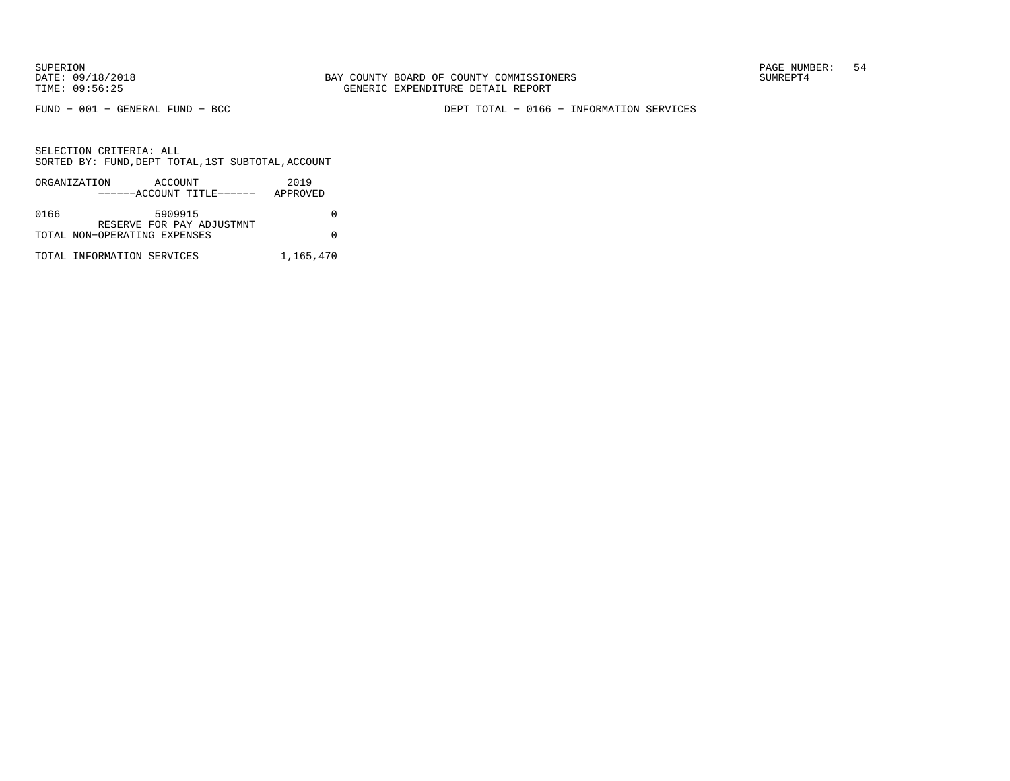FUND − 001 − GENERAL FUND − BCC DEPT TOTAL − 0166 − INFORMATION SERVICES

|      | ORGANIZATION                 | ACCOUNT | ------ACCOUNT TITLE------ | 2019<br>APPROVED |
|------|------------------------------|---------|---------------------------|------------------|
|      |                              |         |                           |                  |
| 0166 |                              | 5909915 |                           |                  |
|      |                              |         | RESERVE FOR PAY ADJUSTMNT |                  |
|      | TOTAL NON-OPERATING EXPENSES |         |                           |                  |
|      | TOTAL INFORMATION SERVICES   |         |                           | 1,165,470        |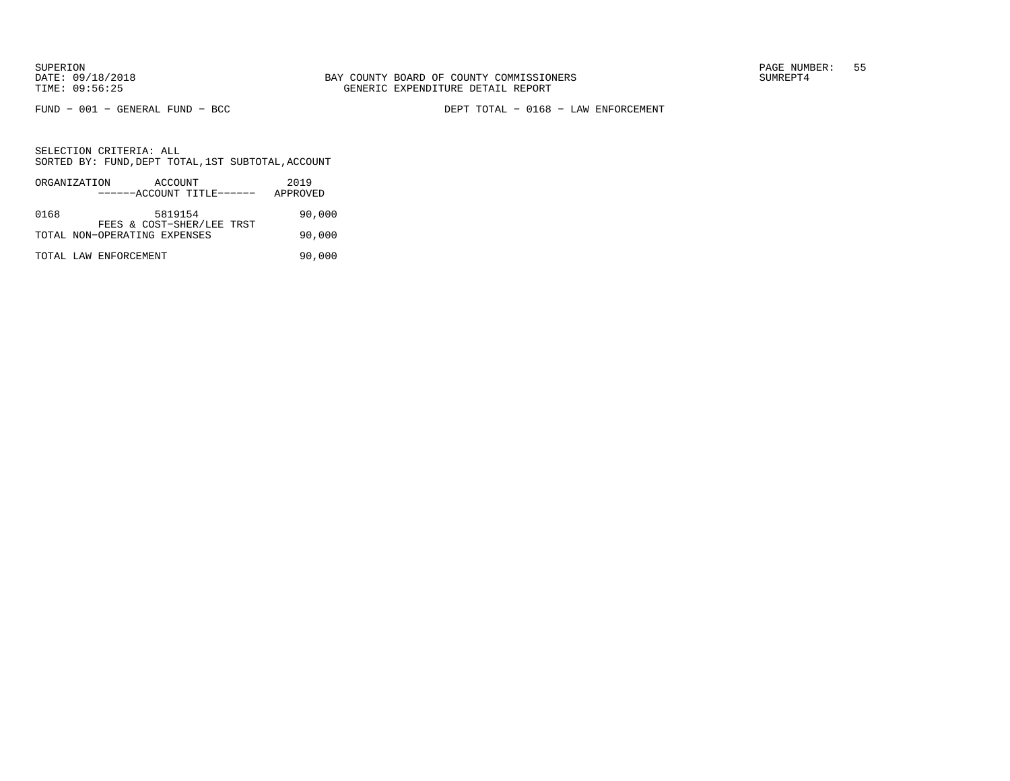FUND − 001 − GENERAL FUND − BCC DEPT TOTAL − 0168 − LAW ENFORCEMENT

|      | ORGANIZATION<br>ACCOUNT<br>------ACCOUNT TITLE------      | 2019<br>APPROVED |
|------|-----------------------------------------------------------|------------------|
| 0168 | 5819154                                                   | 90,000           |
|      | FEES & COST-SHER/LEE TRST<br>TOTAL NON-OPERATING EXPENSES | 90,000           |
|      | TOTAL LAW ENFORCEMENT                                     | 90,000           |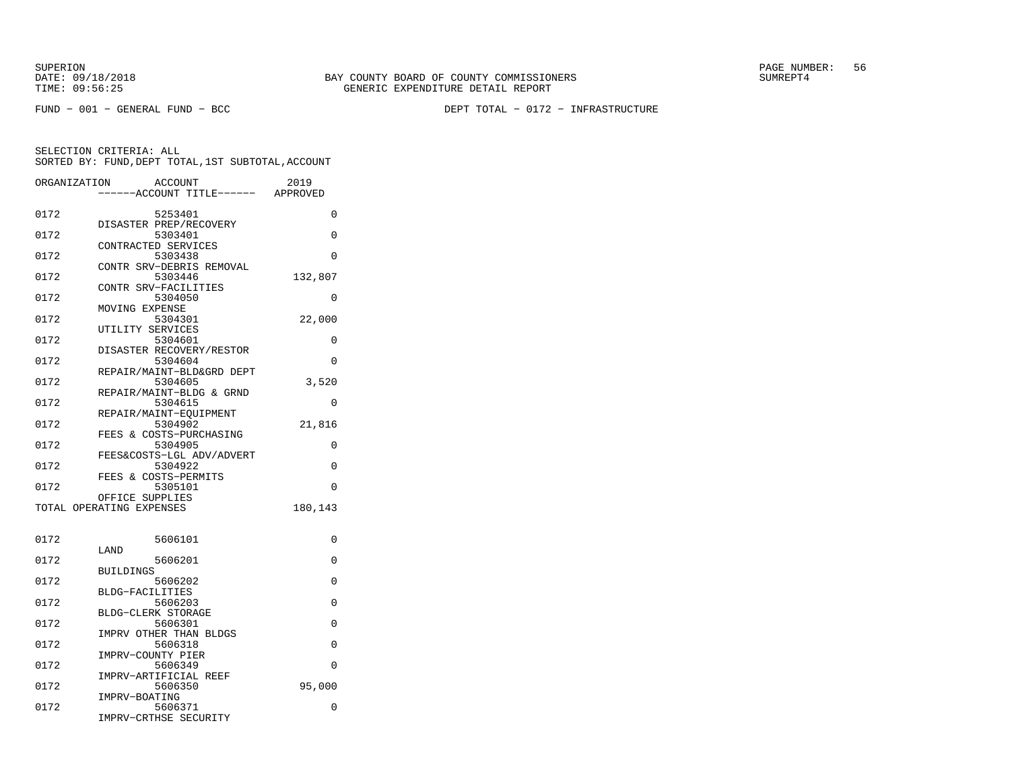SUPERION PAGE NUMBER: 56

FUND − 001 − GENERAL FUND − BCC DEPT TOTAL − 0172 − INFRASTRUCTURE

| ORGANIZATION | ACCOUNT<br>---ACCOUNT TITLE------ APPROVED | 2019     |
|--------------|--------------------------------------------|----------|
| 0172         | 5253401                                    | 0        |
|              | DISASTER PREP/RECOVERY                     |          |
| 0172         | 5303401                                    | $\Omega$ |
|              | CONTRACTED SERVICES                        |          |
| 0172         | 5303438                                    | $\Omega$ |
| 0172         | CONTR SRV-DEBRIS REMOVAL                   |          |
|              | 5303446<br>CONTR SRV-FACILITIES            | 132,807  |
| 0172         | 5304050                                    | 0        |
|              | MOVING EXPENSE                             |          |
| 0172         | 5304301                                    | 22,000   |
|              | UTILITY SERVICES                           |          |
| 0172         | 5304601                                    | 0        |
|              | DISASTER RECOVERY/RESTOR                   |          |
| 0172         | 5304604<br>REPAIR/MAINT-BLD&GRD DEPT       | 0        |
| 0172         | 5304605                                    | 3,520    |
|              | REPAIR/MAINT-BLDG & GRND                   |          |
| 0172         | 5304615                                    | 0        |
|              | REPAIR/MAINT-EQUIPMENT                     |          |
| 0172         | 5304902                                    | 21,816   |
|              | FEES & COSTS-PURCHASING                    |          |
| 0172         | 5304905                                    | 0        |
| 0172         | FEES&COSTS-LGL ADV/ADVERT<br>5304922       | 0        |
|              | FEES & COSTS-PERMITS                       |          |
| 0172         | 5305101                                    | 0        |
|              | OFFICE SUPPLIES                            |          |
|              | TOTAL OPERATING EXPENSES                   | 180,143  |
|              |                                            |          |
| 0172         | 5606101                                    | 0        |
|              | LAND                                       |          |
| 0172         | 5606201                                    | 0        |
|              | <b>BUILDINGS</b>                           |          |
| 0172         | 5606202<br>BLDG-FACILITIES                 | 0        |
| 0172         | 5606203                                    | 0        |
|              | BLDG-CLERK STORAGE                         |          |
| 0172         | 5606301                                    | 0        |
|              | IMPRV OTHER THAN BLDGS                     |          |
| 0172         | 5606318                                    | $\Omega$ |
|              | IMPRV-COUNTY PIER                          |          |
| 0172         | 5606349                                    | 0        |
|              | IMPRV-ARTIFICIAL REEF                      |          |
| 0172         | 5606350<br>IMPRV-BOATING                   | 95,000   |
| 0172         | 5606371                                    | 0        |
|              | IMPRV-CRTHSE SECURITY                      |          |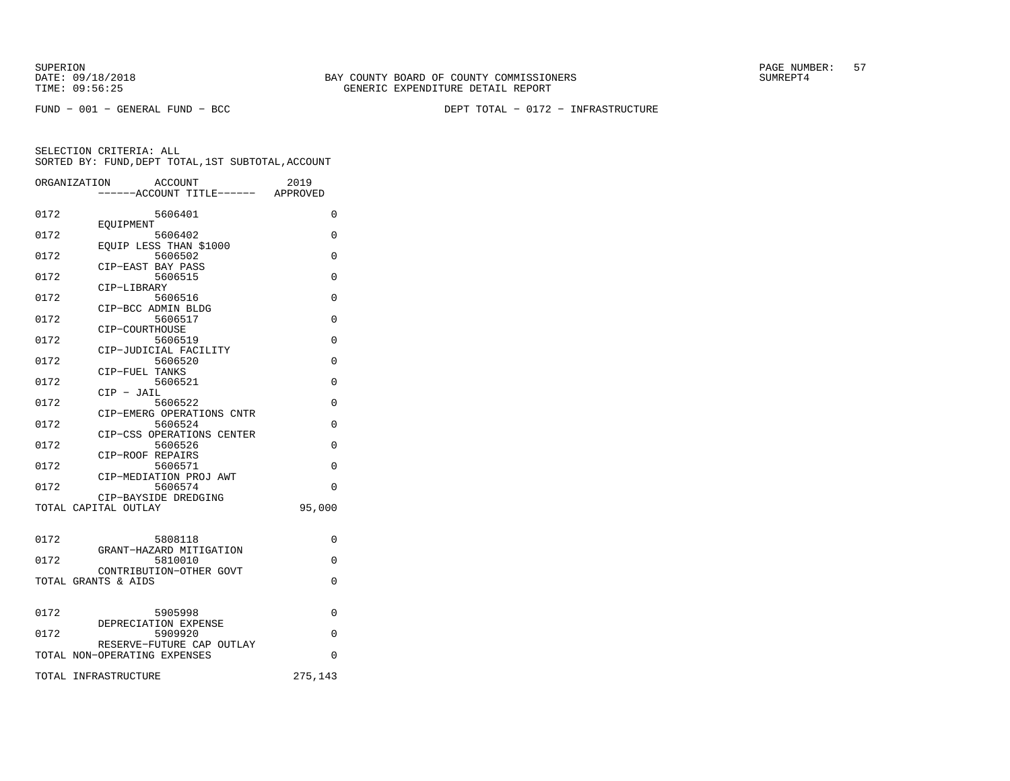FUND − 001 − GENERAL FUND − BCC DEPT TOTAL − 0172 − INFRASTRUCTURE

|      | ORGANIZATION<br><b>ACCOUNT</b><br>-----ACCOUNT TITLE------ APPROVED | 2019     |
|------|---------------------------------------------------------------------|----------|
| 0172 | 5606401                                                             | $\Omega$ |
| 0172 | EOUIPMENT<br>5606402                                                | 0        |
| 0172 | EOUIP LESS THAN \$1000<br>5606502                                   | $\Omega$ |
| 0172 | CIP-EAST BAY PASS<br>5606515                                        | $\Omega$ |
| 0172 | CIP-LIBRARY<br>5606516                                              | $\Omega$ |
| 0172 | CIP-BCC ADMIN BLDG<br>5606517                                       | $\Omega$ |
| 0172 | CIP-COURTHOUSE<br>5606519                                           | $\Omega$ |
| 0172 | CIP-JUDICIAL FACILITY<br>5606520                                    | $\Omega$ |
| 0172 | CIP-FUEL TANKS<br>5606521                                           | $\Omega$ |
| 0172 | $CIP - JAIL$<br>5606522                                             | $\Omega$ |
| 0172 | CIP-EMERG OPERATIONS CNTR<br>5606524                                | $\Omega$ |
| 0172 | CIP-CSS OPERATIONS CENTER<br>5606526                                | $\Omega$ |
| 0172 | CIP-ROOF REPAIRS<br>5606571                                         | $\Omega$ |
| 0172 | CIP-MEDIATION PROJ AWT<br>5606574                                   | $\Omega$ |
|      | CIP-BAYSIDE DREDGING<br>TOTAL CAPITAL OUTLAY                        | 95,000   |
|      |                                                                     |          |
| 0172 | 5808118<br>GRANT-HAZARD MITIGATION                                  | $\Omega$ |
| 0172 | 5810010<br>CONTRIBUTION-OTHER GOVT                                  | 0        |
|      | TOTAL GRANTS & AIDS                                                 | $\Omega$ |
| 0172 | 5905998                                                             | 0        |
| 0172 | DEPRECIATION EXPENSE<br>5909920                                     | $\Omega$ |
|      | RESERVE-FUTURE CAP OUTLAY<br>TOTAL NON-OPERATING EXPENSES           | $\Omega$ |
|      | TOTAL INFRASTRUCTURE                                                | 275,143  |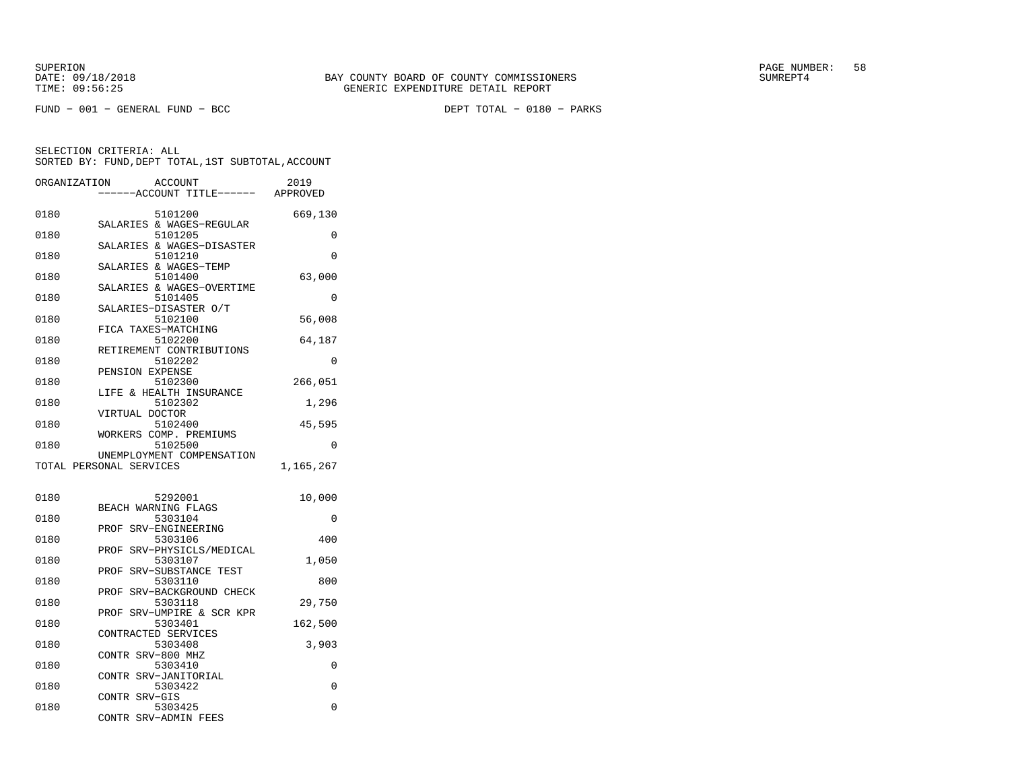FUND − 001 − GENERAL FUND − BCC DEPT TOTAL − 0180 − PARKS

|      | ORGANIZATION<br>ACCOUNT                              | 2019      |
|------|------------------------------------------------------|-----------|
|      | ---ACCOUNT TITLE------ APPROVED                      |           |
| 0180 | 5101200<br>SALARIES & WAGES-REGULAR                  | 669,130   |
| 0180 | 5101205                                              | 0         |
| 0180 | SALARIES & WAGES-DISASTER<br>5101210                 | 0         |
| 0180 | SALARIES & WAGES-TEMP<br>5101400                     | 63,000    |
| 0180 | SALARIES & WAGES-OVERTIME<br>5101405                 | 0         |
| 0180 | SALARIES-DISASTER O/T<br>5102100                     | 56,008    |
| 0180 | FICA TAXES-MATCHING<br>5102200                       | 64,187    |
| 0180 | RETIREMENT CONTRIBUTIONS<br>5102202                  | 0         |
| 0180 | PENSION EXPENSE<br>5102300                           | 266,051   |
|      | LIFE & HEALTH INSURANCE                              |           |
| 0180 | 5102302<br>VIRTUAL DOCTOR                            | 1,296     |
| 0180 | 5102400<br>WORKERS COMP. PREMIUMS                    | 45,595    |
| 0180 | 5102500                                              | 0         |
|      | UNEMPLOYMENT COMPENSATION<br>TOTAL PERSONAL SERVICES | 1,165,267 |
| 0180 | 5292001                                              | 10,000    |
| 0180 | BEACH WARNING FLAGS<br>5303104                       | 0         |
| 0180 | SRV-ENGINEERING<br>PROF<br>5303106                   | 400       |
| 0180 | SRV-PHYSICLS/MEDICAL<br>PROF<br>5303107              | 1,050     |
|      | SRV-SUBSTANCE TEST<br>PROF                           |           |
| 0180 | 5303110<br>PROF SRV-BACKGROUND CHECK                 | 800       |
| 0180 | 5303118<br>SRV-UMPIRE & SCR KPR<br>PROF              | 29,750    |
| 0180 | 5303401<br>CONTRACTED SERVICES                       | 162,500   |
| 0180 | 5303408<br>CONTR SRV-800 MHZ                         | 3,903     |
| 0180 | 5303410<br><b>CONTR</b><br>SRV-JANITORIAL            | 0         |
| 0180 | 5303422<br>CONTR SRV-GIS                             | 0         |
| 0180 | 5303425<br>CONTR SRV-ADMIN FEES                      | 0         |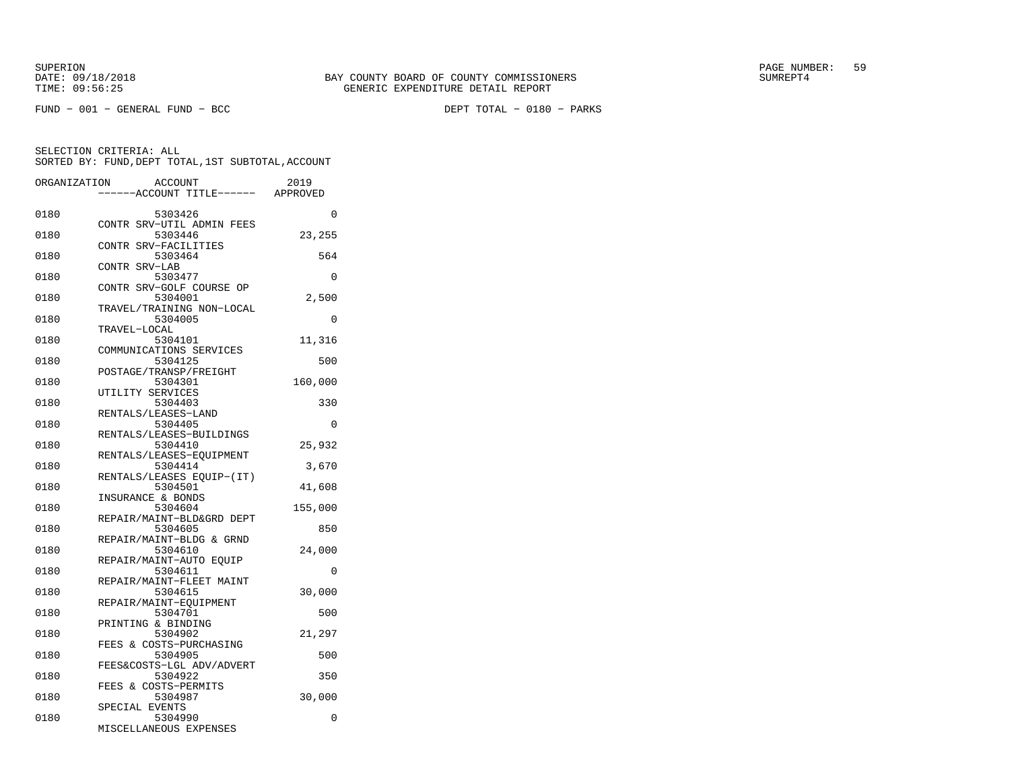FUND − 001 − GENERAL FUND − BCC DEPT TOTAL − 0180 − PARKS

| ORGANIZATION |                         | ACCOUNT<br>---ACCOUNT TITLE------    | 2019<br>APPROVED |
|--------------|-------------------------|--------------------------------------|------------------|
| 0180         |                         | 5303426                              | $\Omega$         |
|              |                         | CONTR SRV-UTIL ADMIN FEES            |                  |
| 0180         |                         | 5303446                              | 23,255           |
|              | CONTR SRV-FACILITIES    |                                      |                  |
| 0180         |                         | 5303464                              | 564              |
|              | CONTR SRV-LAB           |                                      |                  |
| 0180         |                         | 5303477                              | 0                |
|              |                         | CONTR SRV-GOLF COURSE OP             |                  |
| 0180         |                         | 5304001<br>TRAVEL/TRAINING NON-LOCAL | 2,500            |
| 0180         |                         | 5304005                              | 0                |
|              | TRAVEL-LOCAL            |                                      |                  |
| 0180         |                         | 5304101                              | 11,316           |
|              | COMMUNICATIONS SERVICES |                                      |                  |
| 0180         |                         | 5304125                              | 500              |
|              | POSTAGE/TRANSP/FREIGHT  |                                      |                  |
| 0180         |                         | 5304301                              | 160,000          |
|              | UTILITY SERVICES        |                                      |                  |
| 0180         |                         | 5304403                              | 330              |
|              | RENTALS/LEASES-LAND     |                                      |                  |
| 0180         |                         | 5304405                              | 0                |
|              |                         | RENTALS/LEASES-BUILDINGS             |                  |
| 0180         |                         | 5304410<br>RENTALS/LEASES-EOUIPMENT  | 25,932           |
| 0180         |                         | 5304414                              | 3,670            |
|              |                         | RENTALS/LEASES EQUIP-(IT)            |                  |
| 0180         |                         | 5304501                              | 41,608           |
|              | INSURANCE & BONDS       |                                      |                  |
| 0180         |                         | 5304604                              | 155,000          |
|              |                         | REPAIR/MAINT-BLD&GRD DEPT            |                  |
| 0180         |                         | 5304605                              | 850              |
|              |                         | REPAIR/MAINT-BLDG & GRND             |                  |
| 0180         |                         | 5304610                              | 24,000           |
|              | REPAIR/MAINT-AUTO EOUIP |                                      |                  |
| 0180         |                         | 5304611                              | 0                |
|              |                         | REPAIR/MAINT-FLEET MAINT             |                  |
| 0180         |                         | 5304615                              | 30,000           |
| 0180         | REPAIR/MAINT-EQUIPMENT  | 5304701                              | 500              |
|              | PRINTING & BINDING      |                                      |                  |
| 0180         |                         | 5304902                              | 21,297           |
|              | FEES & COSTS-PURCHASING |                                      |                  |
| 0180         |                         | 5304905                              | 500              |
|              |                         | FEES&COSTS-LGL ADV/ADVERT            |                  |
| 0180         |                         | 5304922                              | 350              |
|              | FEES & COSTS-PERMITS    |                                      |                  |
| 0180         |                         | 5304987                              | 30,000           |
|              | SPECIAL EVENTS          |                                      |                  |
| 0180         |                         | 5304990                              | 0                |
|              | MISCELLANEOUS EXPENSES  |                                      |                  |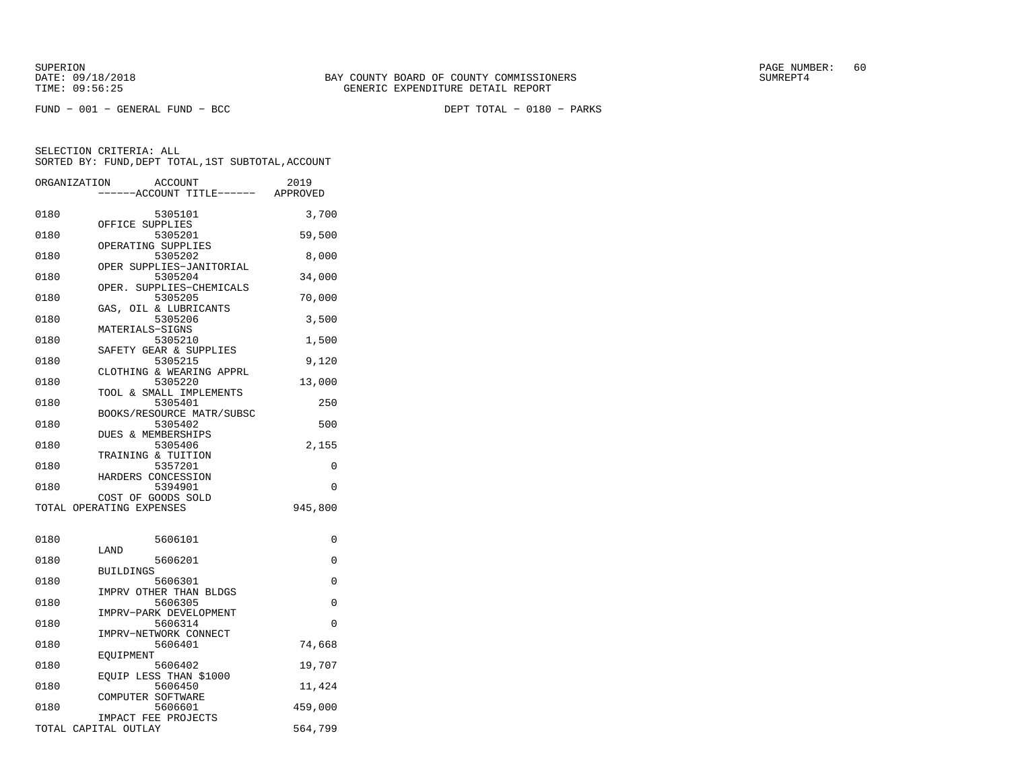FUND − 001 − GENERAL FUND − BCC DEPT TOTAL − 0180 − PARKS

| ORGANIZATION | <b>ACCOUNT</b><br>---ACCOUNT TITLE------ APPROVED | 2019     |
|--------------|---------------------------------------------------|----------|
| 0180         | 5305101                                           | 3,700    |
| 0180         | OFFICE SUPPLIES<br>5305201                        | 59,500   |
| 0180         | OPERATING SUPPLIES<br>5305202                     | 8,000    |
| 0180         | OPER SUPPLIES-JANITORIAL<br>5305204               | 34,000   |
| 0180         | OPER. SUPPLIES-CHEMICALS<br>5305205               | 70,000   |
| 0180         | GAS, OIL & LUBRICANTS<br>5305206                  | 3,500    |
| 0180         | MATERIALS-SIGNS<br>5305210                        | 1,500    |
| 0180         | SAFETY GEAR & SUPPLIES<br>5305215                 | 9,120    |
| 0180         | CLOTHING & WEARING APPRL<br>5305220               | 13,000   |
| 0180         | TOOL & SMALL IMPLEMENTS<br>5305401                | 250      |
| 0180         | BOOKS/RESOURCE MATR/SUBSC<br>5305402              | 500      |
| 0180         | DUES & MEMBERSHIPS<br>5305406                     | 2,155    |
| 0180         | TRAINING & TUITION<br>5357201                     | 0        |
| 0180         | HARDERS CONCESSION<br>5394901                     | $\Omega$ |
|              | COST OF GOODS SOLD<br>TOTAL OPERATING EXPENSES    | 945,800  |
|              |                                                   |          |
| 0180         | 5606101<br>LAND                                   | 0        |
| 0180         | 5606201<br><b>BUILDINGS</b>                       | $\Omega$ |
| 0180         | 5606301                                           | 0        |
| 0180         | IMPRV OTHER THAN BLDGS<br>5606305                 | 0        |
| 0180         | IMPRV-PARK DEVELOPMENT<br>5606314                 | $\Omega$ |
| 0180         | IMPRV-NETWORK CONNECT<br>5606401                  | 74,668   |
| 0180         | EOUIPMENT<br>5606402                              | 19,707   |
| 0180         | EQUIP LESS THAN \$1000<br>5606450                 | 11,424   |
| 0180         | COMPUTER SOFTWARE<br>5606601                      | 459,000  |
|              | IMPACT FEE PROJECTS<br>TOTAL CAPITAL OUTLAY       | 564,799  |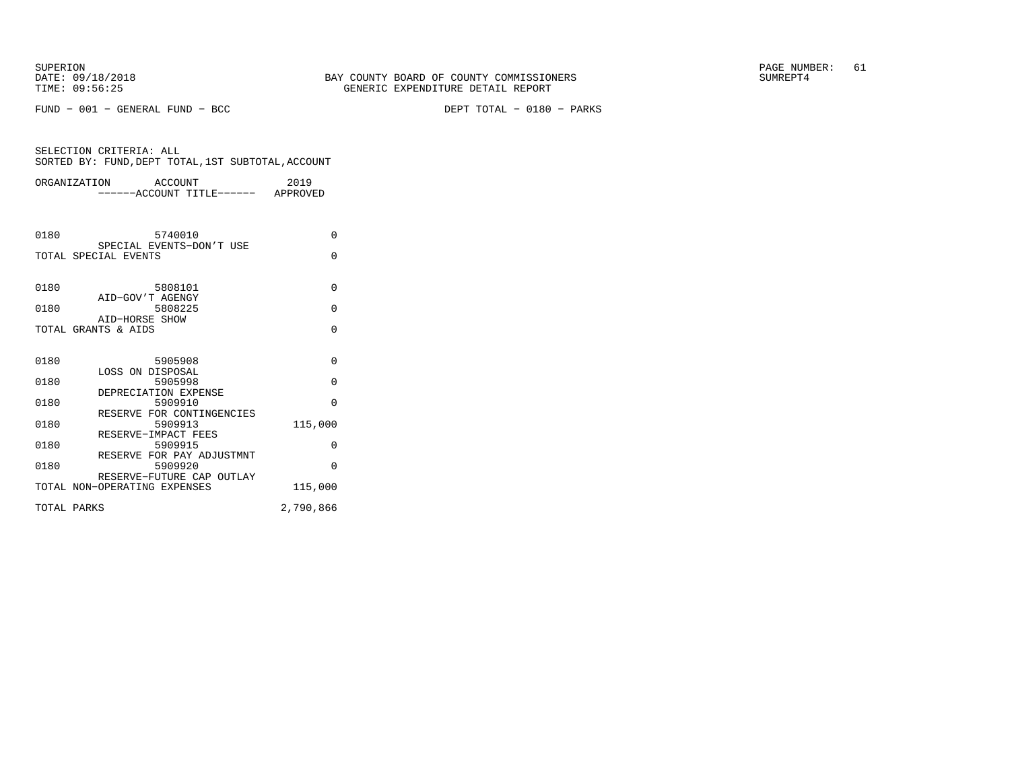FUND − 001 − GENERAL FUND − BCC DEPT TOTAL − 0180 − PARKS

|             | ORGANIZATION ACCOUNT<br>------ACCOUNT TITLE------ APPROVED | 2019      |
|-------------|------------------------------------------------------------|-----------|
|             |                                                            |           |
| 0180        | 5740010                                                    | $\Omega$  |
|             | SPECIAL EVENTS-DON'T USE<br>TOTAL SPECIAL EVENTS           | $\Omega$  |
| 0180        | 5808101                                                    | $\Omega$  |
| 0180        | AID-GOV'T AGENGY<br>5808225<br>AID-HORSE SHOW              | $\Omega$  |
|             | TOTAL GRANTS & AIDS                                        | $\Omega$  |
| 0180        | 5905908                                                    | $\Omega$  |
| 0180        | LOSS ON DISPOSAL<br>5905998<br>DEPRECIATION EXPENSE        | $\Omega$  |
| 0180        | 5909910<br>RESERVE FOR CONTINGENCIES                       | $\Omega$  |
| 0180        | 5909913<br>RESERVE-IMPACT FEES                             | 115,000   |
| 0180        | 5909915<br>RESERVE FOR PAY ADJUSTMNT                       | $\Omega$  |
| 0180        | 5909920<br>RESERVE-FUTURE CAP OUTLAY                       | $\Omega$  |
|             | TOTAL NON-OPERATING EXPENSES                               | 115,000   |
| TOTAL PARKS |                                                            | 2,790,866 |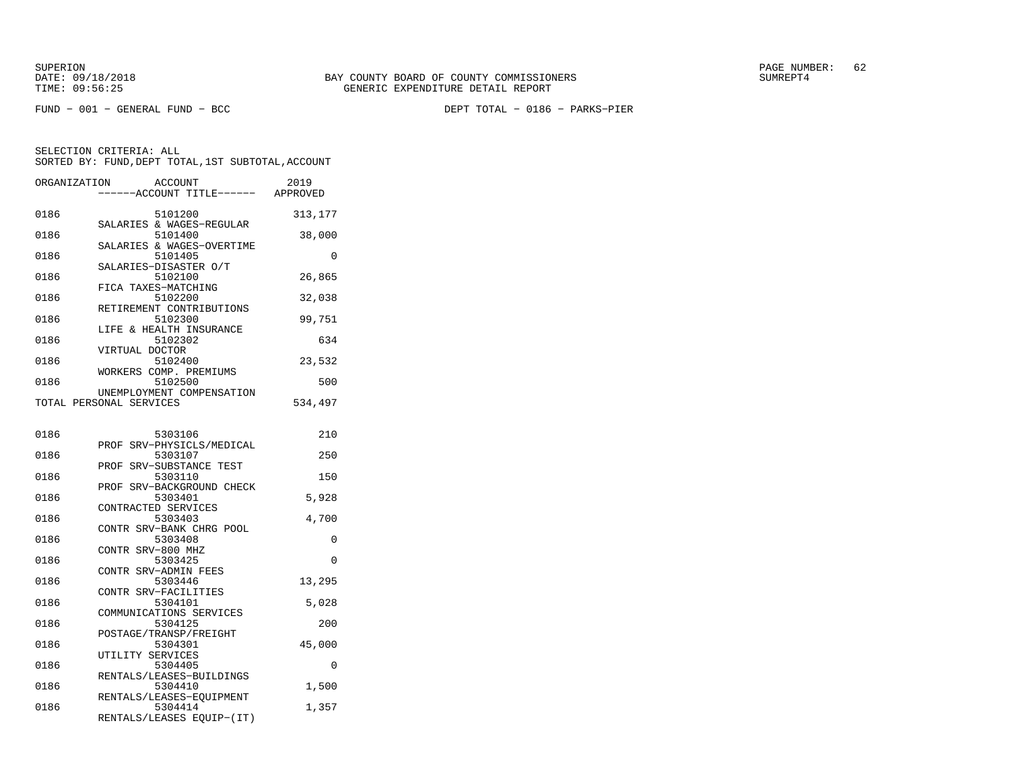FUND − 001 − GENERAL FUND − BCC DEPT TOTAL − 0186 − PARKS−PIER

| ORGANIZATION | ACCOUNT<br>---ACCOUNT TITLE------                    | 2019<br>APPROVED |
|--------------|------------------------------------------------------|------------------|
| 0186         | 5101200<br>SALARIES & WAGES-REGULAR                  | 313,177          |
| 0186         | 5101400                                              | 38,000           |
| 0186         | SALARIES & WAGES-OVERTIME<br>5101405                 | $\Omega$         |
| 0186         | SALARIES-DISASTER O/T<br>5102100                     | 26,865           |
| 0186         | FICA TAXES-MATCHING<br>5102200                       | 32,038           |
| 0186         | RETIREMENT CONTRIBUTIONS<br>5102300                  | 99,751           |
| 0186         | LIFE & HEALTH INSURANCE<br>5102302                   | 634              |
| 0186         | VIRTUAL DOCTOR<br>5102400                            | 23,532           |
| 0186         | WORKERS COMP. PREMIUMS<br>5102500                    | 500              |
|              | UNEMPLOYMENT COMPENSATION<br>TOTAL PERSONAL SERVICES | 534,497          |
| 0186         | 5303106                                              | 210              |
| 0186         | PROF SRV-PHYSICLS/MEDICAL<br>5303107                 | 250              |
| 0186         | SRV-SUBSTANCE TEST<br>PROF<br>5303110                | 150              |
| 0186         | PROF SRV-BACKGROUND CHECK<br>5303401                 | 5,928            |
| 0186         | CONTRACTED SERVICES<br>5303403                       | 4,700            |
| 0186         | CONTR SRV-BANK CHRG POOL<br>5303408                  | 0                |
| 0186         | CONTR SRV-800 MHZ<br>5303425                         | 0                |
| 0186         | CONTR<br>SRV-ADMIN FEES<br>5303446                   | 13,295           |
| 0186         | CONTR SRV-FACILITIES<br>5304101                      | 5,028            |
| 0186         | COMMUNICATIONS SERVICES<br>5304125                   | 200              |
| 0186         | POSTAGE/TRANSP/FREIGHT<br>5304301                    | 45,000           |
| 0186         | UTILITY SERVICES<br>5304405                          | 0                |
| 0186         | RENTALS/LEASES-BUILDINGS<br>5304410                  | 1,500            |
| 0186         | RENTALS/LEASES-EQUIPMENT<br>5304414                  | 1,357            |
|              | RENTALS/LEASES EQUIP-(IT)                            |                  |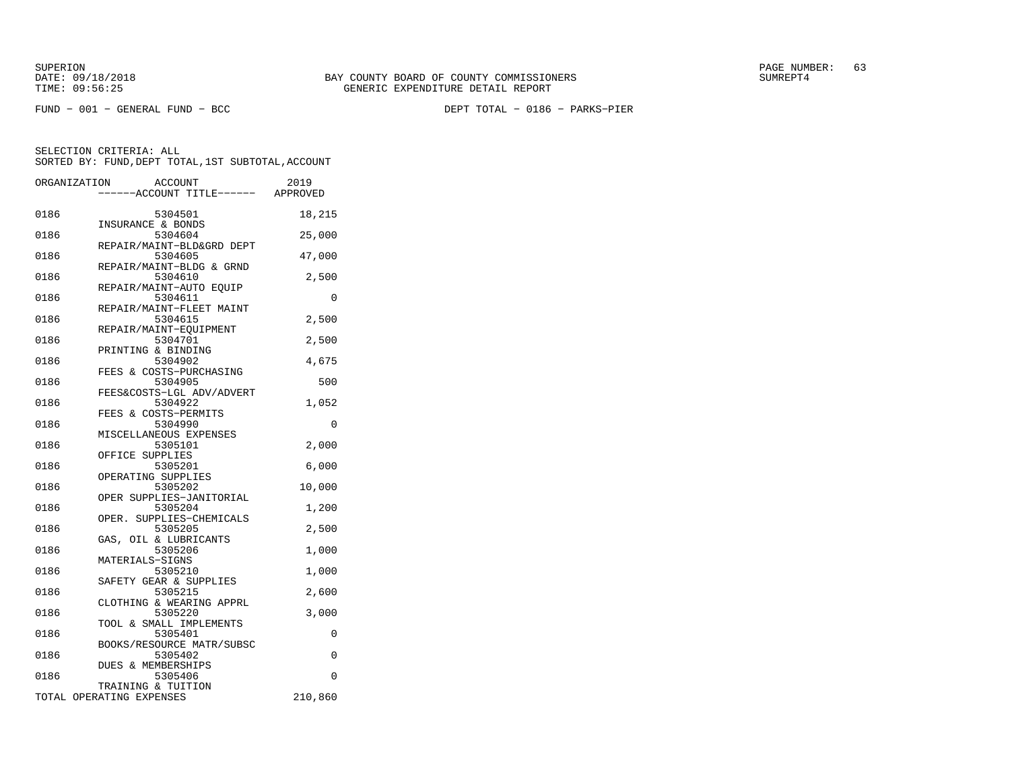FUND − 001 − GENERAL FUND − BCC DEPT TOTAL − 0186 − PARKS−PIER

| ORGANIZATION | ACCOUNT<br>----ACCOUNT TITLE------ APPROVED    | 2019     |
|--------------|------------------------------------------------|----------|
| 0186         | 5304501                                        | 18,215   |
| 0186         | INSURANCE & BONDS<br>5304604                   | 25,000   |
| 0186         | REPAIR/MAINT-BLD&GRD DEPT<br>5304605           | 47,000   |
| 0186         | REPAIR/MAINT-BLDG & GRND<br>5304610            | 2,500    |
| 0186         | REPAIR/MAINT-AUTO EOUIP<br>5304611             | 0        |
| 0186         | REPAIR/MAINT-FLEET MAINT<br>5304615            | 2,500    |
| 0186         | REPAIR/MAINT-EQUIPMENT<br>5304701              | 2,500    |
| 0186         | PRINTING & BINDING<br>5304902                  | 4,675    |
| 0186         | FEES & COSTS-PURCHASING<br>5304905             | 500      |
| 0186         | FEES&COSTS-LGL ADV/ADVERT<br>5304922           | 1,052    |
| 0186         | FEES & COSTS-PERMITS<br>5304990                | $\Omega$ |
| 0186         | MISCELLANEOUS EXPENSES<br>5305101              | 2,000    |
| 0186         | OFFICE SUPPLIES<br>5305201                     | 6,000    |
| 0186         | OPERATING SUPPLIES<br>5305202                  | 10,000   |
| 0186         | OPER SUPPLIES-JANITORIAL<br>5305204            | 1,200    |
| 0186         | OPER. SUPPLIES-CHEMICALS<br>5305205            | 2,500    |
| 0186         | GAS, OIL & LUBRICANTS<br>5305206               | 1,000    |
| 0186         | MATERIALS-SIGNS<br>5305210                     | 1,000    |
| 0186         | SAFETY GEAR & SUPPLIES<br>5305215              | 2,600    |
| 0186         | CLOTHING & WEARING APPRL<br>5305220            | 3,000    |
| 0186         | TOOL & SMALL IMPLEMENTS<br>5305401             | 0        |
| 0186         | BOOKS/RESOURCE MATR/SUBSC<br>5305402           | $\Omega$ |
| 0186         | DUES & MEMBERSHIPS<br>5305406                  | $\Omega$ |
|              | TRAINING & TUITION<br>TOTAL OPERATING EXPENSES | 210,860  |
|              |                                                |          |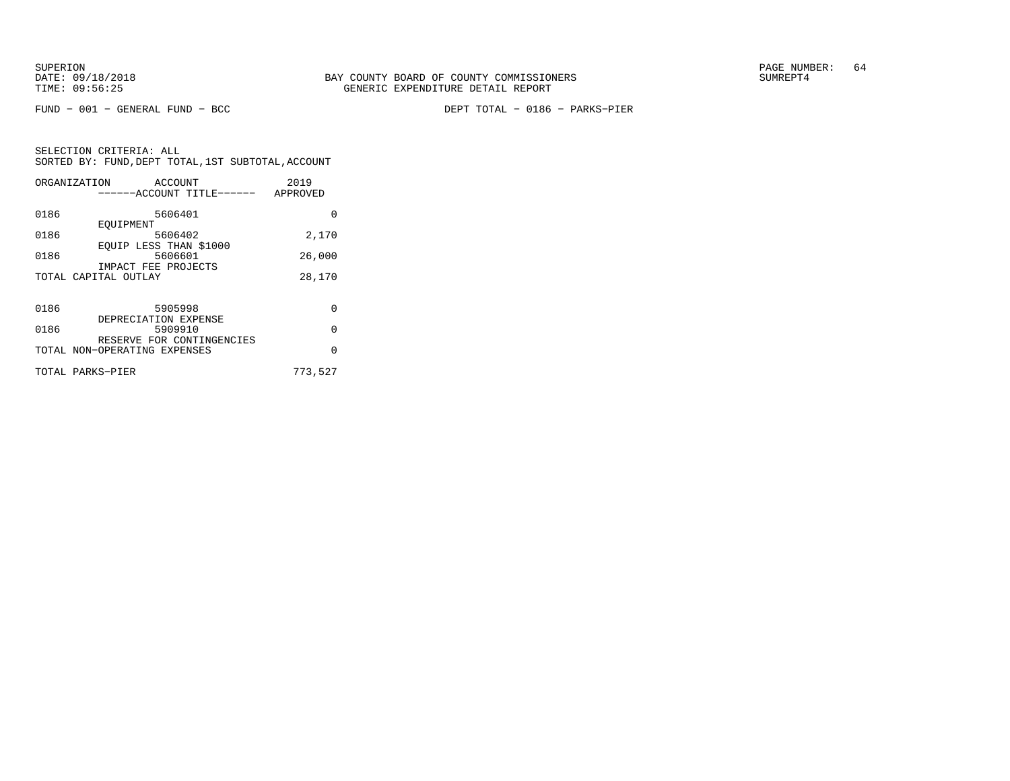FUND − 001 − GENERAL FUND − BCC DEPT TOTAL − 0186 − PARKS−PIER

| ORGANIZATION | ACCOUNT                      | 2019     |
|--------------|------------------------------|----------|
|              | ------ACCOUNT TITLE------    | APPROVED |
| 0186         | 5606401                      | 0        |
|              | EOUIPMENT                    |          |
| 0186         | 5606402                      | 2,170    |
|              | EQUIP LESS THAN \$1000       |          |
| 0186         | 5606601                      | 26,000   |
|              | IMPACT FEE PROJECTS          |          |
|              | TOTAL CAPITAL OUTLAY         | 28,170   |
|              |                              |          |
| 0186         | 5905998                      | $\Omega$ |
|              | DEPRECIATION EXPENSE         |          |
| 0186         | 5909910                      | $\Omega$ |
|              | RESERVE FOR CONTINGENCIES    |          |
|              | TOTAL NON-OPERATING EXPENSES | $\Omega$ |
|              | TOTAL PARKS-PIER             | 773,527  |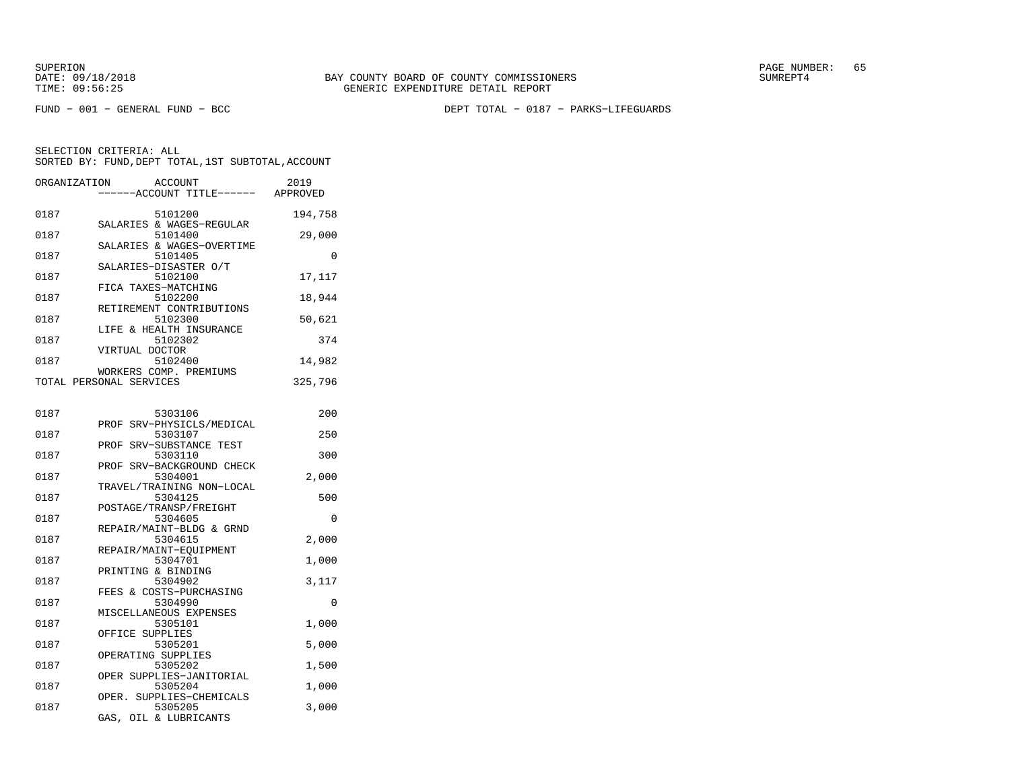SUPERION PAGE NUMBER: 65

FUND − 001 − GENERAL FUND − BCC DEPT TOTAL − 0187 − PARKS−LIFEGUARDS

| ORGANIZATION | <b>ACCOUNT</b><br>---ACCOUNT TITLE------          | 2019<br>APPROVED |
|--------------|---------------------------------------------------|------------------|
| 0187         | 5101200<br>SALARIES & WAGES-REGULAR               | 194,758          |
| 0187         | 5101400<br>SALARIES & WAGES-OVERTIME              | 29,000           |
| 0187         | 5101405                                           | $\Omega$         |
| 0187         | SALARIES-DISASTER O/T<br>5102100                  | 17,117           |
| 0187         | FICA TAXES-MATCHING<br>5102200                    | 18,944           |
| 0187         | RETIREMENT CONTRIBUTIONS<br>5102300               | 50,621           |
| 0187         | LIFE & HEALTH INSURANCE<br>5102302                | 374              |
| 0187         | VIRTUAL DOCTOR<br>5102400                         | 14,982           |
|              | WORKERS COMP. PREMIUMS<br>TOTAL PERSONAL SERVICES | 325,796          |
|              |                                                   |                  |
| 0187         | 5303106<br>SRV-PHYSICLS/MEDICAL<br>PROF           | 200              |
| 0187         | 5303107<br>PROF SRV-SUBSTANCE TEST                | 250              |
| 0187         | 5303110<br>PROF SRV-BACKGROUND CHECK              | 300              |
| 0187         | 5304001                                           | 2,000            |
| 0187         | TRAVEL/TRAINING NON-LOCAL<br>5304125              | 500              |
| 0187         | POSTAGE/TRANSP/FREIGHT<br>5304605                 | 0                |
| 0187         | REPAIR/MAINT-BLDG & GRND<br>5304615               | 2,000            |
| 0187         | REPAIR/MAINT-EQUIPMENT<br>5304701                 | 1,000            |
| 0187         | PRINTING & BINDING<br>5304902                     | 3,117            |
| 0187         | FEES & COSTS-PURCHASING<br>5304990                | 0                |
| 0187         | MISCELLANEOUS EXPENSES<br>5305101                 | 1,000            |
| 0187         | OFFICE SUPPLIES<br>5305201                        | 5,000            |
| 0187         | OPERATING SUPPLIES<br>5305202                     | 1,500            |
| 0187         | OPER SUPPLIES-JANITORIAL<br>5305204               | 1,000            |
| 0187         | OPER. SUPPLIES-CHEMICALS<br>5305205               | 3,000            |
|              | GAS, OIL & LUBRICANTS                             |                  |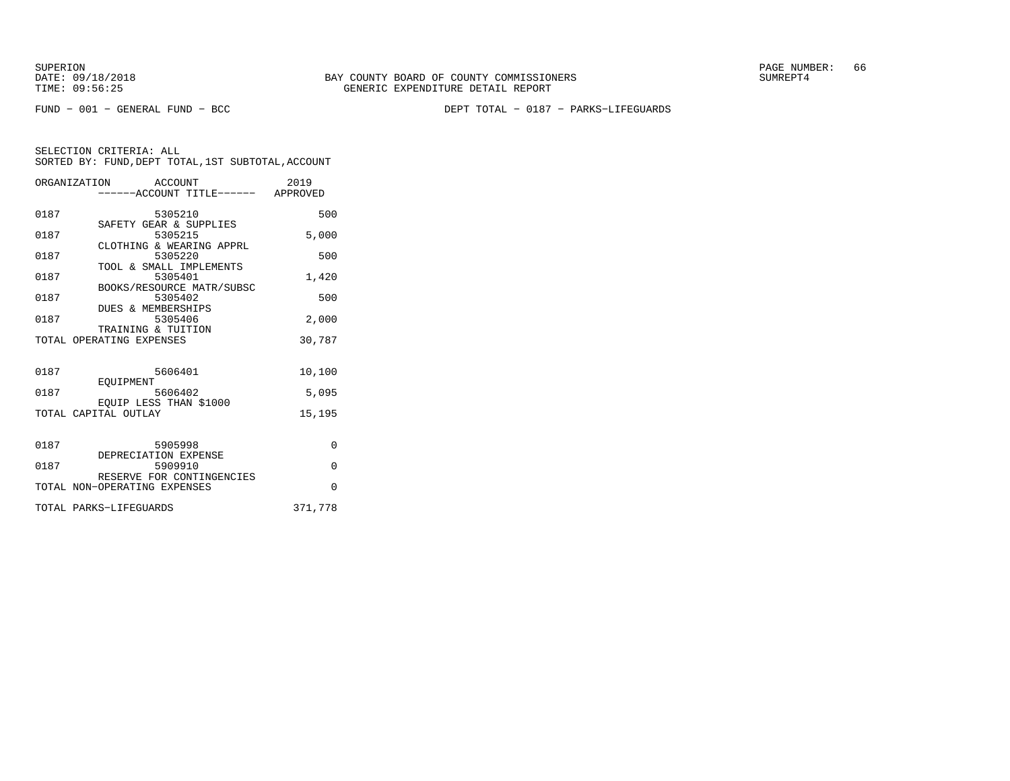FUND − 001 − GENERAL FUND − BCC DEPT TOTAL − 0187 − PARKS−LIFEGUARDS

|      | ORGANIZATION ACCOUNT<br>------ACCOUNT TITLE------ APPROVED | 2019     |
|------|------------------------------------------------------------|----------|
| 0187 | 5305210                                                    | 500      |
| 0187 | SAFETY GEAR & SUPPLIES<br>5305215                          | 5,000    |
| 0187 | CLOTHING & WEARING APPRL<br>5305220                        | 500      |
| 0187 | TOOL & SMALL IMPLEMENTS<br>5305401                         | 1,420    |
| 0187 | BOOKS/RESOURCE MATR/SUBSC<br>5305402                       | 500      |
| 0187 | DUES & MEMBERSHIPS<br>5305406                              | 2,000    |
|      | TRAINING & TUITION<br>TOTAL OPERATING EXPENSES             | 30,787   |
|      |                                                            |          |
| 0187 | 5606401<br>EOUIPMENT                                       | 10,100   |
| 0187 | 5606402<br>EQUIP LESS THAN \$1000                          | 5,095    |
|      | TOTAL CAPITAL OUTLAY                                       | 15,195   |
|      |                                                            |          |
| 0187 | 5905998<br>DEPRECIATION EXPENSE                            | $\Omega$ |
| 0187 | 5909910<br>RESERVE FOR CONTINGENCIES                       | $\Omega$ |
|      | TOTAL NON-OPERATING EXPENSES                               | $\Omega$ |
|      | TOTAL PARKS-LIFEGUARDS                                     | 371,778  |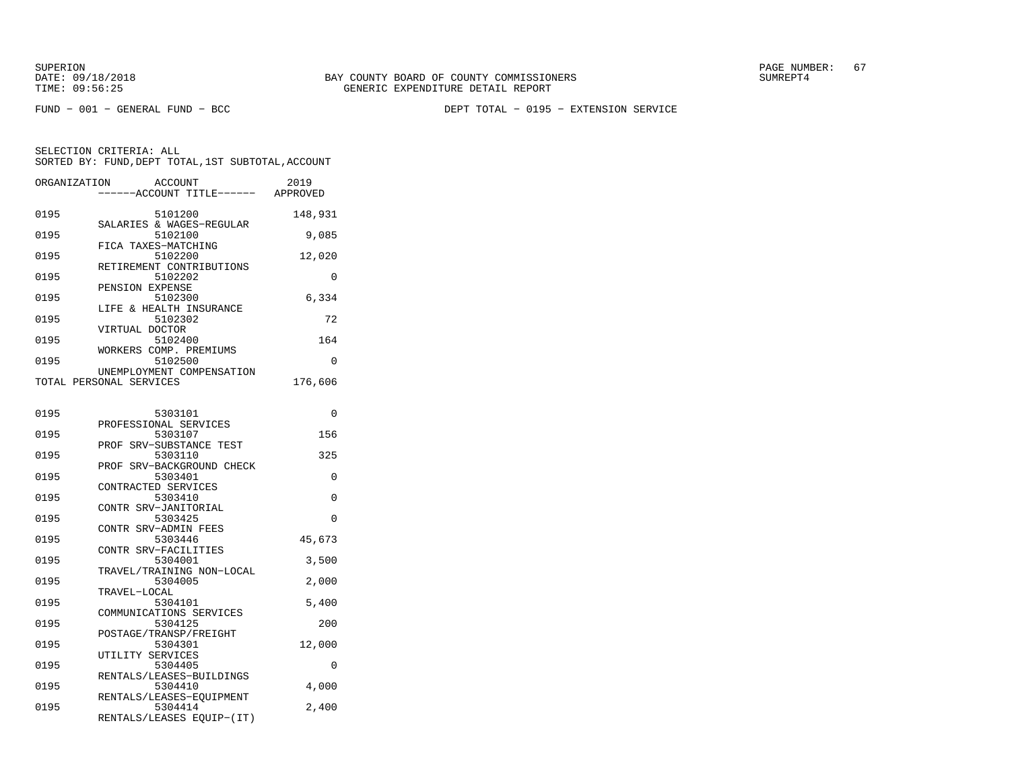SUPERION PAGE NUMBER: 67

FUND − 001 − GENERAL FUND − BCC DEPT TOTAL − 0195 − EXTENSION SERVICE

| ORGANIZATION | <b>ACCOUNT</b><br>---ACCOUNT TITLE------ APPROVED                | 2019     |
|--------------|------------------------------------------------------------------|----------|
| 0195         | 5101200<br>SALARIES & WAGES-REGULAR                              | 148,931  |
| 0195         | 5102100<br>FICA TAXES-MATCHING                                   | 9,085    |
| 0195         | 5102200                                                          | 12,020   |
| 0195         | RETIREMENT CONTRIBUTIONS<br>5102202                              | $\Omega$ |
| 0195         | PENSION EXPENSE<br>5102300                                       | 6,334    |
| 0195         | LIFE & HEALTH INSURANCE<br>5102302                               | 72       |
| 0195         | VIRTUAL DOCTOR<br>5102400                                        | 164      |
| 0195         | WORKERS COMP. PREMIUMS<br>5102500                                | 0        |
|              | UNEMPLOYMENT COMPENSATION<br>TOTAL PERSONAL SERVICES             | 176,606  |
| 0195         | 5303101                                                          | 0        |
|              | PROFESSIONAL SERVICES                                            |          |
| 0195         | 5303107<br>PROF SRV-SUBSTANCE TEST                               | 156      |
| 0195         | 5303110<br>PROF SRV-BACKGROUND CHECK                             | 325      |
| 0195         | 5303401<br>CONTRACTED SERVICES                                   | $\Omega$ |
| 0195         | 5303410<br>CONTR SRV-JANITORIAL                                  | 0        |
| 0195         | 5303425<br>CONTR SRV-ADMIN FEES                                  | 0        |
| 0195         | 5303446<br>CONTR SRV-FACILITIES                                  | 45,673   |
| 0195         | 5304001<br>TRAVEL/TRAINING NON-LOCAL                             | 3,500    |
| 0195         | 5304005                                                          | 2,000    |
| 0195         | TRAVEL-LOCAL<br>5304101                                          | 5,400    |
| 0195         | COMMUNICATIONS SERVICES<br>5304125                               | 200      |
| 0195         | POSTAGE/TRANSP/FREIGHT<br>5304301                                | 12,000   |
| 0195         | UTILITY SERVICES<br>5304405                                      | 0        |
| 0195         | RENTALS/LEASES-BUILDINGS<br>5304410                              | 4,000    |
| 0195         | RENTALS/LEASES-EOUIPMENT<br>5304414<br>RENTALS/LEASES EQUIP-(IT) | 2,400    |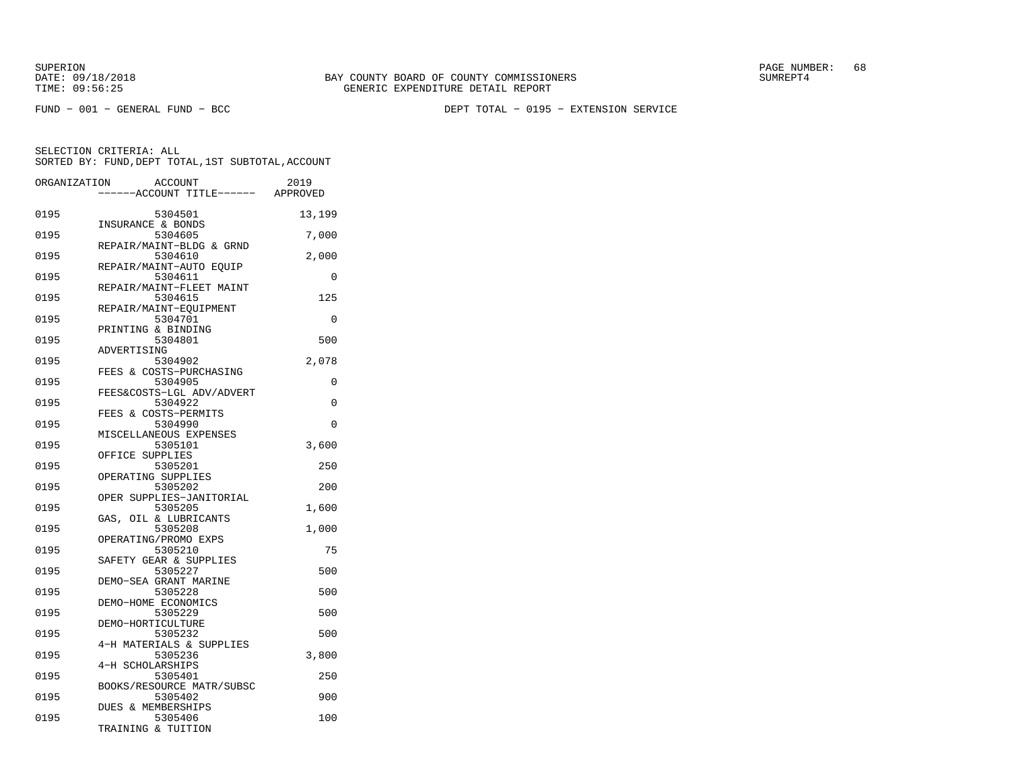SUPERION PAGE NUMBER: 68

FUND − 001 − GENERAL FUND − BCC DEPT TOTAL − 0195 − EXTENSION SERVICE

| ORGANIZATION | <b>ACCOUNT</b><br>---ACCOUNT TITLE------ APPROVED | 2019        |
|--------------|---------------------------------------------------|-------------|
| 0195         | 5304501<br>INSURANCE & BONDS                      | 13,199      |
| 0195         | 5304605<br>REPAIR/MAINT-BLDG & GRND               | 7,000       |
| 0195         | 5304610<br>REPAIR/MAINT-AUTO EOUIP                | 2,000       |
| 0195         | 5304611<br>REPAIR/MAINT-FLEET MAINT               | 0           |
| 0195         | 5304615<br>REPAIR/MAINT-EOUIPMENT                 | 125         |
| 0195         | 5304701<br>PRINTING & BINDING                     | $\mathbf 0$ |
| 0195         | 5304801<br>ADVERTISING                            | 500         |
| 0195         | 5304902<br>FEES & COSTS-PURCHASING                | 2,078       |
| 0195         | 5304905<br>FEES&COSTS-LGL ADV/ADVERT              | 0           |
| 0195         | 5304922<br>FEES & COSTS-PERMITS                   | 0           |
| 0195         | 5304990<br>MISCELLANEOUS EXPENSES                 | 0           |
| 0195         | 5305101<br>OFFICE SUPPLIES                        | 3,600       |
| 0195         | 5305201<br>OPERATING SUPPLIES                     | 250         |
| 0195         | 5305202<br>OPER SUPPLIES-JANITORIAL               | 200         |
| 0195         | 5305205<br>GAS, OIL & LUBRICANTS                  | 1,600       |
| 0195         | 5305208<br>OPERATING/PROMO EXPS                   | 1,000       |
| 0195         | 5305210<br>SAFETY GEAR & SUPPLIES                 | 75          |
| 0195         | 5305227<br>DEMO-SEA GRANT MARINE                  | 500         |
| 0195         | 5305228<br>DEMO-HOME ECONOMICS                    | 500         |
| 0195         | 5305229<br>DEMO-HORTICULTURE                      | 500         |
| 0195         | 5305232<br>4-H MATERIALS & SUPPLIES               | 500         |
| 0195         | 5305236<br>4-H SCHOLARSHIPS                       | 3,800       |
| 0195         | 5305401<br>BOOKS/RESOURCE MATR/SUBSC              | 250         |
| 0195         | 5305402<br><b>DUES &amp; MEMBERSHIPS</b>          | 900         |
| 0195         | 5305406<br>TRAINING & TUITION                     | 100         |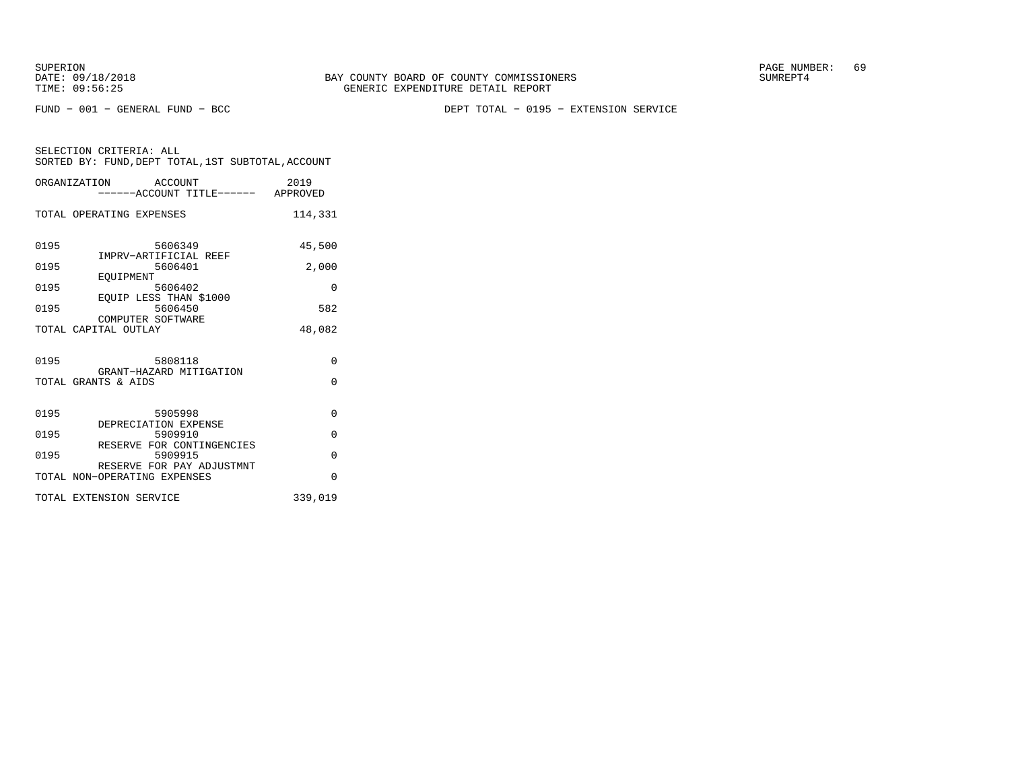SUPERION PAGE NUMBER: 69

FUND − 001 − GENERAL FUND − BCC DEPT TOTAL − 0195 − EXTENSION SERVICE

|      | ORGANIZATION ACCOUNT<br>------ACCOUNT TITLE------ APPROVED | 2019                 |
|------|------------------------------------------------------------|----------------------|
|      | TOTAL OPERATING EXPENSES                                   | 114,331              |
| 0195 | 5606349<br>IMPRV-ARTIFICIAL REEF                           | 45,500               |
| 0195 | 5606401<br>EOUIPMENT                                       | 2,000                |
| 0195 | 5606402<br>EQUIP LESS THAN \$1000                          | $\Omega$             |
| 0195 | 5606450<br>COMPUTER SOFTWARE                               | 582                  |
|      | TOTAL CAPITAL OUTLAY                                       | 48,082               |
| 0195 | 5808118<br>GRANT-HAZARD MITIGATION<br>TOTAL GRANTS & AIDS  | $\Omega$<br>$\Omega$ |
| 0195 | 5905998<br>DEPRECIATION EXPENSE                            | $\Omega$             |
| 0195 | 5909910<br>RESERVE FOR CONTINGENCIES                       | $\Omega$             |
| 0195 | 5909915<br>RESERVE FOR PAY ADJUSTMNT                       | $\Omega$             |
|      | TOTAL NON-OPERATING EXPENSES                               | $\Omega$             |
|      | TOTAL EXTENSION SERVICE                                    | 339,019              |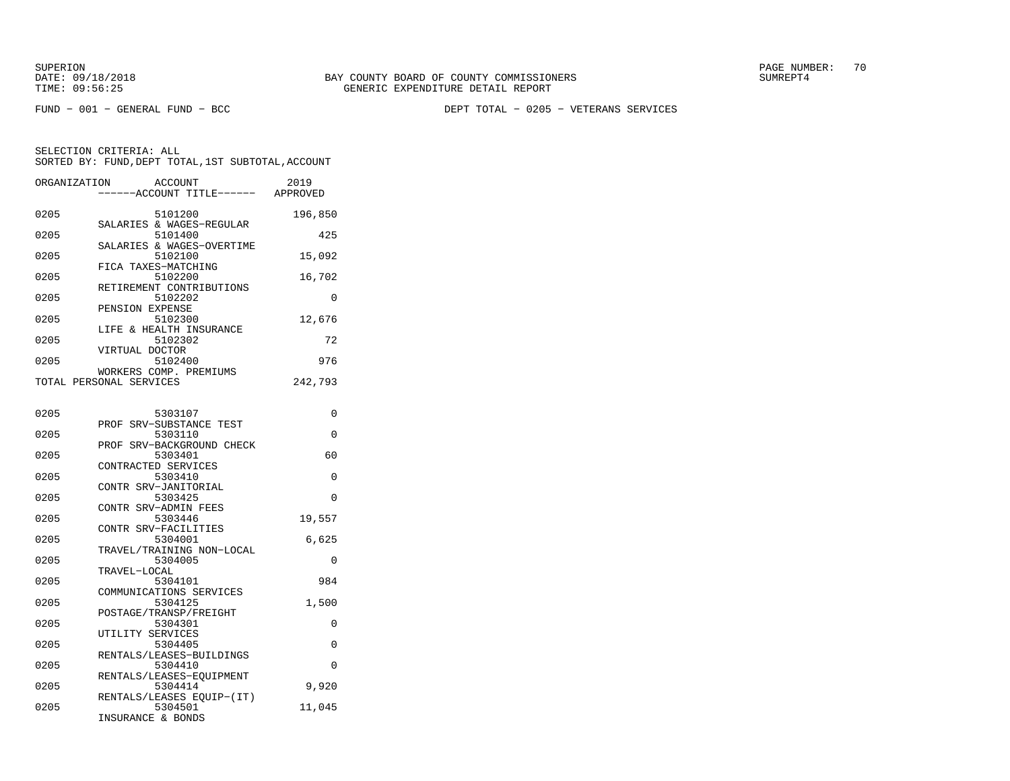FUND − 001 − GENERAL FUND − BCC DEPT TOTAL − 0205 − VETERANS SERVICES

| ORGANIZATION | <b>ACCOUNT</b>                      | 2019     |
|--------------|-------------------------------------|----------|
|              | ----ACCOUNT TITLE------             | APPROVED |
| 0205         | 5101200                             | 196,850  |
|              | SALARIES & WAGES-REGULAR            |          |
| 0205         | 5101400                             | 425      |
|              | SALARIES & WAGES-OVERTIME           |          |
| 0205         | 5102100                             | 15,092   |
| 0205         | FICA TAXES-MATCHING<br>5102200      | 16,702   |
|              | RETIREMENT CONTRIBUTIONS            |          |
| 0205         | 5102202                             | 0        |
|              | PENSION EXPENSE                     |          |
| 0205         | 5102300                             | 12,676   |
|              | LIFE & HEALTH INSURANCE             |          |
| 0205         | 5102302                             | 72       |
| 0205         | VIRTUAL DOCTOR<br>5102400           | 976      |
|              | WORKERS COMP. PREMIUMS              |          |
|              | TOTAL PERSONAL SERVICES             | 242,793  |
|              |                                     |          |
|              |                                     |          |
| 0205         | 5303107                             | $\Omega$ |
| 0205         | PROF SRV-SUBSTANCE TEST<br>5303110  | 0        |
|              | PROF SRV-BACKGROUND CHECK           |          |
| 0205         | 5303401                             | 60       |
|              | CONTRACTED SERVICES                 |          |
| 0205         | 5303410                             | 0        |
|              | CONTR SRV-JANITORIAL                |          |
| 0205         | 5303425                             | $\Omega$ |
| 0205         | CONTR SRV-ADMIN FEES<br>5303446     | 19,557   |
|              | CONTR SRV-FACILITIES                |          |
| 0205         | 5304001                             | 6,625    |
|              | TRAVEL/TRAINING NON-LOCAL           |          |
| 0205         | 5304005                             | $\Omega$ |
|              | TRAVEL-LOCAL                        |          |
| 0205         | 5304101<br>COMMUNICATIONS SERVICES  | 984      |
| 0205         | 5304125                             | 1,500    |
|              | POSTAGE/TRANSP/FREIGHT              |          |
| 0205         | 5304301                             | 0        |
|              | UTILITY SERVICES                    |          |
| 0205         | 5304405                             | $\Omega$ |
|              | RENTALS/LEASES-BUILDINGS            |          |
| 0205         | 5304410<br>RENTALS/LEASES-EQUIPMENT | 0        |
| 0205         | 5304414                             | 9,920    |
|              | RENTALS/LEASES EQUIP-(IT)           |          |
| 0205         | 5304501                             | 11,045   |
|              | INSURANCE & RONDS                   |          |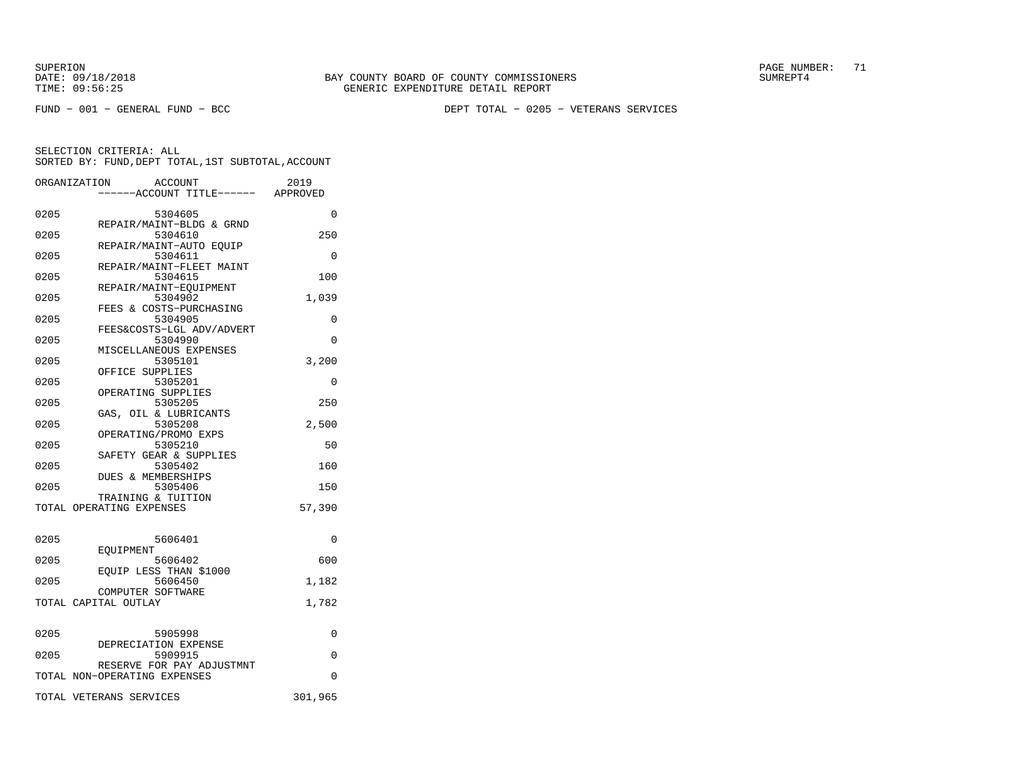SUPERION PAGE NUMBER: 71

FUND − 001 − GENERAL FUND − BCC DEPT TOTAL − 0205 − VETERANS SERVICES

|      | ORGANIZATION<br><b>ACCOUNT</b><br>---ACCOUNT TITLE------ APPROVED | 2019     |
|------|-------------------------------------------------------------------|----------|
| 0205 | 5304605                                                           | 0        |
| 0205 | REPAIR/MAINT-BLDG & GRND<br>5304610                               | 250      |
| 0205 | REPAIR/MAINT-AUTO EQUIP<br>5304611                                | $\Omega$ |
| 0205 | REPAIR/MAINT-FLEET MAINT<br>5304615                               | 100      |
| 0205 | REPAIR/MAINT-EQUIPMENT<br>5304902                                 | 1,039    |
| 0205 | FEES & COSTS-PURCHASING<br>5304905                                | 0        |
| 0205 | FEES&COSTS-LGL ADV/ADVERT<br>5304990                              | $\Omega$ |
| 0205 | MISCELLANEOUS EXPENSES<br>5305101                                 | 3,200    |
| 0205 | OFFICE SUPPLIES<br>5305201                                        | $\Omega$ |
| 0205 | OPERATING SUPPLIES<br>5305205                                     | 250      |
| 0205 | GAS, OIL & LUBRICANTS<br>5305208                                  | 2,500    |
| 0205 | OPERATING/PROMO EXPS<br>5305210                                   | 50       |
|      | SAFETY GEAR & SUPPLIES                                            |          |
| 0205 | 5305402<br><b>DUES &amp; MEMBERSHIPS</b>                          | 160      |
| 0205 | 5305406<br>TRAINING & TUITION                                     | 150      |
|      | TOTAL OPERATING EXPENSES                                          | 57,390   |
| 0205 | 5606401                                                           | 0        |
| 0205 | EOUIPMENT<br>5606402                                              | 600      |
| 0205 | EOUIP LESS THAN \$1000<br>5606450                                 | 1,182    |
|      | COMPUTER SOFTWARE<br>TOTAL CAPITAL OUTLAY                         | 1,782    |
|      |                                                                   |          |
| 0205 | 5905998<br>DEPRECIATION EXPENSE                                   | 0        |
| 0205 | 5909915                                                           | 0        |
|      | RESERVE FOR PAY ADJUSTMNT<br>TOTAL NON-OPERATING EXPENSES         | $\Omega$ |
|      | TOTAL VETERANS SERVICES                                           | 301,965  |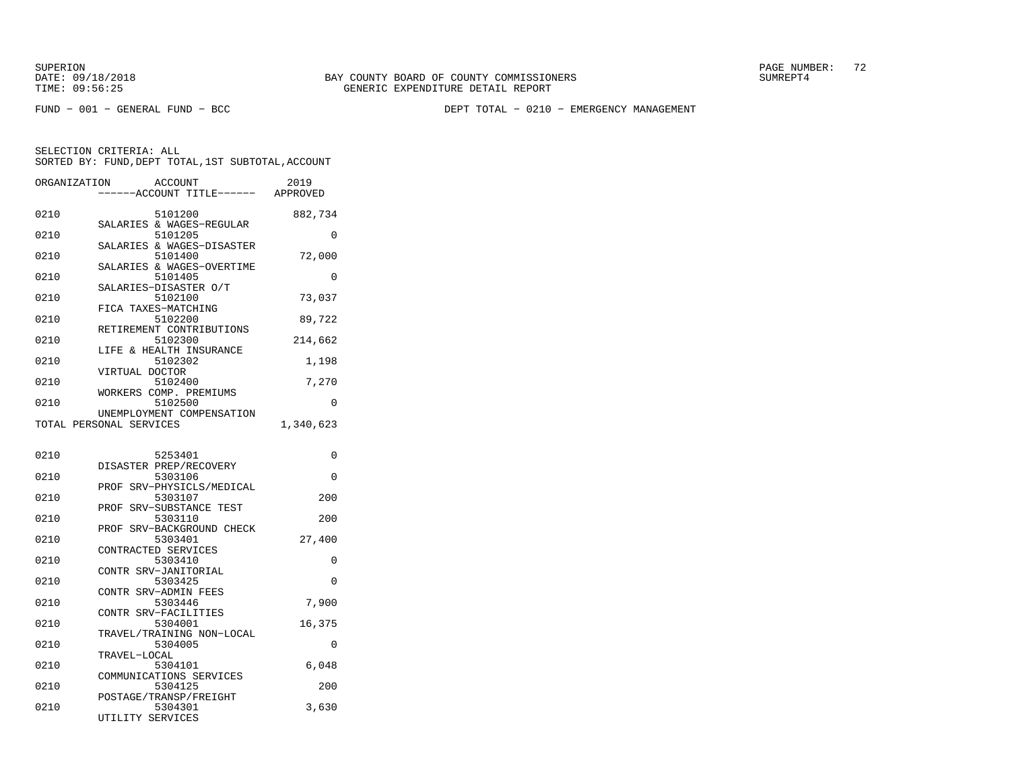SUPERION PAGE NUMBER: 72

FUND − 001 − GENERAL FUND − BCC DEPT TOTAL − 0210 − EMERGENCY MANAGEMENT

| ORGANIZATION<br>ACCOUNT<br>----ACCOUNT TITLE------ APPROVED   | 2019      |
|---------------------------------------------------------------|-----------|
| 0210<br>5101200                                               | 882,734   |
| SALARIES & WAGES-REGULAR<br>0210<br>5101205                   | 0         |
| SALARIES & WAGES-DISASTER<br>0210<br>5101400                  | 72,000    |
| SALARIES & WAGES-OVERTIME<br>0210<br>5101405                  | $\Omega$  |
| SALARIES-DISASTER O/T<br>0210<br>5102100                      | 73,037    |
| FICA TAXES-MATCHING<br>0210<br>5102200                        | 89,722    |
| RETIREMENT CONTRIBUTIONS<br>5102300<br>0210                   | 214,662   |
| LIFE & HEALTH INSURANCE<br>0210<br>5102302                    | 1,198     |
| VIRTUAL DOCTOR<br>5102400<br>0210                             | 7,270     |
| WORKERS COMP. PREMIUMS<br>5102500<br>0210                     | 0         |
| UNEMPLOYMENT COMPENSATION<br>TOTAL PERSONAL SERVICES          | 1,340,623 |
|                                                               |           |
| 0210<br>5253401<br>DISASTER PREP/RECOVERY                     | 0         |
| 0210<br>5303106<br>PROF SRV-PHYSICLS/MEDICAL                  | 0         |
| 0210<br>5303107<br>SRV-SUBSTANCE TEST<br>PROF                 | 200       |
| 0210<br>5303110<br>PROF SRV-BACKGROUND CHECK                  | 200       |
| 0210<br>5303401<br>CONTRACTED SERVICES                        | 27,400    |
| 0210<br>5303410<br>CONTR SRV-JANITORIAL                       | 0         |
| 0210<br>5303425<br>CONTR SRV-ADMIN FEES                       | $\Omega$  |
| 0210<br>5303446                                               | 7,900     |
| CONTR SRV-FACILITIES<br>0210<br>5304001                       | 16,375    |
| TRAVEL/TRAINING NON-LOCAL<br>0210<br>5304005                  | 0         |
| TRAVEL-LOCAL<br>0210<br>5304101                               | 6,048     |
| COMMUNICATIONS SERVICES<br>0210<br>5304125                    | 200       |
| POSTAGE/TRANSP/FREIGHT<br>0210<br>5304301<br>UTILITY SERVICES | 3,630     |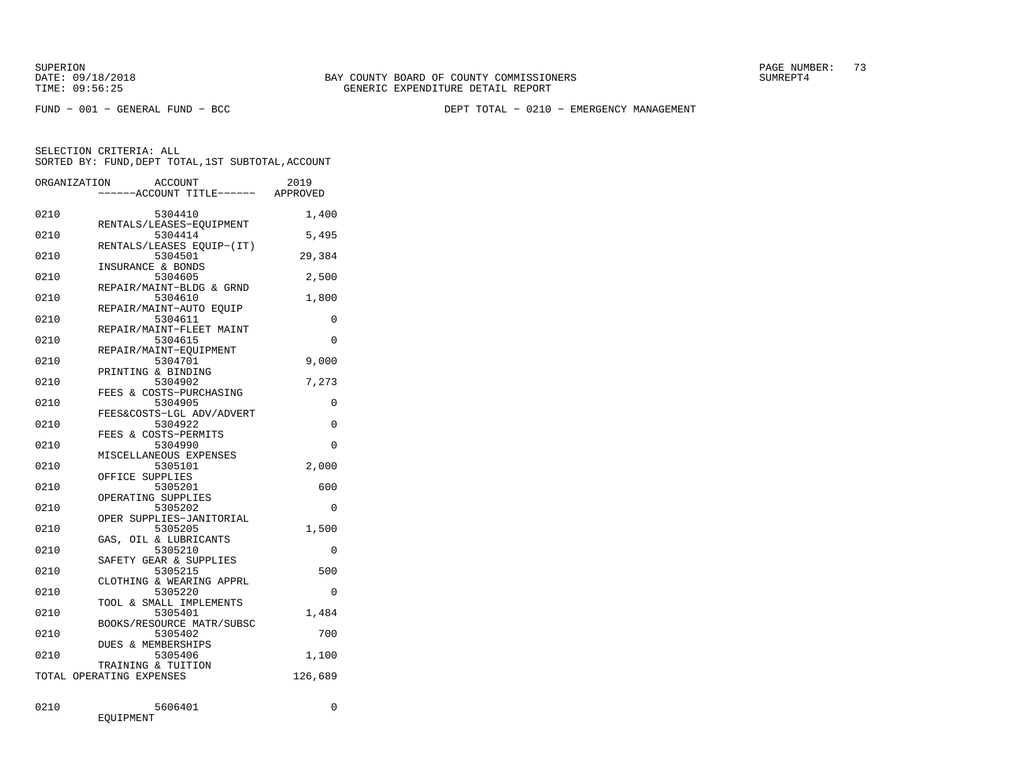DATE:  $09/18/2018$  SUMREPT4 TIME: 09:56:25 GENERIC EXPENDITURE DETAIL REPORT

SUPERION PAGE NUMBER: 73

FUND − 001 − GENERAL FUND − BCC DEPT TOTAL − 0210 − EMERGENCY MANAGEMENT

SELECTION CRITERIA: ALLSORTED BY: FUND,DEPT TOTAL,1ST SUBTOTAL,ACCOUNT

| ORGANIZATION | ACCOUNT<br>---ACCOUNT TITLE------ APPROVED | 2019     |
|--------------|--------------------------------------------|----------|
| 0210         | 5304410<br>RENTALS/LEASES-EOUIPMENT        | 1,400    |
| 0210         | 5304414                                    | 5,495    |
| 0210         | RENTALS/LEASES EQUIP-(IT)<br>5304501       | 29,384   |
| 0210         | INSURANCE & BONDS<br>5304605               | 2,500    |
| 0210         | REPAIR/MAINT-BLDG & GRND<br>5304610        | 1,800    |
| 0210         | REPAIR/MAINT-AUTO EQUIP<br>5304611         | 0        |
| 0210         | REPAIR/MAINT-FLEET MAINT<br>5304615        | $\Omega$ |
| 0210         | REPAIR/MAINT-EOUIPMENT<br>5304701          | 9,000    |
| 0210         | PRINTING & BINDING<br>5304902              | 7,273    |
| 0210         | FEES & COSTS-PURCHASING<br>5304905         | 0        |
| 0210         | FEES&COSTS-LGL ADV/ADVERT<br>5304922       | 0        |
| 0210         | FEES & COSTS-PERMITS<br>5304990            | $\Omega$ |
| 0210         | MISCELLANEOUS EXPENSES<br>5305101          | 2,000    |
| 0210         | OFFICE SUPPLIES<br>5305201                 | 600      |
| 0210         | OPERATING SUPPLIES<br>5305202              | $\Omega$ |
| 0210         | OPER SUPPLIES-JANITORIAL<br>5305205        | 1,500    |
| 0210         | GAS, OIL & LUBRICANTS<br>5305210           | 0        |
| 0210         | SAFETY GEAR & SUPPLIES<br>5305215          | 500      |
|              | CLOTHING & WEARING APPRL                   |          |
| 0210         | 5305220<br>TOOL & SMALL IMPLEMENTS         | 0        |
| 0210         | 5305401<br>BOOKS/RESOURCE MATR/SUBSC       | 1,484    |
| 0210         | 5305402<br><b>DUES &amp; MEMBERSHIPS</b>   | 700      |
| 0210         | 5305406<br>TRAINING & TUITION              | 1,100    |
|              | TOTAL OPERATING EXPENSES                   | 126,689  |
| 0210         | 5606401                                    | 0        |

EQUIPMENT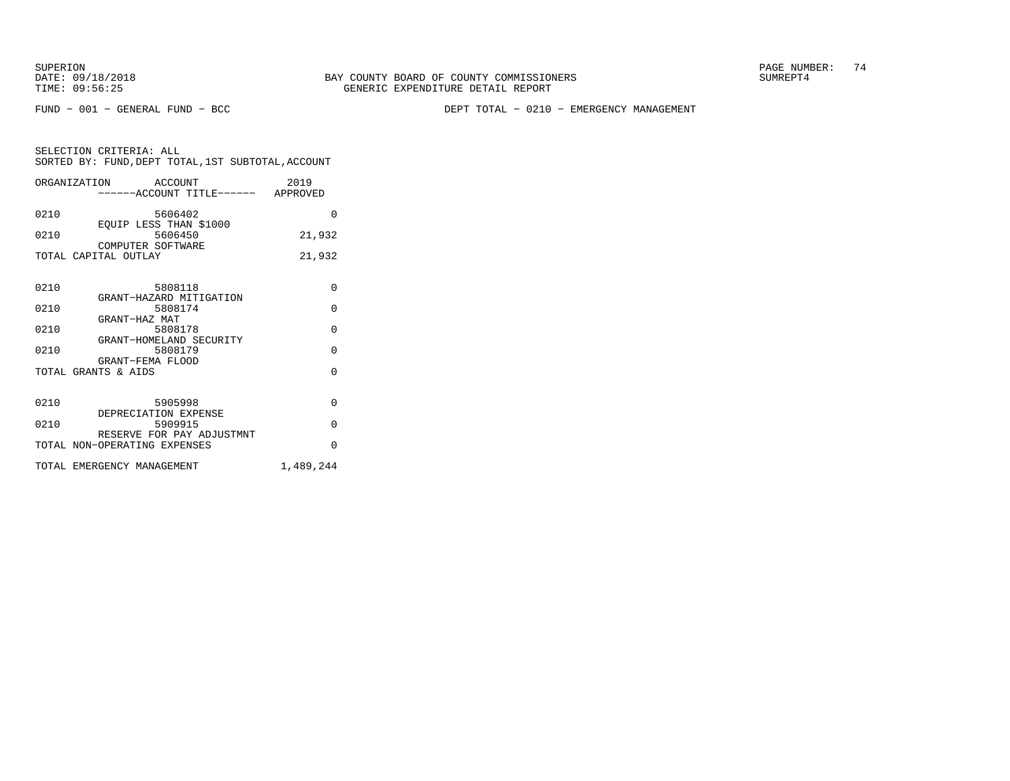DATE:  $09/18/2018$  SUMREPT4 TIME: 09:56:25 GENERIC EXPENDITURE DETAIL REPORT

SUPERION PAGE NUMBER: 74

FUND − 001 − GENERAL FUND − BCC DEPT TOTAL − 0210 − EMERGENCY MANAGEMENT

|      | ORGANIZATION ACCOUNT<br>-----ACCOUNT TITLE------ APPROVED | 2019      |
|------|-----------------------------------------------------------|-----------|
| 0210 | 5606402<br>EOUIP LESS THAN \$1000                         | $\Omega$  |
| 0210 | 5606450<br>COMPUTER SOFTWARE                              | 21,932    |
|      | TOTAL CAPITAL OUTLAY                                      | 21,932    |
| 0210 | 5808118<br>GRANT-HAZARD MITIGATION                        | $\Omega$  |
| 0210 | 5808174<br>GRANT-HAZ MAT                                  | $\Omega$  |
| 0210 | 5808178<br>GRANT-HOMELAND SECURITY                        | $\Omega$  |
| 0210 | 5808179<br>GRANT-FEMA FLOOD                               | $\Omega$  |
|      | TOTAL GRANTS & AIDS                                       | $\Omega$  |
| 0210 | 5905998<br>DEPRECIATION EXPENSE                           | $\Omega$  |
| 0210 | 5909915<br>RESERVE FOR PAY ADJUSTMNT                      | $\Omega$  |
|      | TOTAL NON-OPERATING EXPENSES                              | $\Omega$  |
|      | TOTAL EMERGENCY MANAGEMENT                                | 1,489,244 |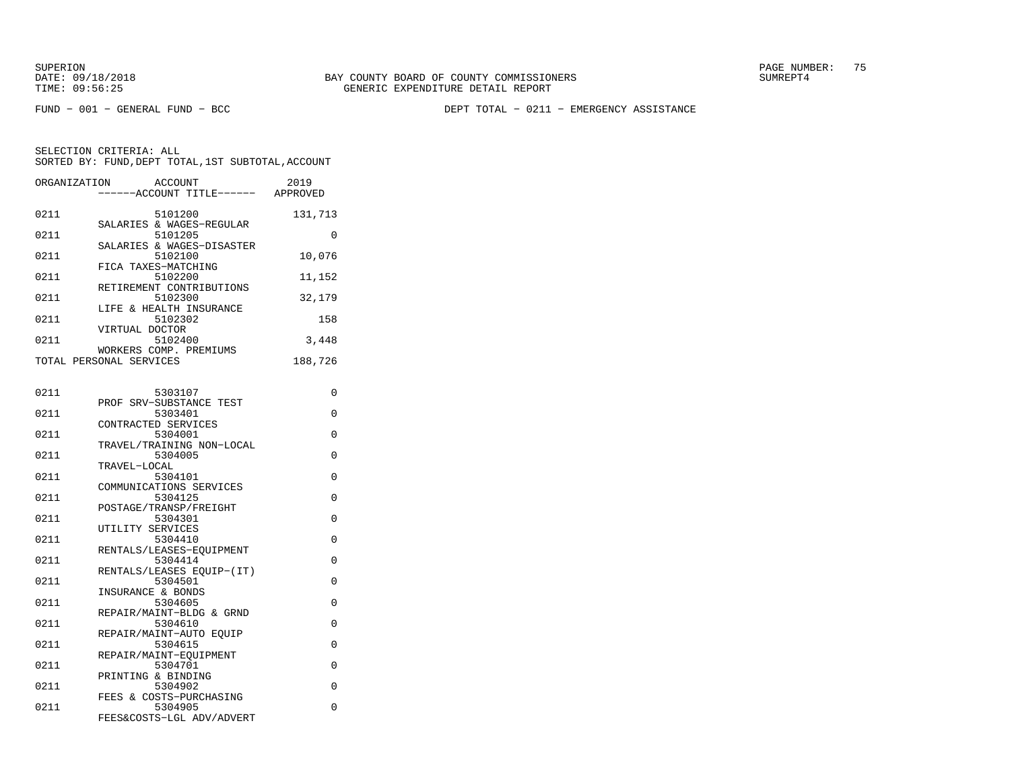FUND − 001 − GENERAL FUND − BCC DEPT TOTAL − 0211 − EMERGENCY ASSISTANCE

|      | ORGANIZATION ACCOUNT<br>-----ACCOUNT TITLE------  | 2019<br>APPROVED |
|------|---------------------------------------------------|------------------|
| 0211 | 5101200                                           | 131,713          |
| 0211 | SALARIES & WAGES-REGULAR<br>5101205               | $\Omega$         |
| 0211 | SALARIES & WAGES-DISASTER<br>5102100              | 10,076           |
| 0211 | FICA TAXES-MATCHING<br>5102200                    | 11,152           |
| 0211 | RETIREMENT CONTRIBUTIONS<br>5102300               | 32,179           |
| 0211 | LIFE & HEALTH INSURANCE<br>5102302                | 158              |
| 0211 | VIRTUAL DOCTOR<br>5102400                         | 3,448            |
|      | WORKERS COMP. PREMIUMS<br>TOTAL PERSONAL SERVICES |                  |
|      |                                                   | 188,726          |
| 0211 | 5303107                                           | U                |
| 0211 | PROF SRV-SUBSTANCE TEST<br>5303401                | U                |

| 0211 | 5303401                             | U        |
|------|-------------------------------------|----------|
|      | CONTRACTED SERVICES                 |          |
| 0211 | 5304001                             | $\Omega$ |
|      | TRAVEL/TRAINING NON-LOCAL           |          |
| 0211 | 5304005                             | $\Omega$ |
|      | TRAVEL-LOCAL                        |          |
| 0211 | 5304101                             | $\Omega$ |
|      | COMMUNICATIONS SERVICES             |          |
| 0211 | 5304125                             | $\Omega$ |
|      | POSTAGE/TRANSP/FREIGHT              |          |
| 0211 | 5304301                             | $\Omega$ |
|      | UTILITY SERVICES                    |          |
| 0211 | 5304410                             | $\Omega$ |
| 0211 | RENTALS/LEASES-EQUIPMENT<br>5304414 | $\Omega$ |
|      | RENTALS/LEASES EOUIP-(IT)           |          |
| 0211 | 5304501                             | $\Omega$ |
|      | INSURANCE & BONDS                   |          |
| 0211 | 5304605                             | $\Omega$ |
|      | REPAIR/MAINT-BLDG & GRND            |          |
| 0211 | 5304610                             | $\Omega$ |
|      | REPAIR/MAINT-AUTO EQUIP             |          |
| 0211 | 5304615                             | $\Omega$ |
|      | REPAIR/MAINT-EOUIPMENT              |          |
| 0211 | 5304701                             | $\Omega$ |
|      | PRINTING & BINDING                  |          |
| 0211 | 5304902                             | $\Omega$ |
|      | FEES & COSTS-PURCHASING             |          |
| 0211 | 5304905                             | $\Omega$ |
|      | FEES&COSTS-LGL ADV/ADVERT           |          |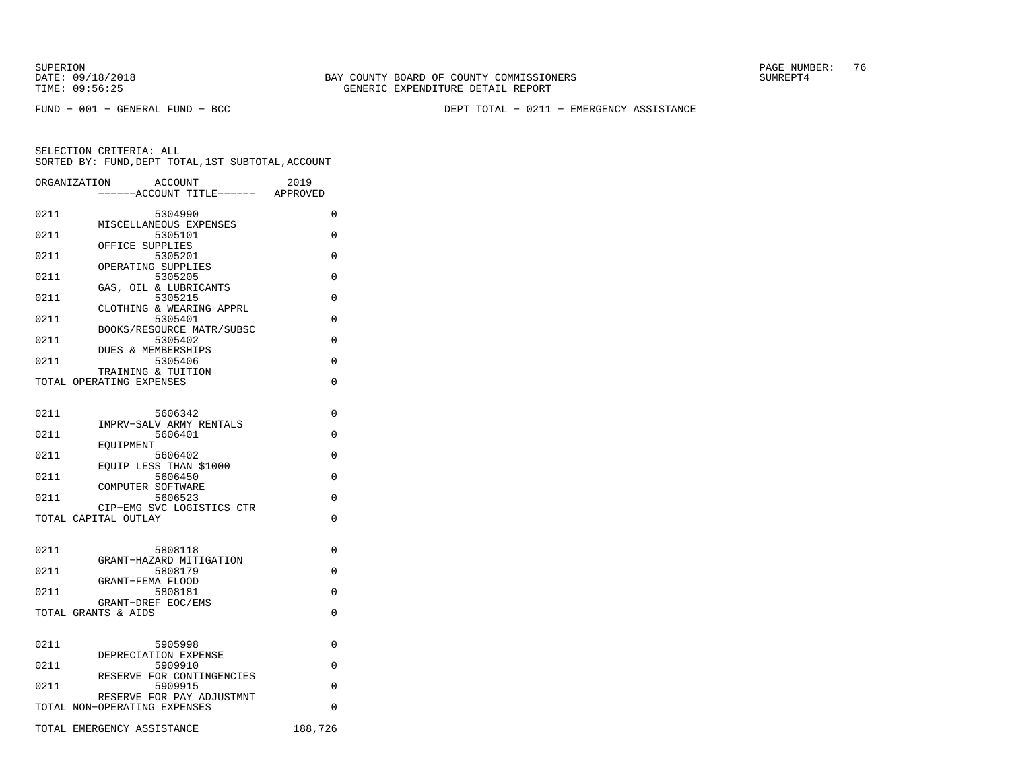FUND − 001 − GENERAL FUND − BCC DEPT TOTAL − 0211 − EMERGENCY ASSISTANCE

|      | ORGANIZATION                 | <b>ACCOUNT</b>                           |                           | 2019<br>---ACCOUNT TITLE------ APPROVED |
|------|------------------------------|------------------------------------------|---------------------------|-----------------------------------------|
|      |                              |                                          |                           |                                         |
| 0211 |                              | 5304990<br>MISCELLANEOUS EXPENSES        |                           | 0                                       |
| 0211 |                              | 5305101                                  |                           | 0                                       |
| 0211 |                              | OFFICE SUPPLIES<br>5305201               |                           | $\Omega$                                |
| 0211 |                              | OPERATING SUPPLIES<br>5305205            |                           | $\Omega$                                |
| 0211 |                              | GAS, OIL & LUBRICANTS<br>5305215         |                           | $\Omega$                                |
| 0211 |                              | 5305401                                  | CLOTHING & WEARING APPRL  | $\Omega$                                |
|      |                              |                                          | BOOKS/RESOURCE MATR/SUBSC |                                         |
| 0211 |                              | 5305402<br><b>DUES &amp; MEMBERSHIPS</b> |                           | $\Omega$                                |
| 0211 |                              | 5305406<br>TRAINING & TUITION            |                           | 0                                       |
|      | TOTAL OPERATING EXPENSES     |                                          |                           | $\Omega$                                |
|      |                              |                                          |                           |                                         |
| 0211 |                              | 5606342                                  |                           | 0                                       |
| 0211 |                              | 5606401                                  | IMPRV-SALV ARMY RENTALS   | $\Omega$                                |
| 0211 | EOUIPMENT                    | 5606402                                  |                           | 0                                       |
| 0211 |                              | EOUIP LESS THAN \$1000<br>5606450        |                           | 0                                       |
|      |                              | COMPUTER SOFTWARE                        |                           |                                         |
| 0211 |                              | 5606523                                  | CIP-EMG SVC LOGISTICS CTR | 0                                       |
|      | TOTAL CAPITAL OUTLAY         |                                          |                           | $\Omega$                                |
|      |                              |                                          |                           |                                         |
| 0211 |                              | 5808118                                  | GRANT-HAZARD MITIGATION   | $\Omega$                                |
| 0211 |                              | 5808179                                  |                           | $\Omega$                                |
| 0211 |                              | GRANT-FEMA FLOOD<br>5808181              |                           | $\Omega$                                |
|      | TOTAL GRANTS & AIDS          | GRANT-DREF EOC/EMS                       |                           | $\Omega$                                |
|      |                              |                                          |                           |                                         |
| 0211 |                              | 5905998                                  |                           | 0                                       |
| 0211 |                              | DEPRECIATION EXPENSE<br>5909910          |                           | $\Omega$                                |
| 0211 |                              | 5909915                                  | RESERVE FOR CONTINGENCIES | 0                                       |
|      |                              |                                          | RESERVE FOR PAY ADJUSTMNT |                                         |
|      | TOTAL NON-OPERATING EXPENSES |                                          |                           | 0                                       |
|      | TOTAL EMERGENCY ASSISTANCE   |                                          |                           | 188,726                                 |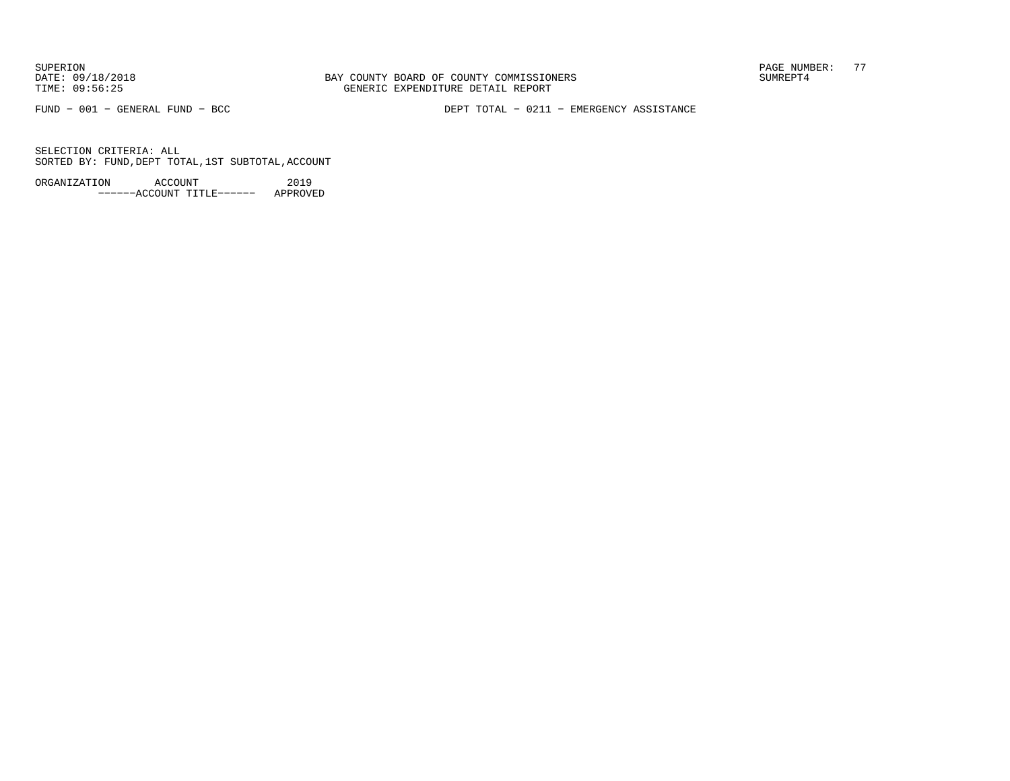DATE:  $09/18/2018$  SUMREPT4 TIME: 09:56:25 GENERIC EXPENDITURE DETAIL REPORT

SUPERION PAGE NUMBER: 77

FUND − 001 − GENERAL FUND − BCC DEPT TOTAL − 0211 − EMERGENCY ASSISTANCE

SELECTION CRITERIA: ALLSORTED BY: FUND,DEPT TOTAL,1ST SUBTOTAL,ACCOUNT

ORGANIZATION ACCOUNT 2019−−−−−−ACCOUNT TITLE−−−−−− APPROVED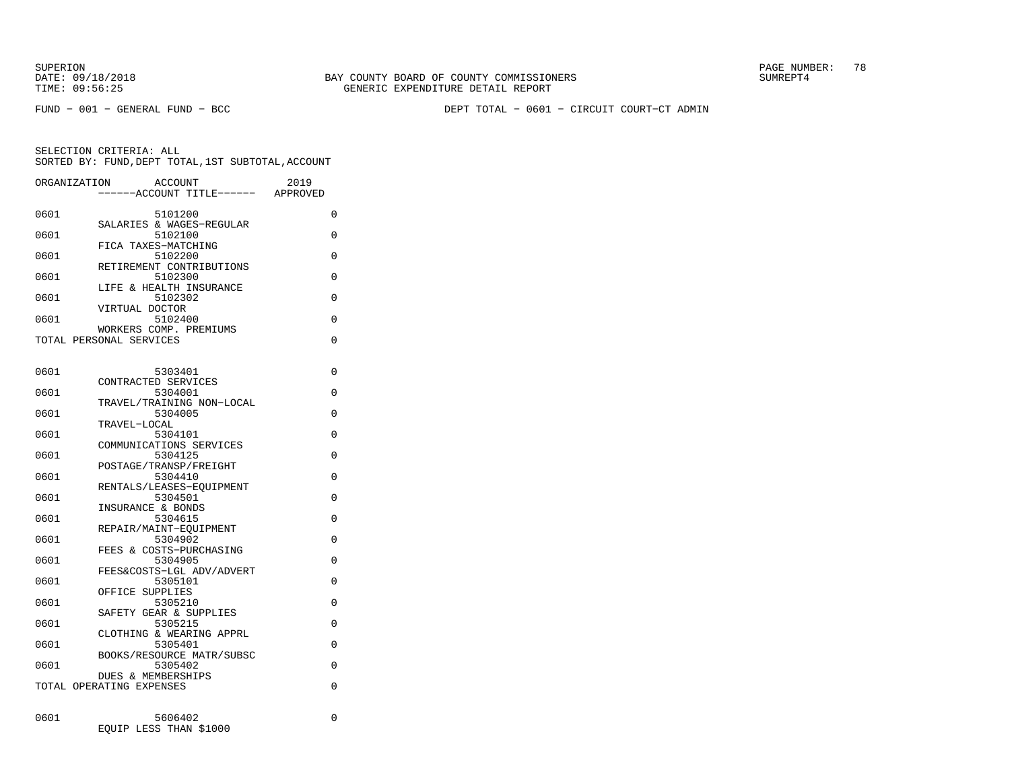DATE:  $09/18/2018$  SUMREPT4 TIME: 09:56:25 GENERIC EXPENDITURE DETAIL REPORT

SUPERION PAGE NUMBER: 78

FUND − 001 − GENERAL FUND − BCC DEPT TOTAL − 0601 − CIRCUIT COURT−CT ADMIN

SELECTION CRITERIA: ALLSORTED BY: FUND,DEPT TOTAL,1ST SUBTOTAL,ACCOUNT

| ORGANIZATION | ACCOUNT<br>---ACCOUNT TITLE------                         | 2019<br>APPROVED |
|--------------|-----------------------------------------------------------|------------------|
| 0601         | 5101200                                                   | 0                |
| 0601         | SALARIES & WAGES-REGULAR<br>5102100                       | 0                |
| 0601         | FICA TAXES-MATCHING<br>5102200                            | 0                |
| 0601         | RETIREMENT CONTRIBUTIONS<br>5102300                       | 0                |
| 0601         | LIFE & HEALTH INSURANCE<br>5102302                        | 0                |
| 0601         | VIRTUAL DOCTOR<br>5102400                                 | 0                |
|              | WORKERS COMP. PREMIUMS                                    |                  |
|              | TOTAL PERSONAL SERVICES                                   | 0                |
| 0601         | 5303401                                                   | 0                |
| 0601         | CONTRACTED SERVICES<br>5304001                            | 0                |
| 0601         | TRAVEL/TRAINING NON-LOCAL<br>5304005                      | 0                |
|              | TRAVEL-LOCAL                                              |                  |
| 0601         | 5304101<br>COMMUNICATIONS SERVICES                        | 0                |
| 0601         | 5304125<br>POSTAGE/TRANSP/FREIGHT                         | 0                |
| 0601         | 5304410<br>RENTALS/LEASES-EOUIPMENT                       | 0                |
| 0601         | 5304501                                                   | 0                |
| 0601         | INSURANCE & BONDS<br>5304615                              | 0                |
| 0601         | REPAIR/MAINT-EOUIPMENT<br>5304902                         | 0                |
| 0601         | FEES & COSTS-PURCHASING<br>5304905                        | 0                |
|              | FEES&COSTS-LGL ADV/ADVERT                                 | 0                |
| 0601         | 5305101<br>OFFICE SUPPLIES                                |                  |
| 0601         | 5305210<br>SAFETY GEAR & SUPPLIES                         | 0                |
| 0601         | 5305215<br>CLOTHING & WEARING APPRL                       | 0                |
| 0601         | 5305401                                                   | 0                |
| 0601         | BOOKS/RESOURCE MATR/SUBSC<br>5305402                      | 0                |
|              | <b>DUES &amp; MEMBERSHIPS</b><br>TOTAL OPERATING EXPENSES | 0                |
|              |                                                           |                  |
| 0601         | 5606402                                                   | $\Omega$         |

EQUIP LESS THAN \$1000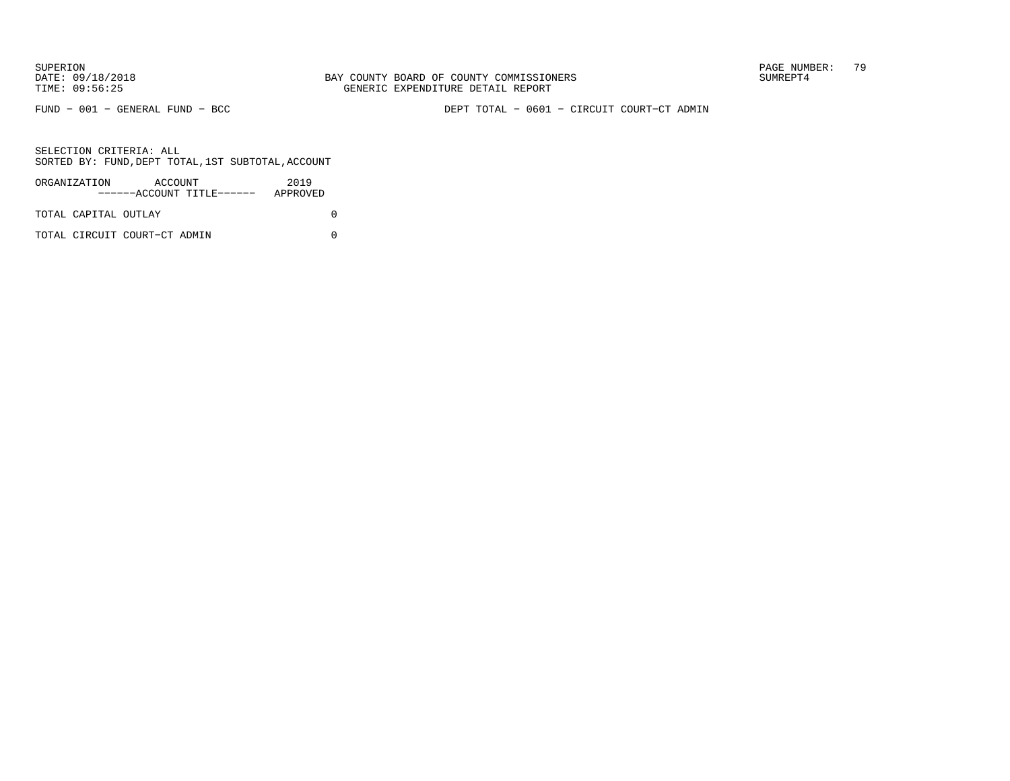FUND − 001 − GENERAL FUND − BCC DEPT TOTAL − 0601 − CIRCUIT COURT−CT ADMIN

| ORGANIZATION         | ACCOUNT                      | ------ACCOUNT TITLE------ | 2019<br>APPROVED |  |
|----------------------|------------------------------|---------------------------|------------------|--|
| TOTAL CAPITAL OUTLAY |                              |                           |                  |  |
|                      | TOTAL CIRCUIT COURT-CT ADMIN |                           |                  |  |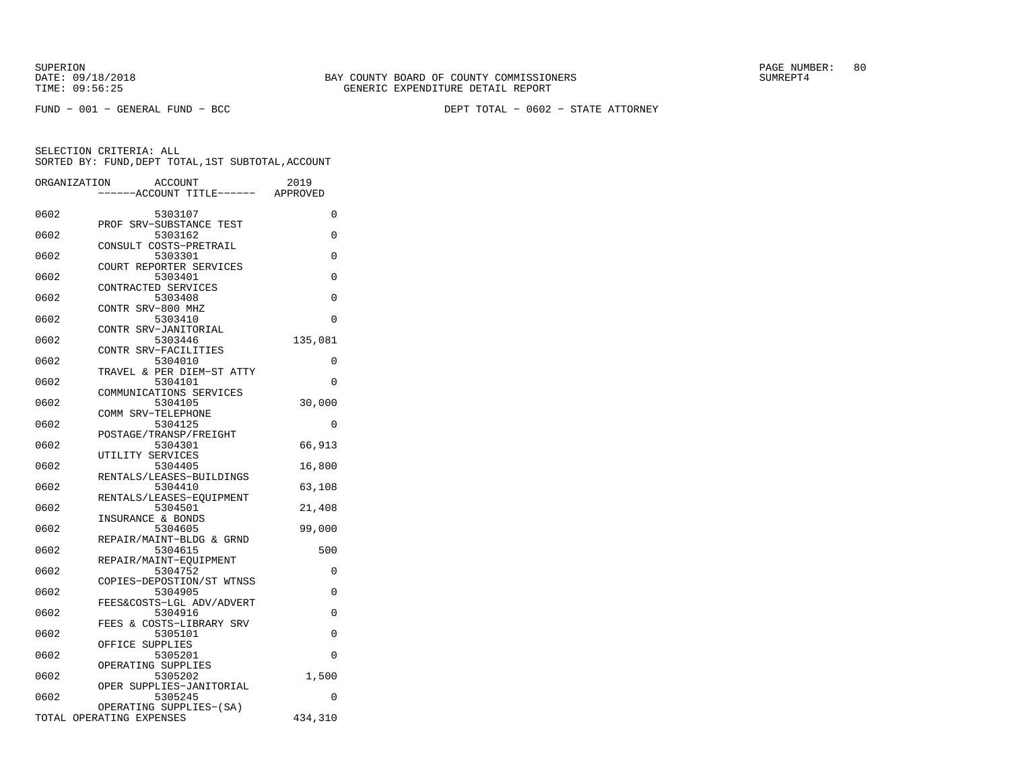FUND − 001 − GENERAL FUND − BCC DEPT TOTAL − 0602 − STATE ATTORNEY

|      | ORGANIZATION<br><b>ACCOUNT</b><br>---ACCOUNT TITLE------ APPROVED | 2019     |
|------|-------------------------------------------------------------------|----------|
|      |                                                                   |          |
| 0602 | 5303107<br>PROF SRV-SUBSTANCE TEST                                | 0        |
| 0602 | 5303162                                                           | 0        |
| 0602 | CONSULT COSTS-PRETRAIL<br>5303301                                 | $\Omega$ |
| 0602 | COURT REPORTER SERVICES<br>5303401                                | 0        |
| 0602 | CONTRACTED SERVICES<br>5303408                                    | 0        |
| 0602 | CONTR SRV-800 MHZ<br>5303410                                      | 0        |
| 0602 | CONTR SRV-JANITORIAL<br>5303446                                   | 135,081  |
| 0602 | CONTR SRV-FACILITIES<br>5304010                                   | 0        |
| 0602 | TRAVEL & PER DIEM-ST ATTY<br>5304101                              | 0        |
|      | COMMUNICATIONS SERVICES                                           |          |
| 0602 | 5304105<br>COMM SRV-TELEPHONE                                     | 30,000   |
| 0602 | 5304125<br>POSTAGE/TRANSP/FREIGHT                                 | 0        |
| 0602 | 5304301<br>UTILITY SERVICES                                       | 66,913   |
| 0602 | 5304405<br>RENTALS/LEASES-BUILDINGS                               | 16,800   |
| 0602 | 5304410<br>RENTALS/LEASES-EQUIPMENT                               | 63,108   |
| 0602 | 5304501                                                           | 21,408   |
| 0602 | INSURANCE & BONDS<br>5304605                                      | 99,000   |
| 0602 | REPAIR/MAINT-BLDG & GRND<br>5304615                               | 500      |
| 0602 | REPAIR/MAINT-EQUIPMENT<br>5304752                                 | 0        |
| 0602 | COPIES-DEPOSTION/ST WTNSS<br>5304905                              | $\Omega$ |
| 0602 | FEES&COSTS-LGL ADV/ADVERT<br>5304916                              | 0        |
| 0602 | FEES & COSTS-LIBRARY SRV<br>5305101                               | 0        |
| 0602 | OFFICE<br>SUPPLIES<br>5305201                                     | 0        |
| 0602 | OPERATING SUPPLIES<br>5305202                                     | 1,500    |
|      | OPER SUPPLIES-JANITORIAL                                          |          |
| 0602 | 5305245<br>OPERATING SUPPLIES-(SA)                                | 0        |
|      | TOTAL OPERATING EXPENSES                                          | 434,310  |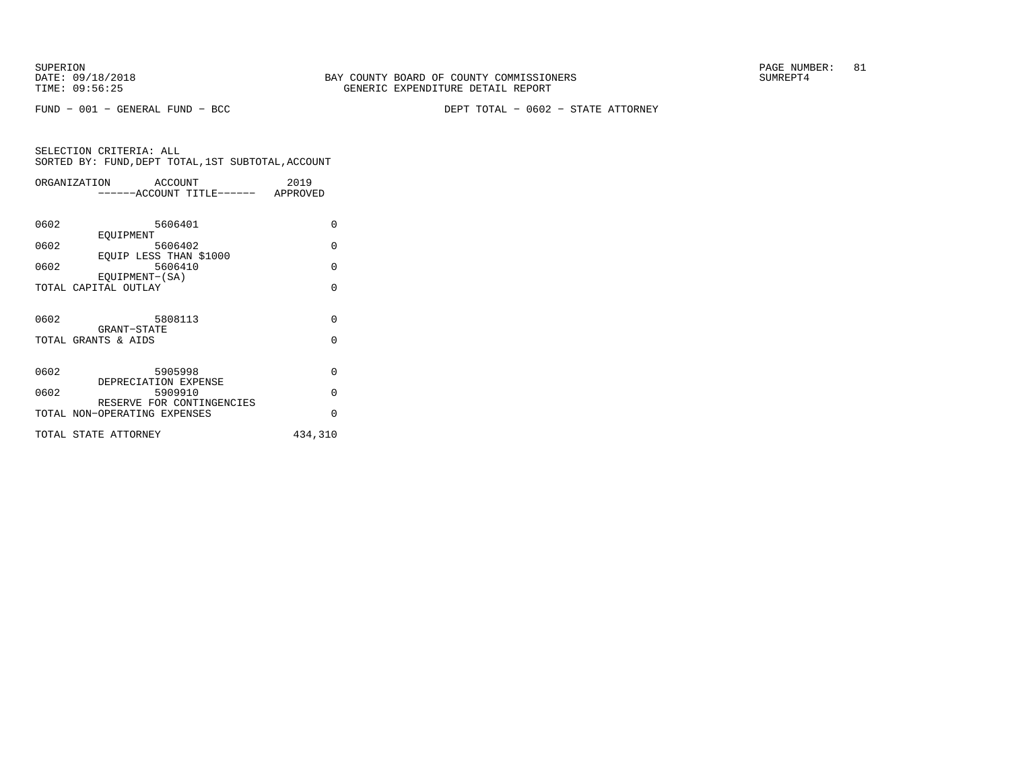FUND − 001 − GENERAL FUND − BCC DEPT TOTAL − 0602 − STATE ATTORNEY

|      | ORGANIZATION<br>ACCOUNT            | 2019     |
|------|------------------------------------|----------|
|      | ------ACCOUNT TITLE------ APPROVED |          |
|      |                                    |          |
| 0602 | 5606401                            | $\Omega$ |
|      | EOUIPMENT                          |          |
| 0602 | 5606402                            | $\Omega$ |
| 0602 | EOUIP LESS THAN \$1000<br>5606410  | $\Omega$ |
|      | EOUIPMENT-(SA)                     |          |
|      | TOTAL CAPITAL OUTLAY               | $\Omega$ |
|      |                                    |          |
|      |                                    |          |
| 0602 | 5808113                            | $\Omega$ |
|      | GRANT-STATE                        |          |
|      | TOTAL GRANTS & AIDS                | $\Omega$ |
|      |                                    |          |
| 0602 | 5905998                            | $\Omega$ |
|      | DEPRECIATION EXPENSE               |          |
| 0602 | 5909910                            | $\Omega$ |
|      | RESERVE FOR CONTINGENCIES          |          |
|      | TOTAL NON-OPERATING EXPENSES       | $\Omega$ |
|      | TOTAL STATE ATTORNEY               | 434,310  |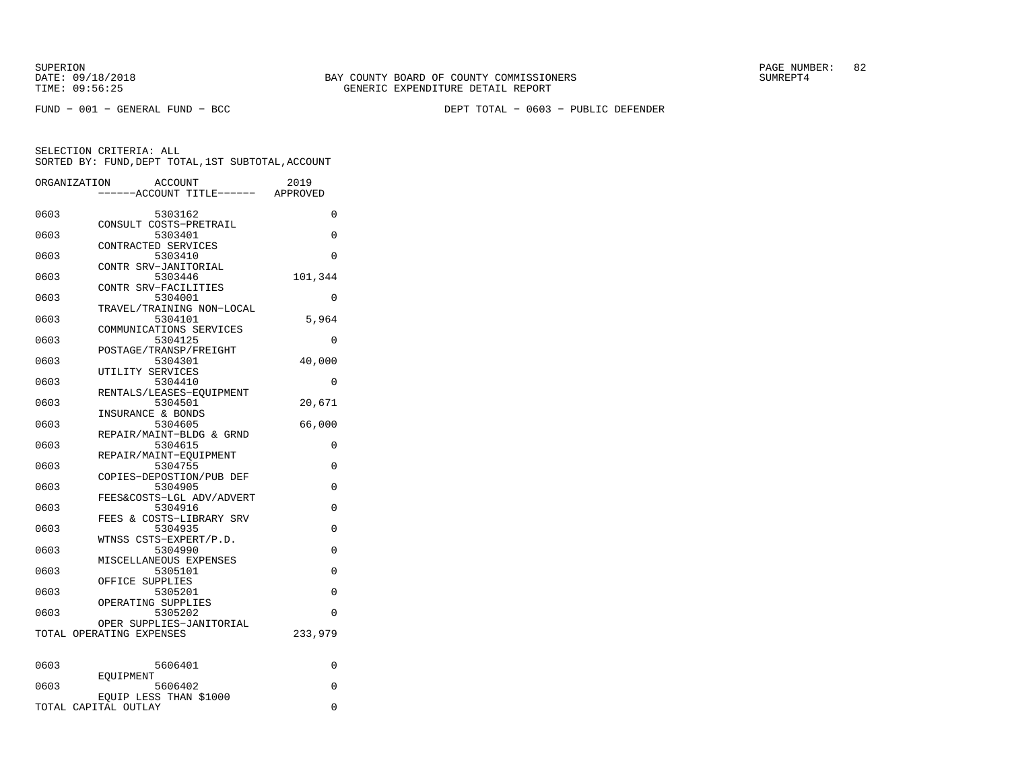DATE:  $09/18/2018$  SUMREPT4 TIME: 09:56:25 GENERIC EXPENDITURE DETAIL REPORT

SUPERION PAGE NUMBER: 82

FUND − 001 − GENERAL FUND − BCC DEPT TOTAL − 0603 − PUBLIC DEFENDER

| ORGANIZATION | ACCOUNT                              | 2019     |
|--------------|--------------------------------------|----------|
|              | ----ACCOUNT TITLE------ APPROVED     |          |
| 0603         | 5303162                              | 0        |
|              | CONSULT COSTS-PRETRAIL               |          |
| 0603         | 5303401                              | $\Omega$ |
|              | CONTRACTED SERVICES                  |          |
| 0603         | 5303410                              | $\Omega$ |
|              | CONTR SRV-JANITORIAL                 |          |
| 0603         | 5303446                              | 101,344  |
|              | CONTR SRV-FACILITIES                 |          |
| 0603         | 5304001                              | 0        |
|              | TRAVEL/TRAINING NON-LOCAL            |          |
| 0603         | 5304101                              | 5,964    |
|              | COMMUNICATIONS SERVICES              |          |
| 0603         | 5304125                              | 0        |
| 0603         | POSTAGE/TRANSP/FREIGHT<br>5304301    | 40,000   |
|              | UTILITY SERVICES                     |          |
| 0603         | 5304410                              | 0        |
|              | RENTALS/LEASES-EQUIPMENT             |          |
| 0603         | 5304501                              | 20,671   |
|              | INSURANCE & BONDS                    |          |
| 0603         | 5304605                              | 66,000   |
|              | REPAIR/MAINT-BLDG & GRND             |          |
| 0603         | 5304615                              | 0        |
|              | REPAIR/MAINT-EOUIPMENT               |          |
| 0603         | 5304755                              | 0        |
|              | COPIES-DEPOSTION/PUB DEF             |          |
| 0603         | 5304905                              | 0        |
| 0603         | FEES&COSTS-LGL ADV/ADVERT<br>5304916 | 0        |
|              | FEES & COSTS-LIBRARY SRV             |          |
| 0603         | 5304935                              | 0        |
|              | WTNSS CSTS-EXPERT/P.D.               |          |
| 0603         | 5304990                              | $\Omega$ |
|              | MISCELLANEOUS EXPENSES               |          |
| 0603         | 5305101                              | $\Omega$ |
|              | OFFICE SUPPLIES                      |          |
| 0603         | 5305201                              | $\Omega$ |
|              | OPERATING SUPPLIES                   |          |
| 0603         | 5305202                              | $\Omega$ |
|              | OPER SUPPLIES-JANITORIAL             |          |
|              | TOTAL OPERATING EXPENSES             | 233,979  |
|              |                                      |          |
| 0603         | 5606401                              | 0        |
|              | EOUIPMENT                            |          |
| 0603         | 5606402                              | 0        |
|              | EOUIP LESS THAN \$1000               |          |
|              | TOTAL CAPITAL OUTLAY                 | 0        |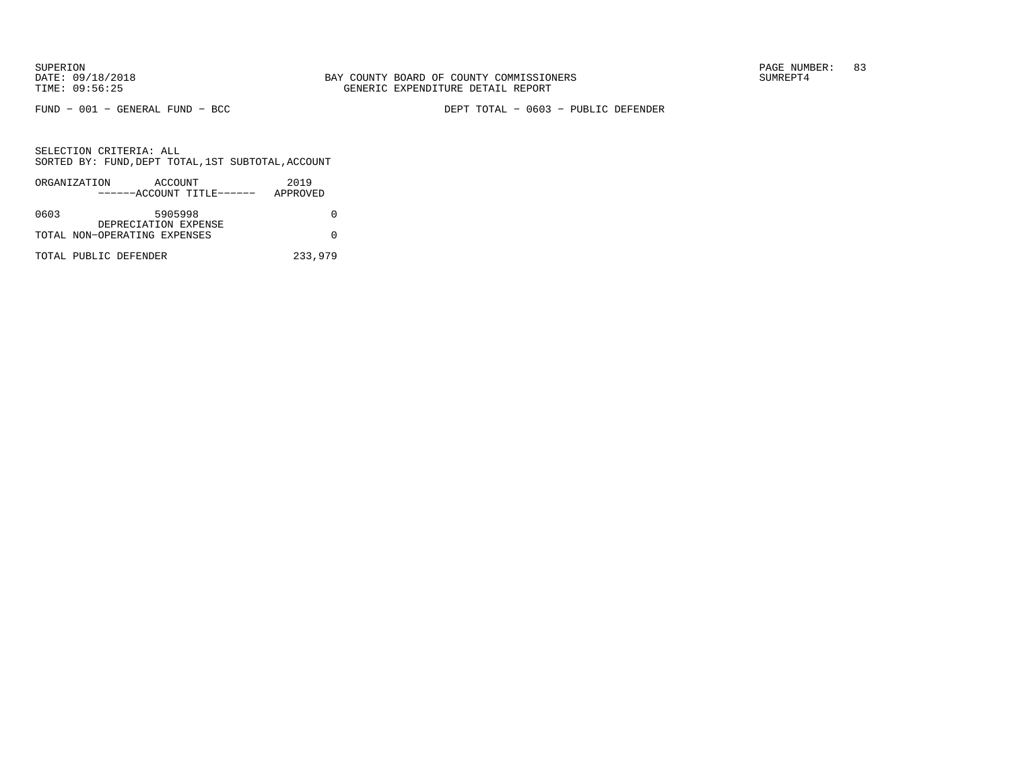FUND − 001 − GENERAL FUND − BCC DEPT TOTAL − 0603 − PUBLIC DEFENDER

|      | ORGANIZATION          | ACCOUNT                      |                           | 2019     |
|------|-----------------------|------------------------------|---------------------------|----------|
|      |                       |                              | ------ACCOUNT TITLE------ | APPROVED |
| 0603 |                       | 5905998                      |                           |          |
|      |                       | DEPRECIATION EXPENSE         |                           |          |
|      |                       | TOTAL NON-OPERATING EXPENSES |                           |          |
|      | TOTAL PUBLIC DEFENDER |                              |                           | 233,979  |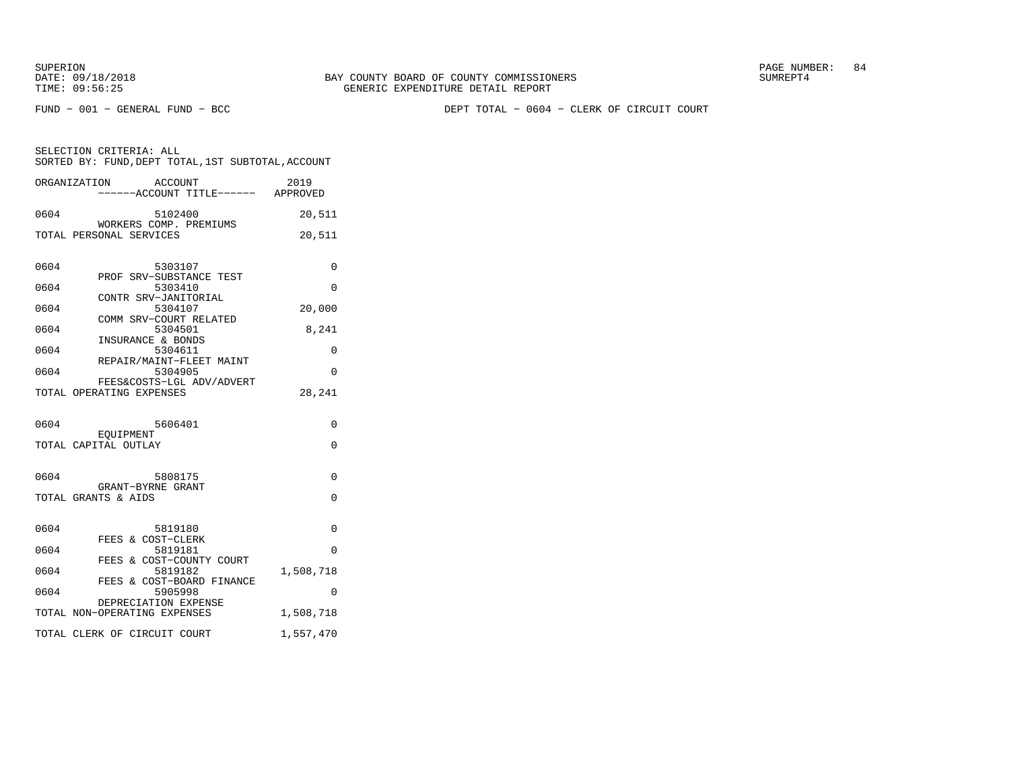FUND − 001 − GENERAL FUND − BCC DEPT TOTAL − 0604 − CLERK OF CIRCUIT COURT

|      | ORGANIZATION<br>ACCOUNT<br>----ACCOUNT TITLE------ APPROVED | 2019                    |
|------|-------------------------------------------------------------|-------------------------|
| 0604 | 5102400                                                     | 20,511                  |
|      | WORKERS COMP. PREMIUMS<br>TOTAL PERSONAL SERVICES           | 20,511                  |
| 0604 | 5303107                                                     | $\Omega$                |
| 0604 | PROF SRV-SUBSTANCE TEST<br>5303410                          | $\Omega$                |
| 0604 | CONTR SRV-JANITORIAL<br>5304107                             | 20,000                  |
| 0604 | COMM SRV-COURT RELATED<br>5304501                           | 8,241                   |
| 0604 | INSURANCE & BONDS<br>5304611                                | 0                       |
|      | REPAIR/MAINT-FLEET MAINT                                    |                         |
| 0604 | 5304905<br>FEES&COSTS-LGL ADV/ADVERT                        | $\Omega$                |
|      | TOTAL OPERATING EXPENSES                                    | 28,241                  |
| 0604 | 5606401<br>EOUIPMENT                                        | $\Omega$                |
|      | TOTAL CAPITAL OUTLAY                                        | $\Omega$                |
| 0604 | 5808175<br>GRANT-BYRNE GRANT<br>TOTAL GRANTS & AIDS         | $\Omega$<br>$\mathbf 0$ |
|      |                                                             |                         |
|      |                                                             |                         |
| 0604 | 5819180                                                     | 0                       |
| 0604 | FEES & COST-CLERK<br>5819181                                | 0                       |
| 0604 | FEES & COST-COUNTY COURT<br>5819182                         | 1,508,718               |
| 0604 | FEES & COST-BOARD FINANCE<br>5905998                        | $\Omega$                |
|      | DEPRECIATION EXPENSE<br>TOTAL NON-OPERATING EXPENSES        | 1,508,718               |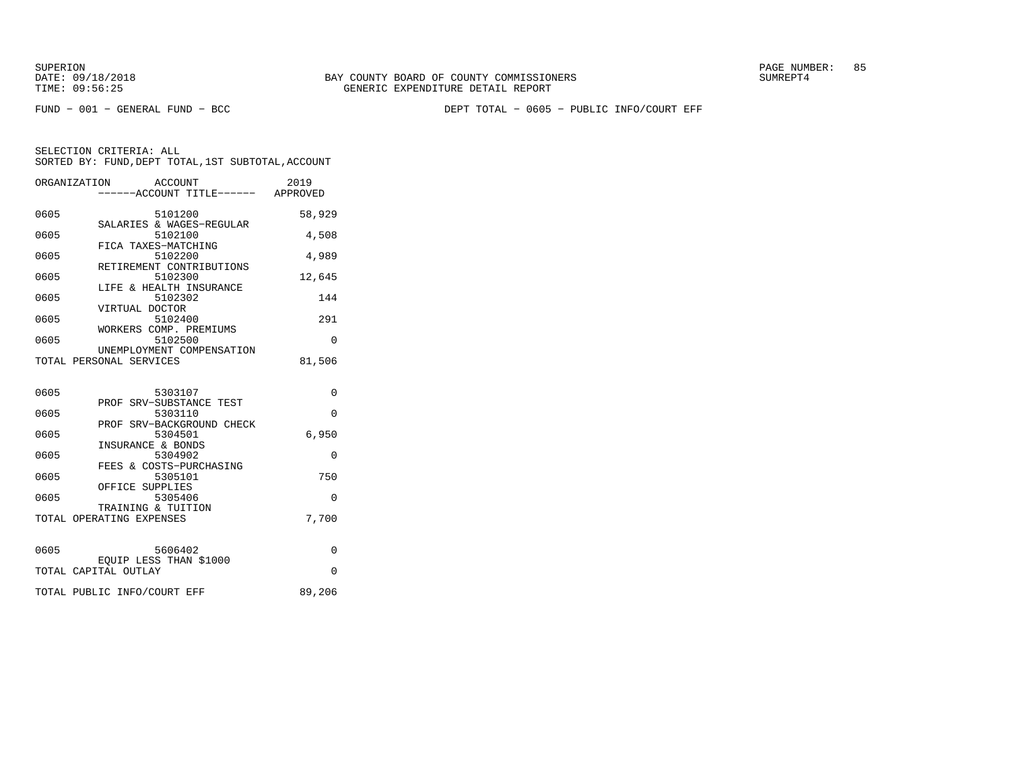FUND − 001 − GENERAL FUND − BCC DEPT TOTAL − 0605 − PUBLIC INFO/COURT EFF

|      | ORGANIZATION ACCOUNT<br>-----ACCOUNT TITLE------ APPROVED | 2019     |
|------|-----------------------------------------------------------|----------|
| 0605 | 5101200                                                   | 58,929   |
| 0605 | SALARIES & WAGES-REGULAR<br>5102100                       | 4,508    |
| 0605 | FICA TAXES-MATCHING<br>5102200                            | 4,989    |
| 0605 | RETIREMENT CONTRIBUTIONS<br>5102300                       | 12,645   |
| 0605 | LIFE & HEALTH INSURANCE<br>5102302                        | 144      |
| 0605 | VIRTUAL DOCTOR<br>5102400                                 | 291      |
| 0605 | WORKERS COMP. PREMIUMS<br>5102500                         | $\Omega$ |
|      | UNEMPLOYMENT COMPENSATION<br>TOTAL PERSONAL SERVICES      | 81,506   |
| 0605 | 5303107                                                   | $\Omega$ |
| 0605 | PROF SRV-SUBSTANCE TEST<br>5303110                        | $\Omega$ |
| 0605 | PROF SRV-BACKGROUND CHECK<br>5304501                      | 6,950    |
| 0605 | INSURANCE & BONDS<br>5304902                              | $\Omega$ |
| 0605 | FEES & COSTS-PURCHASING<br>5305101                        | 750      |
| 0605 | OFFICE SUPPLIES<br>5305406                                | $\Omega$ |
|      | TRAINING & TUITION<br>TOTAL OPERATING EXPENSES            | 7,700    |
|      |                                                           |          |

| 0605 | 5606402                                        |        |
|------|------------------------------------------------|--------|
|      | EOUIP LESS THAN \$1000<br>TOTAL CAPITAL OUTLAY |        |
|      | TOTAL PUBLIC INFO/COURT EFF                    | 89,206 |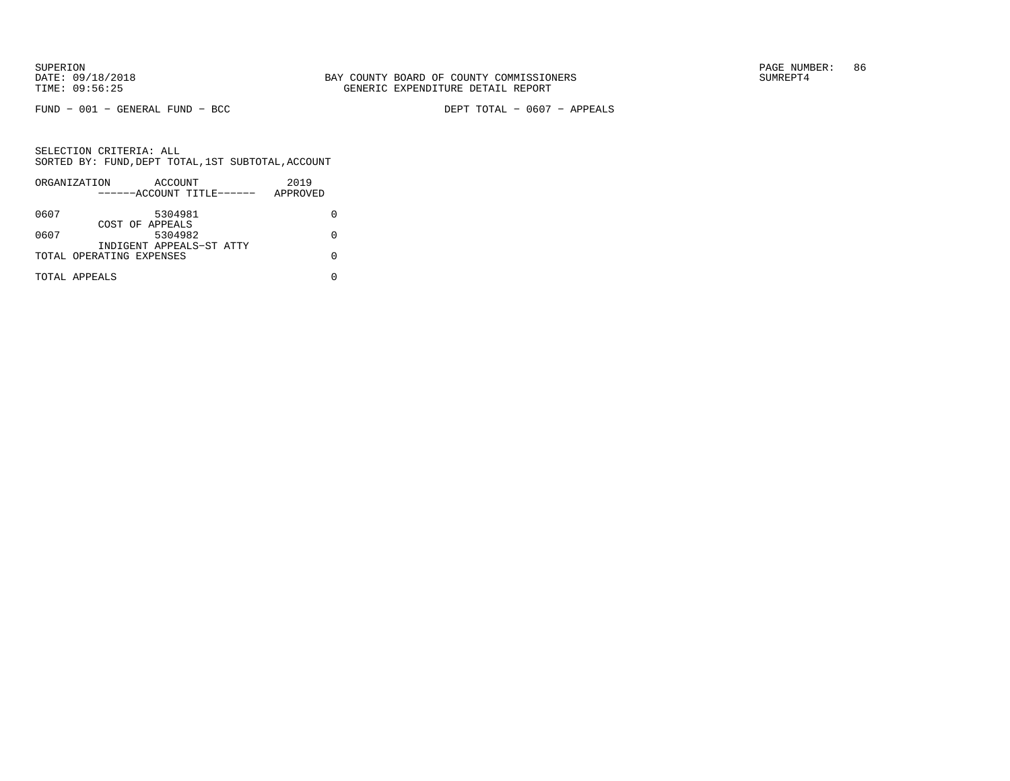FUND − 001 − GENERAL FUND − BCC DEPT TOTAL − 0607 − APPEALS

|      | ORGANIZATION             | ACCOUNT                   | 2019     |  |
|------|--------------------------|---------------------------|----------|--|
|      |                          | ------ACCOUNT TITLE------ | APPROVED |  |
| 0607 |                          | 5304981                   |          |  |
| 0607 | COST OF APPEALS          | 5304982                   |          |  |
|      | TOTAL OPERATING EXPENSES | INDIGENT APPEALS-ST ATTY  |          |  |
|      | TOTAL APPEALS            |                           |          |  |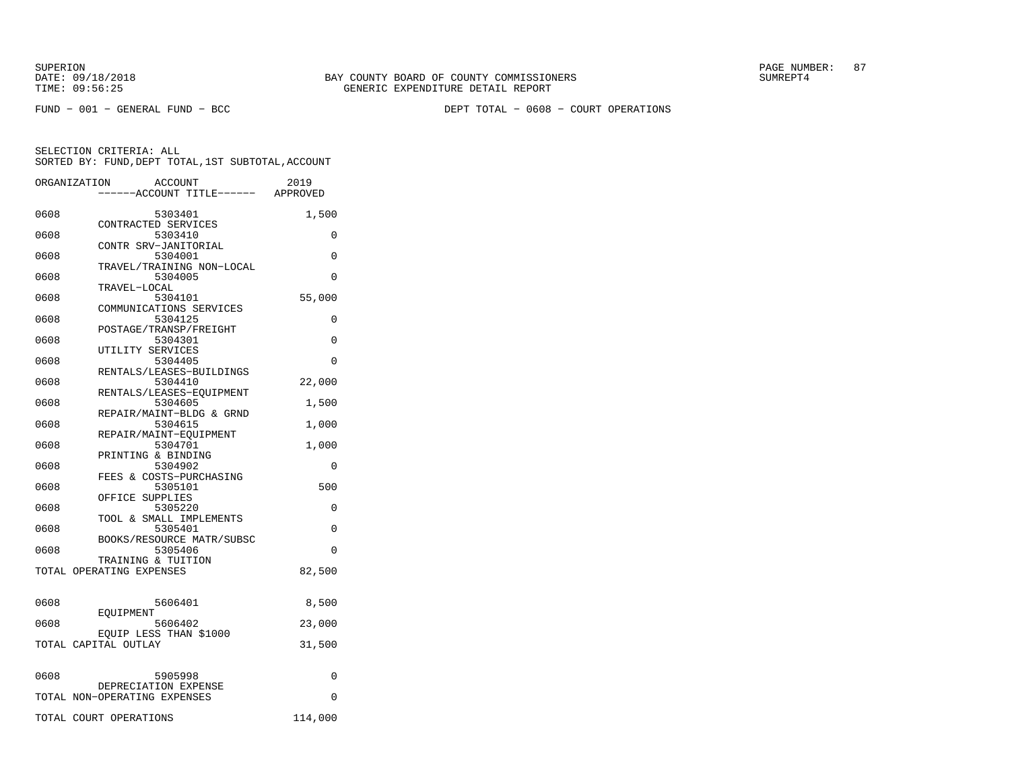FUND − 001 − GENERAL FUND − BCC DEPT TOTAL − 0608 − COURT OPERATIONS

|      | ORGANIZATION<br>ACCOUNT<br>----ACCOUNT TITLE------ APPROVED | 2019    |
|------|-------------------------------------------------------------|---------|
| 0608 | 5303401                                                     | 1,500   |
| 0608 | CONTRACTED SERVICES<br>5303410                              | 0       |
| 0608 | CONTR SRV-JANITORIAL<br>5304001                             | 0       |
| 0608 | TRAVEL/TRAINING NON-LOCAL<br>5304005                        | 0       |
| 0608 | TRAVEL-LOCAL<br>5304101                                     | 55,000  |
| 0608 | COMMUNICATIONS SERVICES<br>5304125                          | 0       |
| 0608 | POSTAGE/TRANSP/FREIGHT<br>5304301                           | 0       |
| 0608 | UTILITY SERVICES<br>5304405                                 | 0       |
| 0608 | RENTALS/LEASES-BUILDINGS<br>5304410                         | 22,000  |
| 0608 | RENTALS/LEASES-EOUIPMENT<br>5304605                         | 1,500   |
| 0608 | REPAIR/MAINT-BLDG & GRND<br>5304615                         | 1,000   |
| 0608 | REPAIR/MAINT-EOUIPMENT<br>5304701                           | 1,000   |
|      | PRINTING & BINDING                                          |         |
| 0608 | 5304902<br>FEES & COSTS-PURCHASING                          | 0       |
| 0608 | 5305101<br>OFFICE SUPPLIES                                  | 500     |
| 0608 | 5305220<br>TOOL & SMALL IMPLEMENTS                          | 0       |
| 0608 | 5305401<br>BOOKS/RESOURCE MATR/SUBSC                        | 0       |
| 0608 | 5305406<br>TRAINING & TUITION                               | 0       |
|      | TOTAL OPERATING EXPENSES                                    | 82,500  |
| 0608 | 5606401                                                     | 8,500   |
| 0608 | EOUIPMENT<br>5606402                                        | 23,000  |
|      | EQUIP LESS THAN \$1000<br>TOTAL CAPITAL OUTLAY              | 31,500  |
| 0608 | 5905998                                                     | 0       |
|      | DEPRECIATION EXPENSE<br>TOTAL NON-OPERATING EXPENSES        | 0       |
|      | TOTAL COURT OPERATIONS                                      | 114,000 |
|      |                                                             |         |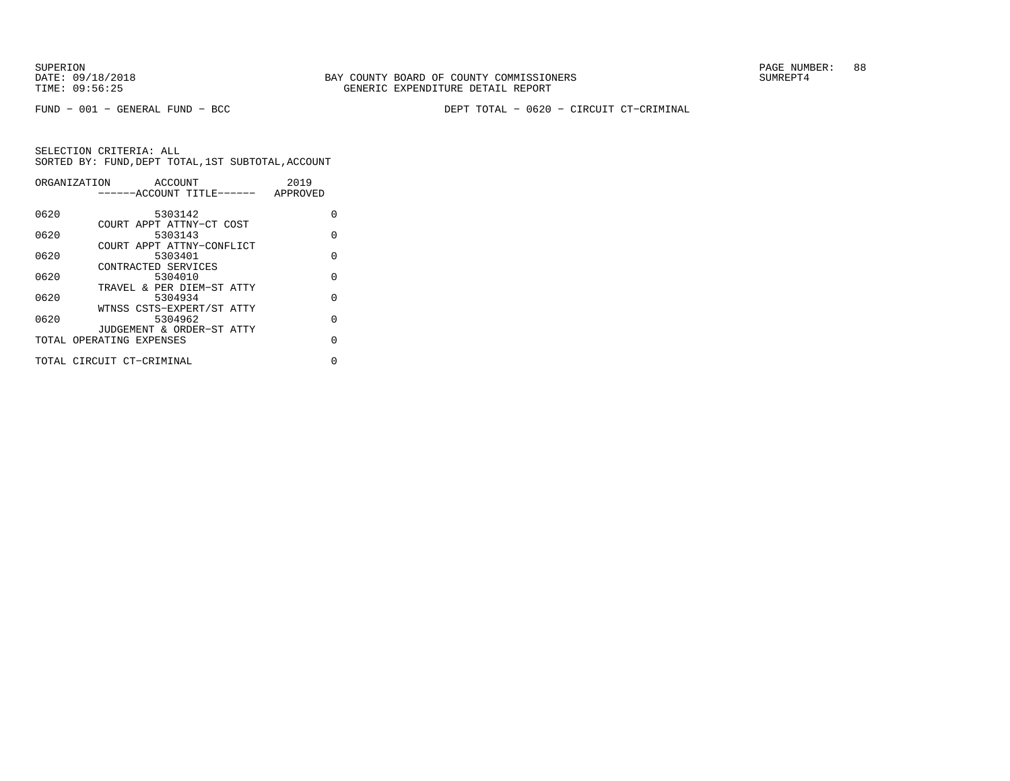FUND − 001 − GENERAL FUND − BCC DEPT TOTAL − 0620 − CIRCUIT CT−CRIMINAL

|      | ORGANIZATION<br>ACCOUNT   | 2019     |
|------|---------------------------|----------|
|      | ------ACCOUNT TITLE------ | APPROVED |
|      |                           |          |
| 0620 | 5303142                   | U        |
|      | COURT APPT ATTNY-CT COST  |          |
| 0620 | 5303143                   | O        |
|      | COURT APPT ATTNY-CONFLICT |          |
| 0620 | 5303401                   | $\Omega$ |
|      | CONTRACTED SERVICES       |          |
| 0620 | 5304010                   | $\Omega$ |
|      | TRAVEL & PER DIEM-ST ATTY |          |
| 0620 | 5304934                   | $\Omega$ |
|      | WTNSS CSTS-EXPERT/ST ATTY |          |
| 0620 | 5304962                   | $\cap$   |
|      | JUDGEMENT & ORDER-ST ATTY |          |
|      | TOTAL OPERATING EXPENSES  | U        |
|      |                           |          |
|      | TOTAL CIRCUIT CT-CRIMINAL | U        |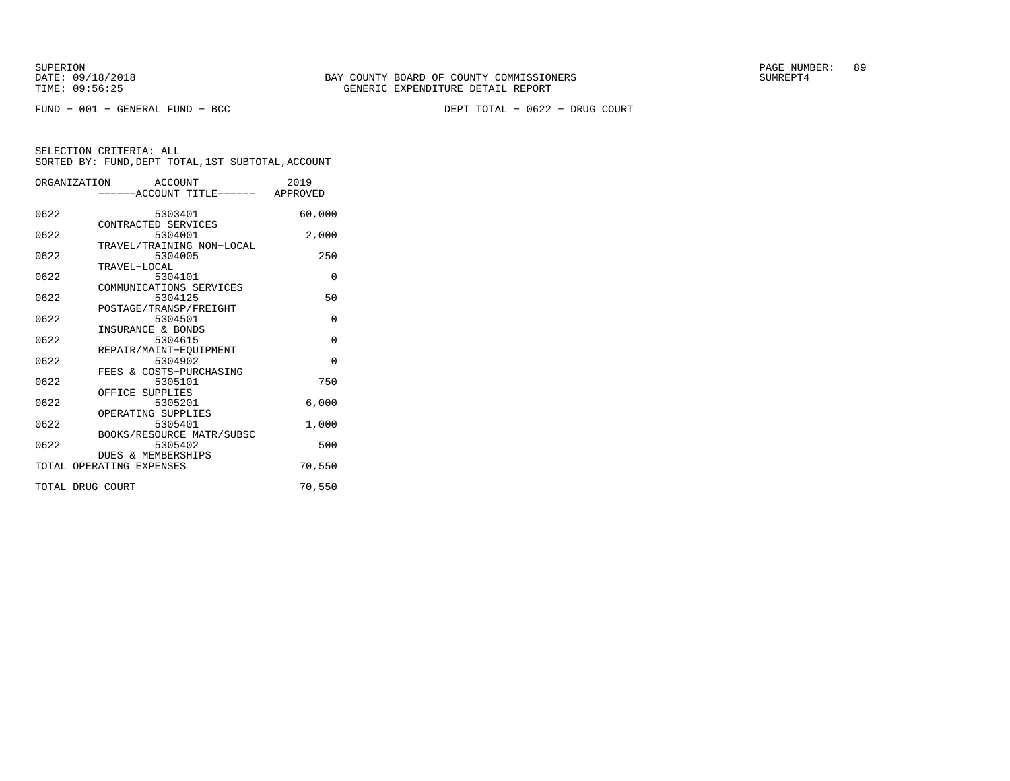FUND − 001 − GENERAL FUND − BCC DEPT TOTAL − 0622 − DRUG COURT

|                  | ORGANIZATION ACCOUNT<br>------ACCOUNT TITLE------ APPROVED | 2019     |
|------------------|------------------------------------------------------------|----------|
| 0622             | 5303401<br>CONTRACTED SERVICES                             | 60,000   |
| 0622             | 5304001<br>TRAVEL/TRAINING NON-LOCAL                       | 2,000    |
| 0622             | 5304005<br>TRAVEL-LOCAL                                    | 250      |
| 0622             | 5304101<br>COMMUNICATIONS SERVICES                         | $\Omega$ |
| 0622             | 5304125<br>POSTAGE/TRANSP/FREIGHT                          | 50       |
| 0622             | 5304501<br>INSURANCE & BONDS                               | $\Omega$ |
| 0622             | 5304615<br>REPAIR/MAINT-EQUIPMENT                          | $\Omega$ |
| 0622             | 5304902<br>FEES & COSTS-PURCHASING                         | $\Omega$ |
| 0622             | 5305101<br>OFFICE SUPPLIES                                 | 750      |
| 0622             | 5305201<br>OPERATING SUPPLIES                              | 6,000    |
| 0622             | 5305401<br>BOOKS/RESOURCE MATR/SUBSC                       | 1,000    |
| 0622             | 5305402<br>DUES & MEMBERSHIPS                              | 500      |
|                  | TOTAL OPERATING EXPENSES                                   | 70,550   |
| TOTAL DRUG COURT |                                                            | 70,550   |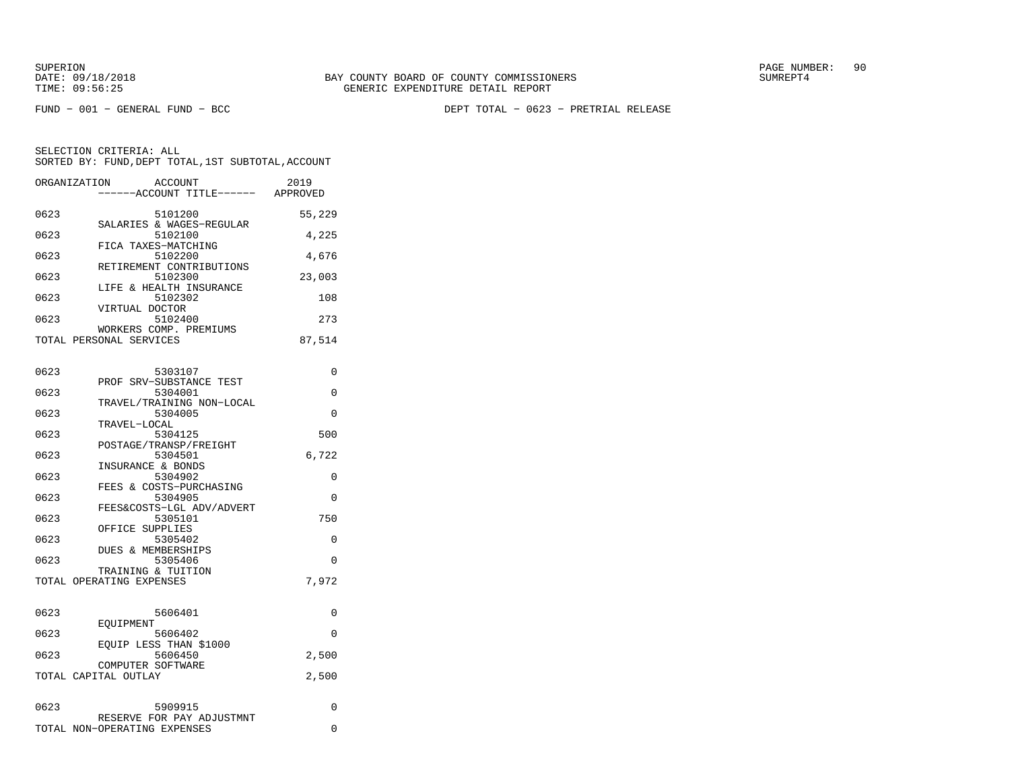FUND − 001 − GENERAL FUND − BCC DEPT TOTAL − 0623 − PRETRIAL RELEASE

|      | ORGANIZATION<br>ACCOUNT<br>------ACCOUNT TITLE------ | 2019<br>APPROVED |
|------|------------------------------------------------------|------------------|
| 0623 | 5101200                                              | 55,229           |
| 0623 | SALARIES & WAGES-REGULAR<br>5102100                  | 4,225            |
| 0623 | FICA TAXES-MATCHING<br>5102200                       | 4,676            |
| 0623 | RETIREMENT CONTRIBUTIONS<br>5102300                  | 23,003           |
| 0623 | LIFE & HEALTH INSURANCE<br>5102302                   | 108              |
| 0623 | VIRTUAL DOCTOR<br>5102400                            | 273              |
|      | WORKERS COMP. PREMIUMS<br>TOTAL PERSONAL SERVICES    | 87,514           |
|      |                                                      |                  |

| 0623 | 5303107                            | $\Omega$ |
|------|------------------------------------|----------|
| 0623 | PROF SRV-SUBSTANCE TEST<br>5304001 | $\Omega$ |
|      | TRAVEL/TRAINING NON-LOCAL          |          |
| 0623 | 5304005                            | $\Omega$ |
|      | TRAVEL-LOCAL                       |          |
| 0623 | 5304125                            | 500      |
|      | POSTAGE/TRANSP/FREIGHT             |          |
| 0623 | 5304501                            | 6,722    |
|      | INSURANCE & BONDS                  |          |
| 0623 | 5304902                            | 0        |
|      | FEES & COSTS-PURCHASING            |          |
| 0623 | 5304905                            | $\Omega$ |
|      | FEES&COSTS-LGL ADV/ADVERT          |          |
| 0623 | 5305101                            | 750      |
|      | OFFICE SUPPLIES                    |          |
| 0623 | 5305402                            | $\Omega$ |
|      | <b>DUES &amp; MEMBERSHIPS</b>      |          |
| 0623 | 5305406                            | $\Omega$ |
|      | TRAINING & TUITION                 |          |
|      | TOTAL OPERATING EXPENSES           | 7.972    |
|      |                                    |          |
| 0623 | 5606401                            | $\Omega$ |
|      | EOUIPMENT                          |          |
| 0623 | 5606402                            | $\Omega$ |
|      | EQUIP LESS THAN \$1000             |          |
| 0623 | 5606450                            | 2,500    |
|      | COMPUTER SOFTWARE                  |          |
|      | TOTAL CAPITAL OUTLAY               | 2,500    |
|      |                                    |          |
| 0623 | 5909915                            | $\Omega$ |
|      | RESERVE FOR PAY ADJUSTMNT          |          |
|      | TOTAL NON-OPERATING EXPENSES       | 0        |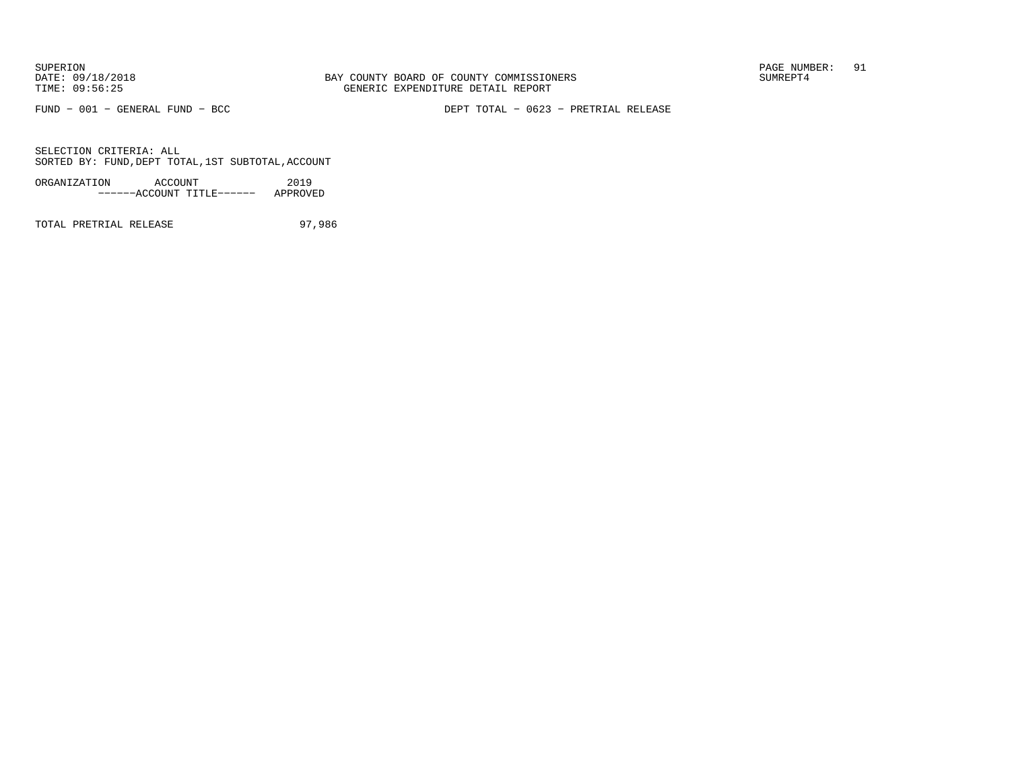FUND − 001 − GENERAL FUND − BCC DEPT TOTAL − 0623 − PRETRIAL RELEASE

SELECTION CRITERIA: ALLSORTED BY: FUND,DEPT TOTAL,1ST SUBTOTAL,ACCOUNT

| ORGANIZATION | ACCOUNT |                           | 2019     |
|--------------|---------|---------------------------|----------|
|              |         | ------ACCOUNT TITLE------ | APPROVED |

TOTAL PRETRIAL RELEASE 97,986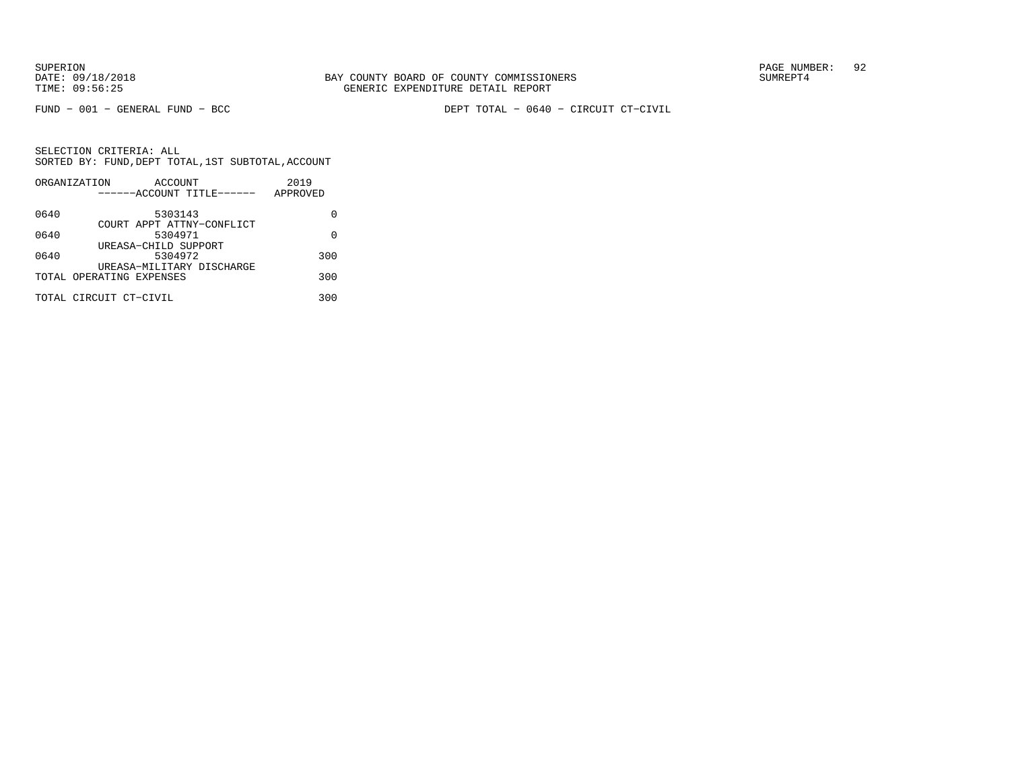FUND − 001 − GENERAL FUND − BCC DEPT TOTAL − 0640 − CIRCUIT CT−CIVIL

|      | ORGANIZATION<br>ACCOUNT   | 2019     |
|------|---------------------------|----------|
|      | ------ACCOUNT TITLE------ | APPROVED |
| 0640 | 5303143                   |          |
|      | COURT APPT ATTNY-CONFLICT |          |
| 0640 | 5304971                   | U        |
|      | UREASA-CHILD SUPPORT      |          |
| 0640 | 5304972                   | 300      |
|      | UREASA-MILITARY DISCHARGE |          |
|      | TOTAL OPERATING EXPENSES  | 300      |
|      | TOTAL CIRCUIT CT-CIVIL    | 300      |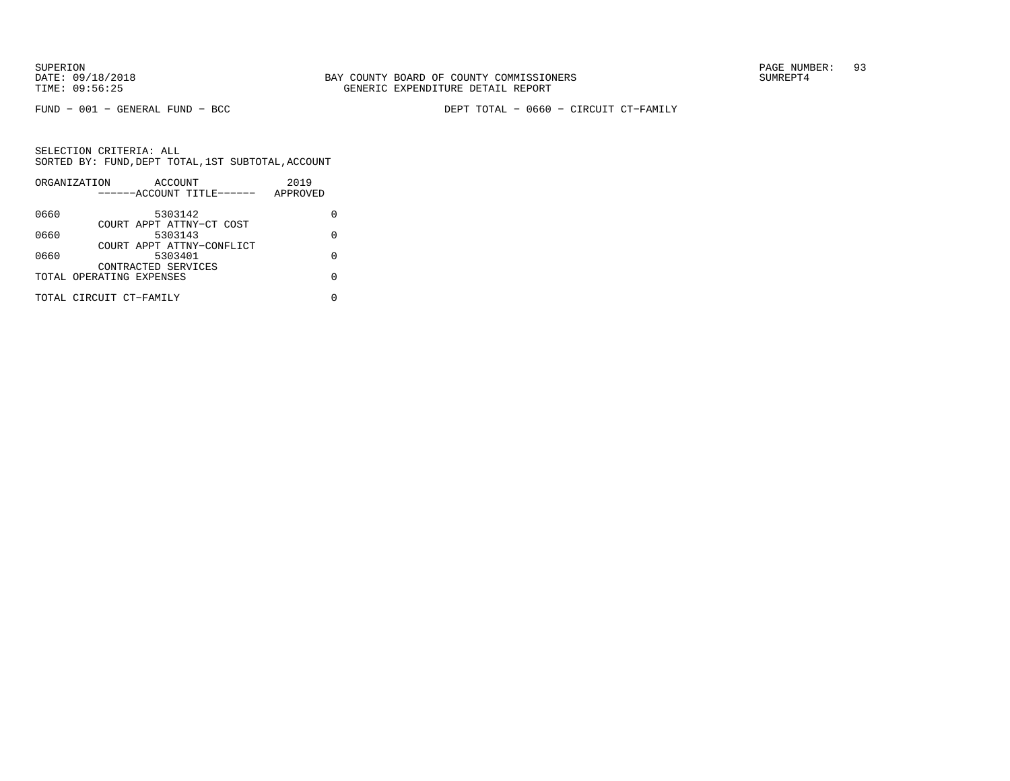FUND − 001 − GENERAL FUND − BCC DEPT TOTAL − 0660 − CIRCUIT CT−FAMILY

| ORGANIZATION |                         |                                                                                             | 2019                                                                               |          |
|--------------|-------------------------|---------------------------------------------------------------------------------------------|------------------------------------------------------------------------------------|----------|
|              |                         |                                                                                             |                                                                                    |          |
|              |                         |                                                                                             |                                                                                    |          |
|              |                         |                                                                                             |                                                                                    |          |
|              |                         |                                                                                             |                                                                                    | O        |
|              |                         |                                                                                             |                                                                                    |          |
|              |                         |                                                                                             |                                                                                    | U        |
|              |                         |                                                                                             |                                                                                    |          |
|              |                         |                                                                                             |                                                                                    | U        |
|              |                         |                                                                                             |                                                                                    |          |
|              |                         |                                                                                             |                                                                                    |          |
|              | TOTAL CIRCUIT CT-FAMILY | ACCOUNT<br>5303142<br>5303143<br>5303401<br>CONTRACTED SERVICES<br>TOTAL OPERATING EXPENSES | ------ACCOUNT TITLE------<br>COURT APPT ATTNY-CT COST<br>COURT APPT ATTNY-CONFLICT | APPROVED |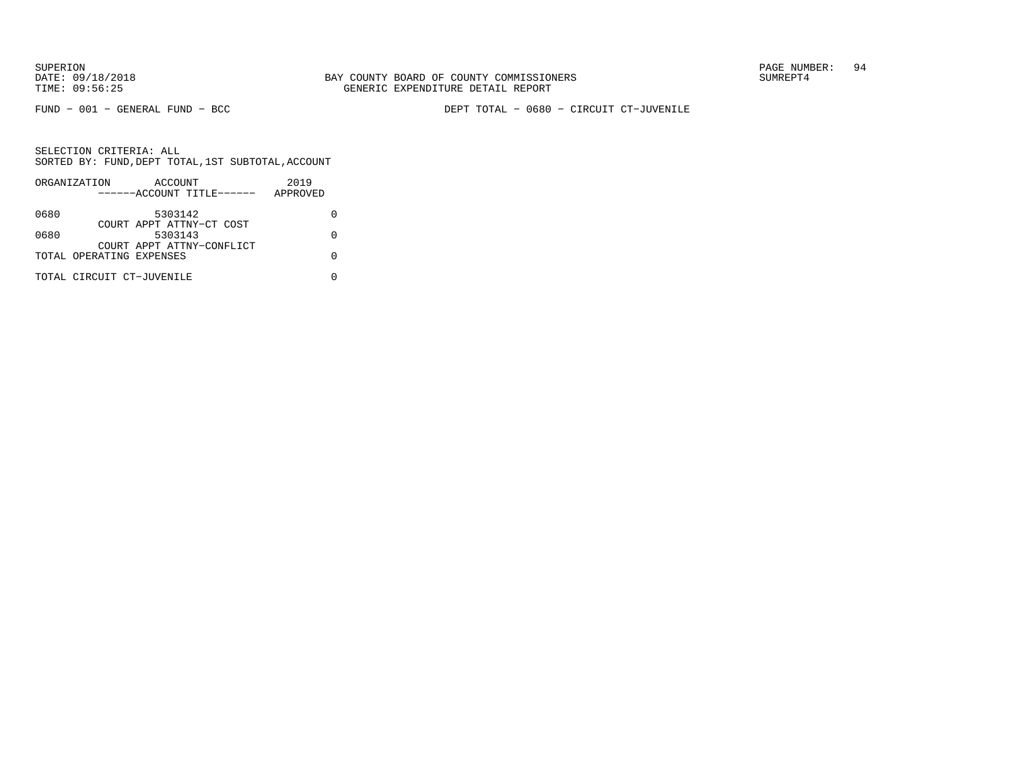FUND − 001 − GENERAL FUND − BCC DEPT TOTAL − 0680 − CIRCUIT CT−JUVENILE

|      | ORGANIZATION              | ACCOUNT                              |  | 2019     |  |
|------|---------------------------|--------------------------------------|--|----------|--|
|      |                           | ------ACCOUNT TITLE------            |  | APPROVED |  |
| 0680 |                           | 5303142                              |  |          |  |
|      |                           | COURT APPT ATTNY-CT COST             |  |          |  |
| 0680 |                           | 5303143<br>COURT APPT ATTNY-CONFLICT |  |          |  |
|      | TOTAL OPERATING EXPENSES  |                                      |  |          |  |
|      |                           |                                      |  |          |  |
|      | TOTAL CIRCUIT CT-JUVENILE |                                      |  |          |  |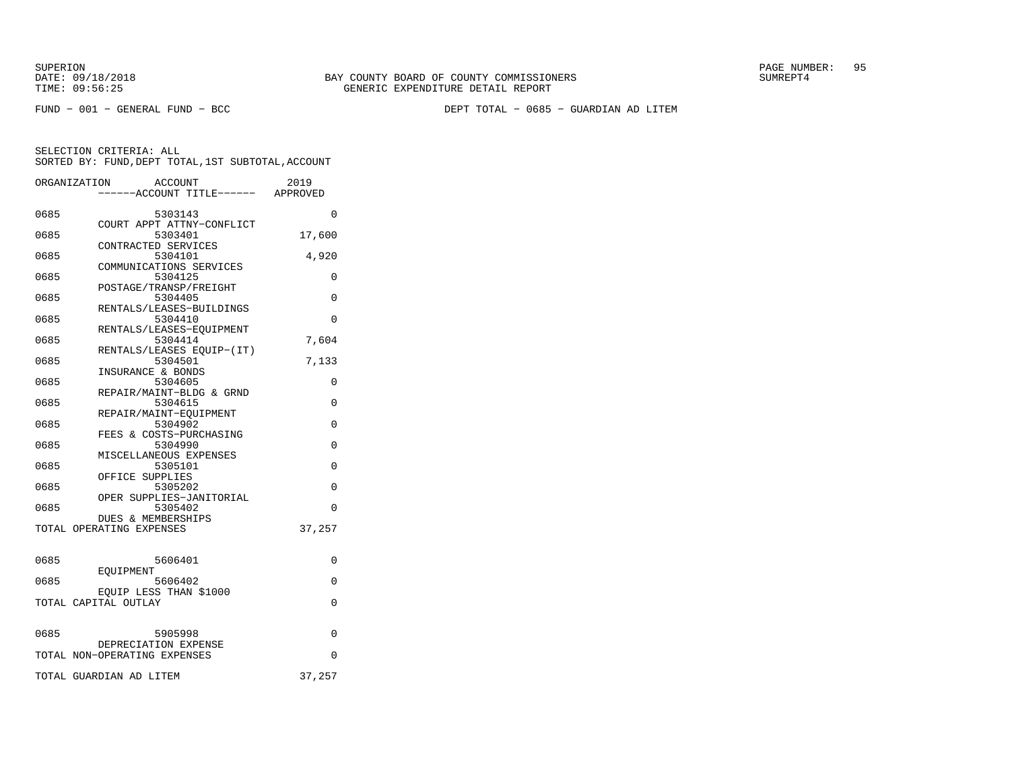FUND − 001 − GENERAL FUND − BCC DEPT TOTAL − 0685 − GUARDIAN AD LITEM

|      | ORGANIZATION<br>ACCOUNT<br>----ACCOUNT TITLE------ APPROVED | 2019     |
|------|-------------------------------------------------------------|----------|
| 0685 | 5303143                                                     | $\Omega$ |
| 0685 | COURT APPT ATTNY-CONFLICT<br>5303401                        | 17,600   |
| 0685 | CONTRACTED SERVICES<br>5304101                              | 4,920    |
| 0685 | COMMUNICATIONS SERVICES<br>5304125                          | 0        |
| 0685 | POSTAGE/TRANSP/FREIGHT<br>5304405                           | 0        |
| 0685 | RENTALS/LEASES-BUILDINGS<br>5304410                         | 0        |
| 0685 | RENTALS/LEASES-EQUIPMENT<br>5304414                         | 7,604    |
| 0685 | RENTALS/LEASES EOUIP-(IT)<br>5304501                        | 7,133    |
| 0685 | INSURANCE & BONDS<br>5304605                                | 0        |
| 0685 | REPAIR/MAINT-BLDG & GRND<br>5304615                         | 0        |
| 0685 | REPAIR/MAINT-EOUIPMENT<br>5304902                           | 0        |
| 0685 | FEES & COSTS-PURCHASING<br>5304990                          | $\Omega$ |
| 0685 | MISCELLANEOUS EXPENSES<br>5305101                           | 0        |
| 0685 | OFFICE SUPPLIES<br>5305202                                  | $\Omega$ |
| 0685 | OPER SUPPLIES-JANITORIAL<br>5305402                         | $\Omega$ |
|      | DUES & MEMBERSHIPS<br>TOTAL OPERATING EXPENSES              | 37,257   |
|      |                                                             |          |
| 0685 | 5606401<br>EOUIPMENT                                        | 0        |
| 0685 | 5606402<br>EQUIP LESS THAN \$1000                           | 0        |
|      | TOTAL CAPITAL OUTLAY                                        | 0        |
| 0685 | 5905998                                                     | 0        |
|      | DEPRECIATION EXPENSE<br>TOTAL NON-OPERATING EXPENSES        | $\Omega$ |
|      | TOTAL GUARDIAN AD LITEM                                     | 37,257   |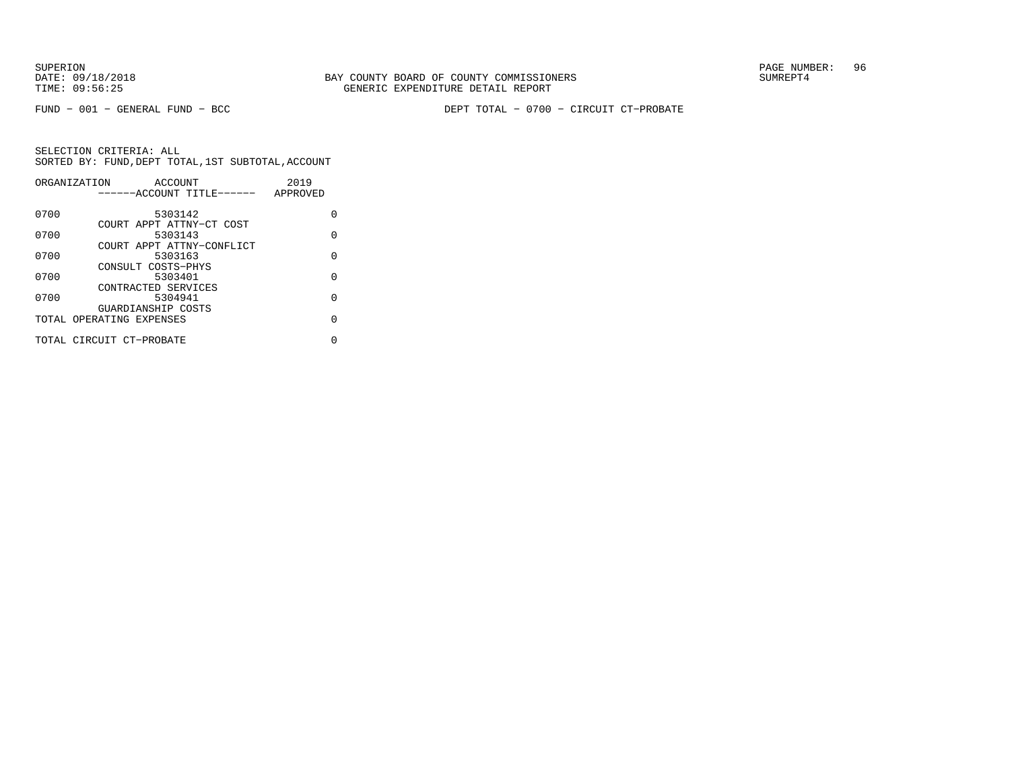DATE:  $09/18/2018$  SUMREPT4 TIME: 09:56:25 GENERIC EXPENDITURE DETAIL REPORT

SUPERION PAGE NUMBER: 96

FUND − 001 − GENERAL FUND − BCC DEPT TOTAL − 0700 − CIRCUIT CT−PROBATE

|      | ORGANIZATION<br>ACCOUNT                        | 2019     |          |
|------|------------------------------------------------|----------|----------|
|      | ------ACCOUNT TITLE------                      | APPROVED |          |
| 0700 | 5303142                                        |          | U        |
| 0700 | COURT APPT ATTNY-CT COST<br>5303143            |          | O        |
| 0700 | COURT APPT ATTNY-CONFLICT<br>5303163           |          | $\Omega$ |
| 0700 | CONSULT COSTS-PHYS<br>5303401                  |          | O        |
|      | CONTRACTED SERVICES                            |          |          |
| 0700 | 5304941                                        |          | $\Omega$ |
|      | GUARDIANSHIP COSTS<br>TOTAL OPERATING EXPENSES |          | O        |
|      | TOTAL CIRCUIT CT-PROBATE                       |          | N        |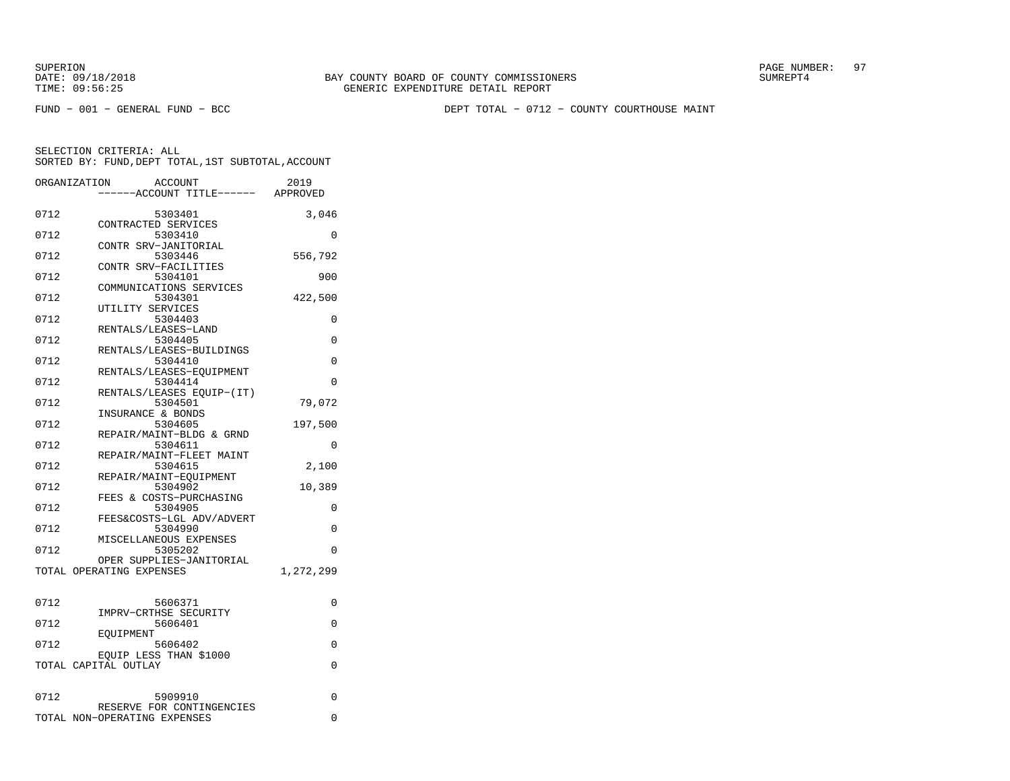FUND − 001 − GENERAL FUND − BCC DEPT TOTAL − 0712 − COUNTY COURTHOUSE MAINT

|      | ORGANIZATION<br>ACCOUNT<br>----ACCOUNT TITLE------ APPROVED | 2019      |
|------|-------------------------------------------------------------|-----------|
| 0712 | 5303401<br>CONTRACTED SERVICES                              | 3,046     |
| 0712 | 5303410<br>CONTR SRV-JANITORIAL                             | 0         |
| 0712 | 5303446<br>CONTR SRV-FACILITIES                             | 556,792   |
| 0712 | 5304101<br>COMMUNICATIONS SERVICES                          | 900       |
| 0712 | 5304301                                                     | 422,500   |
| 0712 | UTILITY SERVICES<br>5304403                                 | 0         |
| 0712 | RENTALS/LEASES-LAND<br>5304405                              | 0         |
| 0712 | RENTALS/LEASES-BUILDINGS<br>5304410                         | 0         |
| 0712 | RENTALS/LEASES-EQUIPMENT<br>5304414                         | 0         |
| 0712 | RENTALS/LEASES EOUIP-(IT)<br>5304501                        | 79,072    |
| 0712 | INSURANCE & BONDS<br>5304605                                | 197,500   |
| 0712 | REPAIR/MAINT-BLDG & GRND<br>5304611                         | 0         |
| 0712 | REPAIR/MAINT-FLEET MAINT<br>5304615                         | 2,100     |
| 0712 | REPAIR/MAINT-EOUIPMENT<br>5304902                           | 10,389    |
| 0712 | FEES & COSTS-PURCHASING<br>5304905                          | 0         |
| 0712 | FEES&COSTS-LGL ADV/ADVERT<br>5304990                        | 0         |
| 0712 | MISCELLANEOUS EXPENSES<br>5305202                           | 0         |
|      | OPER SUPPLIES-JANITORIAL<br>TOTAL OPERATING EXPENSES        | 1,272,299 |
| 0712 | 5606371                                                     | 0         |
| 0712 | IMPRV-CRTHSE SECURITY<br>5606401                            | 0         |
| 0712 | EOUIPMENT<br>5606402                                        | 0         |
|      | EQUIP LESS THAN \$1000<br>TOTAL CAPITAL OUTLAY              | 0         |
| 0712 | 5909910                                                     | 0         |
|      | RESERVE FOR CONTINGENCIES<br>TOTAL NON-OPERATING EXPENSES   | 0         |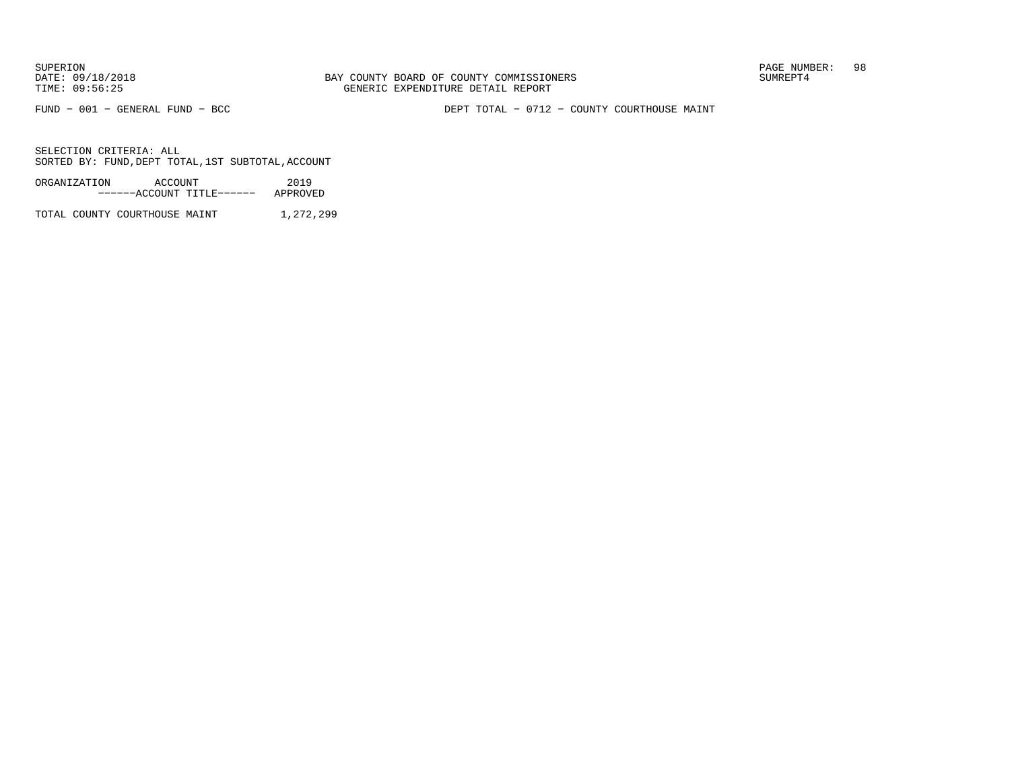FUND − 001 − GENERAL FUND − BCC DEPT TOTAL − 0712 − COUNTY COURTHOUSE MAINT

SELECTION CRITERIA: ALLSORTED BY: FUND,DEPT TOTAL,1ST SUBTOTAL,ACCOUNT

| ORGANIZATION | ACCOUNT |                           | 2019     |
|--------------|---------|---------------------------|----------|
|              |         | ------ACCOUNT TITLE------ | APPROVED |

TOTAL COUNTY COURTHOUSE MAINT 1,272,299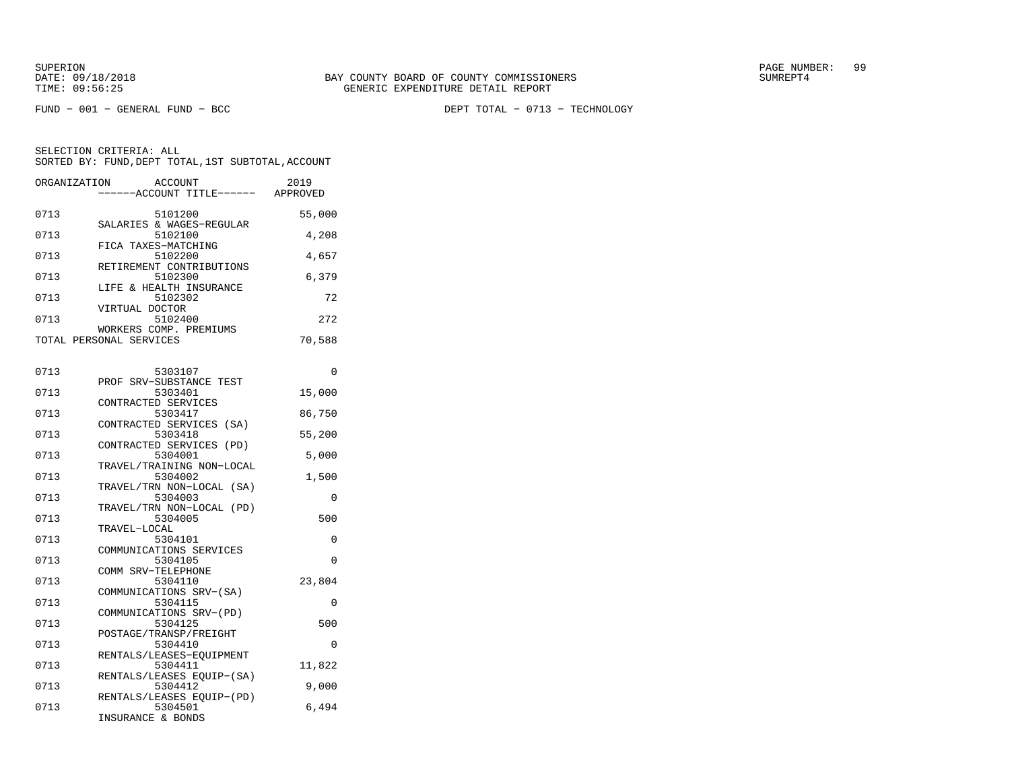FUND − 001 − GENERAL FUND − BCC DEPT TOTAL − 0713 − TECHNOLOGY

| ORGANIZATION            | ACCOUNT<br>------ACCOUNT TITLE------ | 2019<br>APPROVED |
|-------------------------|--------------------------------------|------------------|
| 0713                    | 5101200                              | 55,000           |
| 0713                    | SALARIES & WAGES-REGULAR<br>5102100  | 4,208            |
| 0713                    | FICA TAXES-MATCHING<br>5102200       | 4,657            |
| 0713                    | RETIREMENT CONTRIBUTIONS<br>5102300  | 6,379            |
| 0713                    | LIFE & HEALTH INSURANCE<br>5102302   | 72               |
| VIRTUAL DOCTOR<br>0713  | 5102400                              | 272              |
| TOTAL PERSONAL SERVICES | WORKERS COMP. PREMIUMS               | 70,588           |
|                         |                                      |                  |

| 0713 | 5303107                              | 0        |
|------|--------------------------------------|----------|
|      | PROF SRV-SUBSTANCE TEST              |          |
| 0713 | 5303401                              | 15,000   |
|      | CONTRACTED SERVICES                  |          |
| 0713 | 5303417                              | 86,750   |
|      | CONTRACTED SERVICES (SA)             |          |
| 0713 | 5303418                              | 55,200   |
|      | CONTRACTED SERVICES (PD)             |          |
| 0713 | 5304001                              | 5,000    |
|      | TRAVEL/TRAINING NON-LOCAL            |          |
| 0713 | 5304002                              | 1,500    |
| 0713 | TRAVEL/TRN NON-LOCAL (SA)<br>5304003 | $\Omega$ |
|      | TRAVEL/TRN NON-LOCAL (PD)            |          |
| 0713 | 5304005                              | 500      |
|      | TRAVEL-LOCAL                         |          |
| 0713 | 5304101                              | 0        |
|      | COMMUNICATIONS SERVICES              |          |
| 0713 | 5304105                              | $\Omega$ |
|      | COMM SRV-TELEPHONE                   |          |
| 0713 | 5304110                              | 23,804   |
|      | COMMUNICATIONS SRV-(SA)              |          |
| 0713 | 5304115                              | $\Omega$ |
|      | COMMUNICATIONS SRV-(PD)              |          |
| 0713 | 5304125                              | 500      |
|      | POSTAGE/TRANSP/FREIGHT               |          |
| 0713 | 5304410                              | $\Omega$ |
|      | RENTALS/LEASES-EQUIPMENT             |          |
| 0713 | 5304411                              | 11,822   |
|      | RENTALS/LEASES EQUIP-(SA)            |          |
| 0713 | 5304412                              | 9,000    |
|      | RENTALS/LEASES EQUIP-(PD)<br>5304501 |          |
| 0713 | INSURANCE & BONDS                    | 6,494    |
|      |                                      |          |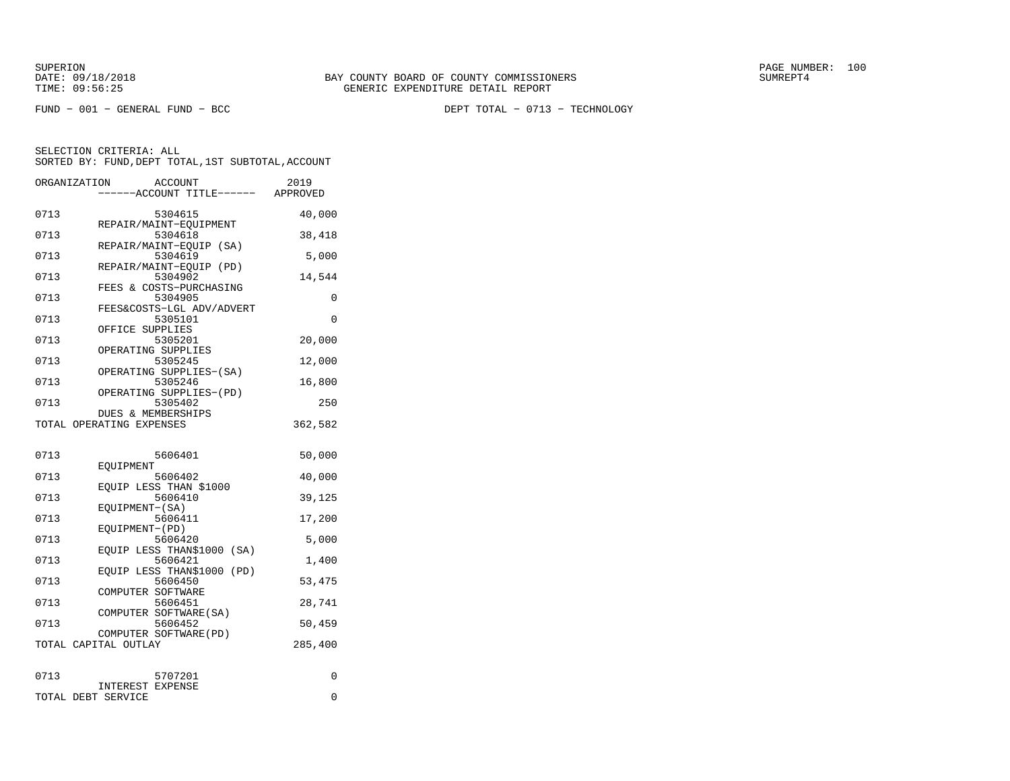FUND − 001 − GENERAL FUND − BCC DEPT TOTAL − 0713 − TECHNOLOGY

| ORGANIZATION | <b>ACCOUNT</b><br>----ACCOUNT TITLE------ APPROVED       | 2019     |
|--------------|----------------------------------------------------------|----------|
| 0713         | 5304615                                                  | 40,000   |
| 0713         | REPAIR/MAINT-EOUIPMENT<br>5304618                        | 38,418   |
| 0713         | REPAIR/MAINT-EOUIP (SA)<br>5304619                       | 5,000    |
| 0713         | REPAIR/MAINT-EOUIP<br>(PD)<br>5304902                    | 14,544   |
| 0713         | FEES & COSTS-PURCHASING<br>5304905                       | 0        |
| 0713         | FEES&COSTS-LGL ADV/ADVERT<br>5305101                     | $\Omega$ |
| 0713         | OFFICE SUPPLIES<br>5305201                               | 20,000   |
| 0713         | OPERATING SUPPLIES<br>5305245<br>OPERATING SUPPLIES-(SA) | 12,000   |
| 0713         | 5305246<br>OPERATING SUPPLIES-(PD)                       | 16,800   |
| 0713         | 5305402<br>DUES & MEMBERSHIPS                            | 250      |
|              | TOTAL OPERATING EXPENSES                                 | 362,582  |
| 0713         | 5606401                                                  | 50,000   |
| 0713         | EOUIPMENT<br>5606402                                     | 40,000   |
| 0713         | EQUIP LESS THAN \$1000<br>5606410                        | 39,125   |
| 0713         | EOUIPMENT-(SA)<br>5606411                                | 17,200   |
| 0713         | EQUIPMENT-(PD)<br>5606420                                | 5,000    |
| 0713         | EQUIP LESS THAN\$1000 (SA)<br>5606421                    | 1,400    |
| 0713         | EOUIP LESS THAN\$1000<br>(PD)<br>5606450                 | 53,475   |
| 0713         | COMPUTER SOFTWARE<br>5606451                             | 28,741   |
| 0713         | COMPUTER SOFTWARE (SA)<br>5606452                        | 50,459   |
|              | COMPUTER SOFTWARE (PD)<br>TOTAL CAPITAL OUTLAY           | 285,400  |
|              |                                                          |          |
| 0713         | 5707201<br><b>INTEREST EXPENSE</b>                       | 0        |
|              | TOTAL DEBT SERVICE                                       | 0        |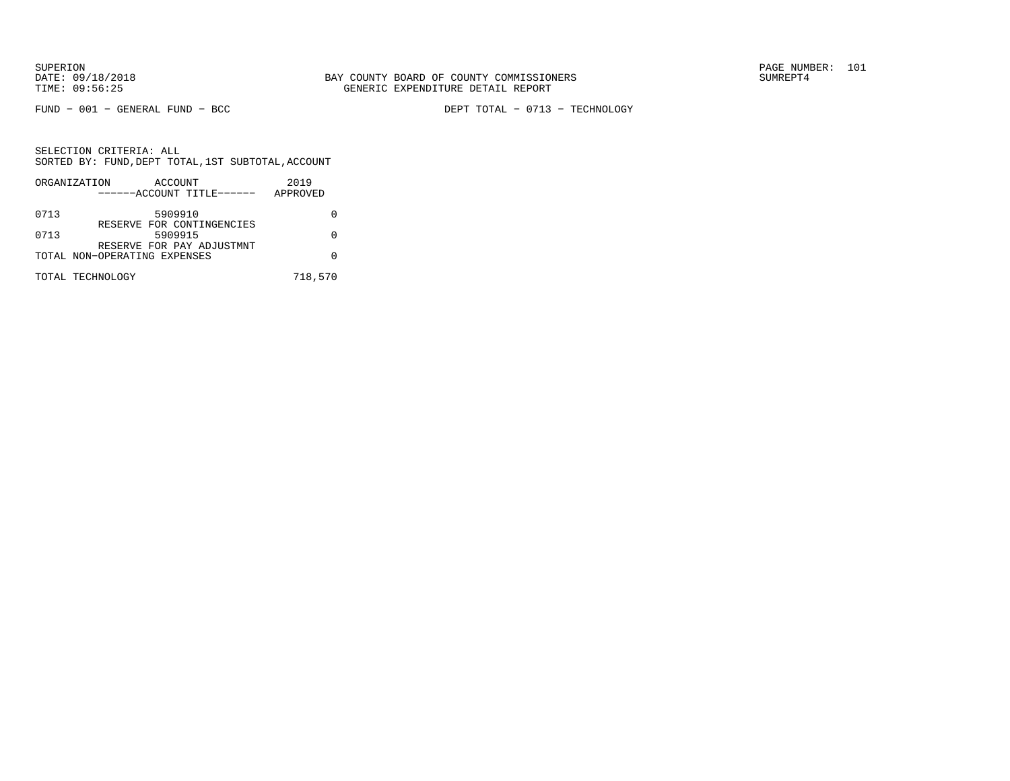FUND − 001 − GENERAL FUND − BCC DEPT TOTAL − 0713 − TECHNOLOGY

SELECTION CRITERIA: ALL SORTED BY: FUND,DEPT TOTAL,1ST SUBTOTAL,ACCOUNTORGANIZATION ACCOUNT 2019

|      | ORGANIZATION<br>ACCOUNT<br>------ACCOUNT TITLE------      | 2019<br>APPROVED |
|------|-----------------------------------------------------------|------------------|
| 0713 | 5909910                                                   |                  |
| 0713 | RESERVE FOR CONTINGENCIES<br>5909915                      |                  |
|      | RESERVE FOR PAY ADJUSTMNT<br>TOTAL NON-OPERATING EXPENSES |                  |
|      | TOTAL TECHNOLOGY                                          | 718,570          |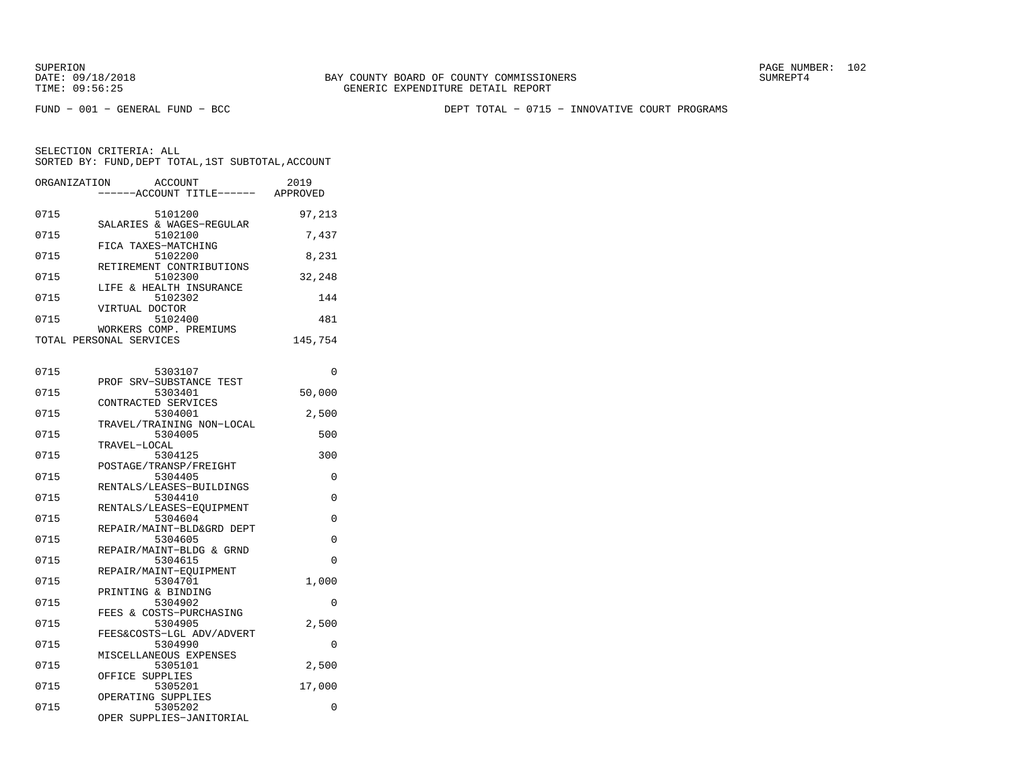FUND − 001 − GENERAL FUND − BCC DEPT TOTAL − 0715 − INNOVATIVE COURT PROGRAMS

| ORGANIZATION | ACCOUNT<br>------ACCOUNT TITLE------        | 2019<br>APPROVED |
|--------------|---------------------------------------------|------------------|
| 0715         | 5101200                                     | 97,213           |
| 0715         | SALARIES & WAGES-REGULAR<br>5102100         | 7,437            |
| 0715         | FICA TAXES-MATCHING<br>5102200              | 8,231            |
| 0715         | RETIREMENT CONTRIBUTIONS<br>5102300         | 32,248           |
| 0715         | LIFE & HEALTH INSURANCE<br>5102302          | 144              |
| 0715         | VIRTUAL DOCTOR<br>5102400                   | 481              |
| TOTAL        | WORKERS COMP. PREMIUMS<br>PERSONAL SERVICES | 145,754          |

| 0715 | 5303107                   | $\Omega$    |
|------|---------------------------|-------------|
|      | PROF SRV-SUBSTANCE TEST   |             |
| 0715 | 5303401                   | 50,000      |
|      | CONTRACTED SERVICES       |             |
| 0715 | 5304001                   | 2,500       |
|      | TRAVEL/TRAINING NON-LOCAL |             |
| 0715 | 5304005                   | 500         |
|      | TRAVEL-LOCAL              |             |
| 0715 | 5304125                   | 300         |
|      | POSTAGE/TRANSP/FREIGHT    |             |
| 0715 | 5304405                   | 0           |
|      | RENTALS/LEASES-BUILDINGS  |             |
| 0715 | 5304410                   | $\Omega$    |
|      | RENTALS/LEASES-EOUIPMENT  |             |
| 0715 | 5304604                   | $\mathbf 0$ |
|      | REPAIR/MAINT-BLD&GRD DEPT |             |
| 0715 | 5304605                   | $\Omega$    |
|      | REPAIR/MAINT-BLDG & GRND  |             |
| 0715 | 5304615                   | $\Omega$    |
|      | REPAIR/MAINT-EOUIPMENT    |             |
| 0715 | 5304701                   | 1,000       |
|      | PRINTING & BINDING        |             |
| 0715 | 5304902                   | $\Omega$    |
|      | FEES & COSTS-PURCHASING   |             |
| 0715 | 5304905                   | 2,500       |
|      | FEES&COSTS-LGL ADV/ADVERT |             |
| 0715 | 5304990                   | $\Omega$    |
|      | MISCELLANEOUS EXPENSES    |             |
| 0715 | 5305101                   | 2,500       |
|      | OFFICE SUPPLIES           |             |
| 0715 | 5305201                   | 17,000      |
|      | OPERATING SUPPLIES        |             |
| 0715 | 5305202                   | 0           |
|      | OPER SUPPLIES-JANITORIAL  |             |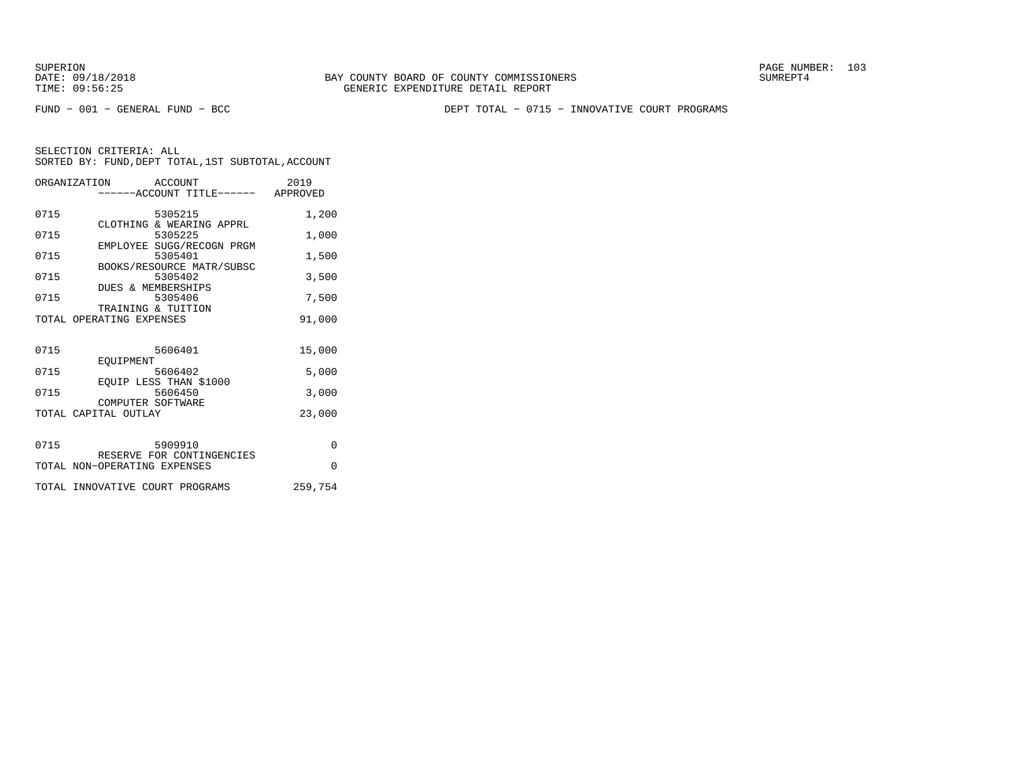FUND − 001 − GENERAL FUND − BCC DEPT TOTAL − 0715 − INNOVATIVE COURT PROGRAMS

|      | ORGANIZATION<br>ACCOUNT<br>-----ACCOUNT TITLE------ | 2019<br>APPROVED |
|------|-----------------------------------------------------|------------------|
| 0715 | 5305215<br>CLOTHING & WEARING APPRL                 | 1,200            |
| 0715 | 5305225                                             | 1,000            |
| 0715 | EMPLOYEE SUGG/RECOGN PRGM<br>5305401                | 1,500            |
| 0715 | BOOKS/RESOURCE MATR/SUBSC<br>5305402                | 3,500            |
| 0715 | <b>DUES &amp; MEMBERSHIPS</b><br>5305406            | 7,500            |
|      | TRAINING & TUITION<br>TOTAL OPERATING EXPENSES      | 91,000           |
|      |                                                     |                  |
| 0715 | 5606401                                             | 15,000           |
| 0715 | <b>EOUIPMENT</b><br>5606402                         | 5,000            |
|      | EOUIP LESS THAN \$1000                              |                  |
| 0715 | 5606450<br>COMPUTER SOFTWARE                        | 3,000            |
|      | TOTAL CAPITAL OUTLAY                                | 23,000           |
| 0715 | 5909910                                             | $\Omega$         |
|      | RESERVE FOR CONTINGENCIES                           |                  |
|      | TOTAL NON-OPERATING EXPENSES                        | $\Omega$         |
|      | TOTAL INNOVATIVE COURT PROGRAMS                     | 259,754          |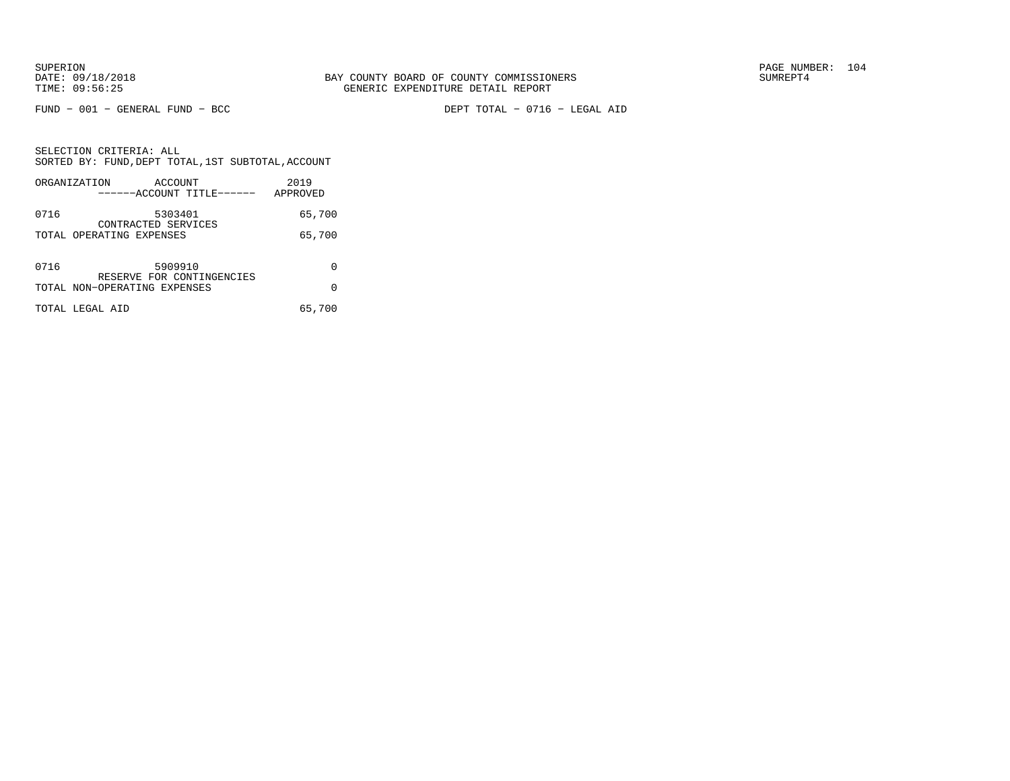FUND − 001 − GENERAL FUND − BCC DEPT TOTAL − 0716 − LEGAL AID

SELECTION CRITERIA: ALL SORTED BY: FUND,DEPT TOTAL,1ST SUBTOTAL,ACCOUNTORGANIZATION ACCOUNT 2019

|      | URGANIZAIION<br>ACCOUNT<br>------ACCOUNT TITLE------      | スリエン<br>APPROVED |
|------|-----------------------------------------------------------|------------------|
| 0716 | 5303401<br>CONTRACTED SERVICES                            | 65,700           |
|      | TOTAL OPERATING EXPENSES                                  | 65,700           |
| 0716 | 5909910                                                   | 0                |
|      | RESERVE FOR CONTINGENCIES<br>TOTAL NON-OPERATING EXPENSES | U                |
|      | TOTAL LEGAL AID                                           | 65,700           |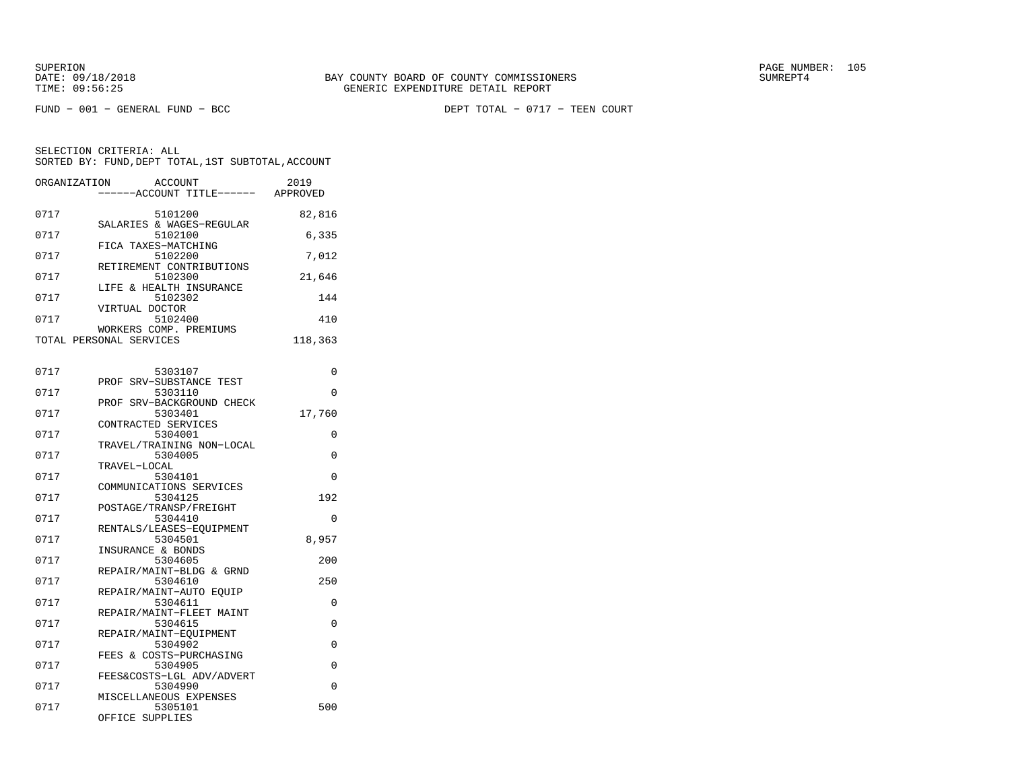FUND − 001 − GENERAL FUND − BCC DEPT TOTAL − 0717 − TEEN COURT

| ORGANIZATION | ACCOUNT<br>---ACCOUNT TITLE------ APPROVED | 2019     |
|--------------|--------------------------------------------|----------|
| 0717         | 5101200<br>SALARIES & WAGES-REGULAR        | 82,816   |
| 0717         | 5102100<br>FICA TAXES-MATCHING             | 6,335    |
| 0717         | 5102200<br>RETIREMENT CONTRIBUTIONS        | 7,012    |
| 0717         | 5102300<br>LIFE & HEALTH INSURANCE         | 21,646   |
| 0717         | 5102302<br>VIRTUAL DOCTOR                  | 144      |
| 0717         | 5102400<br>WORKERS COMP. PREMIUMS          | 410      |
|              | TOTAL PERSONAL SERVICES                    | 118,363  |
| 0717         | 5303107                                    | 0        |
| 0717         | SRV-SUBSTANCE TEST<br>PROF<br>5303110      | 0        |
| 0717         | PROF SRV-BACKGROUND CHECK<br>5303401       | 17,760   |
| 0717         | CONTRACTED SERVICES<br>5304001             | 0        |
| 0717         | TRAVEL/TRAINING NON-LOCAL<br>5304005       | 0        |
| 0717         | TRAVEL-LOCAL<br>5304101                    | 0        |
| 0717         | COMMUNICATIONS SERVICES<br>5304125         | 192      |
| 0717         | POSTAGE/TRANSP/FREIGHT<br>5304410          | $\Omega$ |
| 0717         | RENTALS/LEASES-EQUIPMENT<br>5304501        | 8,957    |
| 0717         | INSURANCE & BONDS<br>5304605               | 200      |
| 0717         | REPAIR/MAINT-BLDG & GRND<br>5304610        | 250      |
| 0717         | REPAIR/MAINT-AUTO EQUIP<br>5304611         | 0        |
| 0717         | REPAIR/MAINT-FLEET MAINT                   | 0        |
| 0717         | 5304615<br>REPAIR/MAINT-EOUIPMENT          | 0        |
|              | 5304902<br>FEES & COSTS-PURCHASING         |          |
| 0717         | 5304905<br>FEES&COSTS-LGL ADV/ADVERT       | 0        |
| 0717         | 5304990<br>MISCELLANEOUS EXPENSES          | 0        |
| 0717         | 5305101<br>OFFICE SUPPLIES                 | 500      |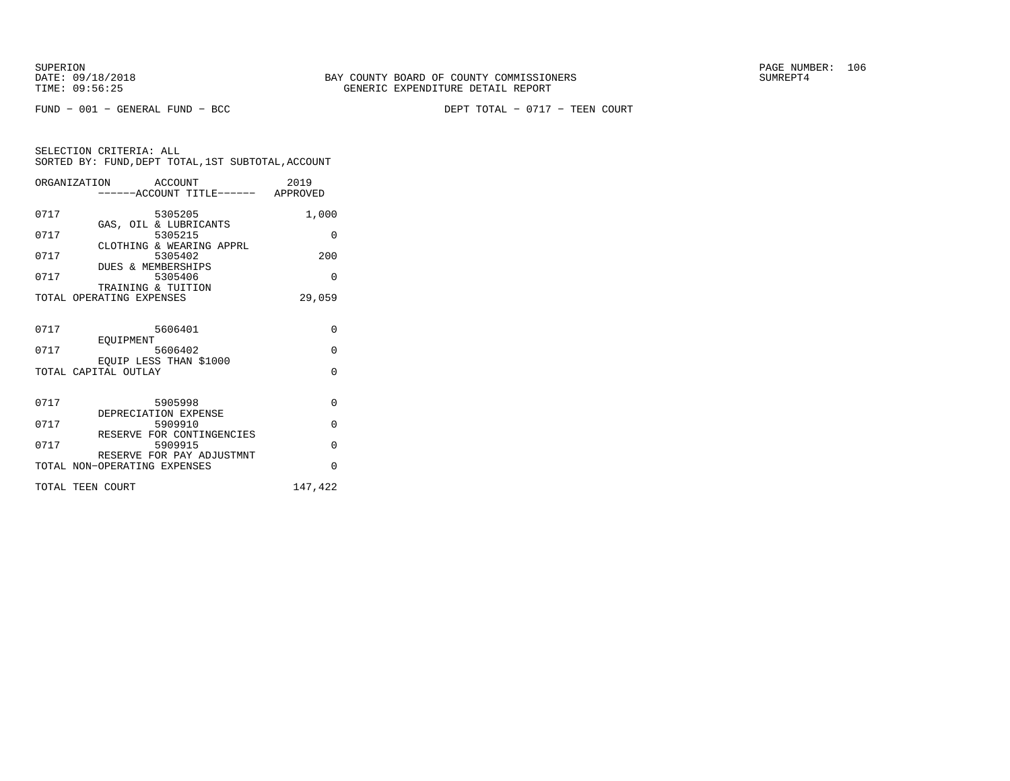FUND − 001 − GENERAL FUND − BCC DEPT TOTAL − 0717 − TEEN COURT

|      | ORGANIZATION ACCOUNT                           | -----ACCOUNT TITLE------ APPROVED    | 2019     |
|------|------------------------------------------------|--------------------------------------|----------|
| 0717 |                                                | 5305205                              | 1,000    |
| 0717 |                                                | GAS, OIL & LUBRICANTS<br>5305215     | $\Omega$ |
| 0717 |                                                | CLOTHING & WEARING APPRL<br>5305402  | 200      |
| 0717 | DUES & MEMBERSHIPS                             | 5305406                              | $\Omega$ |
|      | TRAINING & TUITION<br>TOTAL OPERATING EXPENSES |                                      | 29,059   |
| 0717 |                                                | 5606401                              | $\Omega$ |
| 0717 | EOUIPMENT                                      | 5606402                              | $\Omega$ |
|      | EOUIP LESS THAN \$1000<br>TOTAL CAPITAL OUTLAY |                                      | $\Omega$ |
| 0717 |                                                | 5905998                              | $\Omega$ |
| 0717 | DEPRECIATION EXPENSE                           | 5909910                              | $\Omega$ |
| 0717 |                                                | RESERVE FOR CONTINGENCIES<br>5909915 | $\Omega$ |
|      | TOTAL NON-OPERATING EXPENSES                   | RESERVE FOR PAY ADJUSTMNT            | $\Omega$ |
|      | TOTAL TEEN COURT                               |                                      | 147,422  |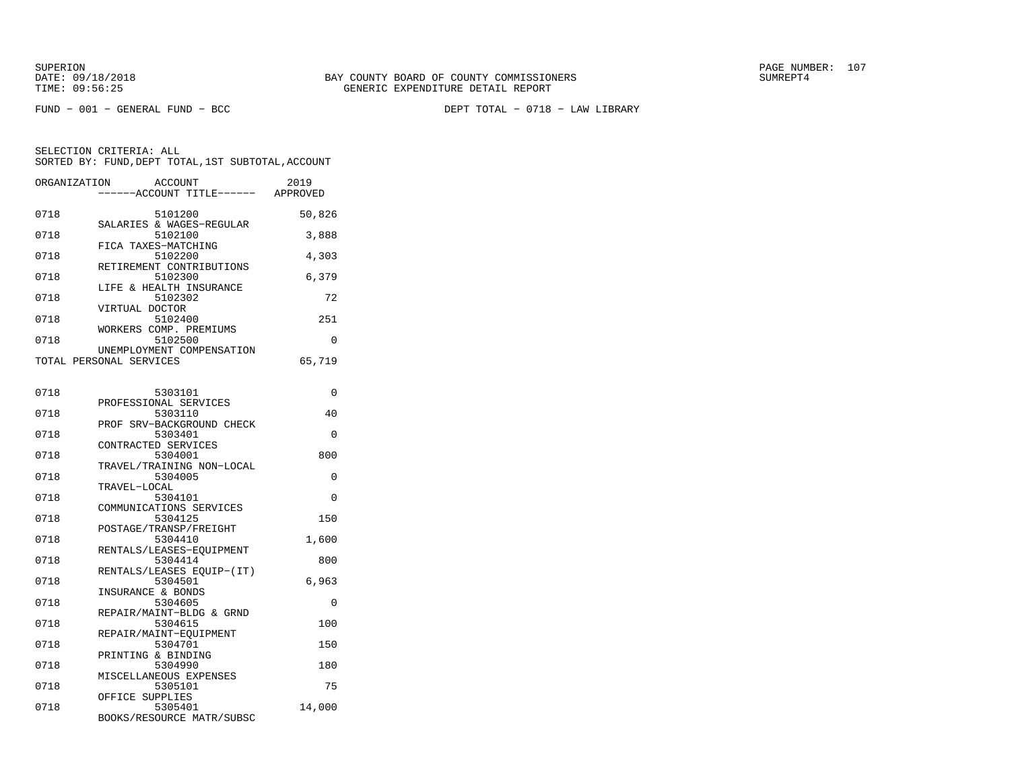FUND − 001 − GENERAL FUND − BCC DEPT TOTAL − 0718 − LAW LIBRARY

| ORGANIZATION | ACCOUNT<br>---ACCOUNT TITLE------                    | 2019<br>APPROVED |
|--------------|------------------------------------------------------|------------------|
| 0718         | 5101200<br>SALARIES & WAGES-REGULAR                  | 50,826           |
| 0718         | 5102100<br>FICA TAXES-MATCHING                       | 3,888            |
| 0718         | 5102200                                              | 4,303            |
| 0718         | RETIREMENT CONTRIBUTIONS<br>5102300                  | 6,379            |
| 0718         | LIFE & HEALTH INSURANCE<br>5102302                   | 72               |
| 0718         | VIRTUAL DOCTOR<br>5102400                            | 251              |
| 0718         | WORKERS COMP. PREMIUMS<br>5102500                    | 0                |
|              | UNEMPLOYMENT COMPENSATION<br>TOTAL PERSONAL SERVICES | 65,719           |
| 0718         | 5303101                                              | 0                |
| 0718         | PROFESSIONAL SERVICES<br>5303110                     | 40               |
| 0718         | PROF SRV-BACKGROUND CHECK<br>5303401                 | 0                |
| 0718         | CONTRACTED SERVICES<br>5304001                       | 800              |
| 0718         | TRAVEL/TRAINING NON-LOCAL<br>5304005                 | 0                |
| 0718         | TRAVEL-LOCAL<br>5304101                              | 0                |
| 0718         | COMMUNICATIONS SERVICES<br>5304125                   | 150              |
| 0718         | POSTAGE/TRANSP/FREIGHT<br>5304410                    | 1,600            |
| 0718         | RENTALS/LEASES-EOUIPMENT<br>5304414                  | 800              |
| 0718         | RENTALS/LEASES EOUIP-(IT)<br>5304501                 | 6,963            |
| 0718         | INSURANCE & BONDS<br>5304605                         | $\Omega$         |
| 0718         | REPAIR/MAINT-BLDG & GRND<br>5304615                  | 100              |
| 0718         | REPAIR/MAINT-EQUIPMENT<br>5304701                    | 150              |
| 0718         | PRINTING & BINDING<br>5304990                        | 180              |
| 0718         | MISCELLANEOUS EXPENSES<br>5305101                    | 75               |
| 0718         | OFFICE SUPPLIES<br>5305401                           | 14,000           |
|              | BOOKS/RESOURCE MATR/SUBSC                            |                  |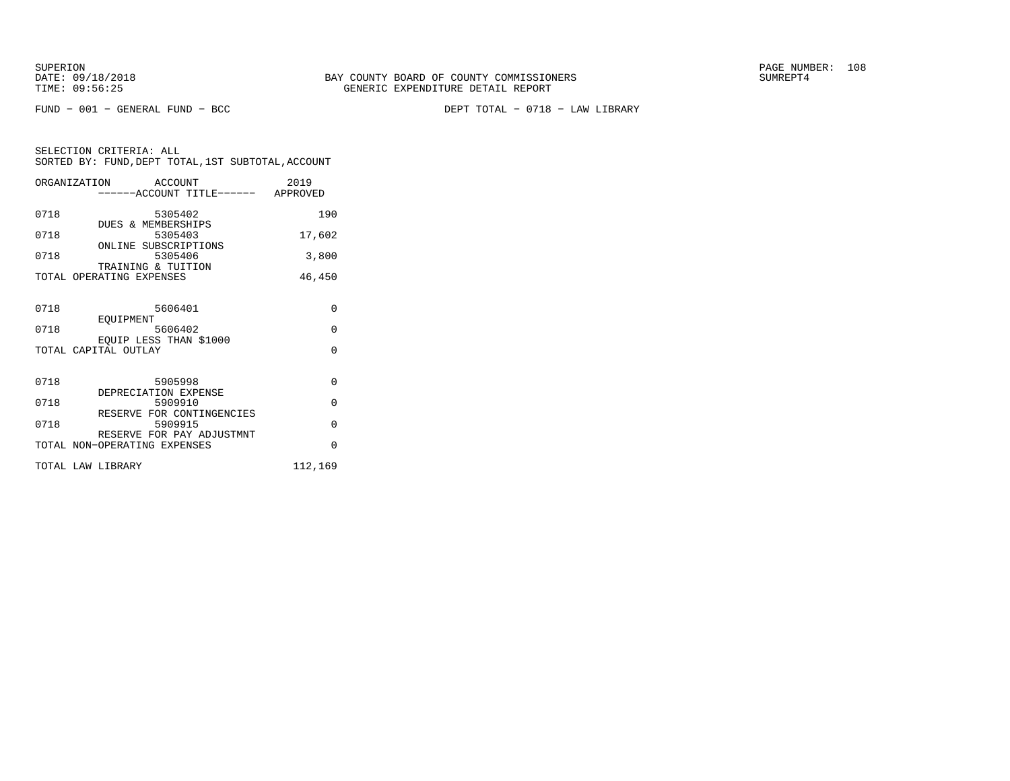FUND − 001 − GENERAL FUND − BCC DEPT TOTAL − 0718 − LAW LIBRARY

|      | ORGANIZATION ACCOUNT                 | 2019     |
|------|--------------------------------------|----------|
|      | -----ACCOUNT TITLE------ APPROVED    |          |
|      |                                      |          |
| 0718 | 5305402                              | 190      |
| 0718 | DUES & MEMBERSHIPS<br>5305403        | 17,602   |
|      | ONLINE SUBSCRIPTIONS                 |          |
| 0718 | 5305406                              | 3,800    |
|      | TRAINING & TUITION                   |          |
|      | TOTAL OPERATING EXPENSES             | 46,450   |
|      |                                      |          |
|      |                                      |          |
| 0718 | 5606401                              | $\Omega$ |
| 0718 | EOUIPMENT<br>5606402                 | $\Omega$ |
|      | EOUIP LESS THAN \$1000               |          |
|      | TOTAL CAPITAL OUTLAY                 | $\Omega$ |
|      |                                      |          |
|      |                                      |          |
| 0718 | 5905998                              | $\Omega$ |
|      | DEPRECIATION EXPENSE                 |          |
| 0718 | 5909910                              | $\Omega$ |
| 0718 | RESERVE FOR CONTINGENCIES<br>5909915 | $\Omega$ |
|      | RESERVE FOR PAY ADJUSTMNT            |          |
|      | TOTAL NON-OPERATING EXPENSES         | $\Omega$ |
|      |                                      |          |
|      | TOTAL LAW LIBRARY                    | 112,169  |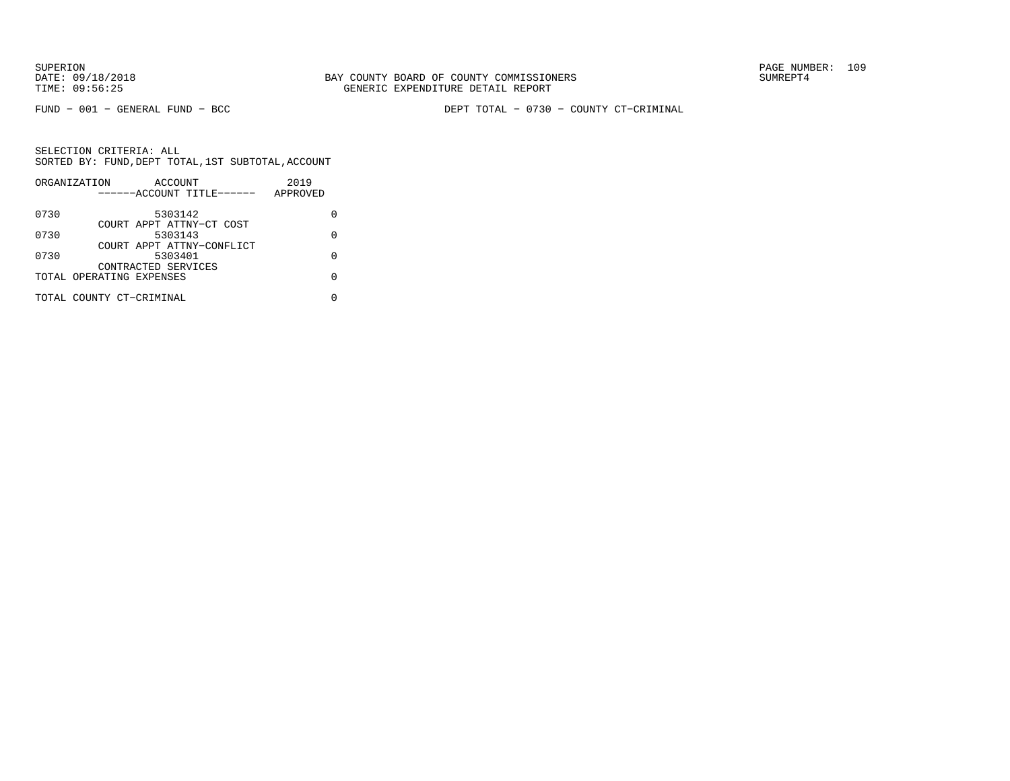FUND − 001 − GENERAL FUND − BCC DEPT TOTAL − 0730 − COUNTY CT−CRIMINAL

|      | ORGANIZATION             | ACCOUNT                   |  | 2019     |   |
|------|--------------------------|---------------------------|--|----------|---|
|      |                          | ------ACCOUNT TITLE------ |  | APPROVED |   |
| 0730 |                          | 5303142                   |  |          |   |
|      |                          | COURT APPT ATTNY-CT COST  |  |          |   |
| 0730 |                          | 5303143                   |  |          | O |
|      |                          | COURT APPT ATTNY-CONFLICT |  |          |   |
| 0730 |                          | 5303401                   |  |          | U |
|      |                          | CONTRACTED SERVICES       |  |          |   |
|      | TOTAL OPERATING EXPENSES |                           |  |          | U |
|      | TOTAL COUNTY CT-CRIMINAL |                           |  |          |   |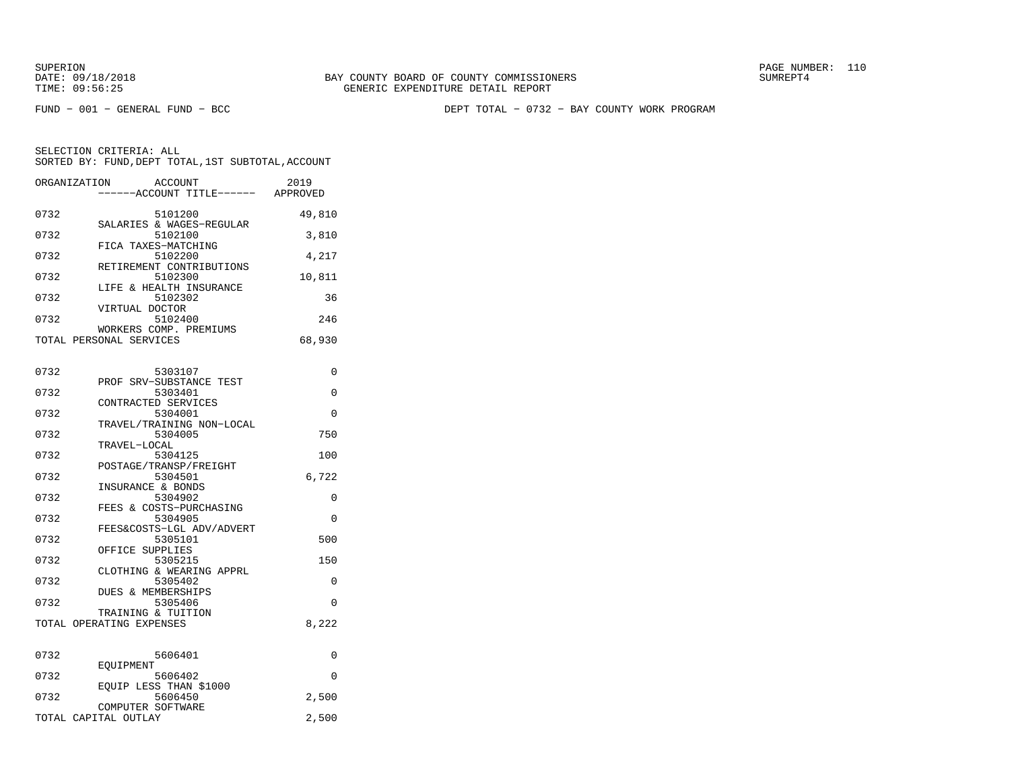FUND − 001 − GENERAL FUND − BCC DEPT TOTAL − 0732 − BAY COUNTY WORK PROGRAM

| ORGANIZATION         | ACCOUNT<br>---ACCOUNT TITLE------                 | 2019<br>APPROVED |
|----------------------|---------------------------------------------------|------------------|
| 0732                 | 5101200                                           | 49,810           |
| 0732                 | SALARIES & WAGES-REGULAR<br>5102100               | 3,810            |
| 0732                 | FICA TAXES-MATCHING<br>5102200                    | 4,217            |
| 0732                 | RETIREMENT CONTRIBUTIONS<br>5102300               | 10,811           |
| 0732                 | LIFE & HEALTH INSURANCE<br>5102302                | 36               |
| 0732                 | VIRTUAL DOCTOR<br>5102400                         | 246              |
|                      | WORKERS COMP. PREMIUMS<br>TOTAL PERSONAL SERVICES | 68,930           |
|                      |                                                   |                  |
| 0732                 | 5303107                                           | 0                |
| 0732                 | PROF SRV-SUBSTANCE TEST<br>5303401                | 0                |
| 0732                 | CONTRACTED SERVICES<br>5304001                    | 0                |
| 0732                 | TRAVEL/TRAINING NON-LOCAL<br>5304005              | 750              |
| 0732                 | TRAVEL-LOCAL<br>5304125                           | 100              |
|                      | POSTAGE/TRANSP/FREIGHT                            |                  |
| 0732                 | 5304501<br>INSURANCE & BONDS                      | 6,722            |
| 0732                 | 5304902<br>FEES & COSTS-PURCHASING                | 0                |
| 0732                 | 5304905                                           | $\Omega$         |
| 0732                 | FEES&COSTS-LGL ADV/ADVERT<br>5305101              | 500              |
| 0732                 | OFFICE SUPPLIES<br>5305215                        | 150              |
| 0732                 | CLOTHING & WEARING APPRL<br>5305402               | 0                |
|                      | DUES & MEMBERSHIPS                                |                  |
| 0732                 | 5305406<br>TRAINING & TUITION                     | 0                |
|                      | TOTAL OPERATING EXPENSES                          | 8,222            |
| 0732                 | 5606401                                           | 0                |
|                      | EOUIPMENT                                         |                  |
| 0732                 | 5606402<br>EOUIP LESS THAN \$1000                 | 0                |
| 0732                 | 5606450<br>COMPUTER SOFTWARE                      | 2,500            |
| TOTAL CAPITAL OUTLAY |                                                   | 2,500            |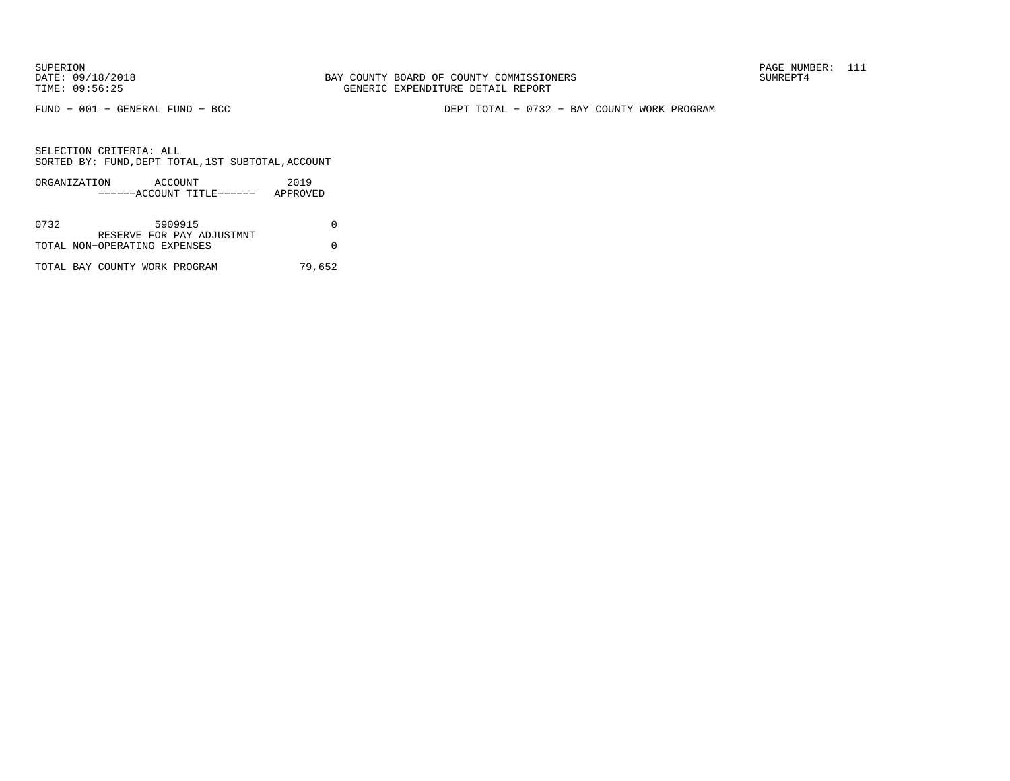FUND − 001 − GENERAL FUND − BCC DEPT TOTAL − 0732 − BAY COUNTY WORK PROGRAM

SELECTION CRITERIA: ALLSORTED BY: FUND,DEPT TOTAL,1ST SUBTOTAL,ACCOUNT

|      | ORGANIZATION<br>ACCOUNT      | 2019     |
|------|------------------------------|----------|
|      | ------ACCOUNT TITLE------    | APPROVED |
|      |                              |          |
| 0732 | 5909915                      |          |
|      | RESERVE FOR PAY ADJUSTMNT    |          |
|      | TOTAL NON-OPERATING EXPENSES |          |
|      |                              |          |

TOTAL BAY COUNTY WORK PROGRAM 79,652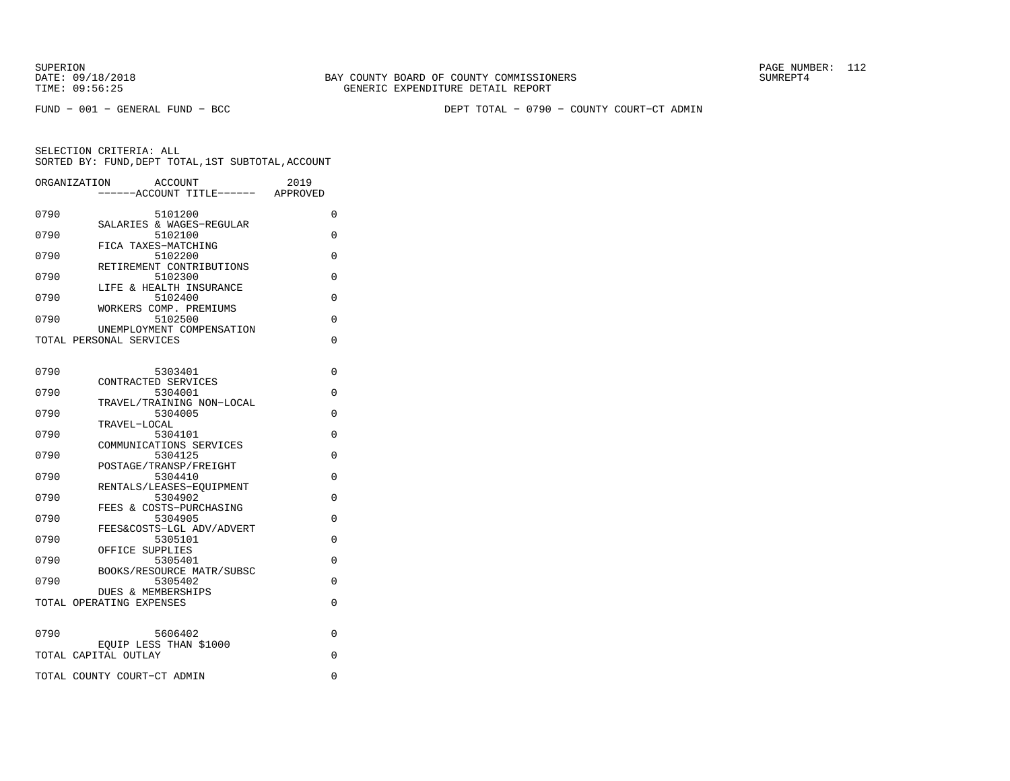FUND − 001 − GENERAL FUND − BCC DEPT TOTAL − 0790 − COUNTY COURT−CT ADMIN

| ORGANIZATION | <b>ACCOUNT</b><br>------ACCOUNT TITLE------ APPROVED      | 2019 |
|--------------|-----------------------------------------------------------|------|
| 0790         | 5101200                                                   | 0    |
| 0790         | SALARIES & WAGES-REGULAR<br>5102100                       | 0    |
| 0790         | FICA TAXES-MATCHING<br>5102200                            | 0    |
|              | RETIREMENT CONTRIBUTIONS                                  |      |
| 0790         | 5102300<br>LIFE & HEALTH INSURANCE                        | 0    |
| 0790         | 5102400<br>WORKERS COMP. PREMIUMS                         | 0    |
| 0790         | 5102500<br>UNEMPLOYMENT COMPENSATION                      | 0    |
|              | TOTAL PERSONAL SERVICES                                   | 0    |
|              |                                                           |      |
| 0790         | 5303401                                                   | 0    |
| 0790         | CONTRACTED SERVICES<br>5304001                            | 0    |
| 0790         | TRAVEL/TRAINING NON-LOCAL<br>5304005                      | 0    |
|              | TRAVEL-LOCAL                                              |      |
| 0790         | 5304101<br>COMMUNICATIONS SERVICES                        | 0    |
| 0790         | 5304125                                                   | 0    |
| 0790         | POSTAGE/TRANSP/FREIGHT<br>5304410                         | 0    |
|              | RENTALS/LEASES-EQUIPMENT                                  |      |
| 0790         | 5304902<br>FEES & COSTS-PURCHASING                        | 0    |
| 0790         | 5304905                                                   | 0    |
| 0790         | FEES&COSTS-LGL ADV/ADVERT<br>5305101                      | 0    |
|              | OFFICE SUPPLIES                                           |      |
| 0790         | 5305401<br>BOOKS/RESOURCE MATR/SUBSC                      | 0    |
| 0790         | 5305402                                                   | 0    |
|              | <b>DUES &amp; MEMBERSHIPS</b><br>TOTAL OPERATING EXPENSES | 0    |
|              |                                                           |      |
| 0790         | 5606402                                                   | 0    |
|              | EQUIP LESS THAN \$1000<br>TOTAL CAPITAL OUTLAY            | 0    |
|              | TOTAL COUNTY COURT-CT ADMIN                               | 0    |
|              |                                                           |      |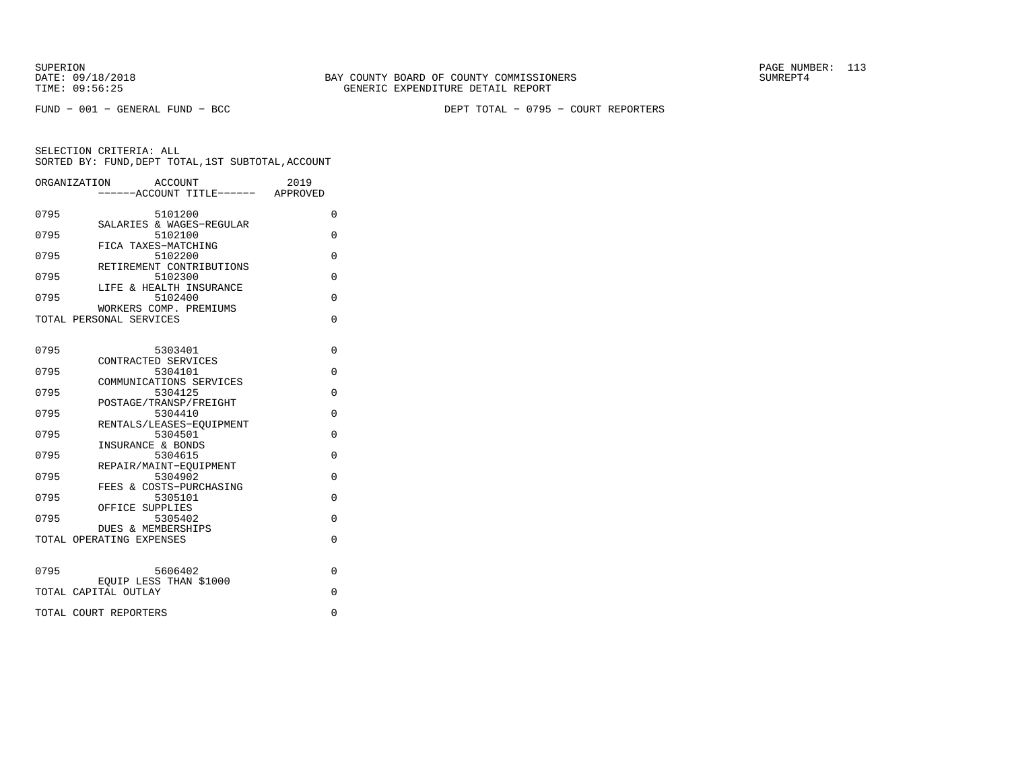FUND − 001 − GENERAL FUND − BCC DEPT TOTAL − 0795 − COURT REPORTERS

| ORGANIZATION | ACCOUNT<br>-----ACCOUNT TITLE------ APPROVED   | 2019     |
|--------------|------------------------------------------------|----------|
| 0795         | 5101200<br>SALARIES & WAGES-REGULAR            | 0        |
| 0795         | 5102100<br>FICA TAXES-MATCHING                 | $\Omega$ |
| 0795         | 5102200<br>RETIREMENT CONTRIBUTIONS            | $\Omega$ |
| 0795         | 5102300<br>LIFE & HEALTH INSURANCE             | $\Omega$ |
| 0795         | 5102400<br>WORKERS COMP. PREMIUMS              | $\Omega$ |
|              | TOTAL PERSONAL SERVICES                        | $\Omega$ |
| 0795         | 5303401                                        | $\Omega$ |
| 0795         | CONTRACTED SERVICES<br>5304101                 | $\Omega$ |
| 0795         | COMMUNICATIONS SERVICES<br>5304125             | $\Omega$ |
| 0795         | POSTAGE/TRANSP/FREIGHT<br>5304410              | $\Omega$ |
| 0795         | RENTALS/LEASES-EOUIPMENT<br>5304501            | $\Omega$ |
| 0795         | INSURANCE & BONDS<br>5304615                   | $\Omega$ |
| 0795         | REPAIR/MAINT-EOUIPMENT<br>5304902              | 0        |
| 0795         | FEES & COSTS-PURCHASING<br>5305101             | $\Omega$ |
| 0795         | OFFICE SUPPLIES<br>5305402                     | $\Omega$ |
|              | DUES & MEMBERSHIPS<br>TOTAL OPERATING EXPENSES | $\Omega$ |
| 0795         | 5606402                                        | $\Omega$ |
|              | EQUIP LESS THAN \$1000<br>TOTAL CAPITAL OUTLAY | $\Omega$ |
|              | TOTAL COURT REPORTERS                          | 0        |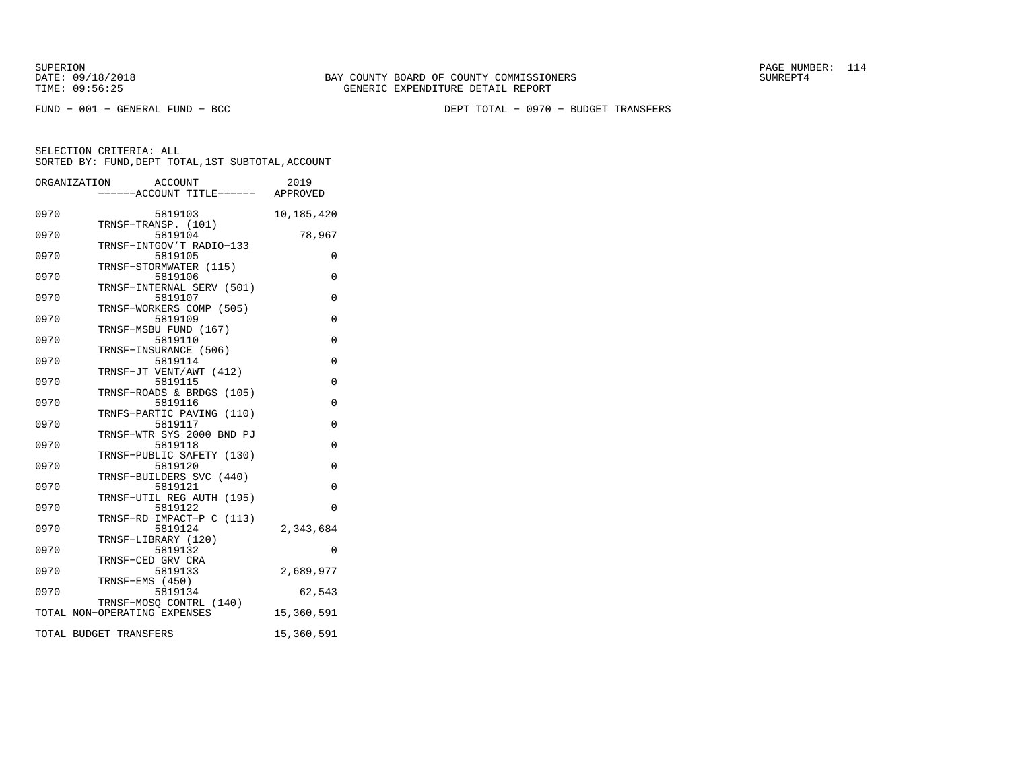SUPERION PAGE NUMBER: 114

FUND − 001 − GENERAL FUND − BCC DEPT TOTAL − 0970 − BUDGET TRANSFERS

|      | ORGANIZATION ACCOUNT<br>-----ACCOUNT TITLE------ APPROVED        | 2019       |
|------|------------------------------------------------------------------|------------|
| 0970 | 5819103                                                          | 10,185,420 |
| 0970 | TRNSF-TRANSP. (101)<br>5819104                                   | 78,967     |
| 0970 | TRNSF-INTGOV'T RADIO-133<br>5819105<br>TRNSF-STORMWATER (115)    | 0          |
| 0970 | 5819106<br>TRNSF-INTERNAL SERV (501)                             | $\Omega$   |
| 0970 | 5819107<br>TRNSF-WORKERS COMP (505)                              | $\Omega$   |
| 0970 | 5819109<br>TRNSF-MSBU FUND (167)                                 | $\Omega$   |
| 0970 | 5819110<br>TRNSF-INSURANCE (506)                                 | $\Omega$   |
| 0970 | 5819114<br>TRNSF-JT VENT/AWT (412)                               | 0          |
| 0970 | 5819115<br>TRNSF-ROADS & BRDGS (105)                             | $\Omega$   |
| 0970 | 5819116<br>TRNFS-PARTIC PAVING (110)                             | 0          |
| 0970 | 5819117<br>TRNSF-WTR SYS 2000 BND PJ                             | 0          |
| 0970 | 5819118<br>TRNSF-PUBLIC SAFETY (130)                             | $\Omega$   |
| 0970 | 5819120                                                          | 0          |
| 0970 | TRNSF-BUILDERS SVC (440)<br>5819121<br>TRNSF-UTIL REG AUTH (195) | $\Omega$   |
| 0970 | 5819122<br>TRNSF-RD IMPACT-P C (113)                             | 0          |
| 0970 | 5819124<br>TRNSF-LIBRARY (120)                                   | 2,343,684  |
| 0970 | 5819132<br>TRNSF-CED GRV CRA                                     | $\Omega$   |
| 0970 | 5819133<br>TRNSF-EMS (450)                                       | 2,689,977  |
| 0970 | 5819134<br>TRNSF-MOSO CONTRL (140)                               | 62,543     |
|      | TOTAL NON-OPERATING EXPENSES                                     | 15,360,591 |
|      | TOTAL BUDGET TRANSFERS                                           | 15,360,591 |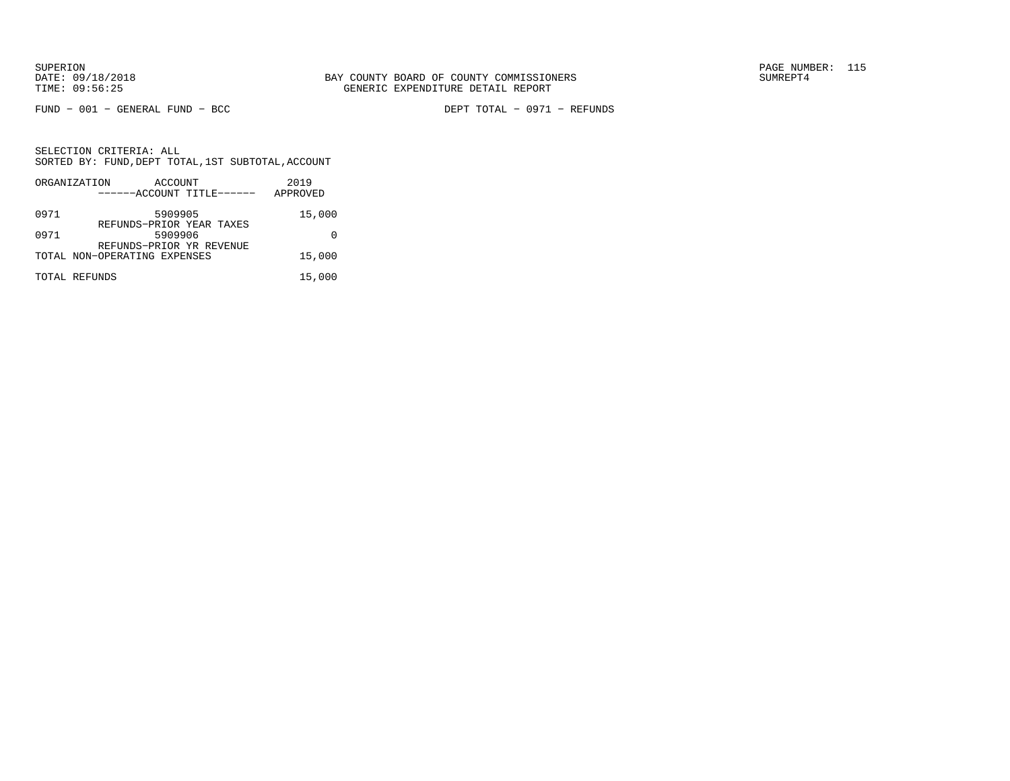FUND − 001 − GENERAL FUND − BCC DEPT TOTAL − 0971 − REFUNDS

|      | ORGANIZATION                 | ACCOUNT |                           | 2019     |
|------|------------------------------|---------|---------------------------|----------|
|      |                              |         | ------ACCOUNT TITLE------ | APPROVED |
| 0971 |                              | 5909905 | REFUNDS-PRIOR YEAR TAXES  | 15,000   |
| 0971 |                              | 5909906 | REFUNDS-PRIOR YR REVENUE  |          |
|      | TOTAL NON-OPERATING EXPENSES |         |                           | 15,000   |
|      | TOTAL REFUNDS                |         |                           | 15,000   |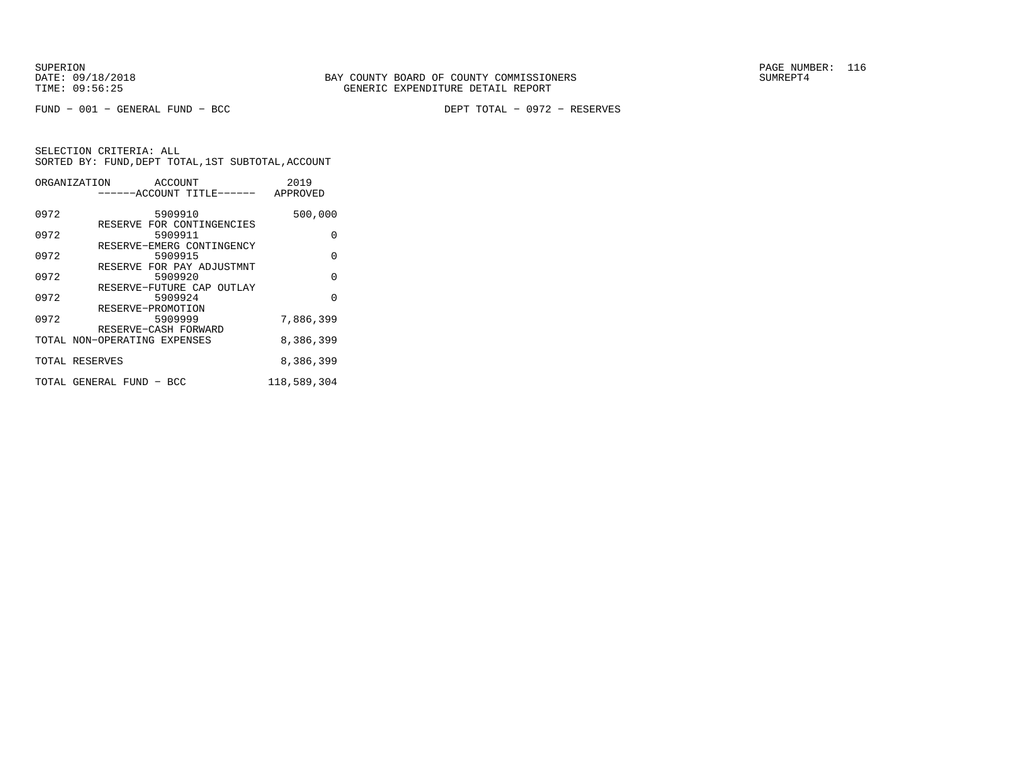FUND − 001 − GENERAL FUND − BCC DEPT TOTAL − 0972 − RESERVES

|      | ORGANIZATION ACCOUNT         | 2019        |
|------|------------------------------|-------------|
|      | ------ACCOUNT TITLE------    | APPROVED    |
|      |                              |             |
| 0972 | 5909910                      | 500,000     |
|      | RESERVE FOR CONTINGENCIES    |             |
| 0972 | 5909911                      | U           |
|      | RESERVE-EMERG CONTINGENCY    |             |
| 0972 | 5909915                      | $\Omega$    |
|      | RESERVE FOR PAY ADJUSTMNT    |             |
| 0972 | 5909920                      | O           |
|      | RESERVE-FUTURE CAP OUTLAY    |             |
| 0972 | 5909924                      | $\Omega$    |
|      | RESERVE-PROMOTION            |             |
| 0972 | 5909999                      | 7,886,399   |
|      | RESERVE-CASH FORWARD         |             |
|      | TOTAL NON-OPERATING EXPENSES | 8,386,399   |
|      | TOTAL RESERVES               | 8,386,399   |
|      |                              |             |
|      | TOTAL GENERAL FUND - BCC     | 118,589,304 |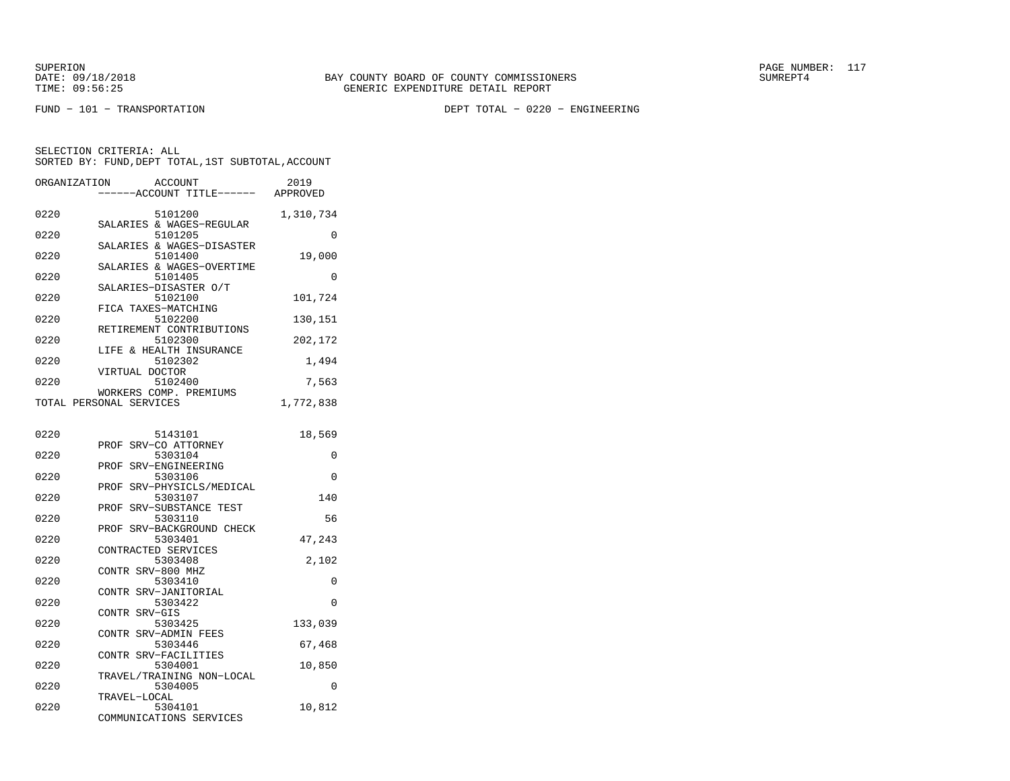FUND − 101 − TRANSPORTATION DEPT TOTAL − 0220 − ENGINEERING

| ORGANIZATION |                         | <b>ACCOUNT</b><br>---ACCOUNT TITLE------ | 2019<br>APPROVED |
|--------------|-------------------------|------------------------------------------|------------------|
| 0220         |                         | 5101200<br>SALARIES & WAGES-REGULAR      | 1,310,734        |
| 0220         |                         | 5101205<br>SALARIES & WAGES-DISASTER     | $\Omega$         |
| 0220         |                         | 5101400<br>SALARIES & WAGES-OVERTIME     | 19,000           |
| 0220         |                         | 5101405<br>SALARIES-DISASTER O/T         | 0                |
| 0220         | FICA TAXES-MATCHING     | 5102100                                  | 101,724          |
| 0220         |                         | 5102200<br>RETIREMENT CONTRIBUTIONS      | 130,151          |
| 0220         |                         | 5102300                                  | 202,172          |
| 0220         |                         | LIFE & HEALTH INSURANCE<br>5102302       | 1,494            |
| 0220         | VIRTUAL DOCTOR          | 5102400                                  | 7,563            |
|              | TOTAL PERSONAL SERVICES | WORKERS COMP. PREMIUMS                   | 1,772,838        |
| 0220         |                         | 5143101                                  | 18,569           |
| 0220         |                         | PROF SRV-CO ATTORNEY<br>5303104          | 0                |
| 0220         |                         | PROF SRV-ENGINEERING<br>5303106          | 0                |
| 0220         |                         | PROF SRV-PHYSICLS/MEDICAL<br>5303107     | 140              |
| 0220         | PROF                    | SRV-SUBSTANCE TEST<br>5303110            | 56               |
| 0220         | PROF                    | SRV-BACKGROUND CHECK<br>5303401          | 47,243           |
| 0220         | CONTRACTED SERVICES     | 5303408                                  | 2,102            |
| 0220         | CONTR SRV-800 MHZ       | 5303410                                  | 0                |
| 0220         |                         | CONTR SRV-JANITORIAL<br>5303422          | 0                |
| 0220         | CONTR SRV-GIS           | 5303425                                  | 133,039          |
| 0220         |                         | CONTR SRV-ADMIN FEES<br>5303446          | 67,468           |
| 0220         |                         | CONTR SRV-FACILITIES<br>5304001          | 10,850           |
| 0220         |                         | TRAVEL/TRAINING NON-LOCAL<br>5304005     | 0                |
| 0220         | TRAVEL-LOCAL            | 5304101<br>COMMUNICATIONS SERVICES       | 10,812           |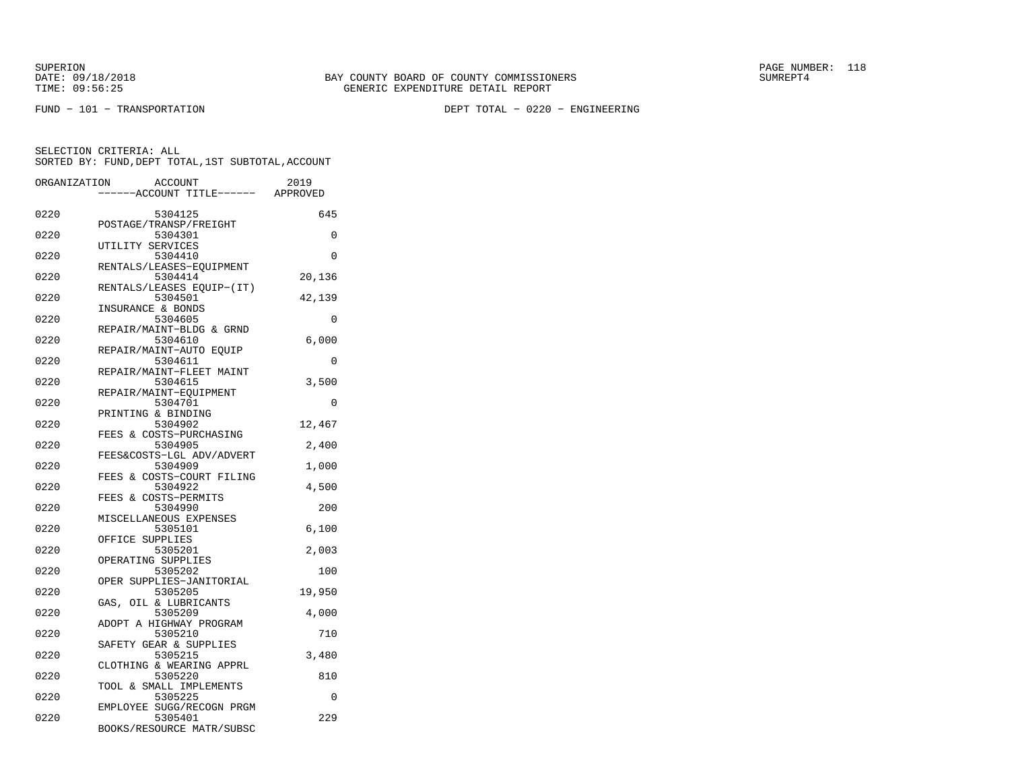FUND − 101 − TRANSPORTATION DEPT TOTAL − 0220 − ENGINEERING

| ORGANIZATION | <b>ACCOUNT</b>                       | 2019     |
|--------------|--------------------------------------|----------|
|              | ---ACCOUNT TITLE------ APPROVED      |          |
| 0220         | 5304125                              | 645      |
| 0220         | POSTAGE/TRANSP/FREIGHT<br>5304301    | 0        |
|              | UTILITY SERVICES                     |          |
| 0220         | 5304410<br>RENTALS/LEASES-EQUIPMENT  | 0        |
| 0220         | 5304414                              | 20,136   |
| 0220         | RENTALS/LEASES EQUIP-(IT)<br>5304501 | 42,139   |
|              | INSURANCE & BONDS                    |          |
| 0220         | 5304605<br>REPAIR/MAINT-BLDG & GRND  | 0        |
| 0220         | 5304610                              | 6,000    |
| 0220         | REPAIR/MAINT-AUTO EOUIP<br>5304611   | $\Omega$ |
|              | REPAIR/MAINT-FLEET MAINT             |          |
| 0220         | 5304615                              | 3,500    |
| 0220         | REPAIR/MAINT-EQUIPMENT<br>5304701    | 0        |
|              | PRINTING & BINDING                   |          |
| 0220         | 5304902<br>FEES & COSTS-PURCHASING   | 12,467   |
| 0220         | 5304905                              | 2,400    |
| 0220         | FEES&COSTS-LGL ADV/ADVERT<br>5304909 | 1,000    |
|              | & COSTS-COURT FILING<br>FEES         |          |
| 0220         | 5304922                              | 4,500    |
| 0220         | FEES & COSTS-PERMITS<br>5304990      | 200      |
|              | MISCELLANEOUS EXPENSES               |          |
| 0220         | 5305101<br>OFFICE SUPPLIES           | 6,100    |
| 0220         | 5305201                              | 2,003    |
| 0220         | OPERATING SUPPLIES<br>5305202        | 100      |
|              | OPER SUPPLIES-JANITORIAL             |          |
| 0220         | 5305205                              | 19,950   |
| 0220         | GAS, OIL & LUBRICANTS<br>5305209     | 4,000    |
|              | ADOPT A HIGHWAY PROGRAM              |          |
| 0220         | 5305210<br>SAFETY GEAR & SUPPLIES    | 710      |
| 0220         | 5305215                              | 3,480    |
| 0220         | CLOTHING & WEARING APPRL<br>5305220  | 810      |
|              | TOOL & SMALL IMPLEMENTS              |          |
| 0220         | 5305225                              | 0        |
| 0220         | EMPLOYEE SUGG/RECOGN PRGM<br>5305401 | 229      |
|              | BOOKS/RESOURCE MATR/SUBSC            |          |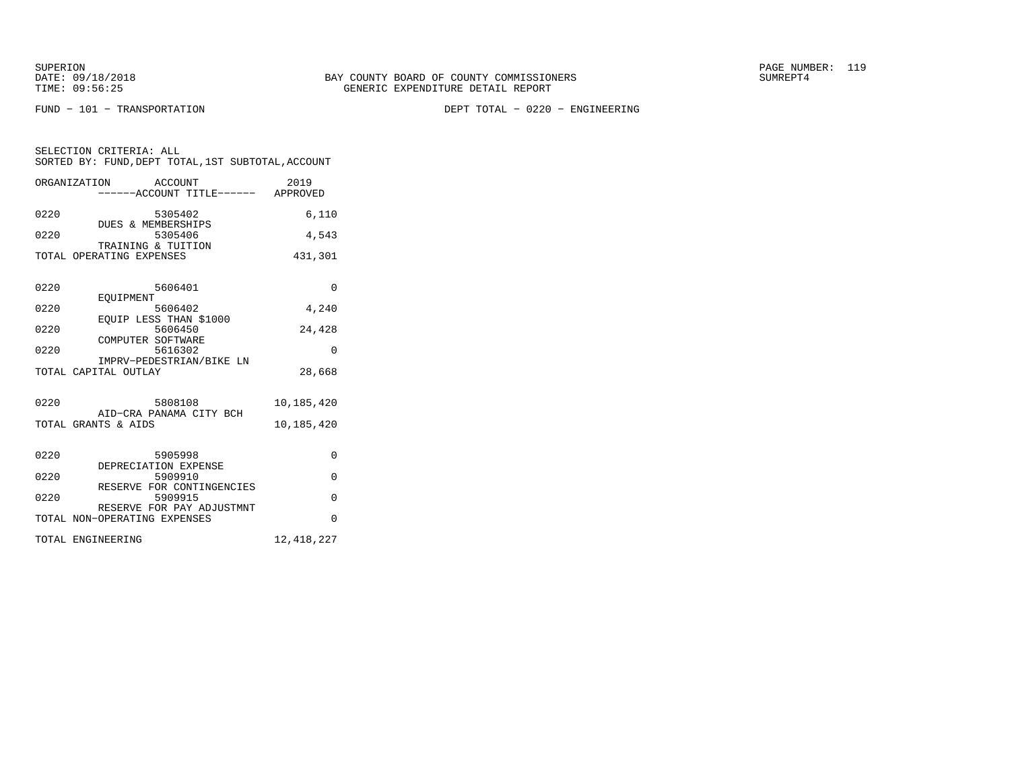SUPERION<br>
BAY COUNTY BOARD OF COUNTY COMMISSIONERS
BATE: 09/18/2018
SUMREPT4

FUND − 101 − TRANSPORTATION DEPT TOTAL − 0220 − ENGINEERING

| SELECTION CRITERIA: ALL |  |  |                                                    |  |
|-------------------------|--|--|----------------------------------------------------|--|
|                         |  |  | SORTED BY: FUND, DEPT TOTAL, 1ST SUBTOTAL, ACCOUNT |  |

|      | ORGANIZATION ACCOUNT                           | -----ACCOUNT TITLE------ APPROVED    | 2019         |
|------|------------------------------------------------|--------------------------------------|--------------|
| 0220 |                                                | 5305402                              | 6.110        |
| 0220 | DUES & MEMBERSHIPS                             | 5305406                              | 4,543        |
|      | TRAINING & TUITION<br>TOTAL OPERATING EXPENSES |                                      | 431,301      |
| 0220 |                                                | 5606401                              | $\Omega$     |
|      | EOUIPMENT                                      |                                      |              |
| 0220 |                                                | 5606402                              | 4,240        |
| 0220 |                                                | EQUIP LESS THAN \$1000<br>5606450    | 24,428       |
| 0220 | COMPUTER SOFTWARE                              | 5616302                              | $\Omega$     |
|      | TOTAL CAPITAL OUTLAY                           | IMPRV-PEDESTRIAN/BIKE LN             | 28,668       |
|      |                                                |                                      |              |
| 0220 |                                                | 5808108                              | 10,185,420   |
|      | TOTAL GRANTS & AIDS                            | AID-CRA PANAMA CITY BCH              | 10,185,420   |
|      |                                                |                                      |              |
| 0220 |                                                | 5905998                              | $\Omega$     |
| 0220 |                                                | DEPRECIATION EXPENSE<br>5909910      | $\Omega$     |
| 0220 |                                                | RESERVE FOR CONTINGENCIES<br>5909915 | $\Omega$     |
|      |                                                | RESERVE FOR PAY ADJUSTMNT            |              |
|      | TOTAL NON-OPERATING EXPENSES                   |                                      | $\Omega$     |
|      | TOTAL ENGINEERING                              |                                      | 12, 418, 227 |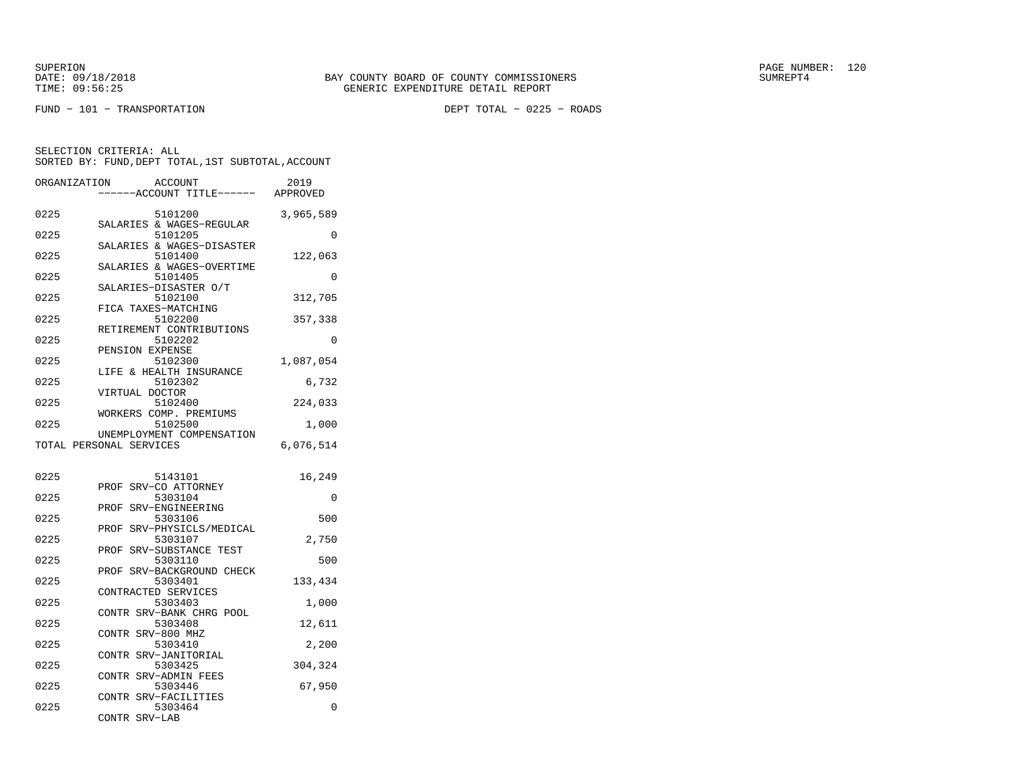FUND − 101 − TRANSPORTATION DEPT TOTAL − 0225 − ROADS

| ORGANIZATION |                         | ACCOUNT                              | 2019      |
|--------------|-------------------------|--------------------------------------|-----------|
|              |                         | ---ACCOUNT TITLE------               | APPROVED  |
| 0225         |                         | 5101200                              | 3,965,589 |
|              |                         | SALARIES & WAGES-REGULAR             |           |
| 0225         |                         | 5101205<br>SALARIES & WAGES-DISASTER | 0         |
| 0225         |                         | 5101400                              | 122,063   |
|              |                         | SALARIES & WAGES-OVERTIME            |           |
| 0225         |                         | 5101405<br>SALARIES-DISASTER O/T     | 0         |
| 0225         |                         | 5102100                              | 312,705   |
|              | FICA TAXES-MATCHING     |                                      |           |
| 0225         |                         | 5102200                              | 357,338   |
| 0225         |                         | RETIREMENT CONTRIBUTIONS<br>5102202  | 0         |
|              | PENSION EXPENSE         |                                      |           |
| 0225         |                         | 5102300                              | 1,087,054 |
|              |                         | LIFE & HEALTH INSURANCE              |           |
| 0225         |                         | 5102302                              | 6,732     |
| 0225         | VIRTUAL DOCTOR          | 5102400                              | 224,033   |
|              |                         | WORKERS COMP. PREMIUMS               |           |
| 0225         |                         | 5102500                              | 1,000     |
|              |                         | UNEMPLOYMENT COMPENSATION            |           |
|              | TOTAL PERSONAL SERVICES |                                      | 6,076,514 |
|              |                         |                                      |           |
| 0225         |                         | 5143101                              | 16,249    |
|              |                         | PROF SRV-CO ATTORNEY                 |           |
| 0225         |                         | 5303104                              | $\Omega$  |
| 0225         | PROF                    | SRV-ENGINEERING                      |           |
|              | PROF                    | 5303106<br>SRV-PHYSICLS/MEDICAL      | 500       |
| 0225         |                         | 5303107                              | 2,750     |
|              | PROF                    | SRV-SUBSTANCE TEST                   |           |
| 0225         |                         | 5303110                              | 500       |
| 0225         | PROF                    | SRV-BACKGROUND CHECK<br>5303401      | 133,434   |
|              | CONTRACTED SERVICES     |                                      |           |
| 0225         |                         | 5303403                              | 1,000     |
|              |                         | CONTR SRV-BANK CHRG POOL             |           |
| 0225         |                         | 5303408                              | 12,611    |
| 0225         | CONTR SRV-800 MHZ       | 5303410                              | 2,200     |
|              | CONTR                   | SRV-JANITORIAL                       |           |
| 0225         |                         | 5303425                              | 304,324   |
|              | CONTR                   | SRV-ADMIN FEES                       |           |
| 0225         |                         | 5303446                              | 67,950    |
| 0225         | <b>CONTR</b>            | SRV-FACILITIES<br>5303464            | 0         |
|              | CONTR<br>SRV-LAB        |                                      |           |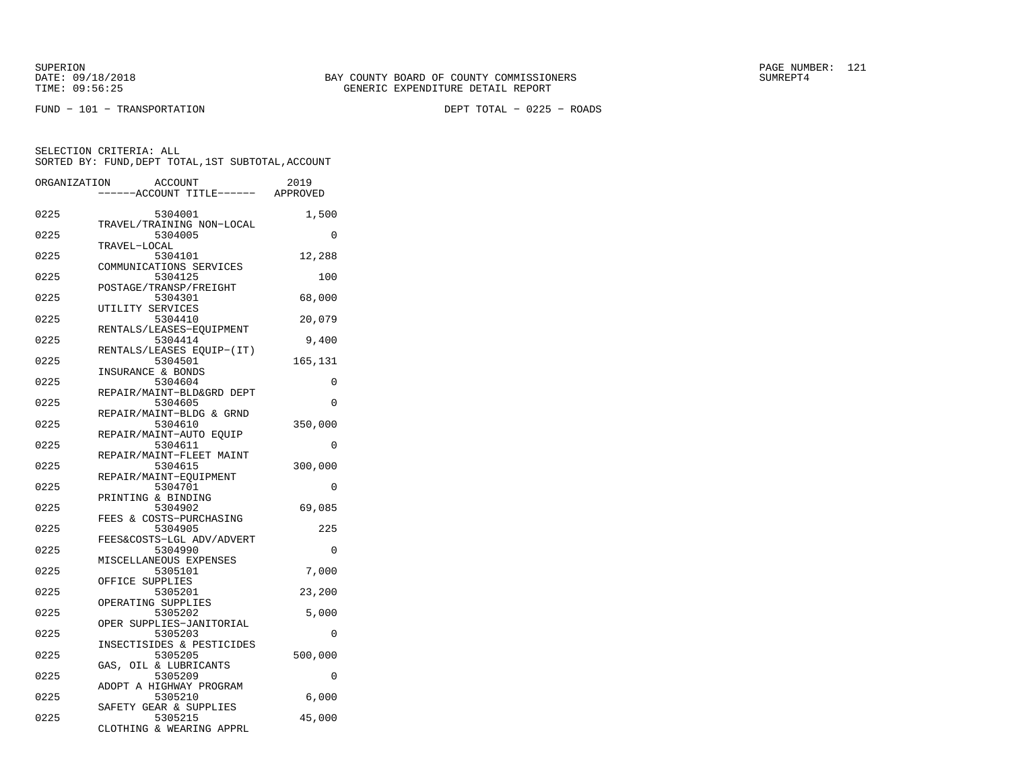FUND − 101 − TRANSPORTATION DEPT TOTAL − 0225 − ROADS

| ORGANIZATION | <b>ACCOUNT</b><br>---ACCOUNT TITLE------ APPROVED             | 2019    |
|--------------|---------------------------------------------------------------|---------|
| 0225         | 5304001                                                       | 1,500   |
| 0225         | TRAVEL/TRAINING NON-LOCAL<br>5304005<br>TRAVEL-LOCAL          | 0       |
| 0225         | 5304101<br>COMMUNICATIONS SERVICES                            | 12,288  |
| 0225         | 5304125<br>POSTAGE/TRANSP/FREIGHT                             | 100     |
| 0225         | 5304301<br>UTILITY SERVICES                                   | 68,000  |
| 0225         | 5304410<br>RENTALS/LEASES-EOUIPMENT                           | 20,079  |
| 0225         | 5304414<br>RENTALS/LEASES EQUIP-(IT)                          | 9,400   |
| 0225         | 5304501<br>INSURANCE & BONDS                                  | 165,131 |
| 0225         | 5304604<br>REPAIR/MAINT-BLD&GRD DEPT                          | 0       |
| 0225         | 5304605<br>REPAIR/MAINT-BLDG & GRND                           | 0       |
| 0225         | 5304610<br>REPAIR/MAINT-AUTO EOUIP                            | 350,000 |
| 0225         | 5304611<br>REPAIR/MAINT-FLEET MAINT                           | 0       |
| 0225         | 5304615<br>REPAIR/MAINT-EQUIPMENT                             | 300,000 |
| 0225         | 5304701<br>PRINTING & BINDING                                 | 0       |
| 0225         | 5304902<br>FEES & COSTS-PURCHASING                            | 69,085  |
| 0225         | 5304905<br>FEES&COSTS-LGL ADV/ADVERT                          | 225     |
| 0225         | 5304990<br>MISCELLANEOUS EXPENSES                             | 0       |
| 0225         | 5305101<br>OFFICE SUPPLIES                                    | 7,000   |
| 0225         | 5305201<br>OPERATING SUPPLIES                                 | 23,200  |
| 0225         | 5305202<br>OPER SUPPLIES-JANITORIAL                           | 5,000   |
| 0225         | 5305203                                                       | 0       |
| 0225         | INSECTISIDES & PESTICIDES<br>5305205                          | 500,000 |
| 0225         | GAS, OIL & LUBRICANTS<br>5305209                              | 0       |
| 0225         | ADOPT A HIGHWAY PROGRAM<br>5305210                            | 6,000   |
| 0225         | SAFETY GEAR & SUPPLIES<br>5305215<br>CLOTHING & WEARING APPRL | 45,000  |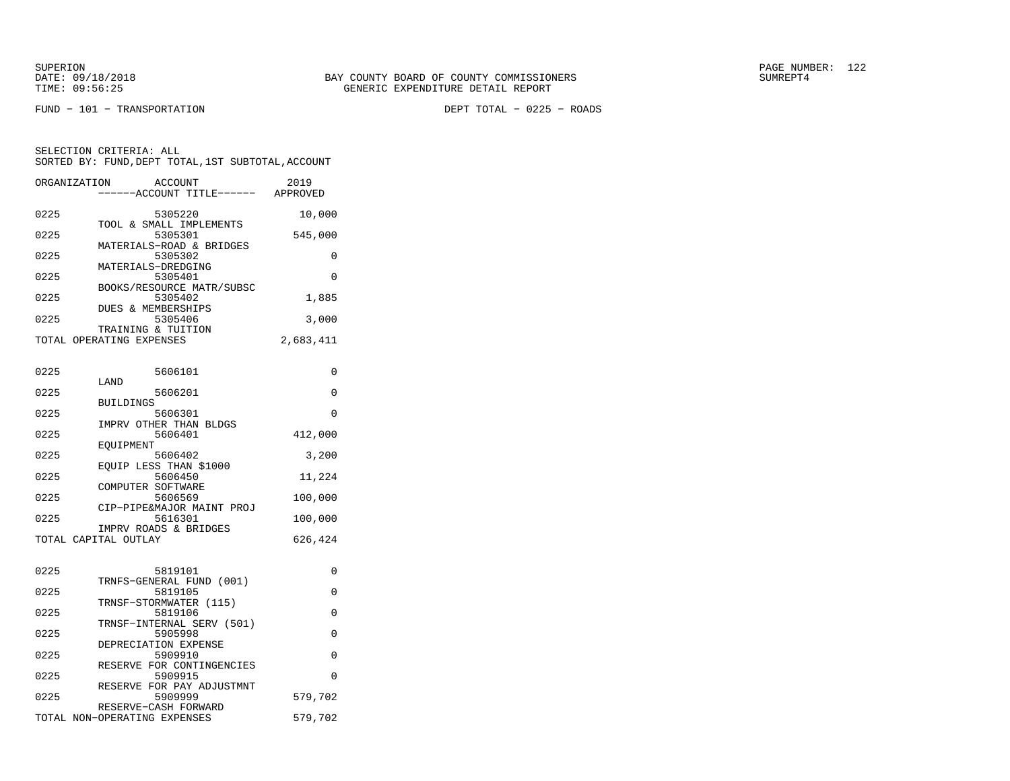FUND − 101 − TRANSPORTATION DEPT TOTAL − 0225 − ROADS

| 0225<br>5305220<br>10,000<br>TOOL & SMALL IMPLEMENTS<br>0225<br>5305301<br>545,000<br>MATERIALS-ROAD & BRIDGES<br>0225<br>5305302<br>0<br>MATERIALS-DREDGING<br>0225<br>5305401<br>$\Omega$<br>BOOKS/RESOURCE MATR/SUBSC<br>0225<br>5305402<br>1,885<br><b>DUES &amp; MEMBERSHIPS</b><br>0225<br>5305406<br>3,000<br>TRAINING & TUITION<br>TOTAL OPERATING EXPENSES<br>2,683,411<br>0225<br>5606101<br>0<br>LAND<br>0225<br>5606201<br>0<br><b>BUILDINGS</b><br>0225<br>5606301<br>0<br>IMPRV OTHER THAN BLDGS<br>0225<br>5606401<br>412,000<br>EOUIPMENT<br>0225<br>3,200<br>5606402<br>EQUIP LESS THAN \$1000<br>0225<br>5606450<br>11,224<br>COMPUTER SOFTWARE<br>0225<br>5606569<br>100,000<br>CIP-PIPE&MAJOR MAINT PROJ<br>0225<br>5616301<br>100,000<br>IMPRV ROADS & BRIDGES<br>TOTAL CAPITAL OUTLAY<br>626,424<br>0225<br>5819101<br>0<br>TRNFS-GENERAL FUND (001)<br>0225<br>5819105<br>0<br>TRNSF-STORMWATER (115)<br>0225<br>5819106<br>0<br>TRNSF-INTERNAL SERV (501)<br>0225<br>5905998<br>$\Omega$<br>DEPRECIATION EXPENSE | ORGANIZATION | <b>ACCOUNT</b><br>---ACCOUNT TITLE------ APPROVED | 2019 |
|------------------------------------------------------------------------------------------------------------------------------------------------------------------------------------------------------------------------------------------------------------------------------------------------------------------------------------------------------------------------------------------------------------------------------------------------------------------------------------------------------------------------------------------------------------------------------------------------------------------------------------------------------------------------------------------------------------------------------------------------------------------------------------------------------------------------------------------------------------------------------------------------------------------------------------------------------------------------------------------------------------------------------------------|--------------|---------------------------------------------------|------|
|                                                                                                                                                                                                                                                                                                                                                                                                                                                                                                                                                                                                                                                                                                                                                                                                                                                                                                                                                                                                                                          |              |                                                   |      |
|                                                                                                                                                                                                                                                                                                                                                                                                                                                                                                                                                                                                                                                                                                                                                                                                                                                                                                                                                                                                                                          |              |                                                   |      |
|                                                                                                                                                                                                                                                                                                                                                                                                                                                                                                                                                                                                                                                                                                                                                                                                                                                                                                                                                                                                                                          |              |                                                   |      |
|                                                                                                                                                                                                                                                                                                                                                                                                                                                                                                                                                                                                                                                                                                                                                                                                                                                                                                                                                                                                                                          |              |                                                   |      |
|                                                                                                                                                                                                                                                                                                                                                                                                                                                                                                                                                                                                                                                                                                                                                                                                                                                                                                                                                                                                                                          |              |                                                   |      |
|                                                                                                                                                                                                                                                                                                                                                                                                                                                                                                                                                                                                                                                                                                                                                                                                                                                                                                                                                                                                                                          |              |                                                   |      |
|                                                                                                                                                                                                                                                                                                                                                                                                                                                                                                                                                                                                                                                                                                                                                                                                                                                                                                                                                                                                                                          |              |                                                   |      |
|                                                                                                                                                                                                                                                                                                                                                                                                                                                                                                                                                                                                                                                                                                                                                                                                                                                                                                                                                                                                                                          |              |                                                   |      |
|                                                                                                                                                                                                                                                                                                                                                                                                                                                                                                                                                                                                                                                                                                                                                                                                                                                                                                                                                                                                                                          |              |                                                   |      |
|                                                                                                                                                                                                                                                                                                                                                                                                                                                                                                                                                                                                                                                                                                                                                                                                                                                                                                                                                                                                                                          |              |                                                   |      |
|                                                                                                                                                                                                                                                                                                                                                                                                                                                                                                                                                                                                                                                                                                                                                                                                                                                                                                                                                                                                                                          |              |                                                   |      |
|                                                                                                                                                                                                                                                                                                                                                                                                                                                                                                                                                                                                                                                                                                                                                                                                                                                                                                                                                                                                                                          |              |                                                   |      |
|                                                                                                                                                                                                                                                                                                                                                                                                                                                                                                                                                                                                                                                                                                                                                                                                                                                                                                                                                                                                                                          |              |                                                   |      |
|                                                                                                                                                                                                                                                                                                                                                                                                                                                                                                                                                                                                                                                                                                                                                                                                                                                                                                                                                                                                                                          |              |                                                   |      |
|                                                                                                                                                                                                                                                                                                                                                                                                                                                                                                                                                                                                                                                                                                                                                                                                                                                                                                                                                                                                                                          |              |                                                   |      |
|                                                                                                                                                                                                                                                                                                                                                                                                                                                                                                                                                                                                                                                                                                                                                                                                                                                                                                                                                                                                                                          |              |                                                   |      |
|                                                                                                                                                                                                                                                                                                                                                                                                                                                                                                                                                                                                                                                                                                                                                                                                                                                                                                                                                                                                                                          |              |                                                   |      |
|                                                                                                                                                                                                                                                                                                                                                                                                                                                                                                                                                                                                                                                                                                                                                                                                                                                                                                                                                                                                                                          |              |                                                   |      |
|                                                                                                                                                                                                                                                                                                                                                                                                                                                                                                                                                                                                                                                                                                                                                                                                                                                                                                                                                                                                                                          |              |                                                   |      |
|                                                                                                                                                                                                                                                                                                                                                                                                                                                                                                                                                                                                                                                                                                                                                                                                                                                                                                                                                                                                                                          |              |                                                   |      |
|                                                                                                                                                                                                                                                                                                                                                                                                                                                                                                                                                                                                                                                                                                                                                                                                                                                                                                                                                                                                                                          |              |                                                   |      |
|                                                                                                                                                                                                                                                                                                                                                                                                                                                                                                                                                                                                                                                                                                                                                                                                                                                                                                                                                                                                                                          |              |                                                   |      |
|                                                                                                                                                                                                                                                                                                                                                                                                                                                                                                                                                                                                                                                                                                                                                                                                                                                                                                                                                                                                                                          |              |                                                   |      |
|                                                                                                                                                                                                                                                                                                                                                                                                                                                                                                                                                                                                                                                                                                                                                                                                                                                                                                                                                                                                                                          |              |                                                   |      |
|                                                                                                                                                                                                                                                                                                                                                                                                                                                                                                                                                                                                                                                                                                                                                                                                                                                                                                                                                                                                                                          |              |                                                   |      |
| 0225<br>5909910<br>0                                                                                                                                                                                                                                                                                                                                                                                                                                                                                                                                                                                                                                                                                                                                                                                                                                                                                                                                                                                                                     |              |                                                   |      |
| RESERVE FOR CONTINGENCIES<br>0225<br>5909915<br>0                                                                                                                                                                                                                                                                                                                                                                                                                                                                                                                                                                                                                                                                                                                                                                                                                                                                                                                                                                                        |              |                                                   |      |
| RESERVE FOR PAY ADJUSTMNT<br>0225<br>5909999<br>579,702                                                                                                                                                                                                                                                                                                                                                                                                                                                                                                                                                                                                                                                                                                                                                                                                                                                                                                                                                                                  |              |                                                   |      |
| RESERVE-CASH FORWARD<br>TOTAL NON-OPERATING EXPENSES<br>579,702                                                                                                                                                                                                                                                                                                                                                                                                                                                                                                                                                                                                                                                                                                                                                                                                                                                                                                                                                                          |              |                                                   |      |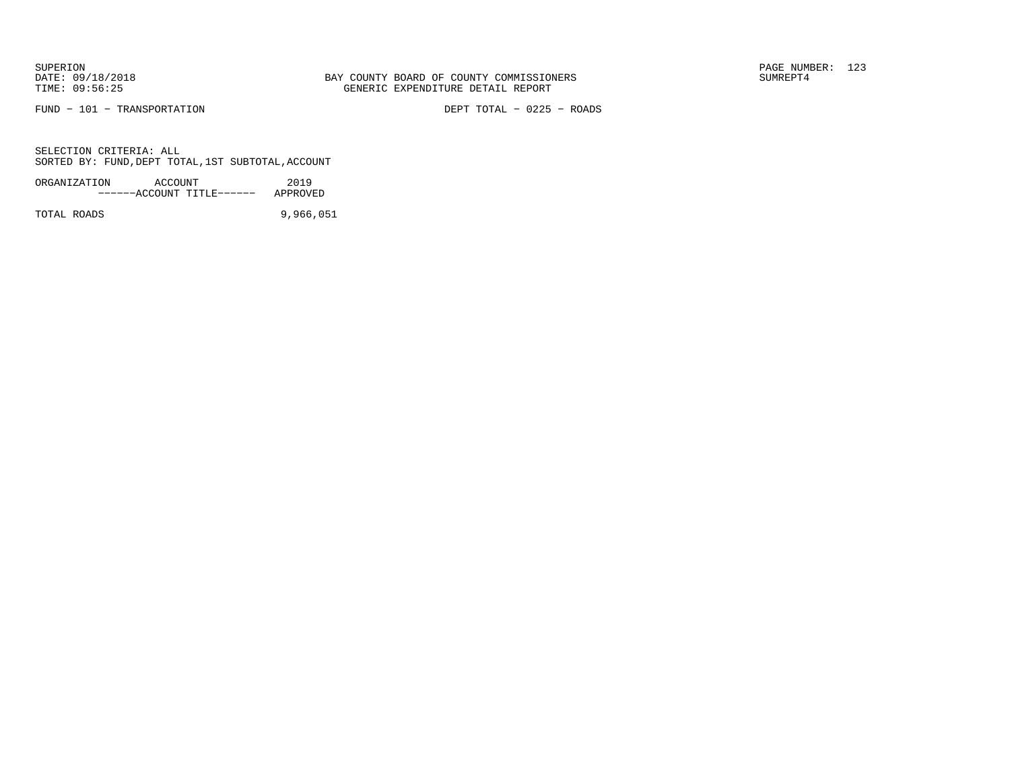FUND − 101 − TRANSPORTATION DEPT TOTAL − 0225 − ROADS

SELECTION CRITERIA: ALLSORTED BY: FUND,DEPT TOTAL,1ST SUBTOTAL,ACCOUNT

| ORGANIZATION | ACCOUNT |                           | 2019     |
|--------------|---------|---------------------------|----------|
|              |         | ------ACCOUNT TITLE------ | APPROVED |
|              |         |                           |          |

TOTAL ROADS 9,966,051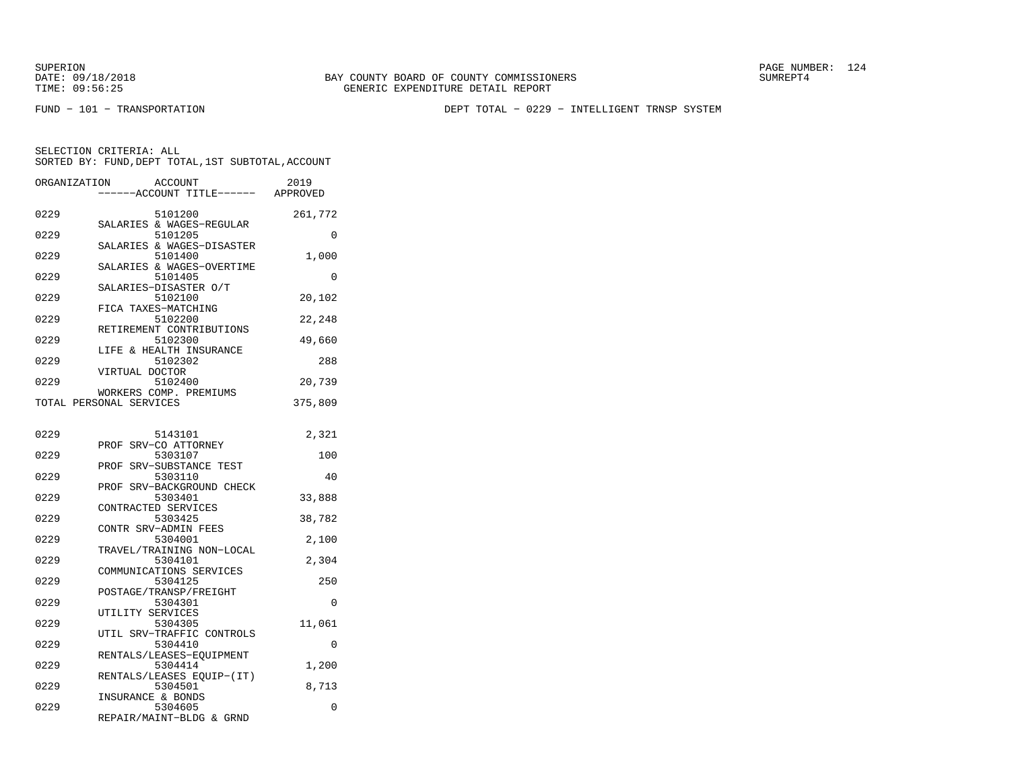FUND − 101 − TRANSPORTATION DEPT TOTAL − 0229 − INTELLIGENT TRNSP SYSTEM

| ORGANIZATION<br><b>ACCOUNT</b><br>----ACCOUNT TITLE------ APPROVED    | 2019    |
|-----------------------------------------------------------------------|---------|
| 0229<br>5101200<br>SALARIES & WAGES-REGULAR                           | 261,772 |
| 0229<br>5101205                                                       | 0       |
| SALARIES & WAGES-DISASTER<br>0229<br>5101400                          | 1,000   |
| SALARIES & WAGES-OVERTIME<br>0229<br>5101405<br>SALARIES-DISASTER O/T | 0       |
| 0229<br>5102100<br>FICA TAXES-MATCHING                                | 20,102  |
| 0229<br>5102200<br>RETIREMENT CONTRIBUTIONS                           | 22,248  |
| 0229<br>5102300<br>& HEALTH INSURANCE                                 | 49,660  |
| LIFE<br>0229<br>5102302<br>VIRTUAL DOCTOR                             | 288     |
| 0229<br>5102400<br>WORKERS COMP. PREMIUMS                             | 20,739  |
| TOTAL PERSONAL SERVICES                                               | 375,809 |
| 0229<br>5143101                                                       | 2,321   |
| PROF SRV-CO ATTORNEY<br>0229<br>5303107                               | 100     |
| SRV-SUBSTANCE TEST<br>PROF<br>0229<br>5303110                         | 40      |
| SRV-BACKGROUND CHECK<br>PROF<br>0229<br>5303401                       | 33,888  |
| CONTRACTED SERVICES<br>0229<br>5303425                                | 38,782  |
| CONTR SRV-ADMIN FEES<br>0229<br>5304001                               | 2,100   |
| TRAVEL/TRAINING NON-LOCAL<br>0229<br>5304101                          | 2,304   |
| COMMUNICATIONS SERVICES<br>5304125<br>0229                            | 250     |
| POSTAGE/TRANSP/FREIGHT<br>0229<br>5304301                             | 0       |
| UTILITY SERVICES<br>0229<br>5304305                                   | 11,061  |
| UTIL SRV-TRAFFIC CONTROLS<br>0229<br>5304410                          | 0       |
| RENTALS/LEASES-EQUIPMENT<br>0229<br>5304414                           | 1,200   |
| RENTALS/LEASES EQUIP-(IT)<br>0229<br>5304501                          | 8,713   |
| INSURANCE & BONDS<br>0229<br>5304605<br>REPAIR/MAINT-BLDG & GRND      | 0       |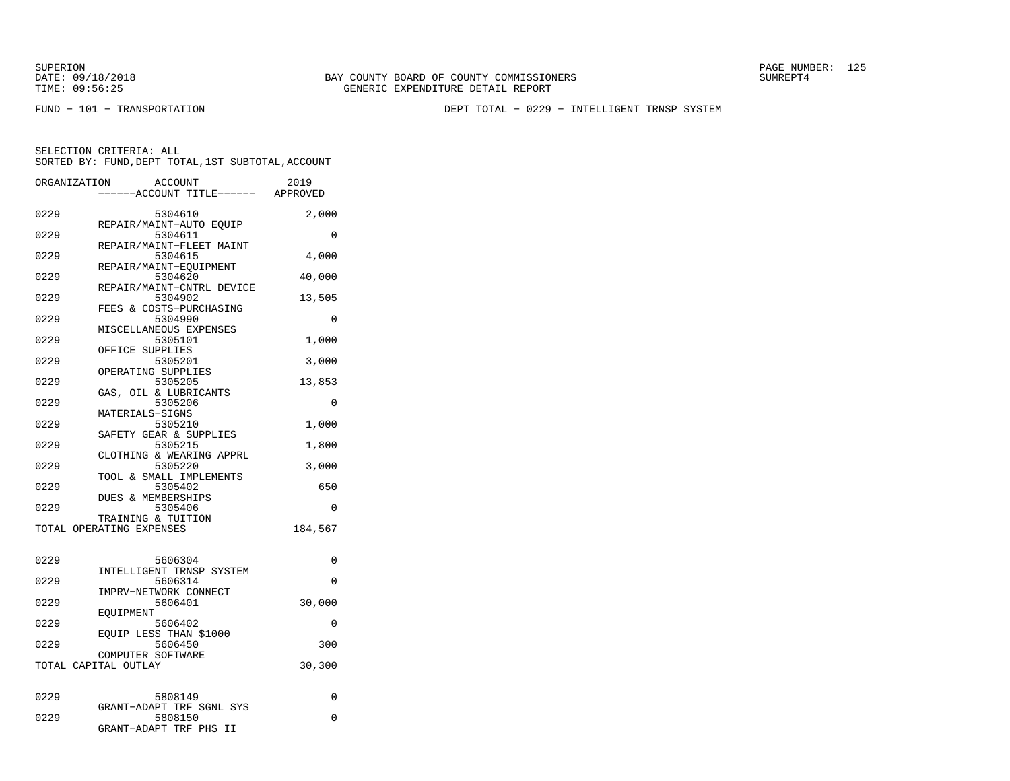FUND − 101 − TRANSPORTATION DEPT TOTAL − 0229 − INTELLIGENT TRNSP SYSTEM

| ORGANIZATION | ACCOUNT<br>---ACCOUNT TITLE------ APPROVED                    | 2019     |
|--------------|---------------------------------------------------------------|----------|
| 0229         | 5304610<br>REPAIR/MAINT-AUTO EQUIP                            | 2,000    |
| 0229         | 5304611                                                       | 0        |
| 0229         | REPAIR/MAINT-FLEET MAINT<br>5304615                           | 4,000    |
| 0229         | REPAIR/MAINT-EQUIPMENT<br>5304620                             | 40,000   |
| 0229         | REPAIR/MAINT-CNTRL DEVICE<br>5304902                          | 13,505   |
| 0229         | FEES & COSTS-PURCHASING<br>5304990                            | 0        |
| 0229         | MISCELLANEOUS EXPENSES<br>5305101                             | 1,000    |
| 0229         | OFFICE SUPPLIES<br>5305201                                    | 3,000    |
| 0229         | OPERATING SUPPLIES<br>5305205                                 | 13,853   |
| 0229         | GAS, OIL & LUBRICANTS<br>5305206                              | $\Omega$ |
| 0229         | MATERIALS-SIGNS<br>5305210                                    | 1,000    |
| 0229         | SAFETY GEAR & SUPPLIES<br>5305215                             | 1,800    |
| 0229         | CLOTHING & WEARING APPRL<br>5305220                           | 3,000    |
| 0229         | TOOL & SMALL IMPLEMENTS<br>5305402                            | 650      |
| 0229         | DUES & MEMBERSHIPS<br>5305406                                 | $\Omega$ |
|              | TRAINING & TUITION<br>TOTAL OPERATING EXPENSES                | 184,567  |
|              |                                                               |          |
| 0229         | 5606304<br>INTELLIGENT TRNSP SYSTEM                           | 0        |
| 0229         | 5606314<br>IMPRV-NETWORK CONNECT                              | 0        |
| 0229         | 5606401<br>EOUIPMENT                                          | 30,000   |
| 0229         | 5606402<br>EOUIP LESS THAN \$1000                             | 0        |
| 0229         | 5606450<br>COMPUTER SOFTWARE                                  | 300      |
|              | TOTAL CAPITAL OUTLAY                                          | 30,300   |
| 0229         | 5808149                                                       | 0        |
| 0229         | GRANT-ADAPT TRF SGNL SYS<br>5808150<br>GRANT-ADAPT TRF PHS II | 0        |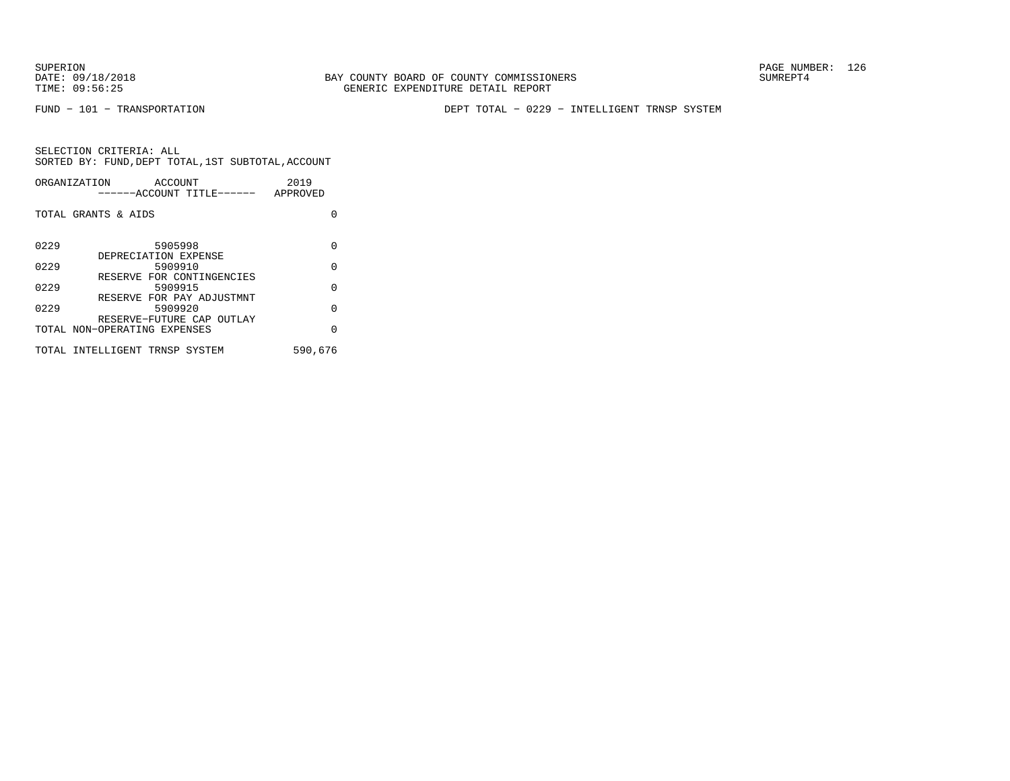FUND − 101 − TRANSPORTATION DEPT TOTAL − 0229 − INTELLIGENT TRNSP SYSTEM

|      | ORGANIZATION<br>ACCOUNT<br>------ACCOUNT TITLE------      | 2019<br>APPROVED |
|------|-----------------------------------------------------------|------------------|
|      | TOTAL GRANTS & AIDS                                       | U                |
| 0229 | 5905998<br>DEPRECIATION EXPENSE                           | U                |
| 0229 | 5909910                                                   | $\Omega$         |
| 0229 | RESERVE FOR CONTINGENCIES<br>5909915                      | $\Omega$         |
| 0229 | RESERVE FOR PAY ADJUSTMNT<br>5909920                      | $\Omega$         |
|      | RESERVE-FUTURE CAP OUTLAY<br>TOTAL NON-OPERATING EXPENSES | $\Omega$         |
|      | TOTAL INTELLIGENT TRNSP SYSTEM                            | 590,676          |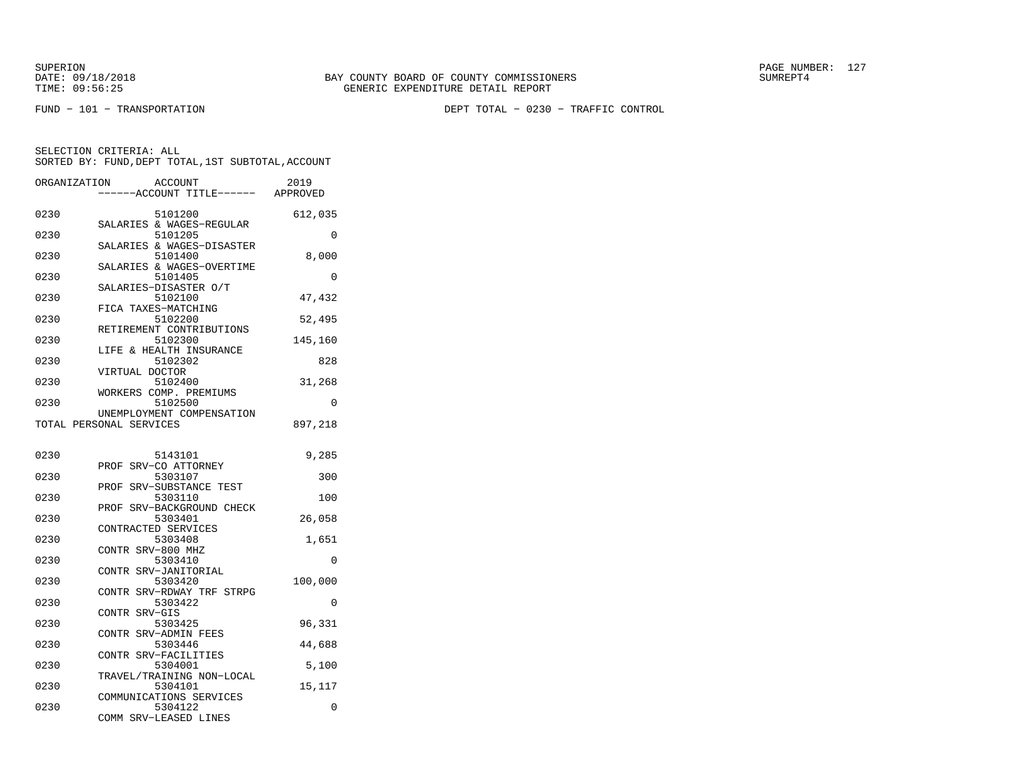FUND − 101 − TRANSPORTATION DEPT TOTAL − 0230 − TRAFFIC CONTROL

| ORGANIZATION | ACCOUNT<br>---ACCOUNT TITLE------ APPROVED           | 2019     |
|--------------|------------------------------------------------------|----------|
| 0230         | 5101200<br>SALARIES & WAGES-REGULAR                  | 612,035  |
| 0230         | 5101205                                              | $\Omega$ |
| 0230         | SALARIES & WAGES-DISASTER<br>5101400                 | 8,000    |
| 0230         | SALARIES & WAGES-OVERTIME<br>5101405                 | 0        |
| 0230         | SALARIES-DISASTER O/T<br>5102100                     | 47,432   |
| 0230         | FICA TAXES-MATCHING<br>5102200                       | 52,495   |
| 0230         | RETIREMENT CONTRIBUTIONS<br>5102300                  | 145,160  |
| 0230         | LIFE & HEALTH INSURANCE<br>5102302                   | 828      |
| 0230         | VIRTUAL DOCTOR<br>5102400                            | 31,268   |
| 0230         | WORKERS COMP. PREMIUMS<br>5102500                    | 0        |
|              | UNEMPLOYMENT COMPENSATION<br>TOTAL PERSONAL SERVICES | 897,218  |
|              |                                                      |          |
| 0230         | 5143101<br>PROF SRV-CO ATTORNEY                      | 9,285    |
| 0230         | 5303107<br>PROF SRV-SUBSTANCE TEST                   | 300      |
| 0230         | 5303110<br>PROF SRV-BACKGROUND CHECK                 | 100      |
| 0230         | 5303401                                              | 26,058   |
| 0230         | CONTRACTED SERVICES<br>5303408                       | 1,651    |
| 0230         | CONTR SRV-800 MHZ<br>5303410                         | 0        |
| 0230         | CONTR SRV-JANITORIAL<br>5303420                      | 100,000  |
| 0230         | CONTR SRV-RDWAY TRF STRPG<br>5303422                 | 0        |
| 0230         | CONTR SRV-GIS<br>5303425                             | 96,331   |
| 0230         | CONTR SRV-ADMIN FEES<br>5303446                      | 44,688   |
| 0230         | CONTR SRV-FACILITIES<br>5304001                      | 5,100    |
| 0230         | TRAVEL/TRAINING NON-LOCAL<br>5304101                 | 15,117   |
| 0230         | COMMUNICATIONS SERVICES<br>5304122                   | 0        |
|              | COMM SRV-LEASED LINES                                |          |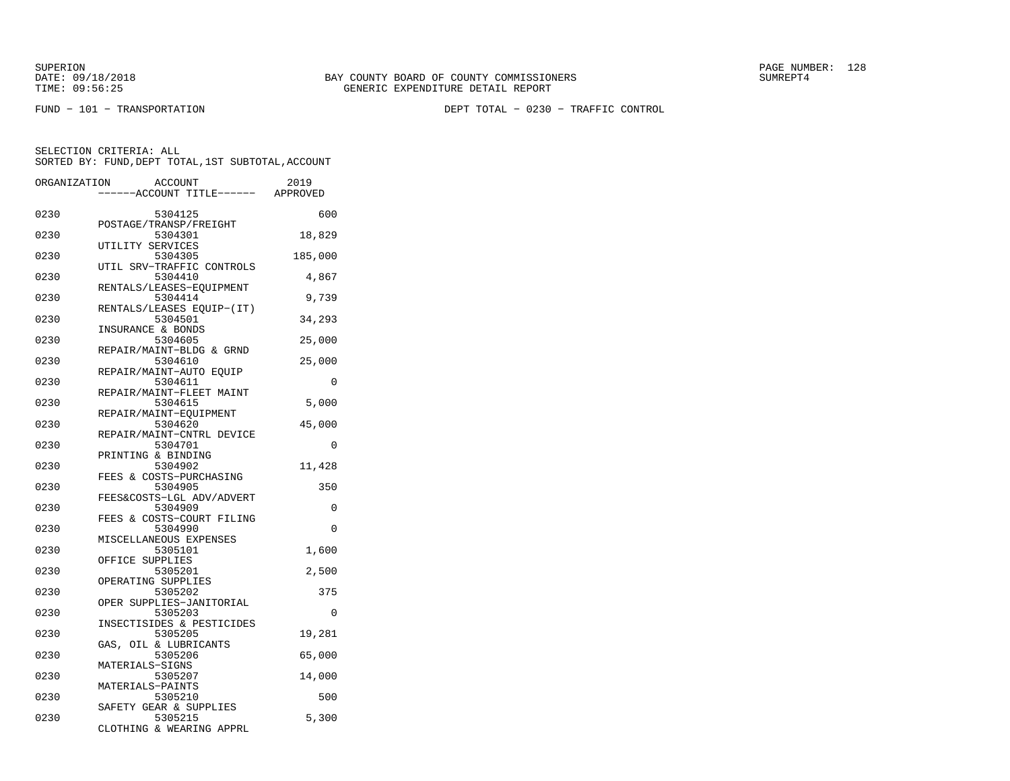FUND − 101 − TRANSPORTATION DEPT TOTAL − 0230 − TRAFFIC CONTROL

| ORGANIZATION | <b>ACCOUNT</b>                       | 2019     |
|--------------|--------------------------------------|----------|
|              | ---ACCOUNT TITLE------ APPROVED      |          |
| 0230         | 5304125                              | 600      |
|              | POSTAGE/TRANSP/FREIGHT               |          |
| 0230         | 5304301<br>UTILITY SERVICES          | 18,829   |
| 0230         | 5304305                              | 185,000  |
|              | UTIL SRV-TRAFFIC CONTROLS            |          |
| 0230         | 5304410<br>RENTALS/LEASES-EOUIPMENT  | 4,867    |
| 0230         | 5304414                              | 9,739    |
|              | RENTALS/LEASES EOUIP-(IT)            |          |
| 0230         | 5304501                              | 34,293   |
| 0230         | INSURANCE & BONDS<br>5304605         | 25,000   |
|              | REPAIR/MAINT-BLDG & GRND             |          |
| 0230         | 5304610                              | 25,000   |
|              | REPAIR/MAINT-AUTO EQUIP              |          |
| 0230         | 5304611<br>REPAIR/MAINT-FLEET MAINT  | 0        |
| 0230         | 5304615                              | 5,000    |
|              | REPAIR/MAINT-EQUIPMENT               |          |
| 0230         | 5304620                              | 45,000   |
|              | REPAIR/MAINT-CNTRL DEVICE            |          |
| 0230         | 5304701<br>PRINTING & BINDING        | 0        |
| 0230         | 5304902                              | 11,428   |
|              | FEES & COSTS-PURCHASING              |          |
| 0230         | 5304905                              | 350      |
| 0230         | FEES&COSTS-LGL ADV/ADVERT<br>5304909 | $\Omega$ |
|              | FEES & COSTS-COURT FILING            |          |
| 0230         | 5304990                              | 0        |
|              | MISCELLANEOUS EXPENSES               |          |
| 0230         | 5305101                              | 1,600    |
| 0230         | OFFICE SUPPLIES<br>5305201           | 2,500    |
|              | OPERATING SUPPLIES                   |          |
| 0230         | 5305202                              | 375      |
|              | OPER SUPPLIES-JANITORIAL             |          |
| 0230         | 5305203<br>INSECTISIDES & PESTICIDES | 0        |
| 0230         | 5305205                              | 19,281   |
|              | GAS, OIL & LUBRICANTS                |          |
| 0230         | 5305206                              | 65,000   |
|              | MATERIALS-SIGNS                      |          |
| 0230         | 5305207<br>MATERIALS-PAINTS          | 14,000   |
| 0230         | 5305210                              | 500      |
|              | SAFETY GEAR & SUPPLIES               |          |
| 0230         | 5305215                              | 5,300    |
|              | CLOTHING & WEARING APPRL             |          |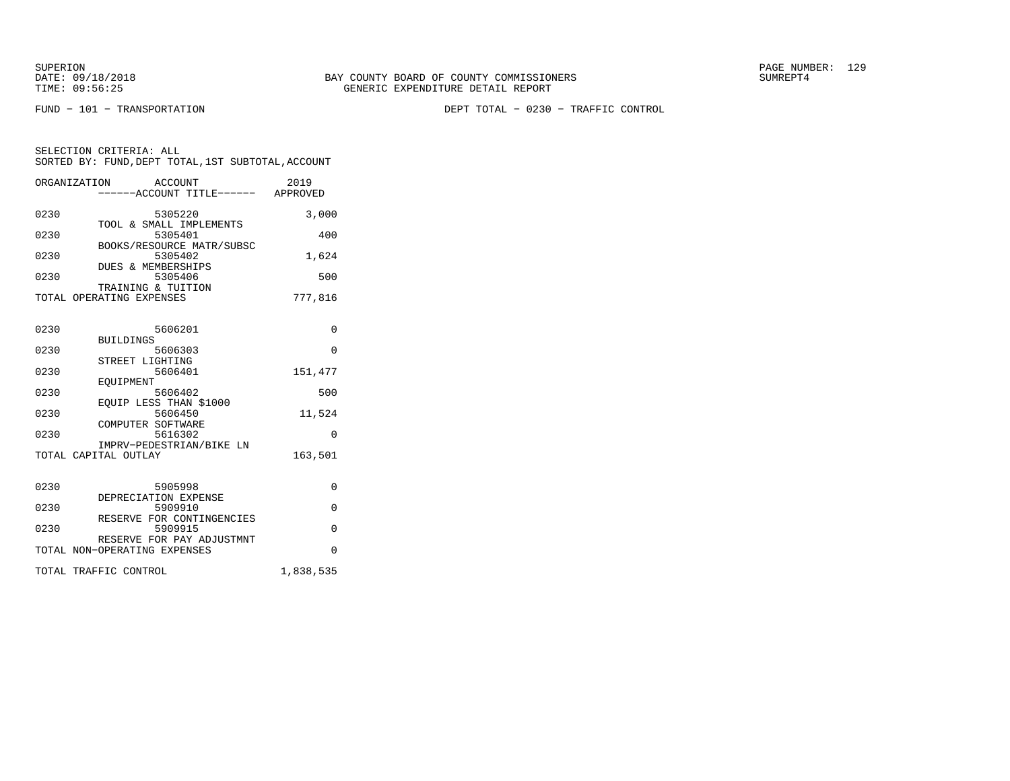FUND − 101 − TRANSPORTATION DEPT TOTAL − 0230 − TRAFFIC CONTROL

|      | ORGANIZATION<br>ACCOUNT<br>-----ACCOUNT TITLE------ APPROVED   | 2019      |
|------|----------------------------------------------------------------|-----------|
| 0230 | 5305220<br>TOOL & SMALL IMPLEMENTS                             | 3,000     |
| 0230 | 5305401                                                        | 400       |
| 0230 | BOOKS/RESOURCE MATR/SUBSC<br>5305402                           | 1,624     |
| 0230 | <b>DUES &amp; MEMBERSHIPS</b><br>5305406<br>TRAINING & TUITION | 500       |
|      | TOTAL OPERATING EXPENSES                                       | 777,816   |
| 0230 | 5606201                                                        | $\Omega$  |
| 0230 | <b>BUILDINGS</b><br>5606303                                    | $\Omega$  |
| 0230 | STREET LIGHTING<br>5606401                                     | 151,477   |
| 0230 | EOUIPMENT<br>5606402                                           | 500       |
| 0230 | EQUIP LESS THAN \$1000<br>5606450                              | 11,524    |
| 0230 | COMPUTER SOFTWARE<br>5616302                                   | $\Omega$  |
|      | IMPRV-PEDESTRIAN/BIKE LN<br>TOTAL CAPITAL OUTLAY               | 163,501   |
| 0230 | 5905998<br>DEPRECIATION EXPENSE                                | $\Omega$  |
| 0230 | 5909910<br>RESERVE FOR CONTINGENCIES                           | $\Omega$  |
| 0230 | 5909915                                                        | $\Omega$  |
|      | RESERVE FOR PAY ADJUSTMNT<br>TOTAL NON-OPERATING EXPENSES      | $\Omega$  |
|      | TOTAL TRAFFIC CONTROL                                          | 1,838,535 |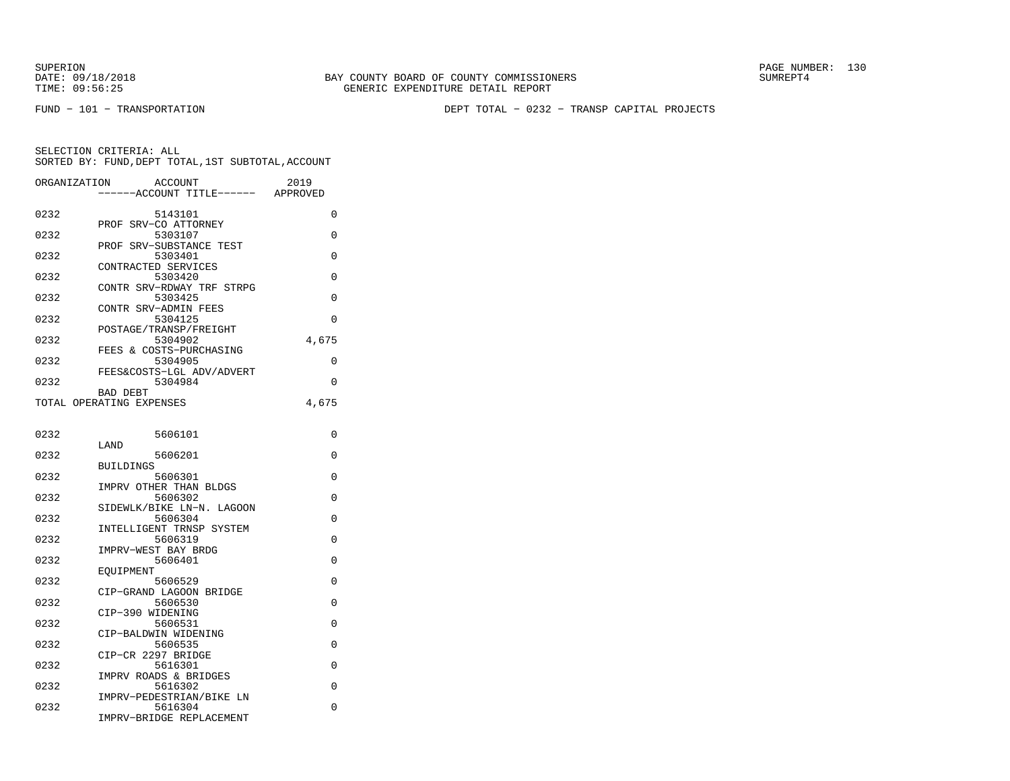SUPERION PAGE NUMBER: 130

FUND − 101 − TRANSPORTATION DEPT TOTAL − 0232 − TRANSP CAPITAL PROJECTS

| ORGANIZATION | ACCOUNT<br>---ACCOUNT TITLE------    | 2019<br>APPROVED |
|--------------|--------------------------------------|------------------|
| 0232         | 5143101                              | $\Omega$         |
| 0232         | SRV-CO ATTORNEY<br>PROF<br>5303107   | 0                |
| 0232         | PROF SRV-SUBSTANCE TEST<br>5303401   | 0                |
| 0232         | CONTRACTED SERVICES<br>5303420       | 0                |
| 0232         | CONTR SRV-RDWAY TRF STRPG<br>5303425 | 0                |
| 0232         | CONTR SRV-ADMIN FEES<br>5304125      | 0                |
| 0232         | POSTAGE/TRANSP/FREIGHT<br>5304902    | 4,675            |
| 0232         | FEES & COSTS-PURCHASING<br>5304905   | $\Omega$         |
| 0232         | FEES&COSTS-LGL ADV/ADVERT<br>5304984 | 0                |
|              | <b>BAD DEBT</b>                      |                  |
|              | TOTAL OPERATING EXPENSES             | 4,675            |
| 0232         | 5606101                              | 0                |
| 0232         | LAND<br>5606201                      | 0                |
| 0232         | <b>BUILDINGS</b><br>5606301          | 0                |
|              | IMPRV OTHER THAN BLDGS               |                  |
| 0232         | 5606302<br>SIDEWLK/BIKE LN-N. LAGOON | 0                |
| 0232         | 5606304                              | $\Omega$         |
| 0232         | INTELLIGENT TRNSP SYSTEM<br>5606319  | 0                |
| 0232         | IMPRV-WEST BAY BRDG<br>5606401       | 0                |
|              | EOUIPMENT                            |                  |
| 0232         | 5606529<br>CIP-GRAND LAGOON BRIDGE   | 0                |
| 0232         | 5606530                              | 0                |
| 0232         | CIP-390 WIDENING<br>5606531          | 0                |
| 0232         | CIP-BALDWIN WIDENING<br>5606535      | 0                |
| 0232         | CIP-CR 2297 BRIDGE<br>5616301        | $\Omega$         |
| 0232         | IMPRV ROADS & BRIDGES<br>5616302     | 0                |
|              | IMPRV-PEDESTRIAN/BIKE LN             |                  |
| 0232         | 5616304<br>IMPRV-BRIDGE REPLACEMENT  | 0                |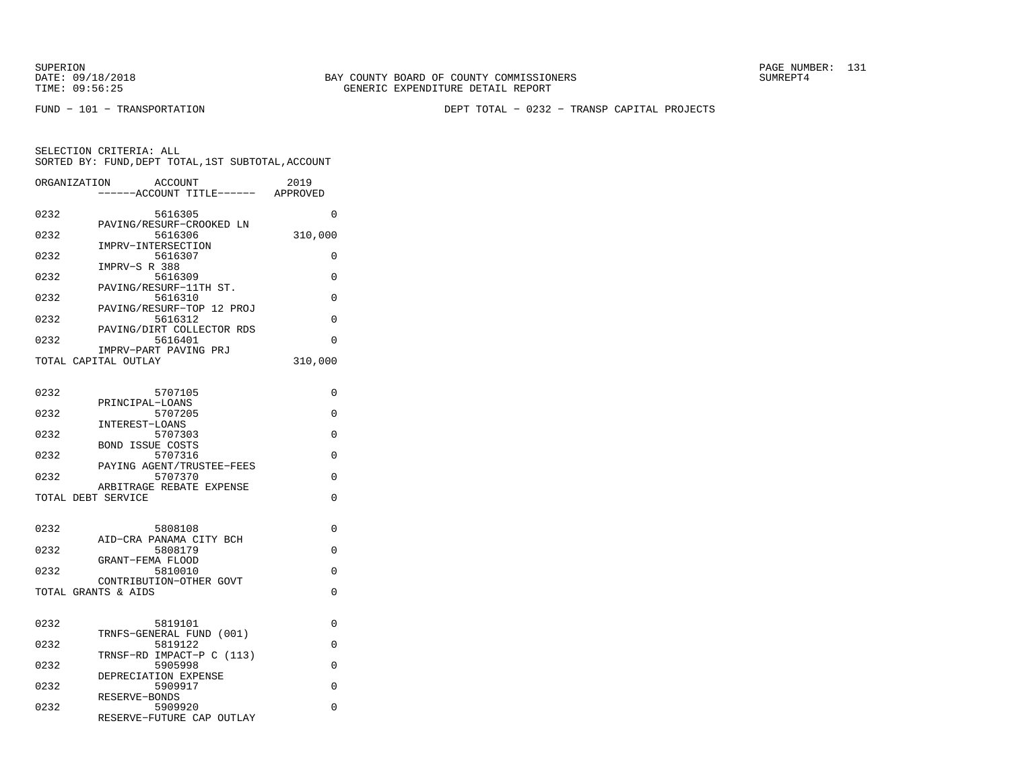FUND − 101 − TRANSPORTATION DEPT TOTAL − 0232 − TRANSP CAPITAL PROJECTS

| ORGANIZATION       | ACCOUNT<br>-----ACCOUNT TITLE------  | 2019<br>APPROVED |
|--------------------|--------------------------------------|------------------|
|                    |                                      |                  |
| 0232               | 5616305                              | 0                |
|                    | PAVING/RESURF-CROOKED LN             |                  |
| 0232               | 5616306                              | 310,000          |
| 0232               | IMPRV-INTERSECTION<br>5616307        | 0                |
|                    | IMPRV-S R 388                        |                  |
| 0232               | 5616309                              | 0                |
|                    | PAVING/RESURF-11TH ST.               |                  |
| 0232               | 5616310                              | 0                |
| 0232               | PAVING/RESURF-TOP 12 PROJ<br>5616312 | $\Omega$         |
|                    | PAVING/DIRT COLLECTOR RDS            |                  |
| 0232               | 5616401                              | $\Omega$         |
|                    | IMPRV-PART PAVING PRJ                |                  |
|                    | TOTAL CAPITAL OUTLAY                 | 310,000          |
|                    |                                      |                  |
| 0232               | 5707105                              | $\Omega$         |
|                    | PRINCIPAL-LOANS                      |                  |
| 0232               | 5707205                              | 0                |
|                    | INTEREST-LOANS                       |                  |
| 0232               | 5707303<br><b>BOND ISSUE COSTS</b>   | $\Omega$         |
| 0232               | 5707316                              | 0                |
|                    | PAYING AGENT/TRUSTEE-FEES            |                  |
| 0232               | 5707370                              | 0                |
|                    | ARBITRAGE REBATE EXPENSE             |                  |
| TOTAL DEBT SERVICE |                                      | $\Omega$         |
|                    |                                      |                  |
| 0232               | 5808108                              | 0                |
|                    | AID-CRA PANAMA CITY BCH              |                  |
| 0232               | 5808179                              | $\Omega$         |
|                    | GRANT-FEMA FLOOD                     |                  |
| 0232               | 5810010<br>CONTRIBUTION-OTHER GOVT   | $\Omega$         |
|                    | TOTAL GRANTS & AIDS                  | 0                |
|                    |                                      |                  |
|                    |                                      |                  |
| 0232               | 5819101                              | 0                |
| 0232               | TRNFS-GENERAL FUND (001)<br>5819122  | 0                |
|                    | TRNSF-RD IMPACT-P C (113)            |                  |
| 0232               | 5905998                              | $\Omega$         |
|                    | DEPRECIATION EXPENSE                 |                  |
| 0232               | 5909917                              | $\Omega$         |
| 0232               | RESERVE-BONDS<br>5909920             | 0                |
|                    | RESERVE-FUTURE CAP OUTLAY            |                  |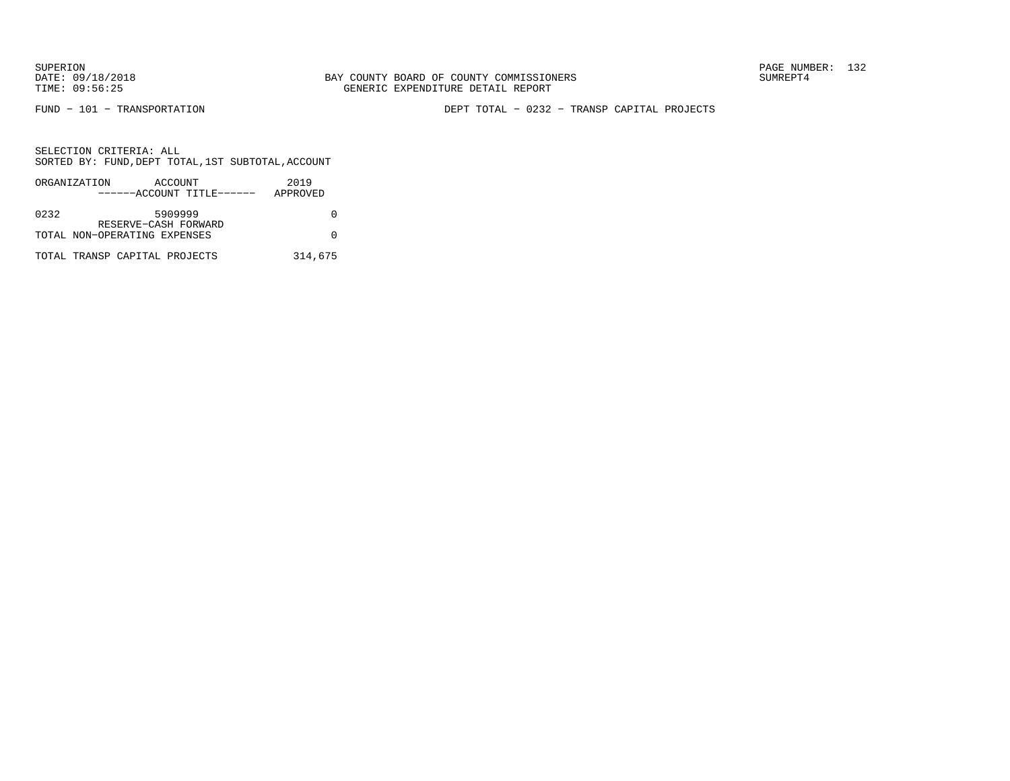FUND − 101 − TRANSPORTATION DEPT TOTAL − 0232 − TRANSP CAPITAL PROJECTS

|      | ORGANIZATION | ACCOUNT                       |                           | 2019     |  |
|------|--------------|-------------------------------|---------------------------|----------|--|
|      |              |                               | ------ACCOUNT TITLE------ | APPROVED |  |
|      |              |                               |                           |          |  |
| 0232 |              | 5909999                       |                           |          |  |
|      |              | RESERVE-CASH FORWARD          |                           |          |  |
|      |              | TOTAL NON-OPERATING EXPENSES  |                           |          |  |
|      |              |                               |                           |          |  |
|      |              | TOTAL TRANSP CAPITAL PROJECTS |                           | 314,675  |  |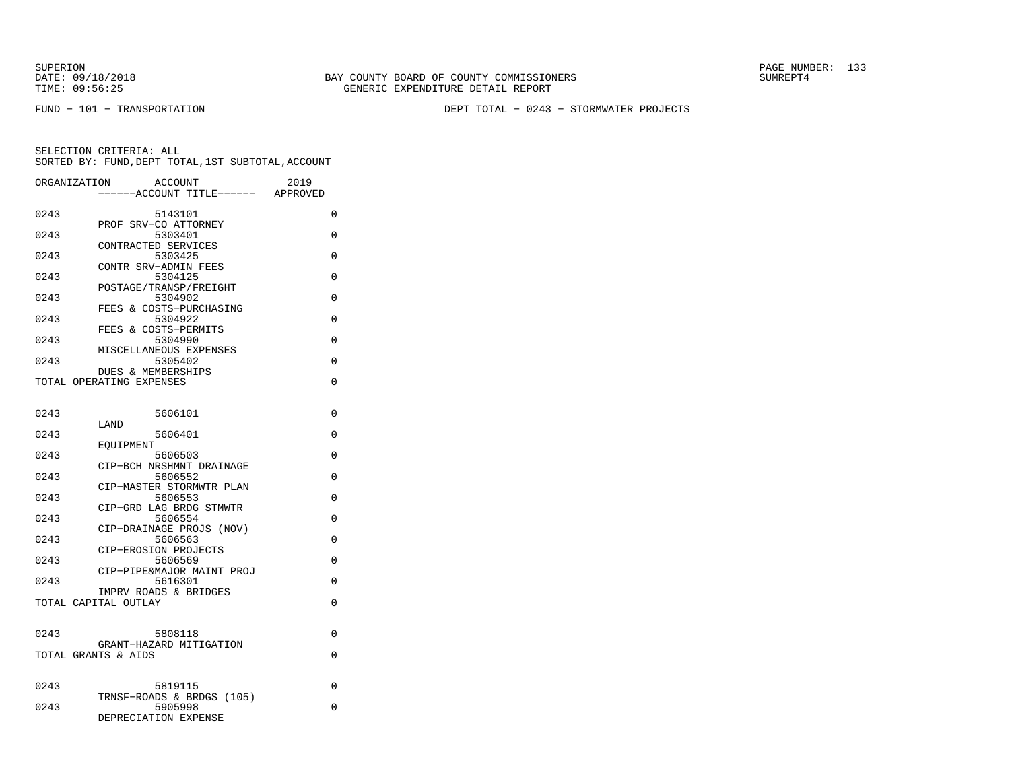SUPERION PAGE NUMBER: 133

FUND − 101 − TRANSPORTATION DEPT TOTAL − 0243 − STORMWATER PROJECTS

| ORGANIZATION | ACCOUNT                                       | 2019     |
|--------------|-----------------------------------------------|----------|
|              | -----ACCOUNT TITLE------                      | APPROVED |
|              |                                               |          |
| 0243         | 5143101                                       | 0        |
|              | PROF SRV-CO ATTORNEY                          |          |
| 0243         | 5303401                                       | $\Omega$ |
| 0243         | CONTRACTED SERVICES<br>5303425                | 0        |
|              | CONTR SRV-ADMIN FEES                          |          |
| 0243         | 5304125                                       | 0        |
|              | POSTAGE/TRANSP/FREIGHT                        |          |
| 0243         | 5304902                                       | $\Omega$ |
|              | FEES & COSTS-PURCHASING                       |          |
| 0243         | 5304922                                       | $\Omega$ |
|              | FEES & COSTS-PERMITS                          |          |
| 0243         | 5304990                                       | 0        |
|              | MISCELLANEOUS EXPENSES                        |          |
| 0243         | 5305402                                       | 0        |
|              | <b>DUES &amp; MEMBERSHIPS</b>                 |          |
|              | TOTAL OPERATING EXPENSES                      | 0        |
|              |                                               |          |
|              |                                               |          |
| 0243         | 5606101                                       | $\Omega$ |
|              | LAND                                          |          |
| 0243         | 5606401                                       | 0        |
| 0243         | EOUIPMENT<br>5606503                          | $\Omega$ |
|              | CIP-BCH NRSHMNT DRAINAGE                      |          |
| 0243         | 5606552                                       | 0        |
|              | CIP-MASTER STORMWTR PLAN                      |          |
| 0243         | 5606553                                       | $\Omega$ |
|              | CIP-GRD LAG BRDG STMWTR                       |          |
| 0243         | 5606554                                       | $\Omega$ |
|              | CIP-DRAINAGE PROJS (NOV)                      |          |
| 0243         | 5606563                                       | 0        |
|              | CIP-EROSION PROJECTS                          |          |
| 0243         | 5606569                                       | 0        |
|              | CIP-PIPE&MAJOR MAINT PROJ                     |          |
| 0243         | 5616301                                       | 0        |
|              | IMPRV ROADS & BRIDGES<br>TOTAL CAPITAL OUTLAY | 0        |
|              |                                               |          |
|              |                                               |          |
| 0243         | 5808118                                       | $\Omega$ |
|              | GRANT-HAZARD MITIGATION                       |          |
|              | TOTAL GRANTS & AIDS                           | 0        |
|              |                                               |          |
|              |                                               |          |
| 0243         | 5819115                                       | 0        |
|              | TRNSF-ROADS & BRDGS (105)                     |          |
| 0243         | 5905998                                       | 0        |
|              | DEPRECIATION EXPENSE                          |          |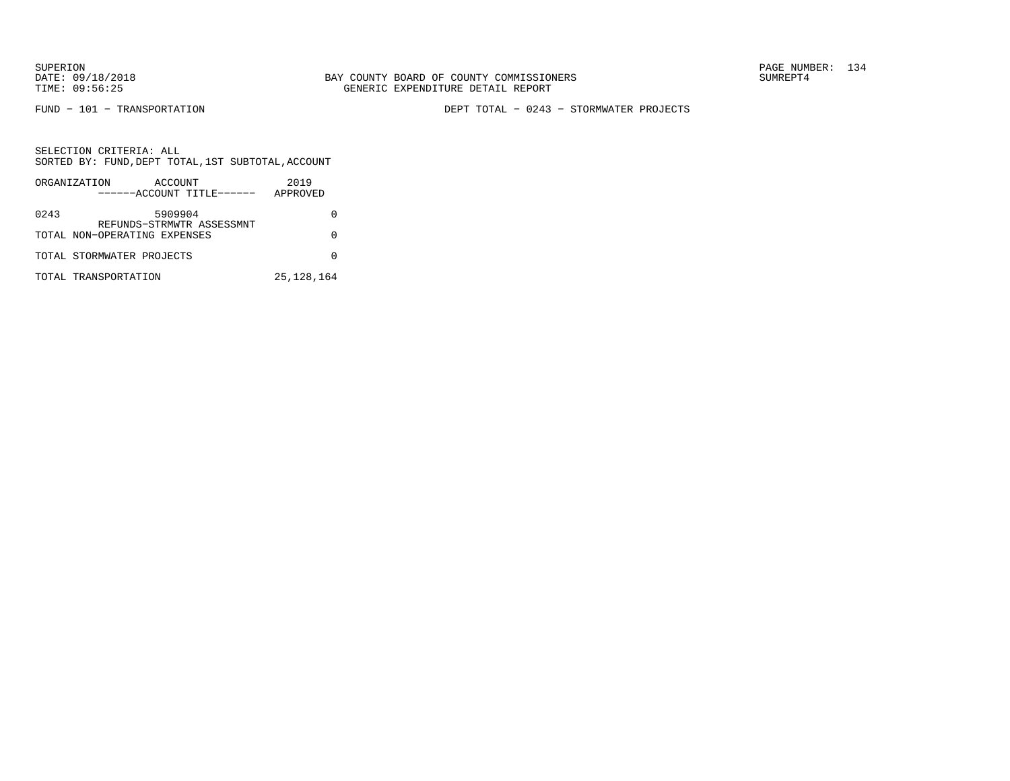FUND − 101 − TRANSPORTATION DEPT TOTAL − 0243 − STORMWATER PROJECTS

SELECTION CRITERIA: ALL SORTED BY: FUND,DEPT TOTAL,1ST SUBTOTAL,ACCOUNTORGANIZATION ACCOUNT 2019

|      | URGANIZAIILUN<br>$A \cup U \cup W$<br>------ACCOUNT TITLE------ | ムリエフ<br>APPROVED |
|------|-----------------------------------------------------------------|------------------|
| 0243 | 5909904<br>REFUNDS-STRMWTR ASSESSMNT                            |                  |
|      | TOTAL NON-OPERATING EXPENSES                                    |                  |
|      | TOTAL STORMWATER PROJECTS                                       |                  |
|      | TOTAL TRANSPORTATION                                            | 25, 128, 164     |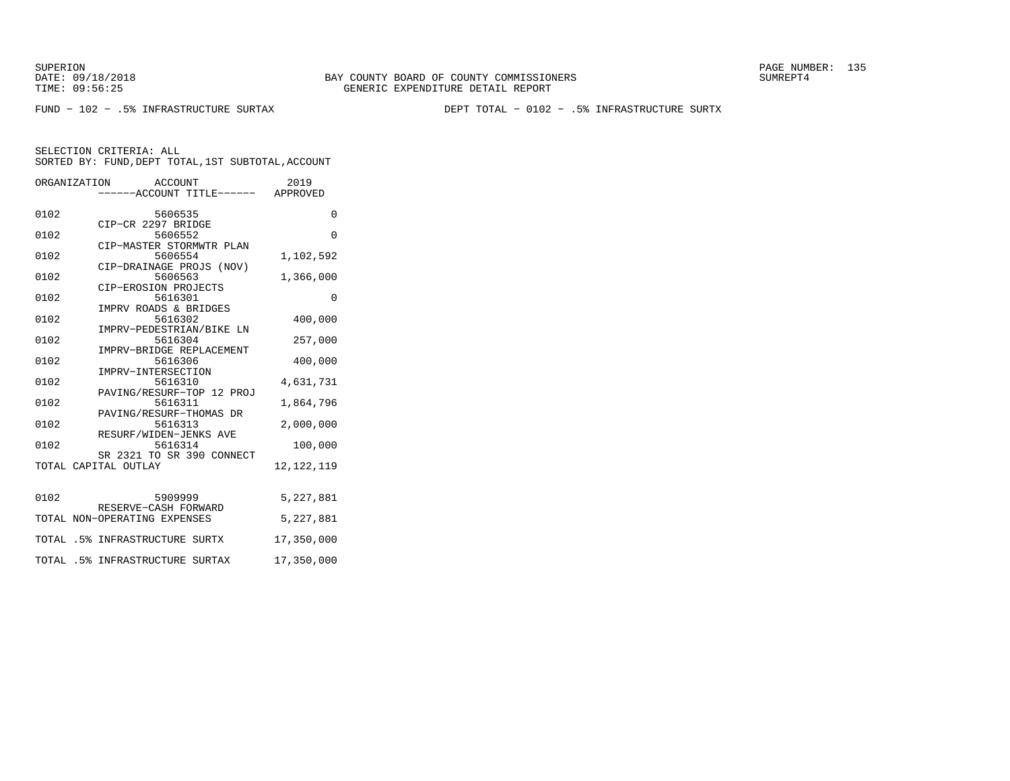SUPERION PAGE NUMBER: 135

FUND − 102 − .5% INFRASTRUCTURE SURTAX DEPT TOTAL − 0102 − .5% INFRASTRUCTURE SURTX

SELECTION CRITERIA: ALL

|      | SORTED BY: FUND, DEPT TOTAL, 1ST SUBTOTAL, ACCOUNT        |              |
|------|-----------------------------------------------------------|--------------|
|      | ORGANIZATION ACCOUNT<br>-----ACCOUNT TITLE------ APPROVED | 2019         |
| 0102 | 5606535                                                   | 0            |
| 0102 | CIP-CR 2297 BRIDGE<br>5606552                             | $\Omega$     |
| 0102 | CIP-MASTER STORMWTR PLAN<br>5606554                       | 1,102,592    |
| 0102 | CIP-DRAINAGE PROJS (NOV)<br>5606563                       | 1,366,000    |
| 0102 | CIP-EROSION PROJECTS<br>5616301                           | $\Omega$     |
| 0102 | IMPRV ROADS & BRIDGES<br>5616302                          | 400,000      |
| 0102 | IMPRV-PEDESTRIAN/BIKE LN<br>5616304                       | 257,000      |
| 0102 | IMPRV-BRIDGE REPLACEMENT<br>5616306                       | 400,000      |
| 0102 | IMPRV-INTERSECTION<br>5616310                             | 4,631,731    |
| 0102 | PAVING/RESURF-TOP 12 PROJ<br>5616311                      | 1,864,796    |
| 0102 | PAVING/RESURF-THOMAS DR<br>5616313                        | 2,000,000    |
| 0102 | RESURF/WIDEN-JENKS AVE<br>5616314                         | 100,000      |
|      | SR 2321 TO SR 390 CONNECT<br>TOTAL CAPITAL OUTLAY         | 12, 122, 119 |
| 0102 | 5909999                                                   | 5,227,881    |
|      | RESERVE-CASH FORWARD<br>TOTAL NON-OPERATING EXPENSES      | 5,227,881    |
|      | TOTAL .5% INFRASTRUCTURE SURTX                            | 17,350,000   |
|      | TOTAL .5% INFRASTRUCTURE SURTAX                           | 17,350,000   |
|      |                                                           |              |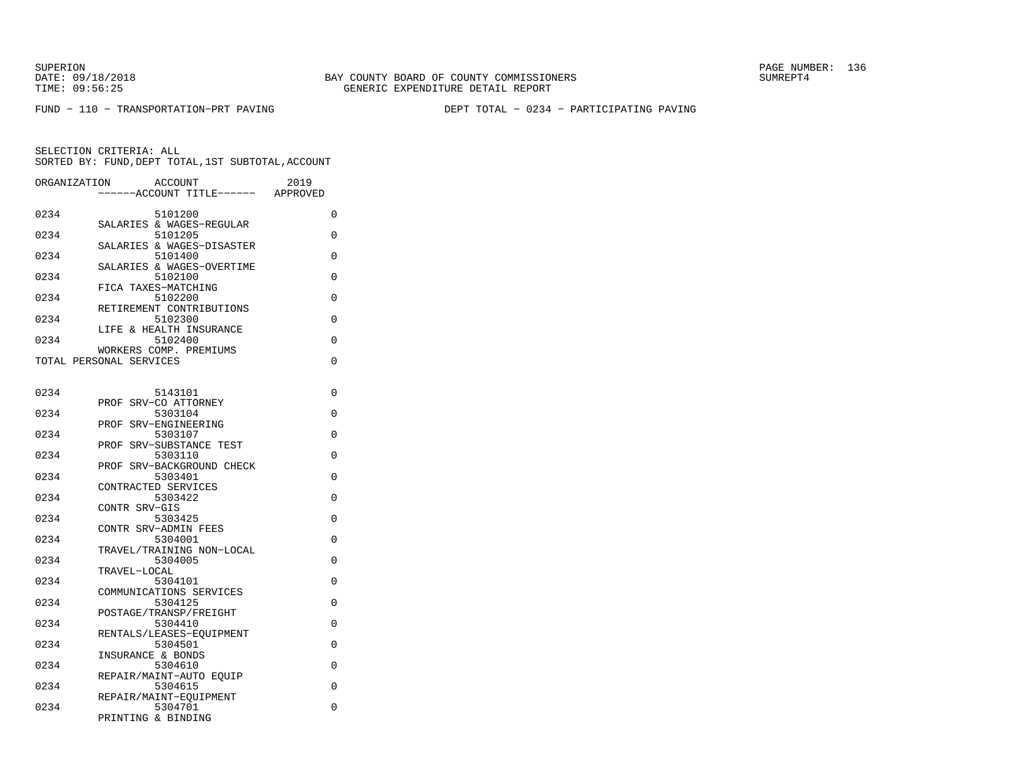SUPERION PAGE NUMBER: 136

FUND − 110 − TRANSPORTATION−PRT PAVING DEPT TOTAL − 0234 − PARTICIPATING PAVING

| ORGANIZATION | ACCOUNT<br>--ACCOUNT TITLE------                  | 2019<br>APPROVED |
|--------------|---------------------------------------------------|------------------|
| 0234         | 5101200                                           | 0                |
| 0234         | SALARIES & WAGES-REGULAR<br>5101205               | 0                |
| 0234         | SALARIES & WAGES-DISASTER<br>5101400              | 0                |
| 0234         | SALARIES & WAGES-OVERTIME<br>5102100              | 0                |
| 0234         | FICA TAXES-MATCHING<br>5102200                    | 0                |
| 0234         | RETIREMENT CONTRIBUTIONS<br>5102300               | 0                |
| 0234         | LIFE & HEALTH INSURANCE<br>5102400                | 0                |
|              | WORKERS COMP. PREMIUMS<br>TOTAL PERSONAL SERVICES | 0                |
|              |                                                   |                  |
| 0234         | 5143101<br>PROF SRV-CO ATTORNEY                   | 0                |
| 0234         | 5303104<br>PROF SRV-ENGINEERING                   | 0                |
| 0234         | 5303107<br>PROF SRV-SUBSTANCE TEST                | 0                |
| 0234         | 5303110<br>PROF SRV-BACKGROUND CHECK              | $\Omega$         |
| 0234         | 5303401<br>CONTRACTED SERVICES                    | 0                |
| 0234         | 5303422<br>CONTR SRV-GIS                          | 0                |
| 0234         | 5303425                                           | 0                |
| 0234         | CONTR SRV-ADMIN FEES<br>5304001                   | 0                |
| 0234         | TRAVEL/TRAINING NON-LOCAL<br>5304005              | 0                |
| 0234         | TRAVEL-LOCAL<br>5304101                           | 0                |
| 0234         | COMMUNICATIONS SERVICES<br>5304125                | 0                |
| 0234         | POSTAGE/TRANSP/FREIGHT<br>5304410                 | 0                |
| 0234         | RENTALS/LEASES-EQUIPMENT<br>5304501               | 0                |
| 0234         | INSURANCE & BONDS<br>5304610                      | 0                |
| 0234         | REPAIR/MAINT-AUTO EOUIP<br>5304615                | 0                |
| 0234         | REPAIR/MAINT-EQUIPMENT<br>5304701                 | 0                |
|              | PRINTING & BINDING                                |                  |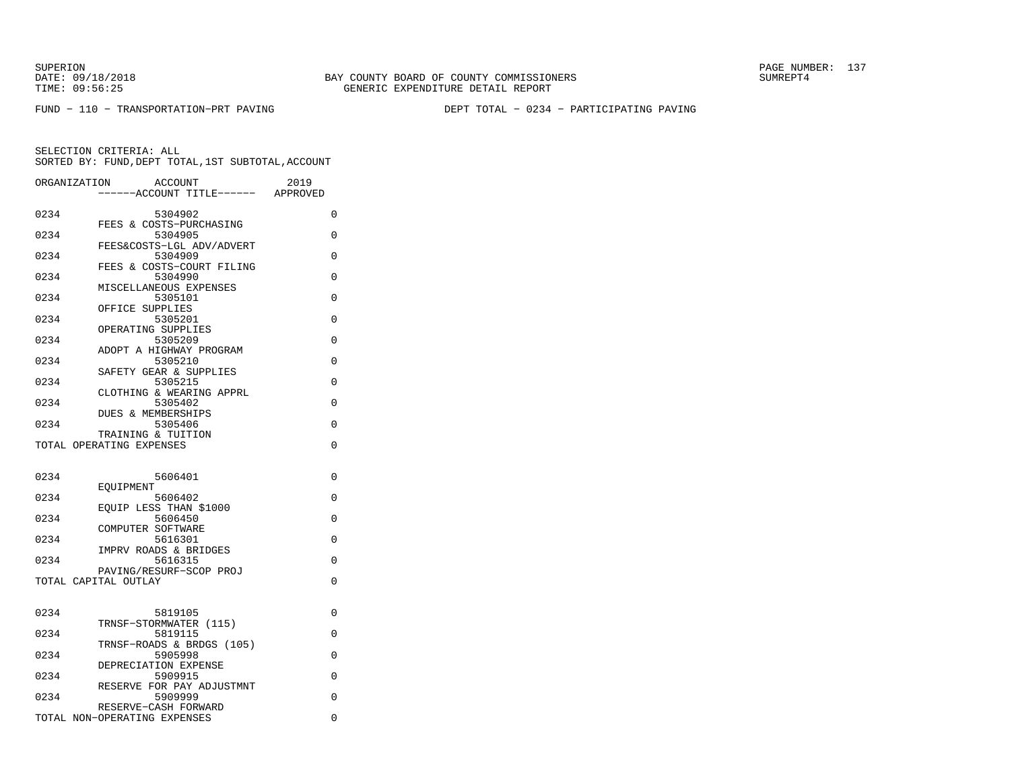SUPERION PAGE NUMBER: 137

FUND − 110 − TRANSPORTATION−PRT PAVING DEPT TOTAL − 0234 − PARTICIPATING PAVING

|      | ORGANIZATION<br>ACCOUNT                        | 2019        |
|------|------------------------------------------------|-------------|
|      | ---ACCOUNT TITLE------ APPROVED                |             |
| 0234 | 5304902<br>FEES & COSTS-PURCHASING             | 0           |
| 0234 | 5304905                                        | 0           |
| 0234 | FEES&COSTS-LGL ADV/ADVERT<br>5304909           | 0           |
| 0234 | FEES & COSTS-COURT FILING<br>5304990           | $\Omega$    |
| 0234 | MISCELLANEOUS EXPENSES<br>5305101              | 0           |
| 0234 | OFFICE SUPPLIES<br>5305201                     | $\Omega$    |
|      | OPERATING SUPPLIES                             |             |
| 0234 | 5305209<br>ADOPT A HIGHWAY PROGRAM             | $\Omega$    |
| 0234 | 5305210<br>SAFETY GEAR & SUPPLIES              | $\Omega$    |
| 0234 | 5305215                                        | 0           |
| 0234 | CLOTHING & WEARING APPRL<br>5305402            | 0           |
| 0234 | DUES & MEMBERSHIPS<br>5305406                  | $\Omega$    |
|      | TRAINING & TUITION<br>TOTAL OPERATING EXPENSES | $\Omega$    |
|      |                                                |             |
| 0234 | 5606401                                        | 0           |
| 0234 | EOUIPMENT<br>5606402                           | $\Omega$    |
|      | EOUIP LESS THAN \$1000                         |             |
| 0234 | 5606450<br>COMPUTER SOFTWARE                   | $\Omega$    |
| 0234 | 5616301<br>IMPRV ROADS & BRIDGES               | $\Omega$    |
| 0234 | 5616315<br>PAVING/RESURF-SCOP PROJ             | 0           |
|      | TOTAL CAPITAL OUTLAY                           | 0           |
|      |                                                |             |
| 0234 | 5819105<br>TRNSF-STORMWATER (115)              | $\Omega$    |
| 0234 | 5819115                                        | 0           |
| 0234 | TRNSF-ROADS & BRDGS (105)<br>5905998           | 0           |
| 0234 | DEPRECIATION EXPENSE<br>5909915                | $\Omega$    |
| 0234 | RESERVE FOR PAY ADJUSTMNT<br>5909999           | 0           |
|      | RESERVE-CASH FORWARD                           |             |
|      | TOTAL NON-OPERATING EXPENSES                   | $\mathbf 0$ |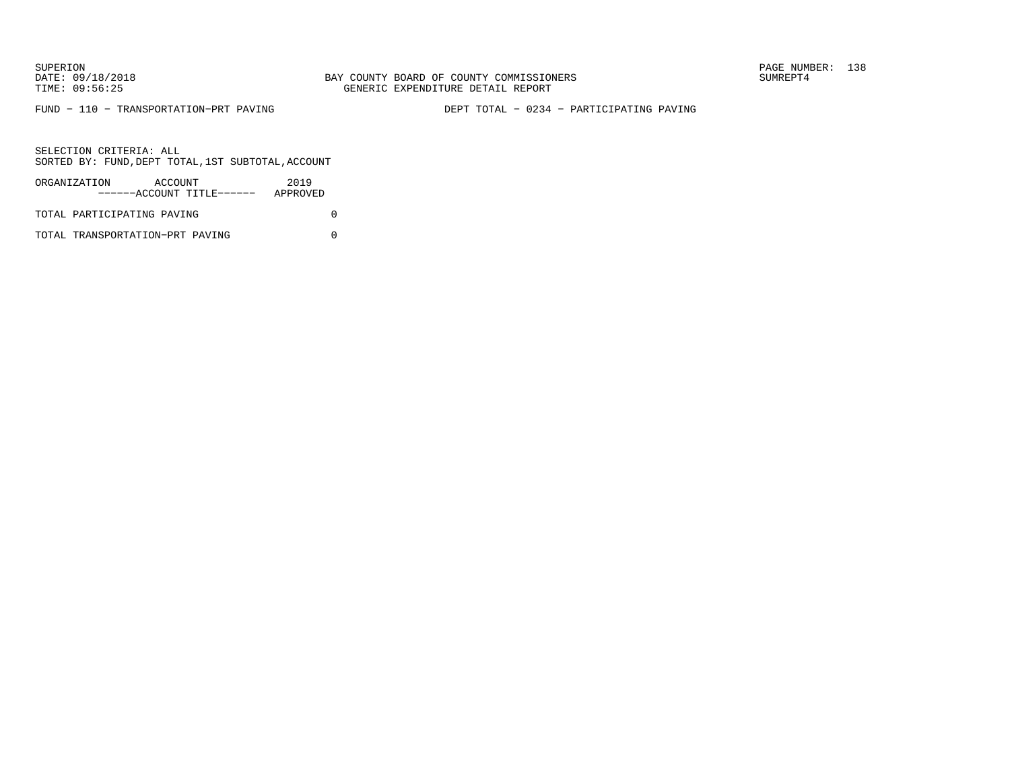FUND − 110 − TRANSPORTATION−PRT PAVING DEPT TOTAL − 0234 − PARTICIPATING PAVING

SELECTION CRITERIA: ALLSORTED BY: FUND,DEPT TOTAL,1ST SUBTOTAL,ACCOUNT

| ORGANIZATION               | ACCOUNT | ------ACCOUNT TITLE------ | 2019<br>APPROVED |  |
|----------------------------|---------|---------------------------|------------------|--|
| TOTAL PARTICIPATING PAVING |         |                           |                  |  |

TOTAL TRANSPORTATION−PRT PAVING 0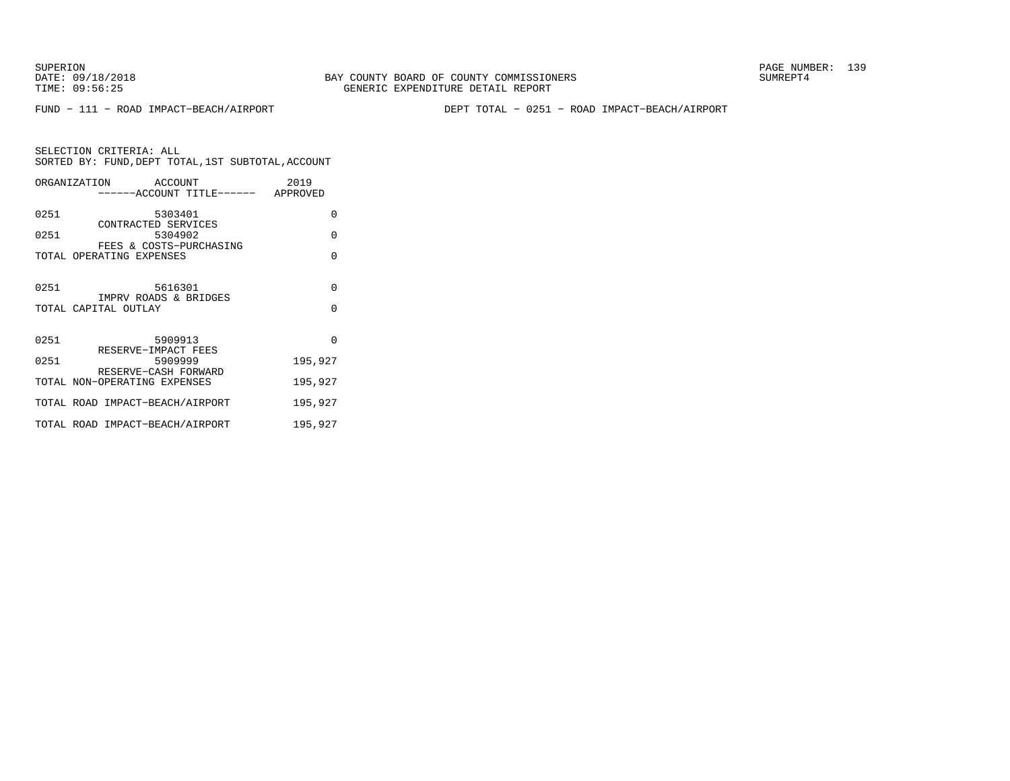FUND − 111 − ROAD IMPACT−BEACH/AIRPORT DEPT TOTAL − 0251 − ROAD IMPACT−BEACH/AIRPORT

SELECTION CRITERIA: ALL SORTED BY: FUND,DEPT TOTAL,1ST SUBTOTAL,ACCOUNTORGANIZATION ACCOUNT 2019

|      | UNUANI LARI IUN<br><b>ACCOUNT</b><br>------ACCOUNT TITLE------ APPROVED | 2012     |
|------|-------------------------------------------------------------------------|----------|
| 0251 | 5303401<br>CONTRACTED SERVICES                                          | $\Omega$ |
| 0251 | 5304902<br>FEES & COSTS-PURCHASING                                      | $\Omega$ |
|      | TOTAL OPERATING EXPENSES                                                | $\Omega$ |
| 0251 | 5616301<br>IMPRV ROADS & BRIDGES                                        | $\Omega$ |
|      | TOTAL CAPITAL OUTLAY                                                    | $\Omega$ |
| 0251 | 5909913<br>RESERVE-IMPACT FEES                                          | $\Omega$ |
| 0251 | 5909999<br>RESERVE-CASH FORWARD                                         | 195,927  |
|      | TOTAL NON-OPERATING EXPENSES                                            | 195,927  |
|      | TOTAL ROAD IMPACT-BEACH/AIRPORT                                         | 195,927  |
|      | TOTAL ROAD IMPACT-BEACH/AIRPORT                                         | 195,927  |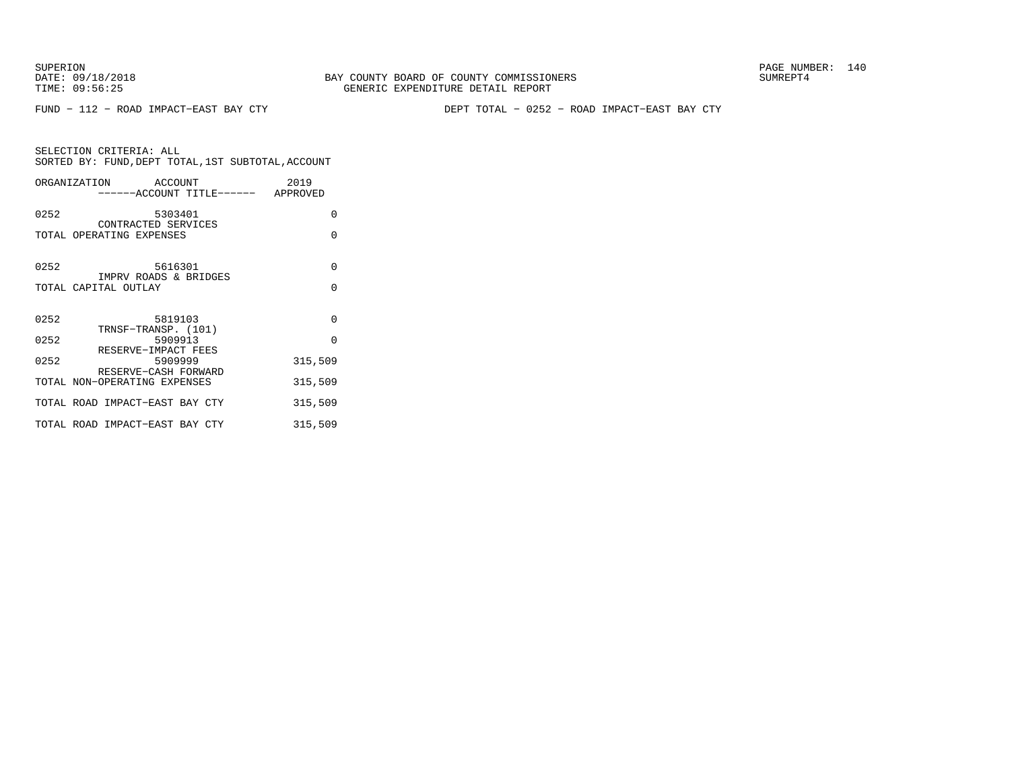FUND − 112 − ROAD IMPACT−EAST BAY CTY DEPT TOTAL − 0252 − ROAD IMPACT−EAST BAY CTY

|      | ORGANIZATION ACCOUNT<br>------ACCOUNT TITLE------ APPROVED | 2019     |
|------|------------------------------------------------------------|----------|
| 0252 | 5303401<br>CONTRACTED SERVICES                             | $\Omega$ |
|      | TOTAL OPERATING EXPENSES                                   | $\Omega$ |
| 0252 | 5616301<br>IMPRV ROADS & BRIDGES                           | $\Omega$ |
|      | TOTAL CAPITAL OUTLAY                                       | $\Omega$ |
| 0252 | 5819103<br>TRNSF-TRANSP. (101)                             | 0        |
| 0252 | 5909913<br>RESERVE-IMPACT FEES                             | $\Omega$ |
| 0252 | 5909999<br>RESERVE-CASH FORWARD                            | 315,509  |
|      | TOTAL NON-OPERATING EXPENSES                               | 315,509  |
|      | TOTAL ROAD IMPACT-EAST BAY CTY                             | 315,509  |
|      | TOTAL ROAD IMPACT-EAST BAY CTY                             | 315,509  |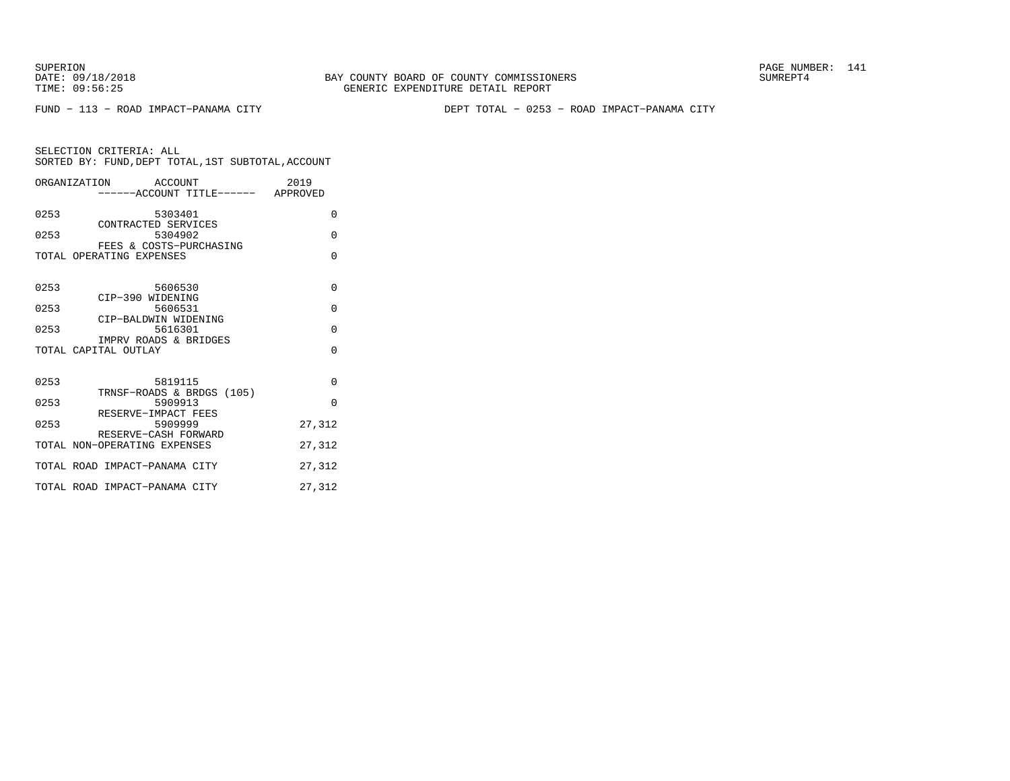SUPERION PAGE NUMBER: 141

FUND − 113 − ROAD IMPACT−PANAMA CITY DEPT TOTAL − 0253 − ROAD IMPACT−PANAMA CITY

|      | ORGANIZATION ACCOUNT<br>-----ACCOUNT TITLE------ APPROVED | 2019     |
|------|-----------------------------------------------------------|----------|
| 0253 | 5303401<br>CONTRACTED SERVICES                            | $\Omega$ |
| 0253 | 5304902<br>FEES & COSTS-PURCHASING                        | $\Omega$ |
|      | TOTAL OPERATING EXPENSES                                  | $\Omega$ |
| 0253 | 5606530<br>CIP-390 WIDENING                               | $\Omega$ |
| 0253 | 5606531<br>CIP-BALDWIN WIDENING                           | $\Omega$ |
| 0253 | 5616301                                                   | $\Omega$ |
|      | IMPRV ROADS & BRIDGES<br>TOTAL CAPITAL OUTLAY             | $\Omega$ |
| 0253 | 5819115<br>TRNSF-ROADS & BRDGS (105)                      | $\Omega$ |
| 0253 | 5909913<br>RESERVE-IMPACT FEES                            | $\Omega$ |
| 0253 | 5909999<br>RESERVE-CASH FORWARD                           | 27,312   |
|      | TOTAL NON-OPERATING EXPENSES                              | 27,312   |
|      | TOTAL ROAD IMPACT-PANAMA CITY                             | 27,312   |
|      | TOTAL ROAD IMPACT-PANAMA CITY                             | 27,312   |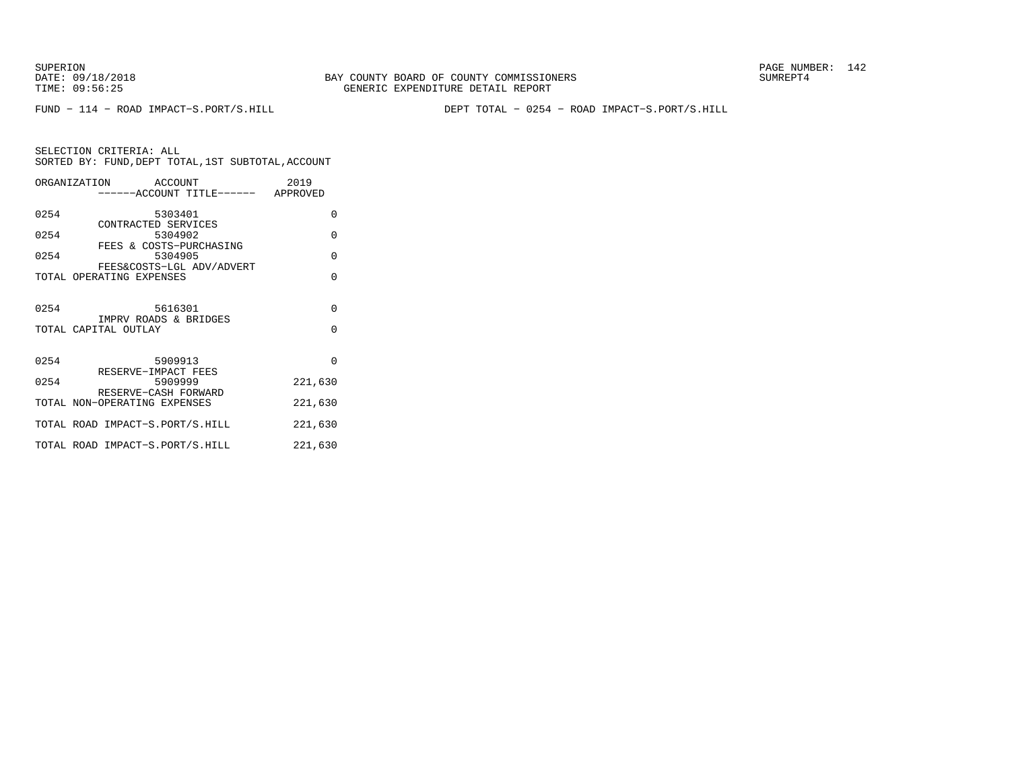FUND − 114 − ROAD IMPACT−S.PORT/S.HILL DEPT TOTAL − 0254 − ROAD IMPACT−S.PORT/S.HILL

|      | ORGANIZATION ACCOUNT                                      | 2019     |
|------|-----------------------------------------------------------|----------|
|      | ------ACCOUNT TITLE------ APPROVED                        |          |
| 0254 | 5303401                                                   | $\Omega$ |
| 0254 | CONTRACTED SERVICES<br>5304902<br>FEES & COSTS-PURCHASING | $\Omega$ |
| 0254 | 5304905                                                   | $\Omega$ |
|      | FEES&COSTS-LGL ADV/ADVERT<br>TOTAL OPERATING EXPENSES     | $\Omega$ |
| 0254 | 5616301<br>IMPRV ROADS & BRIDGES                          | $\Omega$ |
|      | TOTAL CAPITAL OUTLAY                                      | $\Omega$ |
| 0254 | 5909913<br>RESERVE-IMPACT FEES                            | $\Omega$ |
| 0254 | 5909999                                                   | 221,630  |
|      | RESERVE-CASH FORWARD<br>TOTAL NON-OPERATING EXPENSES      | 221,630  |
|      | TOTAL ROAD IMPACT-S.PORT/S.HILL                           | 221,630  |
|      | TOTAL ROAD IMPACT-S.PORT/S.HILL                           | 221,630  |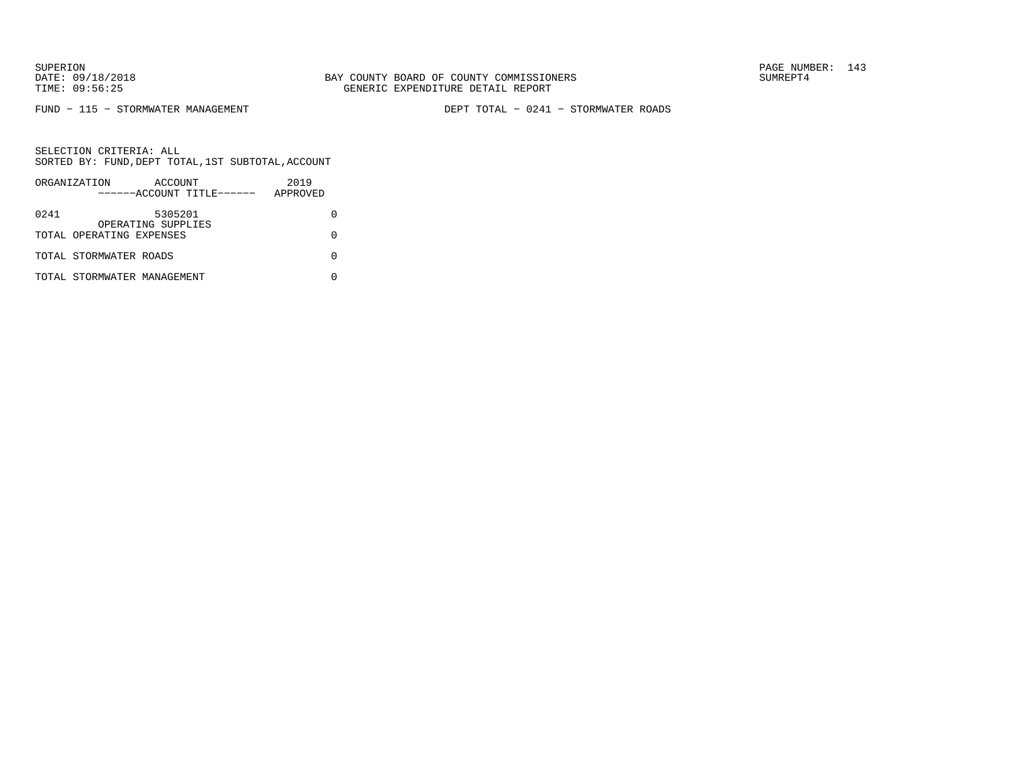FUND − 115 − STORMWATER MANAGEMENT DEPT TOTAL − 0241 − STORMWATER ROADS

|      | ORGANIZATION                | ACCOUNT            | ------ACCOUNT TITLE------ | 2019<br>APPROVED |  |
|------|-----------------------------|--------------------|---------------------------|------------------|--|
|      |                             |                    |                           |                  |  |
| 0241 |                             | 5305201            |                           |                  |  |
|      | TOTAL OPERATING EXPENSES    | OPERATING SUPPLIES |                           |                  |  |
|      |                             |                    |                           |                  |  |
|      | TOTAL STORMWATER ROADS      |                    |                           |                  |  |
|      | TOTAL STORMWATER MANAGEMENT |                    |                           |                  |  |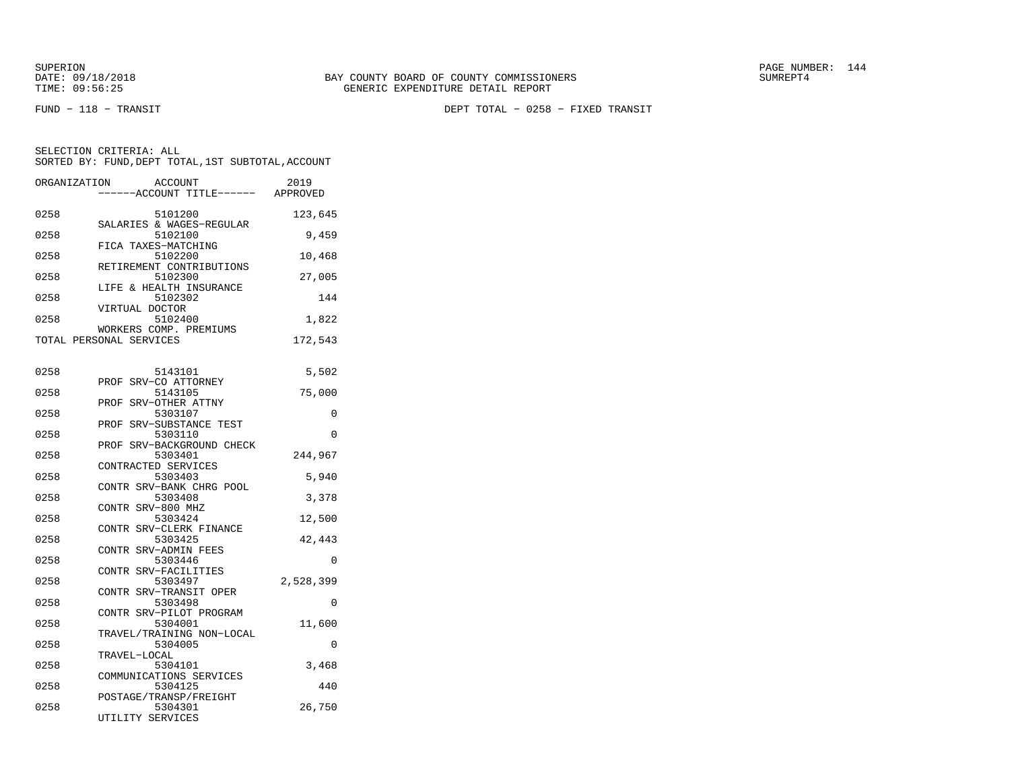FUND − 118 − TRANSIT DEPT TOTAL − 0258 − FIXED TRANSIT

| ORGANIZATION | ACCOUNT                          | 2019      |
|--------------|----------------------------------|-----------|
|              | ----ACCOUNT TITLE------ APPROVED |           |
|              |                                  |           |
| 0258         | 5101200                          | 123,645   |
| 0258         | SALARIES & WAGES-REGULAR         |           |
|              | 5102100<br>FICA TAXES-MATCHING   | 9,459     |
| 0258         | 5102200                          | 10,468    |
|              | RETIREMENT CONTRIBUTIONS         |           |
| 0258         | 5102300                          | 27,005    |
|              | LIFE & HEALTH INSURANCE          |           |
| 0258         | 5102302                          | 144       |
|              | VIRTUAL DOCTOR                   |           |
| 0258         | 5102400                          | 1,822     |
|              | WORKERS COMP. PREMIUMS           |           |
|              | TOTAL PERSONAL SERVICES          | 172,543   |
|              |                                  |           |
|              |                                  |           |
| 0258         | 5143101                          | 5,502     |
|              | PROF SRV-CO ATTORNEY<br>5143105  |           |
| 0258         | PROF SRV-OTHER ATTNY             | 75,000    |
| 0258         | 5303107                          | $\Omega$  |
|              | SRV-SUBSTANCE TEST<br>PROF       |           |
| 0258         | 5303110                          | 0         |
|              | SRV-BACKGROUND CHECK<br>PROF     |           |
| 0258         | 5303401                          | 244,967   |
|              | CONTRACTED SERVICES              |           |
| 0258         | 5303403                          | 5,940     |
|              | CONTR SRV-BANK CHRG POOL         |           |
| 0258         | 5303408                          | 3,378     |
|              | CONTR SRV-800 MHZ                |           |
| 0258         | 5303424                          | 12,500    |
|              | CONTR SRV-CLERK FINANCE          |           |
| 0258         | 5303425                          | 42,443    |
| 0258         | CONTR SRV-ADMIN FEES<br>5303446  | $\Omega$  |
|              | CONTR SRV-FACILITIES             |           |
| 0258         | 5303497                          | 2,528,399 |
|              | CONTR SRV-TRANSIT OPER           |           |
| 0258         | 5303498                          | 0         |
|              | CONTR SRV-PILOT PROGRAM          |           |
| 0258         | 5304001                          | 11,600    |
|              | TRAVEL/TRAINING NON-LOCAL        |           |
| 0258         | 5304005                          | 0         |
|              | TRAVEL-LOCAL                     |           |
| 0258         | 5304101                          | 3,468     |
|              | COMMUNICATIONS SERVICES          |           |
| 0258         | 5304125                          | 440       |
|              | POSTAGE/TRANSP/FREIGHT           |           |
| 0258         | 5304301                          | 26,750    |
|              | UTILITY SERVICES                 |           |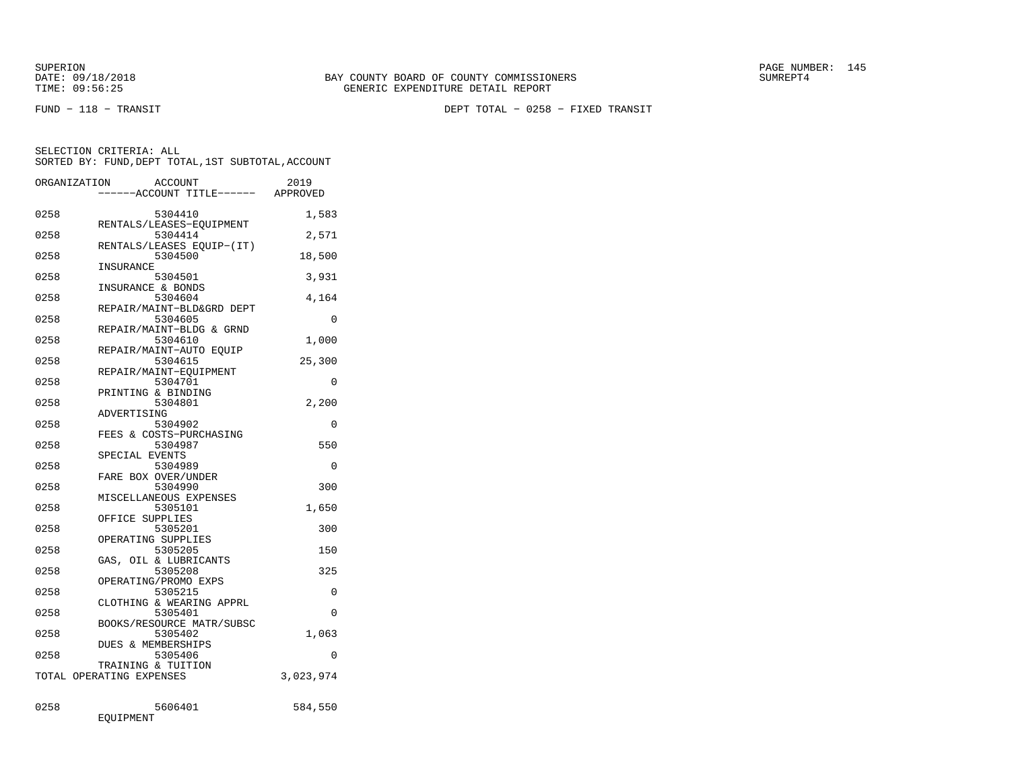FUND − 118 − TRANSIT DEPT TOTAL − 0258 − FIXED TRANSIT

| ORGANIZATION |           | <b>ACCOUNT</b>                  |                           | 2019      |
|--------------|-----------|---------------------------------|---------------------------|-----------|
|              |           |                                 | ---ACCOUNT TITLE------    | APPROVED  |
| 0258         |           | 5304410                         |                           | 1,583     |
| 0258         |           | 5304414                         | RENTALS/LEASES-EQUIPMENT  | 2,571     |
|              |           |                                 | RENTALS/LEASES EQUIP-(IT) |           |
| 0258         |           | 5304500                         |                           | 18,500    |
|              | INSURANCE |                                 |                           |           |
| 0258         |           | 5304501<br>INSURANCE & BONDS    |                           | 3,931     |
| 0258         |           | 5304604                         |                           | 4,164     |
|              |           |                                 | REPAIR/MAINT-BLD&GRD DEPT |           |
| 0258         |           | 5304605                         | REPAIR/MAINT-BLDG & GRND  | $\Omega$  |
| 0258         |           | 5304610                         |                           | 1,000     |
|              |           |                                 | REPAIR/MAINT-AUTO EOUIP   |           |
| 0258         |           | 5304615                         |                           | 25,300    |
|              |           |                                 | REPAIR/MAINT-EQUIPMENT    |           |
| 0258         |           | 5304701<br>PRINTING & BINDING   |                           | 0         |
| 0258         |           | 5304801                         |                           | 2,200     |
|              |           | ADVERTISING                     |                           |           |
| 0258         |           | 5304902                         |                           | 0         |
|              |           |                                 | FEES & COSTS-PURCHASING   |           |
| 0258         |           | 5304987<br>SPECIAL EVENTS       |                           | 550       |
| 0258         |           | 5304989                         |                           | $\Omega$  |
|              |           | FARE BOX OVER/UNDER             |                           |           |
| 0258         |           | 5304990                         |                           | 300       |
|              |           |                                 | MISCELLANEOUS EXPENSES    |           |
| 0258         |           | 5305101                         |                           | 1,650     |
| 0258         |           | OFFICE SUPPLIES<br>5305201      |                           | 300       |
|              |           | OPERATING SUPPLIES              |                           |           |
| 0258         |           | 5305205                         |                           | 150       |
|              |           | GAS, OIL & LUBRICANTS           |                           |           |
| 0258         |           | 5305208<br>OPERATING/PROMO EXPS |                           | 325       |
| 0258         |           | 5305215                         |                           | 0         |
|              |           |                                 | CLOTHING & WEARING APPRL  |           |
| 0258         |           | 5305401                         |                           | $\Omega$  |
|              |           |                                 | BOOKS/RESOURCE MATR/SUBSC |           |
| 0258         |           | 5305402<br>DUES & MEMBERSHIPS   |                           | 1,063     |
| 0258         |           | 5305406                         |                           | $\Omega$  |
|              |           | TRAINING & TUITION              |                           |           |
|              |           | TOTAL OPERATING EXPENSES        |                           | 3,023,974 |
|              |           |                                 |                           |           |
| 0258         |           | 5606401                         |                           | 584,550   |
|              | EQUIPMENT |                                 |                           |           |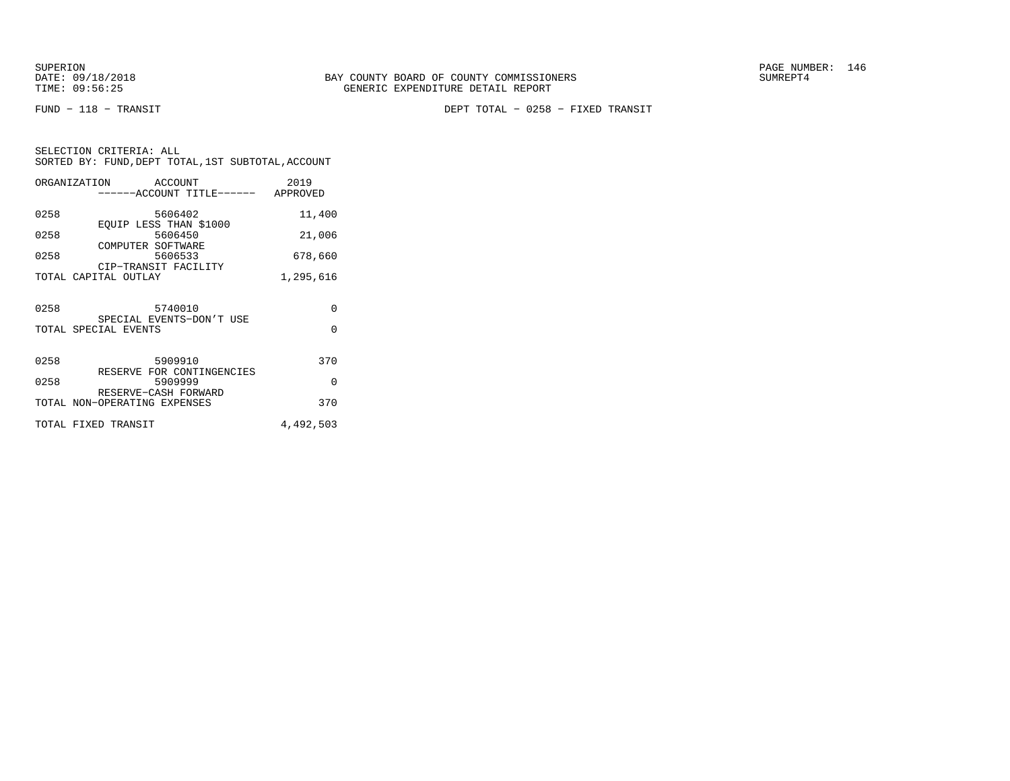FUND − 118 − TRANSIT DEPT TOTAL − 0258 − FIXED TRANSIT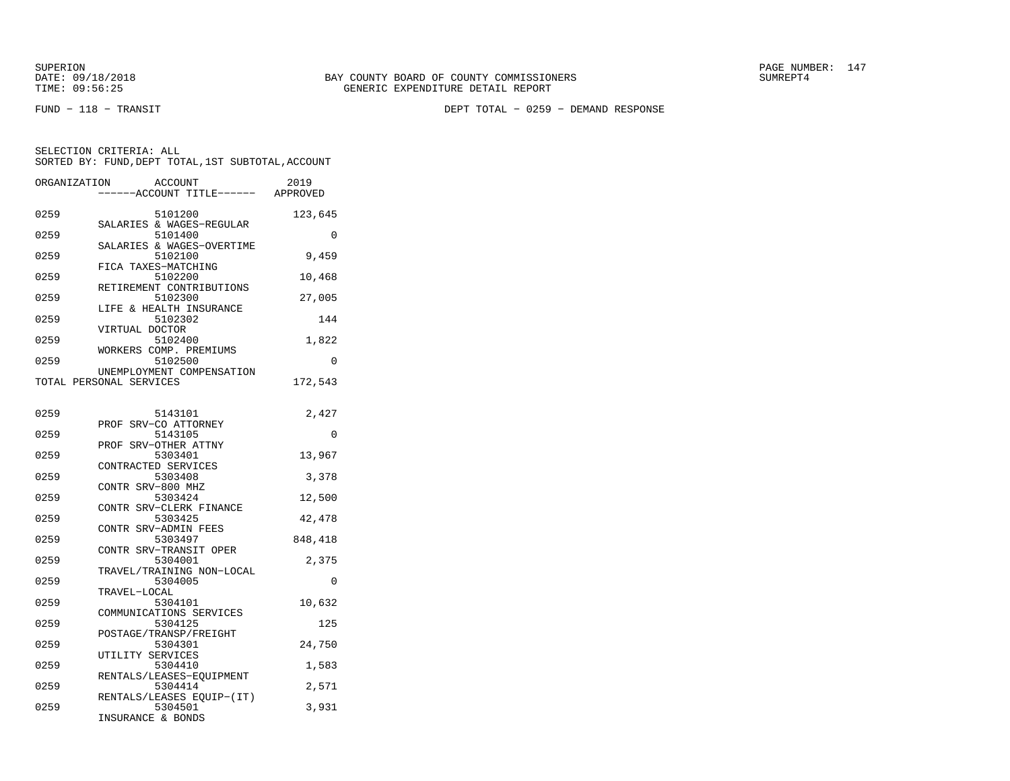SUPERION PAGE NUMBER: 147

FUND − 118 − TRANSIT DEPT TOTAL − 0259 − DEMAND RESPONSE

| ORGANIZATION            |                   | ACCOUNT<br>---ACCOUNT TITLE------ APPROVED | 2019     |
|-------------------------|-------------------|--------------------------------------------|----------|
| 0259                    |                   | 5101200<br>SALARIES & WAGES-REGULAR        | 123,645  |
| 0259                    |                   | 5101400<br>SALARIES & WAGES-OVERTIME       | 0        |
| 0259                    |                   | 5102100                                    | 9,459    |
| 0259                    |                   | FICA TAXES-MATCHING<br>5102200             | 10,468   |
| 0259                    |                   | RETIREMENT CONTRIBUTIONS<br>5102300        | 27,005   |
| 0259                    |                   | LIFE & HEALTH INSURANCE<br>5102302         | 144      |
| 0259                    | VIRTUAL DOCTOR    | 5102400                                    | 1,822    |
| 0259                    |                   | WORKERS COMP. PREMIUMS<br>5102500          | 0        |
| TOTAL PERSONAL SERVICES |                   | UNEMPLOYMENT COMPENSATION                  | 172,543  |
| 0259                    |                   | 5143101                                    | 2,427    |
| 0259                    |                   | PROF SRV-CO ATTORNEY<br>5143105            | $\Omega$ |
| 0259                    |                   | PROF SRV-OTHER ATTNY<br>5303401            | 13,967   |
| 0259                    |                   | CONTRACTED SERVICES<br>5303408             | 3,378    |
| 0259                    | CONTR SRV-800 MHZ | 5303424                                    | 12,500   |
| 0259                    |                   | CONTR SRV-CLERK FINANCE<br>5303425         | 42,478   |
| 0259                    |                   | CONTR SRV-ADMIN FEES<br>5303497            | 848,418  |
| 0259                    |                   | CONTR SRV-TRANSIT OPER<br>5304001          | 2,375    |
| 0259                    |                   | TRAVEL/TRAINING NON-LOCAL<br>5304005       | $\Omega$ |
| 0259                    | TRAVEL-LOCAL      | 5304101                                    | 10,632   |
| 0259                    |                   | COMMUNICATIONS SERVICES<br>5304125         | 125      |
| 0259                    |                   | POSTAGE/TRANSP/FREIGHT<br>5304301          | 24,750   |
| 0259                    | UTILITY SERVICES  | 5304410                                    | 1,583    |
|                         |                   | RENTALS/LEASES-EQUIPMENT                   |          |
| 0259                    |                   | 5304414<br>RENTALS/LEASES EQUIP-(IT)       | 2,571    |
| 0259                    |                   | 5304501<br>INSURANCE & BONDS               | 3,931    |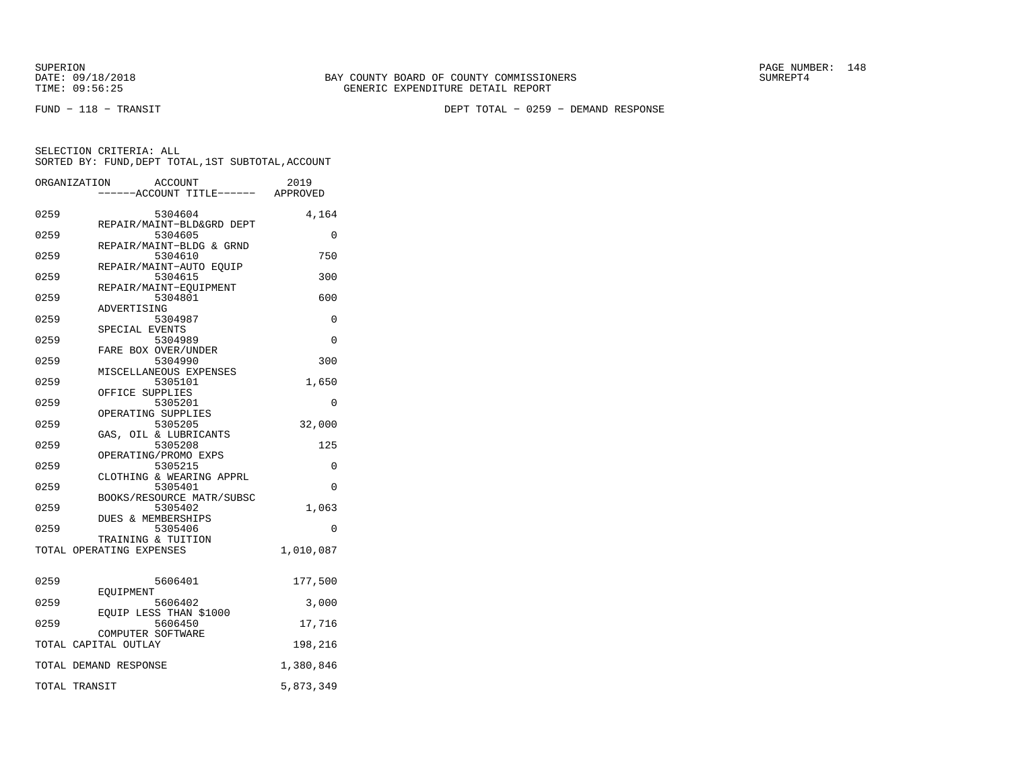SUPERION PAGE NUMBER: 148

FUND − 118 − TRANSIT DEPT TOTAL − 0259 − DEMAND RESPONSE

|      | ORGANIZATION<br><b>ACCOUNT</b>                 | 2019                             |
|------|------------------------------------------------|----------------------------------|
|      |                                                | ----ACCOUNT TITLE------ APPROVED |
| 0259 | 5304604                                        | 4,164                            |
|      | REPAIR/MAINT-BLD&GRD DEPT                      |                                  |
| 0259 | 5304605<br>REPAIR/MAINT-BLDG & GRND            | $\Omega$                         |
| 0259 | 5304610                                        | 750                              |
|      | REPAIR/MAINT-AUTO EQUIP                        |                                  |
| 0259 | 5304615                                        | 300                              |
| 0259 | REPAIR/MAINT-EQUIPMENT                         | 600                              |
|      | 5304801<br>ADVERTISING                         |                                  |
| 0259 | 5304987                                        | 0                                |
|      | SPECIAL EVENTS                                 |                                  |
| 0259 | 5304989                                        | $\Omega$                         |
| 0259 | FARE BOX OVER/UNDER<br>5304990                 | 300                              |
|      | MISCELLANEOUS EXPENSES                         |                                  |
| 0259 | 5305101                                        | 1,650                            |
|      | OFFICE SUPPLIES                                |                                  |
| 0259 | 5305201                                        | 0                                |
|      | OPERATING SUPPLIES                             |                                  |
| 0259 | 5305205<br>GAS, OIL & LUBRICANTS               | 32,000                           |
| 0259 | 5305208                                        | 125                              |
|      | OPERATING/PROMO EXPS                           |                                  |
| 0259 | 5305215                                        | $\Omega$                         |
| 0259 | CLOTHING & WEARING APPRL<br>5305401            | $\Omega$                         |
|      | BOOKS/RESOURCE MATR/SUBSC                      |                                  |
| 0259 | 5305402                                        | 1,063                            |
|      | DUES & MEMBERSHIPS                             |                                  |
| 0259 | 5305406                                        | 0                                |
|      | TRAINING & TUITION<br>TOTAL OPERATING EXPENSES | 1,010,087                        |
|      |                                                |                                  |
| 0259 | 5606401                                        | 177,500                          |
|      | EOUIPMENT                                      |                                  |
| 0259 | 5606402                                        | 3,000                            |
|      | EQUIP LESS THAN \$1000                         |                                  |
| 0259 | 5606450<br>COMPUTER SOFTWARE                   | 17,716                           |
|      | TOTAL CAPITAL OUTLAY                           | 198,216                          |
|      |                                                |                                  |
|      | TOTAL DEMAND RESPONSE                          | 1,380,846                        |
|      | TOTAL TRANSIT                                  | 5,873,349                        |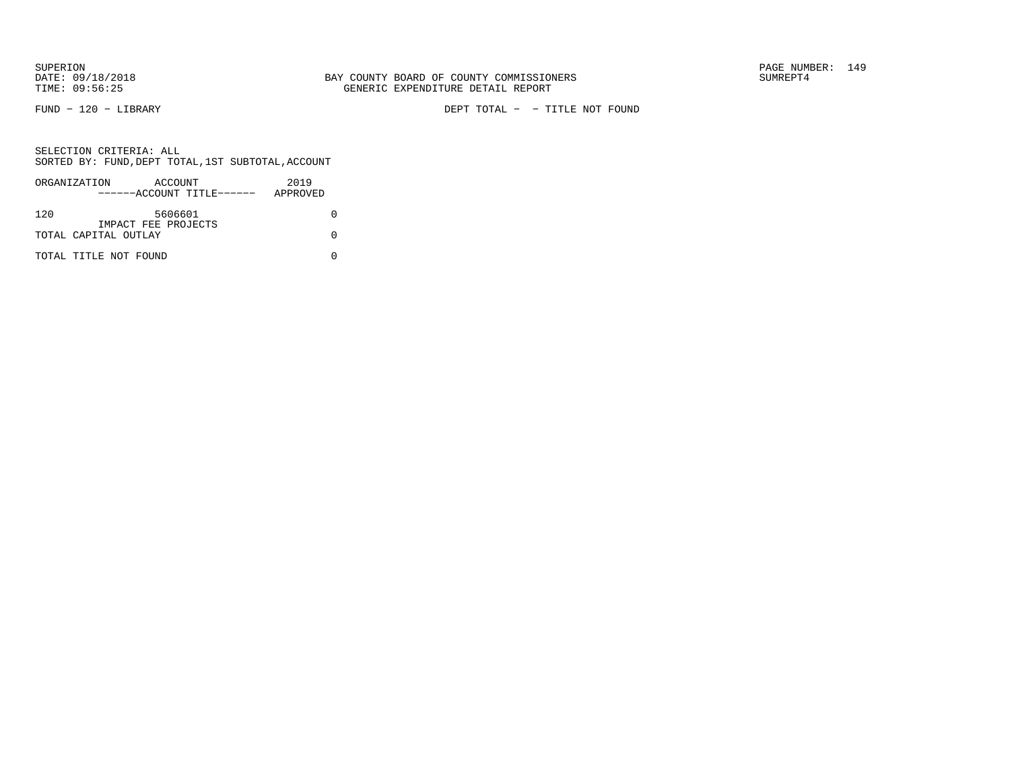FUND − 120 − LIBRARY DEPT TOTAL − − TITLE NOT FOUND

|     | ORGANIZATION          | ACCOUNT |                           | 2019     |  |
|-----|-----------------------|---------|---------------------------|----------|--|
|     |                       |         | ------ACCOUNT TITLE------ | APPROVED |  |
|     |                       |         |                           |          |  |
| 120 |                       | 5606601 |                           |          |  |
|     | IMPACT FEE PROJECTS   |         |                           |          |  |
|     | TOTAL CAPITAL OUTLAY  |         |                           |          |  |
|     |                       |         |                           |          |  |
|     | TOTAL TITLE NOT FOUND |         |                           |          |  |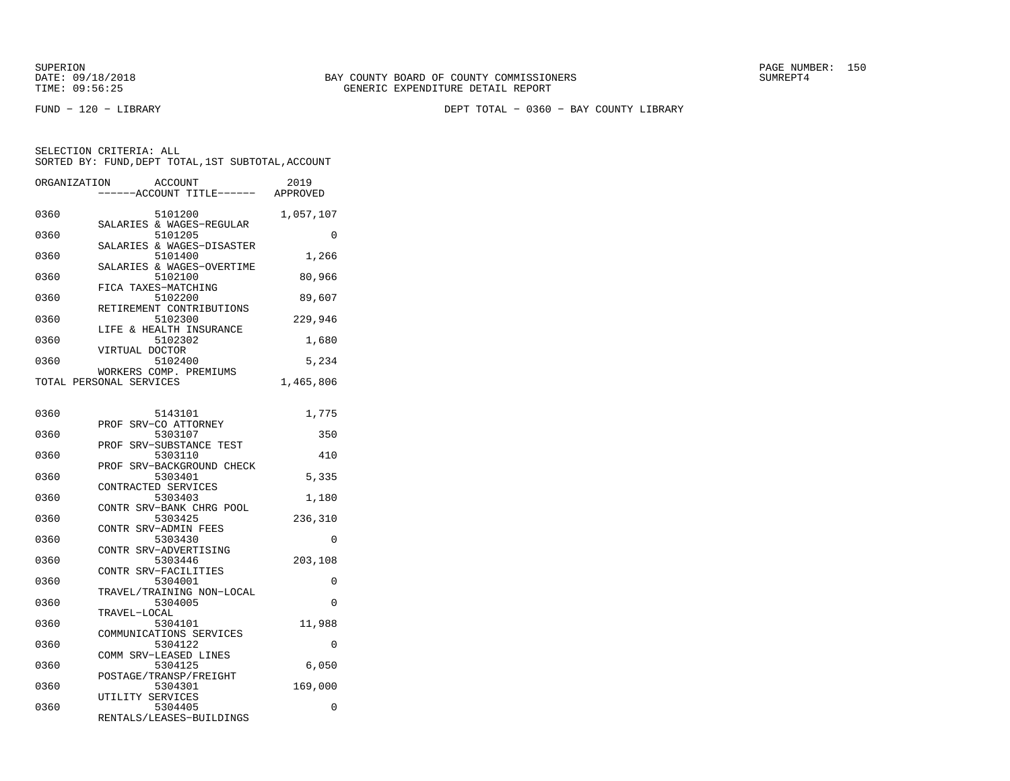SUPERION PAGE NUMBER: 150

FUND − 120 − LIBRARY DEPT TOTAL − 0360 − BAY COUNTY LIBRARY

| ORGANIZATION |                         | <b>ACCOUNT</b>                       | 2019      |
|--------------|-------------------------|--------------------------------------|-----------|
|              |                         | -----ACCOUNT TITLE------             | APPROVED  |
|              |                         |                                      |           |
| 0360         |                         | 5101200                              | 1,057,107 |
|              |                         | SALARIES & WAGES-REGULAR             |           |
| 0360         |                         | 5101205<br>SALARIES & WAGES-DISASTER | 0         |
| 0360         |                         | 5101400                              | 1,266     |
|              |                         | SALARIES & WAGES-OVERTIME            |           |
| 0360         |                         | 5102100                              | 80,966    |
|              | FICA TAXES-MATCHING     |                                      |           |
| 0360         |                         | 5102200                              | 89,607    |
|              |                         | RETIREMENT CONTRIBUTIONS             |           |
| 0360         |                         | 5102300                              | 229,946   |
|              |                         | LIFE & HEALTH INSURANCE              |           |
| 0360         |                         | 5102302                              | 1,680     |
|              | VIRTUAL DOCTOR          |                                      |           |
| 0360         |                         | 5102400                              | 5,234     |
|              |                         | WORKERS COMP. PREMIUMS               |           |
|              | TOTAL PERSONAL SERVICES |                                      | 1,465,806 |
|              |                         |                                      |           |
|              |                         |                                      |           |
| 0360         |                         | 5143101<br>PROF SRV-CO ATTORNEY      | 1,775     |
| 0360         |                         | 5303107                              | 350       |
|              |                         | PROF SRV-SUBSTANCE TEST              |           |
| 0360         |                         | 5303110                              | 410       |
|              |                         | PROF SRV-BACKGROUND CHECK            |           |
| 0360         |                         | 5303401                              | 5,335     |
|              | CONTRACTED SERVICES     |                                      |           |
| 0360         |                         | 5303403                              | 1,180     |
|              |                         | CONTR SRV-BANK CHRG POOL             |           |
| 0360         |                         | 5303425                              | 236,310   |
|              |                         | CONTR SRV-ADMIN FEES                 |           |
| 0360         |                         | 5303430                              | $\Omega$  |
|              |                         | CONTR SRV-ADVERTISING                |           |
| 0360         |                         | 5303446                              | 203,108   |
|              |                         | CONTR SRV-FACILITIES                 |           |
| 0360         |                         | 5304001                              | 0         |
|              |                         | TRAVEL/TRAINING NON-LOCAL            |           |
| 0360         | TRAVEL-LOCAL            | 5304005                              | 0         |
| 0360         |                         | 5304101                              | 11,988    |
|              |                         | COMMUNICATIONS SERVICES              |           |
| 0360         |                         | 5304122                              | 0         |
|              |                         | COMM SRV-LEASED LINES                |           |
| 0360         |                         | 5304125                              | 6,050     |
|              |                         | POSTAGE/TRANSP/FREIGHT               |           |
| 0360         |                         | 5304301                              | 169,000   |
|              | UTILITY SERVICES        |                                      |           |
| 0360         |                         | 5304405                              | 0         |
|              |                         | RENTALS/LEASES-BUILDINGS             |           |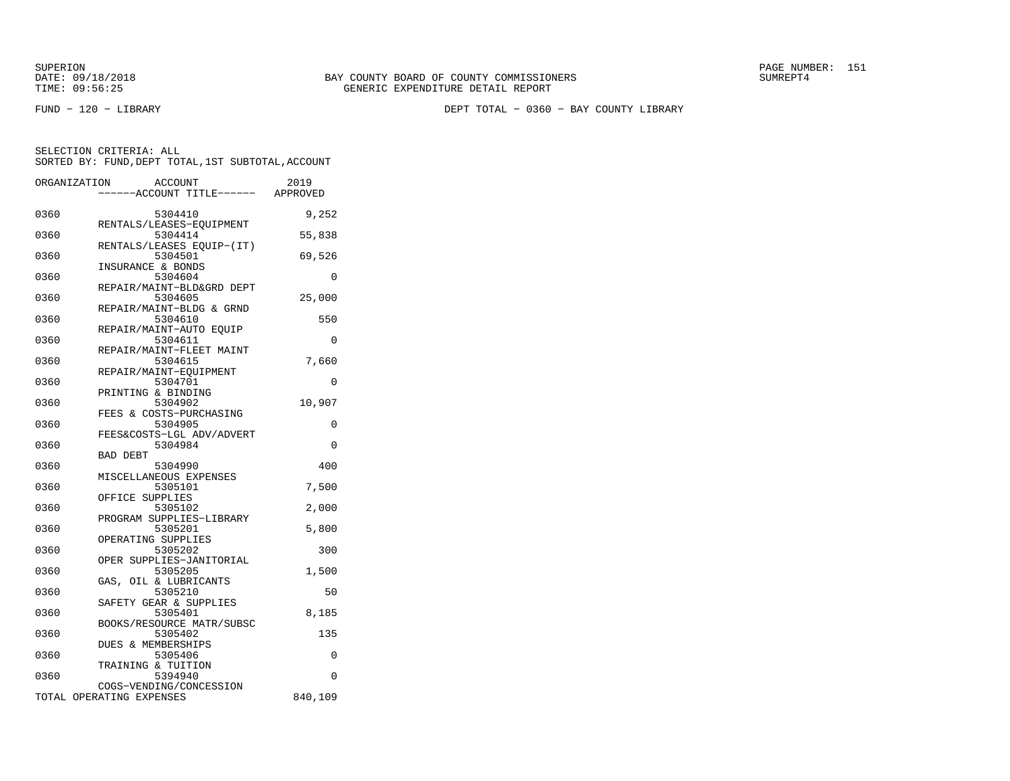FUND − 120 − LIBRARY DEPT TOTAL − 0360 − BAY COUNTY LIBRARY

|      | ORGANIZATION             | <b>ACCOUNT</b>                      | 2019    |
|------|--------------------------|-------------------------------------|---------|
|      |                          | ---ACCOUNT TITLE------ APPROVED     |         |
|      |                          |                                     |         |
| 0360 |                          | 5304410<br>RENTALS/LEASES-EQUIPMENT | 9,252   |
| 0360 |                          | 5304414                             | 55,838  |
|      |                          | RENTALS/LEASES EQUIP-(IT)           |         |
| 0360 |                          | 5304501                             | 69,526  |
|      |                          | INSURANCE & BONDS                   |         |
| 0360 |                          | 5304604                             | 0       |
|      |                          | REPAIR/MAINT-BLD&GRD DEPT           |         |
| 0360 |                          | 5304605                             | 25,000  |
|      |                          | REPAIR/MAINT-BLDG & GRND            |         |
| 0360 |                          | 5304610                             | 550     |
|      |                          | REPAIR/MAINT-AUTO EQUIP             |         |
| 0360 |                          | 5304611                             | 0       |
|      |                          | REPAIR/MAINT-FLEET MAINT            |         |
| 0360 |                          | 5304615                             | 7,660   |
|      |                          | REPAIR/MAINT-EQUIPMENT              |         |
| 0360 |                          | 5304701                             | 0       |
|      |                          | PRINTING & BINDING                  |         |
| 0360 |                          | 5304902                             | 10,907  |
|      |                          | FEES & COSTS-PURCHASING             |         |
| 0360 |                          | 5304905                             | 0       |
|      |                          | FEES&COSTS-LGL ADV/ADVERT           |         |
| 0360 |                          | 5304984                             | 0       |
|      | <b>BAD DEBT</b>          |                                     |         |
| 0360 |                          | 5304990                             | 400     |
| 0360 |                          | MISCELLANEOUS EXPENSES<br>5305101   |         |
|      |                          | OFFICE SUPPLIES                     | 7,500   |
| 0360 |                          | 5305102                             | 2,000   |
|      |                          | PROGRAM SUPPLIES-LIBRARY            |         |
| 0360 |                          | 5305201                             | 5,800   |
|      |                          | OPERATING SUPPLIES                  |         |
| 0360 |                          | 5305202                             | 300     |
|      |                          | OPER SUPPLIES-JANITORIAL            |         |
| 0360 |                          | 5305205                             | 1,500   |
|      |                          | GAS, OIL & LUBRICANTS               |         |
| 0360 |                          | 5305210                             | 50      |
|      |                          | SAFETY GEAR & SUPPLIES              |         |
| 0360 |                          | 5305401                             | 8,185   |
|      |                          | BOOKS/RESOURCE MATR/SUBSC           |         |
| 0360 |                          | 5305402                             | 135     |
|      |                          | DUES & MEMBERSHIPS                  |         |
| 0360 |                          | 5305406                             | 0       |
|      |                          | TRAINING & TUITION                  |         |
| 0360 |                          | 5394940                             | 0       |
|      |                          | COGS-VENDING/CONCESSION             |         |
|      | TOTAL OPERATING EXPENSES |                                     | 840,109 |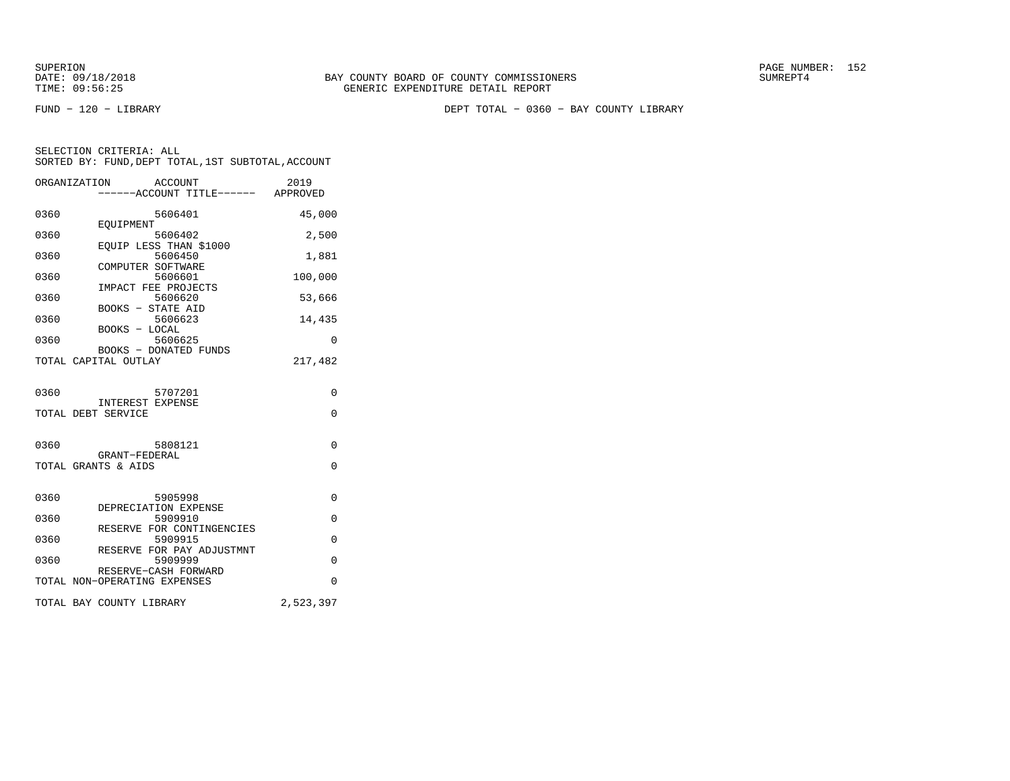SUPERION PAGE NUMBER: 152

FUND − 120 − LIBRARY DEPT TOTAL − 0360 − BAY COUNTY LIBRARY

| ORGANIZATION | <b>ACCOUNT</b>                                       | 2019        |
|--------------|------------------------------------------------------|-------------|
|              | ------ACCOUNT TITLE------ APPROVED                   |             |
| 0360         | 5606401                                              | 45,000      |
| 0360         | EOUIPMENT<br>5606402                                 | 2,500       |
| 0360         | EQUIP LESS THAN \$1000<br>5606450                    | 1,881       |
| 0360         | COMPUTER SOFTWARE<br>5606601                         | 100,000     |
| 0360         | IMPACT FEE PROJECTS<br>5606620                       | 53,666      |
| 0360         | <b>BOOKS - STATE AID</b><br>5606623                  | 14,435      |
| 0360         | BOOKS - LOCAL<br>5606625                             | $\Omega$    |
|              | <b>BOOKS - DONATED FUNDS</b><br>TOTAL CAPITAL OUTLAY | 217,482     |
|              |                                                      |             |
| 0360         | 5707201                                              | 0           |
|              | <b>INTEREST EXPENSE</b><br>TOTAL DEBT SERVICE        | $\Omega$    |
|              |                                                      |             |
| 0360         | 5808121                                              | $\Omega$    |
|              | GRANT-FEDERAL<br>TOTAL GRANTS & AIDS                 | $\Omega$    |
|              |                                                      |             |
| 0360         | 5905998<br>DEPRECIATION EXPENSE                      | 0           |
| 0360         | 5909910<br>RESERVE FOR CONTINGENCIES                 | $\mathbf 0$ |
| 0360         | 5909915                                              | $\Omega$    |
| 0360         | RESERVE FOR PAY ADJUSTMNT<br>5909999                 | $\Omega$    |
|              | RESERVE-CASH FORWARD<br>TOTAL NON-OPERATING EXPENSES | $\Omega$    |
|              | TOTAL BAY COUNTY LIBRARY                             | 2,523,397   |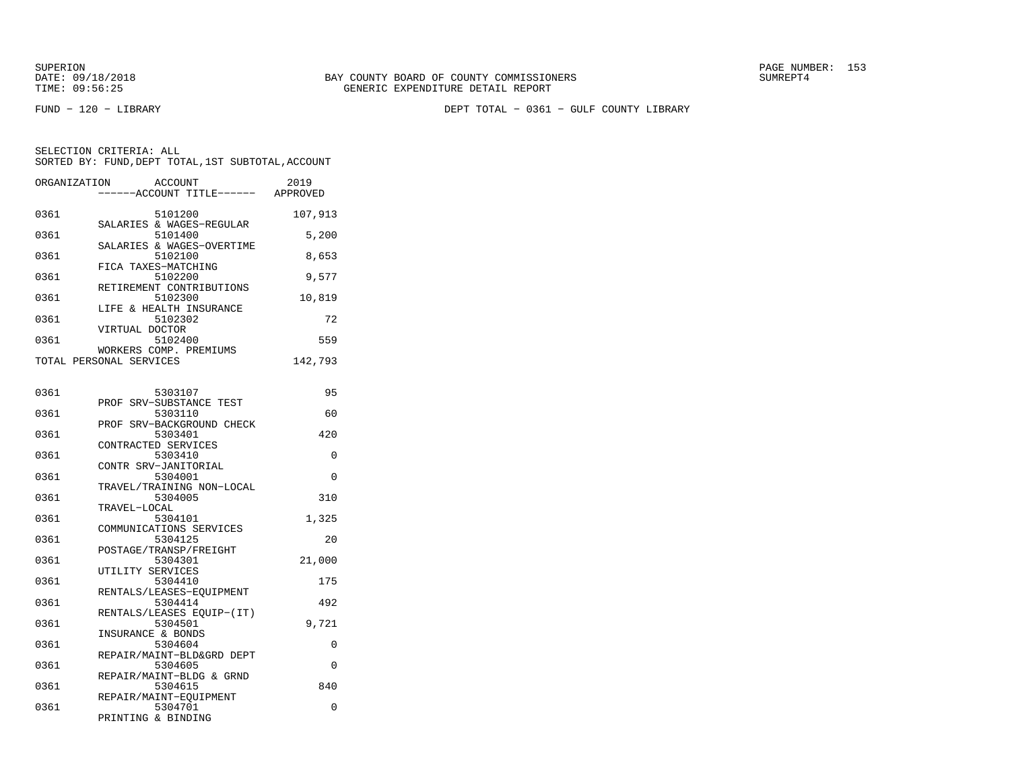FUND − 120 − LIBRARY DEPT TOTAL − 0361 − GULF COUNTY LIBRARY

| ORGANIZATION | <b>ACCOUNT</b><br>----ACCOUNT TITLE------ APPROVED    | 2019    |
|--------------|-------------------------------------------------------|---------|
| 0361         | 5101200<br>SALARIES & WAGES-REGULAR                   | 107,913 |
| 0361         | 5101400<br>SALARIES & WAGES-OVERTIME                  | 5,200   |
| 0361         | 5102100<br>FICA TAXES-MATCHING                        | 8,653   |
| 0361         | 5102200<br>RETIREMENT CONTRIBUTIONS                   | 9,577   |
| 0361         | 5102300<br>LIFE & HEALTH INSURANCE                    | 10,819  |
| 0361         | 5102302<br>VIRTUAL DOCTOR                             | 72      |
| 0361         | 5102400<br>WORKERS COMP. PREMIUMS                     | 559     |
|              | TOTAL PERSONAL SERVICES                               | 142,793 |
| 0361         | 5303107                                               | 95      |
| 0361         | PROF SRV-SUBSTANCE TEST<br>5303110                    | 60      |
| 0361         | PROF SRV-BACKGROUND CHECK<br>5303401                  | 420     |
| 0361         | CONTRACTED SERVICES<br>5303410                        | 0       |
| 0361         | CONTR SRV-JANITORIAL<br>5304001                       | 0       |
| 0361         | TRAVEL/TRAINING NON-LOCAL<br>5304005                  | 310     |
| 0361         | TRAVEL-LOCAL<br>5304101                               | 1,325   |
| 0361         | COMMUNICATIONS SERVICES<br>5304125                    | 20      |
| 0361         | POSTAGE/TRANSP/FREIGHT<br>5304301<br>UTILITY SERVICES | 21,000  |
| 0361         | 5304410<br>RENTALS/LEASES-EQUIPMENT                   | 175     |
| 0361         | 5304414<br>RENTALS/LEASES EOUIP-(IT)                  | 492     |
| 0361         | 5304501<br>INSURANCE & BONDS                          | 9,721   |
| 0361         | 5304604<br>REPAIR/MAINT-BLD&GRD DEPT                  | 0       |
| 0361         | 5304605<br>REPAIR/MAINT-BLDG & GRND                   | 0       |
| 0361         | 5304615<br>REPAIR/MAINT-EQUIPMENT                     | 840     |
| 0361         | 5304701<br>PRINTING & BINDING                         | 0       |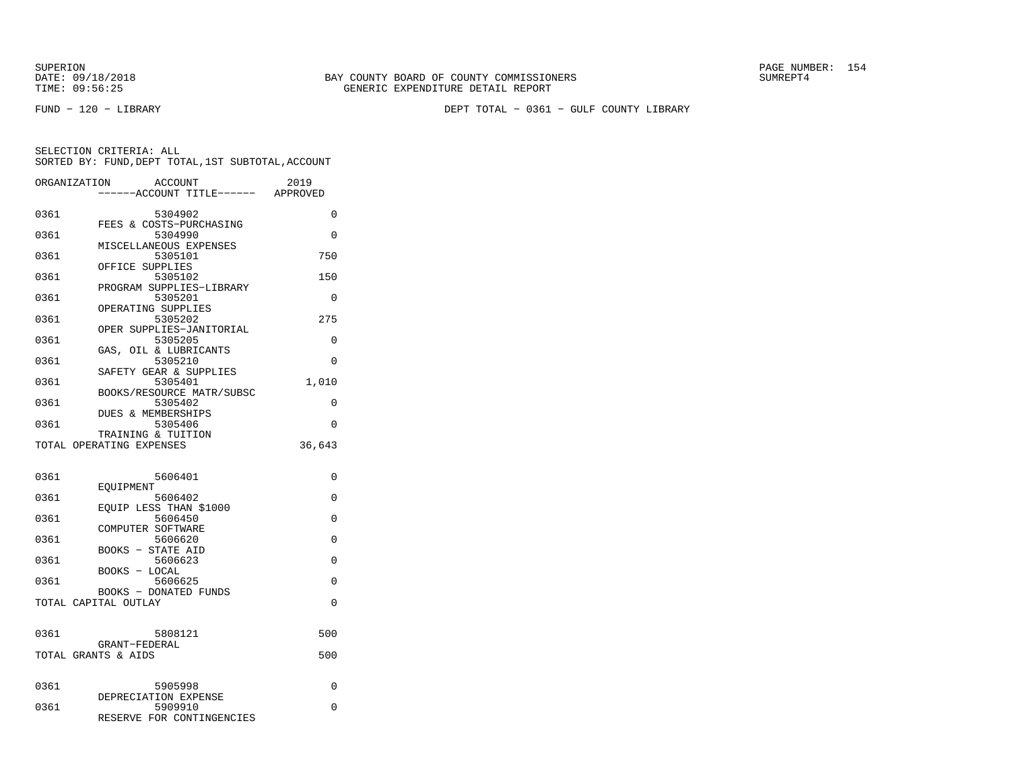FUND − 120 − LIBRARY DEPT TOTAL − 0361 − GULF COUNTY LIBRARY

| ORGANIZATION | <b>ACCOUNT</b><br>---ACCOUNT TITLE------ APPROVED               | 2019               |
|--------------|-----------------------------------------------------------------|--------------------|
| 0361         | 5304902                                                         | 0                  |
| 0361         | FEES & COSTS-PURCHASING<br>5304990                              | $\Omega$           |
| 0361         | MISCELLANEOUS EXPENSES<br>5305101<br>OFFICE SUPPLIES            | 750                |
| 0361         | 5305102<br>PROGRAM SUPPLIES-LIBRARY                             | 150                |
| 0361         | 5305201<br>OPERATING SUPPLIES                                   | $\Omega$           |
| 0361         | 5305202<br>OPER SUPPLIES-JANITORIAL                             | 275                |
| 0361         | 5305205<br>GAS, OIL & LUBRICANTS                                | $\Omega$           |
| 0361         | 5305210<br>SAFETY GEAR & SUPPLIES                               | 0                  |
| 0361         | 5305401<br>BOOKS/RESOURCE MATR/SUBSC                            | 1,010              |
| 0361         | 5305402<br>DUES & MEMBERSHIPS                                   | 0                  |
| 0361         | 5305406<br>TRAINING & TUITION<br>TOTAL OPERATING EXPENSES       | $\Omega$<br>36,643 |
|              |                                                                 |                    |
| 0361         | 5606401<br>EOUIPMENT                                            | $\Omega$           |
| 0361         | 5606402<br>EQUIP LESS THAN \$1000                               | $\Omega$           |
| 0361         | 5606450<br>COMPUTER SOFTWARE                                    | $\Omega$           |
| 0361         | 5606620<br><b>BOOKS - STATE AID</b>                             | 0                  |
| 0361         | 5606623<br>BOOKS - LOCAL                                        | 0                  |
| 0361         | 5606625<br><b>BOOKS - DONATED FUNDS</b><br>TOTAL CAPITAL OUTLAY | 0<br>$\Omega$      |
|              |                                                                 |                    |
| 0361         | 5808121<br>GRANT-FEDERAL                                        | 500                |
|              | TOTAL GRANTS & AIDS                                             | 500                |
| 0361         | 5905998                                                         | 0                  |
| 0361         | DEPRECIATION EXPENSE<br>5909910<br>RESERVE FOR CONTINGENCIES    | 0                  |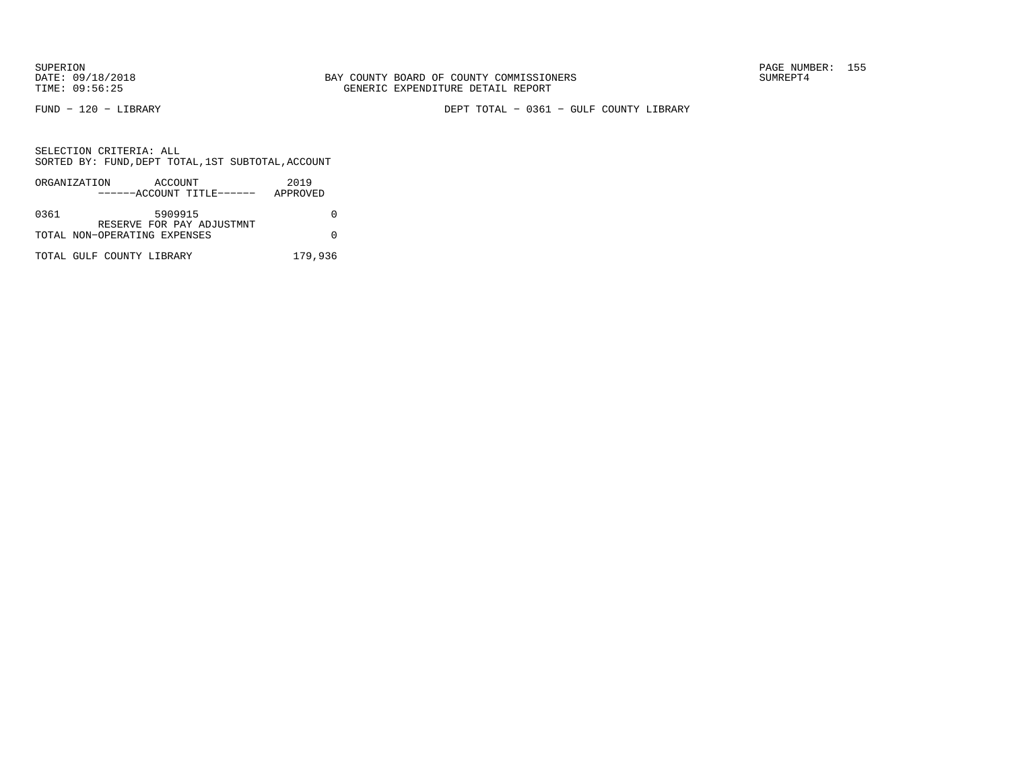FUND − 120 − LIBRARY DEPT TOTAL − 0361 − GULF COUNTY LIBRARY

|      | ORGANIZATION                 | ACCOUNT |                           | 2019     |  |
|------|------------------------------|---------|---------------------------|----------|--|
|      |                              |         | ------ACCOUNT TITLE------ | APPROVED |  |
|      |                              |         |                           |          |  |
| 0361 |                              | 5909915 |                           |          |  |
|      |                              |         | RESERVE FOR PAY ADJUSTMNT |          |  |
|      | TOTAL NON-OPERATING EXPENSES |         |                           |          |  |
|      |                              |         |                           |          |  |
|      | TOTAL GULF COUNTY LIBRARY    |         |                           | 179,936  |  |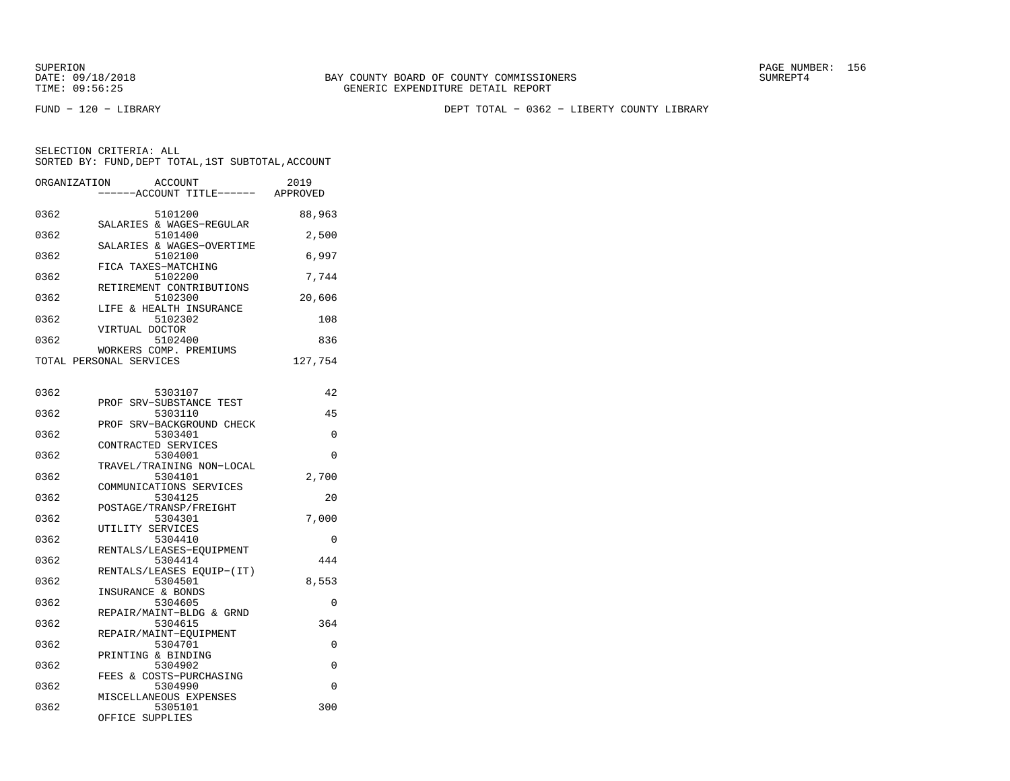SUPERION PAGE NUMBER: 156

FUND − 120 − LIBRARY DEPT TOTAL − 0362 − LIBERTY COUNTY LIBRARY

| ORGANIZATION | ACCOUNT<br>---ACCOUNT TITLE------    | 2019<br>APPROVED |
|--------------|--------------------------------------|------------------|
|              |                                      |                  |
| 0362         | 5101200<br>SALARIES & WAGES-REGULAR  | 88,963           |
| 0362         | 5101400                              | 2,500            |
|              | SALARIES & WAGES-OVERTIME            |                  |
| 0362         | 5102100<br>FICA TAXES-MATCHING       | 6,997            |
| 0362         | 5102200                              | 7,744            |
|              | RETIREMENT CONTRIBUTIONS             |                  |
| 0362         | 5102300<br>LIFE & HEALTH INSURANCE   | 20,606           |
| 0362         | 5102302                              | 108              |
|              | VIRTUAL DOCTOR                       |                  |
| 0362         | 5102400<br>WORKERS COMP. PREMIUMS    | 836              |
|              | TOTAL PERSONAL SERVICES              | 127,754          |
|              |                                      |                  |
| 0362         | 5303107                              | 42               |
|              | PROF SRV-SUBSTANCE TEST              |                  |
| 0362         | 5303110                              | 45               |
|              | PROF SRV-BACKGROUND CHECK            |                  |
| 0362         | 5303401<br>CONTRACTED SERVICES       | 0                |
| 0362         | 5304001                              | $\Omega$         |
|              | TRAVEL/TRAINING NON-LOCAL            |                  |
| 0362         | 5304101<br>COMMUNICATIONS SERVICES   | 2,700            |
| 0362         | 5304125                              | 20               |
|              | POSTAGE/TRANSP/FREIGHT               |                  |
| 0362         | 5304301                              | 7,000            |
| 0362         | UTILITY SERVICES<br>5304410          | 0                |
|              | RENTALS/LEASES-EQUIPMENT             |                  |
| 0362         | 5304414                              | 444              |
| 0362         | RENTALS/LEASES EQUIP-(IT)<br>5304501 | 8,553            |
|              | INSURANCE & BONDS                    |                  |
| 0362         | 5304605                              | 0                |
| 0362         | REPAIR/MAINT-BLDG & GRND<br>5304615  | 364              |
|              | REPAIR/MAINT-EQUIPMENT               |                  |
| 0362         | 5304701                              | 0                |
|              | PRINTING & BINDING                   |                  |
| 0362         | 5304902<br>FEES & COSTS-PURCHASING   | 0                |
| 0362         | 5304990                              | 0                |
|              | MISCELLANEOUS EXPENSES               |                  |
| 0362         | 5305101<br>OFFICE SUPPLIES           | 300              |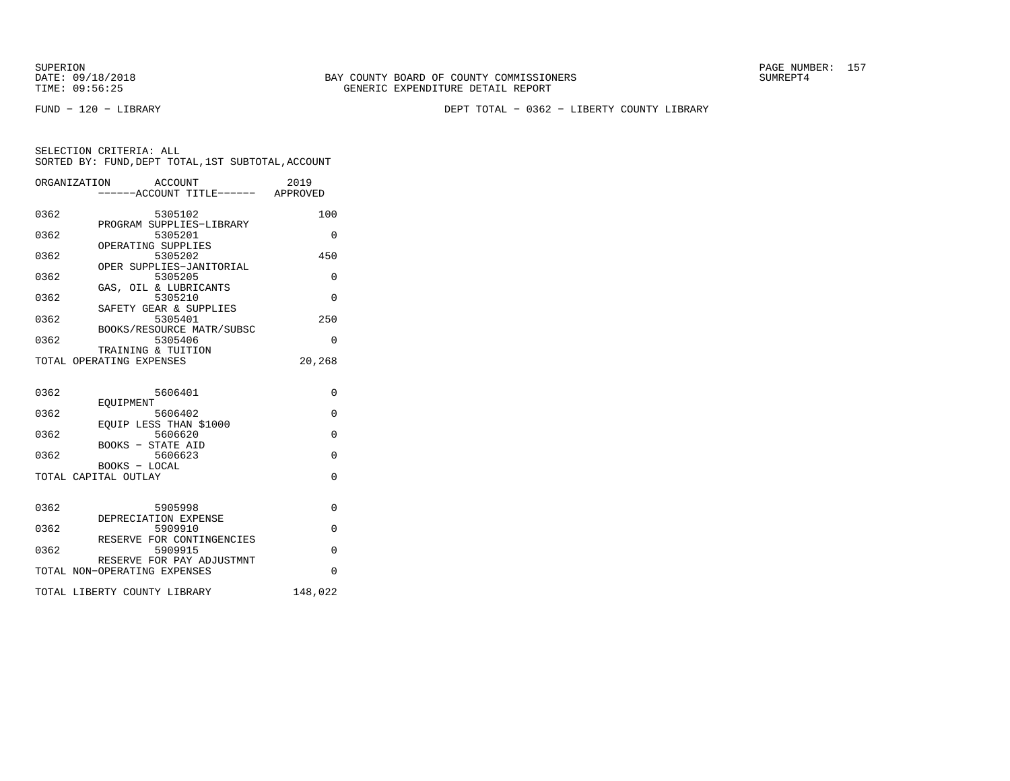SUPERION PAGE NUMBER: 157

FUND − 120 − LIBRARY DEPT TOTAL − 0362 − LIBERTY COUNTY LIBRARY

|      | ORGANIZATION<br>ACCOUNT<br>-----ACCOUNT TITLE------ APPROVED | 2019     |
|------|--------------------------------------------------------------|----------|
| 0362 | 5305102                                                      | 100      |
| 0362 | PROGRAM SUPPLIES-LIBRARY<br>5305201                          | $\Omega$ |
| 0362 | OPERATING SUPPLIES<br>5305202                                | 450      |
| 0362 | OPER SUPPLIES-JANITORIAL<br>5305205                          | $\Omega$ |
| 0362 | GAS, OIL & LUBRICANTS<br>5305210                             | $\Omega$ |
| 0362 | SAFETY GEAR & SUPPLIES<br>5305401                            | 250      |
| 0362 | BOOKS/RESOURCE MATR/SUBSC<br>5305406                         | 0        |
|      | TRAINING & TUITION<br>TOTAL OPERATING EXPENSES               | 20,268   |
|      |                                                              |          |
| 0362 | 5606401<br>EOUIPMENT                                         | $\Omega$ |
| 0362 | 5606402<br>EOUIP LESS THAN \$1000                            | $\Omega$ |
| 0362 | 5606620                                                      | $\Omega$ |
| 0362 | BOOKS - STATE AID<br>5606623                                 | $\Omega$ |
|      | BOOKS - LOCAL<br>TOTAL CAPITAL OUTLAY                        | $\Omega$ |
|      |                                                              |          |
| 0362 | 5905998<br>DEPRECIATION EXPENSE                              | 0        |
| 0362 | 5909910<br>RESERVE FOR CONTINGENCIES                         | $\Omega$ |
| 0362 | 5909915<br>RESERVE FOR PAY ADJUSTMNT                         | $\Omega$ |
|      | TOTAL NON-OPERATING EXPENSES                                 | $\Omega$ |
|      | TOTAL LIBERTY COUNTY LIBRARY                                 | 148,022  |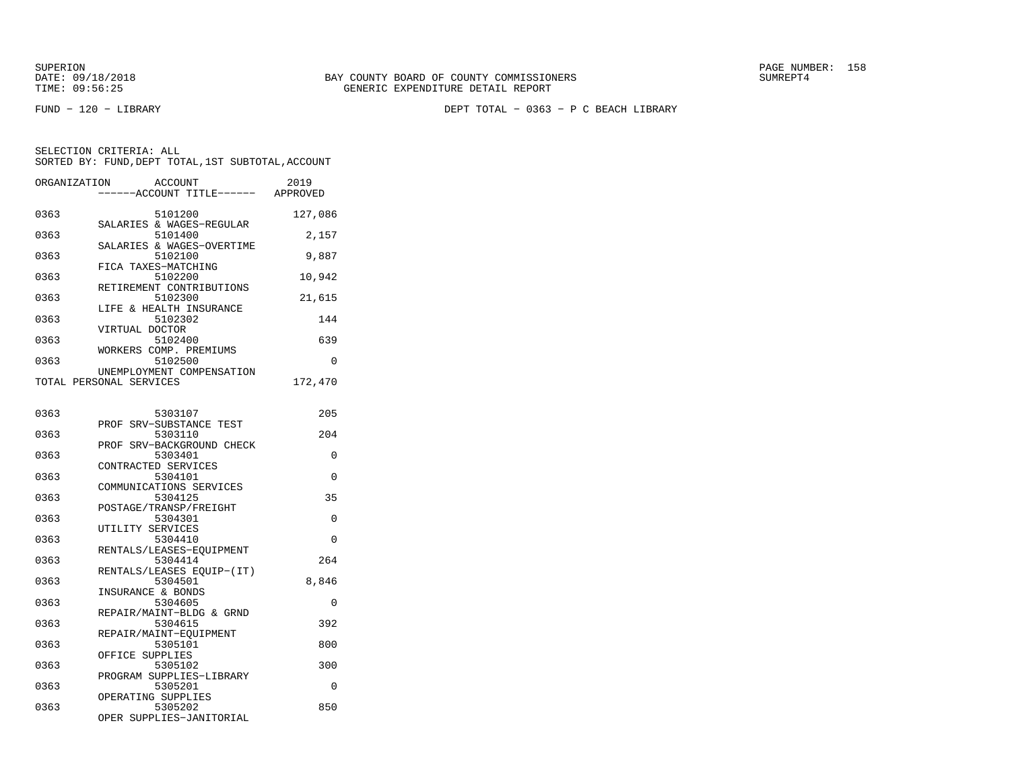SUPERION PAGE NUMBER: 158

FUND − 120 − LIBRARY DEPT TOTAL − 0363 − P C BEACH LIBRARY

| ORGANIZATION | ACCOUNT<br>---ACCOUNT TITLE------                         | 2019<br>APPROVED |
|--------------|-----------------------------------------------------------|------------------|
| 0363         | 5101200<br>SALARIES & WAGES-REGULAR                       | 127,086          |
| 0363         | 5101400<br>SALARIES & WAGES-OVERTIME                      | 2,157            |
| 0363         | 5102100<br>FICA TAXES-MATCHING                            | 9,887            |
| 0363         | 5102200<br>RETIREMENT CONTRIBUTIONS                       | 10,942           |
| 0363         | 5102300<br>LIFE & HEALTH INSURANCE                        | 21,615           |
| 0363         | 5102302                                                   | 144              |
| 0363         | VIRTUAL DOCTOR<br>5102400                                 | 639              |
| 0363         | WORKERS COMP. PREMIUMS<br>5102500                         | $\Omega$         |
|              | UNEMPLOYMENT COMPENSATION<br>TOTAL PERSONAL SERVICES      | 172,470          |
| 0363         | 5303107                                                   | 205              |
|              | PROF SRV-SUBSTANCE TEST                                   |                  |
| 0363         | 5303110<br>PROF SRV-BACKGROUND CHECK                      | 204              |
| 0363         | 5303401<br>CONTRACTED SERVICES                            | 0                |
| 0363         | 5304101<br>COMMUNICATIONS SERVICES                        | $\Omega$         |
| 0363         | 5304125<br>POSTAGE/TRANSP/FREIGHT                         | 35               |
| 0363         | 5304301<br>UTILITY SERVICES                               | $\Omega$         |
| 0363         | 5304410<br>RENTALS/LEASES-EQUIPMENT                       | 0                |
| 0363         | 5304414<br>RENTALS/LEASES EQUIP-(IT)                      | 264              |
| 0363         | 5304501<br>INSURANCE & BONDS                              | 8,846            |
| 0363         | 5304605<br>REPAIR/MAINT-BLDG & GRND                       | 0                |
| 0363         | 5304615<br>REPAIR/MAINT-EQUIPMENT                         | 392              |
| 0363         | 5305101<br>OFFICE SUPPLIES                                | 800              |
| 0363         | 5305102                                                   | 300              |
| 0363         | PROGRAM SUPPLIES-LIBRARY<br>5305201                       | $\Omega$         |
| 0363         | OPERATING SUPPLIES<br>5305202<br>OPER SUPPLIES-JANITORIAL | 850              |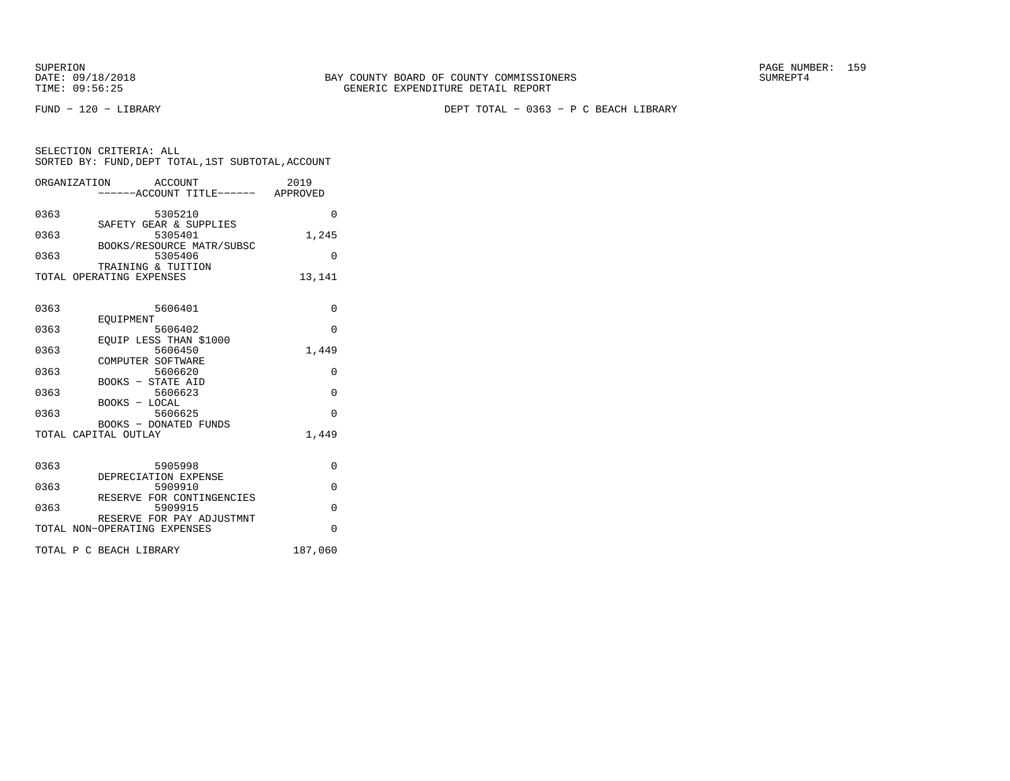FUND − 120 − LIBRARY DEPT TOTAL − 0363 − P C BEACH LIBRARY

|      | ORGANIZATION<br>ACCOUNT<br>------ACCOUNT TITLE------ APPROVED | 2019     |
|------|---------------------------------------------------------------|----------|
| 0363 | 5305210<br>SAFETY GEAR & SUPPLIES                             | $\Omega$ |
| 0363 | 5305401<br>BOOKS/RESOURCE MATR/SUBSC                          | 1,245    |
| 0363 | 5305406<br>TRAINING & TUITION                                 | $\Omega$ |
|      | TOTAL OPERATING EXPENSES                                      | 13,141   |
| 0363 | 5606401<br>EOUIPMENT                                          | $\Omega$ |
| 0363 | 5606402<br>EOUIP LESS THAN \$1000                             | $\Omega$ |
| 0363 | 5606450                                                       | 1,449    |
| 0363 | COMPUTER SOFTWARE<br>5606620                                  | $\Omega$ |
| 0363 | BOOKS - STATE AID<br>5606623                                  | $\Omega$ |
| 0363 | BOOKS - LOCAL<br>5606625                                      | $\Omega$ |
|      | <b>BOOKS - DONATED FUNDS</b><br>TOTAL CAPITAL OUTLAY          | 1,449    |
| 0363 | 5905998                                                       | 0        |
| 0363 | DEPRECIATION EXPENSE<br>5909910                               | $\Omega$ |
| 0363 | RESERVE FOR CONTINGENCIES<br>5909915                          | $\Omega$ |
|      | RESERVE FOR PAY ADJUSTMNT<br>TOTAL NON-OPERATING EXPENSES     | $\Omega$ |
|      | TOTAL P C BEACH LIBRARY                                       | 187,060  |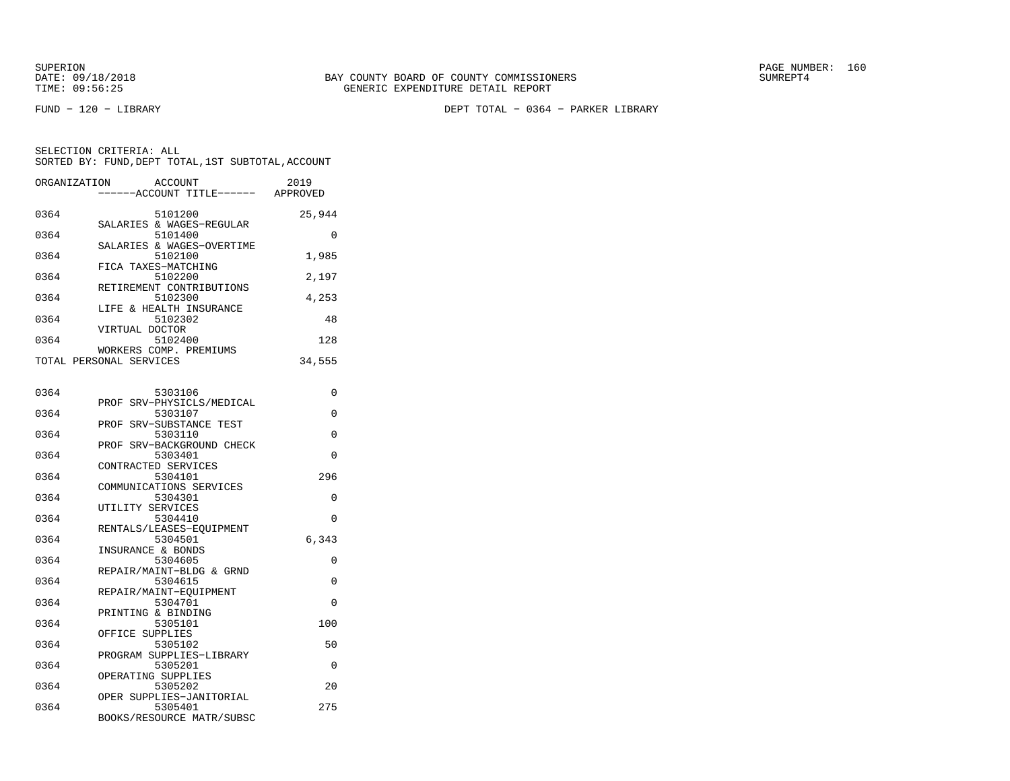FUND − 120 − LIBRARY DEPT TOTAL − 0364 − PARKER LIBRARY

| ORGANIZATION            | ACCOUNT                              | 2019     |
|-------------------------|--------------------------------------|----------|
|                         | ------ACCOUNT TITLE------            | APPROVED |
| 0364                    | 5101200<br>SALARIES & WAGES-REGULAR  | 25,944   |
| 0364                    | 5101400                              | O        |
| 0364                    | SALARIES & WAGES-OVERTIME<br>5102100 | 1,985    |
| 0364                    | FICA TAXES-MATCHING<br>5102200       | 2,197    |
| 0364                    | RETIREMENT CONTRIBUTIONS<br>5102300  | 4,253    |
| 0364                    | LIFE & HEALTH INSURANCE<br>5102302   | 48       |
| 0364                    | VIRTUAL DOCTOR<br>5102400            | 128      |
| TOTAL PERSONAL SERVICES | WORKERS COMP. PREMIUMS               | 34,555   |

| 0364 | 5303106                       | 0        |
|------|-------------------------------|----------|
|      | PROF SRV-PHYSICLS/MEDICAL     |          |
| 0364 | 5303107                       | $\Omega$ |
|      | PROF SRV-SUBSTANCE TEST       |          |
| 0364 | 5303110                       | $\Omega$ |
|      | PROF SRV-BACKGROUND CHECK     |          |
| 0364 | 5303401                       | $\Omega$ |
|      | CONTRACTED SERVICES           |          |
| 0364 | 5304101                       | 296      |
|      | COMMUNICATIONS SERVICES       |          |
| 0364 | 5304301                       | $\Omega$ |
|      | UTILITY SERVICES              |          |
| 0364 | 5304410                       | $\Omega$ |
|      | RENTALS/LEASES-EQUIPMENT      |          |
| 0364 | 5304501                       | 6,343    |
|      | INSURANCE & BONDS             |          |
| 0364 | 5304605                       | $\Omega$ |
|      | REPAIR/MAINT-BLDG & GRND      |          |
| 0364 | 5304615                       | $\Omega$ |
|      | REPAIR/MAINT-EOUIPMENT        |          |
| 0364 | 5304701                       | $\Omega$ |
|      | PRINTING & BINDING            |          |
| 0364 | 5305101                       | 100      |
|      | OFFICE SUPPLIES               |          |
| 0364 | 5305102                       | 50       |
| 0364 | PROGRAM SUPPLIES-LIBRARY      | $\Omega$ |
|      | 5305201<br>OPERATING SUPPLIES |          |
| 0364 | 5305202                       | 20       |
|      | OPER SUPPLIES-JANITORIAL      |          |
| 0364 | 5305401                       | 275      |
|      | BOOKS/RESOURCE MATR/SUBSC     |          |
|      |                               |          |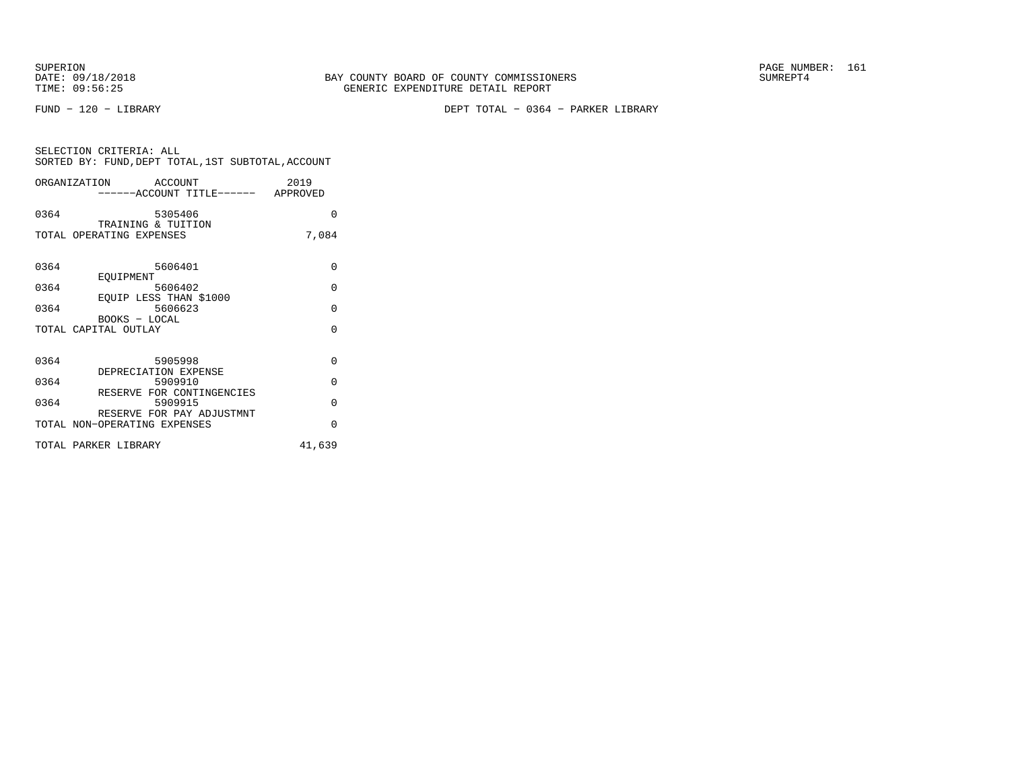SUPERION<br>
BAY COUNTY BOARD OF COUNTY COMMISSIONERS
BATE: 09/18/2018
SUMREPT4

FUND − 120 − LIBRARY DEPT TOTAL − 0364 − PARKER LIBRARY

| SELECTION CRITERIA: ALL |  |  |                                                    |  |
|-------------------------|--|--|----------------------------------------------------|--|
|                         |  |  | SORTED BY: FUND, DEPT TOTAL, 1ST SUBTOTAL, ACCOUNT |  |

|      | ORGANIZATION ACCOUNT<br>-----ACCOUNT TITLE------ APPROVED | 2019     |
|------|-----------------------------------------------------------|----------|
| 0364 | 5305406<br>TRAINING & TUITION                             | 0        |
|      | TOTAL OPERATING EXPENSES                                  | 7,084    |
| 0364 | 5606401<br>EOUIPMENT                                      | $\Omega$ |
| 0364 | 5606402                                                   | 0        |
| 0364 | EQUIP LESS THAN \$1000<br>5606623                         | $\Omega$ |
|      | BOOKS - LOCAL<br>TOTAL CAPITAL OUTLAY                     | $\Omega$ |
| 0364 | 5905998<br>DEPRECIATION EXPENSE                           | 0        |
| 0364 | 5909910                                                   | $\Omega$ |
| 0364 | RESERVE FOR CONTINGENCIES<br>5909915                      | $\Omega$ |
|      | RESERVE FOR PAY ADJUSTMNT<br>TOTAL NON-OPERATING EXPENSES | $\Omega$ |
|      | TOTAL PARKER LIBRARY                                      | 41,639   |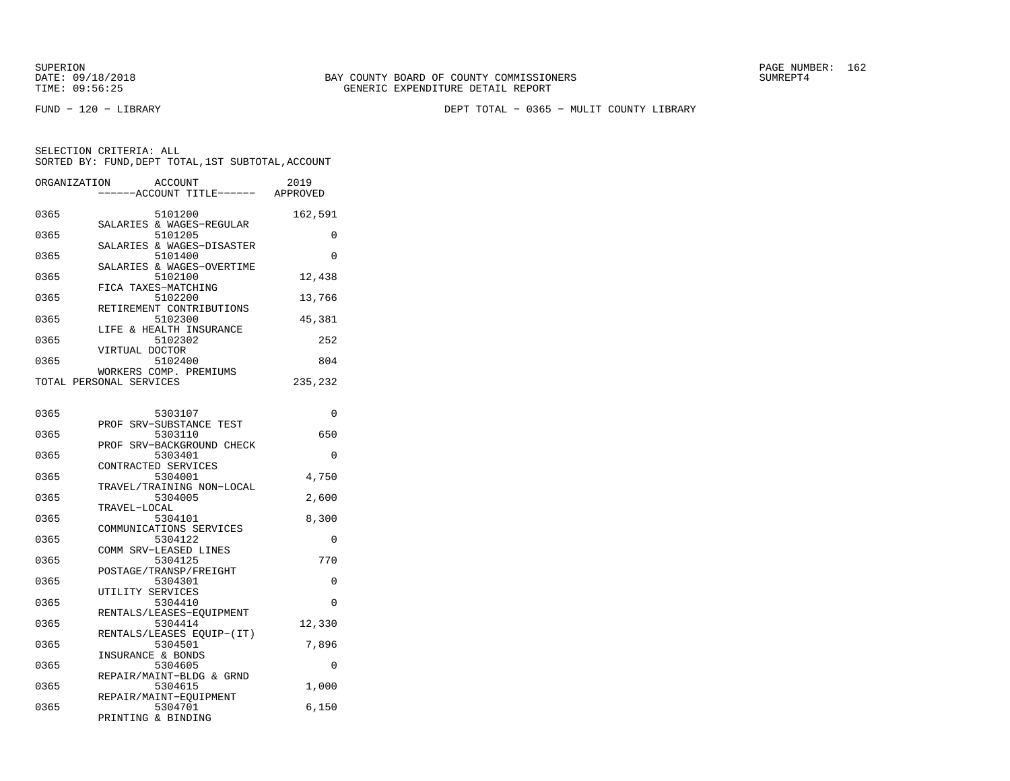FUND − 120 − LIBRARY DEPT TOTAL − 0365 − MULIT COUNTY LIBRARY

| ORGANIZATION            |                    | ACCOUNT                              | 2019     |
|-------------------------|--------------------|--------------------------------------|----------|
|                         |                    | ----ACCOUNT TITLE------              | APPROVED |
| 0365                    |                    | 5101200                              | 162,591  |
| 0365                    |                    | SALARIES & WAGES-REGULAR<br>5101205  | $\Omega$ |
| 0365                    |                    | SALARIES & WAGES-DISASTER<br>5101400 | $\Omega$ |
| 0365                    |                    | SALARIES & WAGES-OVERTIME<br>5102100 | 12,438   |
| 0365                    |                    | FICA TAXES-MATCHING<br>5102200       | 13,766   |
| 0365                    |                    | RETIREMENT CONTRIBUTIONS<br>5102300  | 45,381   |
| 0365                    |                    | LIFE & HEALTH INSURANCE<br>5102302   | 252      |
| 0365                    | VIRTUAL DOCTOR     | 5102400                              | 804      |
|                         |                    | WORKERS COMP. PREMIUMS               |          |
| TOTAL PERSONAL SERVICES |                    |                                      | 235,232  |
|                         |                    |                                      |          |
| 0365                    |                    | 5303107                              | 0        |
| 0365                    |                    | PROF SRV-SUBSTANCE TEST<br>5303110   | 650      |
| 0365                    |                    | PROF SRV-BACKGROUND CHECK<br>5303401 | $\Omega$ |
| 0365                    |                    | CONTRACTED SERVICES<br>5304001       | 4,750    |
|                         |                    | TRAVEL/TRAINING NON-LOCAL            |          |
| 0365                    | TRAVEL-LOCAL       | 5304005                              | 2,600    |
| 0365                    |                    | 5304101                              | 8,300    |
| 0365                    |                    | COMMUNICATIONS SERVICES<br>5304122   | 0        |
|                         |                    | COMM SRV-LEASED LINES                |          |
| 0365                    |                    | 5304125<br>POSTAGE/TRANSP/FREIGHT    | 770      |
| 0365                    |                    | 5304301                              | 0        |
| 0365                    | UTILITY SERVICES   | 5304410                              | 0        |
| 0365                    |                    | RENTALS/LEASES-EQUIPMENT<br>5304414  | 12,330   |
|                         |                    | RENTALS/LEASES EQUIP-(IT)            |          |
| 0365                    | INSURANCE & BONDS  | 5304501                              | 7,896    |
| 0365                    |                    | 5304605                              | 0        |
|                         |                    | REPAIR/MAINT-BLDG & GRND             |          |
| 0365                    |                    | 5304615<br>REPAIR/MAINT-EQUIPMENT    | 1,000    |
| 0365                    |                    | 5304701                              | 6,150    |
|                         | PRINTING & BINDING |                                      |          |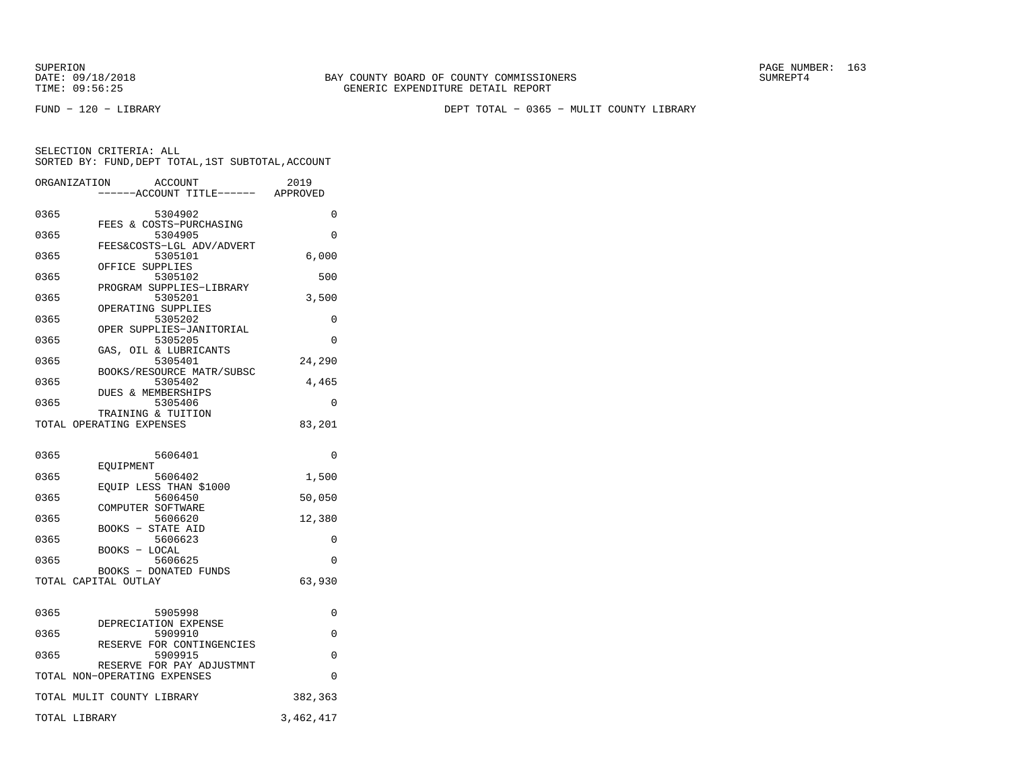FUND − 120 − LIBRARY DEPT TOTAL − 0365 − MULIT COUNTY LIBRARY

|      | ORGANIZATION<br>ACCOUNT<br>---ACCOUNT TITLE------ APPROVED | 2019      |
|------|------------------------------------------------------------|-----------|
| 0365 | 5304902                                                    | $\Omega$  |
| 0365 | FEES & COSTS-PURCHASING<br>5304905                         | $\Omega$  |
| 0365 | FEES&COSTS-LGL ADV/ADVERT<br>5305101                       | 6,000     |
| 0365 | OFFICE SUPPLIES<br>5305102                                 | 500       |
| 0365 | PROGRAM SUPPLIES-LIBRARY<br>5305201                        | 3,500     |
| 0365 | OPERATING SUPPLIES<br>5305202                              | 0         |
| 0365 | OPER SUPPLIES-JANITORIAL<br>5305205                        | $\Omega$  |
| 0365 | GAS, OIL & LUBRICANTS<br>5305401                           | 24,290    |
| 0365 | BOOKS/RESOURCE MATR/SUBSC<br>5305402                       | 4,465     |
| 0365 | DUES & MEMBERSHIPS<br>5305406                              | 0         |
|      | TRAINING & TUITION<br>TOTAL OPERATING EXPENSES             | 83,201    |
| 0365 | 5606401                                                    | 0         |
| 0365 | EOUIPMENT<br>5606402                                       | 1,500     |
| 0365 | EQUIP LESS THAN \$1000<br>5606450                          | 50,050    |
| 0365 | COMPUTER SOFTWARE<br>5606620                               | 12,380    |
| 0365 | BOOKS - STATE AID<br>5606623                               | 0         |
| 0365 | - LOCAL<br>BOOKS<br>5606625                                | 0         |
|      | <b>BOOKS - DONATED FUNDS</b><br>TOTAL CAPITAL OUTLAY       | 63,930    |
|      |                                                            |           |
| 0365 | 5905998<br>DEPRECIATION EXPENSE                            | 0         |
| 0365 | 5909910<br>RESERVE FOR CONTINGENCIES                       | 0         |
| 0365 | 5909915<br>RESERVE FOR PAY ADJUSTMNT                       | 0         |
|      | TOTAL NON-OPERATING EXPENSES                               | 0         |
|      | TOTAL MULIT COUNTY LIBRARY                                 | 382,363   |
|      | TOTAL LIBRARY                                              | 3,462,417 |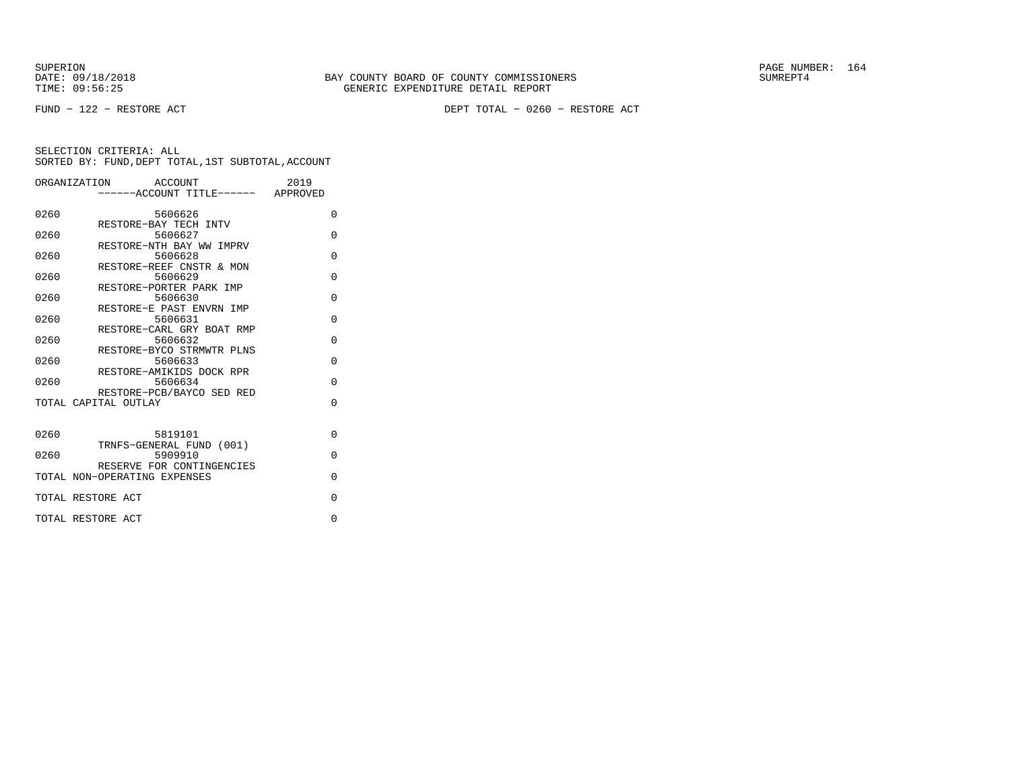FUND − 122 − RESTORE ACT DEPT TOTAL − 0260 − RESTORE ACT

|      | ORGANIZATION<br>ACCOUNT<br>-----ACCOUNT TITLE------ APPROVED | 2019     |  |
|------|--------------------------------------------------------------|----------|--|
| 0260 | 5606626                                                      | $\Omega$ |  |
| 0260 | RESTORE-BAY TECH INTV<br>5606627                             | $\Omega$ |  |
| 0260 | RESTORE-NTH BAY WW IMPRV<br>5606628                          | $\Omega$ |  |
| 0260 | RESTORE-REEF CNSTR & MON<br>5606629                          | $\Omega$ |  |
| 0260 | RESTORE-PORTER PARK IMP<br>5606630                           | $\Omega$ |  |
| 0260 | RESTORE-E PAST ENVRN IMP<br>5606631                          | $\Omega$ |  |
| 0260 | RESTORE-CARL GRY BOAT RMP<br>5606632                         | $\Omega$ |  |
| 0260 | RESTORE-BYCO STRMWTR PLNS                                    | $\Omega$ |  |
|      | 5606633<br>RESTORE-AMIKIDS DOCK RPR                          |          |  |
| 0260 | 5606634<br>RESTORE-PCB/BAYCO SED RED                         | $\Omega$ |  |
|      | TOTAL CAPITAL OUTLAY                                         | $\Omega$ |  |
| 0260 | 5819101                                                      | $\Omega$ |  |
| 0260 | TRNFS-GENERAL FUND (001)<br>5909910                          | $\Omega$ |  |
|      | RESERVE FOR CONTINGENCIES<br>TOTAL NON-OPERATING EXPENSES    | $\Omega$ |  |
|      | TOTAL RESTORE ACT                                            | $\Omega$ |  |
|      | TOTAL RESTORE ACT                                            | $\Omega$ |  |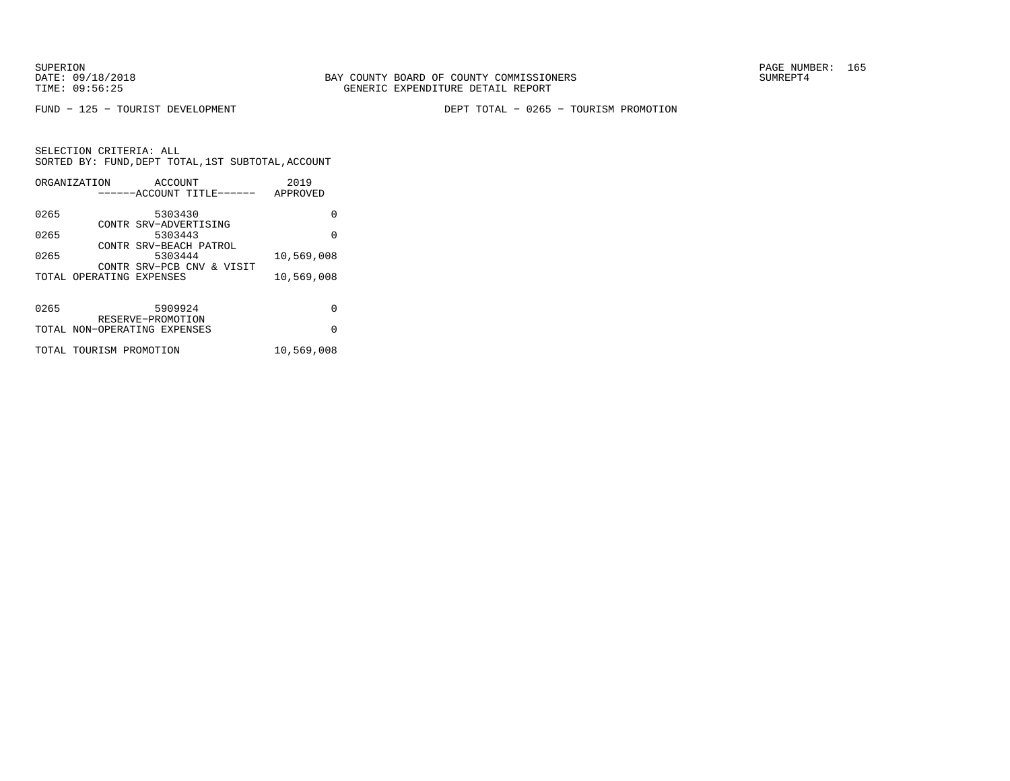FUND − 125 − TOURIST DEVELOPMENT DEPT TOTAL − 0265 − TOURISM PROMOTION

|      | ORGANIZATION                 | ACCOUNT               |                           | 2019       |  |
|------|------------------------------|-----------------------|---------------------------|------------|--|
|      |                              |                       | ------ACCOUNT TITLE------ | APPROVED   |  |
|      |                              |                       |                           |            |  |
| 0265 |                              | 5303430               |                           | 0          |  |
|      |                              | CONTR SRV-ADVERTISING |                           |            |  |
| 0265 |                              | 5303443               |                           | $\Omega$   |  |
|      |                              |                       | CONTR SRV-BEACH PATROL    |            |  |
| 0265 |                              | 5303444               |                           | 10,569,008 |  |
|      |                              |                       | CONTR SRV-PCB CNV & VISIT |            |  |
|      | TOTAL OPERATING EXPENSES     |                       |                           | 10,569,008 |  |
|      |                              |                       |                           |            |  |
|      |                              |                       |                           |            |  |
| 0265 |                              | 5909924               |                           | 0          |  |
|      |                              | RESERVE-PROMOTION     |                           |            |  |
|      | TOTAL NON-OPERATING EXPENSES |                       |                           | $\Omega$   |  |
|      | TOTAL TOURISM PROMOTION      |                       |                           | 10,569,008 |  |
|      |                              |                       |                           |            |  |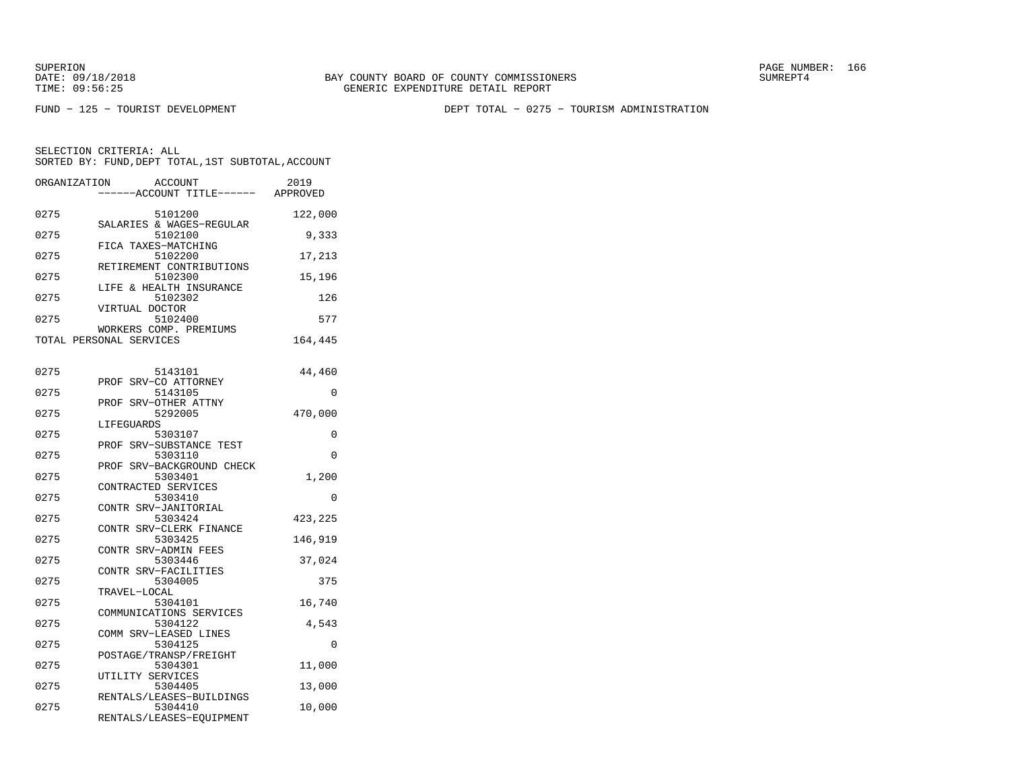SUPERION PAGE NUMBER: 166

FUND − 125 − TOURIST DEVELOPMENT DEPT TOTAL − 0275 − TOURISM ADMINISTRATION

| ORGANIZATION | <b>ACCOUNT</b><br>---ACCOUNT TITLE------ | 2019<br>APPROVED |
|--------------|------------------------------------------|------------------|
|              |                                          |                  |
| 0275         | 5101200<br>SALARIES & WAGES-REGULAR      | 122,000          |
| 0275         | 5102100<br>FICA TAXES-MATCHING           | 9,333            |
| 0275         | 5102200                                  | 17,213           |
| 0275         | RETIREMENT CONTRIBUTIONS<br>5102300      | 15,196           |
| 0275         | LIFE & HEALTH INSURANCE<br>5102302       | 126              |
| 0275         | VIRTUAL DOCTOR<br>5102400                | 577              |
|              | WORKERS COMP. PREMIUMS                   |                  |
|              | TOTAL PERSONAL SERVICES                  | 164,445          |
|              |                                          |                  |
| 0275         | 5143101                                  | 44,460           |
|              | PROF SRV-CO ATTORNEY                     |                  |
| 0275         | 5143105<br>PROF SRV-OTHER ATTNY          | 0                |
| 0275         | 5292005                                  | 470,000          |
|              | LIFEGUARDS                               |                  |
| 0275         | 5303107<br>PROF SRV-SUBSTANCE TEST       | 0                |
| 0275         | 5303110                                  | 0                |
|              | SRV-BACKGROUND CHECK<br>PROF             |                  |
| 0275         | 5303401                                  | 1,200            |
|              | CONTRACTED SERVICES                      |                  |
| 0275         | 5303410                                  | $\Omega$         |
|              | CONTR SRV-JANITORIAL                     |                  |
| 0275         | 5303424<br>CONTR SRV-CLERK FINANCE       | 423,225          |
| 0275         | 5303425                                  | 146,919          |
|              | CONTR SRV-ADMIN FEES                     |                  |
| 0275         | 5303446                                  | 37,024           |
|              | CONTR SRV-FACILITIES                     |                  |
| 0275         | 5304005                                  | 375              |
|              | TRAVEL-LOCAL                             |                  |
| 0275         | 5304101<br>COMMUNICATIONS SERVICES       | 16,740           |
| 0275         | 5304122                                  | 4,543            |
|              | COMM SRV-LEASED LINES                    |                  |
| 0275         | 5304125                                  | 0                |
|              | POSTAGE/TRANSP/FREIGHT                   |                  |
| 0275         | 5304301                                  | 11,000           |
|              | UTILITY SERVICES                         |                  |
| 0275         | 5304405<br>RENTALS/LEASES-BUILDINGS      | 13,000           |
| 0275         | 5304410                                  | 10,000           |
|              | RENTALS/LEASES-EQUIPMENT                 |                  |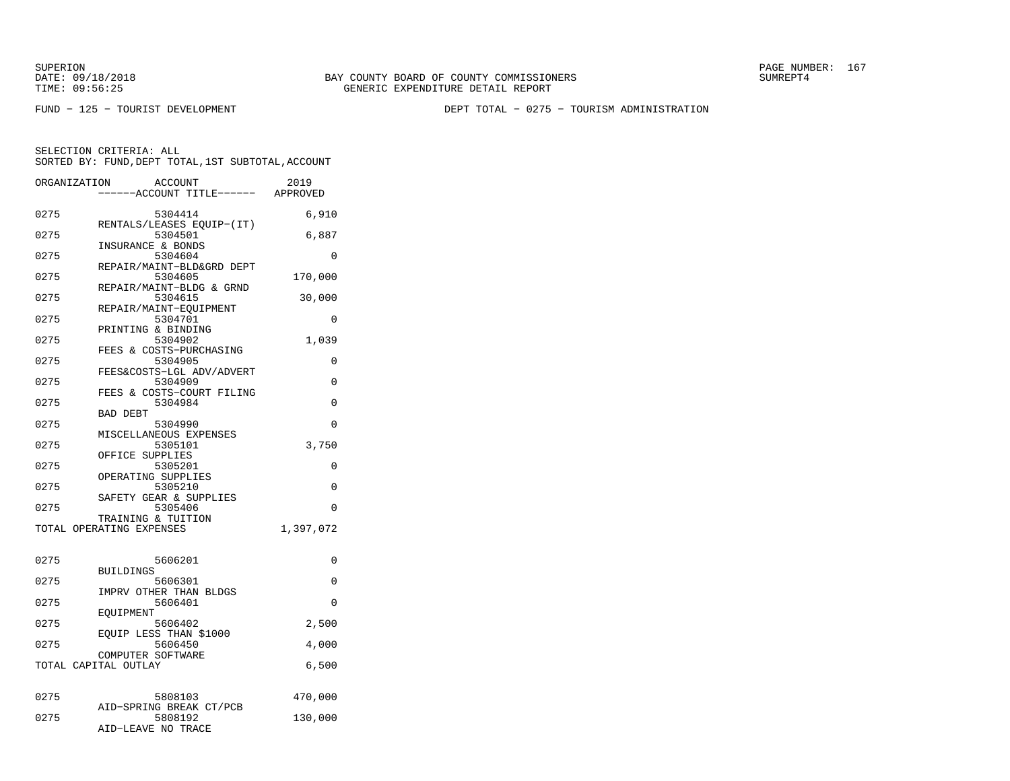SUPERION PAGE NUMBER: 167

FUND − 125 − TOURIST DEVELOPMENT DEPT TOTAL − 0275 − TOURISM ADMINISTRATION

| ORGANIZATION | <b>ACCOUNT</b><br>---ACCOUNT TITLE------       | 2019<br>APPROVED |
|--------------|------------------------------------------------|------------------|
| 0275         | 5304414                                        | 6,910            |
| 0275         | RENTALS/LEASES EQUIP-(IT)<br>5304501           | 6,887            |
| 0275         | INSURANCE & BONDS<br>5304604                   | 0                |
| 0275         | REPAIR/MAINT-BLD&GRD DEPT<br>5304605           | 170,000          |
| 0275         | REPAIR/MAINT-BLDG & GRND<br>5304615            | 30,000           |
| 0275         | REPAIR/MAINT-EQUIPMENT<br>5304701              | 0                |
| 0275         | PRINTING & BINDING<br>5304902                  | 1,039            |
| 0275         | FEES & COSTS-PURCHASING<br>5304905             | 0                |
| 0275         | FEES&COSTS-LGL ADV/ADVERT<br>5304909           | $\Omega$         |
| 0275         | FEES & COSTS-COURT FILING<br>5304984           | 0                |
| 0275         | <b>BAD DEBT</b><br>5304990                     | 0                |
| 0275         | MISCELLANEOUS EXPENSES<br>5305101              | 3,750            |
| 0275         | OFFICE SUPPLIES<br>5305201                     | 0                |
| 0275         | OPERATING SUPPLIES<br>5305210                  | 0                |
| 0275         | SAFETY GEAR & SUPPLIES<br>5305406              | $\Omega$         |
|              | TRAINING & TUITION<br>TOTAL OPERATING EXPENSES | 1,397,072        |
|              |                                                |                  |
| 0275         | 5606201<br><b>BUILDINGS</b>                    | 0                |
| 0275         | 5606301<br>IMPRV OTHER THAN BLDGS              | 0                |
| 0275         | 5606401<br>EOUIPMENT                           | $\Omega$         |
| 0275         | 5606402<br>EQUIP LESS THAN \$1000              | 2,500            |
| 0275         | 5606450                                        | 4,000            |
|              | COMPUTER SOFTWARE<br>TOTAL CAPITAL OUTLAY      | 6,500            |
|              |                                                |                  |
| 0275         | 5808103<br>AID-SPRING BREAK CT/PCB             | 470,000          |
| 0275         | 5808192<br>AID-LEAVE NO TRACE                  | 130,000          |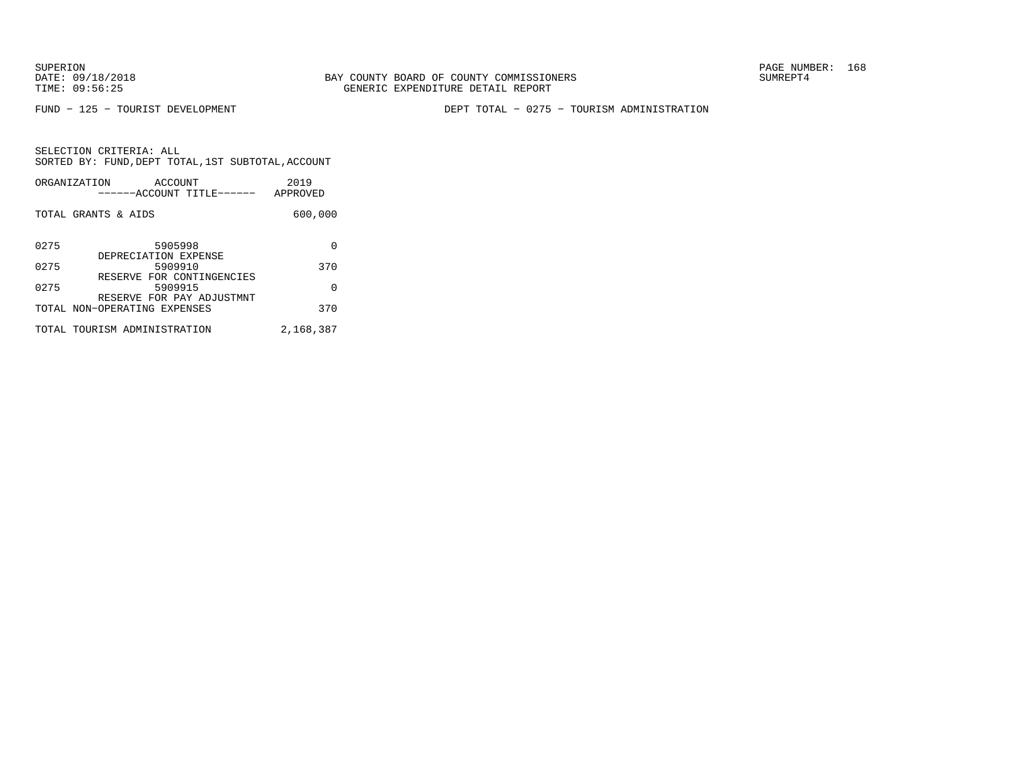FUND − 125 − TOURIST DEVELOPMENT DEPT TOTAL − 0275 − TOURISM ADMINISTRATION

| ORGANIZATION        | ACCOUNT<br>------ACCOUNT TITLE------                      | 2019<br>APPROVED |
|---------------------|-----------------------------------------------------------|------------------|
| TOTAL GRANTS & AIDS |                                                           | 600,000          |
| 0275                | 5905998<br>DEPRECIATION EXPENSE                           | O                |
| 0275                | 5909910                                                   | 370              |
| 0275                | RESERVE FOR CONTINGENCIES<br>5909915                      | $\Omega$         |
|                     | RESERVE FOR PAY ADJUSTMNT<br>TOTAL NON-OPERATING EXPENSES | 370              |
|                     | TOTAL TOURISM ADMINISTRATION                              | 2,168,387        |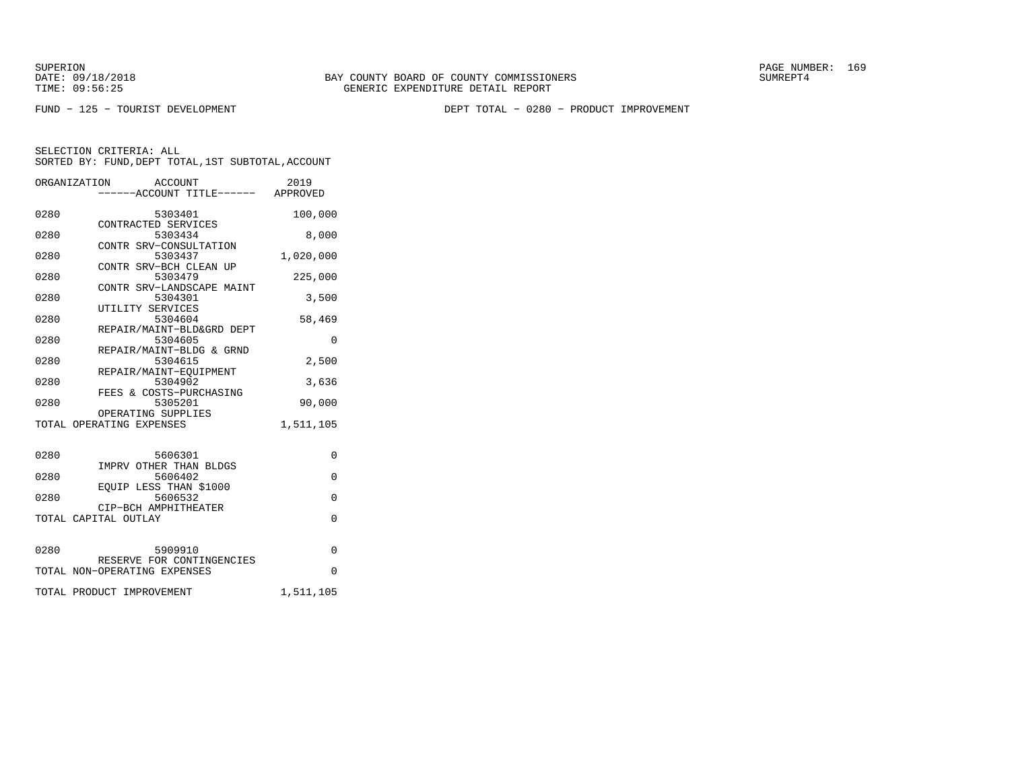SUPERION PAGE NUMBER: 169

FUND − 125 − TOURIST DEVELOPMENT DEPT TOTAL − 0280 − PRODUCT IMPROVEMENT

|      | ORGANIZATION<br>ACCOUNT<br>-----ACCOUNT TITLE------ APPROVED | 2019      |
|------|--------------------------------------------------------------|-----------|
| 0280 | 5303401                                                      | 100,000   |
| 0280 | CONTRACTED SERVICES<br>5303434                               | 8,000     |
| 0280 | CONTR SRV-CONSULTATION<br>5303437                            | 1,020,000 |
| 0280 | CONTR SRV-BCH CLEAN UP<br>5303479                            | 225,000   |
| 0280 | CONTR SRV-LANDSCAPE MAINT<br>5304301                         | 3,500     |
| 0280 | UTILITY SERVICES<br>5304604                                  | 58,469    |
| 0280 | REPAIR/MAINT-BLD&GRD DEPT<br>5304605                         | 0         |
| 0280 | REPAIR/MAINT-BLDG & GRND<br>5304615                          | 2,500     |
| 0280 | REPAIR/MAINT-EQUIPMENT<br>5304902                            | 3,636     |
|      | FEES & COSTS-PURCHASING                                      |           |
| 0280 | 5305201<br>OPERATING SUPPLIES                                | 90,000    |
|      | TOTAL OPERATING EXPENSES                                     | 1,511,105 |
| 0280 | 5606301                                                      | $\Omega$  |
| 0280 | IMPRV OTHER THAN BLDGS<br>5606402                            | $\Omega$  |
| 0280 | EOUIP LESS THAN \$1000<br>5606532                            | $\Omega$  |
|      | CIP-BCH AMPHITHEATER<br>TOTAL CAPITAL OUTLAY                 | $\Omega$  |
|      |                                                              |           |
| 0280 | 5909910<br>RESERVE FOR CONTINGENCIES                         | $\Omega$  |
|      | TOTAL NON-OPERATING EXPENSES                                 | $\Omega$  |
|      | TOTAL PRODUCT IMPROVEMENT                                    | 1,511,105 |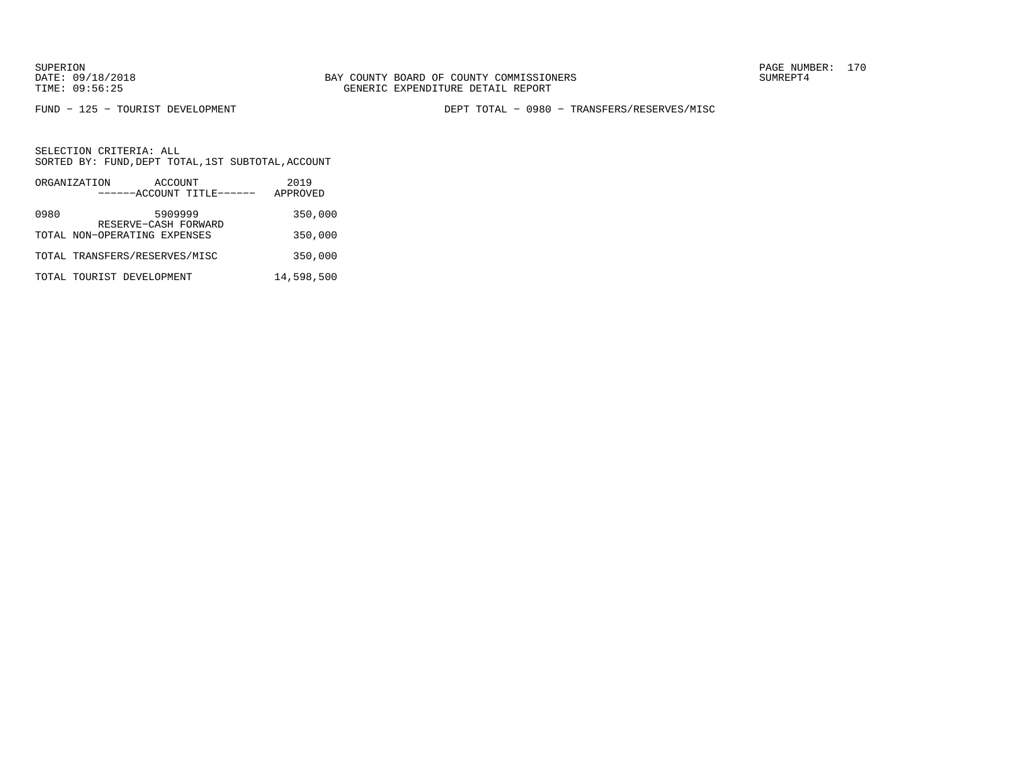FUND − 125 − TOURIST DEVELOPMENT DEPT TOTAL − 0980 − TRANSFERS/RESERVES/MISC

|      | ORGANIZATION                  | ACCOUNT                         | 2019       |
|------|-------------------------------|---------------------------------|------------|
|      |                               | ------ACCOUNT TITLE------       | APPROVED   |
| 0980 |                               | 5909999<br>RESERVE-CASH FORWARD | 350,000    |
|      | TOTAL NON-OPERATING EXPENSES  |                                 | 350,000    |
|      | TOTAL TRANSFERS/RESERVES/MISC |                                 | 350,000    |
|      | TOTAL TOURIST DEVELOPMENT     |                                 | 14,598,500 |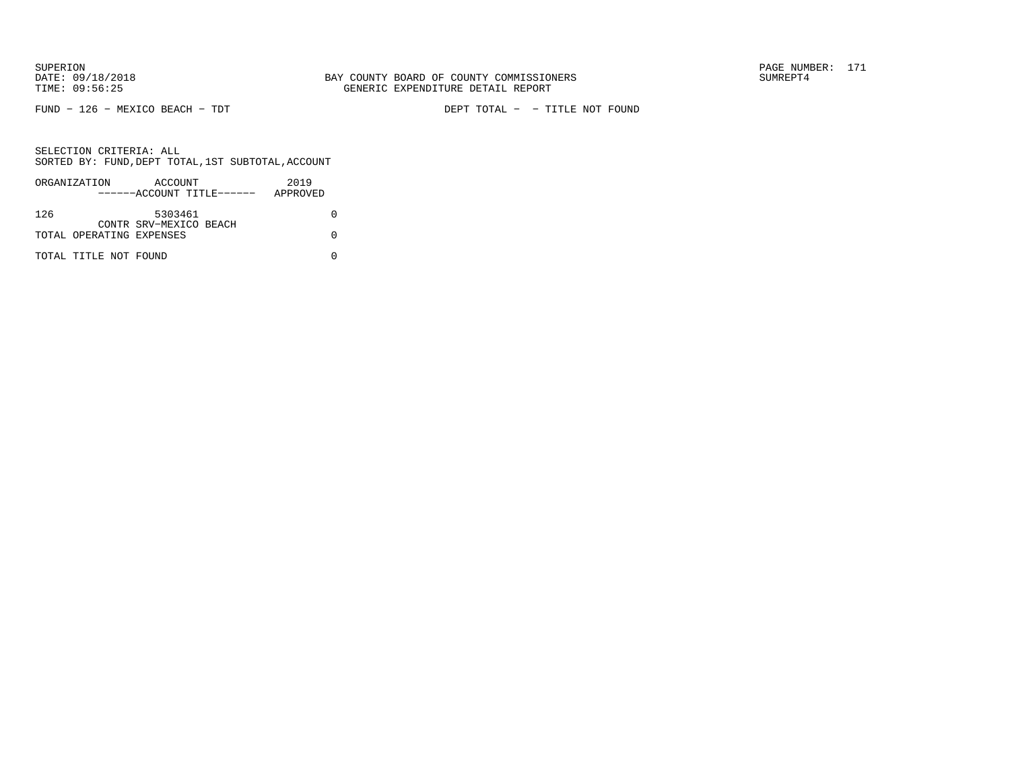FUND − 126 − MEXICO BEACH − TDT DEPT TOTAL − − TITLE NOT FOUND

| ORGANIZATION |                          | ACCOUNT                   | 2019     |
|--------------|--------------------------|---------------------------|----------|
|              |                          | ------ACCOUNT TITLE------ | APPROVED |
|              |                          |                           |          |
| 126          |                          | 5303461                   |          |
|              |                          | CONTR SRV-MEXICO BEACH    |          |
|              | TOTAL OPERATING EXPENSES |                           |          |
|              |                          |                           |          |
|              | TOTAL TITLE NOT FOUND    |                           |          |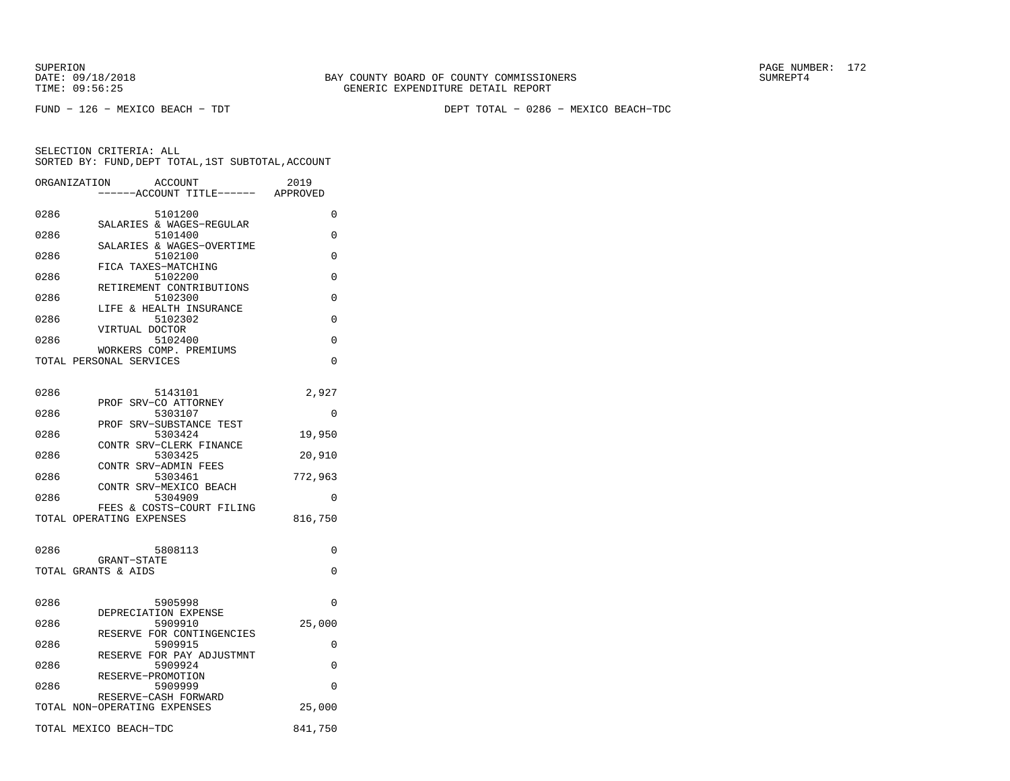FUND − 126 − MEXICO BEACH − TDT DEPT TOTAL − 0286 − MEXICO BEACH−TDC

| ORGANIZATION<br>ACCOUNT<br>---ACCOUNT TITLE------ APPROVED | 2019     |
|------------------------------------------------------------|----------|
| 0286<br>5101200<br>SALARIES & WAGES-REGULAR                | 0        |
| 0286<br>5101400                                            | 0        |
| SALARIES & WAGES-OVERTIME<br>0286<br>5102100               | 0        |
| FICA TAXES-MATCHING<br>0286<br>5102200                     | 0        |
| RETIREMENT CONTRIBUTIONS<br>0286<br>5102300                | 0        |
| LIFE & HEALTH INSURANCE<br>0286<br>5102302                 | 0        |
| VIRTUAL DOCTOR<br>0286<br>5102400                          | 0        |
| WORKERS COMP. PREMIUMS<br>TOTAL PERSONAL SERVICES          | 0        |
| 0286<br>5143101                                            | 2,927    |
| PROF SRV-CO ATTORNEY<br>0286<br>5303107                    | 0        |
| PROF SRV-SUBSTANCE TEST<br>0286<br>5303424                 | 19,950   |
| CONTR SRV-CLERK FINANCE<br>0286<br>5303425                 |          |
| CONTR SRV-ADMIN FEES                                       | 20,910   |
| 5303461<br>0286<br>CONTR SRV-MEXICO BEACH                  | 772,963  |
| 5304909<br>0286<br>FEES & COSTS-COURT FILING               | 0        |
| TOTAL OPERATING EXPENSES                                   | 816,750  |
| 0286<br>5808113                                            | 0        |
| GRANT-STATE<br>TOTAL GRANTS & AIDS                         | 0        |
| 0286<br>5905998                                            | 0        |
| DEPRECIATION EXPENSE<br>0286<br>5909910                    | 25,000   |
| RESERVE FOR CONTINGENCIES<br>5909915<br>0286               | 0        |
| RESERVE FOR PAY ADJUSTMNT<br>0286<br>5909924               | 0        |
| RESERVE-PROMOTION<br>0286<br>5909999                       | $\Omega$ |
| RESERVE-CASH FORWARD<br>TOTAL NON-OPERATING EXPENSES       | 25,000   |
| TOTAL MEXICO BEACH-TDC                                     | 841,750  |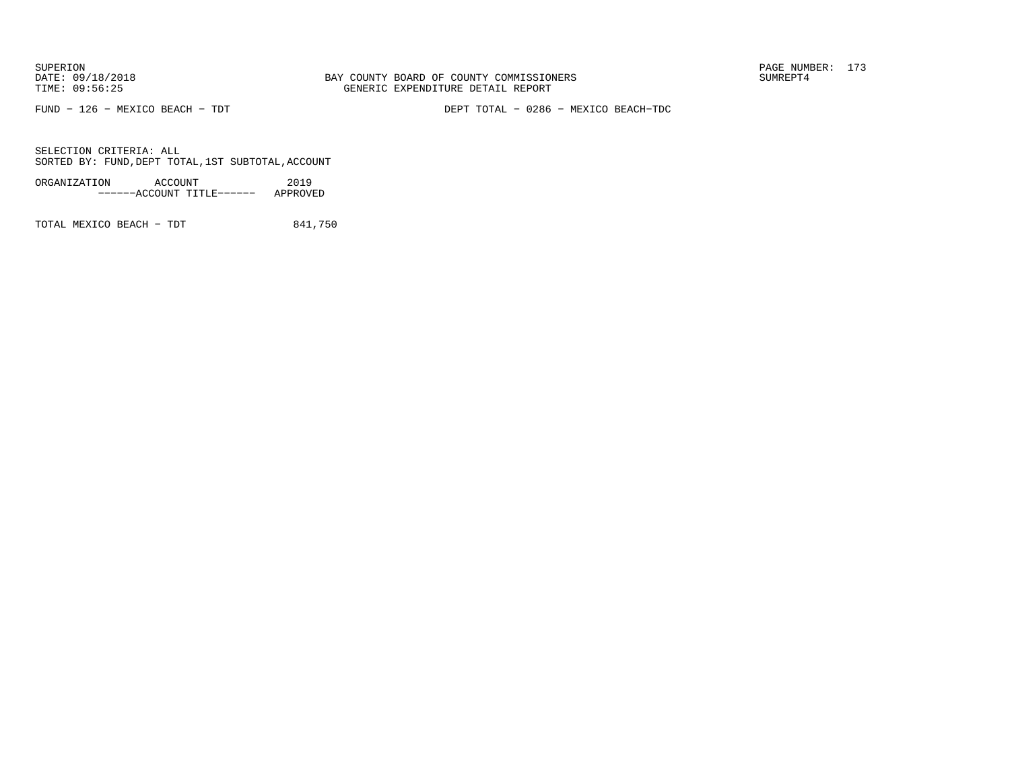FUND − 126 − MEXICO BEACH − TDT DEPT TOTAL − 0286 − MEXICO BEACH−TDC

SELECTION CRITERIA: ALLSORTED BY: FUND,DEPT TOTAL,1ST SUBTOTAL,ACCOUNT

ORGANIZATION ACCOUNT 2019−−−−−−ACCOUNT TITLE−−−−−− APPROVED

TOTAL MEXICO BEACH - TDT 841,750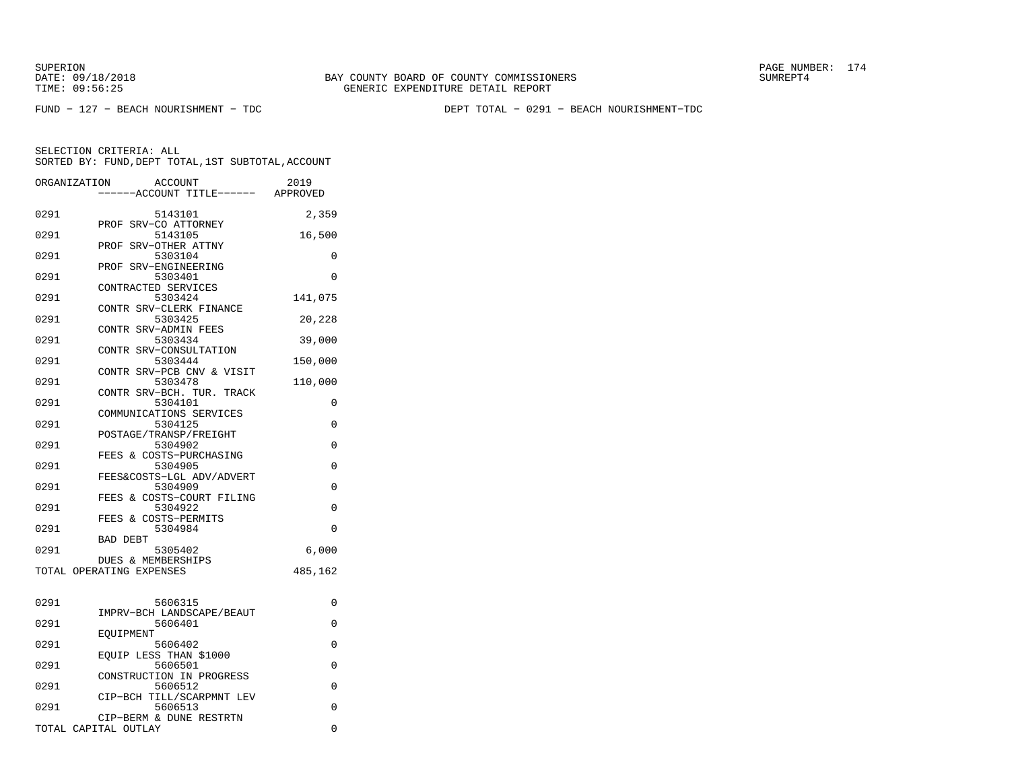FUND − 127 − BEACH NOURISHMENT − TDC DEPT TOTAL − 0291 − BEACH NOURISHMENT−TDC

|      | ORGANIZATION<br><b>ACCOUNT</b><br>---ACCOUNT TITLE------ APPROVED | 2019     |
|------|-------------------------------------------------------------------|----------|
| 0291 | 5143101                                                           | 2,359    |
| 0291 | PROF SRV-CO ATTORNEY<br>5143105                                   | 16,500   |
| 0291 | PROF SRV-OTHER ATTNY<br>5303104<br>PROF SRV-ENGINEERING           | 0        |
| 0291 | 5303401<br>CONTRACTED SERVICES                                    | 0        |
| 0291 | 5303424<br>CONTR SRV-CLERK FINANCE                                | 141,075  |
| 0291 | 5303425<br>CONTR SRV-ADMIN FEES                                   | 20,228   |
| 0291 | 5303434<br>CONTR SRV-CONSULTATION                                 | 39,000   |
| 0291 | 5303444<br>CONTR SRV-PCB CNV & VISIT                              | 150,000  |
| 0291 | 5303478<br>CONTR SRV-BCH. TUR. TRACK                              | 110,000  |
| 0291 | 5304101<br>COMMUNICATIONS SERVICES                                | 0        |
| 0291 | 5304125<br>POSTAGE/TRANSP/FREIGHT                                 | 0        |
| 0291 | 5304902<br>FEES & COSTS-PURCHASING                                | 0        |
| 0291 | 5304905<br>FEES&COSTS-LGL ADV/ADVERT                              | $\Omega$ |
| 0291 | 5304909<br>FEES & COSTS-COURT FILING                              | $\Omega$ |
| 0291 | 5304922<br>FEES & COSTS-PERMITS                                   | 0        |
| 0291 | 5304984<br><b>BAD DEBT</b>                                        | $\Omega$ |
| 0291 | 5305402<br>DUES & MEMBERSHIPS                                     | 6,000    |
|      | TOTAL OPERATING EXPENSES                                          | 485,162  |
| 0291 | 5606315                                                           | 0        |
| 0291 | IMPRV-BCH LANDSCAPE/BEAUT<br>5606401                              | 0        |
| 0291 | EOUIPMENT<br>5606402                                              | 0        |
| 0291 | EOUIP LESS THAN \$1000<br>5606501                                 | 0        |
| 0291 | CONSTRUCTION IN PROGRESS<br>5606512                               | $\Omega$ |
| 0291 | CIP-BCH TILL/SCARPMNT LEV<br>5606513                              | 0        |
|      | CIP-BERM & DUNE RESTRTN<br>TOTAL CAPITAL OUTLAY                   | 0        |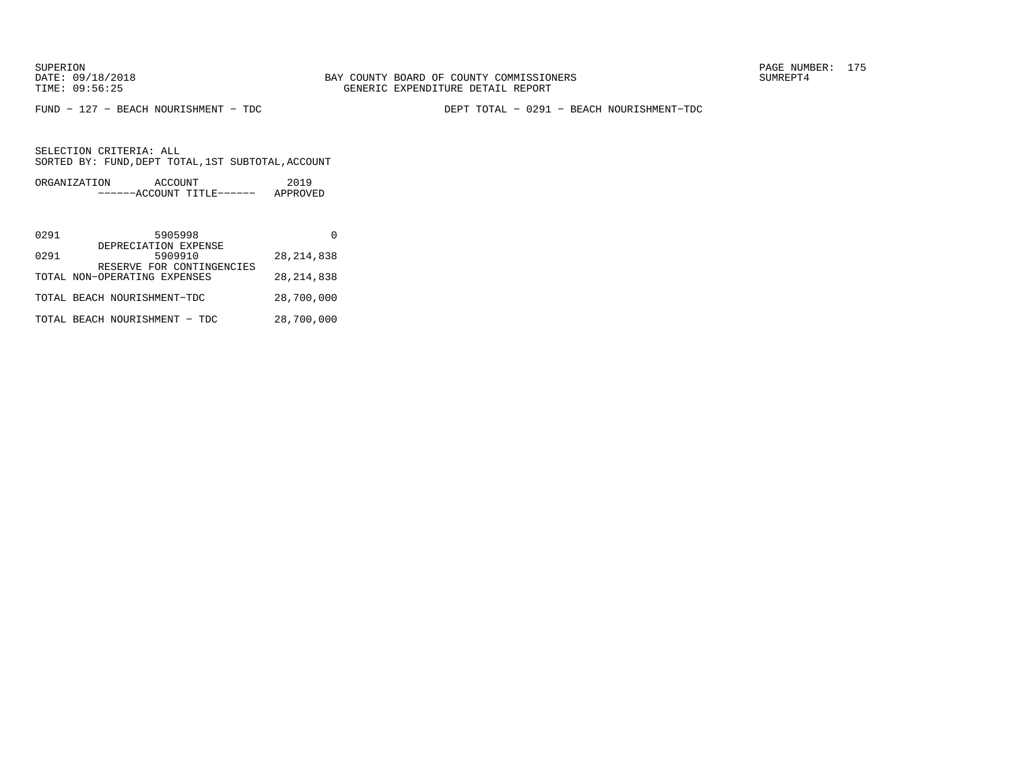FUND − 127 − BEACH NOURISHMENT − TDC DEPT TOTAL − 0291 − BEACH NOURISHMENT−TDC

| ORGANIZATION | ACCOUNT |                           | 2019     |
|--------------|---------|---------------------------|----------|
|              |         | ------ACCOUNT TITLE------ | APPROVED |

| 0291 | 5905998                                                   |              |
|------|-----------------------------------------------------------|--------------|
| 0291 | DEPRECIATION EXPENSE<br>5909910                           | 28, 214, 838 |
|      | RESERVE FOR CONTINGENCIES<br>TOTAL NON-OPERATING EXPENSES | 28, 214, 838 |
|      | TOTAL BEACH NOURISHMENT-TDC                               | 28,700,000   |
|      | TOTAL BEACH NOURISHMENT - TDC                             | 28,700,000   |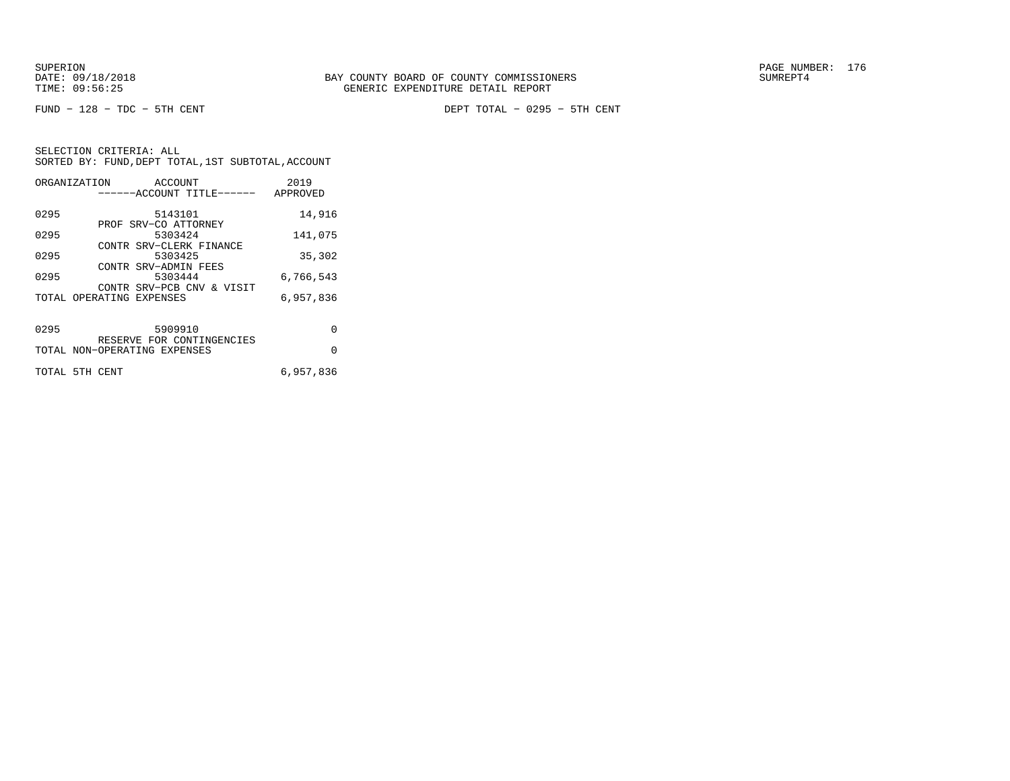FUND − 128 − TDC − 5TH CENT DEPT TOTAL − 0295 − 5TH CENT

| ORGANIZATION   | ACCOUNT                      |                           | 2019      |
|----------------|------------------------------|---------------------------|-----------|
|                |                              | ------ACCOUNT TITLE------ | APPROVED  |
|                |                              |                           |           |
| 0295           | 5143101                      |                           | 14,916    |
|                | PROF SRV-CO ATTORNEY         |                           |           |
| 0295           | 5303424                      |                           | 141,075   |
|                |                              | CONTR SRV-CLERK FINANCE   |           |
| 0295           | 5303425                      |                           | 35,302    |
|                | CONTR SRV-ADMIN FEES         |                           |           |
| 0295           | 5303444                      |                           | 6,766,543 |
|                |                              | CONTR SRV-PCB CNV & VISIT |           |
|                | TOTAL OPERATING EXPENSES     |                           | 6,957,836 |
|                |                              |                           |           |
|                |                              |                           |           |
| 0295           | 5909910                      |                           | $\Omega$  |
|                |                              | RESERVE FOR CONTINGENCIES |           |
|                | TOTAL NON-OPERATING EXPENSES |                           | $\Omega$  |
|                |                              |                           |           |
| TOTAL 5TH CENT |                              |                           | 6,957,836 |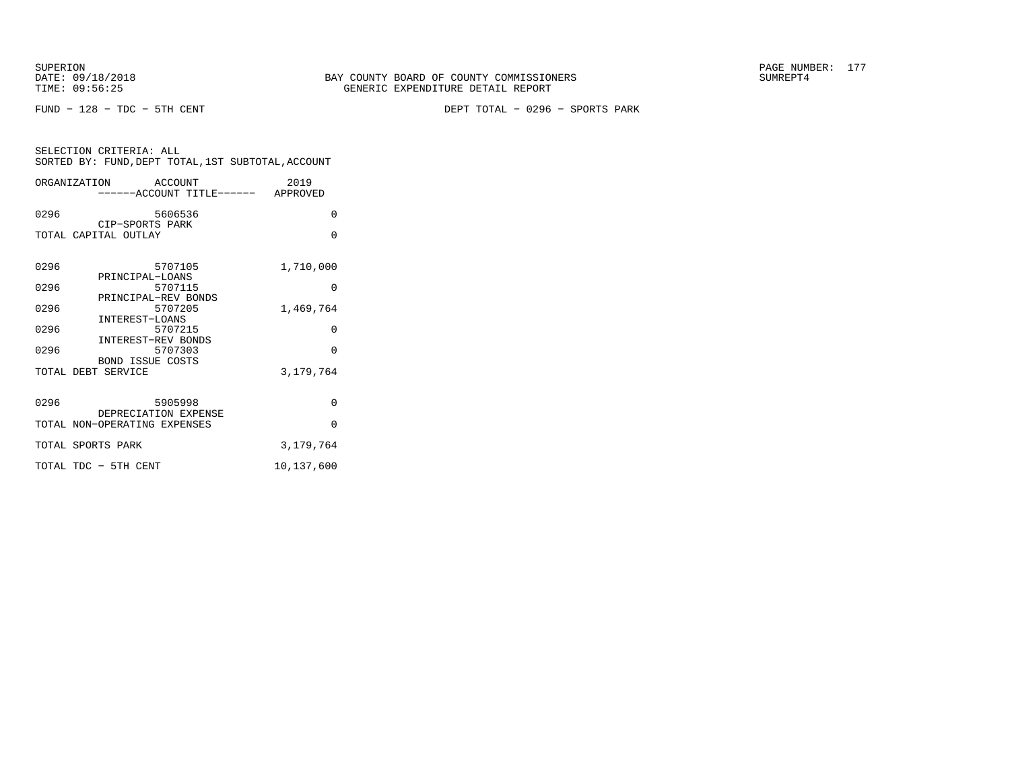FUND − 128 − TDC − 5TH CENT DEPT TOTAL − 0296 − SPORTS PARK

| SELECTION CRITERIA: ALL |  |                                                    |  |
|-------------------------|--|----------------------------------------------------|--|
|                         |  | SORTED BY: FUND, DEPT TOTAL, 1ST SUBTOTAL, ACCOUNT |  |
|                         |  |                                                    |  |

|      | ORGANIZATION<br>ACCOUNT<br>------ACCOUNT TITLE------ APPROVED   | 2019       |
|------|-----------------------------------------------------------------|------------|
| 0296 | 5606536                                                         | $\Omega$   |
|      | CIP-SPORTS PARK<br>TOTAL CAPITAL OUTLAY                         | $\Omega$   |
| 0296 | 5707105<br>PRINCIPAL-LOANS                                      | 1,710,000  |
| 0296 | 5707115                                                         | $\Omega$   |
| 0296 | PRINCIPAL-REV BONDS<br>5707205<br>INTEREST-LOANS                | 1,469,764  |
| 0296 | 5707215                                                         | $\Omega$   |
| 0296 | <b>INTEREST-REV BONDS</b><br>5707303<br><b>BOND ISSUE COSTS</b> | $\Omega$   |
|      | TOTAL DEBT SERVICE                                              | 3,179,764  |
| 0296 | 5905998<br>DEPRECIATION EXPENSE                                 | 0          |
|      | TOTAL NON-OPERATING EXPENSES                                    | $\Omega$   |
|      | TOTAL SPORTS PARK                                               | 3,179,764  |
|      | TOTAL TDC - 5TH CENT                                            | 10,137,600 |
|      |                                                                 |            |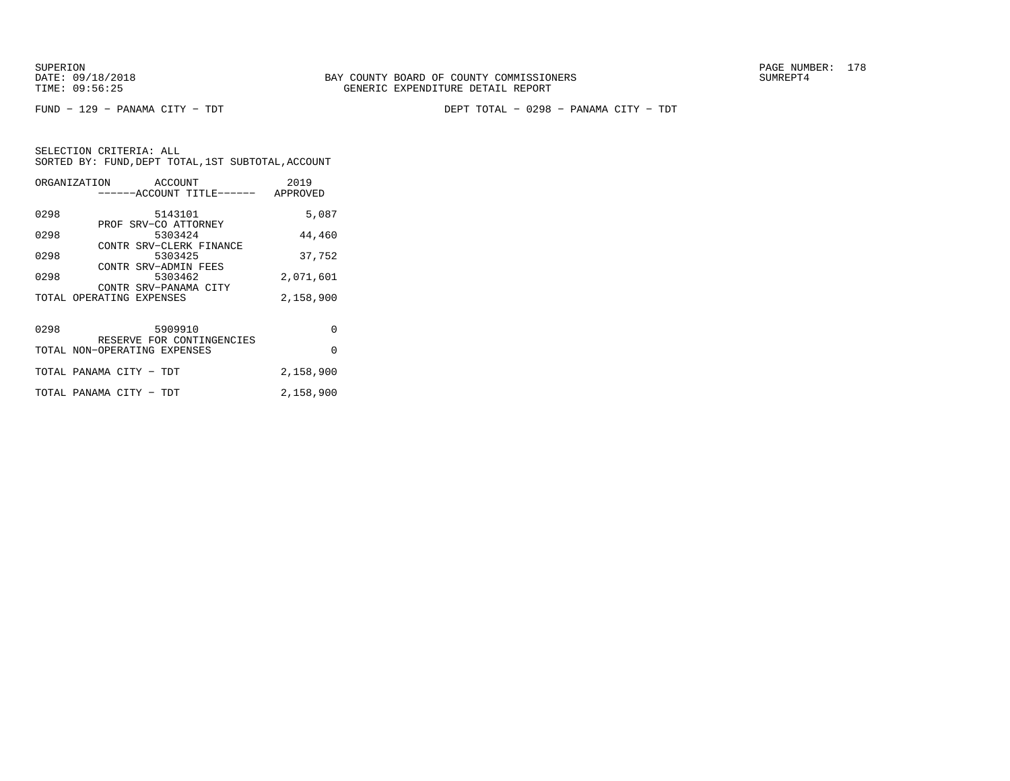SUPERION PAGE NUMBER: 178

|      | ORGANIZATION                                      | ACCOUNT | ------ACCOUNT TITLE------ APPROVED | 2019      |
|------|---------------------------------------------------|---------|------------------------------------|-----------|
| 0298 | PROF SRV-CO ATTORNEY                              | 5143101 |                                    | 5,087     |
| 0298 | CONTR SRV-CLERK FINANCE                           | 5303424 |                                    | 44,460    |
| 0298 |                                                   | 5303425 |                                    | 37,752    |
| 0298 | CONTR SRV-ADMIN FEES                              | 5303462 |                                    | 2,071,601 |
|      | CONTR SRV-PANAMA CITY<br>TOTAL OPERATING EXPENSES |         |                                    | 2,158,900 |
| 0298 | 5909910                                           |         | RESERVE FOR CONTINGENCIES          | $\Omega$  |
|      | TOTAL NON-OPERATING EXPENSES                      |         |                                    | $\Omega$  |
|      | TOTAL PANAMA CITY - TDT                           |         |                                    | 2,158,900 |
|      | TOTAL PANAMA CITY - TDT                           |         |                                    | 2,158,900 |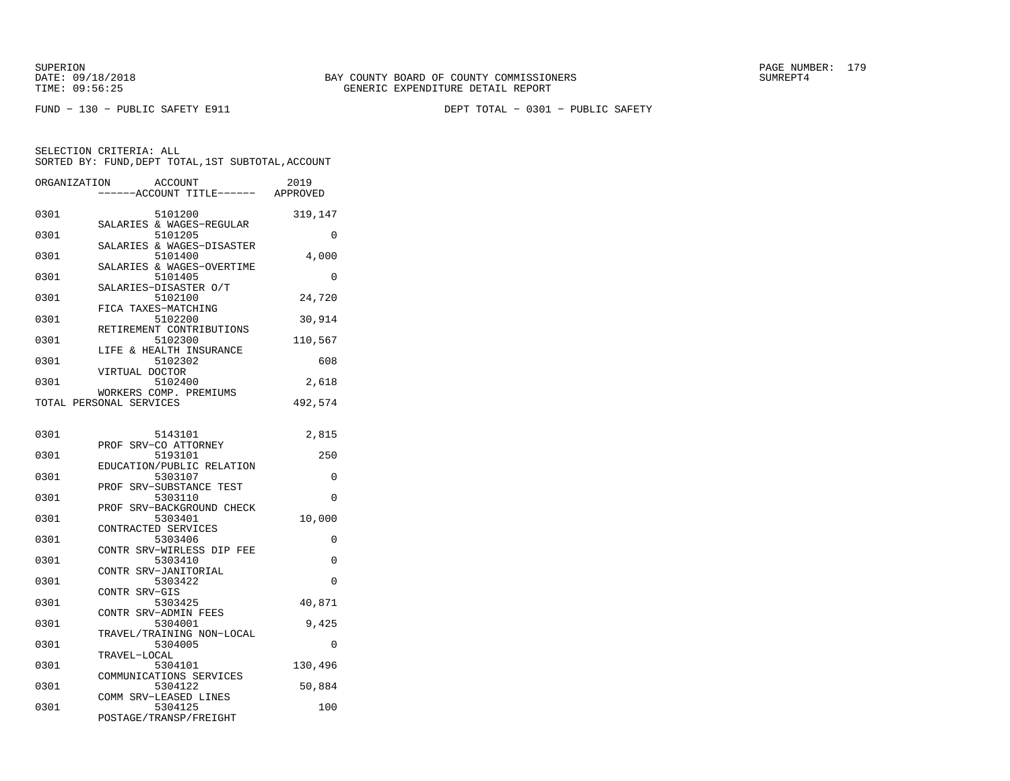FUND − 130 − PUBLIC SAFETY E911 DEPT TOTAL − 0301 − PUBLIC SAFETY

| ORGANIZATION | <b>ACCOUNT</b>                       | 2019     |
|--------------|--------------------------------------|----------|
|              | ---ACCOUNT TITLE------ APPROVED      |          |
| 0301         | 5101200                              | 319,147  |
| 0301         | SALARIES & WAGES-REGULAR<br>5101205  | 0        |
| 0301         | SALARIES & WAGES-DISASTER<br>5101400 | 4,000    |
| 0301         | SALARIES & WAGES-OVERTIME<br>5101405 | 0        |
| 0301         | SALARIES-DISASTER O/T<br>5102100     | 24,720   |
| 0301         | FICA TAXES-MATCHING<br>5102200       | 30,914   |
| 0301         | RETIREMENT CONTRIBUTIONS<br>5102300  | 110,567  |
| 0301         | LIFE & HEALTH INSURANCE<br>5102302   | 608      |
| 0301         | VIRTUAL DOCTOR<br>5102400            | 2,618    |
|              | WORKERS COMP. PREMIUMS               |          |
|              | TOTAL PERSONAL SERVICES              | 492,574  |
| 0301         | 5143101                              | 2,815    |
| 0301         | PROF SRV-CO ATTORNEY<br>5193101      |          |
|              | EDUCATION/PUBLIC RELATION            | 250      |
| 0301         | 5303107                              | 0        |
| 0301         | PROF SRV-SUBSTANCE TEST<br>5303110   | $\Omega$ |
|              | SRV-BACKGROUND CHECK<br>PROF         |          |
| 0301         | 5303401<br>CONTRACTED SERVICES       | 10,000   |
| 0301         | 5303406                              | 0        |
| 0301         | CONTR SRV-WIRLESS DIP FEE<br>5303410 | 0        |
|              | <b>CONTR</b><br>SRV-JANITORIAL       |          |
| 0301         | 5303422<br>CONTR SRV-GIS             | $\Omega$ |
| 0301         | 5303425                              | 40,871   |
| 0301         | CONTR SRV-ADMIN FEES<br>5304001      | 9,425    |
| 0301         | TRAVEL/TRAINING NON-LOCAL<br>5304005 | $\Omega$ |
|              | TRAVEL-LOCAL                         |          |
| 0301         | 5304101<br>COMMUNICATIONS SERVICES   | 130,496  |
| 0301         | 5304122                              | 50,884   |
| 0301         | COMM SRV-LEASED LINES<br>5304125     | 100      |
|              | POSTAGE/TRANSP/FREIGHT               |          |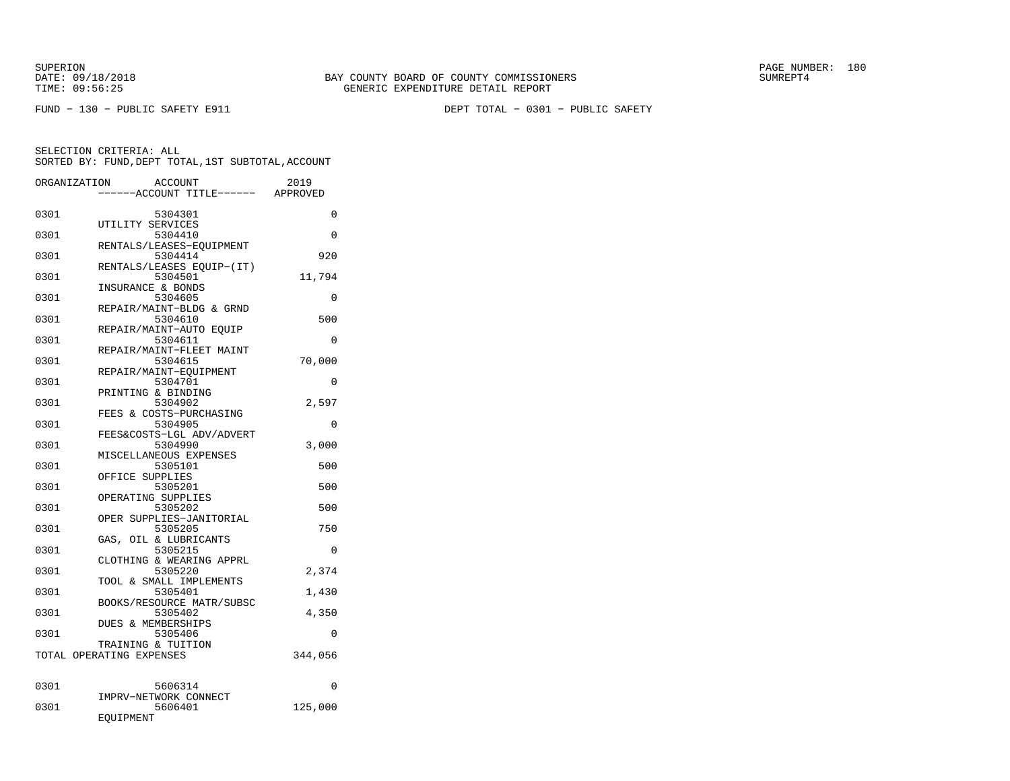FUND − 130 − PUBLIC SAFETY E911 DEPT TOTAL − 0301 − PUBLIC SAFETY

| ORGANIZATION | ACCOUNT                             | 2019     |
|--------------|-------------------------------------|----------|
|              | -----ACCOUNT TITLE------            | APPROVED |
| 0301         | 5304301                             | 0        |
|              | UTILITY SERVICES                    |          |
| 0301         | 5304410                             | 0        |
|              | RENTALS/LEASES-EOUIPMENT            |          |
| 0301         | 5304414                             | 920      |
|              | RENTALS/LEASES EQUIP-(IT)           |          |
| 0301         | 5304501                             | 11,794   |
|              | INSURANCE & BONDS                   |          |
| 0301         | 5304605                             | 0        |
|              | REPAIR/MAINT-BLDG & GRND            |          |
| 0301         | 5304610                             | 500      |
|              | REPAIR/MAINT-AUTO EOUIP             |          |
| 0301         | 5304611<br>REPAIR/MAINT-FLEET MAINT | 0        |
| 0301         | 5304615                             | 70,000   |
|              | REPAIR/MAINT-EQUIPMENT              |          |
| 0301         | 5304701                             | 0        |
|              | PRINTING & BINDING                  |          |
| 0301         | 5304902                             | 2,597    |
|              | FEES & COSTS-PURCHASING             |          |
| 0301         | 5304905                             | $\Omega$ |
|              | FEES&COSTS-LGL ADV/ADVERT           |          |
| 0301         | 5304990                             | 3,000    |
|              | MISCELLANEOUS EXPENSES              |          |
| 0301         | 5305101                             | 500      |
|              | OFFICE SUPPLIES                     |          |
| 0301         | 5305201<br>OPERATING SUPPLIES       | 500      |
| 0301         | 5305202                             | 500      |
|              | OPER SUPPLIES-JANITORIAL            |          |
| 0301         | 5305205                             | 750      |
|              | GAS, OIL & LUBRICANTS               |          |
| 0301         | 5305215                             | $\Omega$ |
|              | CLOTHING & WEARING APPRL            |          |
| 0301         | 5305220                             | 2,374    |
|              | TOOL & SMALL IMPLEMENTS             |          |
| 0301         | 5305401                             | 1,430    |
|              | BOOKS/RESOURCE MATR/SUBSC           |          |
| 0301         | 5305402                             | 4,350    |
| 0301         | DUES & MEMBERSHIPS<br>5305406       | 0        |
|              | TRAINING & TUITION                  |          |
|              | TOTAL OPERATING EXPENSES            | 344,056  |
|              |                                     |          |
|              |                                     |          |
| 0301         | 5606314                             | 0        |
|              | IMPRV-NETWORK CONNECT               |          |
| 0301         | 5606401                             | 125,000  |
|              | EQUIPMENT                           |          |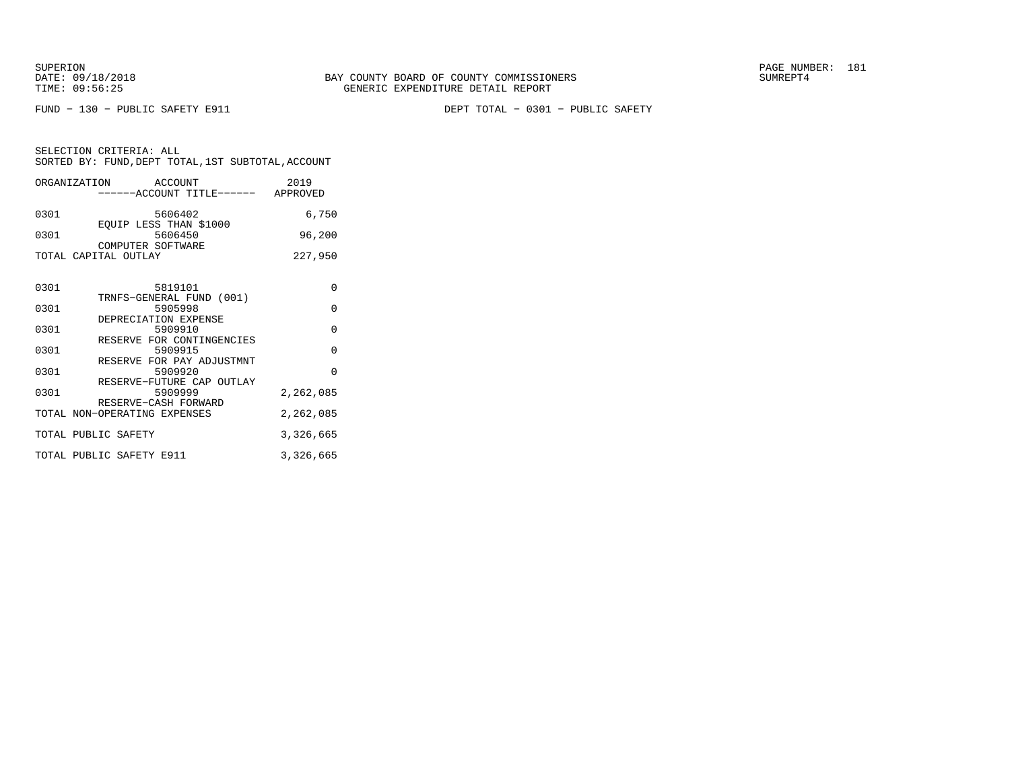FUND − 130 − PUBLIC SAFETY E911 DEPT TOTAL − 0301 − PUBLIC SAFETY

|      | ORGANIZATION ACCOUNT<br>-----ACCOUNT TITLE------ APPROVED    | 2019      |
|------|--------------------------------------------------------------|-----------|
| 0301 | 5606402<br>EOUIP LESS THAN \$1000                            | 6,750     |
| 0301 | 5606450<br>COMPUTER SOFTWARE                                 | 96,200    |
|      | TOTAL CAPITAL OUTLAY                                         | 227,950   |
| 0301 | 5819101<br>TRNFS-GENERAL FUND (001)                          | $\Omega$  |
| 0301 | 5905998                                                      | $\Omega$  |
| 0301 | DEPRECIATION EXPENSE<br>5909910                              | $\Omega$  |
| 0301 | RESERVE FOR CONTINGENCIES<br>5909915                         | $\Omega$  |
| 0301 | RESERVE FOR PAY ADJUSTMNT<br>5909920                         | $\Omega$  |
| 0301 | RESERVE-FUTURE CAP OUTLAY<br>5909999<br>RESERVE-CASH FORWARD | 2,262,085 |
|      | TOTAL NON-OPERATING EXPENSES                                 | 2,262,085 |
|      | TOTAL PUBLIC SAFETY                                          | 3,326,665 |
|      | TOTAL PUBLIC SAFETY E911                                     | 3,326,665 |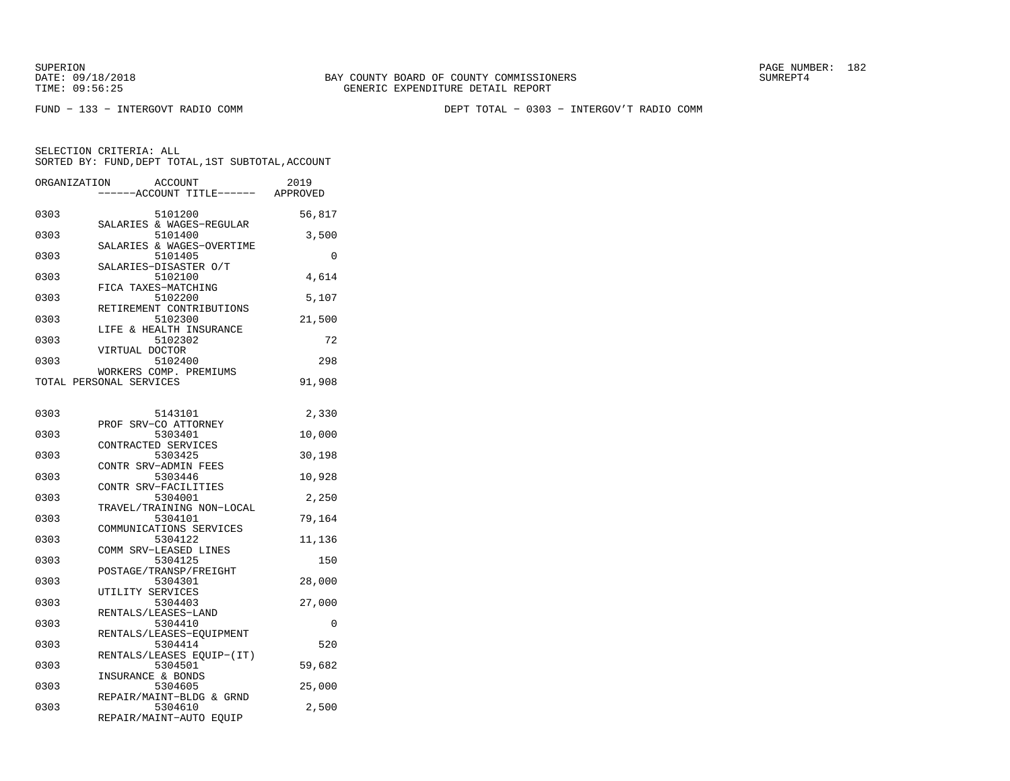SUPERION PAGE NUMBER: 182

FUND − 133 − INTERGOVT RADIO COMM DEPT TOTAL − 0303 − INTERGOV'T RADIO COMM

| ORGANIZATION            |                   | <b>ACCOUNT</b><br>---ACCOUNT TITLE------ APPROVED | 2019   |
|-------------------------|-------------------|---------------------------------------------------|--------|
| 0303                    |                   | 5101200                                           | 56,817 |
| 0303                    |                   | SALARIES & WAGES-REGULAR<br>5101400               | 3,500  |
| 0303                    |                   | SALARIES & WAGES-OVERTIME<br>5101405              | 0      |
| 0303                    |                   | SALARIES-DISASTER O/T<br>5102100                  | 4,614  |
| 0303                    |                   | FICA TAXES-MATCHING<br>5102200                    | 5,107  |
| 0303                    |                   | RETIREMENT CONTRIBUTIONS<br>5102300               | 21,500 |
| 0303                    |                   | LIFE & HEALTH INSURANCE<br>5102302                | 72     |
| 0303                    | VIRTUAL DOCTOR    | 5102400                                           | 298    |
| TOTAL PERSONAL SERVICES |                   | WORKERS COMP. PREMIUMS                            | 91,908 |
|                         |                   |                                                   |        |
| 0303                    |                   | 5143101<br>PROF SRV-CO ATTORNEY                   | 2,330  |
| 0303                    |                   | 5303401<br>CONTRACTED SERVICES                    | 10,000 |
| 0303                    |                   | 5303425<br>CONTR SRV-ADMIN FEES                   | 30,198 |
| 0303                    |                   | 5303446<br>CONTR SRV-FACILITIES                   | 10,928 |
| 0303                    |                   | 5304001<br>TRAVEL/TRAINING NON-LOCAL              | 2,250  |
| 0303                    |                   | 5304101<br>COMMUNICATIONS SERVICES                | 79,164 |
| 0303                    |                   | 5304122                                           | 11,136 |
| 0303                    |                   | COMM SRV-LEASED LINES<br>5304125                  | 150    |
| 0303                    |                   | POSTAGE/TRANSP/FREIGHT<br>5304301                 | 28,000 |
| 0303                    | UTILITY SERVICES  | 5304403                                           | 27,000 |
| 0303                    |                   | RENTALS/LEASES-LAND<br>5304410                    | 0      |
| 0303                    |                   | RENTALS/LEASES-EQUIPMENT<br>5304414               | 520    |
| 0303                    |                   | RENTALS/LEASES EQUIP-(IT)<br>5304501              | 59,682 |
| 0303                    | INSURANCE & BONDS | 5304605                                           | 25,000 |
| 0303                    |                   | REPAIR/MAINT-BLDG & GRND<br>5304610               | 2,500  |
|                         |                   | REPAIR/MAINT-AUTO EQUIP                           |        |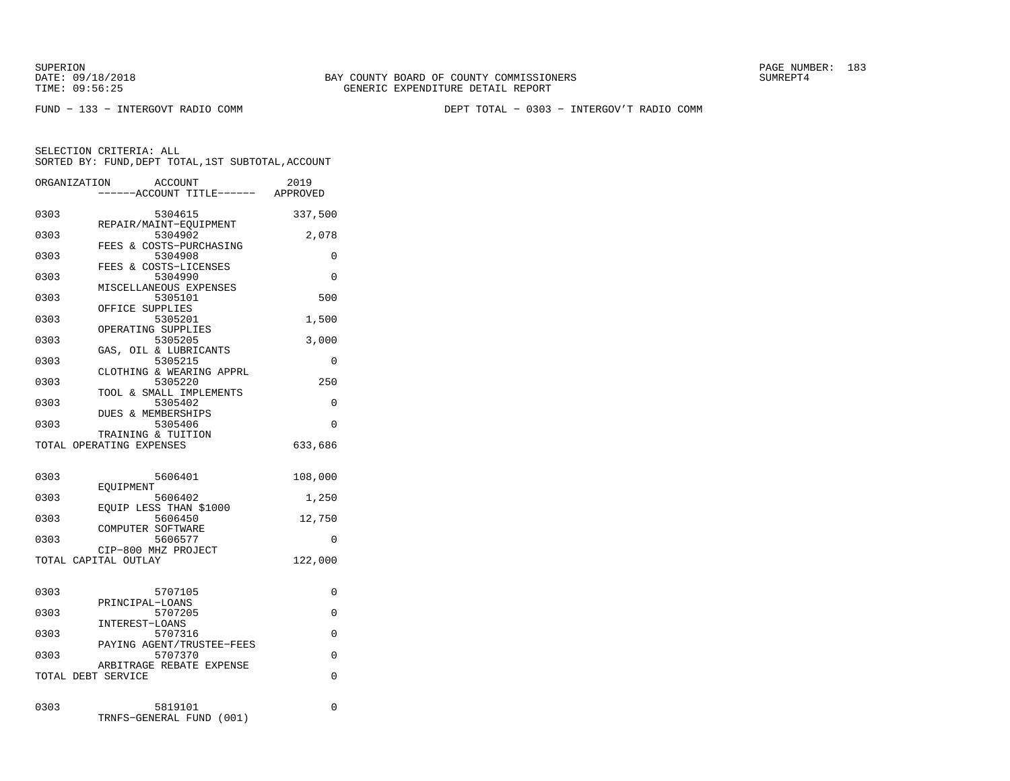SUPERION PAGE NUMBER: 183

FUND − 133 − INTERGOVT RADIO COMM DEPT TOTAL − 0303 − INTERGOV'T RADIO COMM

|      | ORGANIZATION<br>ACCOUNT<br>----ACCOUNT TITLE------ APPROVED | 2019     |
|------|-------------------------------------------------------------|----------|
| 0303 | 5304615                                                     | 337,500  |
| 0303 | REPAIR/MAINT-EOUIPMENT<br>5304902                           | 2,078    |
| 0303 | FEES & COSTS-PURCHASING<br>5304908                          | 0        |
| 0303 | FEES & COSTS-LICENSES<br>5304990                            | $\Omega$ |
| 0303 | MISCELLANEOUS EXPENSES<br>5305101                           | 500      |
| 0303 | OFFICE SUPPLIES<br>5305201                                  | 1,500    |
| 0303 | OPERATING SUPPLIES<br>5305205                               | 3,000    |
| 0303 | GAS, OIL & LUBRICANTS<br>5305215                            | $\Omega$ |
| 0303 | CLOTHING & WEARING APPRL<br>5305220                         | 250      |
| 0303 | TOOL & SMALL IMPLEMENTS<br>5305402                          | 0        |
| 0303 | DUES & MEMBERSHIPS<br>5305406                               | $\Omega$ |
|      | TRAINING & TUITION<br>TOTAL OPERATING EXPENSES              | 633,686  |
| 0303 | 5606401                                                     | 108,000  |
| 0303 | EOUIPMENT<br>5606402                                        | 1,250    |
| 0303 | EOUIP LESS THAN \$1000<br>5606450                           | 12,750   |
| 0303 | COMPUTER SOFTWARE<br>5606577                                | 0        |
|      | CIP-800 MHZ PROJECT<br>TOTAL CAPITAL OUTLAY                 | 122,000  |
| 0303 | 5707105                                                     | 0        |
| 0303 | PRINCIPAL-LOANS<br>5707205                                  | 0        |
| 0303 | INTEREST-LOANS<br>5707316                                   | 0        |
| 0303 | PAYING AGENT/TRUSTEE-FEES<br>5707370                        | $\Omega$ |
|      | ARBITRAGE REBATE EXPENSE<br>TOTAL DEBT SERVICE              | 0        |
| 0303 | 5819101<br>TRNFS-GENERAL FUND<br>(001)                      | 0        |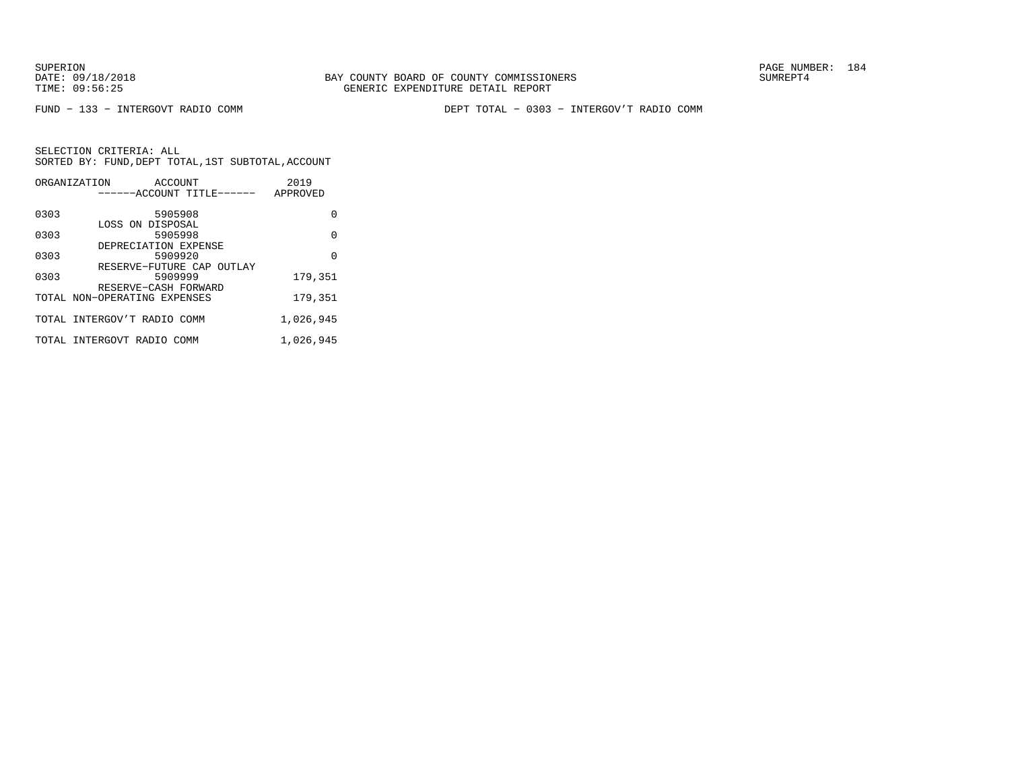FUND − 133 − INTERGOVT RADIO COMM DEPT TOTAL − 0303 − INTERGOV'T RADIO COMM

|      | ORGANIZATION<br>ACCOUNT<br>------ACCOUNT TITLE------ | 2019<br>APPROVED |
|------|------------------------------------------------------|------------------|
| 0303 | 5905908                                              | 0                |
| 0303 | LOSS ON DISPOSAL<br>5905998                          | 0                |
| 0303 | DEPRECIATION EXPENSE<br>5909920                      | 0                |
| 0303 | RESERVE-FUTURE CAP OUTLAY<br>5909999                 | 179,351          |
|      | RESERVE-CASH FORWARD<br>TOTAL NON-OPERATING EXPENSES | 179,351          |
|      | TOTAL INTERGOV'T RADIO COMM                          | 1,026,945        |
|      | TOTAL INTERGOVT RADIO COMM                           | 1,026,945        |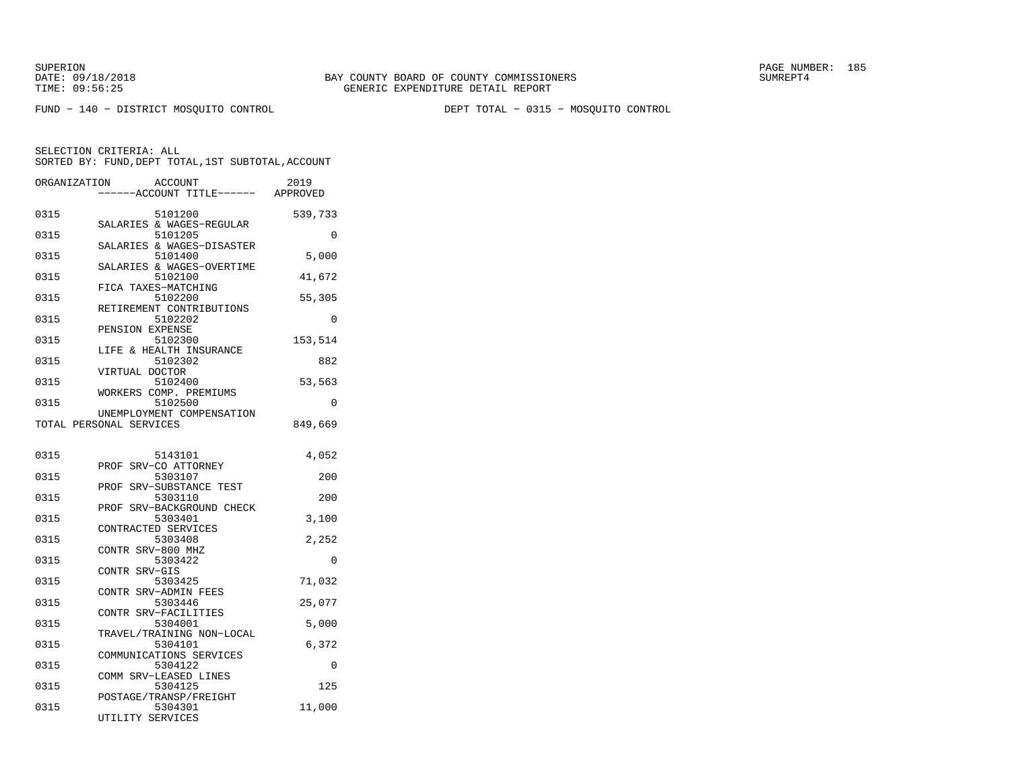FUND − 140 − DISTRICT MOSQUITO CONTROL DEPT TOTAL − 0315 − MOSQUITO CONTROL

| ORGANIZATION | <b>ACCOUNT</b><br>----ACCOUNT TITLE------ APPROVED   | 2019    |
|--------------|------------------------------------------------------|---------|
| 0315         | 5101200<br>SALARIES & WAGES-REGULAR                  | 539,733 |
| 0315         | 5101205                                              | 0       |
| 0315         | SALARIES & WAGES-DISASTER<br>5101400                 | 5,000   |
| 0315         | SALARIES & WAGES-OVERTIME<br>5102100                 | 41,672  |
| 0315         | FICA TAXES-MATCHING<br>5102200                       | 55,305  |
| 0315         | RETIREMENT CONTRIBUTIONS<br>5102202                  | 0       |
| 0315         | PENSION EXPENSE<br>5102300                           | 153,514 |
| 0315         | LIFE & HEALTH INSURANCE<br>5102302                   | 882     |
| 0315         | VIRTUAL DOCTOR<br>5102400                            | 53,563  |
| 0315         | WORKERS COMP. PREMIUMS<br>5102500                    | 0       |
|              | UNEMPLOYMENT COMPENSATION<br>TOTAL PERSONAL SERVICES | 849,669 |
|              |                                                      |         |
| 0315         | 5143101                                              | 4,052   |
| 0315         | PROF SRV-CO ATTORNEY<br>5303107                      | 200     |
| 0315         | PROF SRV-SUBSTANCE TEST<br>5303110                   | 200     |
| 0315         | PROF SRV-BACKGROUND CHECK<br>5303401                 | 3,100   |
| 0315         | CONTRACTED SERVICES<br>5303408                       | 2,252   |
| 0315         | CONTR SRV-800 MHZ<br>5303422                         | 0       |
| 0315         | CONTR SRV-GIS<br>5303425                             | 71,032  |
| 0315         | CONTR SRV-ADMIN FEES<br>5303446                      | 25,077  |
| 0315         | CONTR SRV-FACILITIES<br>5304001                      | 5,000   |
|              | TRAVEL/TRAINING NON-LOCAL                            |         |
| 0315         | 5304101<br>COMMUNICATIONS SERVICES                   | 6,372   |
| 0315         | 5304122<br>COMM SRV-LEASED LINES                     | 0       |
| 0315         | 5304125<br>POSTAGE/TRANSP/FREIGHT                    | 125     |
| 0315         | 5304301<br>UTILITY SERVICES                          | 11,000  |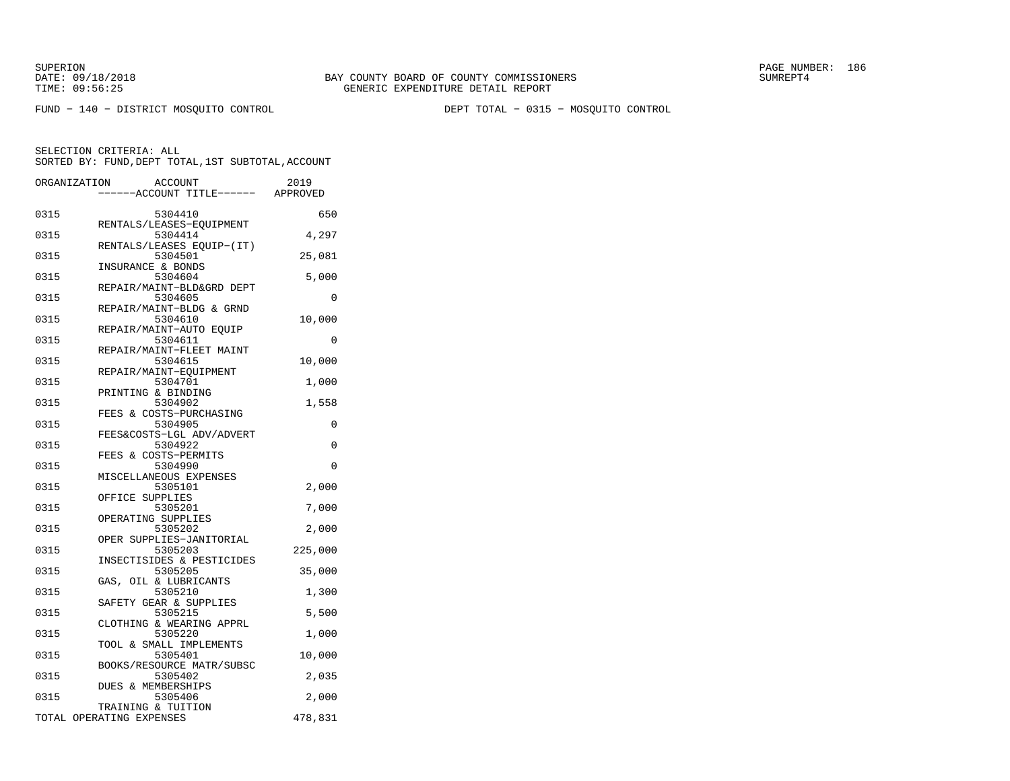FUND − 140 − DISTRICT MOSQUITO CONTROL DEPT TOTAL − 0315 − MOSQUITO CONTROL

|      | ORGANIZATION<br><b>ACCOUNT</b><br>---ACCOUNT TITLE------ APPROVED | 2019     |
|------|-------------------------------------------------------------------|----------|
| 0315 | 5304410                                                           | 650      |
| 0315 | RENTALS/LEASES-EQUIPMENT<br>5304414                               | 4,297    |
| 0315 | RENTALS/LEASES EQUIP-(IT)<br>5304501                              | 25,081   |
| 0315 | INSURANCE & BONDS<br>5304604<br>REPAIR/MAINT-BLD&GRD DEPT         | 5,000    |
| 0315 | 5304605<br>REPAIR/MAINT-BLDG & GRND                               | 0        |
| 0315 | 5304610<br>REPAIR/MAINT-AUTO EQUIP                                | 10,000   |
| 0315 | 5304611<br>REPAIR/MAINT-FLEET MAINT                               | $\Omega$ |
| 0315 | 5304615<br>REPAIR/MAINT-EOUIPMENT                                 | 10,000   |
| 0315 | 5304701<br>PRINTING & BINDING                                     | 1,000    |
| 0315 | 5304902<br>FEES & COSTS-PURCHASING                                | 1,558    |
| 0315 | 5304905<br>FEES&COSTS-LGL ADV/ADVERT                              | 0        |
| 0315 | 5304922<br>FEES & COSTS-PERMITS                                   | 0        |
| 0315 | 5304990<br>MISCELLANEOUS EXPENSES                                 | 0        |
| 0315 | 5305101<br>OFFICE SUPPLIES                                        | 2,000    |
| 0315 | 5305201<br>OPERATING SUPPLIES                                     | 7,000    |
| 0315 | 5305202<br>OPER SUPPLIES-JANITORIAL                               | 2,000    |
| 0315 | 5305203<br>INSECTISIDES & PESTICIDES                              | 225,000  |
| 0315 | 5305205<br>GAS, OIL & LUBRICANTS                                  | 35,000   |
| 0315 | 5305210<br>SAFETY GEAR & SUPPLIES                                 | 1,300    |
| 0315 | 5305215<br>CLOTHING & WEARING APPRL                               | 5,500    |
| 0315 | 5305220<br>TOOL & SMALL IMPLEMENTS                                | 1,000    |
| 0315 | 5305401<br>BOOKS/RESOURCE MATR/SUBSC                              | 10,000   |
| 0315 | 5305402<br><b>DUES &amp; MEMBERSHIPS</b>                          | 2,035    |
| 0315 | 5305406<br>TRAINING & TUITION                                     | 2,000    |
|      | TOTAL OPERATING EXPENSES                                          | 478,831  |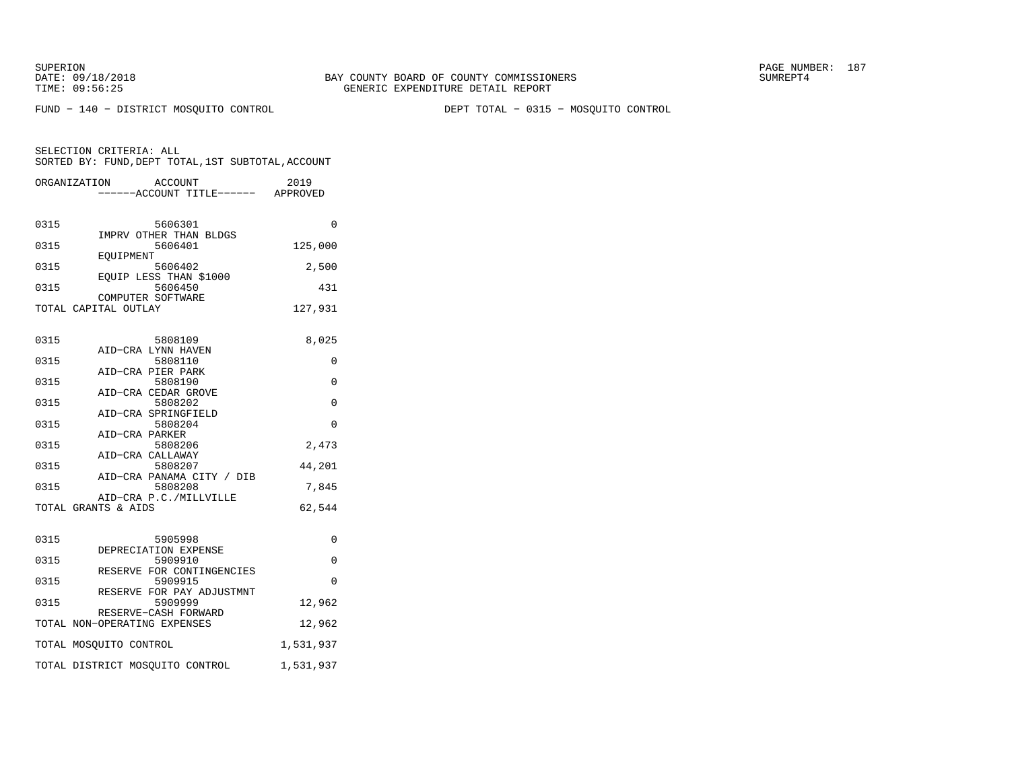FUND − 140 − DISTRICT MOSQUITO CONTROL DEPT TOTAL − 0315 − MOSQUITO CONTROL

|      | <b>ACCOUNT</b><br>ORGANIZATION                       | 2019<br>----ACCOUNT TITLE------ APPROVED |
|------|------------------------------------------------------|------------------------------------------|
| 0315 | 5606301<br>IMPRV OTHER THAN BLDGS                    | $\Omega$                                 |
| 0315 | 5606401<br>EOUIPMENT                                 | 125,000                                  |
| 0315 | 5606402<br>EOUIP LESS THAN \$1000                    | 2,500                                    |
| 0315 | 5606450<br>COMPUTER SOFTWARE                         | 431                                      |
|      | TOTAL CAPITAL OUTLAY                                 | 127,931                                  |
| 0315 | 5808109<br>AID-CRA LYNN HAVEN                        | 8,025                                    |
| 0315 | 5808110<br>AID-CRA PIER PARK                         | 0                                        |
| 0315 | 5808190                                              | $\Omega$                                 |
| 0315 | AID-CRA CEDAR GROVE<br>5808202                       | $\Omega$                                 |
| 0315 | AID-CRA SPRINGFIELD<br>5808204                       | 0                                        |
| 0315 | AID-CRA PARKER<br>5808206                            | 2,473                                    |
| 0315 | AID-CRA CALLAWAY<br>5808207                          | 44,201                                   |
| 0315 | AID-CRA PANAMA CITY / DIB<br>5808208                 | 7,845                                    |
|      | AID-CRA P.C./MILLVILLE<br>TOTAL GRANTS & AIDS        | 62,544                                   |
| 0315 | 5905998<br>DEPRECIATION EXPENSE                      | 0                                        |
| 0315 | 5909910<br>RESERVE FOR CONTINGENCIES                 | $\Omega$                                 |
| 0315 | 5909915<br>RESERVE FOR PAY ADJUSTMNT                 | $\Omega$                                 |
| 0315 | 5909999                                              | 12,962                                   |
|      | RESERVE-CASH FORWARD<br>TOTAL NON-OPERATING EXPENSES | 12,962                                   |
|      | TOTAL MOSQUITO CONTROL                               | 1,531,937                                |
|      | TOTAL DISTRICT MOSQUITO CONTROL                      | 1,531,937                                |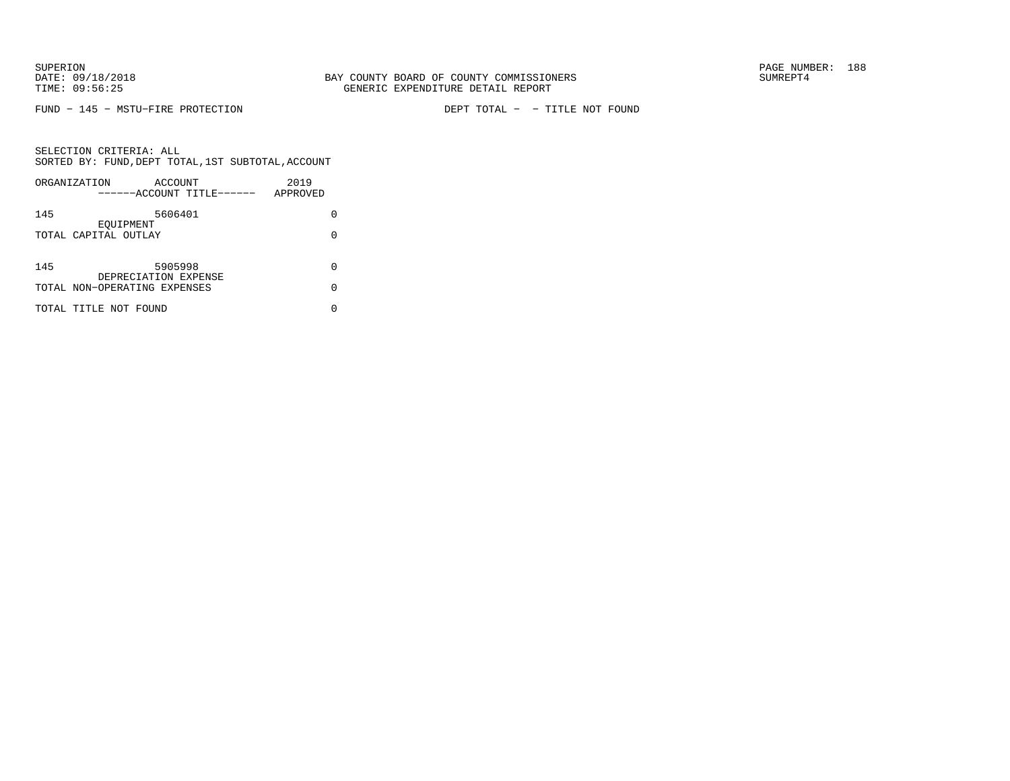FUND − 145 − MSTU−FIRE PROTECTION DEPT TOTAL − − TITLE NOT FOUND

|     | ORGANIZATION<br>ACCOUNT<br>------ACCOUNT TITLE------ | 2019<br>APPROVED |
|-----|------------------------------------------------------|------------------|
| 145 | 5606401<br>EOUIPMENT                                 | O                |
|     | TOTAL CAPITAL OUTLAY                                 | 0                |
| 145 | 5905998                                              |                  |
|     | DEPRECIATION EXPENSE<br>TOTAL NON-OPERATING EXPENSES | U                |
|     | TOTAL TITLE NOT FOUND                                |                  |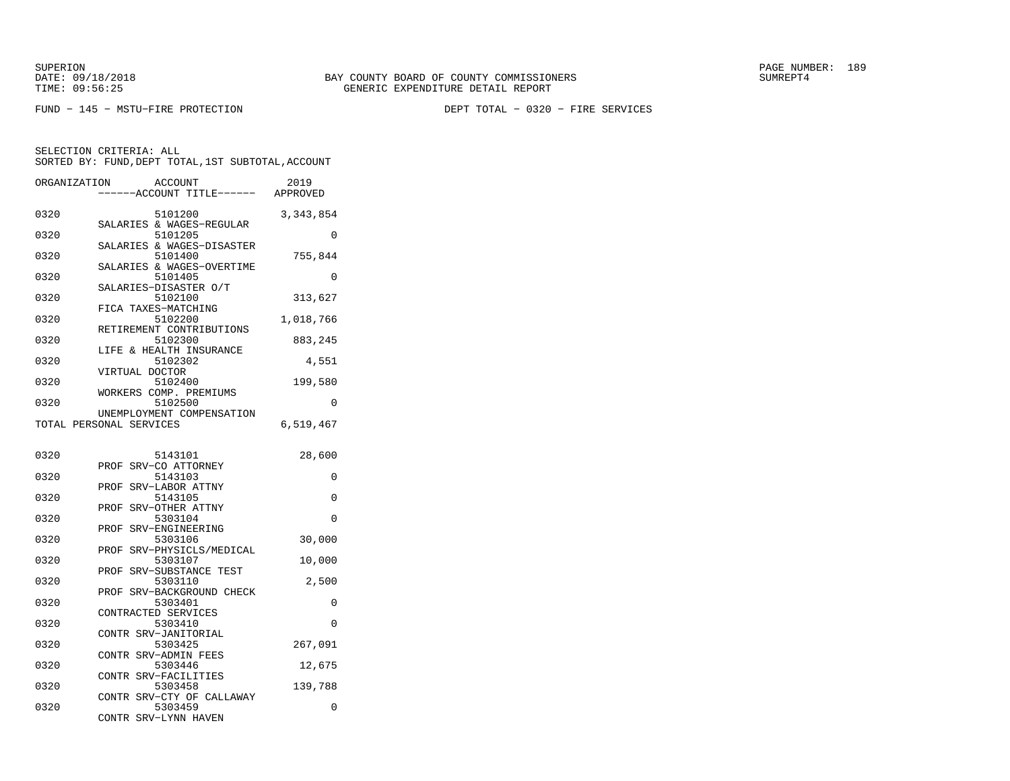FUND − 145 − MSTU−FIRE PROTECTION DEPT TOTAL − 0320 − FIRE SERVICES

| ORGANIZATION |                         | ACCOUNT<br>---ACCOUNT TITLE------    | 2019<br>APPROVED |
|--------------|-------------------------|--------------------------------------|------------------|
| 0320         |                         | 5101200<br>SALARIES & WAGES-REGULAR  | 3, 343, 854      |
| 0320         |                         | 5101205<br>SALARIES & WAGES-DISASTER | $\Omega$         |
| 0320         |                         | 5101400<br>SALARIES & WAGES-OVERTIME | 755,844          |
| 0320         |                         | 5101405<br>SALARIES-DISASTER O/T     | 0                |
| 0320         | FICA TAXES-MATCHING     | 5102100                              | 313,627          |
| 0320         |                         | 5102200<br>RETIREMENT CONTRIBUTIONS  | 1,018,766        |
| 0320         |                         | 5102300<br>LIFE & HEALTH INSURANCE   | 883,245          |
| 0320         | VIRTUAL DOCTOR          | 5102302                              | 4,551            |
| 0320         |                         | 5102400<br>WORKERS COMP. PREMIUMS    | 199,580          |
| 0320         |                         | 5102500<br>UNEMPLOYMENT COMPENSATION | 0                |
|              | TOTAL PERSONAL SERVICES |                                      | 6,519,467        |
| 0320         |                         | 5143101                              | 28,600           |
| 0320         | PROF                    | SRV-CO ATTORNEY<br>5143103           | 0                |
| 0320         | PROF                    | SRV-LABOR ATTNY<br>5143105           | 0                |
| 0320         | PROF                    | SRV-OTHER ATTNY<br>5303104           | $\Omega$         |
| 0320         | PROF                    | SRV-ENGINEERING<br>5303106           | 30,000           |
| 0320         | PROF                    | SRV-PHYSICLS/MEDICAL<br>5303107      | 10,000           |
| 0320         | PROF                    | SRV-SUBSTANCE TEST<br>5303110        | 2,500            |
| 0320         | PROF                    | SRV-BACKGROUND CHECK<br>5303401      | 0                |
| 0320         | CONTRACTED SERVICES     | 5303410                              | $\Omega$         |
| 0320         |                         | CONTR SRV-JANITORIAL<br>5303425      | 267,091          |
| 0320         |                         | CONTR SRV-ADMIN FEES<br>5303446      | 12,675           |
| 0320         | CONTR                   | SRV-FACILITIES<br>5303458            | 139,788          |
| 0320         |                         | CONTR SRV-CTY OF CALLAWAY<br>5303459 | 0                |
|              |                         | CONTR SRV-LYNN HAVEN                 |                  |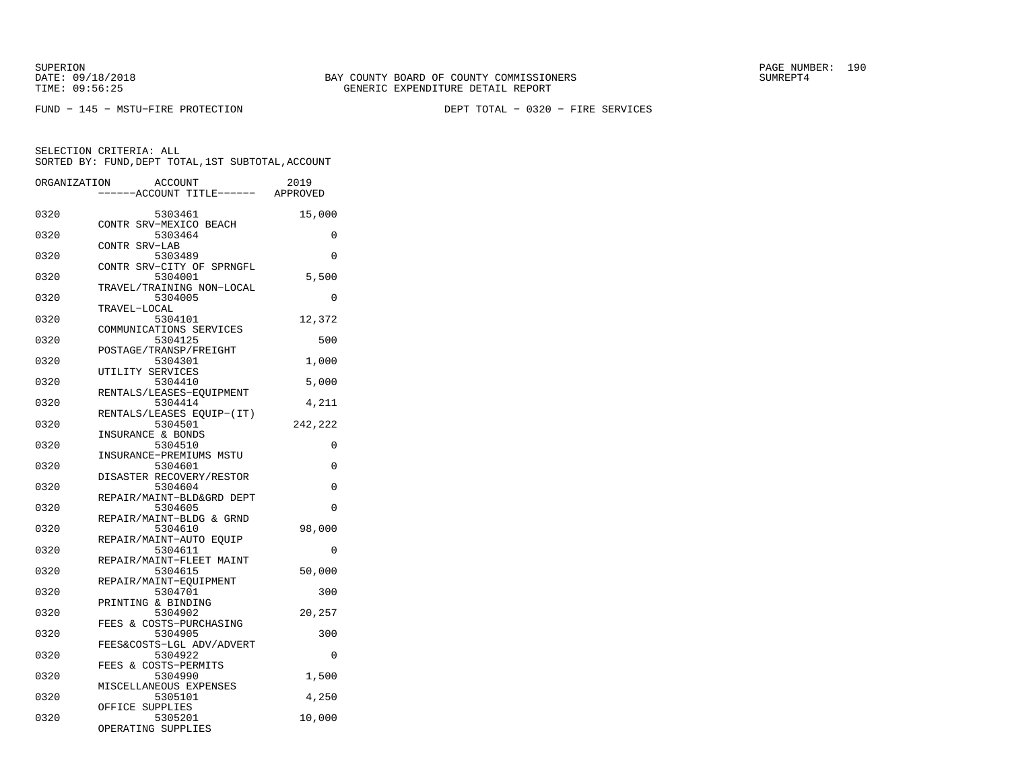FUND − 145 − MSTU−FIRE PROTECTION DEPT TOTAL − 0320 − FIRE SERVICES

| ORGANIZATION | <b>ACCOUNT</b><br>---ACCOUNT TITLE------ APPROVED                 | 2019     |
|--------------|-------------------------------------------------------------------|----------|
| 0320         | 5303461                                                           | 15,000   |
| 0320         | CONTR SRV-MEXICO BEACH<br>5303464                                 | 0        |
| 0320         | CONTR SRV-LAB<br>5303489                                          | $\Omega$ |
| 0320         | CONTR SRV-CITY OF SPRNGFL<br>5304001<br>TRAVEL/TRAINING NON-LOCAL | 5,500    |
| 0320         | 5304005<br>TRAVEL-LOCAL                                           | 0        |
| 0320         | 5304101<br>COMMUNICATIONS SERVICES                                | 12,372   |
| 0320         | 5304125<br>POSTAGE/TRANSP/FREIGHT                                 | 500      |
| 0320         | 5304301<br>UTILITY SERVICES                                       | 1,000    |
| 0320         | 5304410<br>RENTALS/LEASES-EOUIPMENT                               | 5,000    |
| 0320         | 5304414<br>RENTALS/LEASES EQUIP-(IT)                              | 4,211    |
| 0320         | 5304501<br>INSURANCE & BONDS                                      | 242,222  |
| 0320         | 5304510<br>INSURANCE-PREMIUMS MSTU                                | 0        |
| 0320         | 5304601<br>DISASTER RECOVERY/RESTOR                               | 0        |
| 0320         | 5304604<br>REPAIR/MAINT-BLD&GRD DEPT                              | $\Omega$ |
| 0320         | 5304605<br>REPAIR/MAINT-BLDG & GRND                               | 0        |
| 0320         | 5304610<br>REPAIR/MAINT-AUTO EOUIP                                | 98,000   |
| 0320         | 5304611<br>REPAIR/MAINT-FLEET MAINT                               | 0        |
| 0320         | 5304615<br>REPAIR/MAINT-EQUIPMENT                                 | 50,000   |
| 0320         | 5304701<br>PRINTING & BINDING                                     | 300      |
| 0320         | 5304902<br>FEES & COSTS-PURCHASING                                | 20,257   |
| 0320         | 5304905<br>FEES&COSTS-LGL ADV/ADVERT                              | 300      |
| 0320         | 5304922<br>FEES & COSTS-PERMITS                                   | 0        |
| 0320         | 5304990<br>MISCELLANEOUS EXPENSES                                 | 1,500    |
| 0320         | 5305101<br>OFFICE SUPPLIES                                        | 4,250    |
| 0320         | 5305201<br>OPERATING SUPPLIES                                     | 10,000   |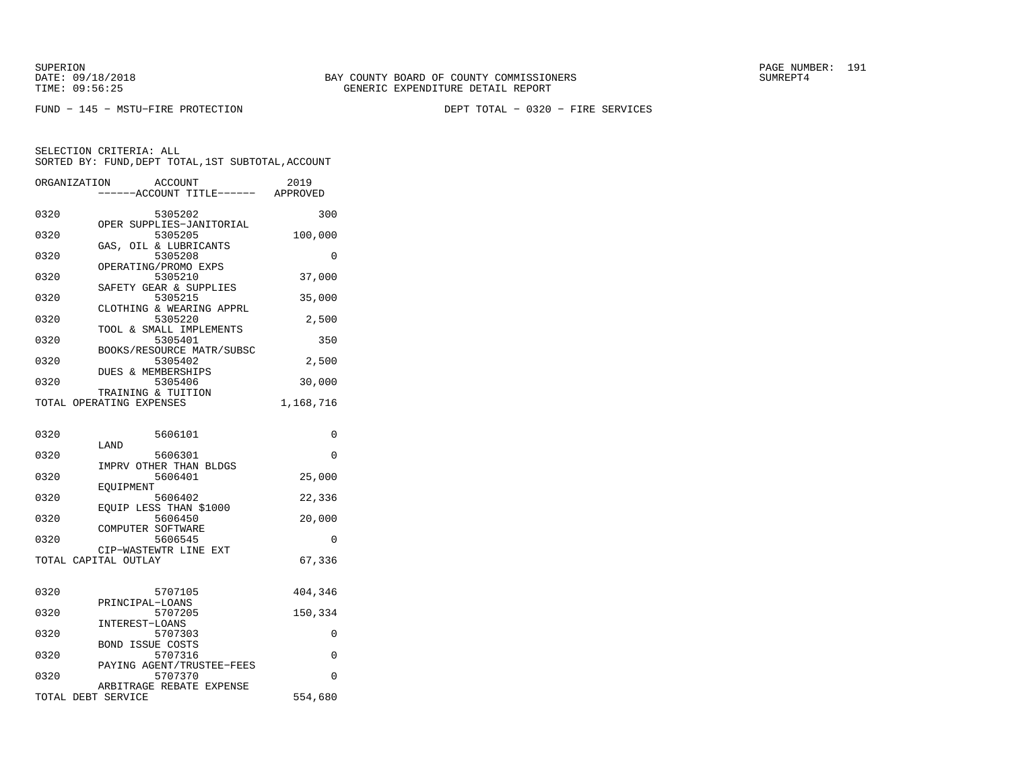FUND − 145 − MSTU−FIRE PROTECTION DEPT TOTAL − 0320 − FIRE SERVICES

| ORGANIZATION       | <b>ACCOUNT</b><br>---ACCOUNT TITLE------ APPROVED | 2019      |
|--------------------|---------------------------------------------------|-----------|
| 0320               | 5305202                                           | 300       |
| 0320               | OPER SUPPLIES-JANITORIAL<br>5305205               | 100,000   |
| 0320               | GAS, OIL & LUBRICANTS<br>5305208                  | 0         |
| 0320               | OPERATING/PROMO EXPS<br>5305210                   | 37,000    |
| 0320               | SAFETY GEAR & SUPPLIES<br>5305215                 | 35,000    |
| 0320               | CLOTHING & WEARING APPRL<br>5305220               | 2,500     |
| 0320               | TOOL & SMALL IMPLEMENTS<br>5305401                | 350       |
| 0320               | BOOKS/RESOURCE MATR/SUBSC<br>5305402              | 2,500     |
| 0320               | DUES & MEMBERSHIPS<br>5305406                     | 30,000    |
|                    | TRAINING & TUITION                                | 1,168,716 |
|                    | TOTAL OPERATING EXPENSES                          |           |
| 0320               | 5606101                                           | 0         |
| 0320               | LAND<br>5606301                                   | $\Omega$  |
| 0320               | IMPRV OTHER THAN BLDGS<br>5606401                 | 25,000    |
| 0320               | EQUIPMENT<br>5606402                              | 22,336    |
| 0320               | EQUIP LESS THAN \$1000<br>5606450                 | 20,000    |
| 0320               | COMPUTER SOFTWARE<br>5606545                      | 0         |
|                    | CIP-WASTEWTR LINE EXT<br>TOTAL CAPITAL OUTLAY     | 67,336    |
|                    |                                                   |           |
| 0320               | 5707105                                           | 404,346   |
| 0320               | PRINCIPAL-LOANS<br>5707205                        | 150,334   |
| 0320               | INTEREST-LOANS<br>5707303                         | 0         |
| 0320               | <b>BOND ISSUE COSTS</b><br>5707316                | 0         |
| 0320               | PAYING AGENT/TRUSTEE-FEES<br>5707370              | $\Omega$  |
| TOTAL DEBT SERVICE | ARBITRAGE REBATE EXPENSE                          | 554,680   |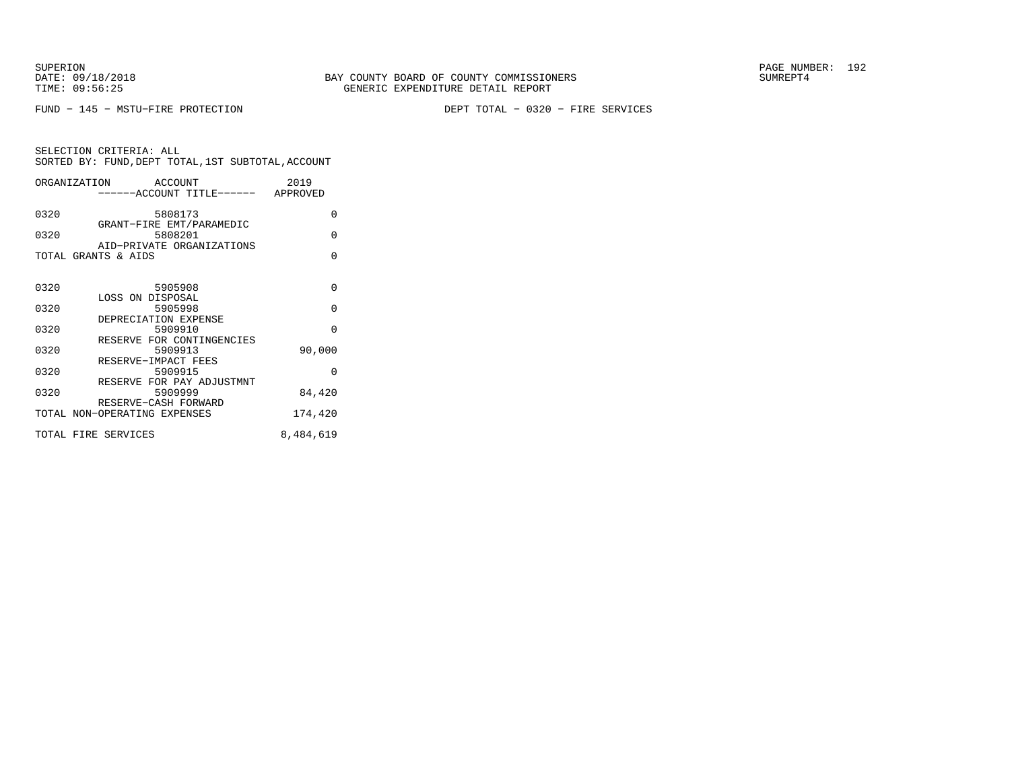FUND − 145 − MSTU−FIRE PROTECTION DEPT TOTAL − 0320 − FIRE SERVICES

SELECTION CRITERIA: ALL SORTED BY: FUND,DEPT TOTAL,1ST SUBTOTAL,ACCOUNTORGANIZATION ACCOUNT 2019 −−−−−−ACCOUNT TITLE−−−−−− APPROVED0320 5808173 0

| しつムリ | 10101117                            | ν        |
|------|-------------------------------------|----------|
| 0320 | GRANT-FIRE EMT/PARAMEDIC<br>5808201 | $\Omega$ |
|      | AID-PRIVATE ORGANIZATIONS           |          |
|      | TOTAL GRANTS & AIDS                 | $\Omega$ |
| 0320 | 5905908                             | $\Omega$ |
|      | LOSS ON DISPOSAL                    |          |
| 0320 | 5905998                             | $\Omega$ |
|      | DEPRECIATION EXPENSE                |          |
| 0320 | 5909910                             | $\Omega$ |
|      | RESERVE FOR CONTINGENCIES           |          |
| 0320 | 5909913                             | 90,000   |
|      | RESERVE-IMPACT FEES                 |          |
| 0320 | 5909915                             | $\Omega$ |
|      | RESERVE FOR PAY ADJUSTMNT           |          |
| 0320 | 5909999                             | 84,420   |
|      | RESERVE-CASH FORWARD                |          |
|      | TOTAL NON-OPERATING EXPENSES        | 174,420  |

TOTAL FIRE SERVICES 8,484,619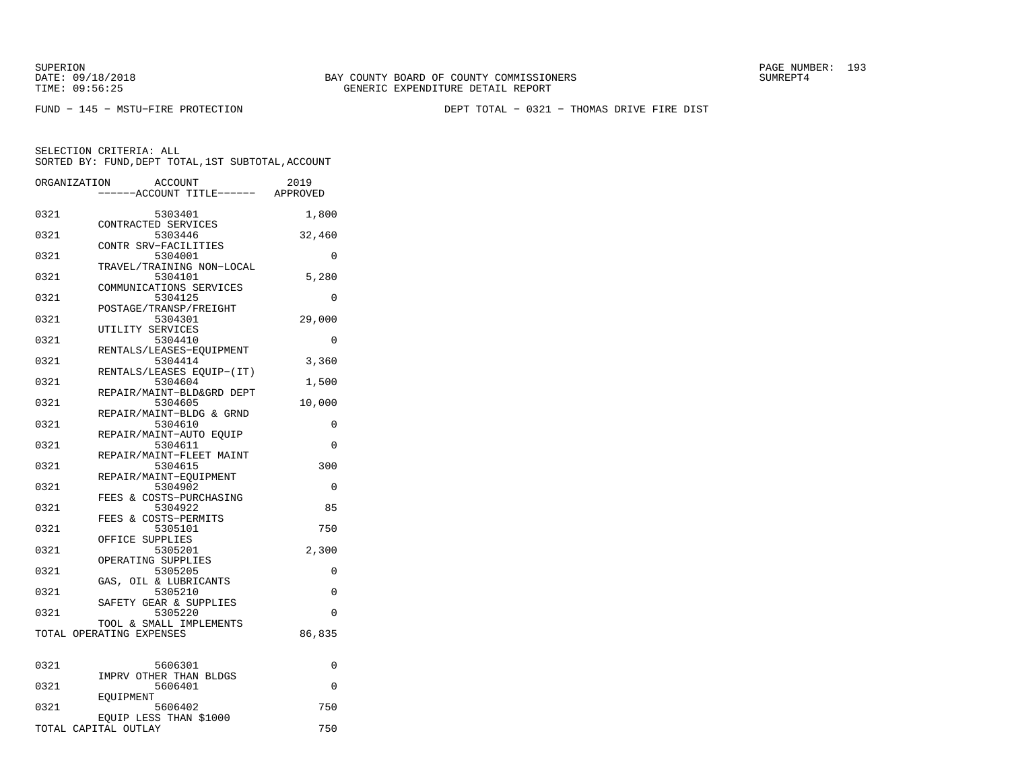SUPERION PAGE NUMBER: 193

FUND − 145 − MSTU−FIRE PROTECTION DEPT TOTAL − 0321 − THOMAS DRIVE FIRE DIST

| ORGANIZATION | ACCOUNT<br>---ACCOUNT TITLE------ APPROVED          | 2019     |
|--------------|-----------------------------------------------------|----------|
| 0321         | 5303401                                             | 1,800    |
| 0321         | CONTRACTED SERVICES<br>5303446                      | 32,460   |
| 0321         | CONTR SRV-FACILITIES<br>5304001                     | 0        |
| 0321         | TRAVEL/TRAINING NON-LOCAL<br>5304101                | 5,280    |
| 0321         | COMMUNICATIONS SERVICES<br>5304125                  | 0        |
| 0321         | POSTAGE/TRANSP/FREIGHT<br>5304301                   | 29,000   |
| 0321         | UTILITY SERVICES<br>5304410                         | $\Omega$ |
| 0321         | RENTALS/LEASES-EQUIPMENT<br>5304414                 | 3,360    |
| 0321         | RENTALS/LEASES EQUIP-(IT)<br>5304604                | 1,500    |
| 0321         | REPAIR/MAINT-BLD&GRD DEPT<br>5304605                | 10,000   |
| 0321         | REPAIR/MAINT-BLDG & GRND<br>5304610                 | 0        |
| 0321         | REPAIR/MAINT-AUTO EQUIP<br>5304611                  | $\Omega$ |
| 0321         | REPAIR/MAINT-FLEET MAINT<br>5304615                 | 300      |
| 0321         | REPAIR/MAINT-EQUIPMENT<br>5304902                   | $\Omega$ |
| 0321         | FEES & COSTS-PURCHASING<br>5304922                  | 85       |
| 0321         | FEES & COSTS-PERMITS<br>5305101                     | 750      |
| 0321         | OFFICE SUPPLIES<br>5305201                          | 2,300    |
| 0321         | OPERATING SUPPLIES<br>5305205                       | 0        |
| 0321         | GAS, OIL & LUBRICANTS<br>5305210                    | 0        |
| 0321         | SAFETY GEAR & SUPPLIES<br>5305220                   | $\Omega$ |
|              | TOOL & SMALL IMPLEMENTS<br>TOTAL OPERATING EXPENSES | 86,835   |
|              |                                                     |          |
| 0321         | 5606301<br>IMPRV OTHER THAN BLDGS                   | 0        |
| 0321         | 5606401<br>EOUIPMENT                                | 0        |
| 0321         | 5606402<br>EQUIP LESS THAN \$1000                   | 750      |
|              | TOTAL CAPITAL OUTLAY                                | 750      |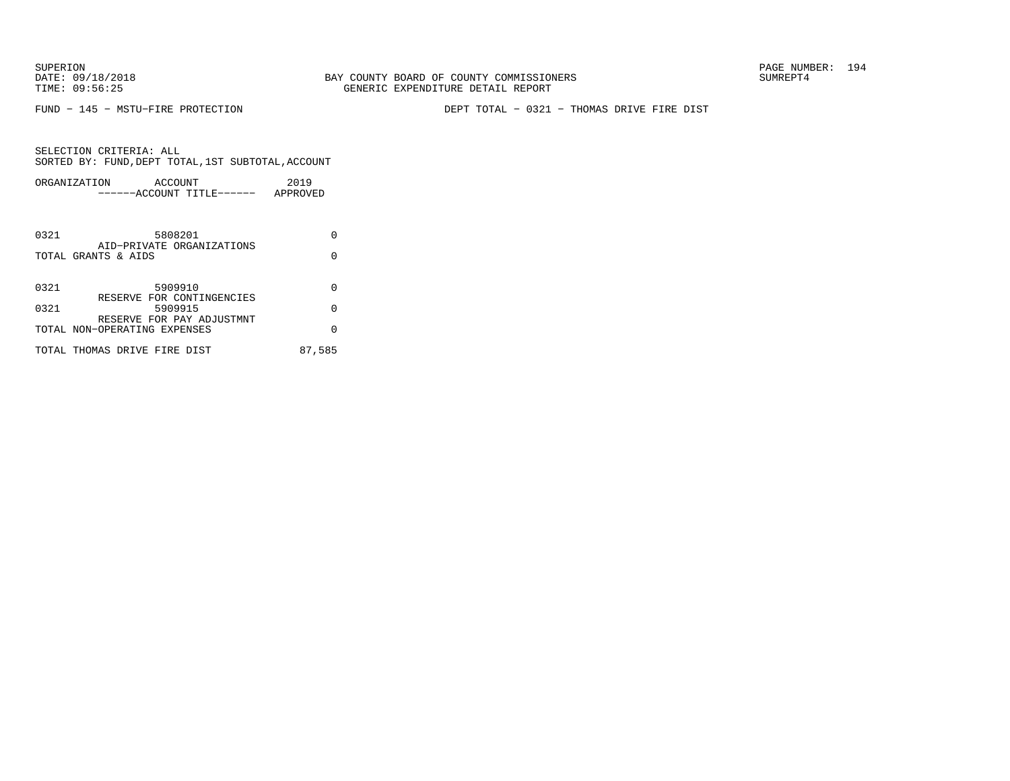FUND − 145 − MSTU−FIRE PROTECTION DEPT TOTAL − 0321 − THOMAS DRIVE FIRE DIST

|      | ORGANIZATION<br>ACCOUNT<br>------ACCOUNT TITLE------      | 2019<br>APPROVED |
|------|-----------------------------------------------------------|------------------|
| 0321 | 5808201                                                   | U                |
|      | AID-PRIVATE ORGANIZATIONS<br>TOTAL GRANTS & AIDS          | O                |
| 0321 | 5909910                                                   | O                |
| 0321 | RESERVE FOR CONTINGENCIES<br>5909915                      | $\Omega$         |
|      | RESERVE FOR PAY ADJUSTMNT<br>TOTAL NON-OPERATING EXPENSES | U                |
|      | TOTAL THOMAS DRIVE FIRE DIST                              | 87,585           |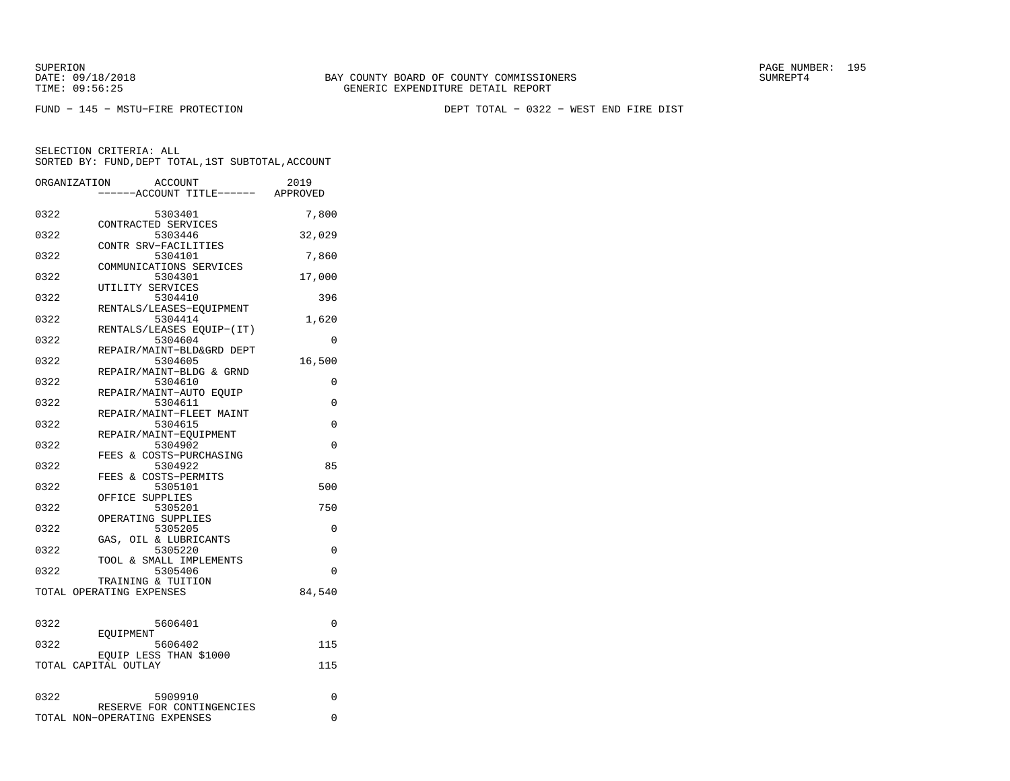FUND − 145 − MSTU−FIRE PROTECTION DEPT TOTAL − 0322 − WEST END FIRE DIST

|      | ORGANIZATION<br><b>ACCOUNT</b>       | 2019     |
|------|--------------------------------------|----------|
|      | ----ACCOUNT TITLE------ APPROVED     |          |
| 0322 | 5303401                              | 7,800    |
|      | CONTRACTED SERVICES                  |          |
| 0322 | 5303446                              | 32,029   |
| 0322 | CONTR SRV-FACILITIES<br>5304101      | 7,860    |
|      | COMMUNICATIONS SERVICES              |          |
| 0322 | 5304301                              | 17,000   |
|      | UTILITY SERVICES                     |          |
| 0322 | 5304410                              | 396      |
|      | RENTALS/LEASES-EOUIPMENT             |          |
| 0322 | 5304414<br>RENTALS/LEASES EQUIP-(IT) | 1,620    |
| 0322 | 5304604                              | 0        |
|      | REPAIR/MAINT-BLD&GRD DEPT            |          |
| 0322 | 5304605                              | 16,500   |
|      | REPAIR/MAINT-BLDG & GRND             |          |
| 0322 | 5304610                              | 0        |
| 0322 | REPAIR/MAINT-AUTO EOUIP<br>5304611   | 0        |
|      | REPAIR/MAINT-FLEET MAINT             |          |
| 0322 | 5304615                              | 0        |
|      | REPAIR/MAINT-EQUIPMENT               |          |
| 0322 | 5304902                              | 0        |
|      | FEES & COSTS-PURCHASING              |          |
| 0322 | 5304922<br>FEES & COSTS-PERMITS      | 85       |
| 0322 | 5305101                              | 500      |
|      | OFFICE SUPPLIES                      |          |
| 0322 | 5305201                              | 750      |
|      | OPERATING SUPPLIES                   |          |
| 0322 | 5305205                              | 0        |
| 0322 | GAS, OIL & LUBRICANTS<br>5305220     | 0        |
|      | TOOL & SMALL IMPLEMENTS              |          |
| 0322 | 5305406                              | $\Omega$ |
|      | TRAINING & TUITION                   |          |
|      | TOTAL OPERATING EXPENSES             | 84,540   |
|      |                                      |          |
| 0322 | 5606401                              | 0        |
|      | EOUIPMENT                            |          |
| 0322 | 5606402                              | 115      |
|      | EQUIP LESS THAN \$1000               |          |
|      | TOTAL CAPITAL OUTLAY                 | 115      |
|      |                                      |          |
| 0322 | 5909910                              | 0        |
|      | RESERVE FOR CONTINGENCIES            |          |
|      | TOTAL NON-OPERATING EXPENSES         | 0        |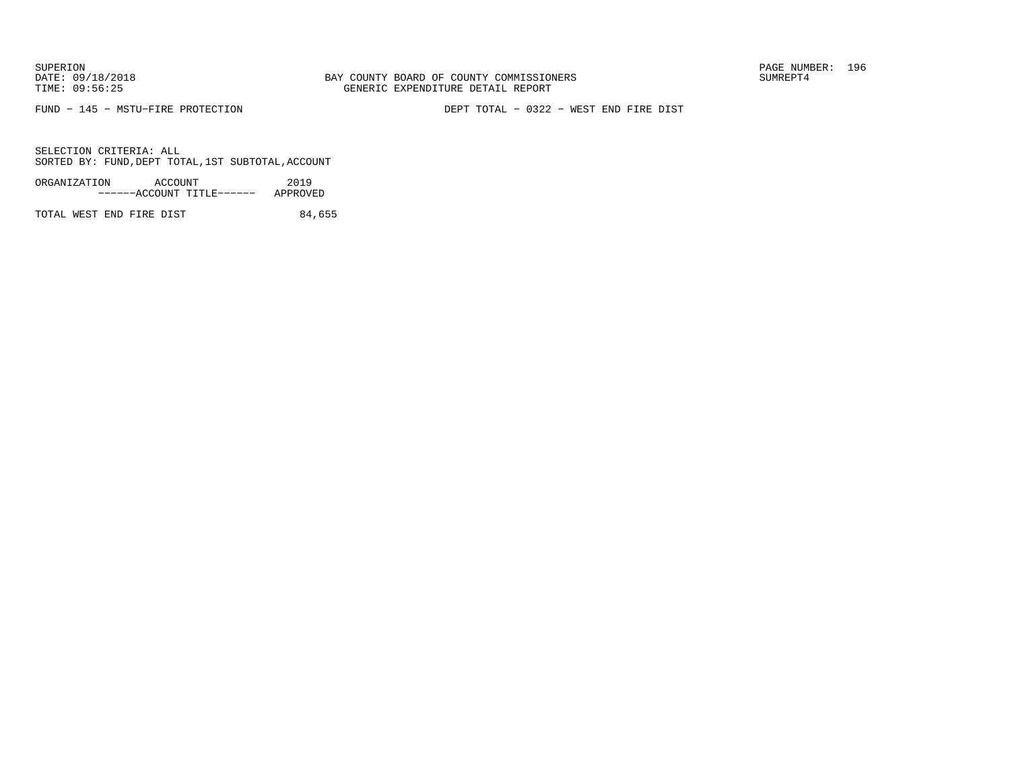FUND − 145 − MSTU−FIRE PROTECTION DEPT TOTAL − 0322 − WEST END FIRE DIST

SELECTION CRITERIA: ALLSORTED BY: FUND,DEPT TOTAL,1ST SUBTOTAL,ACCOUNT

| ORGANIZATION | ACCOUNT |                           | 2019     |
|--------------|---------|---------------------------|----------|
|              |         | ------ACCOUNT TITLE------ | APPROVED |

TOTAL WEST END FIRE DIST 84,655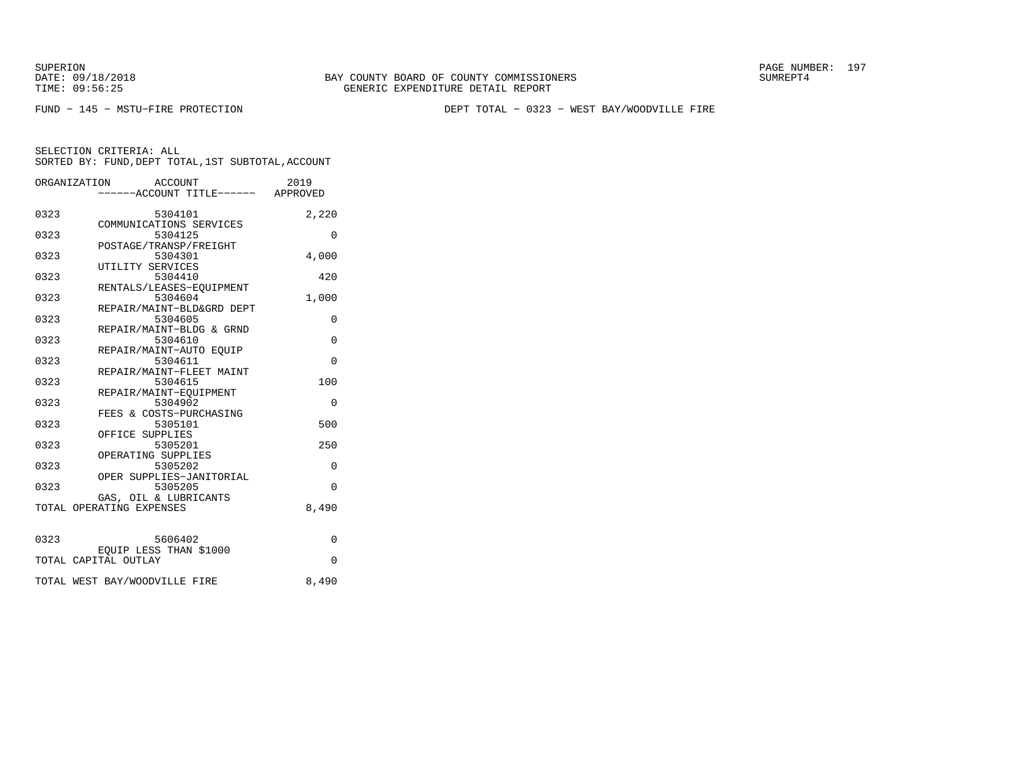SUPERION PAGE NUMBER: 197

FUND − 145 − MSTU−FIRE PROTECTION DEPT TOTAL − 0323 − WEST BAY/WOODVILLE FIRE

|      | ORGANIZATION<br>ACCOUNT<br>-----ACCOUNT TITLE------ APPROVED | 2019     |
|------|--------------------------------------------------------------|----------|
| 0323 | 5304101<br>COMMUNICATIONS SERVICES                           | 2,220    |
| 0323 | 5304125<br>POSTAGE/TRANSP/FREIGHT                            | $\Omega$ |
| 0323 | 5304301<br>UTILITY SERVICES                                  | 4,000    |
| 0323 | 5304410<br>RENTALS/LEASES-EOUIPMENT                          | 420      |
| 0323 | 5304604<br>REPAIR/MAINT-BLD&GRD DEPT                         | 1,000    |
| 0323 | 5304605<br>REPAIR/MAINT-BLDG & GRND                          | 0        |
| 0323 | 5304610<br>REPAIR/MAINT-AUTO EOUIP                           | $\Omega$ |
| 0323 | 5304611<br>REPAIR/MAINT-FLEET MAINT                          | $\Omega$ |
| 0323 | 5304615<br>REPAIR/MAINT-EOUIPMENT                            | 100      |
| 0323 | 5304902<br>FEES & COSTS-PURCHASING                           | $\Omega$ |
| 0323 | 5305101<br>OFFICE SUPPLIES                                   | 500      |
| 0323 | 5305201<br>OPERATING SUPPLIES                                | 250      |
| 0323 | 5305202<br>OPER SUPPLIES-JANITORIAL                          | $\Omega$ |
| 0323 | 5305205<br>GAS, OIL & LUBRICANTS                             | $\Omega$ |
|      | TOTAL OPERATING EXPENSES                                     | 8,490    |
| 0323 | 5606402                                                      | $\Omega$ |
|      | EQUIP LESS THAN \$1000<br>TOTAL CAPITAL OUTLAY               | $\Omega$ |
|      | TOTAL WEST BAY/WOODVILLE FIRE                                | 8,490    |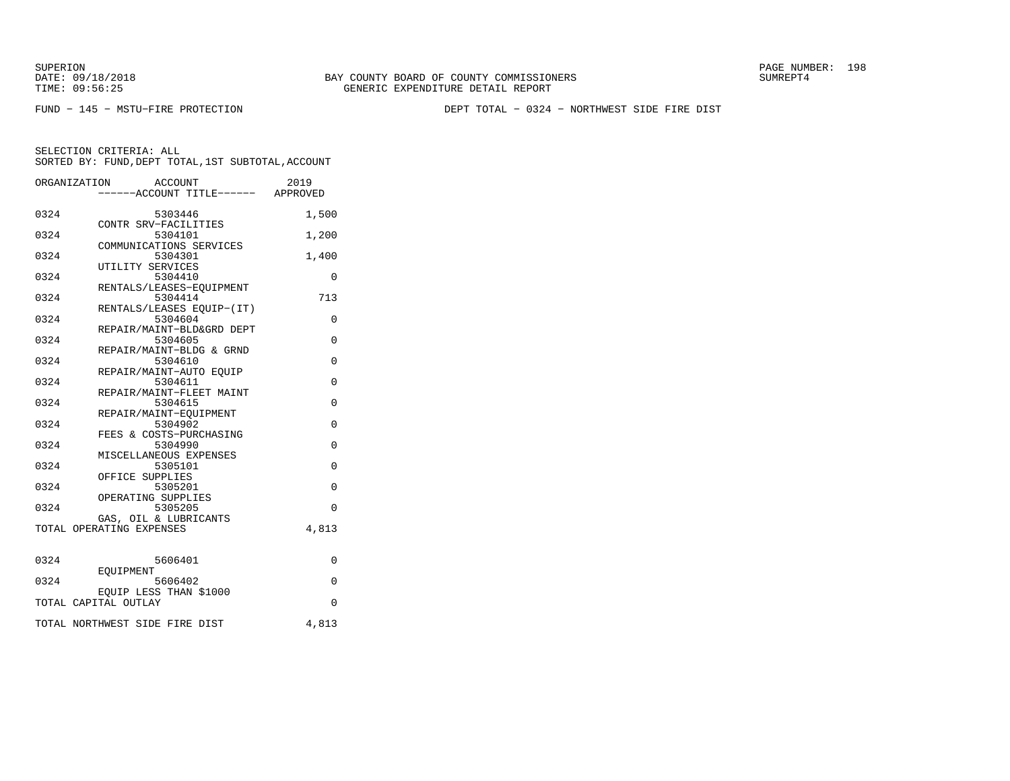SUPERION PAGE NUMBER: 198

FUND − 145 − MSTU−FIRE PROTECTION DEPT TOTAL − 0324 − NORTHWEST SIDE FIRE DIST

|      | ORGANIZATION<br>ACCOUNT<br>----ACCOUNT TITLE------ APPROVED | 2019        |
|------|-------------------------------------------------------------|-------------|
| 0324 | 5303446                                                     | 1,500       |
| 0324 | CONTR SRV-FACILITIES<br>5304101                             | 1,200       |
| 0324 | COMMUNICATIONS SERVICES<br>5304301                          | 1,400       |
| 0324 | UTILITY SERVICES<br>5304410                                 | 0           |
| 0324 | RENTALS/LEASES-EQUIPMENT<br>5304414                         | 713         |
| 0324 | RENTALS/LEASES EQUIP-(IT)<br>5304604                        | $\Omega$    |
| 0324 | REPAIR/MAINT-BLD&GRD DEPT<br>5304605                        | 0           |
| 0324 | REPAIR/MAINT-BLDG & GRND<br>5304610                         | 0           |
| 0324 | REPAIR/MAINT-AUTO EOUIP<br>5304611                          | $\Omega$    |
| 0324 | REPAIR/MAINT-FLEET MAINT<br>5304615                         | $\mathbf 0$ |
| 0324 | REPAIR/MAINT-EOUIPMENT<br>5304902                           | 0           |
| 0324 | FEES & COSTS-PURCHASING<br>5304990                          | $\Omega$    |
| 0324 | MISCELLANEOUS EXPENSES<br>5305101                           | $\Omega$    |
| 0324 | OFFICE SUPPLIES<br>5305201                                  | 0           |
| 0324 | OPERATING SUPPLIES<br>5305205                               | $\Omega$    |
|      | GAS, OIL & LUBRICANTS<br>TOTAL OPERATING EXPENSES           | 4,813       |
| 0324 | 5606401                                                     | $\Omega$    |
| 0324 | <b>EOUIPMENT</b><br>5606402                                 | $\Omega$    |
|      | EOUIP LESS THAN \$1000<br>TOTAL CAPITAL OUTLAY              | $\Omega$    |
|      | TOTAL NORTHWEST SIDE FIRE DIST                              | 4,813       |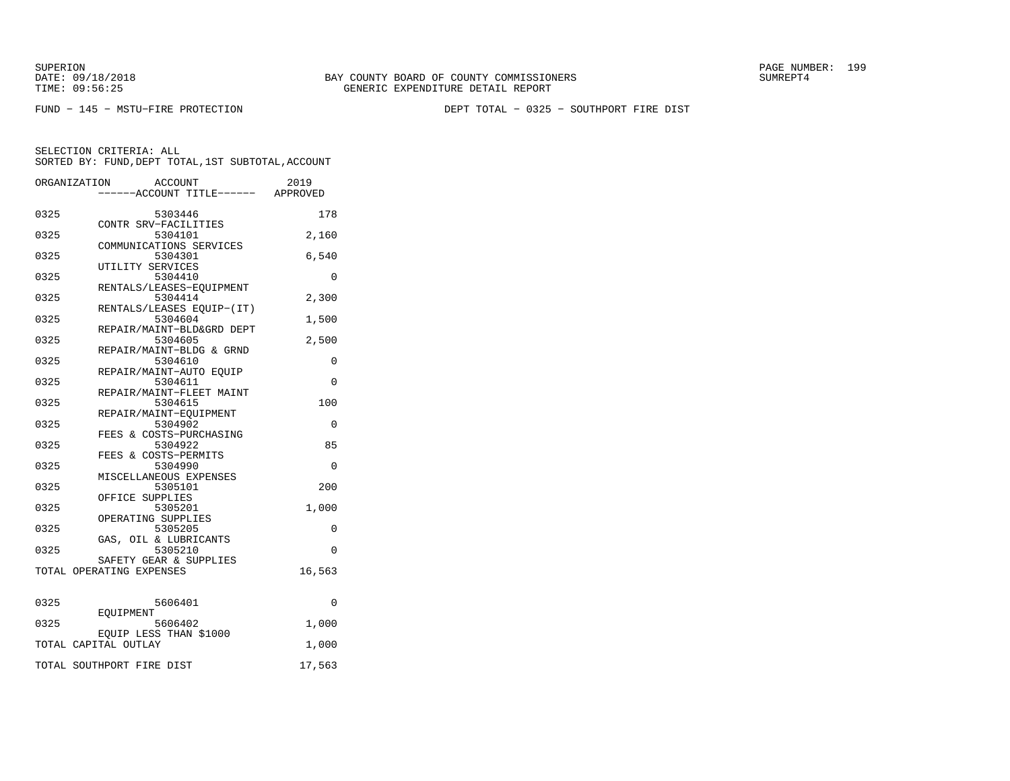SUPERION PAGE NUMBER: 199

FUND − 145 − MSTU−FIRE PROTECTION DEPT TOTAL − 0325 − SOUTHPORT FIRE DIST

|      | ORGANIZATION<br>ACCOUNT                            | 2019     |
|------|----------------------------------------------------|----------|
|      | -----ACCOUNT TITLE------ APPROVED                  |          |
| 0325 | 5303446                                            | 178      |
|      | CONTR SRV-FACILITIES                               |          |
| 0325 | 5304101<br>COMMUNICATIONS SERVICES                 | 2,160    |
| 0325 | 5304301                                            | 6,540    |
|      | UTILITY SERVICES                                   |          |
| 0325 | 5304410                                            | 0        |
| 0325 | RENTALS/LEASES-EOUIPMENT<br>5304414                | 2,300    |
|      | RENTALS/LEASES EQUIP-(IT)                          |          |
| 0325 | 5304604                                            | 1,500    |
|      | REPAIR/MAINT-BLD&GRD DEPT                          |          |
| 0325 | 5304605<br>REPAIR/MAINT-BLDG & GRND                | 2,500    |
| 0325 | 5304610                                            | $\Omega$ |
|      | REPAIR/MAINT-AUTO EQUIP                            |          |
| 0325 | 5304611                                            | 0        |
| 0325 | REPAIR/MAINT-FLEET MAINT<br>5304615                | 100      |
|      | REPAIR/MAINT-EOUIPMENT                             |          |
| 0325 | 5304902                                            | 0        |
|      | FEES & COSTS-PURCHASING                            |          |
| 0325 | 5304922                                            | 85       |
| 0325 | FEES & COSTS-PERMITS<br>5304990                    | $\Omega$ |
|      | MISCELLANEOUS EXPENSES                             |          |
| 0325 | 5305101                                            | 200      |
|      | OFFICE SUPPLIES                                    |          |
| 0325 | 5305201<br>OPERATING SUPPLIES                      | 1,000    |
| 0325 | 5305205                                            | 0        |
|      | GAS, OIL & LUBRICANTS                              |          |
| 0325 | 5305210                                            | $\Omega$ |
|      | SAFETY GEAR & SUPPLIES<br>TOTAL OPERATING EXPENSES |          |
|      |                                                    | 16,563   |
| 0325 | 5606401                                            | $\Omega$ |
|      | EOUIPMENT                                          |          |
| 0325 | 5606402<br>EQUIP LESS THAN \$1000                  | 1,000    |
|      | TOTAL CAPITAL OUTLAY                               | 1,000    |
|      | TOTAL SOUTHPORT FIRE DIST                          | 17,563   |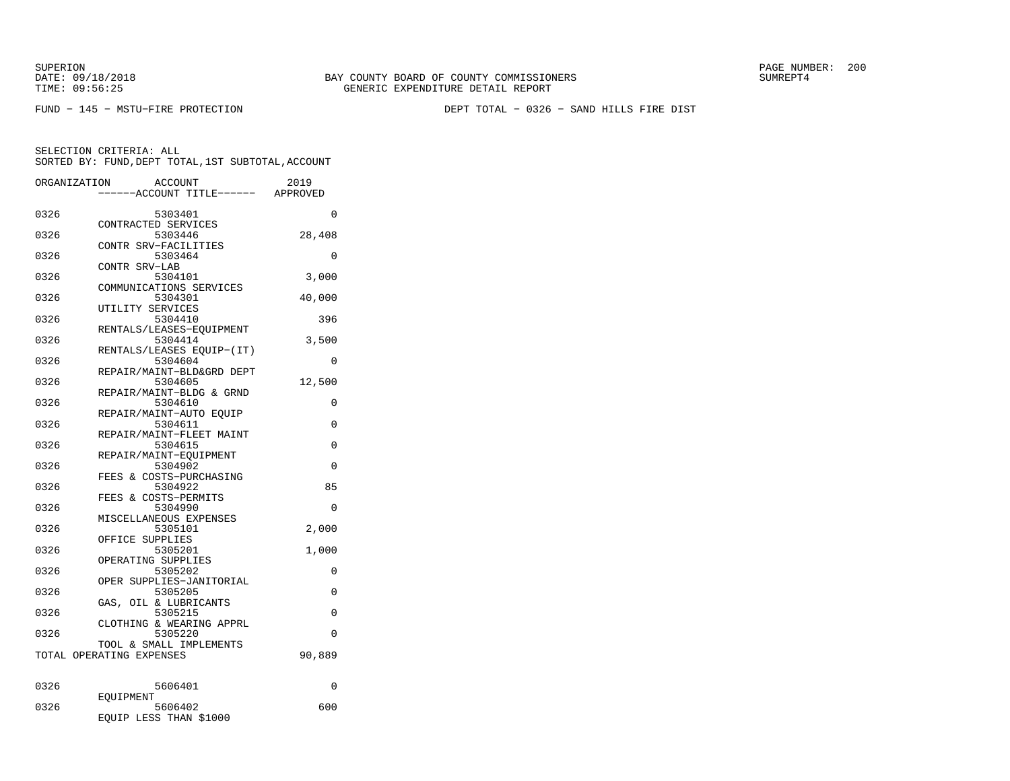SUPERION PAGE NUMBER: 200

FUND − 145 − MSTU−FIRE PROTECTION DEPT TOTAL − 0326 − SAND HILLS FIRE DIST

| ORGANIZATION | ACCOUNT<br>--ACCOUNT TITLE------               | 2019<br>APPROVED |
|--------------|------------------------------------------------|------------------|
| 0326         | 5303401                                        | $\Omega$         |
| 0326         | CONTRACTED SERVICES<br>5303446                 | 28,408           |
| 0326         | CONTR SRV-FACILITIES<br>5303464                | 0                |
| 0326         | CONTR SRV-LAB<br>5304101                       | 3,000            |
| 0326         | COMMUNICATIONS SERVICES<br>5304301             | 40,000           |
| 0326         | UTILITY SERVICES<br>5304410                    | 396              |
| 0326         | RENTALS/LEASES-EQUIPMENT<br>5304414            | 3,500            |
| 0326         | RENTALS/LEASES EOUIP-(IT)<br>5304604           | $\Omega$         |
| 0326         | REPAIR/MAINT-BLD&GRD DEPT<br>5304605           | 12,500           |
| 0326         | REPAIR/MAINT-BLDG & GRND<br>5304610            | 0                |
| 0326         | REPAIR/MAINT-AUTO EQUIP<br>5304611             | 0                |
| 0326         | REPAIR/MAINT-FLEET MAINT<br>5304615            | 0                |
| 0326         | REPAIR/MAINT-EOUIPMENT<br>5304902              | 0                |
|              | FEES & COSTS-PURCHASING                        | 85               |
| 0326         | 5304922<br>FEES & COSTS-PERMITS                |                  |
| 0326         | 5304990<br>MISCELLANEOUS EXPENSES              | $\Omega$         |
| 0326         | 5305101<br>OFFICE SUPPLIES                     | 2,000            |
| 0326         | 5305201<br>OPERATING SUPPLIES                  | 1,000            |
| 0326         | 5305202<br>OPER SUPPLIES-JANITORIAL            | 0                |
| 0326         | 5305205<br>OIL & LUBRICANTS<br>GAS,            | 0                |
| 0326         | 5305215<br>CLOTHING & WEARING APPRL            | 0                |
| 0326         | 5305220<br>TOOL & SMALL IMPLEMENTS             | 0                |
|              | TOTAL OPERATING EXPENSES                       | 90,889           |
| 0326         | 5606401                                        | 0                |
| 0326         | EOUIPMENT<br>5606402<br>EQUIP LESS THAN \$1000 | 600              |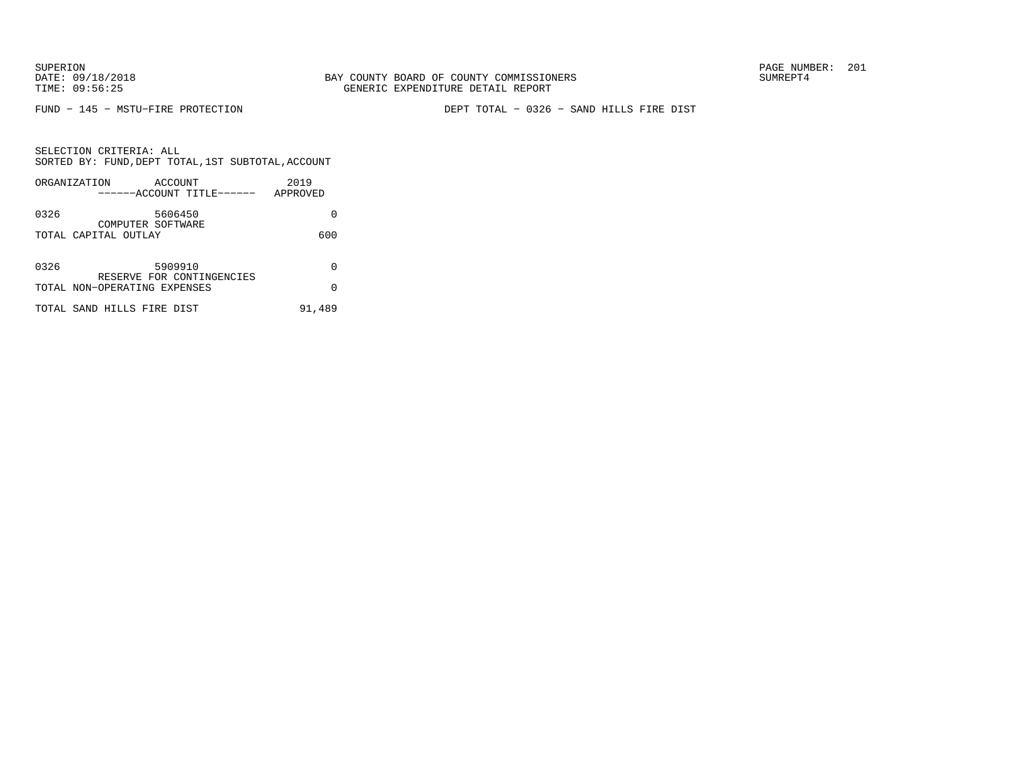FUND − 145 − MSTU−FIRE PROTECTION DEPT TOTAL − 0326 − SAND HILLS FIRE DIST

| SELECTION CRITERIA: ALL<br>SORTED BY: FUND, DEPT TOTAL, 1ST SUBTOTAL, ACCOUNT |                                               |      |  |  |
|-------------------------------------------------------------------------------|-----------------------------------------------|------|--|--|
| ORGANIZATION                                                                  | ACCOUNT<br>------ACCOUNT TITLE------ APPROVED | 2019 |  |  |
| 0326<br>COMPUTER SOFTWARE                                                     | 5606450                                       |      |  |  |
| TOTAL CAPITAL OUTLAY                                                          |                                               | 600  |  |  |
| 0326                                                                          | 5909910<br>RESERVE FOR CONTINGENCIES          |      |  |  |
| TOTAL NON-OPERATING EXPENSES                                                  |                                               |      |  |  |

|  |  | TOTAL SAND HILLS FIRE DIST |  |  | 91,489 |
|--|--|----------------------------|--|--|--------|
|--|--|----------------------------|--|--|--------|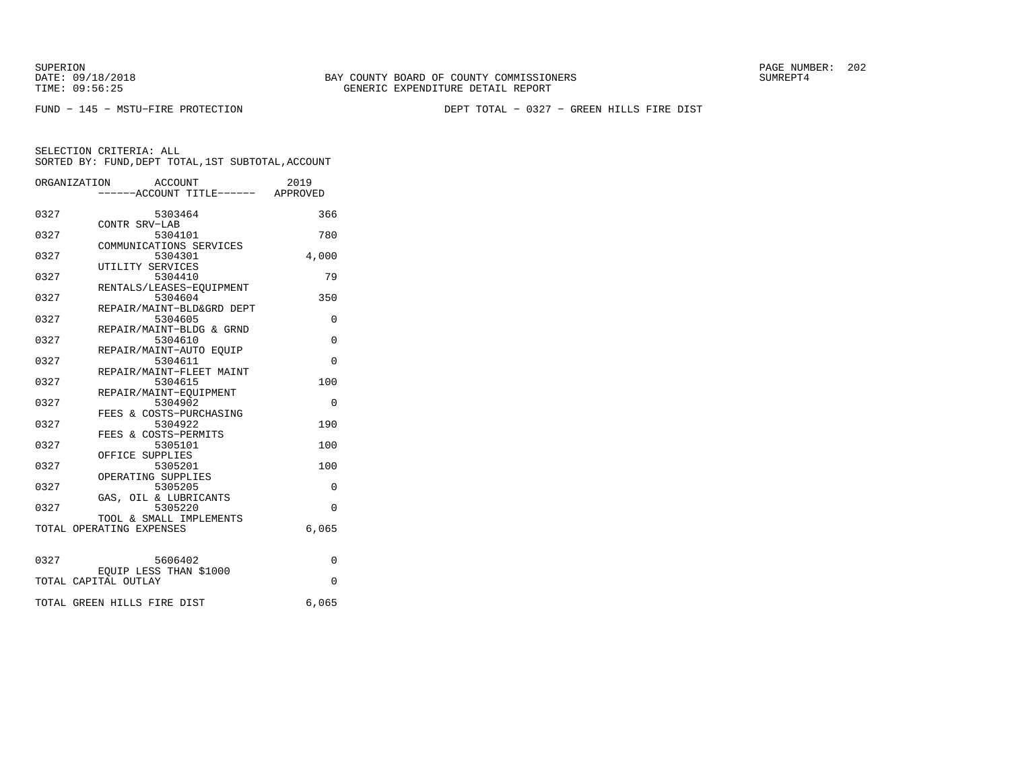SUPERION PAGE NUMBER: 202

FUND − 145 − MSTU−FIRE PROTECTION DEPT TOTAL − 0327 − GREEN HILLS FIRE DIST

|      | ORGANIZATION ACCOUNT<br>-----ACCOUNT TITLE------ APPROVED | 2019     |
|------|-----------------------------------------------------------|----------|
|      |                                                           |          |
| 0327 | 5303464                                                   | 366      |
|      | CONTR SRV-LAB                                             |          |
| 0327 | 5304101                                                   | 780      |
|      | COMMUNICATIONS SERVICES                                   |          |
| 0327 | 5304301                                                   | 4,000    |
|      | UTILITY SERVICES                                          |          |
| 0327 | 5304410                                                   | 79       |
|      | RENTALS/LEASES-EOUIPMENT                                  |          |
| 0327 | 5304604                                                   | 350      |
|      | REPAIR/MAINT-BLD&GRD DEPT                                 |          |
| 0327 | 5304605                                                   | 0        |
|      | REPAIR/MAINT-BLDG & GRND                                  |          |
| 0327 | 5304610                                                   | 0        |
|      | REPAIR/MAINT-AUTO EQUIP                                   |          |
| 0327 | 5304611                                                   | $\Omega$ |
|      | REPAIR/MAINT-FLEET MAINT                                  |          |
| 0327 | 5304615                                                   | 100      |
|      | REPAIR/MAINT-EOUIPMENT                                    |          |
| 0327 | 5304902                                                   | 0        |
|      | FEES & COSTS-PURCHASING                                   |          |
| 0327 | 5304922                                                   | 190      |
|      | FEES & COSTS-PERMITS                                      |          |
| 0327 | 5305101                                                   | 100      |
|      | OFFICE SUPPLIES                                           |          |
| 0327 | 5305201                                                   | 100      |
|      | OPERATING SUPPLIES                                        |          |
| 0327 | 5305205                                                   | 0        |
|      | GAS, OIL & LUBRICANTS                                     |          |
| 0327 | 5305220                                                   | $\Omega$ |
|      | TOOL & SMALL IMPLEMENTS                                   |          |
|      | TOTAL OPERATING EXPENSES                                  | 6,065    |
|      |                                                           |          |
|      |                                                           |          |
| 0327 | 5606402                                                   | $\Omega$ |
|      | EOUIP LESS THAN \$1000                                    |          |
|      | TOTAL CAPITAL OUTLAY                                      | $\Omega$ |
|      |                                                           |          |
|      | TOTAL GREEN HILLS FIRE DIST                               | 6,065    |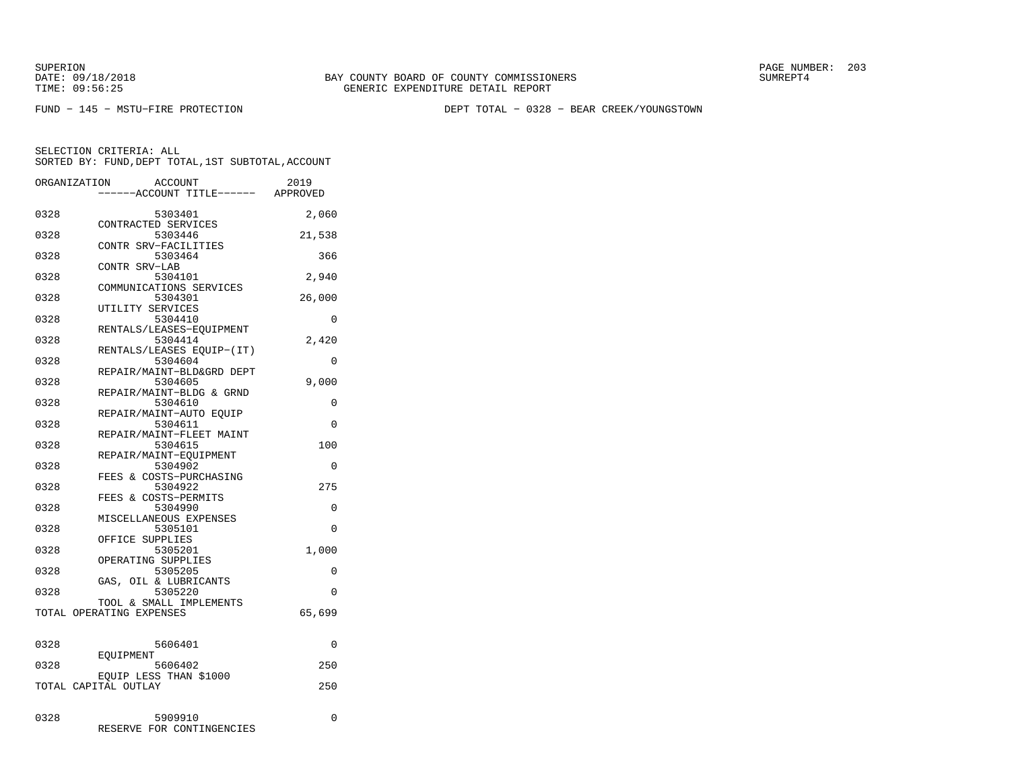FUND − 145 − MSTU−FIRE PROTECTION DEPT TOTAL − 0328 − BEAR CREEK/YOUNGSTOWN

| ORGANIZATION | <b>ACCOUNT</b><br>---ACCOUNT TITLE------ APPROVED   | 2019     |
|--------------|-----------------------------------------------------|----------|
| 0328         | 5303401<br>CONTRACTED SERVICES                      | 2,060    |
| 0328         | 5303446<br>CONTR SRV-FACILITIES                     | 21,538   |
| 0328         | 5303464                                             | 366      |
| 0328         | CONTR SRV-LAB<br>5304101<br>COMMUNICATIONS SERVICES | 2,940    |
| 0328         | 5304301<br>UTILITY SERVICES                         | 26,000   |
| 0328         | 5304410<br>RENTALS/LEASES-EQUIPMENT                 | 0        |
| 0328         | 5304414<br>RENTALS/LEASES EQUIP-(IT)                | 2,420    |
| 0328         | 5304604<br>REPAIR/MAINT-BLD&GRD DEPT                | 0        |
| 0328         | 5304605<br>REPAIR/MAINT-BLDG & GRND                 | 9,000    |
| 0328         | 5304610<br>REPAIR/MAINT-AUTO EOUIP                  | 0        |
| 0328         | 5304611<br>REPAIR/MAINT-FLEET MAINT                 | 0        |
| 0328         | 5304615<br>REPAIR/MAINT-EOUIPMENT                   | 100      |
| 0328         | 5304902<br>FEES & COSTS-PURCHASING                  | 0        |
| 0328         | 5304922<br>FEES & COSTS-PERMITS                     | 275      |
| 0328         | 5304990<br>MISCELLANEOUS EXPENSES                   | 0        |
| 0328         | 5305101<br>OFFICE SUPPLIES                          | 0        |
| 0328         | 5305201<br>OPERATING SUPPLIES                       | 1,000    |
| 0328         | 5305205<br>GAS, OIL & LUBRICANTS                    | 0        |
| 0328         | 5305220<br>TOOL & SMALL IMPLEMENTS                  | $\Omega$ |
|              | TOTAL OPERATING EXPENSES                            | 65,699   |
| 0328         | 5606401                                             | 0        |
| 0328         | EOUIPMENT<br>5606402                                | 250      |
|              | EOUIP LESS THAN \$1000<br>TOTAL CAPITAL OUTLAY      | 250      |
| 0328         | 5909910<br>RESERVE FOR CONTINGENCIES                | 0        |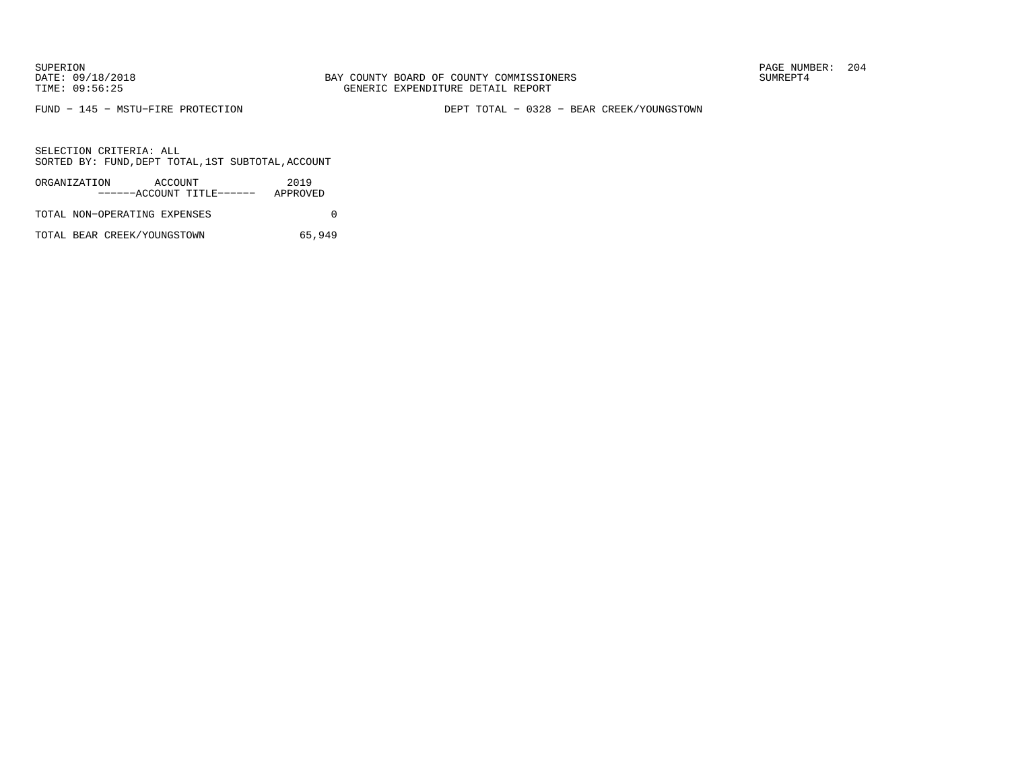FUND − 145 − MSTU−FIRE PROTECTION DEPT TOTAL − 0328 − BEAR CREEK/YOUNGSTOWN

SELECTION CRITERIA: ALLSORTED BY: FUND,DEPT TOTAL,1ST SUBTOTAL,ACCOUNT

| ORGANIZATION                 | ACCOUNT |                           | 2019     |  |
|------------------------------|---------|---------------------------|----------|--|
|                              |         | ------ACCOUNT TITLE------ | APPROVED |  |
| TOTAL NON-OPERATING EXPENSES |         |                           |          |  |

TOTAL BEAR CREEK/YOUNGSTOWN 65,949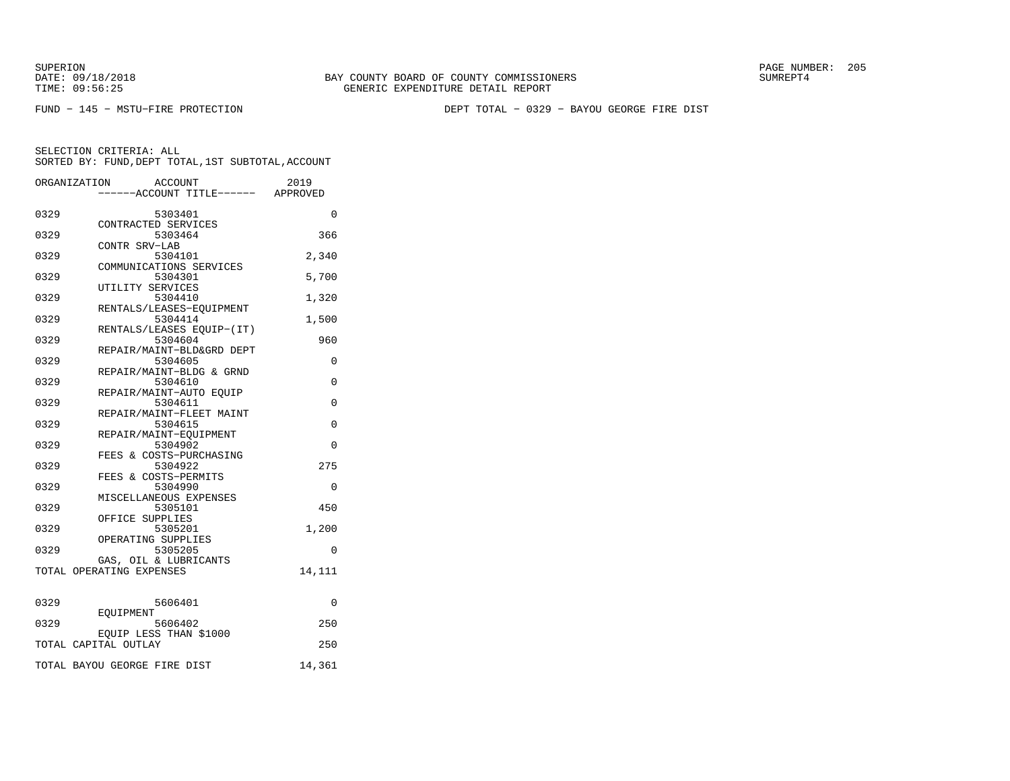SUPERION PAGE NUMBER: 205

FUND − 145 − MSTU−FIRE PROTECTION DEPT TOTAL − 0329 − BAYOU GEORGE FIRE DIST

|      | ORGANIZATION<br><b>ACCOUNT</b><br>---ACCOUNT TITLE------ APPROVED | 2019     |
|------|-------------------------------------------------------------------|----------|
| 0329 | 5303401                                                           | $\Omega$ |
| 0329 | CONTRACTED SERVICES<br>5303464                                    | 366      |
| 0329 | CONTR SRV-LAB<br>5304101                                          | 2,340    |
| 0329 | COMMUNICATIONS SERVICES<br>5304301                                | 5,700    |
| 0329 | UTILITY SERVICES<br>5304410                                       | 1,320    |
| 0329 | RENTALS/LEASES-EOUIPMENT<br>5304414                               | 1,500    |
| 0329 | RENTALS/LEASES EQUIP-(IT)<br>5304604                              | 960      |
|      | REPAIR/MAINT-BLD&GRD DEPT                                         |          |
| 0329 | 5304605<br>REPAIR/MAINT-BLDG & GRND                               | 0        |
| 0329 | 5304610<br>REPAIR/MAINT-AUTO EOUIP                                | 0        |
| 0329 | 5304611<br>REPAIR/MAINT-FLEET MAINT                               | 0        |
| 0329 | 5304615<br>REPAIR/MAINT-EOUIPMENT                                 | 0        |
| 0329 | 5304902<br>FEES & COSTS-PURCHASING                                | $\Omega$ |
| 0329 | 5304922                                                           | 275      |
| 0329 | FEES & COSTS-PERMITS<br>5304990                                   | $\Omega$ |
| 0329 | MISCELLANEOUS EXPENSES<br>5305101                                 | 450      |
| 0329 | OFFICE SUPPLIES<br>5305201                                        | 1,200    |
| 0329 | OPERATING SUPPLIES<br>5305205                                     | $\Omega$ |
|      | GAS, OIL & LUBRICANTS<br>TOTAL OPERATING EXPENSES                 | 14,111   |
|      |                                                                   |          |
| 0329 | 5606401<br>EOUIPMENT                                              | 0        |
| 0329 | 5606402<br>EQUIP LESS THAN \$1000                                 | 250      |
|      | TOTAL CAPITAL OUTLAY                                              | 250      |
|      | TOTAL BAYOU GEORGE FIRE DIST                                      | 14,361   |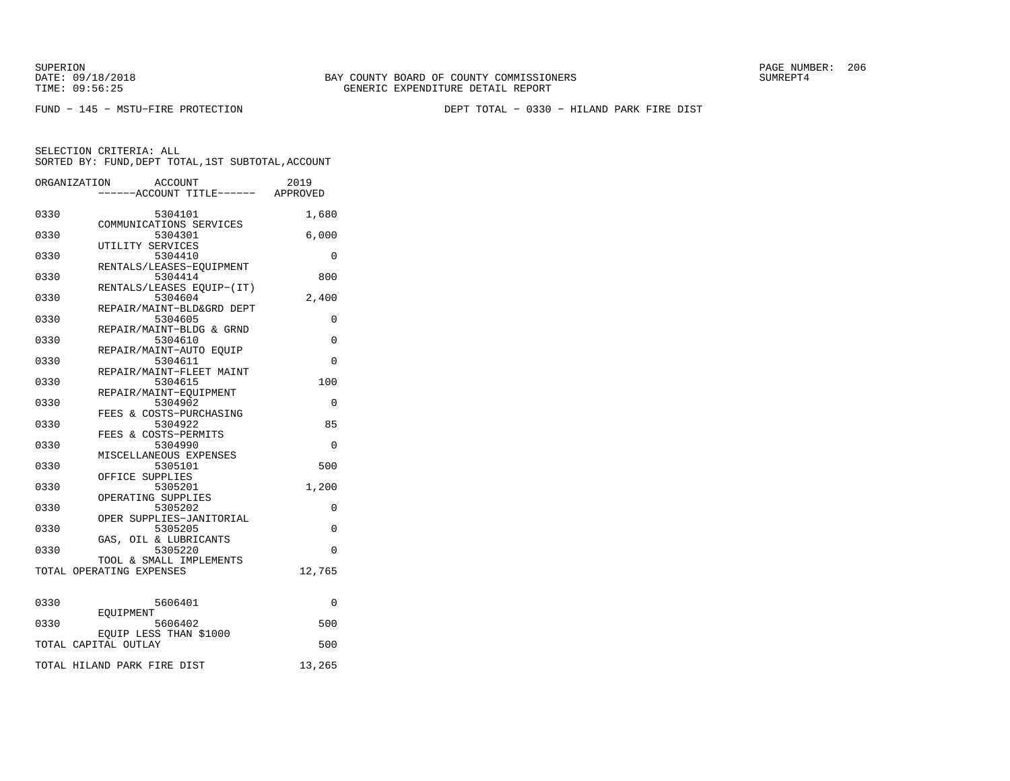SUPERION PAGE NUMBER: 206

FUND − 145 − MSTU−FIRE PROTECTION DEPT TOTAL − 0330 − HILAND PARK FIRE DIST

|      | ORGANIZATION<br>ACCOUNT<br>----ACCOUNT TITLE------ APPROVED  | 2019     |
|------|--------------------------------------------------------------|----------|
| 0330 | 5304101                                                      | 1,680    |
| 0330 | COMMUNICATIONS SERVICES<br>5304301                           | 6,000    |
| 0330 | UTILITY SERVICES<br>5304410                                  | 0        |
| 0330 | RENTALS/LEASES-EQUIPMENT<br>5304414                          | 800      |
| 0330 | RENTALS/LEASES EOUIP-(IT)<br>5304604                         | 2,400    |
| 0330 | REPAIR/MAINT-BLD&GRD DEPT<br>5304605                         | 0        |
| 0330 | REPAIR/MAINT-BLDG & GRND<br>5304610                          | 0        |
| 0330 | REPAIR/MAINT-AUTO EQUIP<br>5304611                           | $\Omega$ |
| 0330 | REPAIR/MAINT-FLEET MAINT<br>5304615                          | 100      |
| 0330 | REPAIR/MAINT-EOUIPMENT<br>5304902<br>FEES & COSTS-PURCHASING | $\Omega$ |
| 0330 | 5304922<br>FEES & COSTS-PERMITS                              | 85       |
| 0330 | 5304990<br>MISCELLANEOUS EXPENSES                            | 0        |
| 0330 | 5305101<br>OFFICE SUPPLIES                                   | 500      |
| 0330 | 5305201<br>OPERATING SUPPLIES                                | 1,200    |
| 0330 | 5305202<br>OPER SUPPLIES-JANITORIAL                          | 0        |
| 0330 | 5305205<br>GAS, OIL & LUBRICANTS                             | 0        |
| 0330 | 5305220<br>TOOL & SMALL IMPLEMENTS                           | $\Omega$ |
|      | TOTAL OPERATING EXPENSES                                     | 12,765   |
| 0330 | 5606401                                                      | 0        |
| 0330 | EOUIPMENT<br>5606402                                         | 500      |
|      | EQUIP LESS THAN \$1000<br>TOTAL CAPITAL OUTLAY               | 500      |
|      | TOTAL HILAND PARK FIRE DIST                                  | 13,265   |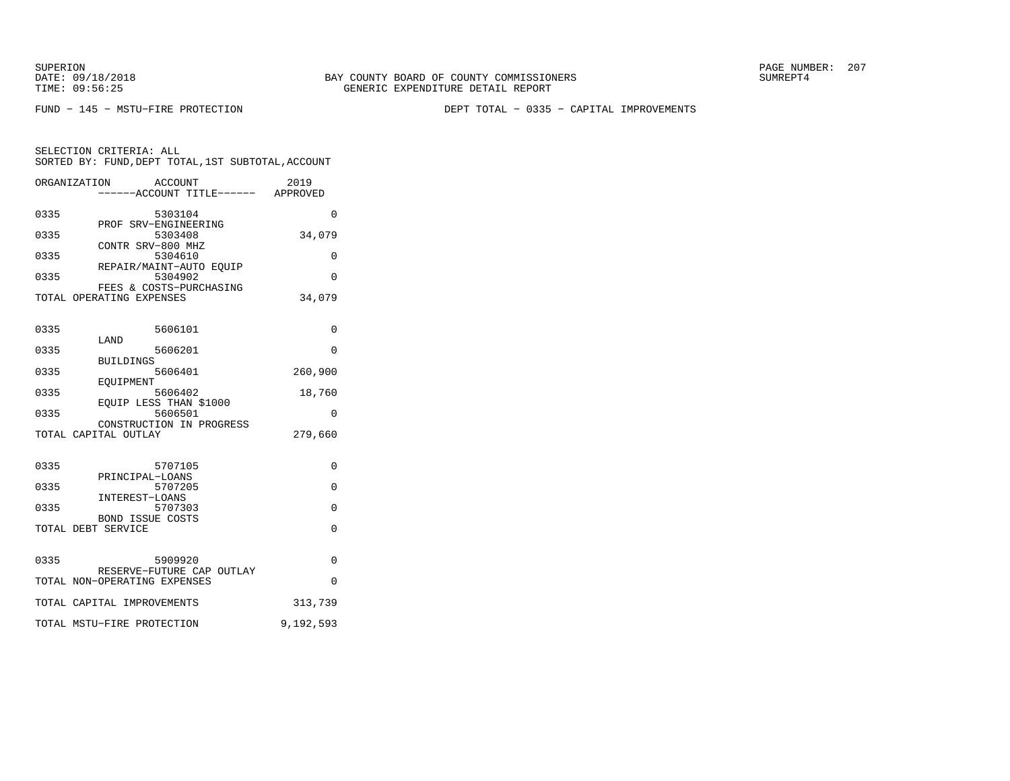SUPERION PAGE NUMBER: 207

FUND − 145 − MSTU−FIRE PROTECTION DEPT TOTAL − 0335 − CAPITAL IMPROVEMENTS

|      | ORGANIZATION<br>ACCOUNT                          | ----ACCOUNT TITLE------ APPROVED | 2019      |
|------|--------------------------------------------------|----------------------------------|-----------|
| 0335 | 5303104                                          |                                  | $\Omega$  |
|      | PROF SRV-ENGINEERING                             |                                  |           |
| 0335 | 5303408                                          |                                  | 34,079    |
|      | CONTR SRV-800 MHZ                                |                                  |           |
| 0335 | 5304610                                          |                                  | $\Omega$  |
|      | REPAIR/MAINT-AUTO EOUIP                          |                                  |           |
| 0335 | 5304902<br>FEES & COSTS-PURCHASING               |                                  | $\Omega$  |
|      | TOTAL OPERATING EXPENSES                         |                                  | 34,079    |
|      |                                                  |                                  |           |
| 0335 | 5606101                                          |                                  | 0         |
|      | LAND                                             |                                  |           |
| 0335 | 5606201                                          |                                  | $\Omega$  |
| 0335 | <b>BUILDINGS</b><br>5606401                      |                                  | 260,900   |
|      | <b>EOUIPMENT</b>                                 |                                  |           |
| 0335 | 5606402                                          |                                  | 18,760    |
|      | EOUIP LESS THAN \$1000                           |                                  |           |
| 0335 | 5606501                                          |                                  | 0         |
|      | CONSTRUCTION IN PROGRESS<br>TOTAL CAPITAL OUTLAY |                                  | 279,660   |
|      |                                                  |                                  |           |
| 0335 | 5707105                                          |                                  | 0         |
|      | PRINCIPAL-LOANS                                  |                                  |           |
| 0335 | 5707205                                          |                                  | $\Omega$  |
|      | INTEREST-LOANS                                   |                                  |           |
| 0335 | 5707303                                          |                                  | 0         |
|      | <b>BOND ISSUE COSTS</b>                          |                                  |           |
|      | TOTAL DEBT SERVICE                               |                                  | $\Omega$  |
|      |                                                  |                                  |           |
| 0335 | 5909920                                          |                                  | $\Omega$  |
|      | RESERVE-FUTURE CAP OUTLAY                        |                                  |           |
|      | TOTAL NON-OPERATING EXPENSES                     |                                  | $\Omega$  |
|      | TOTAL CAPITAL IMPROVEMENTS                       |                                  | 313,739   |
|      | TOTAL MSTU-FIRE PROTECTION                       |                                  | 9,192,593 |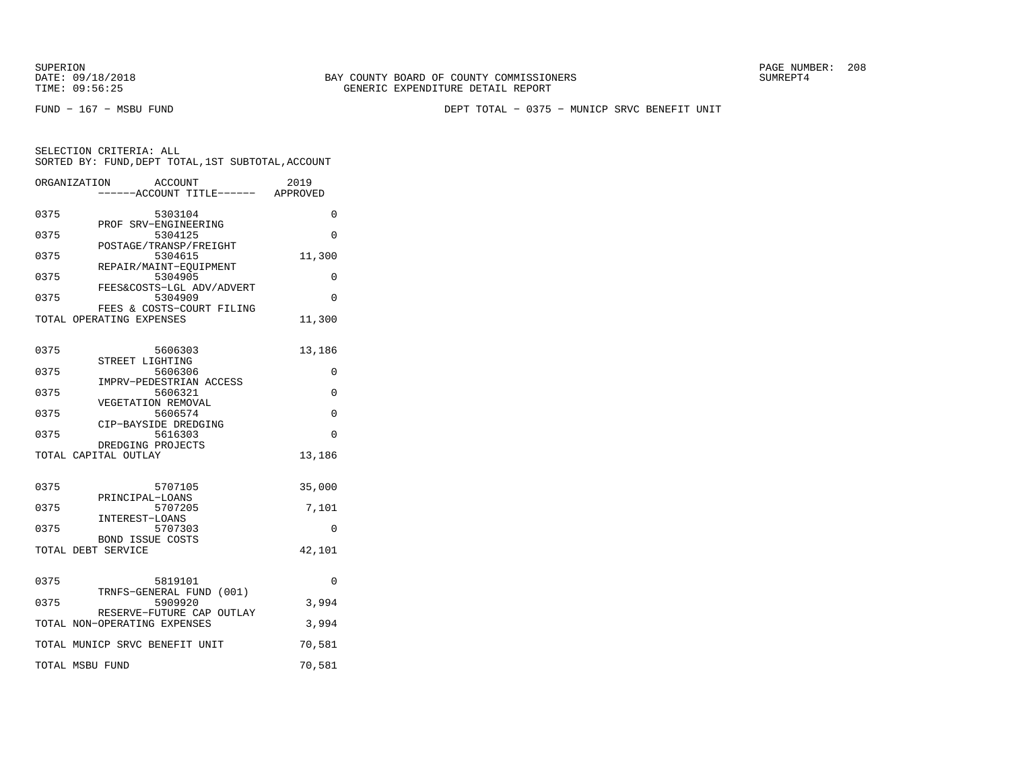SUPERION PAGE NUMBER: 208

FUND − 167 − MSBU FUND DEPT TOTAL − 0375 − MUNICP SRVC BENEFIT UNIT

SELECTION CRITERIA: ALL SORTED BY: FUND,DEPT TOTAL,1ST SUBTOTAL,ACCOUNTORGANIZATION ACCOUNT 2019

|      | OKGANI LAHI TOM<br>ACCOUN I<br>-----ACCOUNT TITLE------ APPROVED | ムリエン     |
|------|------------------------------------------------------------------|----------|
| 0375 | 5303104                                                          | 0        |
| 0375 | PROF SRV-ENGINEERING<br>5304125                                  | $\Omega$ |
| 0375 | POSTAGE/TRANSP/FREIGHT<br>5304615                                | 11,300   |
| 0375 | REPAIR/MAINT-EOUIPMENT<br>5304905                                | 0        |
| 0375 | FEES&COSTS-LGL ADV/ADVERT<br>5304909                             | $\Omega$ |
|      | FEES & COSTS-COURT FILING<br>TOTAL OPERATING EXPENSES            | 11,300   |
| 0375 | 5606303                                                          | 13,186   |
| 0375 | STREET LIGHTING<br>5606306                                       | 0        |
| 0375 | IMPRV-PEDESTRIAN ACCESS<br>5606321                               | $\Omega$ |
| 0375 | VEGETATION REMOVAL<br>5606574                                    | 0        |
| 0375 | CIP-BAYSIDE DREDGING<br>5616303                                  | $\Omega$ |
|      | DREDGING PROJECTS<br>TOTAL CAPITAL OUTLAY                        | 13,186   |
| 0375 | 5707105                                                          | 35,000   |
| 0375 | PRINCIPAL-LOANS<br>5707205                                       | 7,101    |
| 0375 | INTEREST-LOANS<br>5707303                                        | 0        |
|      | <b>BOND ISSUE COSTS</b><br>TOTAL DEBT SERVICE                    | 42,101   |
| 0375 | 5819101                                                          | 0        |
| 0375 | TRNFS-GENERAL FUND (001)<br>5909920                              | 3,994    |
|      | RESERVE-FUTURE CAP OUTLAY<br>TOTAL NON-OPERATING EXPENSES        | 3,994    |
|      | TOTAL MUNICP SRVC BENEFIT UNIT                                   | 70,581   |
|      | TOTAL MSBU FUND                                                  | 70,581   |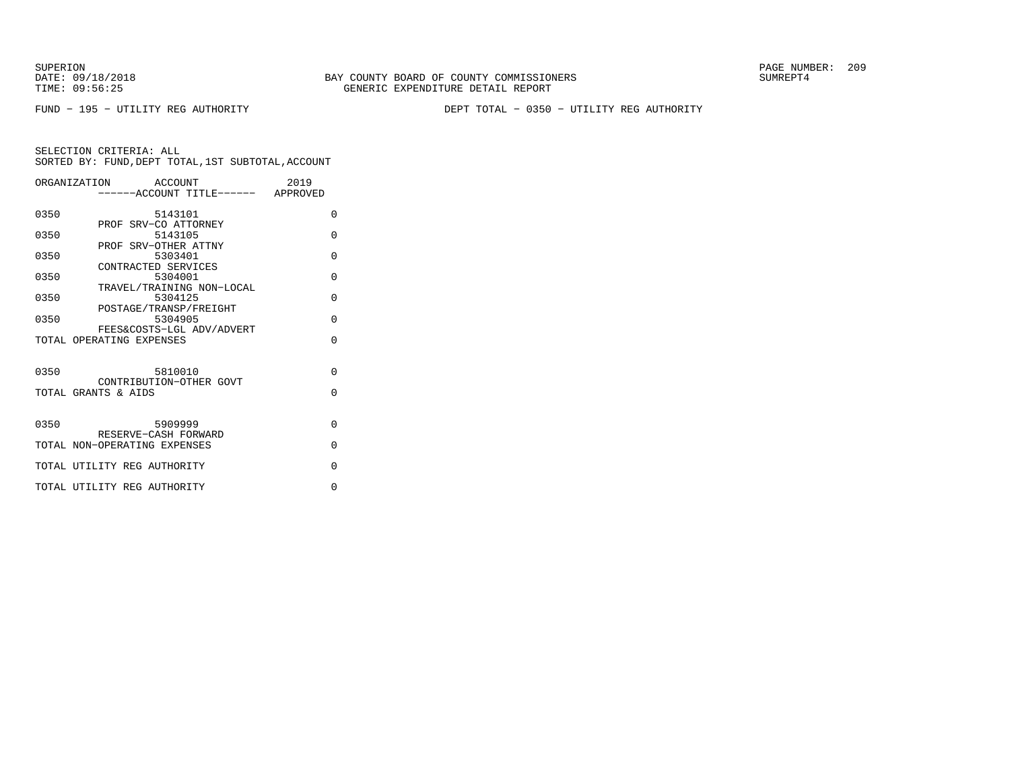SUPERION PAGE NUMBER: 209

FUND − 195 − UTILITY REG AUTHORITY DEPT TOTAL − 0350 − UTILITY REG AUTHORITY

|      | ORGANIZATION ACCOUNT<br>-----ACCOUNT TITLE------ APPROVED | 2019     |
|------|-----------------------------------------------------------|----------|
|      |                                                           |          |
| 0350 | 5143101                                                   | $\Omega$ |
| 0350 | PROF SRV-CO ATTORNEY<br>5143105                           | $\Omega$ |
|      | PROF SRV-OTHER ATTNY                                      |          |
| 0350 | 5303401                                                   | $\Omega$ |
|      | CONTRACTED SERVICES                                       |          |
| 0350 | 5304001                                                   | $\Omega$ |
| 0350 | TRAVEL/TRAINING NON-LOCAL<br>5304125                      | $\Omega$ |
|      | POSTAGE/TRANSP/FREIGHT                                    |          |
| 0350 | 5304905                                                   | $\Omega$ |
|      | FEES&COSTS-LGL ADV/ADVERT                                 |          |
|      | TOTAL OPERATING EXPENSES                                  | $\Omega$ |
|      |                                                           |          |
| 0350 | 5810010                                                   | $\Omega$ |
|      | CONTRIBUTION-OTHER GOVT                                   |          |
|      | TOTAL GRANTS & AIDS                                       | $\Omega$ |
|      |                                                           |          |
|      |                                                           |          |
| 0350 | 5909999<br>RESERVE-CASH FORWARD                           | $\Omega$ |
|      | TOTAL NON-OPERATING EXPENSES                              | $\Omega$ |
|      |                                                           |          |
|      | TOTAL UTILITY REG AUTHORITY                               | $\Omega$ |
|      | TOTAL UTILITY REG AUTHORITY                               | $\Omega$ |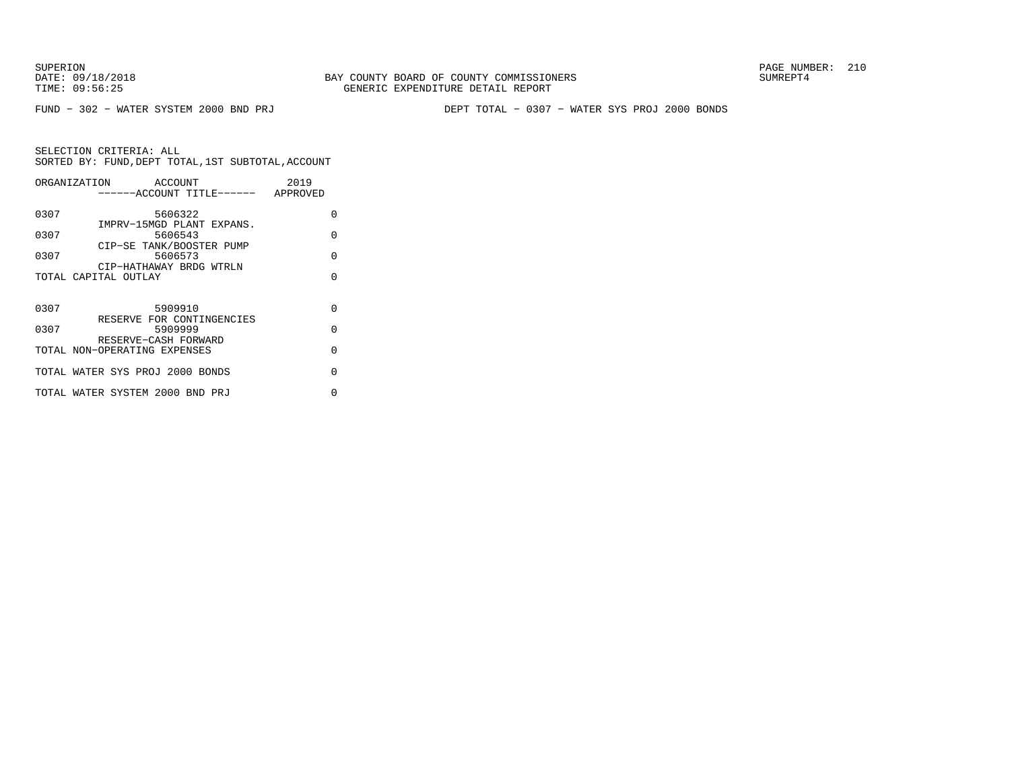FUND − 302 − WATER SYSTEM 2000 BND PRJ DEPT TOTAL − 0307 − WATER SYS PROJ 2000 BONDS

|      | ORGANIZATION<br>ACCOUNT<br>------ACCOUNT TITLE------ APPROVED | 2019     |
|------|---------------------------------------------------------------|----------|
| 0307 | 5606322                                                       | $\Omega$ |
| 0307 | IMPRV-15MGD PLANT EXPANS.<br>5606543                          | $\Omega$ |
| 0307 | CIP-SE TANK/BOOSTER PUMP<br>5606573                           | $\Omega$ |
|      | CIP-HATHAWAY BRDG WTRLN<br>TOTAL CAPITAL OUTLAY               | $\cap$   |
|      |                                                               |          |
| 0307 | 5909910                                                       | $\Omega$ |
| 0307 | RESERVE FOR CONTINGENCIES<br>5909999                          | $\Omega$ |
|      | RESERVE-CASH FORWARD<br>TOTAL NON-OPERATING EXPENSES          | $\Omega$ |
|      | TOTAL WATER SYS PROJ 2000 BONDS                               | U        |
|      | TOTAL WATER SYSTEM 2000 BND PRJ                               | U        |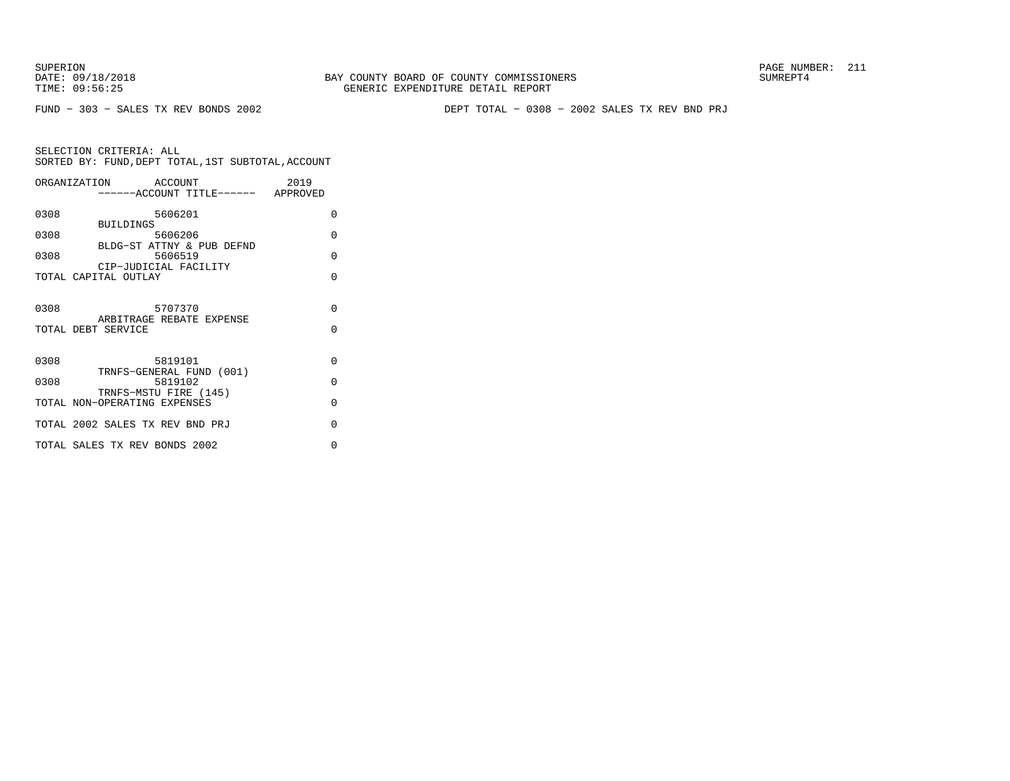FUND − 303 − SALES TX REV BONDS 2002 DEPT TOTAL − 0308 − 2002 SALES TX REV BND PRJ

|      | ORGANIZATION ACCOUNT<br>------ACCOUNT TITLE------ APPROVED   | 2019               |
|------|--------------------------------------------------------------|--------------------|
| 0308 | 5606201<br><b>BUILDINGS</b>                                  | 0                  |
| 0308 | 5606206<br>BLDG-ST ATTNY & PUB DEFND                         | $\Omega$           |
| 0308 | 5606519<br>CIP-JUDICIAL FACILITY                             | $\Omega$           |
|      | TOTAL CAPITAL OUTLAY                                         | $\Omega$           |
| 0308 | 5707370<br>ARBITRAGE REBATE EXPENSE<br>TOTAL DEBT SERVICE    | $\Omega$<br>$\cap$ |
| 0308 | 5819101                                                      | $\Omega$           |
| 0308 | TRNFS-GENERAL FUND (001)<br>5819102<br>TRNFS-MSTU FIRE (145) | $\Omega$           |
|      | TOTAL NON-OPERATING EXPENSES                                 | $\Omega$           |
|      | TOTAL 2002 SALES TX REV BND PRJ                              | $\Omega$           |
|      | TOTAL SALES TX REV BONDS 2002                                | $\Omega$           |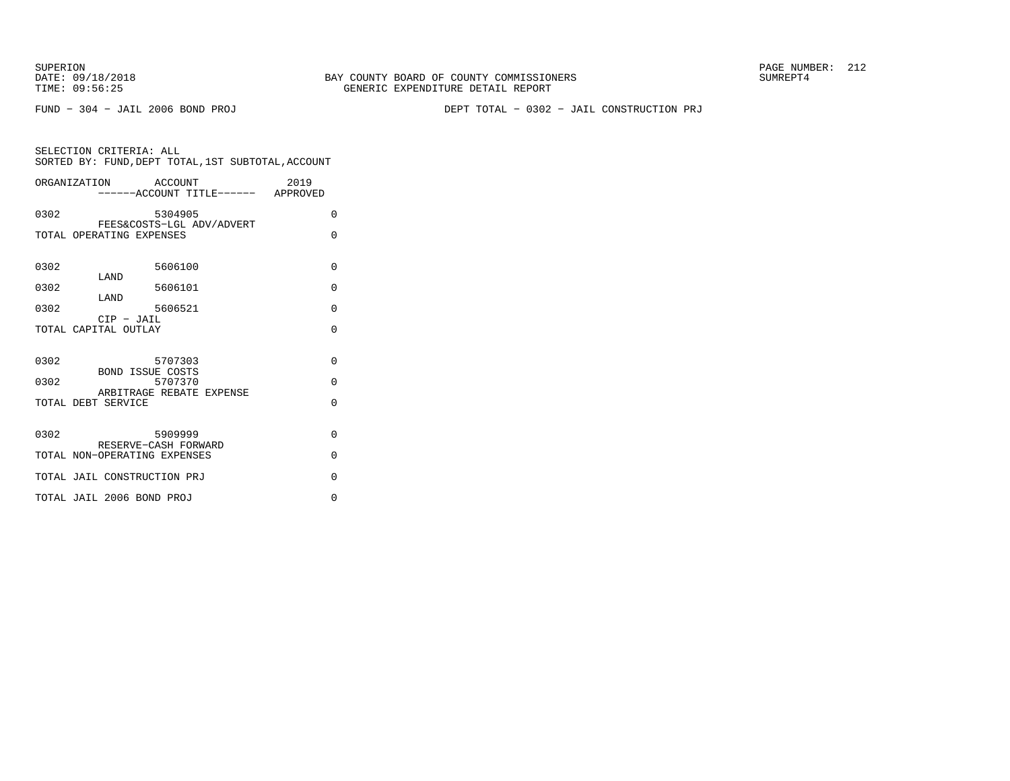FUND − 304 − JAIL 2006 BOND PROJ DEPT TOTAL − 0302 − JAIL CONSTRUCTION PRJ

|              | ORGANIZATION ACCOUNT                          |                                                | 2019<br>-----ACCOUNT TITLE------ APPROVED |                                  |
|--------------|-----------------------------------------------|------------------------------------------------|-------------------------------------------|----------------------------------|
| 0302         |                                               | 5304905<br>FEES&COSTS-LGL ADV/ADVERT           |                                           | $\Omega$                         |
|              | TOTAL OPERATING EXPENSES                      |                                                |                                           | $\Omega$                         |
| 0302         |                                               | 5606100                                        |                                           | $\Omega$                         |
| 0302         | LAND                                          | 5606101                                        |                                           | $\Omega$                         |
| 0302         | LAND                                          | 5606521                                        |                                           | $\Omega$                         |
|              | $CIP$ - $JAIL$<br>TOTAL CAPITAL OUTLAY        |                                                |                                           | $\Omega$                         |
| 0302<br>0302 | <b>BOND ISSUE COSTS</b><br>TOTAL DEBT SERVICE | 5707303<br>5707370<br>ARBITRAGE REBATE EXPENSE |                                           | $\Omega$<br>$\Omega$<br>$\Omega$ |
| 0302         | TOTAL NON-OPERATING EXPENSES                  | 5909999<br>RESERVE-CASH FORWARD                |                                           | $\Omega$<br>$\Omega$             |
|              | TOTAL JAIL CONSTRUCTION PRJ                   |                                                |                                           | $\Omega$                         |
|              | TOTAL JAIL 2006 BOND PROJ                     |                                                |                                           | $\Omega$                         |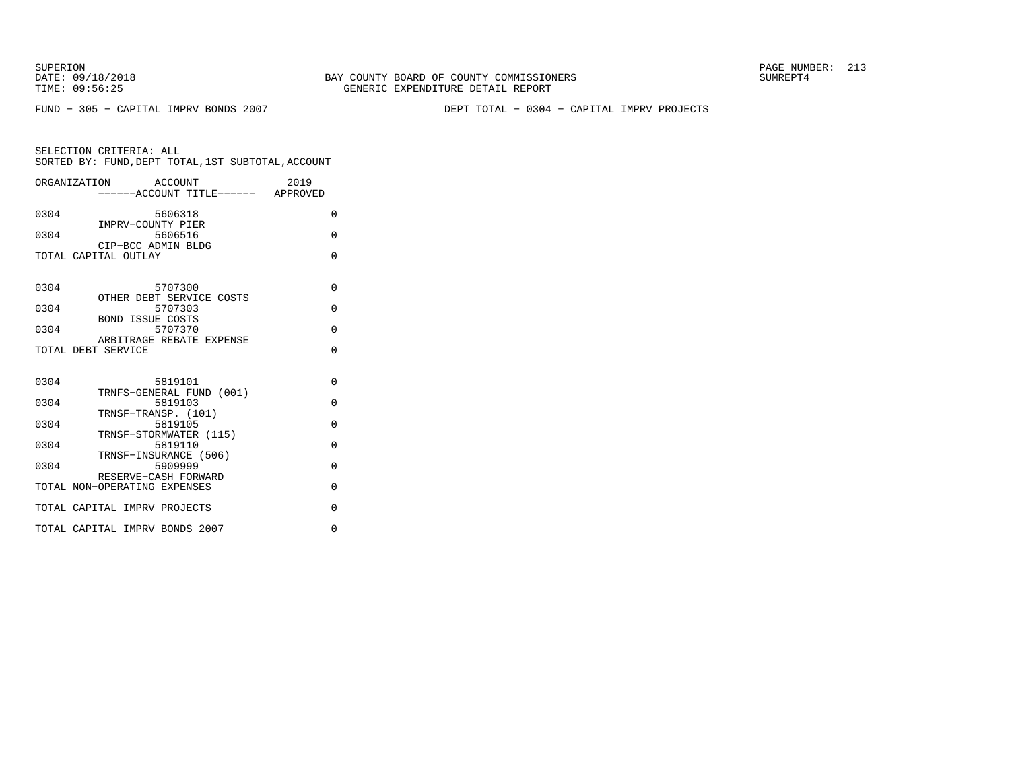FUND − 305 − CAPITAL IMPRV BONDS 2007 DEPT TOTAL − 0304 − CAPITAL IMPRV PROJECTS

|                    | ORGANIZATION ACCOUNT<br>-----ACCOUNT TITLE------ APPROVED | 2019     |
|--------------------|-----------------------------------------------------------|----------|
| 0304               | 5606318                                                   | $\Omega$ |
|                    | IMPRV-COUNTY PIER                                         |          |
| 0304               | 5606516<br>CIP-BCC ADMIN BLDG                             | $\Omega$ |
|                    | TOTAL CAPITAL OUTLAY                                      | $\Omega$ |
|                    |                                                           |          |
| 0304               | 5707300<br>OTHER DEBT SERVICE COSTS                       | $\Omega$ |
| 0304               | 5707303                                                   | $\Omega$ |
| 0304               | <b>BOND ISSUE COSTS</b><br>5707370                        | $\Omega$ |
|                    | ARBITRAGE REBATE EXPENSE                                  | $\Omega$ |
| TOTAL DEBT SERVICE |                                                           |          |
| 0304               | 5819101                                                   | $\Omega$ |
| 0304               | TRNFS-GENERAL FUND (001)<br>5819103                       | $\Omega$ |
|                    | TRNSF-TRANSP. (101)                                       |          |
| 0304               | 5819105<br>TRNSF-STORMWATER (115)                         | $\Omega$ |
| 0304               | 5819110                                                   | $\Omega$ |
| 0304               | TRNSF-INSURANCE (506)<br>5909999                          | $\Omega$ |
|                    | RESERVE-CASH FORWARD<br>TOTAL NON-OPERATING EXPENSES      | $\Omega$ |
|                    |                                                           |          |
|                    | TOTAL CAPITAL IMPRV PROJECTS                              | $\Omega$ |
|                    | TOTAL CAPITAL IMPRV BONDS 2007                            | $\Omega$ |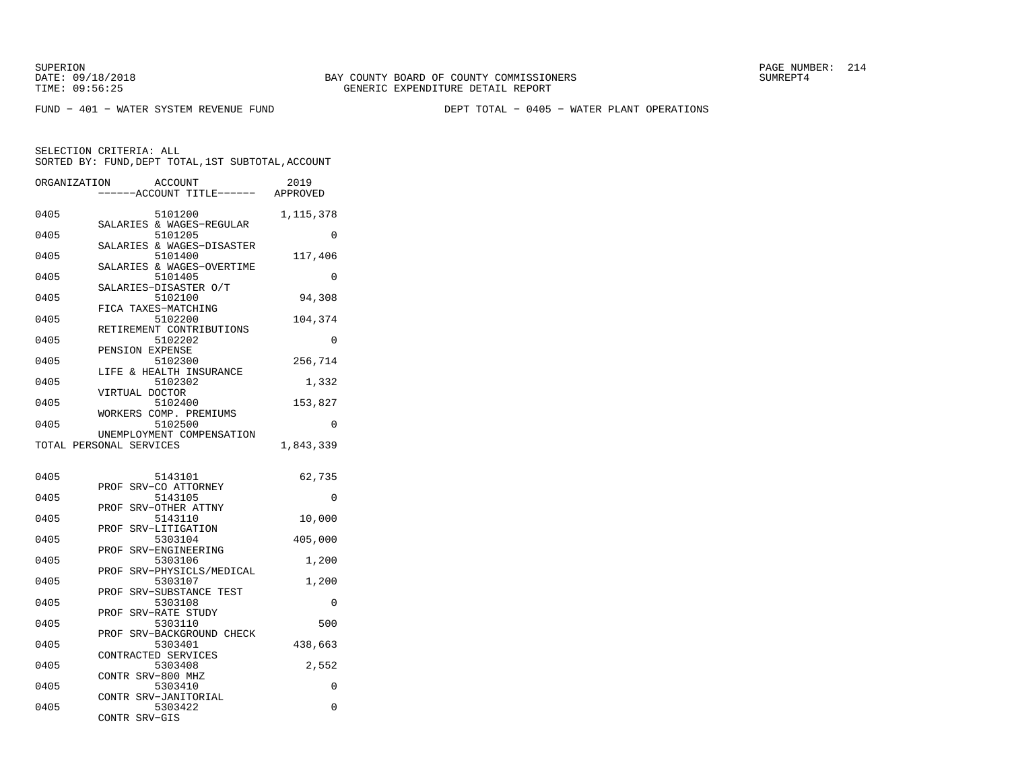DATE: 09/18/2018 BAY COUNTY BOARD OF COUNTY COMMISSIONERS SUMREPT4GENERIC EXPENDITURE DETAIL REPORT

SUPERION PAGE NUMBER: 214

FUND − 401 − WATER SYSTEM REVENUE FUND DEPT TOTAL − 0405 − WATER PLANT OPERATIONS

|              | SELECTION CRITERIA: ALL<br>SORTED BY: FUND, DEPT TOTAL, 1ST SUBTOTAL, ACCOUNT |           |
|--------------|-------------------------------------------------------------------------------|-----------|
| ORGANIZATION | ACCOUNT                                                                       | 2019      |
|              | ----ACCOUNT TITLE------ APPROVED                                              |           |
| 0405         | 5101200                                                                       | 1,115,378 |
| 0405         | SALARIES & WAGES-REGULAR<br>5101205                                           | 0         |
| 0405         | SALARIES & WAGES-DISASTER<br>5101400                                          | 117,406   |
| 0405         | SALARIES & WAGES-OVERTIME<br>5101405                                          | $\Omega$  |
| 0405         | SALARIES-DISASTER O/T<br>5102100                                              | 94,308    |
| 0405         | FICA TAXES-MATCHING<br>5102200                                                | 104,374   |
| 0405         | RETIREMENT CONTRIBUTIONS<br>5102202                                           | $\Omega$  |
| 0405         | PENSION EXPENSE<br>5102300                                                    | 256,714   |
| 0405         | LIFE & HEALTH INSURANCE<br>5102302                                            | 1,332     |
| 0405         | VIRTUAL DOCTOR<br>5102400                                                     | 153,827   |
| 0405         | WORKERS COMP. PREMIUMS<br>5102500                                             | 0         |
|              | UNEMPLOYMENT COMPENSATION<br>TOTAL PERSONAL SERVICES                          | 1,843,339 |
|              |                                                                               |           |
| 0405         | 5143101                                                                       | 62,735    |
| 0405         | PROF SRV-CO ATTORNEY<br>5143105                                               | 0         |
| 0405         | PROF SRV-OTHER ATTNY<br>5143110                                               | 10,000    |
| 0405         | SRV-LITIGATION<br>PROF<br>5303104                                             | 405,000   |
| 0405         | PROF SRV-ENGINEERING<br>5303106                                               | 1,200     |
| 0405         | PROF SRV-PHYSICLS/MEDICAL<br>5303107                                          | 1,200     |
| 0405         | SRV-SUBSTANCE TEST<br>PROF<br>5303108                                         | 0         |
| 0405         | PROF SRV-RATE STUDY<br>5303110                                                | 500       |
| 0405         | PROF SRV-BACKGROUND CHECK<br>5303401                                          | 438,663   |
|              | CONTRACTED SERVICES<br>5303408                                                | 2,552     |
| 0405         |                                                                               |           |
| 0405         | CONTR SRV-800 MHZ<br>5303410                                                  |           |
| 0405         | CONTR SRV-JANITORIAL<br>5303422                                               | 0<br>0    |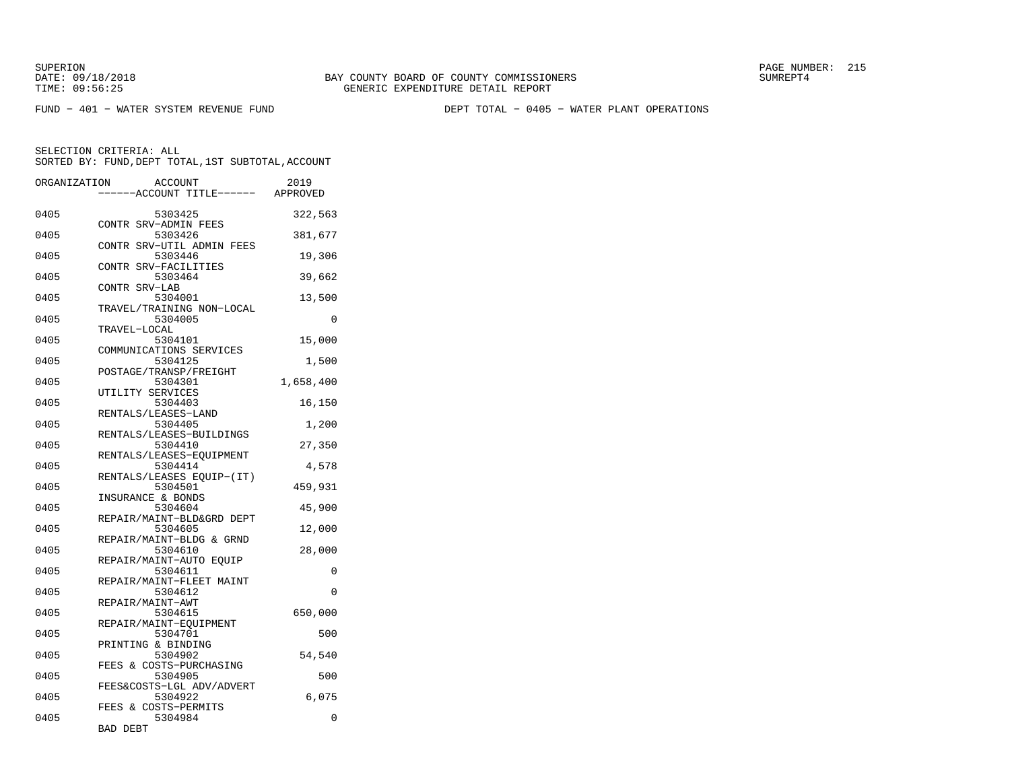DATE: 09/18/2018 BAY COUNTY BOARD OF COUNTY COMMISSIONERS SUMREPT4TIME: 09:56:25 GENERIC EXPENDITURE DETAIL REPORT

SUPERION PAGE NUMBER: 215

FUND − 401 − WATER SYSTEM REVENUE FUND DEPT TOTAL − 0405 − WATER PLANT OPERATIONS

SELECTION CRITERIA: ALL SORTED BY: FUND,DEPT TOTAL,1ST SUBTOTAL,ACCOUNTORGANIZATION ACCOUNT 2019 −−−−−−ACCOUNT TITLE−−−−−− APPROVED0405 5303425 322,563 CONTR SRV−ADMIN FEES0405 5303426 381,677 CONTR SRV−UTIL ADMIN FEES0405 5303446 19,306 CONTR SRV−FACILITIES0405 5303464 39,662 CONTR SRV−LAB 0405 5304001 13,500 TRAVEL/TRAINING NON−LOCAL0405 5304005 0 TRAVEL−LOCAL5304101 0405 5304101 15,000 COMMUNICATIONS SERVICES0405 5304125 1,500 POSTAGE/TRANSP/FREIGHT0405 5304301 1,658,400 UTILITY SERVICES 0405 5304403 16,150 RENTALS/LEASES−LAND0405 5304405 1,200 RENTALS/LEASES−BUILDINGS0405 5304410 27,350 RENTALS/LEASES-EQUIPMENT<br>5304414<br>5304414 0405 5304414 4,578 RENTALS/LEASES EQUIP−(IT)0405 5304501 459,931 INSURANCE & BONDS 0405 5304604 45,900 REPAIR/MAINT−BLD&GRD DEPT0405 5304605 12,000 REPAIR/MAINT−BLDG & GRND0405 5304610 28,000 REPAIR/MAINT-AUTO EQUIP<br>5304611 0405 5304611 0 REPAIR/MAINT−FLEET MAINT0405 5304612 0 REPAIR/MAINT−AWT 0405 5304615 650,000 REPAIR/MAINT−EQUIPMENT0405 5304701 500 PRINTING & BINDING0405 5304902 54,540 FEES & COSTS−PURCHASING0405 5304905 500 FEES&COSTS−LGL ADV/ADVERT0405 5304922 6,075 FEES & COSTS−PERMITS0405 5304984 0 BAD DEBT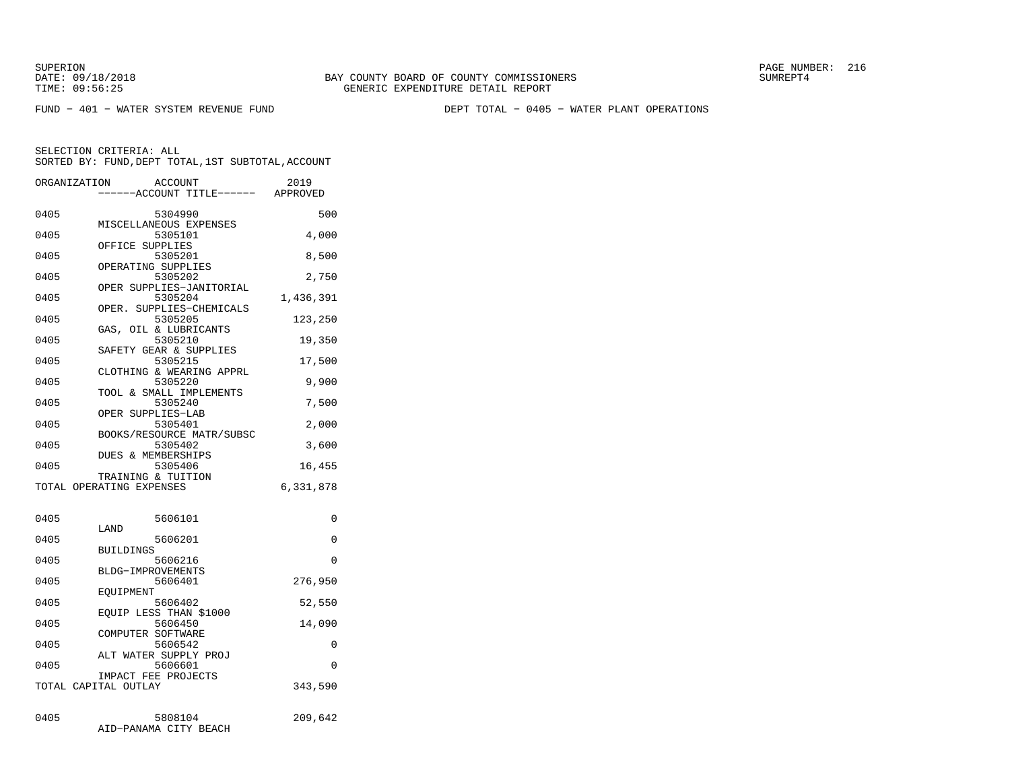FUND − 401 − WATER SYSTEM REVENUE FUND DEPT TOTAL − 0405 − WATER PLANT OPERATIONS

| ORGANIZATION | <b>ACCOUNT</b><br>---ACCOUNT TITLE------ APPROVED | 2019      |
|--------------|---------------------------------------------------|-----------|
| 0405         | 5304990                                           | 500       |
| 0405         | MISCELLANEOUS EXPENSES<br>5305101                 | 4,000     |
| 0405         | OFFICE SUPPLIES<br>5305201                        | 8,500     |
| 0405         | OPERATING SUPPLIES<br>5305202                     | 2,750     |
| 0405         | OPER SUPPLIES-JANITORIAL<br>5305204               | 1,436,391 |
| 0405         | SUPPLIES-CHEMICALS<br>OPER.<br>5305205            | 123,250   |
| 0405         | GAS, OIL & LUBRICANTS<br>5305210                  | 19,350    |
| 0405         | SAFETY GEAR & SUPPLIES<br>5305215                 | 17,500    |
| 0405         | CLOTHING & WEARING APPRL<br>5305220               | 9,900     |
| 0405         | TOOL & SMALL IMPLEMENTS<br>5305240                | 7,500     |
| 0405         | OPER SUPPLIES-LAB<br>5305401                      | 2,000     |
| 0405         | BOOKS/RESOURCE MATR/SUBSC<br>5305402              |           |
|              | DUES & MEMBERSHIPS                                | 3,600     |
| 0405         | 5305406<br>TRAINING & TUITION                     | 16,455    |
|              | TOTAL OPERATING EXPENSES                          | 6,331,878 |
| 0405         | 5606101                                           | 0         |
| 0405         | LAND<br>5606201                                   | 0         |
| 0405         | <b>BUILDINGS</b><br>5606216                       | $\Omega$  |
| 0405         | BLDG-IMPROVEMENTS<br>5606401                      | 276,950   |
| 0405         | EOUIPMENT<br>5606402                              | 52,550    |
| 0405         | EOUIP LESS THAN \$1000<br>5606450                 | 14,090    |
| 0405         | COMPUTER SOFTWARE<br>5606542                      | 0         |
| 0405         | ALT WATER SUPPLY PROJ<br>5606601                  | $\Omega$  |
|              | IMPACT FEE PROJECTS<br>TOTAL CAPITAL OUTLAY       | 343,590   |
| 0405         | 5808104<br>AID-PANAMA CITY BEACH                  | 209,642   |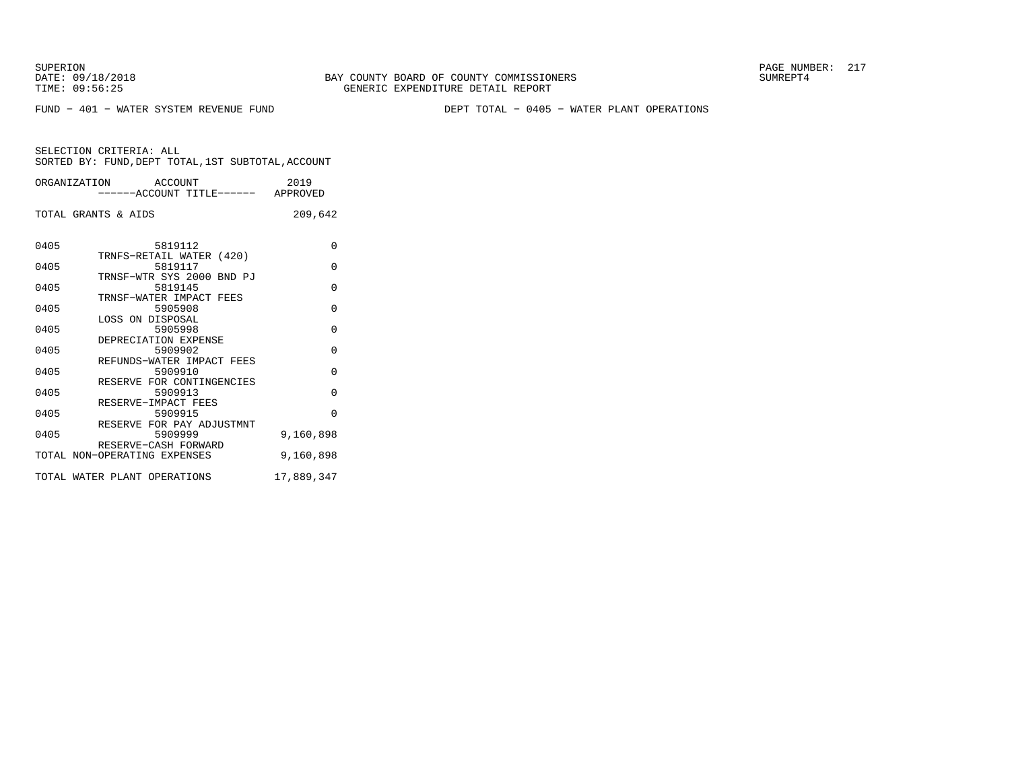FUND − 401 − WATER SYSTEM REVENUE FUND DEPT TOTAL − 0405 − WATER PLANT OPERATIONS

|      | ORGANIZATION ACCOUNT<br>-----ACCOUNT TITLE------ APPROVED | 2019       |
|------|-----------------------------------------------------------|------------|
|      | TOTAL GRANTS & AIDS                                       | 209,642    |
| 0405 | 5819112                                                   | $\Omega$   |
| 0405 | TRNFS-RETAIL WATER (420)<br>5819117                       | 0          |
| 0405 | TRNSF-WTR SYS 2000 BND PJ<br>5819145                      | $\Omega$   |
| 0405 | TRNSF-WATER IMPACT FEES<br>5905908                        | $\Omega$   |
| 0405 | LOSS ON DISPOSAL<br>5905998                               | $\Omega$   |
| 0405 | DEPRECIATION EXPENSE<br>5909902                           | $\Omega$   |
| 0405 | REFUNDS-WATER IMPACT FEES<br>5909910                      | 0          |
| 0405 | RESERVE FOR CONTINGENCIES<br>5909913                      | $\Omega$   |
|      | RESERVE-IMPACT FEES                                       |            |
| 0405 | 5909915<br>RESERVE FOR PAY ADJUSTMNT                      | $\Omega$   |
| 0405 | 5909999<br>RESERVE-CASH FORWARD                           | 9,160,898  |
|      | TOTAL NON-OPERATING EXPENSES                              | 9,160,898  |
|      | TOTAL WATER PLANT OPERATIONS                              | 17,889,347 |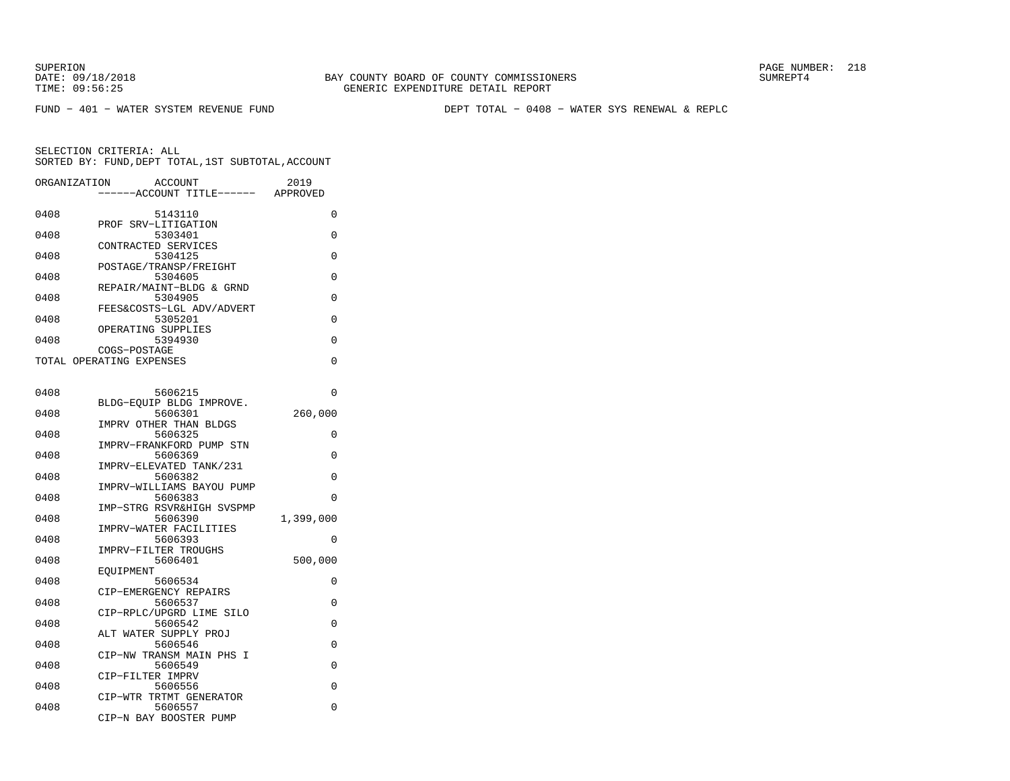FUND − 401 − WATER SYSTEM REVENUE FUND DEPT TOTAL − 0408 − WATER SYS RENEWAL & REPLC

| ORGANIZATION | <b>ACCOUNT</b><br>---ACCOUNT TITLE------                     | 2019<br>APPROVED |
|--------------|--------------------------------------------------------------|------------------|
| 0408         | 5143110                                                      | 0                |
| 0408         | PROF SRV-LITIGATION<br>5303401                               | 0                |
| 0408         | CONTRACTED SERVICES<br>5304125                               | 0                |
| 0408         | POSTAGE/TRANSP/FREIGHT<br>5304605                            | 0                |
| 0408         | REPAIR/MAINT-BLDG & GRND<br>5304905                          | 0                |
| 0408         | FEES&COSTS-LGL ADV/ADVERT<br>5305201                         | 0                |
| 0408         | OPERATING SUPPLIES<br>5394930<br>COGS-POSTAGE                | 0                |
|              | TOTAL OPERATING EXPENSES                                     | 0                |
| 0408         | 5606215                                                      | 0                |
| 0408         | BLDG-EQUIP BLDG IMPROVE.<br>5606301                          | 260,000          |
| 0408         | IMPRV OTHER THAN BLDGS<br>5606325                            | 0                |
| 0408         | IMPRV-FRANKFORD PUMP STN<br>5606369                          | 0                |
| 0408         | IMPRV-ELEVATED TANK/231<br>5606382                           | 0                |
| 0408         | IMPRV-WILLIAMS BAYOU PUMP<br>5606383                         | 0                |
| 0408         | IMP-STRG RSVR&HIGH SVSPMP<br>5606390                         | 1,399,000        |
| 0408         | IMPRV-WATER FACILITIES<br>5606393                            | 0                |
| 0408         | IMPRV-FILTER TROUGHS<br>5606401                              | 500,000          |
| 0408         | EOUIPMENT<br>5606534                                         | 0                |
| 0408         | CIP-EMERGENCY REPAIRS<br>5606537                             | 0                |
| 0408         | CIP-RPLC/UPGRD LIME SILO<br>5606542                          | 0                |
| 0408         | ALT WATER SUPPLY PROJ<br>5606546                             | 0                |
| 0408         | CIP-NW TRANSM MAIN PHS I<br>5606549                          | 0                |
| 0408         | CIP-FILTER IMPRV<br>5606556                                  | 0                |
| 0408         | CIP-WTR TRTMT GENERATOR<br>5606557<br>CIP-N BAY BOOSTER PUMP | 0                |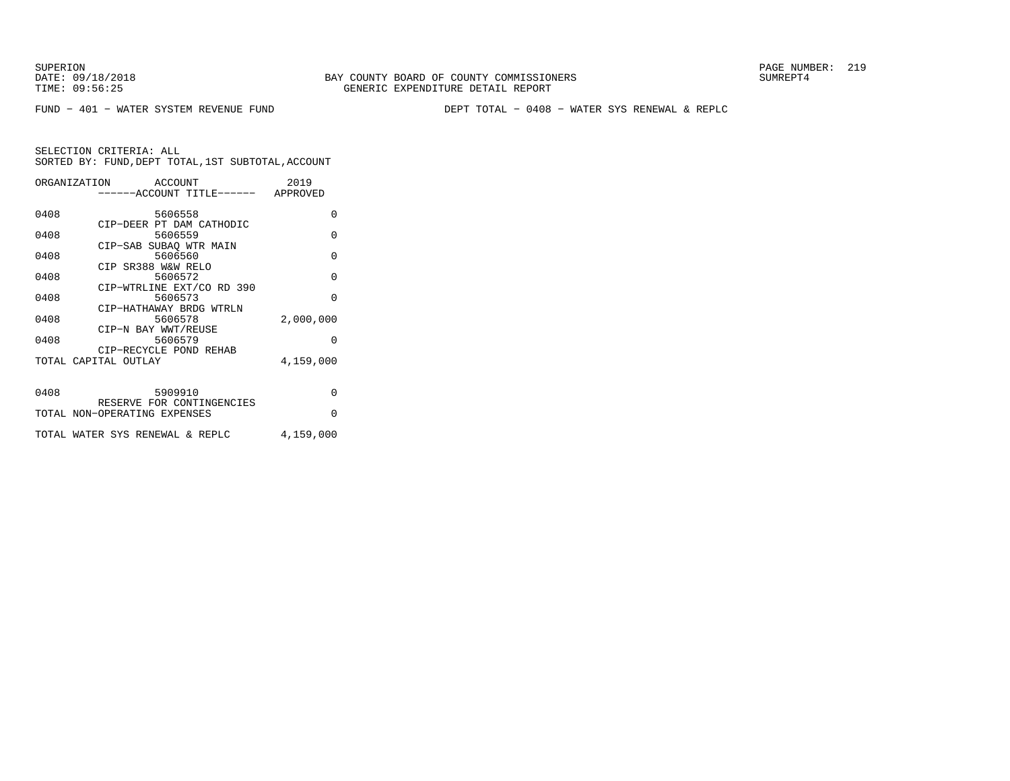FUND − 401 − WATER SYSTEM REVENUE FUND DEPT TOTAL − 0408 − WATER SYS RENEWAL & REPLC

|      | ORGANIZATION<br>ACCOUNT<br>------ACCOUNT TITLE------ APPROVED | 2019      |
|------|---------------------------------------------------------------|-----------|
| 0408 | 5606558                                                       | $\Omega$  |
| 0408 | CIP-DEER PT DAM CATHODIC<br>5606559                           | $\Omega$  |
| 0408 | CIP-SAB SUBAO WTR MAIN<br>5606560                             | $\Omega$  |
| 0408 | CIP SR388 W&W RELO<br>5606572                                 | $\Omega$  |
| 0408 | CIP-WTRLINE EXT/CO RD 390<br>5606573                          | $\Omega$  |
|      | CIP-HATHAWAY BRDG WTRLN                                       |           |
| 0408 | 5606578<br>CIP-N BAY WWT/REUSE                                | 2,000,000 |
| 0408 | 5606579<br>CIP-RECYCLE POND REHAB                             | $\Omega$  |
|      | TOTAL CAPITAL OUTLAY                                          | 4,159,000 |
|      |                                                               |           |
| 0408 | 5909910<br>RESERVE FOR CONTINGENCIES                          | $\Omega$  |
|      | TOTAL NON-OPERATING EXPENSES                                  | $\Omega$  |
|      | TOTAL WATER SYS RENEWAL & REPLC                               | 4,159,000 |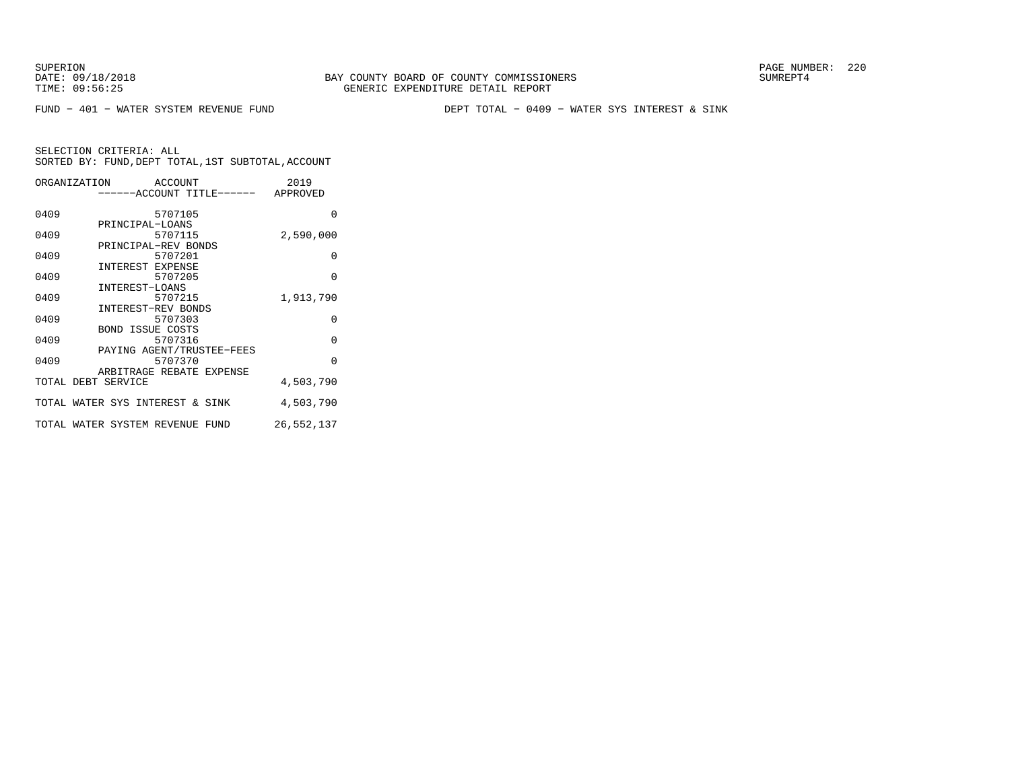FUND − 401 − WATER SYSTEM REVENUE FUND DEPT TOTAL − 0409 − WATER SYS INTEREST & SINK

|      | ORGANIZATION ACCOUNT            |         | ------ACCOUNT TITLE------ APPROVED | 2019       |
|------|---------------------------------|---------|------------------------------------|------------|
|      |                                 |         |                                    |            |
| 0409 |                                 | 5707105 |                                    | O          |
|      | PRINCIPAL-LOANS                 |         |                                    |            |
| 0409 |                                 | 5707115 |                                    | 2,590,000  |
|      | PRINCIPAL-REV BONDS             |         |                                    |            |
| 0409 |                                 | 5707201 |                                    | $\Omega$   |
|      | INTEREST EXPENSE                |         |                                    |            |
| 0409 |                                 | 5707205 |                                    | $\Omega$   |
|      | INTEREST-LOANS                  |         |                                    |            |
| 0409 |                                 | 5707215 |                                    | 1,913,790  |
|      | INTEREST-REV BONDS              |         |                                    |            |
| 0409 |                                 | 5707303 |                                    | $\Omega$   |
|      | <b>BOND ISSUE COSTS</b>         |         |                                    |            |
| 0409 |                                 | 5707316 |                                    | $\Omega$   |
|      |                                 |         | PAYING AGENT/TRUSTEE-FEES          | $\Omega$   |
| 0409 | ARBITRAGE REBATE EXPENSE        | 5707370 |                                    |            |
|      | TOTAL DEBT SERVICE              |         |                                    | 4,503,790  |
|      |                                 |         |                                    |            |
|      | TOTAL WATER SYS INTEREST & SINK |         |                                    | 4,503,790  |
|      |                                 |         |                                    |            |
|      | TOTAL WATER SYSTEM REVENUE FUND |         |                                    | 26,552,137 |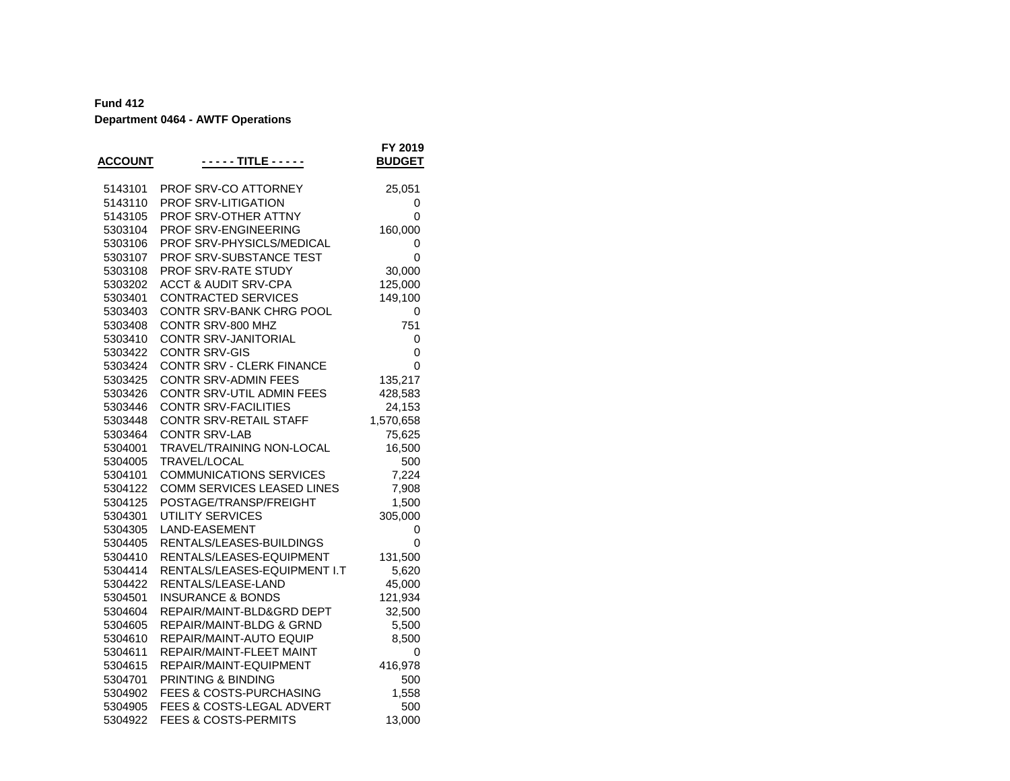| 5143101<br><b>PROF SRV-CO ATTORNEY</b><br>25,051<br>5143110<br>PROF SRV-LITIGATION<br>0<br>5143105<br>PROF SRV-OTHER ATTNY<br>0<br>5303104<br>PROF SRV-ENGINEERING<br>160,000<br>5303106<br>PROF SRV-PHYSICLS/MEDICAL<br>0<br>5303107<br>PROF SRV-SUBSTANCE TEST<br>0<br>PROF SRV-RATE STUDY<br>30,000<br>5303108<br><b>ACCT &amp; AUDIT SRV-CPA</b><br>125,000<br>5303202<br><b>CONTRACTED SERVICES</b><br>5303401<br>149,100<br>5303403<br>CONTR SRV-BANK CHRG POOL<br>0<br>CONTR SRV-800 MHZ<br>5303408<br>751<br>5303410<br><b>CONTR SRV-JANITORIAL</b><br>0<br>5303422<br><b>CONTR SRV-GIS</b><br>0<br>5303424<br>CONTR SRV - CLERK FINANCE<br>0<br>5303425<br><b>CONTR SRV-ADMIN FEES</b><br>135,217<br>5303426<br>CONTR SRV-UTIL ADMIN FEES<br>428,583<br><b>CONTR SRV-FACILITIES</b><br>5303446<br>24,153<br>CONTR SRV-RETAIL STAFF<br>1,570,658<br>5303448<br>5303464<br><b>CONTR SRV-LAB</b><br>75,625<br>TRAVEL/TRAINING NON-LOCAL<br>5304001<br>16,500<br>5304005<br>TRAVEL/LOCAL<br>500<br>5304101<br><b>COMMUNICATIONS SERVICES</b><br>7,224<br>COMM SERVICES LEASED LINES<br>5304122<br>7,908<br>POSTAGE/TRANSP/FREIGHT<br>5304125<br>1,500<br><b>UTILITY SERVICES</b><br>5304301<br>305,000<br>5304305<br>LAND-EASEMENT<br>0<br>RENTALS/LEASES-BUILDINGS<br>5304405<br>0<br>RENTALS/LEASES-EQUIPMENT<br>131,500<br>5304410<br>5304414<br>RENTALS/LEASES-EQUIPMENT I.T<br>5,620<br>5304422<br>RENTALS/LEASE-LAND<br>45,000<br>5304501<br><b>INSURANCE &amp; BONDS</b><br>121,934<br>REPAIR/MAINT-BLD&GRD DEPT<br>5304604<br>32,500<br>5304605<br>REPAIR/MAINT-BLDG & GRND<br>5,500<br>5304610<br>REPAIR/MAINT-AUTO EQUIP<br>8,500<br>5304611<br>REPAIR/MAINT-FLEET MAINT<br>0<br>5304615<br>REPAIR/MAINT-EQUIPMENT<br>416,978<br>5304701<br>PRINTING & BINDING<br>500<br>5304902<br>FEES & COSTS-PURCHASING<br>1,558<br>FEES & COSTS-LEGAL ADVERT<br>5304905<br>500<br><b>FEES &amp; COSTS-PERMITS</b><br>5304922<br>13,000 | <b>ACCOUNT</b> | - - - <u>- TITLE - - - - -</u> | FY 2019<br><b>BUDGET</b> |
|--------------------------------------------------------------------------------------------------------------------------------------------------------------------------------------------------------------------------------------------------------------------------------------------------------------------------------------------------------------------------------------------------------------------------------------------------------------------------------------------------------------------------------------------------------------------------------------------------------------------------------------------------------------------------------------------------------------------------------------------------------------------------------------------------------------------------------------------------------------------------------------------------------------------------------------------------------------------------------------------------------------------------------------------------------------------------------------------------------------------------------------------------------------------------------------------------------------------------------------------------------------------------------------------------------------------------------------------------------------------------------------------------------------------------------------------------------------------------------------------------------------------------------------------------------------------------------------------------------------------------------------------------------------------------------------------------------------------------------------------------------------------------------------------------------------------------------------------------------------------------------------------------------------------------------------------|----------------|--------------------------------|--------------------------|
|                                                                                                                                                                                                                                                                                                                                                                                                                                                                                                                                                                                                                                                                                                                                                                                                                                                                                                                                                                                                                                                                                                                                                                                                                                                                                                                                                                                                                                                                                                                                                                                                                                                                                                                                                                                                                                                                                                                                            |                |                                |                          |
|                                                                                                                                                                                                                                                                                                                                                                                                                                                                                                                                                                                                                                                                                                                                                                                                                                                                                                                                                                                                                                                                                                                                                                                                                                                                                                                                                                                                                                                                                                                                                                                                                                                                                                                                                                                                                                                                                                                                            |                |                                |                          |
|                                                                                                                                                                                                                                                                                                                                                                                                                                                                                                                                                                                                                                                                                                                                                                                                                                                                                                                                                                                                                                                                                                                                                                                                                                                                                                                                                                                                                                                                                                                                                                                                                                                                                                                                                                                                                                                                                                                                            |                |                                |                          |
|                                                                                                                                                                                                                                                                                                                                                                                                                                                                                                                                                                                                                                                                                                                                                                                                                                                                                                                                                                                                                                                                                                                                                                                                                                                                                                                                                                                                                                                                                                                                                                                                                                                                                                                                                                                                                                                                                                                                            |                |                                |                          |
|                                                                                                                                                                                                                                                                                                                                                                                                                                                                                                                                                                                                                                                                                                                                                                                                                                                                                                                                                                                                                                                                                                                                                                                                                                                                                                                                                                                                                                                                                                                                                                                                                                                                                                                                                                                                                                                                                                                                            |                |                                |                          |
|                                                                                                                                                                                                                                                                                                                                                                                                                                                                                                                                                                                                                                                                                                                                                                                                                                                                                                                                                                                                                                                                                                                                                                                                                                                                                                                                                                                                                                                                                                                                                                                                                                                                                                                                                                                                                                                                                                                                            |                |                                |                          |
|                                                                                                                                                                                                                                                                                                                                                                                                                                                                                                                                                                                                                                                                                                                                                                                                                                                                                                                                                                                                                                                                                                                                                                                                                                                                                                                                                                                                                                                                                                                                                                                                                                                                                                                                                                                                                                                                                                                                            |                |                                |                          |
|                                                                                                                                                                                                                                                                                                                                                                                                                                                                                                                                                                                                                                                                                                                                                                                                                                                                                                                                                                                                                                                                                                                                                                                                                                                                                                                                                                                                                                                                                                                                                                                                                                                                                                                                                                                                                                                                                                                                            |                |                                |                          |
|                                                                                                                                                                                                                                                                                                                                                                                                                                                                                                                                                                                                                                                                                                                                                                                                                                                                                                                                                                                                                                                                                                                                                                                                                                                                                                                                                                                                                                                                                                                                                                                                                                                                                                                                                                                                                                                                                                                                            |                |                                |                          |
|                                                                                                                                                                                                                                                                                                                                                                                                                                                                                                                                                                                                                                                                                                                                                                                                                                                                                                                                                                                                                                                                                                                                                                                                                                                                                                                                                                                                                                                                                                                                                                                                                                                                                                                                                                                                                                                                                                                                            |                |                                |                          |
|                                                                                                                                                                                                                                                                                                                                                                                                                                                                                                                                                                                                                                                                                                                                                                                                                                                                                                                                                                                                                                                                                                                                                                                                                                                                                                                                                                                                                                                                                                                                                                                                                                                                                                                                                                                                                                                                                                                                            |                |                                |                          |
|                                                                                                                                                                                                                                                                                                                                                                                                                                                                                                                                                                                                                                                                                                                                                                                                                                                                                                                                                                                                                                                                                                                                                                                                                                                                                                                                                                                                                                                                                                                                                                                                                                                                                                                                                                                                                                                                                                                                            |                |                                |                          |
|                                                                                                                                                                                                                                                                                                                                                                                                                                                                                                                                                                                                                                                                                                                                                                                                                                                                                                                                                                                                                                                                                                                                                                                                                                                                                                                                                                                                                                                                                                                                                                                                                                                                                                                                                                                                                                                                                                                                            |                |                                |                          |
|                                                                                                                                                                                                                                                                                                                                                                                                                                                                                                                                                                                                                                                                                                                                                                                                                                                                                                                                                                                                                                                                                                                                                                                                                                                                                                                                                                                                                                                                                                                                                                                                                                                                                                                                                                                                                                                                                                                                            |                |                                |                          |
|                                                                                                                                                                                                                                                                                                                                                                                                                                                                                                                                                                                                                                                                                                                                                                                                                                                                                                                                                                                                                                                                                                                                                                                                                                                                                                                                                                                                                                                                                                                                                                                                                                                                                                                                                                                                                                                                                                                                            |                |                                |                          |
|                                                                                                                                                                                                                                                                                                                                                                                                                                                                                                                                                                                                                                                                                                                                                                                                                                                                                                                                                                                                                                                                                                                                                                                                                                                                                                                                                                                                                                                                                                                                                                                                                                                                                                                                                                                                                                                                                                                                            |                |                                |                          |
|                                                                                                                                                                                                                                                                                                                                                                                                                                                                                                                                                                                                                                                                                                                                                                                                                                                                                                                                                                                                                                                                                                                                                                                                                                                                                                                                                                                                                                                                                                                                                                                                                                                                                                                                                                                                                                                                                                                                            |                |                                |                          |
|                                                                                                                                                                                                                                                                                                                                                                                                                                                                                                                                                                                                                                                                                                                                                                                                                                                                                                                                                                                                                                                                                                                                                                                                                                                                                                                                                                                                                                                                                                                                                                                                                                                                                                                                                                                                                                                                                                                                            |                |                                |                          |
|                                                                                                                                                                                                                                                                                                                                                                                                                                                                                                                                                                                                                                                                                                                                                                                                                                                                                                                                                                                                                                                                                                                                                                                                                                                                                                                                                                                                                                                                                                                                                                                                                                                                                                                                                                                                                                                                                                                                            |                |                                |                          |
|                                                                                                                                                                                                                                                                                                                                                                                                                                                                                                                                                                                                                                                                                                                                                                                                                                                                                                                                                                                                                                                                                                                                                                                                                                                                                                                                                                                                                                                                                                                                                                                                                                                                                                                                                                                                                                                                                                                                            |                |                                |                          |
|                                                                                                                                                                                                                                                                                                                                                                                                                                                                                                                                                                                                                                                                                                                                                                                                                                                                                                                                                                                                                                                                                                                                                                                                                                                                                                                                                                                                                                                                                                                                                                                                                                                                                                                                                                                                                                                                                                                                            |                |                                |                          |
|                                                                                                                                                                                                                                                                                                                                                                                                                                                                                                                                                                                                                                                                                                                                                                                                                                                                                                                                                                                                                                                                                                                                                                                                                                                                                                                                                                                                                                                                                                                                                                                                                                                                                                                                                                                                                                                                                                                                            |                |                                |                          |
|                                                                                                                                                                                                                                                                                                                                                                                                                                                                                                                                                                                                                                                                                                                                                                                                                                                                                                                                                                                                                                                                                                                                                                                                                                                                                                                                                                                                                                                                                                                                                                                                                                                                                                                                                                                                                                                                                                                                            |                |                                |                          |
|                                                                                                                                                                                                                                                                                                                                                                                                                                                                                                                                                                                                                                                                                                                                                                                                                                                                                                                                                                                                                                                                                                                                                                                                                                                                                                                                                                                                                                                                                                                                                                                                                                                                                                                                                                                                                                                                                                                                            |                |                                |                          |
|                                                                                                                                                                                                                                                                                                                                                                                                                                                                                                                                                                                                                                                                                                                                                                                                                                                                                                                                                                                                                                                                                                                                                                                                                                                                                                                                                                                                                                                                                                                                                                                                                                                                                                                                                                                                                                                                                                                                            |                |                                |                          |
|                                                                                                                                                                                                                                                                                                                                                                                                                                                                                                                                                                                                                                                                                                                                                                                                                                                                                                                                                                                                                                                                                                                                                                                                                                                                                                                                                                                                                                                                                                                                                                                                                                                                                                                                                                                                                                                                                                                                            |                |                                |                          |
|                                                                                                                                                                                                                                                                                                                                                                                                                                                                                                                                                                                                                                                                                                                                                                                                                                                                                                                                                                                                                                                                                                                                                                                                                                                                                                                                                                                                                                                                                                                                                                                                                                                                                                                                                                                                                                                                                                                                            |                |                                |                          |
|                                                                                                                                                                                                                                                                                                                                                                                                                                                                                                                                                                                                                                                                                                                                                                                                                                                                                                                                                                                                                                                                                                                                                                                                                                                                                                                                                                                                                                                                                                                                                                                                                                                                                                                                                                                                                                                                                                                                            |                |                                |                          |
|                                                                                                                                                                                                                                                                                                                                                                                                                                                                                                                                                                                                                                                                                                                                                                                                                                                                                                                                                                                                                                                                                                                                                                                                                                                                                                                                                                                                                                                                                                                                                                                                                                                                                                                                                                                                                                                                                                                                            |                |                                |                          |
|                                                                                                                                                                                                                                                                                                                                                                                                                                                                                                                                                                                                                                                                                                                                                                                                                                                                                                                                                                                                                                                                                                                                                                                                                                                                                                                                                                                                                                                                                                                                                                                                                                                                                                                                                                                                                                                                                                                                            |                |                                |                          |
|                                                                                                                                                                                                                                                                                                                                                                                                                                                                                                                                                                                                                                                                                                                                                                                                                                                                                                                                                                                                                                                                                                                                                                                                                                                                                                                                                                                                                                                                                                                                                                                                                                                                                                                                                                                                                                                                                                                                            |                |                                |                          |
|                                                                                                                                                                                                                                                                                                                                                                                                                                                                                                                                                                                                                                                                                                                                                                                                                                                                                                                                                                                                                                                                                                                                                                                                                                                                                                                                                                                                                                                                                                                                                                                                                                                                                                                                                                                                                                                                                                                                            |                |                                |                          |
|                                                                                                                                                                                                                                                                                                                                                                                                                                                                                                                                                                                                                                                                                                                                                                                                                                                                                                                                                                                                                                                                                                                                                                                                                                                                                                                                                                                                                                                                                                                                                                                                                                                                                                                                                                                                                                                                                                                                            |                |                                |                          |
|                                                                                                                                                                                                                                                                                                                                                                                                                                                                                                                                                                                                                                                                                                                                                                                                                                                                                                                                                                                                                                                                                                                                                                                                                                                                                                                                                                                                                                                                                                                                                                                                                                                                                                                                                                                                                                                                                                                                            |                |                                |                          |
|                                                                                                                                                                                                                                                                                                                                                                                                                                                                                                                                                                                                                                                                                                                                                                                                                                                                                                                                                                                                                                                                                                                                                                                                                                                                                                                                                                                                                                                                                                                                                                                                                                                                                                                                                                                                                                                                                                                                            |                |                                |                          |
|                                                                                                                                                                                                                                                                                                                                                                                                                                                                                                                                                                                                                                                                                                                                                                                                                                                                                                                                                                                                                                                                                                                                                                                                                                                                                                                                                                                                                                                                                                                                                                                                                                                                                                                                                                                                                                                                                                                                            |                |                                |                          |
|                                                                                                                                                                                                                                                                                                                                                                                                                                                                                                                                                                                                                                                                                                                                                                                                                                                                                                                                                                                                                                                                                                                                                                                                                                                                                                                                                                                                                                                                                                                                                                                                                                                                                                                                                                                                                                                                                                                                            |                |                                |                          |
|                                                                                                                                                                                                                                                                                                                                                                                                                                                                                                                                                                                                                                                                                                                                                                                                                                                                                                                                                                                                                                                                                                                                                                                                                                                                                                                                                                                                                                                                                                                                                                                                                                                                                                                                                                                                                                                                                                                                            |                |                                |                          |
|                                                                                                                                                                                                                                                                                                                                                                                                                                                                                                                                                                                                                                                                                                                                                                                                                                                                                                                                                                                                                                                                                                                                                                                                                                                                                                                                                                                                                                                                                                                                                                                                                                                                                                                                                                                                                                                                                                                                            |                |                                |                          |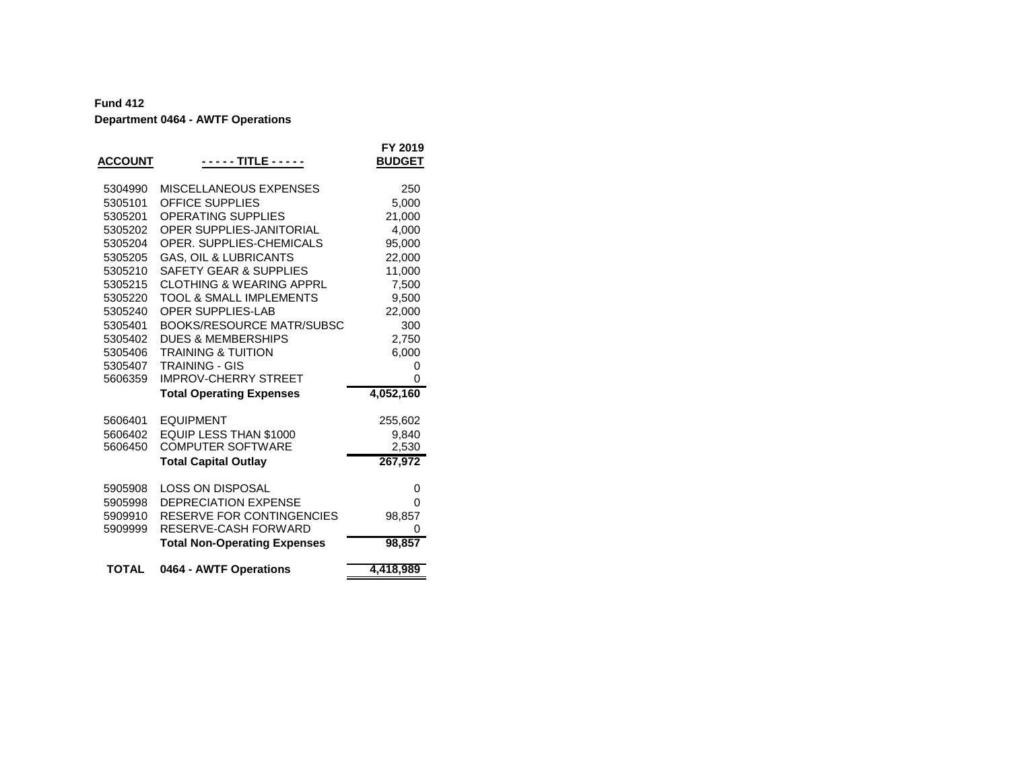| <b>ACCOUNT</b> | - - - - - TITLE - - - - -           | FY 2019<br><b>BUDGET</b> |
|----------------|-------------------------------------|--------------------------|
| 5304990        | MISCELLANEOUS EXPENSES              | 250                      |
| 5305101        | <b>OFFICE SUPPLIES</b>              | 5,000                    |
| 5305201        | <b>OPERATING SUPPLIES</b>           | 21,000                   |
| 5305202        | OPER SUPPLIES-JANITORIAL            | 4,000                    |
| 5305204        | OPER. SUPPLIES-CHEMICALS            | 95,000                   |
| 5305205        | <b>GAS, OIL &amp; LUBRICANTS</b>    | 22,000                   |
| 5305210        | <b>SAFETY GEAR &amp; SUPPLIES</b>   | 11,000                   |
| 5305215        | <b>CLOTHING &amp; WEARING APPRL</b> | 7,500                    |
| 5305220        | <b>TOOL &amp; SMALL IMPLEMENTS</b>  | 9,500                    |
| 5305240        | <b>OPER SUPPLIES-LAB</b>            | 22,000                   |
| 5305401        | <b>BOOKS/RESOURCE MATR/SUBSC</b>    | 300                      |
| 5305402        | <b>DUES &amp; MEMBERSHIPS</b>       | 2,750                    |
| 5305406        | <b>TRAINING &amp; TUITION</b>       | 6,000                    |
| 5305407        | <b>TRAINING - GIS</b>               | 0                        |
| 5606359        | <b>IMPROV-CHERRY STREET</b>         | 0                        |
|                | <b>Total Operating Expenses</b>     | 4,052,160                |
| 5606401        | <b>EQUIPMENT</b>                    | 255,602                  |
| 5606402        | EQUIP LESS THAN \$1000              | 9,840                    |
| 5606450        | <b>COMPUTER SOFTWARE</b>            | 2,530                    |
|                | <b>Total Capital Outlay</b>         | 267,972                  |
| 5905908        | <b>LOSS ON DISPOSAL</b>             | 0                        |
| 5905998        | <b>DEPRECIATION EXPENSE</b>         | 0                        |
| 5909910        | RESERVE FOR CONTINGENCIES           | 98,857                   |
| 5909999        | RESERVE-CASH FORWARD                | 0                        |
|                | <b>Total Non-Operating Expenses</b> | 98,857                   |
| <b>TOTAL</b>   | 0464 - AWTF Operations              | 4,418,989                |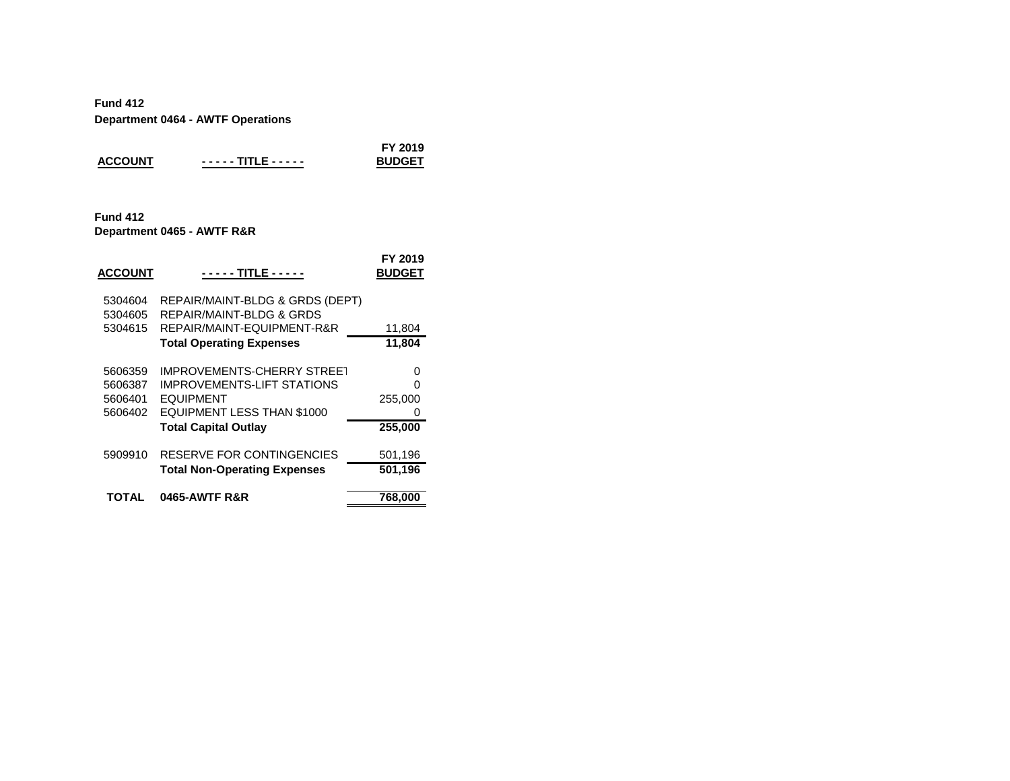|                |                   | FY 2019       |
|----------------|-------------------|---------------|
| <b>ACCOUNT</b> | ----- TITLE ----- | <b>BUDGET</b> |

#### **Fund 412 Department 0465 - AWTF R&R**

| <b>ACCOUNT</b>                           | - - - - - TITLE - - - - -                                                                                                       | FY 2019<br><b>BUDGET</b> |
|------------------------------------------|---------------------------------------------------------------------------------------------------------------------------------|--------------------------|
| 5304604<br>5304605                       | REPAIR/MAINT-BLDG & GRDS (DEPT)<br>REPAIR/MAINT-BLDG & GRDS                                                                     |                          |
| 5304615                                  | REPAIR/MAINT-EQUIPMENT-R&R                                                                                                      | 11,804                   |
|                                          | <b>Total Operating Expenses</b>                                                                                                 | 11,804                   |
| 5606359<br>5606387<br>5606401<br>5606402 | <b>IMPROVEMENTS-CHERRY STREET</b><br><b>IMPROVEMENTS-LIFT STATIONS</b><br><b>EQUIPMENT</b><br><b>EQUIPMENT LESS THAN \$1000</b> | 0<br>ი<br>255,000<br>0   |
|                                          | <b>Total Capital Outlay</b>                                                                                                     | 255,000                  |
| 5909910                                  | RESERVE FOR CONTINGENCIES                                                                                                       | 501,196                  |
|                                          | <b>Total Non-Operating Expenses</b>                                                                                             | 501,196                  |
| TOTAL                                    | <b>0465-AWTF R&amp;R</b>                                                                                                        |                          |
|                                          |                                                                                                                                 | 768,000                  |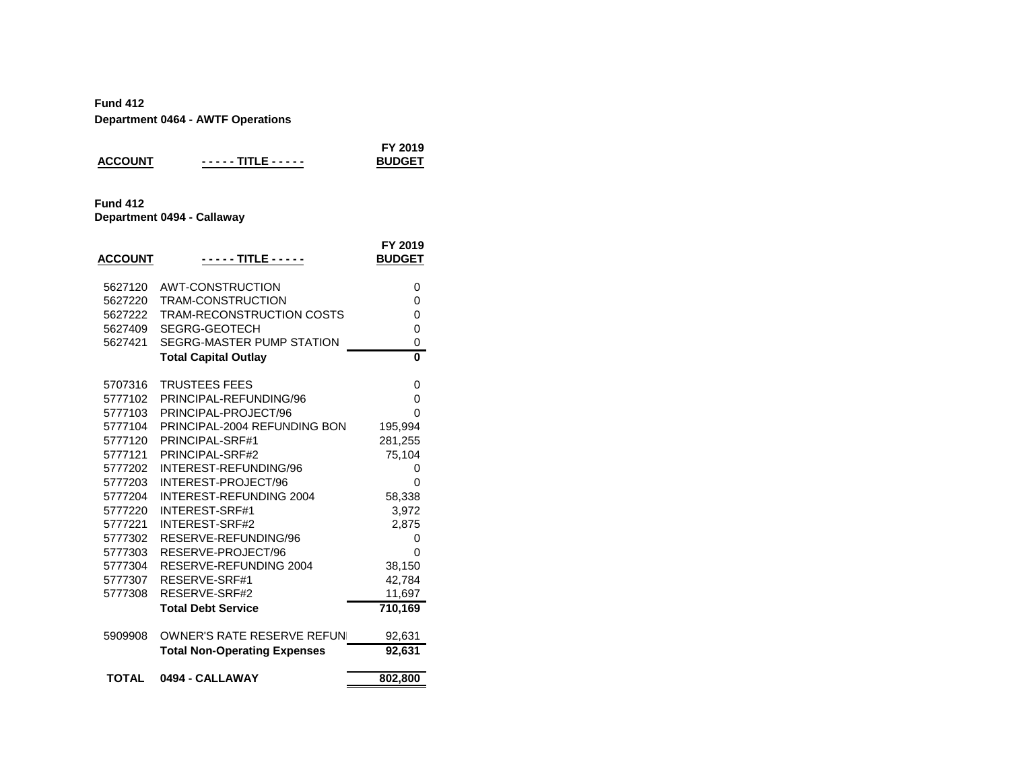|                 | Department 0404 - AW Fr Operations |                          |
|-----------------|------------------------------------|--------------------------|
| <b>ACCOUNT</b>  | - - - - - TITLE - - - - -          | FY 2019<br><b>BUDGET</b> |
| <b>Fund 412</b> | Department 0494 - Callaway         |                          |
| <b>ACCOUNT</b>  |                                    | FY 2019<br><b>BUDGET</b> |
| 5627120         | AWT-CONSTRUCTION                   | 0                        |
| 5627220         | TRAM-CONSTRUCTION                  | 0                        |
| 5627222         | TRAM-RECONSTRUCTION COSTS          | 0                        |
| 5627409         | SEGRG-GEOTECH                      | 0                        |
| 5627421         | SEGRG-MASTER PUMP STATION          | 0                        |
|                 | <b>Total Capital Outlay</b>        | $\Omega$                 |
| 5707316         | <b>TRUSTEES FEES</b>               | 0                        |
| 5777102         | PRINCIPAL-REFUNDING/96             | 0                        |
| 5777103         | PRINCIPAL-PROJECT/96               | 0                        |
| 5777104         | PRINCIPAL-2004 REFUNDING BON       | 195,994                  |
| 5777120         | PRINCIPAL-SRF#1                    | 281,255                  |
| 5777121         | PRINCIPAL-SRF#2                    | 75,104                   |
| 5777202         | INTEREST-REFUNDING/96              | 0                        |

| <b>TOTAL</b> | 0494 - CALLAWAY                     | 802,800 |
|--------------|-------------------------------------|---------|
|              | <b>Total Non-Operating Expenses</b> | 92,631  |
| 5909908      | OWNER'S RATE RESERVE REFUN          | 92,631  |
|              | <b>Total Debt Service</b>           | 710,169 |
| 5777308      | RESERVE-SRF#2                       | 11,697  |
| 5777307      | RESERVE-SRF#1                       | 42,784  |
| 5777304      | RESERVE-REFUNDING 2004              | 38,150  |
| 5777303      | RESERVE-PROJECT/96                  | 0       |
| 5777302      | RESERVE-REFUNDING/96                | O       |
| 5777221      | INTEREST-SRF#2                      | 2,875   |
| 5777220      | INTEREST-SRF#1                      | 3,972   |
| 5777204      | INTEREST-REFUNDING 2004             | 58,338  |
| 5777203      | INTEREST-PROJECT/96                 | O       |
| 5777202      | INTEREST-REFUNDING/96               | O       |
| 5777121      | PRINCIPAL-SRF#2                     | 75,104  |
| 5777120      | PRINCIPAL-SRF#1                     | 281,255 |
| 5777104      | PRINCIPAL-2004 REFUNDING BON        | 195,994 |
|              |                                     |         |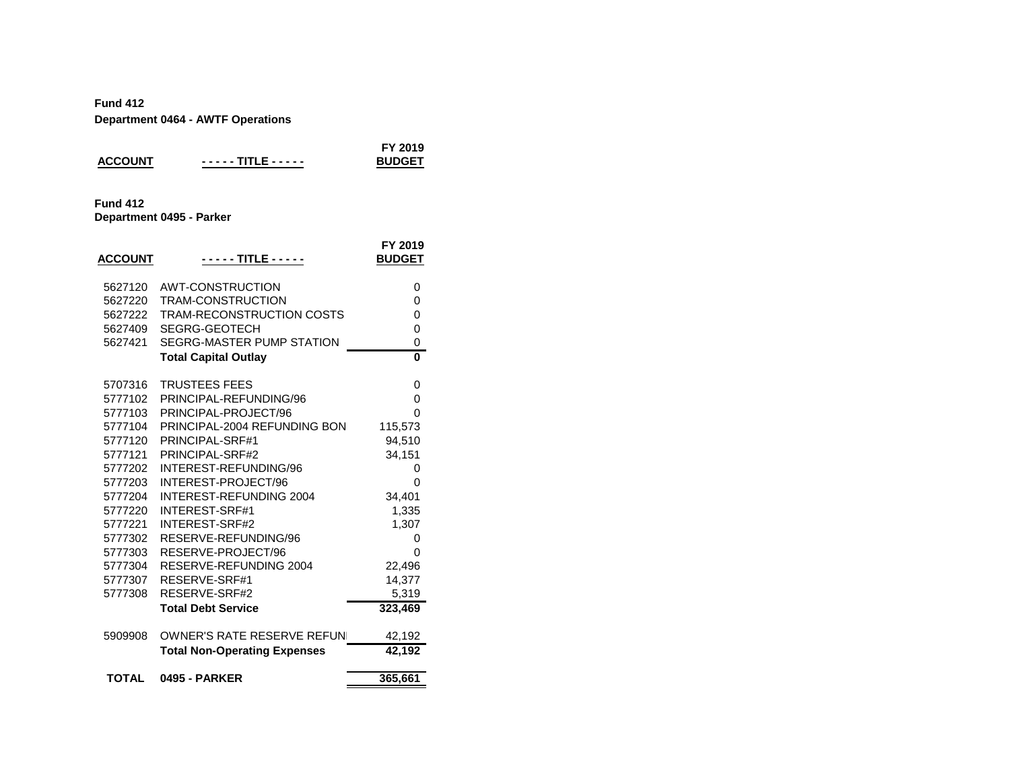| <b>ACCOUNT</b>  | ----- TITLE ----- | FY 2019<br><b>BUDGET</b> |
|-----------------|-------------------|--------------------------|
| <b>Fund 412</b> |                   |                          |

**Department 0495 - Parker**

| <b>ACCOUNT</b> | - - - - - TITLE - - - - -           | FY 2019<br><b>BUDGET</b> |
|----------------|-------------------------------------|--------------------------|
| 5627120        | AWT-CONSTRUCTION                    | 0                        |
| 5627220        | <b>TRAM-CONSTRUCTION</b>            | 0                        |
| 5627222        | TRAM-RECONSTRUCTION COSTS           | 0                        |
| 5627409        | SEGRG-GEOTECH                       | 0                        |
| 5627421        | SEGRG-MASTER PUMP STATION           | 0                        |
|                | <b>Total Capital Outlay</b>         | 0                        |
| 5707316        | <b>TRUSTEES FEES</b>                | 0                        |
| 5777102        | PRINCIPAL-REFUNDING/96              | 0                        |
| 5777103        | PRINCIPAL-PROJECT/96                | ი                        |
| 5777104        | PRINCIPAL-2004 REFUNDING BON        | 115,573                  |
| 5777120        | PRINCIPAL-SRF#1                     | 94,510                   |
| 5777121        | PRINCIPAL-SRF#2                     | 34,151                   |
| 5777202        | INTEREST-REFUNDING/96               | 0                        |
| 5777203        | INTEREST-PROJECT/96                 | ი                        |
| 5777204        | <b>INTEREST-REFUNDING 2004</b>      | 34,401                   |
| 5777220        | <b>INTEREST-SRF#1</b>               | 1,335                    |
| 5777221        | INTEREST-SRF#2                      | 1,307                    |
| 5777302        | RESERVE-REFUNDING/96                | 0                        |
| 5777303        | RESERVE-PROJECT/96                  | 0                        |
| 5777304        | RESERVE-REFUNDING 2004              | 22,496                   |
| 5777307        | RESERVE-SRF#1                       | 14,377                   |
| 5777308        | RESERVE-SRF#2                       | 5,319                    |
|                | <b>Total Debt Service</b>           | 323,469                  |
| 5909908        | <b>OWNER'S RATE RESERVE REFUNI</b>  | 42,192                   |
|                | <b>Total Non-Operating Expenses</b> | 42,192                   |
| <b>TOTAL</b>   | <b>0495 - PARKER</b>                | 365,661                  |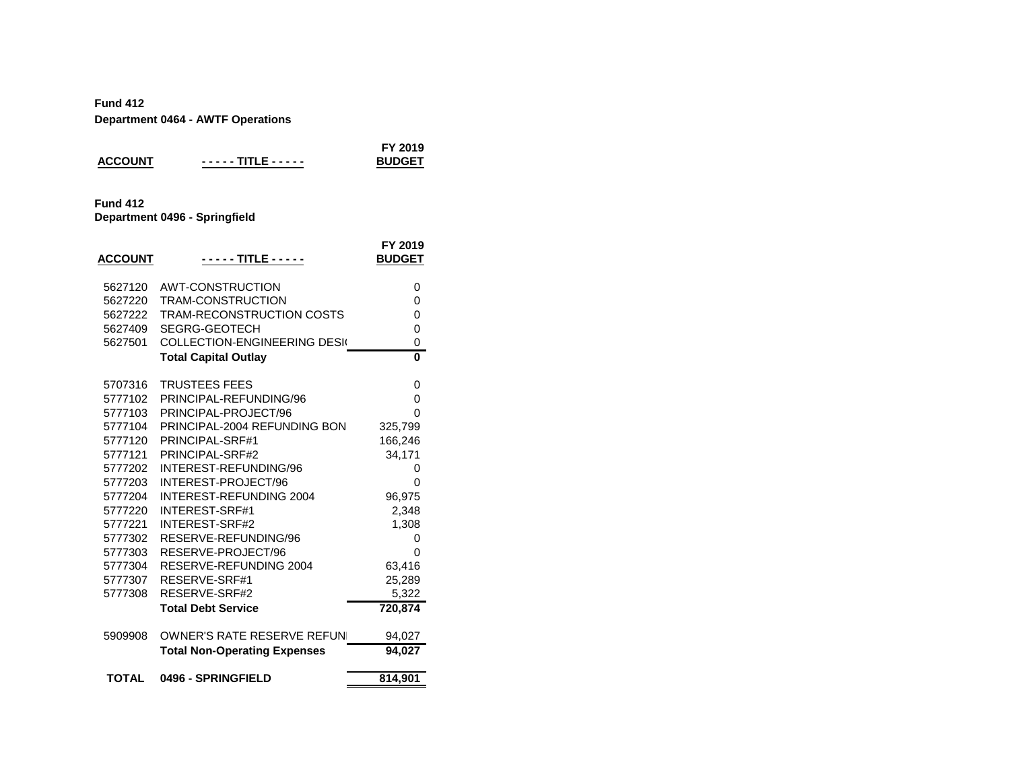| <b>ACCOUNT</b>                                   | <u> - - - - TITLE - - - - -</u> | FY 2019<br><b>BUDGET</b> |
|--------------------------------------------------|---------------------------------|--------------------------|
| <b>Fund 412</b><br>Department 0496 - Springfield |                                 |                          |

| <b>ACCOUNT</b> | - - - - TITLE - - - - -             | FY 2019<br><b>BUDGET</b> |
|----------------|-------------------------------------|--------------------------|
| 5627120        | <b>AWT-CONSTRUCTION</b>             | 0                        |
| 5627220        | <b>TRAM-CONSTRUCTION</b>            | 0                        |
| 5627222        | <b>TRAM-RECONSTRUCTION COSTS</b>    | 0                        |
| 5627409        | SEGRG-GEOTECH                       | 0                        |
| 5627501        | <b>COLLECTION-ENGINEERING DESK</b>  | 0                        |
|                | <b>Total Capital Outlay</b>         | 0                        |
| 5707316        | <b>TRUSTEES FEES</b>                | 0                        |
| 5777102        | PRINCIPAL-REFUNDING/96              | 0                        |
| 5777103        | PRINCIPAL-PROJECT/96                | 0                        |
| 5777104        | PRINCIPAL-2004 REFUNDING BON        | 325,799                  |
| 5777120        | PRINCIPAL-SRF#1                     | 166,246                  |
| 5777121        | PRINCIPAL-SRF#2                     | 34,171                   |
| 5777202        | INTEREST-REFUNDING/96               | 0                        |
| 5777203        | INTEREST-PROJECT/96                 | 0                        |
| 5777204        | <b>INTEREST-REFUNDING 2004</b>      | 96,975                   |
| 5777220        | <b>INTEREST-SRF#1</b>               | 2,348                    |
| 5777221        | <b>INTEREST-SRF#2</b>               | 1,308                    |
| 5777302        | RESERVE-REFUNDING/96                | 0                        |
| 5777303        | RESERVE-PROJECT/96                  | 0                        |
| 5777304        | RESERVE-REFUNDING 2004              | 63,416                   |
| 5777307        | RESERVE-SRF#1                       | 25,289                   |
| 5777308        | RESERVE-SRF#2                       | 5,322                    |
|                | <b>Total Debt Service</b>           | 720,874                  |
| 5909908        | <b>OWNER'S RATE RESERVE REFUNI</b>  | 94,027                   |
|                | <b>Total Non-Operating Expenses</b> | 94,027                   |
| <b>TOTAL</b>   | 0496 - SPRINGFIELD                  | 814,901                  |
|                |                                     |                          |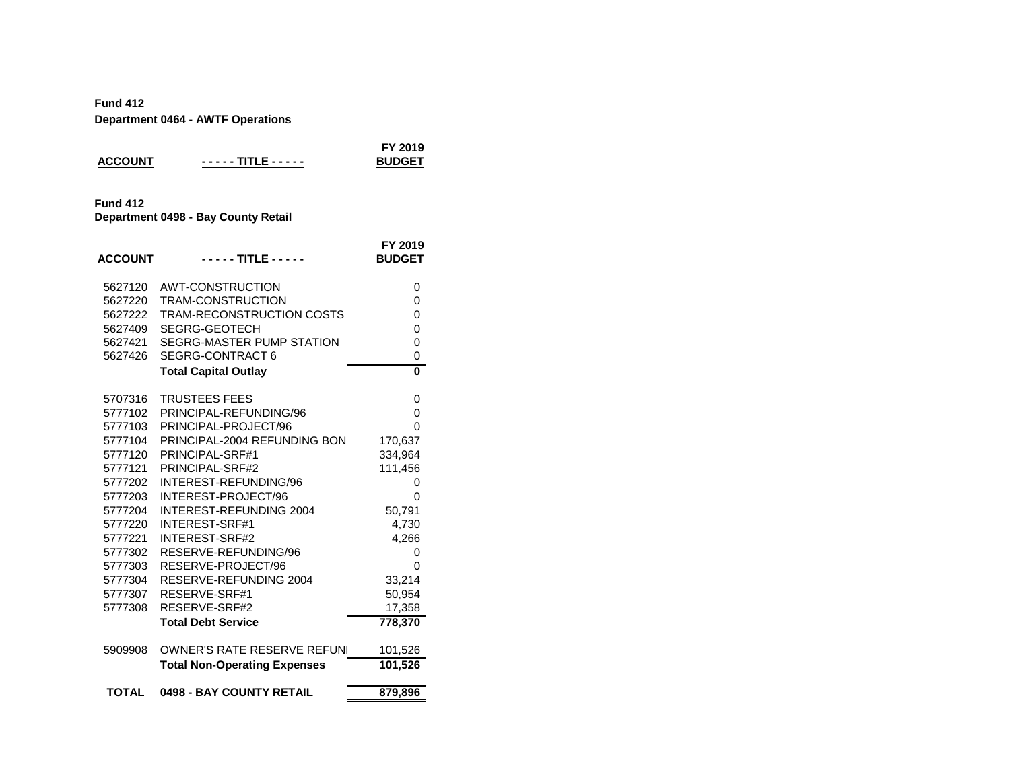|                |                   | FY 2019       |
|----------------|-------------------|---------------|
| <b>ACCOUNT</b> | ----- TITLE ----- | <b>BUDGET</b> |
|                |                   |               |

## **Fund 412**

**Department 0498 - Bay County Retail**

| <b>ACCOUNT</b> | - - - - - TITLE - - - - -           | FY 2019<br><b>BUDGET</b> |
|----------------|-------------------------------------|--------------------------|
| 5627120        | AWT-CONSTRUCTION                    | 0                        |
| 5627220        | <b>TRAM-CONSTRUCTION</b>            | 0                        |
| 5627222        | TRAM-RECONSTRUCTION COSTS           | 0                        |
| 5627409        | <b>SEGRG-GEOTECH</b>                | 0                        |
| 5627421        | SEGRG-MASTER PUMP STATION           | 0                        |
| 5627426        | <b>SEGRG-CONTRACT 6</b>             | 0                        |
|                | <b>Total Capital Outlay</b>         | $\bf{0}$                 |
| 5707316        | <b>TRUSTEES FEES</b>                | 0                        |
| 5777102        | PRINCIPAL-REFUNDING/96              | 0                        |
| 5777103        | PRINCIPAL-PROJECT/96                | 0                        |
| 5777104        | PRINCIPAL-2004 REFUNDING BON        | 170,637                  |
| 5777120        | PRINCIPAL-SRF#1                     | 334,964                  |
| 5777121        | PRINCIPAL-SRF#2                     | 111,456                  |
| 5777202        | INTEREST-REFUNDING/96               | 0                        |
| 5777203        | INTEREST-PROJECT/96                 | 0                        |
| 5777204        | <b>INTEREST-REFUNDING 2004</b>      | 50,791                   |
| 5777220        | <b>INTEREST-SRF#1</b>               | 4,730                    |
| 5777221        | <b>INTEREST-SRF#2</b>               | 4,266                    |
| 5777302        | RESERVE-REFUNDING/96                | 0                        |
| 5777303        | RESERVE-PROJECT/96                  | ი                        |
| 5777304        | RESERVE-REFUNDING 2004              | 33,214                   |
| 5777307        | RESERVE-SRF#1                       | 50,954                   |
| 5777308        | RESERVE-SRF#2                       | 17,358                   |
|                | <b>Total Debt Service</b>           | 778,370                  |
| 5909908        | <b>OWNER'S RATE RESERVE REFUNI</b>  | 101,526                  |
|                | <b>Total Non-Operating Expenses</b> | 101,526                  |
| <b>TOTAL</b>   | 0498 - BAY COUNTY RETAIL            | 879,896                  |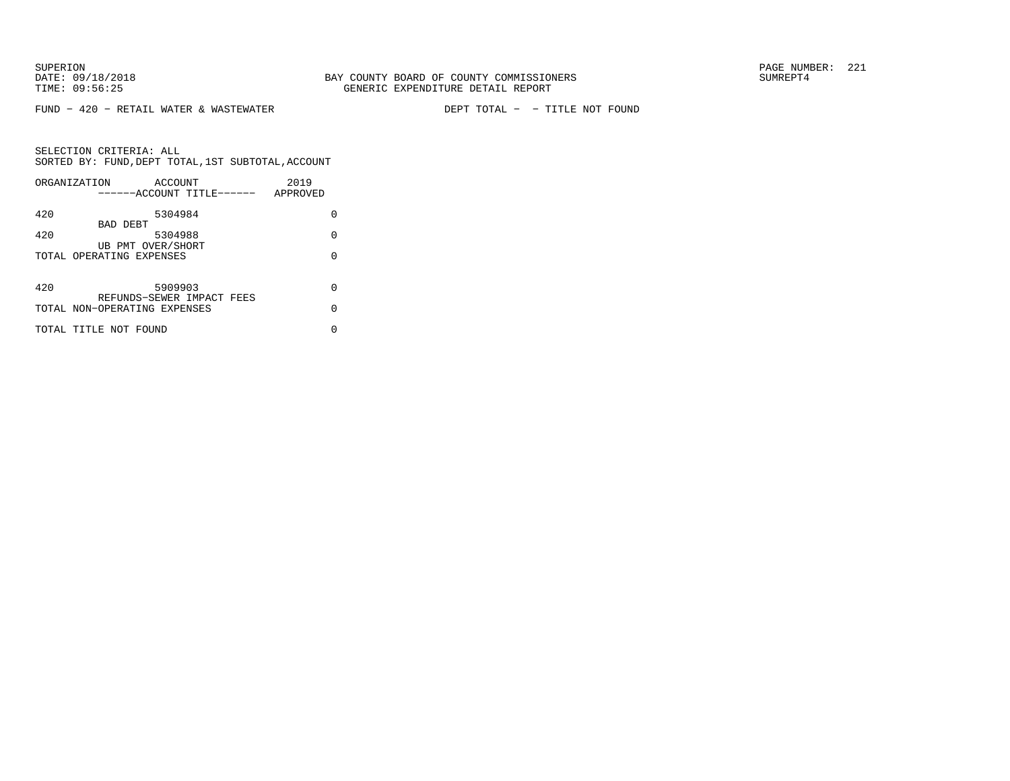FUND − 420 − RETAIL WATER & WASTEWATER DEPT TOTAL − − TITLE NOT FOUND

|     | ORGANIZATION<br>------ACCOUNT TITLE------ | <b>ACCOUNT</b> |  | 2019<br>APPROVED |   |
|-----|-------------------------------------------|----------------|--|------------------|---|
|     |                                           |                |  |                  |   |
| 420 |                                           | 5304984        |  |                  | U |
| 420 | BAD DEBT                                  | 5304988        |  |                  | O |
|     | UB PMT OVER/SHORT                         |                |  |                  |   |
|     | TOTAL OPERATING EXPENSES                  |                |  |                  | U |
|     |                                           |                |  |                  |   |
| 420 |                                           | 5909903        |  |                  | U |
|     | REFUNDS-SEWER IMPACT FEES                 |                |  |                  |   |
|     | TOTAL NON-OPERATING EXPENSES              |                |  |                  | U |
|     | TOTAL TITLE NOT FOUND                     |                |  |                  | U |
|     |                                           |                |  |                  |   |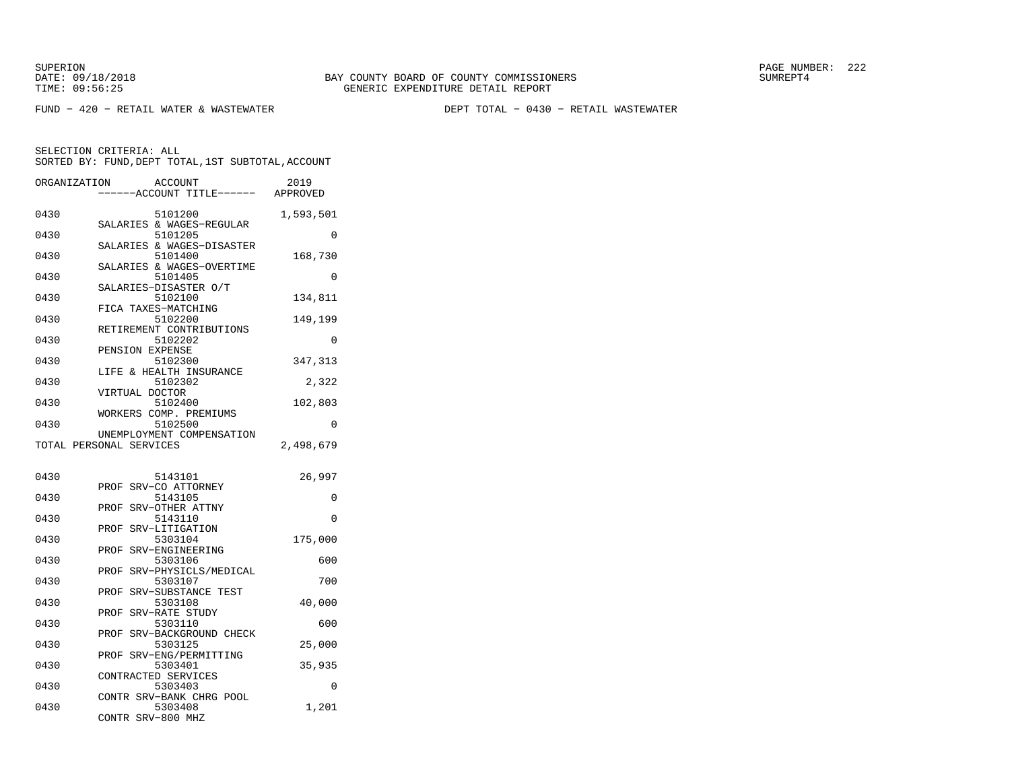FUND − 420 − RETAIL WATER & WASTEWATER DEPT TOTAL − 0430 − RETAIL WASTEWATER

| ORGANIZATION | ACCOUNT                                | 2019      |
|--------------|----------------------------------------|-----------|
|              | ----ACCOUNT TITLE------ APPROVED       |           |
| 0430         | 5101200                                | 1,593,501 |
|              | SALARIES & WAGES-REGULAR               |           |
| 0430         | 5101205<br>SALARIES & WAGES-DISASTER   | 0         |
| 0430         | 5101400                                | 168,730   |
|              | SALARIES & WAGES-OVERTIME              |           |
| 0430         | 5101405                                | 0         |
|              | SALARIES-DISASTER O/T                  |           |
| 0430         | 5102100<br>FICA TAXES-MATCHING         | 134,811   |
| 0430         | 5102200                                | 149,199   |
|              | RETIREMENT CONTRIBUTIONS               |           |
| 0430         | 5102202                                | 0         |
| 0430         | PENSION EXPENSE                        |           |
|              | 5102300<br>LIFE & HEALTH INSURANCE     | 347,313   |
| 0430         | 5102302                                | 2,322     |
|              | VIRTUAL DOCTOR                         |           |
| 0430         | 5102400                                | 102,803   |
| 0430         | WORKERS COMP. PREMIUMS<br>5102500      | $\Omega$  |
|              | UNEMPLOYMENT COMPENSATION              |           |
|              | TOTAL PERSONAL SERVICES                | 2,498,679 |
|              |                                        |           |
|              |                                        |           |
| 0430         | 5143101<br>SRV-CO ATTORNEY<br>PROF     | 26,997    |
| 0430         | 5143105                                | 0         |
|              | PROF<br>SRV-OTHER ATTNY                |           |
| 0430         | 5143110                                | 0         |
|              | SRV-LITIGATION<br>PROF                 |           |
| 0430         | 5303104<br>SRV-ENGINEERING<br>PROF     | 175,000   |
| 0430         | 5303106                                | 600       |
|              | PROF<br>SRV-PHYSICLS/MEDICAL           |           |
| 0430         | 5303107                                | 700       |
| 0430         | SRV-SUBSTANCE TEST<br>PROF<br>5303108  | 40,000    |
|              | PROF<br>SRV-RATE STUDY                 |           |
| 0430         | 5303110                                | 600       |
|              | SRV-BACKGROUND CHECK<br>PROF           |           |
| 0430         | 5303125                                | 25,000    |
| 0430         | SRV-ENG/PERMITTING<br>PROF<br>5303401  | 35,935    |
|              | CONTRACTED SERVICES                    |           |
| 0430         | 5303403                                | 0         |
|              | CONTR SRV-BANK CHRG POOL               |           |
| 0430         | 5303408<br><b>CONTR</b><br>SRV-800 MHZ | 1,201     |
|              |                                        |           |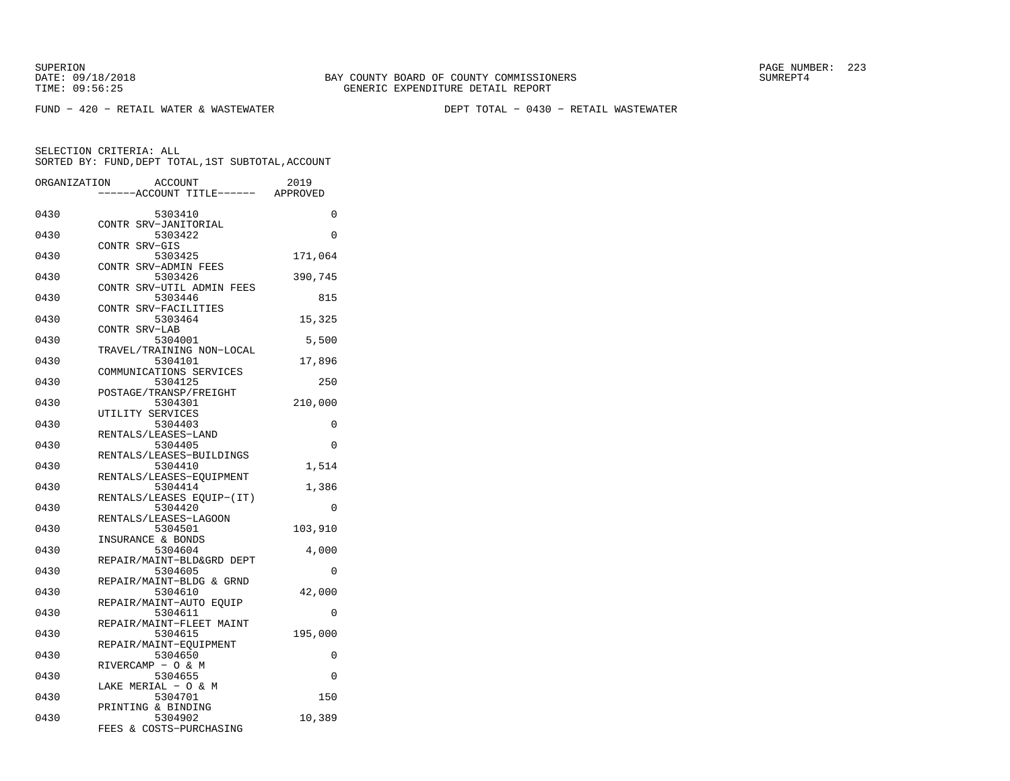FUND − 420 − RETAIL WATER & WASTEWATER DEPT TOTAL − 0430 − RETAIL WASTEWATER

| ORGANIZATION |               | <b>ACCOUNT</b><br>---ACCOUNT TITLE------ APPROVED     | 2019     |
|--------------|---------------|-------------------------------------------------------|----------|
| 0430         |               | 5303410                                               | 0        |
| 0430         |               | CONTR SRV-JANITORIAL<br>5303422                       | 0        |
| 0430         | CONTR SRV-GIS | 5303425                                               | 171,064  |
| 0430         |               | CONTR SRV-ADMIN FEES<br>5303426                       | 390,745  |
| 0430         |               | CONTR SRV-UTIL ADMIN FEES<br>5303446                  | 815      |
| 0430         |               | CONTR SRV-FACILITIES<br>5303464                       | 15,325   |
| 0430         | CONTR SRV-LAB | 5304001                                               | 5,500    |
| 0430         |               | TRAVEL/TRAINING NON-LOCAL<br>5304101                  | 17,896   |
| 0430         |               | COMMUNICATIONS SERVICES<br>5304125                    | 250      |
| 0430         |               | POSTAGE/TRANSP/FREIGHT<br>5304301<br>UTILITY SERVICES | 210,000  |
| 0430         |               | 5304403<br>RENTALS/LEASES-LAND                        | 0        |
| 0430         |               | 5304405<br>RENTALS/LEASES-BUILDINGS                   | $\Omega$ |
| 0430         |               | 5304410<br>RENTALS/LEASES-EOUIPMENT                   | 1,514    |
| 0430         |               | 5304414<br>RENTALS/LEASES EQUIP-(IT)                  | 1,386    |
| 0430         |               | 5304420<br>RENTALS/LEASES-LAGOON                      | 0        |
| 0430         |               | 5304501<br>INSURANCE & BONDS                          | 103,910  |
| 0430         |               | 5304604<br>REPAIR/MAINT-BLD&GRD DEPT                  | 4,000    |
| 0430         |               | 5304605<br>REPAIR/MAINT-BLDG & GRND                   | 0        |
| 0430         |               | 5304610<br>REPAIR/MAINT-AUTO EQUIP                    | 42,000   |
| 0430         |               | 5304611<br>REPAIR/MAINT-FLEET MAINT                   | $\Omega$ |
| 0430         |               | 5304615<br>REPAIR/MAINT-EQUIPMENT                     | 195,000  |
| 0430         |               | 5304650<br>RIVERCAMP - O & M                          | 0        |
| 0430         |               | 5304655<br>LAKE MERIAL - O & M                        | 0        |
| 0430         |               | 5304701<br>PRINTING & BINDING                         | 150      |
| 0430         |               | 5304902<br>FEES & COSTS-PURCHASING                    | 10,389   |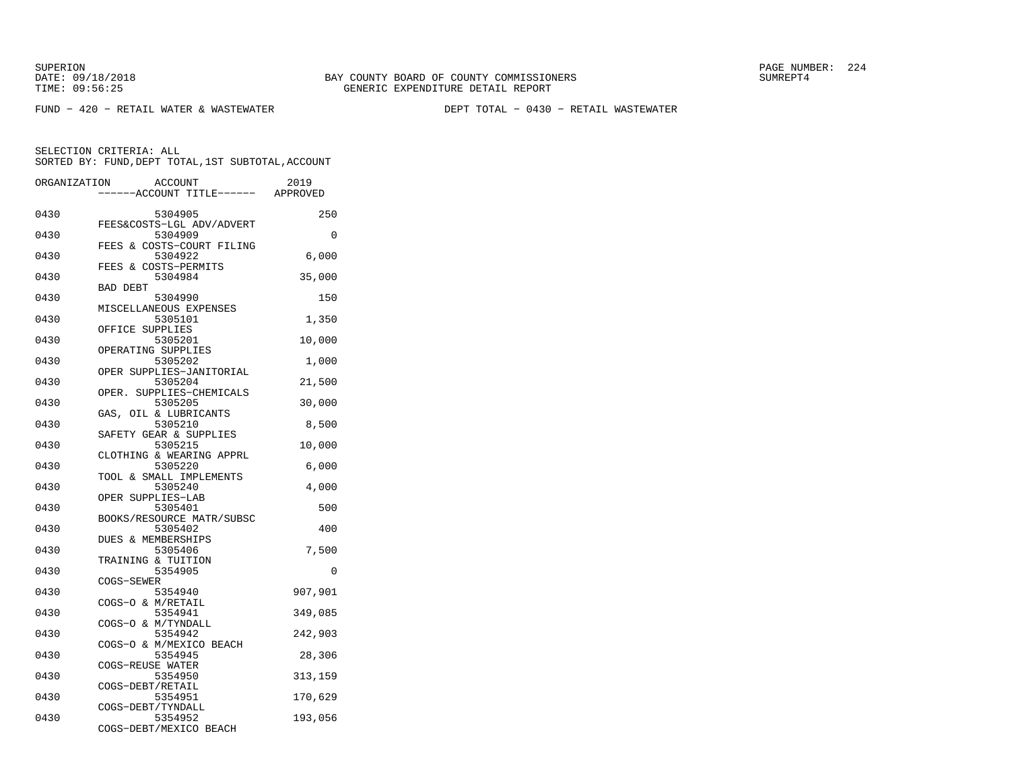FUND − 420 − RETAIL WATER & WASTEWATER DEPT TOTAL − 0430 − RETAIL WASTEWATER

| ORGANIZATION | <b>ACCOUNT</b><br>----ACCOUNT TITLE------ APPROVED | 2019     |
|--------------|----------------------------------------------------|----------|
|              |                                                    |          |
| 0430         | 5304905                                            | 250      |
| 0430         | FEES&COSTS-LGL ADV/ADVERT<br>5304909               | $\Omega$ |
|              | FEES<br>& COSTS-COURT FILING                       |          |
| 0430         | 5304922                                            | 6,000    |
|              | FEES & COSTS-PERMITS                               |          |
| 0430         | 5304984                                            | 35,000   |
|              | <b>BAD DEBT</b>                                    |          |
| 0430         | 5304990                                            | 150      |
|              | MISCELLANEOUS EXPENSES                             |          |
| 0430         | 5305101<br>OFFICE SUPPLIES                         | 1,350    |
| 0430         | 5305201                                            | 10,000   |
|              | OPERATING SUPPLIES                                 |          |
| 0430         | 5305202                                            | 1,000    |
|              | OPER SUPPLIES-JANITORIAL                           |          |
| 0430         | 5305204                                            | 21,500   |
|              | OPER. SUPPLIES-CHEMICALS                           |          |
| 0430         | 5305205                                            | 30,000   |
|              | GAS, OIL & LUBRICANTS                              |          |
| 0430         | 5305210                                            | 8,500    |
| 0430         | SAFETY GEAR & SUPPLIES<br>5305215                  | 10,000   |
|              | CLOTHING & WEARING APPRL                           |          |
| 0430         | 5305220                                            | 6,000    |
|              | TOOL & SMALL IMPLEMENTS                            |          |
| 0430         | 5305240                                            | 4,000    |
|              | OPER SUPPLIES-LAB                                  |          |
| 0430         | 5305401                                            | 500      |
|              | BOOKS/RESOURCE MATR/SUBSC                          |          |
| 0430         | 5305402<br><b>DUES &amp; MEMBERSHIPS</b>           | 400      |
| 0430         | 5305406                                            | 7,500    |
|              | TRAINING & TUITION                                 |          |
| 0430         | 5354905                                            | 0        |
|              | COGS-SEWER                                         |          |
| 0430         | 5354940                                            | 907,901  |
|              | COGS-O & M/RETAIL                                  |          |
| 0430         | 5354941                                            | 349,085  |
| 0430         | COGS-O & M/TYNDALL<br>5354942                      |          |
|              | COGS-O & M/MEXICO BEACH                            | 242,903  |
| 0430         | 5354945                                            | 28,306   |
|              | COGS-REUSE WATER                                   |          |
| 0430         | 5354950                                            | 313,159  |
|              | COGS-DEBT/RETAIL                                   |          |
| 0430         | 5354951                                            | 170,629  |
|              | COGS-DEBT/TYNDALL                                  |          |
| 0430         | 5354952                                            | 193,056  |
|              | COGS-DEBT/MEXICO BEACH                             |          |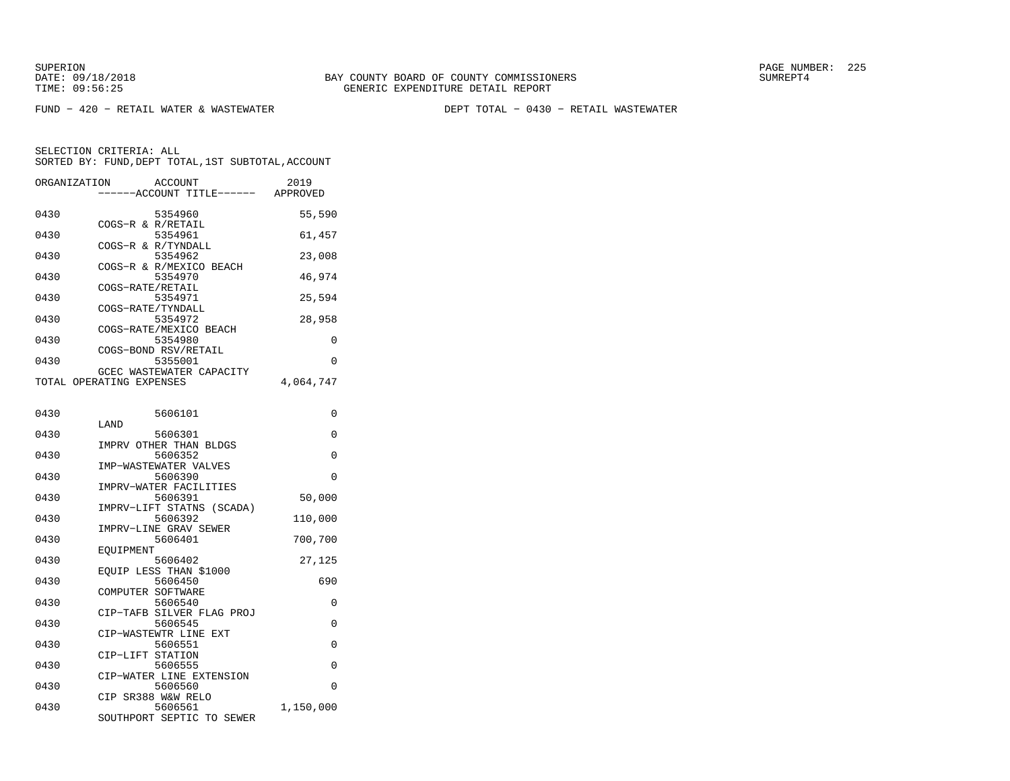FUND − 420 − RETAIL WATER & WASTEWATER DEPT TOTAL − 0430 − RETAIL WASTEWATER

| ORGANIZATION | <b>ACCOUNT</b>                                       | ---ACCOUNT TITLE------ APPROVED | 2019      |
|--------------|------------------------------------------------------|---------------------------------|-----------|
| 0430         | 5354960<br>COGS-R & R/RETAIL                         |                                 | 55,590    |
| 0430         | 5354961<br>COGS-R & R/TYNDALL                        |                                 | 61,457    |
| 0430         | 5354962<br>COGS-R & R/MEXICO BEACH                   |                                 | 23,008    |
| 0430         | 5354970                                              |                                 | 46,974    |
| 0430         | COGS-RATE/RETAIL<br>5354971                          |                                 | 25,594    |
| 0430         | COGS-RATE/TYNDALL<br>5354972                         |                                 | 28,958    |
| 0430         | COGS-RATE/MEXICO BEACH<br>5354980                    |                                 | 0         |
| 0430         | COGS-BOND RSV/RETAIL<br>5355001                      |                                 | 0         |
|              | GCEC WASTEWATER CAPACITY<br>TOTAL OPERATING EXPENSES |                                 | 4,064,747 |
|              |                                                      |                                 |           |
| 0430         | 5606101<br>LAND                                      |                                 | 0         |
| 0430         | 5606301<br>IMPRV OTHER THAN BLDGS                    |                                 | 0         |
| 0430         | 5606352                                              |                                 | 0         |
| 0430         | IMP-WASTEWATER VALVES<br>5606390                     |                                 | 0         |
| 0430         | IMPRV-WATER FACILITIES<br>5606391                    |                                 | 50,000    |
| 0430         | IMPRV-LIFT STATNS<br>5606392                         | (SCADA)                         | 110,000   |
| 0430         | IMPRV-LINE GRAV SEWER<br>5606401                     |                                 | 700,700   |
| 0430         | EOUIPMENT<br>5606402                                 |                                 | 27,125    |
| 0430         | EOUIP LESS THAN \$1000<br>5606450                    |                                 | 690       |
|              | COMPUTER SOFTWARE                                    |                                 |           |
| 0430         | 5606540<br>CIP-TAFB SILVER FLAG PROJ                 |                                 | $\Omega$  |
| 0430         | 5606545<br>CIP-WASTEWTR LINE EXT                     |                                 | 0         |
| 0430         | 5606551<br>CIP-LIFT STATION                          |                                 | 0         |
| 0430         | 5606555<br>CIP-WATER LINE EXTENSION                  |                                 | $\Omega$  |
| 0430         | 5606560<br>CIP SR388 W&W RELO                        |                                 | $\Omega$  |
| 0430         | 5606561<br>SOUTHPORT SEPTIC TO SEWER                 |                                 | 1,150,000 |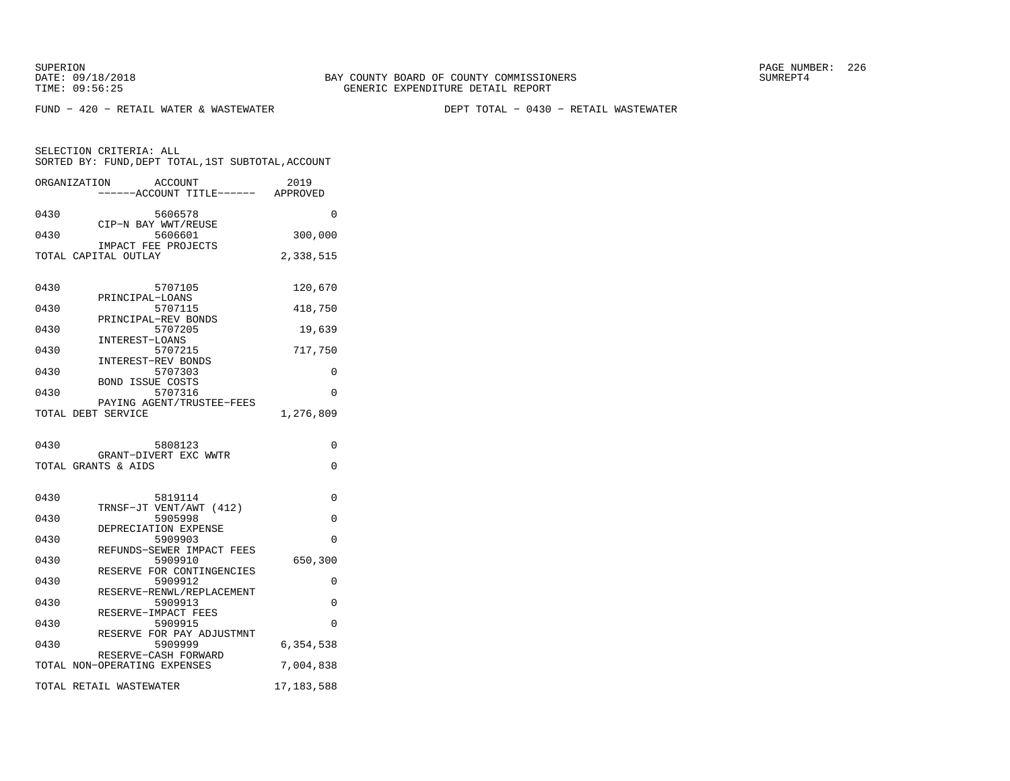SELECTION CRITERIA: ALL

FUND − 420 − RETAIL WATER & WASTEWATER DEPT TOTAL − 0430 − RETAIL WASTEWATER

ORGANIZATION ACCOUNT 2019 −−−−−−ACCOUNT TITLE−−−−−− APPROVED0430 5606578 0 CIP−N BAY WWT/REUSE 0430 5606601 300,000 IMPACT FEE PROJECTSTOTAL CAPITAL OUTLAY 2,338,515

SORTED BY: FUND,DEPT TOTAL,1ST SUBTOTAL,ACCOUNT

| 0430 | 5707105                                                         | 120,670   |
|------|-----------------------------------------------------------------|-----------|
| 0430 | PRINCIPAL-LOANS<br>5707115                                      | 418,750   |
| 0430 | PRINCIPAL-REV BONDS<br>5707205                                  | 19,639    |
| 0430 | INTEREST-LOANS<br>5707215                                       | 717,750   |
| 0430 | INTEREST-REV BONDS<br>5707303                                   | $\Omega$  |
| 0430 | <b>BOND ISSUE COSTS</b><br>5707316<br>PAYING AGENT/TRUSTEE-FEES | $\Omega$  |
|      | TOTAL DEBT SERVICE                                              | 1,276,809 |
| 0430 | 5808123                                                         | $\Omega$  |
|      | GRANT-DIVERT EXC WWTR<br>TOTAL GRANTS & AIDS                    | $\Omega$  |
| 0430 | 5819114                                                         | 0         |
| 0430 | TRNSF-JT VENT/AWT (412)<br>5905998                              | $\Omega$  |
| 0430 | DEPRECIATION EXPENSE<br>5909903                                 | $\Omega$  |
| 0430 | REFUNDS-SEWER IMPACT FEES<br>5909910                            | 650,300   |
| 0430 | RESERVE FOR CONTINGENCIES<br>5909912                            | $\Omega$  |
|      |                                                                 |           |
| 0430 | RESERVE-RENWL/REPLACEMENT<br>5909913                            | $\Omega$  |
| 0430 | RESERVE-IMPACT FEES<br>5909915                                  | $\Omega$  |
| 0430 | RESERVE FOR PAY ADJUSTMNT<br>5909999                            | 6,354,538 |
|      | RESERVE-CASH FORWARD<br>TOTAL NON-OPERATING EXPENSES            | 7,004,838 |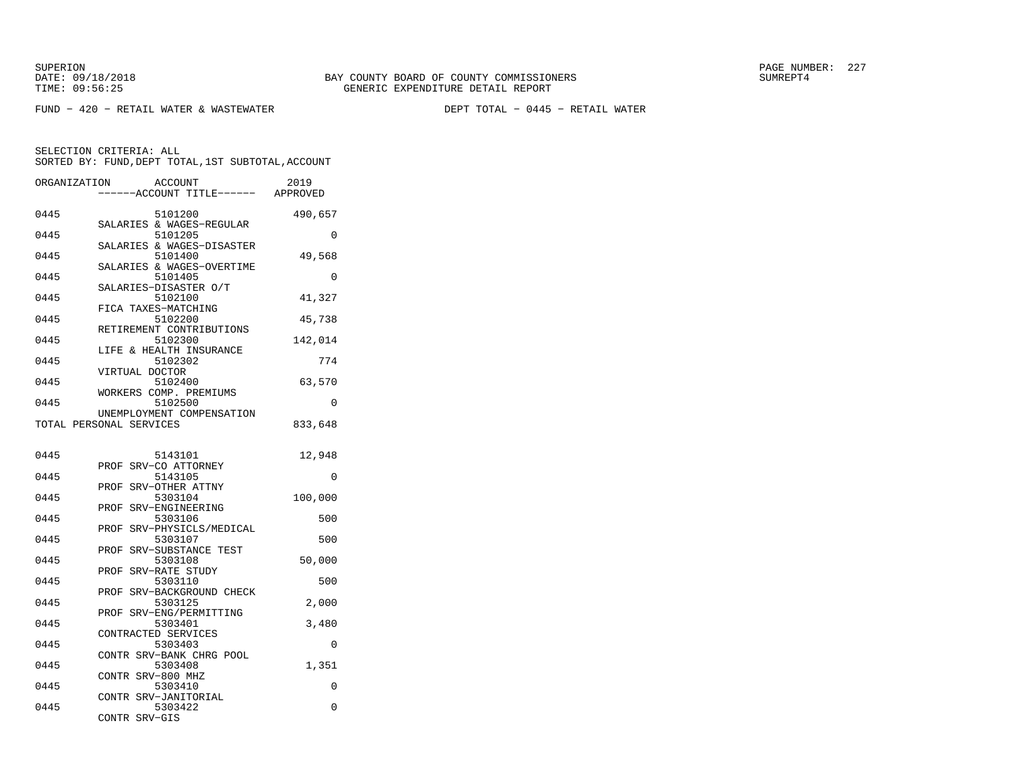FUND − 420 − RETAIL WATER & WASTEWATER DEPT TOTAL − 0445 − RETAIL WATER

| ORGANIZATION | <b>ACCOUNT</b><br>---ACCOUNT TITLE------             | 2019<br>APPROVED |
|--------------|------------------------------------------------------|------------------|
| 0445         | 5101200<br>SALARIES & WAGES-REGULAR                  | 490,657          |
| 0445         | 5101205<br>SALARIES & WAGES-DISASTER                 | 0                |
| 0445         | 5101400                                              | 49,568           |
| 0445         | SALARIES & WAGES-OVERTIME<br>5101405                 | $\Omega$         |
| 0445         | SALARIES-DISASTER O/T<br>5102100                     | 41,327           |
| 0445         | FICA TAXES-MATCHING<br>5102200                       | 45,738           |
| 0445         | RETIREMENT CONTRIBUTIONS<br>5102300                  | 142,014          |
| 0445         | LIFE & HEALTH INSURANCE<br>5102302                   | 774              |
| 0445         | VIRTUAL DOCTOR<br>5102400                            | 63,570           |
| 0445         | WORKERS COMP. PREMIUMS<br>5102500                    | 0                |
|              | UNEMPLOYMENT COMPENSATION<br>TOTAL PERSONAL SERVICES | 833,648          |
| 0445         | 5143101                                              | 12,948           |
| 0445         | PROF SRV-CO ATTORNEY<br>5143105                      | 0                |
| 0445         | PROF SRV-OTHER ATTNY<br>5303104                      | 100,000          |
| 0445         | SRV-ENGINEERING<br>PROF<br>5303106                   | 500              |
| 0445         | SRV-PHYSICLS/MEDICAL<br>PROF<br>5303107              | 500              |
| 0445         | SRV-SUBSTANCE TEST<br>PROF<br>5303108                | 50,000           |
| 0445         | PROF<br>SRV-RATE STUDY<br>5303110                    | 500              |
| 0445         | PROF SRV-BACKGROUND CHECK<br>5303125                 | 2,000            |
| 0445         | SRV-ENG/PERMITTING<br>PROF<br>5303401                | 3,480            |
| 0445         | CONTRACTED SERVICES<br>5303403                       | $\Omega$         |
| 0445         | CONTR SRV-BANK CHRG POOL<br>5303408                  | 1,351            |
| 0445         | SRV-800 MHZ<br>CONTR<br>5303410                      | 0                |
| 0445         | CONTR SRV-JANITORIAL<br>5303422                      | 0                |
|              | CONTR<br>SRV-GIS                                     |                  |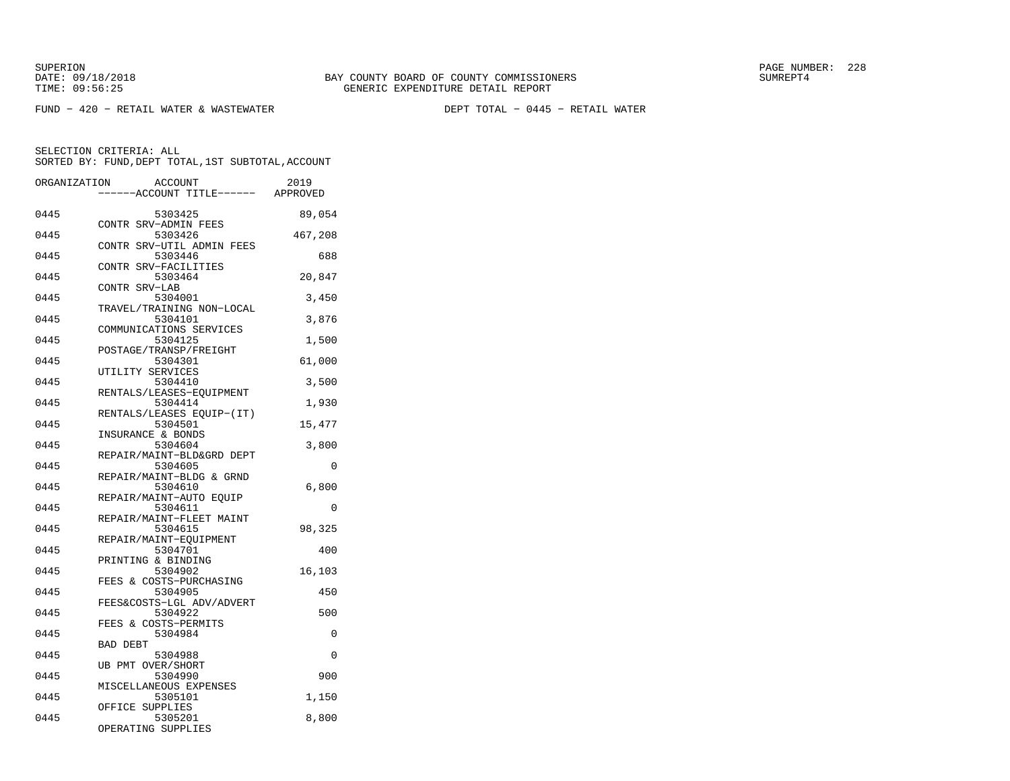FUND − 420 − RETAIL WATER & WASTEWATER DEPT TOTAL − 0445 − RETAIL WATER

| ORGANIZATION | <b>ACCOUNT</b>                                   | 2019    |
|--------------|--------------------------------------------------|---------|
|              | --ACCOUNT TITLE------ APPROVED                   |         |
| 0445         | 5303425                                          | 89,054  |
| 0445         | CONTR SRV-ADMIN FEES<br>5303426                  | 467,208 |
| 0445         | CONTR SRV-UTIL ADMIN FEES<br>5303446             | 688     |
| 0445         | CONTR SRV-FACILITIES<br>5303464                  | 20,847  |
| 0445         | CONTR SRV-LAB<br>5304001                         | 3,450   |
| 0445         | TRAVEL/TRAINING NON-LOCAL<br>5304101             | 3,876   |
| 0445         | COMMUNICATIONS SERVICES<br>5304125               | 1,500   |
| 0445         | POSTAGE/TRANSP/FREIGHT<br>5304301                | 61,000  |
| 0445         | UTILITY SERVICES<br>5304410                      | 3,500   |
| 0445         | RENTALS/LEASES-EQUIPMENT<br>5304414              | 1,930   |
| 0445         | RENTALS/LEASES EQUIP-(IT)<br>5304501             | 15,477  |
| 0445         | INSURANCE & BONDS<br>5304604                     | 3,800   |
| 0445         | REPAIR/MAINT-BLD&GRD DEPT<br>5304605             | 0       |
|              | REPAIR/MAINT-BLDG & GRND                         |         |
| 0445         | 5304610<br>REPAIR/MAINT-AUTO EQUIP               | 6,800   |
| 0445         | 5304611<br>REPAIR/MAINT-FLEET MAINT              | 0       |
| 0445         | 5304615<br>REPAIR/MAINT-EQUIPMENT                | 98,325  |
| 0445         | 5304701<br>PRINTING & BINDING                    | 400     |
| 0445         | 5304902<br>FEES & COSTS-PURCHASING               | 16,103  |
| 0445         | 5304905<br>FEES&COSTS-LGL ADV/ADVERT             | 450     |
| 0445         | 5304922<br>FEES & COSTS-PERMITS                  | 500     |
| 0445         | 5304984<br>BAD DEBT                              | 0       |
| 0445         | 5304988                                          | 0       |
| 0445         | UB PMT OVER/SHORT<br>5304990                     | 900     |
| 0445         | MISCELLANEOUS EXPENSES<br>5305101                | 1,150   |
| 0445         | OFFICE SUPPLIES<br>5305201<br>OPERATING SUPPLIES | 8,800   |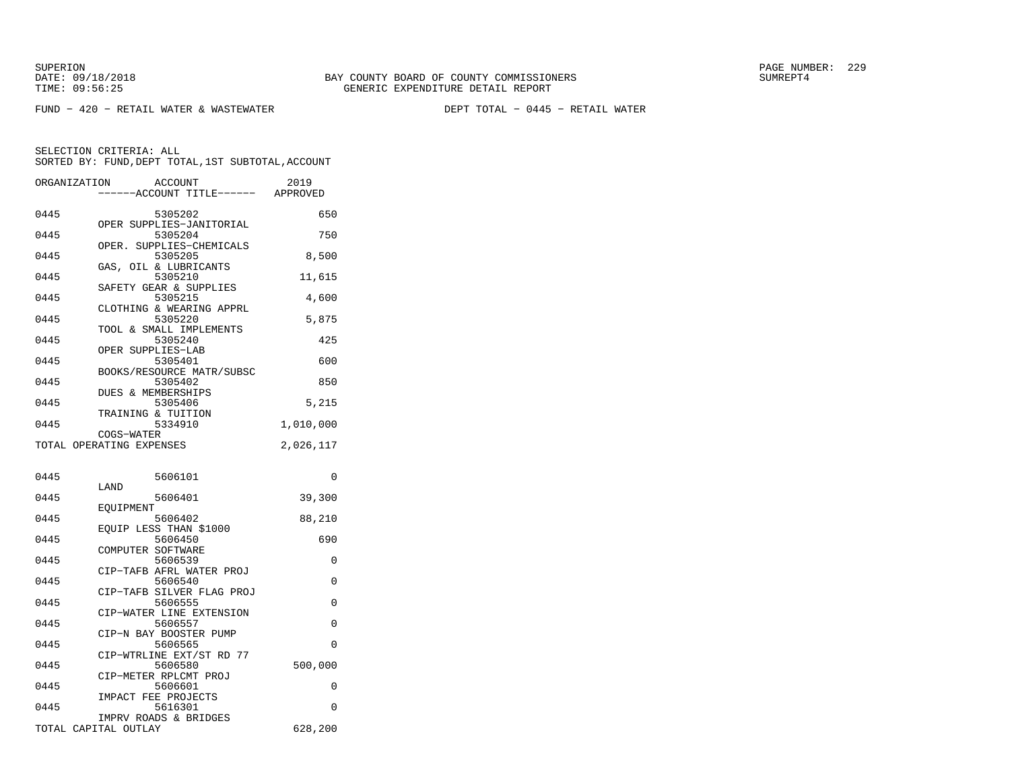FUND − 420 − RETAIL WATER & WASTEWATER DEPT TOTAL − 0445 − RETAIL WATER

| ORGANIZATION | <b>ACCOUNT</b><br>---ACCOUNT TITLE------ APPROVED | 2019         |
|--------------|---------------------------------------------------|--------------|
| 0445         | 5305202                                           | 650          |
| 0445         | OPER SUPPLIES-JANITORIAL<br>5305204               | 750          |
| 0445         | OPER. SUPPLIES-CHEMICALS<br>5305205               | 8,500        |
| 0445         | GAS, OIL & LUBRICANTS<br>5305210                  | 11,615       |
| 0445         | SAFETY GEAR & SUPPLIES<br>5305215                 | 4,600        |
| 0445         | CLOTHING & WEARING APPRL<br>5305220               | 5,875        |
| 0445         | TOOL & SMALL IMPLEMENTS<br>5305240                | 425          |
| 0445         | OPER SUPPLIES-LAB<br>5305401                      | 600          |
| 0445         | BOOKS/RESOURCE MATR/SUBSC<br>5305402              | 850          |
| 0445         | DUES & MEMBERSHIPS<br>5305406                     | 5,215        |
| 0445         | TRAINING & TUITION<br>5334910                     | 1,010,000    |
|              | COGS-WATER                                        |              |
|              | TOTAL OPERATING EXPENSES                          | 2,026,117    |
| 0445         | 5606101                                           | $\Omega$     |
| 0445         | LAND<br>5606401                                   | 39,300       |
| 0445         | EQUIPMENT<br>5606402                              | 88,210       |
| 0445         | EQUIP LESS THAN \$1000<br>5606450                 | 690          |
| 0445         | COMPUTER SOFTWARE<br>5606539                      | 0            |
| 0445         | CIP-TAFB AFRL WATER PROJ<br>5606540               | 0            |
| 0445         | CIP-TAFB SILVER FLAG PROJ<br>5606555              | 0            |
| 0445         | CIP-WATER LINE EXTENSION<br>5606557               | 0            |
| 0445         | CIP-N BAY BOOSTER PUMP<br>5606565                 | 0            |
|              | CIP-WTRLINE EXT/ST RD 77                          |              |
| 0445         | 5606580<br>CIP-METER RPLCMT PROJ                  | 500,000      |
| 0445         | 5606601<br>IMPACT FEE PROJECTS                    | 0            |
| 0445         |                                                   |              |
|              | 5616301<br>IMPRV ROADS & BRIDGES                  | 0<br>628,200 |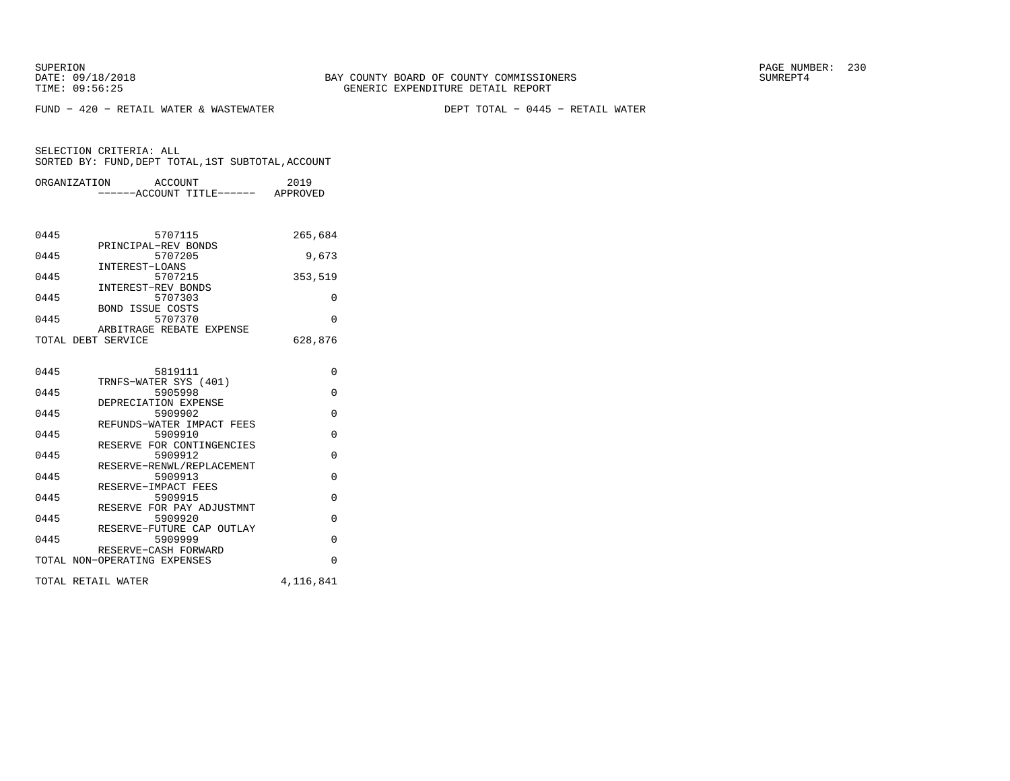FUND − 420 − RETAIL WATER & WASTEWATER DEPT TOTAL − 0445 − RETAIL WATER

| ORGANIZATION       | ACCOUNT<br>------ACCOUNT TITLE------ APPROVED | 2019      |
|--------------------|-----------------------------------------------|-----------|
|                    |                                               |           |
|                    |                                               |           |
| 0445               | 5707115                                       | 265,684   |
| 0445               | PRINCIPAL-REV BONDS<br>5707205                | 9,673     |
| 0445               | INTEREST-LOANS<br>5707215                     | 353,519   |
| 0445               | INTEREST-REV BONDS<br>5707303                 | $\Omega$  |
| 0445               | <b>BOND ISSUE COSTS</b><br>5707370            | $\Omega$  |
|                    | ARBITRAGE REBATE EXPENSE                      |           |
| TOTAL DEBT SERVICE |                                               | 628,876   |
|                    |                                               |           |
| 0445               | 5819111                                       | $\Omega$  |
| 0445               | TRNFS-WATER SYS (401)<br>5905998              | $\Omega$  |
|                    | DEPRECIATION EXPENSE                          |           |
| 0445               | 5909902<br>REFUNDS-WATER IMPACT FEES          | $\Omega$  |
| 0445               | 5909910                                       | $\Omega$  |
| 0445               | RESERVE FOR CONTINGENCIES<br>5909912          | $\Omega$  |
| 0445               | RESERVE-RENWL/REPLACEMENT<br>5909913          | $\Omega$  |
|                    | RESERVE-IMPACT FEES                           |           |
| 0445               | 5909915<br>RESERVE FOR PAY ADJUSTMNT          | $\Omega$  |
| 0445               | 5909920                                       | 0         |
| 0445               | RESERVE-FUTURE CAP OUTLAY<br>5909999          | $\Omega$  |
|                    | RESERVE-CASH FORWARD                          |           |
|                    | TOTAL NON-OPERATING EXPENSES                  | $\Omega$  |
| TOTAL RETAIL WATER |                                               | 4,116,841 |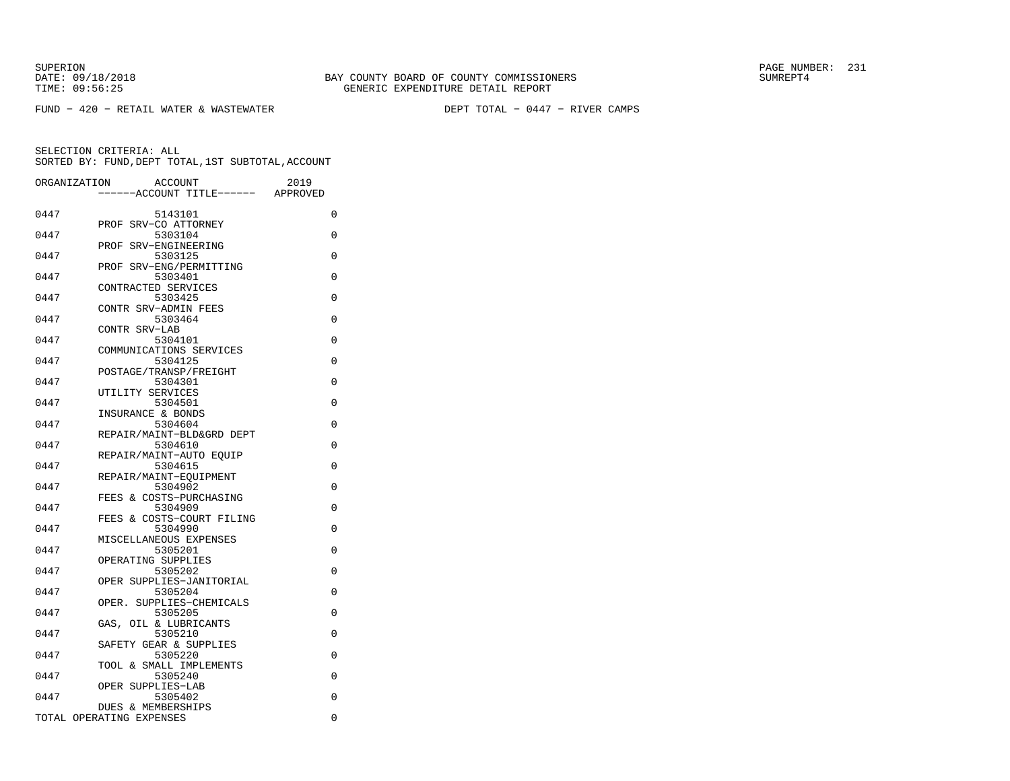FUND − 420 − RETAIL WATER & WASTEWATER DEPT TOTAL − 0447 − RIVER CAMPS

| ORGANIZATION | <b>ACCOUNT</b><br>--ACCOUNT TITLE------ | 2019<br>APPROVED |
|--------------|-----------------------------------------|------------------|
| 0447         | 5143101                                 | 0                |
| 0447         | PROF SRV-CO ATTORNEY<br>5303104         | 0                |
| 0447         | PROF SRV-ENGINEERING<br>5303125         | $\Omega$         |
| 0447         | PROF SRV-ENG/PERMITTING<br>5303401      | $\Omega$         |
| 0447         | CONTRACTED SERVICES<br>5303425          | $\Omega$         |
| 0447         | CONTR SRV-ADMIN FEES<br>5303464         | $\Omega$         |
|              | CONTR SRV-LAB                           |                  |
| 0447         | 5304101<br>COMMUNICATIONS SERVICES      | $\Omega$         |
| 0447         | 5304125<br>POSTAGE/TRANSP/FREIGHT       | $\Omega$         |
| 0447         | 5304301<br>UTILITY SERVICES             | $\Omega$         |
| 0447         | 5304501<br>INSURANCE & BONDS            | 0                |
| 0447         | 5304604<br>REPAIR/MAINT-BLD&GRD DEPT    | $\Omega$         |
| 0447         | 5304610<br>REPAIR/MAINT-AUTO EOUIP      | $\Omega$         |
| 0447         | 5304615                                 | $\Omega$         |
| 0447         | REPAIR/MAINT-EOUIPMENT<br>5304902       | 0                |
| 0447         | & COSTS-PURCHASING<br>FEES<br>5304909   | $\Omega$         |
| 0447         | FEES & COSTS-COURT FILING<br>5304990    | $\Omega$         |
| 0447         | MISCELLANEOUS EXPENSES<br>5305201       | 0                |
| 0447         | OPERATING SUPPLIES<br>5305202           | $\Omega$         |
| 0447         | OPER SUPPLIES-JANITORIAL<br>5305204     | $\Omega$         |
| 0447         | SUPPLIES-CHEMICALS<br>OPER.<br>5305205  | $\Omega$         |
| 0447         | OIL & LUBRICANTS<br>GAS.                |                  |
|              | 5305210<br>SAFETY GEAR & SUPPLIES       | $\Omega$         |
| 0447         | 5305220<br>TOOL & SMALL IMPLEMENTS      | $\Omega$         |
| 0447         | 5305240<br>SUPPLIES-LAB<br>OPER         | $\Omega$         |
| 0447         | 5305402<br>DUES & MEMBERSHIPS           | $\Omega$         |
|              | TOTAL OPERATING EXPENSES                | $\Omega$         |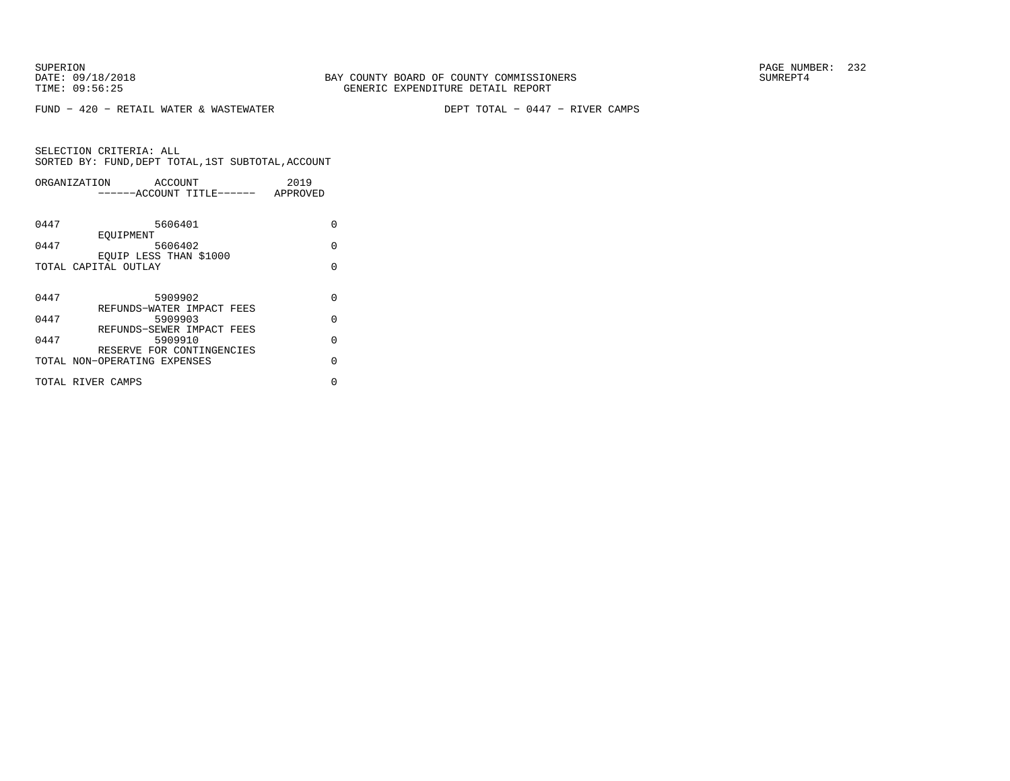FUND − 420 − RETAIL WATER & WASTEWATER DEPT TOTAL − 0447 − RIVER CAMPS

| ORGANIZATION      | 2019<br>ACCOUNT                       |          |
|-------------------|---------------------------------------|----------|
|                   | ------ACCOUNT TITLE------<br>APPROVED |          |
|                   |                                       |          |
| 0447              | 5606401                               | U        |
| 0447              | EOUIPMENT<br>5606402                  | $\Omega$ |
|                   | EOUIP LESS THAN \$1000                |          |
|                   | TOTAL CAPITAL OUTLAY                  | $\cap$   |
|                   |                                       |          |
|                   |                                       |          |
| 0447              | 5909902<br>REFUNDS-WATER IMPACT FEES  | $\Omega$ |
| 0447              | 5909903                               | $\Omega$ |
|                   | REFUNDS-SEWER IMPACT FEES             |          |
| 0447              | 5909910                               | $\cap$   |
|                   | RESERVE FOR CONTINGENCIES             | U        |
|                   | TOTAL NON-OPERATING EXPENSES          |          |
| TOTAL RIVER CAMPS |                                       | U        |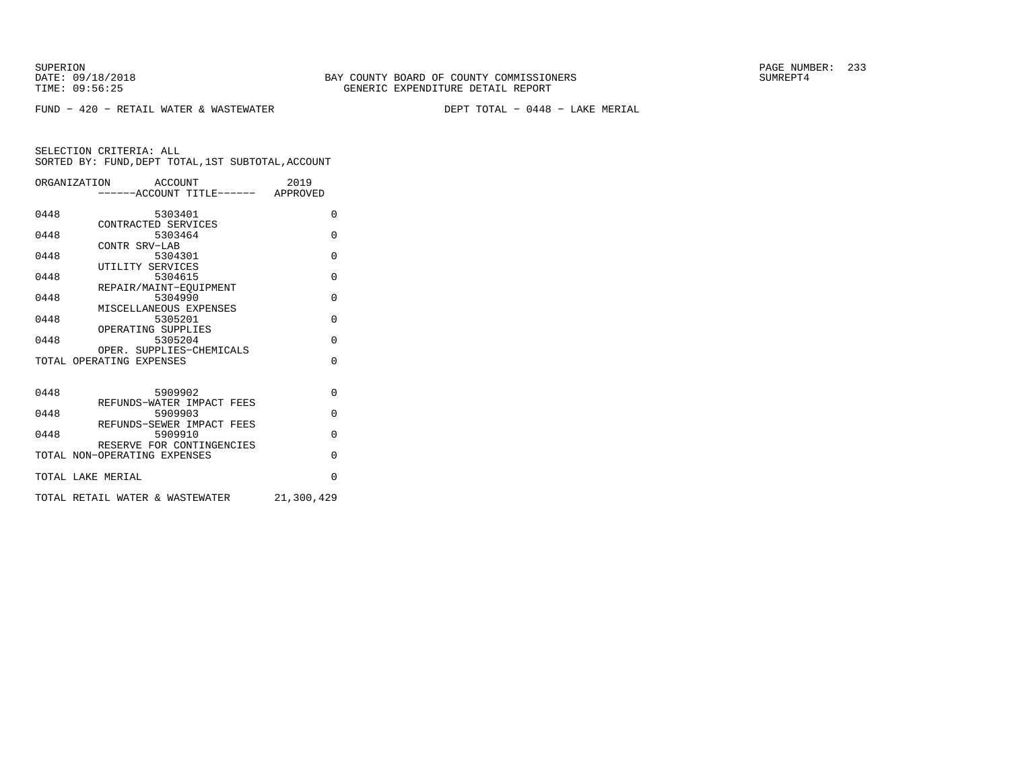FUND − 420 − RETAIL WATER & WASTEWATER DEPT TOTAL − 0448 − LAKE MERIAL

|      | ORGANIZATION ACCOUNT                                      | 2019       |
|------|-----------------------------------------------------------|------------|
|      | -----ACCOUNT TITLE------ APPROVED                         |            |
|      |                                                           |            |
| 0448 | 5303401                                                   | $\Omega$   |
|      | CONTRACTED SERVICES                                       |            |
| 0448 | 5303464                                                   | $\Omega$   |
| 0448 | CONTR SRV-LAB<br>5304301                                  | $\Omega$   |
|      | UTILITY SERVICES                                          |            |
| 0448 | 5304615                                                   | $\Omega$   |
|      | REPAIR/MAINT-EOUIPMENT                                    |            |
| 0448 | 5304990                                                   | $\Omega$   |
|      | MISCELLANEOUS EXPENSES                                    |            |
| 0448 | 5305201                                                   | $\Omega$   |
|      | OPERATING SUPPLIES                                        |            |
| 0448 | 5305204                                                   | $\Omega$   |
|      | OPER. SUPPLIES-CHEMICALS                                  |            |
|      | TOTAL OPERATING EXPENSES                                  | $\Omega$   |
|      |                                                           |            |
|      |                                                           |            |
| 0448 | 5909902                                                   | $\Omega$   |
|      | REFUNDS-WATER IMPACT FEES                                 |            |
| 0448 | 5909903                                                   | $\Omega$   |
|      | REFUNDS-SEWER IMPACT FEES                                 |            |
| 0448 | 5909910                                                   | $\Omega$   |
|      | RESERVE FOR CONTINGENCIES<br>TOTAL NON-OPERATING EXPENSES | $\Omega$   |
|      |                                                           |            |
|      | TOTAL LAKE MERIAL                                         | $\Omega$   |
|      |                                                           |            |
|      | TOTAL RETAIL WATER & WASTEWATER                           | 21,300,429 |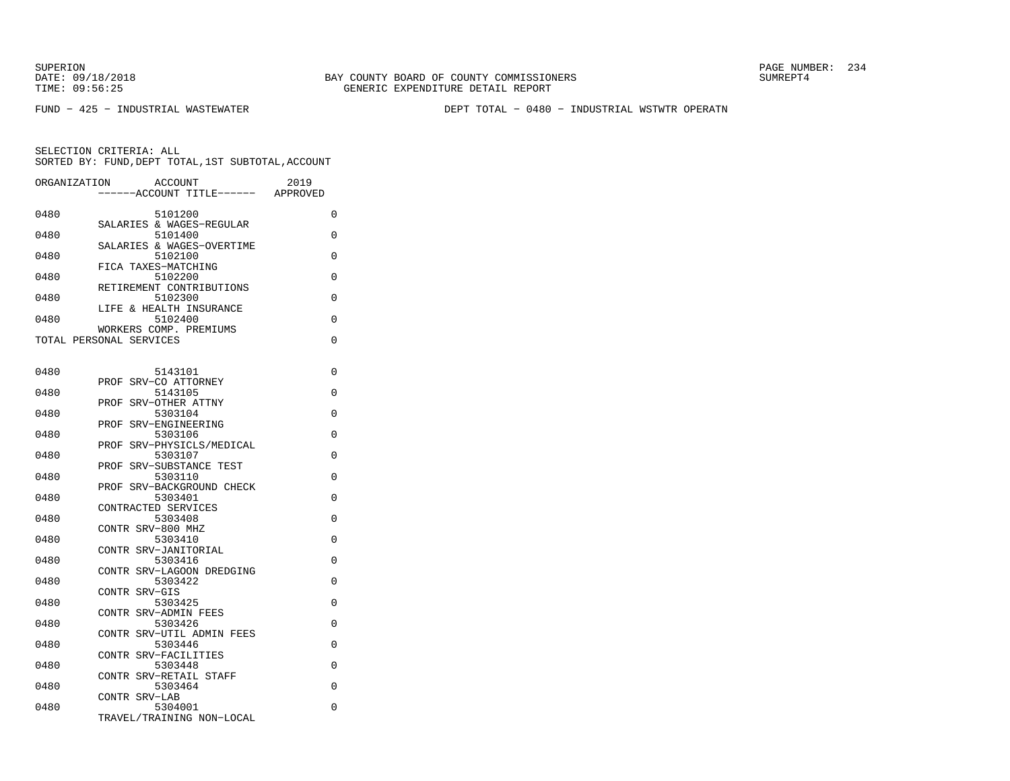SUPERION PAGE NUMBER: 234

FUND − 425 − INDUSTRIAL WASTEWATER DEPT TOTAL − 0480 − INDUSTRIAL WSTWTR OPERATN

| ORGANIZATION | <b>ACCOUNT</b><br>2019<br>--ACCOUNT TITLE------<br>APPROVED |   |
|--------------|-------------------------------------------------------------|---|
| 0480         | 5101200                                                     | 0 |
| 0480         | SALARIES & WAGES-REGULAR<br>5101400                         | 0 |
| 0480         | SALARIES & WAGES-OVERTIME<br>5102100                        | 0 |
| 0480         | FICA TAXES-MATCHING<br>5102200                              | 0 |
| 0480         | RETIREMENT CONTRIBUTIONS<br>5102300                         | 0 |
| 0480         | LIFE & HEALTH INSURANCE<br>5102400                          | 0 |
|              | WORKERS COMP. PREMIUMS                                      |   |
|              | TOTAL PERSONAL SERVICES                                     | 0 |
| 0480         | 5143101                                                     | 0 |
| 0480         | SRV-CO ATTORNEY<br>PROF<br>5143105                          | 0 |
| 0480         | SRV-OTHER ATTNY<br>PROF<br>5303104                          | 0 |
|              | PROF<br>SRV-ENGINEERING                                     | 0 |
| 0480         | 5303106<br>PROF SRV-PHYSICLS/MEDICAL                        |   |
| 0480         | 5303107<br>SRV-SUBSTANCE TEST<br>PROF                       | 0 |
| 0480         | 5303110<br>PROF SRV-BACKGROUND CHECK                        | 0 |
| 0480         | 5303401<br>CONTRACTED SERVICES                              | 0 |
| 0480         | 5303408                                                     | 0 |
| 0480         | CONTR SRV-800 MHZ<br>5303410                                | 0 |
| 0480         | CONTR SRV-JANITORIAL<br>5303416                             | 0 |
| 0480         | CONTR SRV-LAGOON DREDGING<br>5303422                        | 0 |
| 0480         | CONTR SRV-GIS<br>5303425                                    | 0 |
| 0480         | CONTR SRV-ADMIN FEES<br>5303426                             | 0 |
|              | CONTR SRV-UTIL ADMIN FEES                                   |   |
| 0480         | 5303446<br>CONTR SRV-FACILITIES                             | 0 |
| 0480         | 5303448<br>CONTR SRV-RETAIL STAFF                           | 0 |
| 0480         | 5303464<br>CONTR SRV-LAB                                    | 0 |
| 0480         | 5304001<br>TRAVEL/TRAINING NON-LOCAL                        | 0 |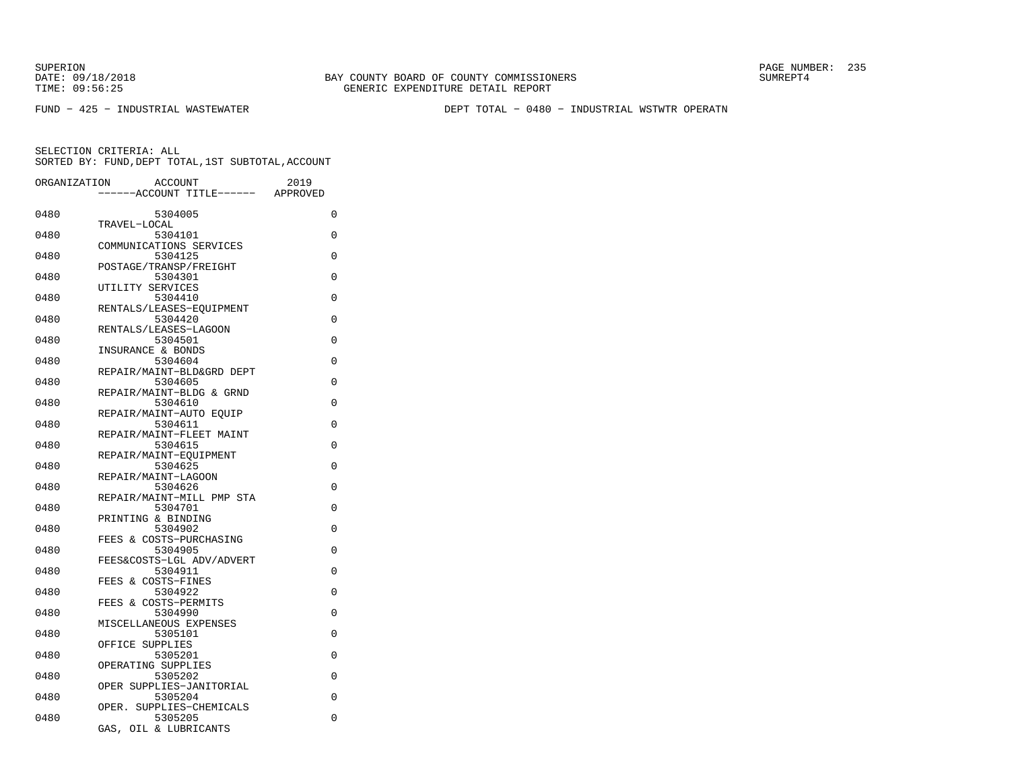SUPERION PAGE NUMBER: 235

FUND − 425 − INDUSTRIAL WASTEWATER DEPT TOTAL − 0480 − INDUSTRIAL WSTWTR OPERATN

| ORGANIZATION | <b>ACCOUNT</b><br>---ACCOUNT TITLE------              | 2019<br>APPROVED |
|--------------|-------------------------------------------------------|------------------|
| 0480         | 5304005                                               | 0                |
| 0480         | TRAVEL-LOCAL<br>5304101                               | 0                |
| 0480         | COMMUNICATIONS SERVICES<br>5304125                    | 0                |
| 0480         | POSTAGE/TRANSP/FREIGHT<br>5304301<br>UTILITY SERVICES | 0                |
| 0480         | 5304410<br>RENTALS/LEASES-EQUIPMENT                   | 0                |
| 0480         | 5304420<br>RENTALS/LEASES-LAGOON                      | 0                |
| 0480         | 5304501<br>INSURANCE & BONDS                          | 0                |
| 0480         | 5304604<br>REPAIR/MAINT-BLD&GRD DEPT                  | 0                |
| 0480         | 5304605<br>REPAIR/MAINT-BLDG & GRND                   | 0                |
| 0480         | 5304610<br>REPAIR/MAINT-AUTO EOUIP                    | $\Omega$         |
| 0480         | 5304611<br>REPAIR/MAINT-FLEET MAINT                   | 0                |
| 0480         | 5304615<br>REPAIR/MAINT-EOUIPMENT                     | 0                |
| 0480         | 5304625<br>REPAIR/MAINT-LAGOON                        | 0                |
| 0480         | 5304626<br>REPAIR/MAINT-MILL PMP STA                  | 0                |
| 0480         | 5304701<br>PRINTING & BINDING                         | 0                |
| 0480         | 5304902<br>FEES & COSTS-PURCHASING                    | 0                |
| 0480         | 5304905<br>FEES&COSTS-LGL ADV/ADVERT                  | 0                |
| 0480         | 5304911<br>FEES & COSTS-FINES                         | 0                |
| 0480         | 5304922<br>FEES & COSTS-PERMITS                       | 0                |
| 0480         | 5304990<br>MISCELLANEOUS EXPENSES                     | 0                |
| 0480         | 5305101<br>OFFICE SUPPLIES                            | 0                |
| 0480         | 5305201<br>OPERATING SUPPLIES                         | 0                |
| 0480         | 5305202<br>OPER SUPPLIES-JANITORIAL                   | $\Omega$         |
| 0480         | 5305204<br>OPER. SUPPLIES-CHEMICALS                   | 0                |
| 0480         | 5305205<br>OIL & LUBRICANTS<br>GAS,                   | 0                |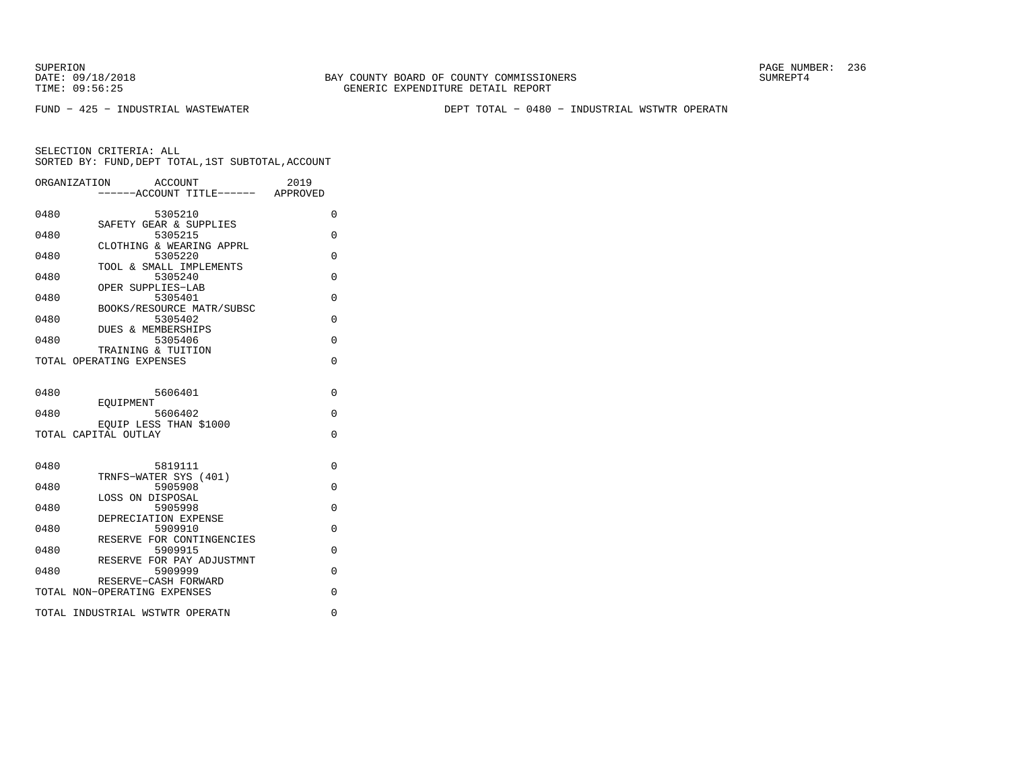SUPERION PAGE NUMBER: 236

FUND − 425 − INDUSTRIAL WASTEWATER DEPT TOTAL − 0480 − INDUSTRIAL WSTWTR OPERATN

| ORGANIZATION | ACCOUNT<br>-----ACCOUNT TITLE------ APPROVED                   | 2019     |
|--------------|----------------------------------------------------------------|----------|
| 0480         | 5305210                                                        | 0        |
| 0480         | SAFETY GEAR & SUPPLIES<br>5305215                              | 0        |
| 0480         | CLOTHING & WEARING APPRL<br>5305220<br>TOOL & SMALL IMPLEMENTS | $\Omega$ |
| 0480         | 5305240<br>OPER SUPPLIES-LAB                                   | $\Omega$ |
| 0480         | 5305401<br>BOOKS/RESOURCE MATR/SUBSC                           | $\Omega$ |
| 0480         | 5305402<br>DUES & MEMBERSHIPS                                  | $\Omega$ |
| 0480         | 5305406<br>TRAINING & TUITION                                  | $\Omega$ |
|              | TOTAL OPERATING EXPENSES                                       | $\Omega$ |
| 0480         | 5606401                                                        | 0        |
| 0480         | EOUIPMENT<br>5606402                                           | $\Omega$ |
|              | EQUIP LESS THAN \$1000<br>TOTAL CAPITAL OUTLAY                 | 0        |
|              |                                                                |          |
| 0480         | 5819111<br>TRNFS-WATER SYS (401)                               | 0        |
| 0480         | 5905908<br>LOSS ON DISPOSAL                                    | 0        |
| 0480         | 5905998<br>DEPRECIATION EXPENSE                                | 0        |
| 0480         | 5909910<br>RESERVE FOR CONTINGENCIES                           | $\Omega$ |
| 0480         | 5909915<br>RESERVE FOR PAY ADJUSTMNT                           | $\Omega$ |
| 0480         | 5909999<br>RESERVE-CASH FORWARD                                | 0        |
|              | TOTAL NON-OPERATING EXPENSES                                   | 0        |
|              | TOTAL INDUSTRIAL WSTWTR OPERATN                                | 0        |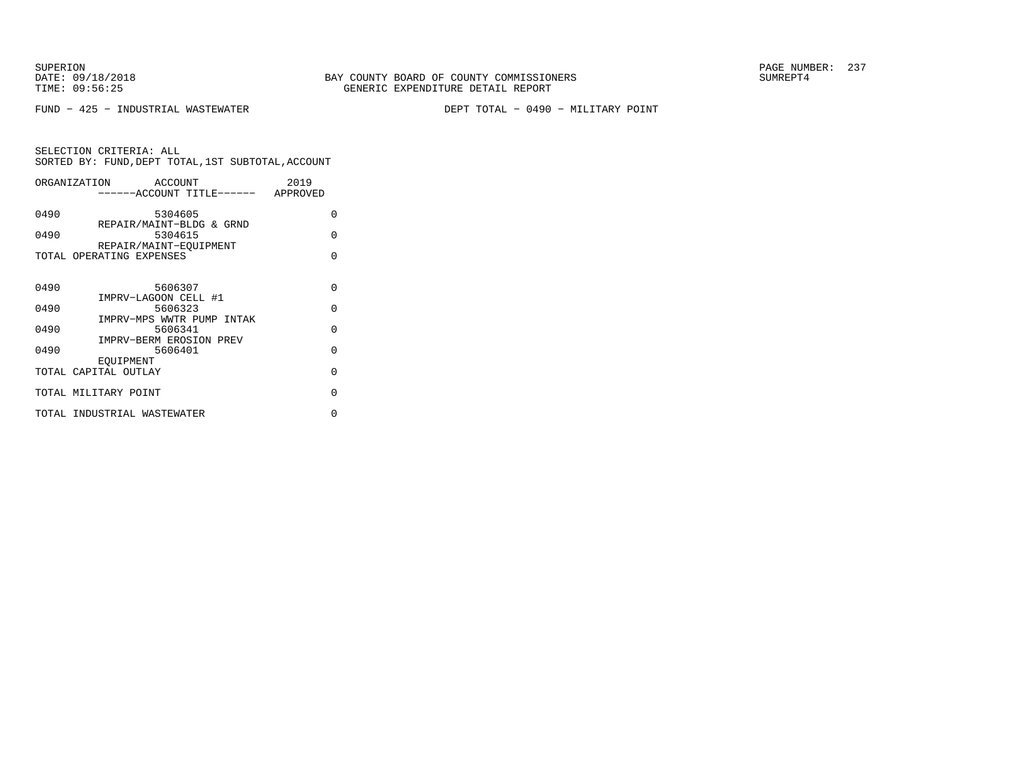FUND − 425 − INDUSTRIAL WASTEWATER DEPT TOTAL − 0490 − MILITARY POINT

| ORGANIZATION<br>ACCOUNT     | 2019                                                                                                                                   |
|-----------------------------|----------------------------------------------------------------------------------------------------------------------------------------|
|                             |                                                                                                                                        |
| 5304605                     | $\Omega$                                                                                                                               |
| 5304615                     | O                                                                                                                                      |
| REPAIR/MAINT-EOUIPMENT      |                                                                                                                                        |
| TOTAL OPERATING EXPENSES    | $\Omega$                                                                                                                               |
|                             |                                                                                                                                        |
| 5606307                     | $\Omega$                                                                                                                               |
|                             | $\Omega$                                                                                                                               |
| IMPRV-MPS WWTR PUMP INTAK   |                                                                                                                                        |
| 5606341                     | $\Omega$                                                                                                                               |
|                             | $\Omega$                                                                                                                               |
| EOUIPMENT                   |                                                                                                                                        |
| TOTAL CAPITAL OUTLAY        | $\Omega$                                                                                                                               |
| TOTAL MILITARY POINT        | O                                                                                                                                      |
| TOTAL INDUSTRIAL WASTEWATER | U                                                                                                                                      |
|                             | -----ACCOUNT TITLE------ APPROVED<br>REPAIR/MAINT-BLDG & GRND<br>IMPRV-LAGOON CELL #1<br>5606323<br>IMPRV-BERM EROSION PREV<br>5606401 |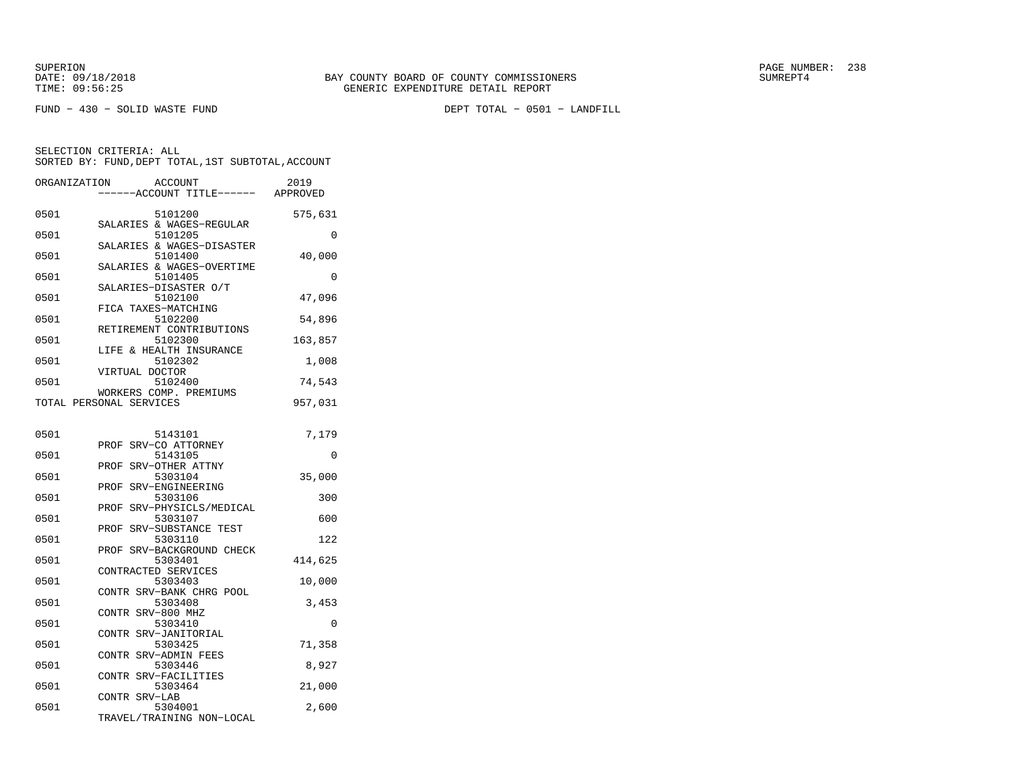FUND − 430 − SOLID WASTE FUND DEPT TOTAL − 0501 − LANDFILL

| ORGANIZATION            |                   | ACCOUNT                              | 2019     |
|-------------------------|-------------------|--------------------------------------|----------|
|                         |                   | ---ACCOUNT TITLE------               | APPROVED |
| 0501                    |                   | 5101200                              | 575,631  |
| 0501                    |                   | SALARIES & WAGES-REGULAR<br>5101205  | $\Omega$ |
| 0501                    |                   | SALARIES & WAGES-DISASTER<br>5101400 | 40,000   |
| 0501                    |                   | SALARIES & WAGES-OVERTIME<br>5101405 | $\Omega$ |
| 0501                    |                   | SALARIES-DISASTER O/T<br>5102100     | 47,096   |
| 0501                    |                   | FICA TAXES-MATCHING<br>5102200       | 54,896   |
|                         |                   | RETIREMENT CONTRIBUTIONS             |          |
| 0501                    |                   | 5102300<br>LIFE & HEALTH INSURANCE   | 163,857  |
| 0501                    | VIRTUAL DOCTOR    | 5102302                              | 1,008    |
| 0501                    |                   | 5102400<br>WORKERS COMP. PREMIUMS    | 74,543   |
| TOTAL PERSONAL SERVICES |                   |                                      | 957,031  |
| 0501                    |                   | 5143101                              |          |
|                         |                   | PROF SRV-CO ATTORNEY                 | 7,179    |
| 0501                    |                   | 5143105<br>PROF SRV-OTHER ATTNY      | 0        |
| 0501                    |                   | 5303104<br>PROF SRV-ENGINEERING      | 35,000   |
| 0501                    |                   | 5303106                              | 300      |
| 0501                    | PROF              | SRV-PHYSICLS/MEDICAL<br>5303107      | 600      |
| 0501                    | PROF              | SRV-SUBSTANCE TEST<br>5303110        | 122      |
| 0501                    |                   | PROF SRV-BACKGROUND CHECK<br>5303401 | 414,625  |
| 0501                    |                   | CONTRACTED SERVICES<br>5303403       | 10,000   |
|                         |                   | CONTR SRV-BANK CHRG POOL             |          |
| 0501                    | CONTR SRV-800 MHZ | 5303408                              | 3,453    |
| 0501                    |                   | 5303410<br>CONTR SRV-JANITORIAL      | 0        |
| 0501                    |                   | 5303425<br>CONTR SRV-ADMIN FEES      | 71,358   |
| 0501                    |                   | 5303446                              | 8,927    |
| 0501                    | CONTR             | SRV-FACILITIES<br>5303464            | 21,000   |
| 0501                    | CONTR SRV-LAB     | 5304001                              | 2,600    |
|                         |                   | TRAVEL/TRAINING NON-LOCAL            |          |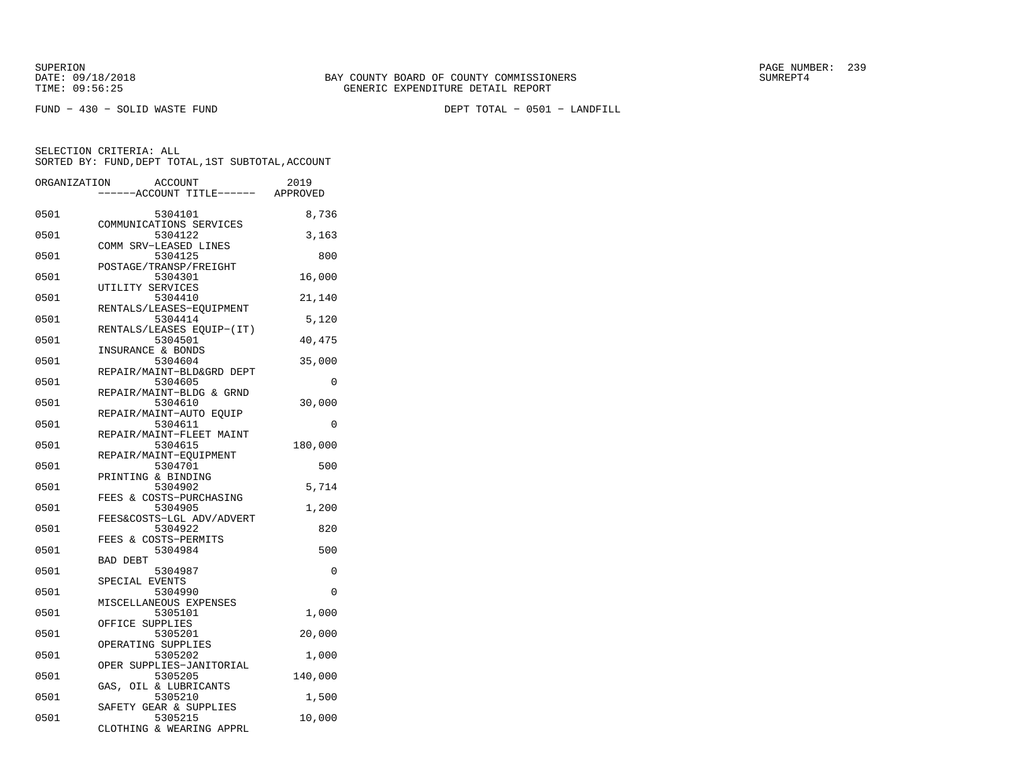FUND − 430 − SOLID WASTE FUND DEPT TOTAL − 0501 − LANDFILL

| ORGANIZATION |                          | <b>ACCOUNT</b> |                                 | 2019     |
|--------------|--------------------------|----------------|---------------------------------|----------|
|              |                          |                | ---ACCOUNT TITLE------ APPROVED |          |
| 0501         |                          | 5304101        |                                 | 8,736    |
| 0501         | COMMUNICATIONS SERVICES  | 5304122        |                                 | 3,163    |
| 0501         | COMM SRV-LEASED LINES    | 5304125        |                                 | 800      |
| 0501         | POSTAGE/TRANSP/FREIGHT   | 5304301        |                                 | 16,000   |
|              | UTILITY SERVICES         |                |                                 |          |
| 0501         |                          | 5304410        | RENTALS/LEASES-EQUIPMENT        | 21,140   |
| 0501         |                          | 5304414        | RENTALS/LEASES EQUIP-(IT)       | 5,120    |
| 0501         |                          | 5304501        |                                 | 40,475   |
| 0501         | INSURANCE & BONDS        | 5304604        |                                 | 35,000   |
| 0501         |                          | 5304605        | REPAIR/MAINT-BLD&GRD DEPT       | 0        |
| 0501         | REPAIR/MAINT-BLDG & GRND | 5304610        |                                 | 30,000   |
|              | REPAIR/MAINT-AUTO EOUIP  |                |                                 |          |
| 0501         | REPAIR/MAINT-FLEET MAINT | 5304611        |                                 | $\Omega$ |
| 0501         | REPAIR/MAINT-EQUIPMENT   | 5304615        |                                 | 180,000  |
| 0501         | PRINTING & BINDING       | 5304701        |                                 | 500      |
| 0501         |                          | 5304902        |                                 | 5,714    |
| 0501         | FEES & COSTS-PURCHASING  | 5304905        |                                 | 1,200    |
| 0501         |                          | 5304922        | FEES&COSTS-LGL ADV/ADVERT       | 820      |
|              | FEES & COSTS-PERMITS     |                |                                 |          |
| 0501         | <b>BAD DEBT</b>          | 5304984        |                                 | 500      |
| 0501         | SPECIAL EVENTS           | 5304987        |                                 | 0        |
| 0501         | MISCELLANEOUS EXPENSES   | 5304990        |                                 | $\Omega$ |
| 0501         |                          | 5305101        |                                 | 1,000    |
| 0501         | OFFICE SUPPLIES          | 5305201        |                                 | 20,000   |
| 0501         | OPERATING SUPPLIES       | 5305202        |                                 | 1,000    |
| 0501         |                          |                | OPER SUPPLIES-JANITORIAL        |          |
|              | GAS, OIL & LUBRICANTS    | 5305205        |                                 | 140,000  |
| 0501         | SAFETY GEAR & SUPPLIES   | 5305210        |                                 | 1,500    |
| 0501         |                          | 5305215        | CLOTHING & WEARING APPRL        | 10,000   |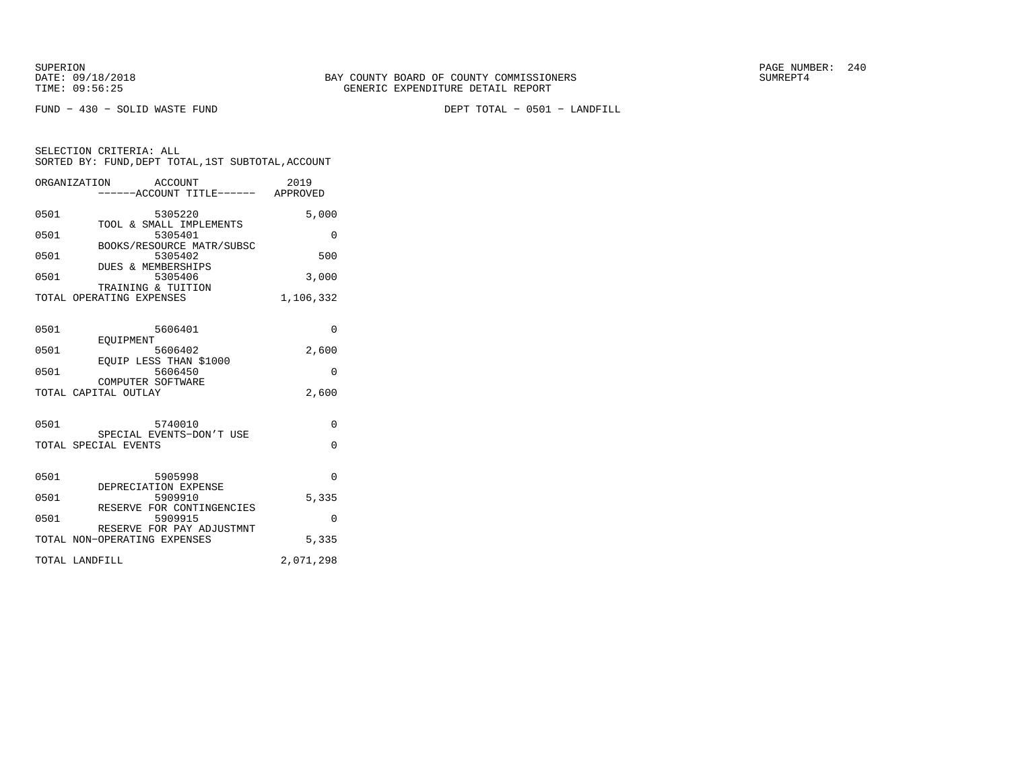FUND − 430 − SOLID WASTE FUND DEPT TOTAL − 0501 − LANDFILL

SELECTION CRITERIA: ALL SORTED BY: FUND,DEPT TOTAL,1ST SUBTOTAL,ACCOUNTORGANIZATION ACCOUNT 2019

|      | ------ACCOUNT TITLE------ APPROVED                        |           |
|------|-----------------------------------------------------------|-----------|
| 0501 | 5305220                                                   | 5,000     |
| 0501 | TOOL & SMALL IMPLEMENTS<br>5305401                        | 0         |
| 0501 | BOOKS/RESOURCE MATR/SUBSC<br>5305402                      | 500       |
| 0501 | <b>DUES &amp; MEMBERSHIPS</b><br>5305406                  | 3,000     |
|      | TRAINING & TUITION<br>TOTAL OPERATING EXPENSES            | 1,106,332 |
| 0501 | 5606401                                                   | $\Omega$  |
| 0501 | EOUIPMENT<br>5606402                                      | 2,600     |
| 0501 | EQUIP LESS THAN \$1000<br>5606450                         | $\Omega$  |
|      | COMPUTER SOFTWARE<br>TOTAL CAPITAL OUTLAY                 | 2,600     |
| 0501 | 5740010                                                   | $\Omega$  |
|      | SPECIAL EVENTS-DON'T USE<br>TOTAL SPECIAL EVENTS          | $\Omega$  |
| 0501 | 5905998                                                   | $\Omega$  |
| 0501 | DEPRECIATION EXPENSE<br>5909910                           | 5,335     |
| 0501 | RESERVE FOR CONTINGENCIES<br>5909915                      | $\Omega$  |
|      | RESERVE FOR PAY ADJUSTMNT<br>TOTAL NON-OPERATING EXPENSES | 5,335     |
|      | TOTAL LANDFILL                                            | 2,071,298 |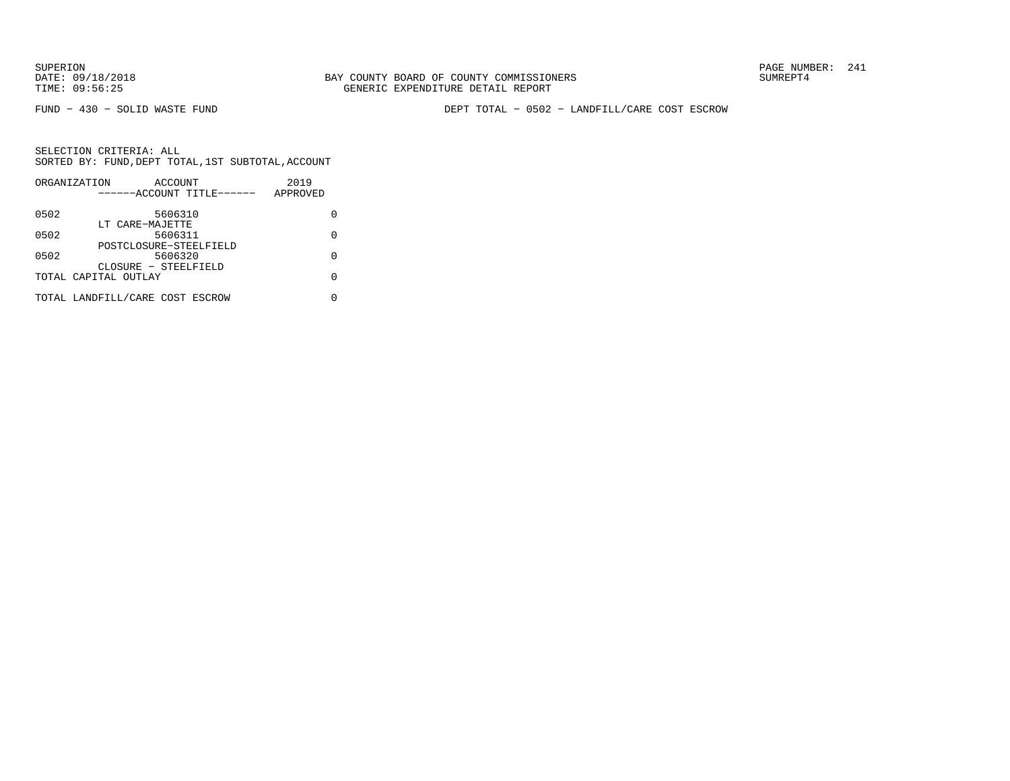FUND − 430 − SOLID WASTE FUND DEPT TOTAL − 0502 − LANDFILL/CARE COST ESCROW

|      | ORGANIZATION                    | ACCOUNT |                           | 2019     |   |
|------|---------------------------------|---------|---------------------------|----------|---|
|      |                                 |         | ------ACCOUNT TITLE------ | APPROVED |   |
| 0502 |                                 | 5606310 |                           |          |   |
|      | LT CARE-MAJETTE                 |         |                           |          |   |
| 0502 |                                 | 5606311 |                           |          | U |
|      |                                 |         | POSTCLOSURE-STEELFIELD    |          |   |
| 0502 |                                 | 5606320 |                           |          | O |
|      | CLOSURE - STEELFIELD            |         |                           |          |   |
|      | TOTAL CAPITAL OUTLAY            |         |                           |          | O |
|      | TOTAL LANDFILL/CARE COST ESCROW |         |                           |          |   |
|      |                                 |         |                           |          |   |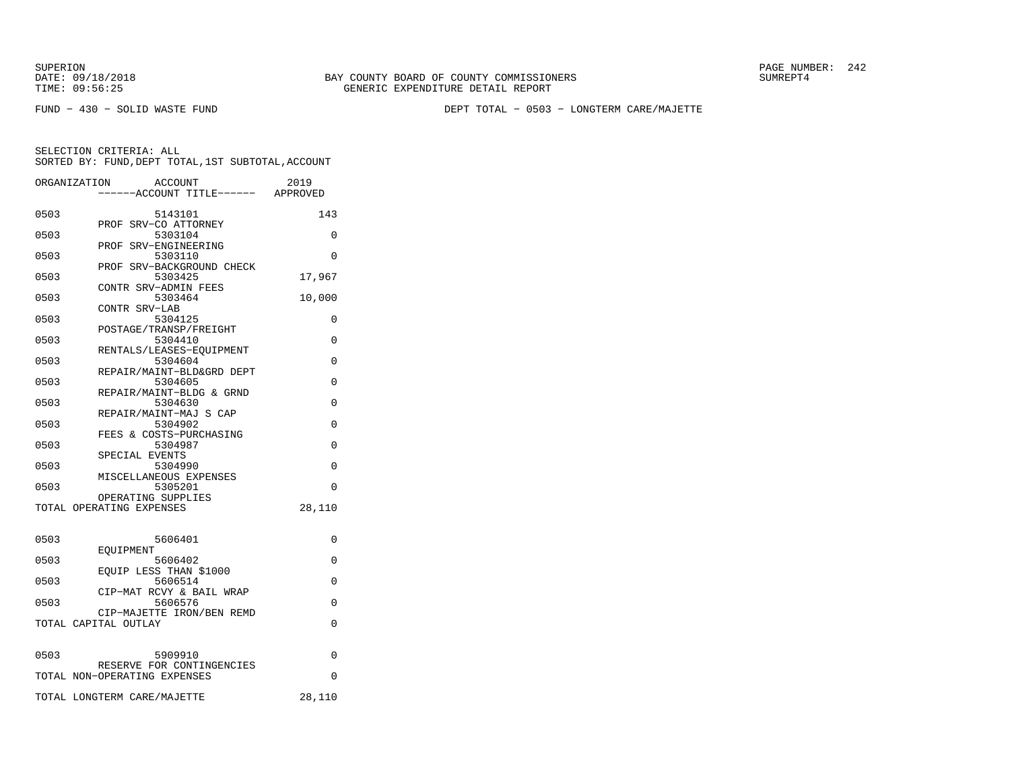SUPERION PAGE NUMBER: 242

FUND − 430 − SOLID WASTE FUND DEPT TOTAL − 0503 − LONGTERM CARE/MAJETTE

|      | ACCOUNT<br>ORGANIZATION<br>----ACCOUNT TITLE------ APPROVED | 2019     |
|------|-------------------------------------------------------------|----------|
| 0503 | 5143101                                                     | 143      |
| 0503 | PROF SRV-CO ATTORNEY<br>5303104                             | 0        |
| 0503 | PROF SRV-ENGINEERING<br>5303110                             | 0        |
| 0503 | PROF SRV-BACKGROUND CHECK<br>5303425                        | 17,967   |
| 0503 | CONTR SRV-ADMIN FEES<br>5303464                             | 10,000   |
| 0503 | CONTR SRV-LAB<br>5304125                                    | 0        |
|      | POSTAGE/TRANSP/FREIGHT                                      |          |
| 0503 | 5304410<br>RENTALS/LEASES-EQUIPMENT                         | 0        |
| 0503 | 5304604<br>REPAIR/MAINT-BLD&GRD DEPT                        | 0        |
| 0503 | 5304605<br>REPAIR/MAINT-BLDG & GRND                         | 0        |
| 0503 | 5304630<br>REPAIR/MAINT-MAJ S CAP                           | $\Omega$ |
| 0503 | 5304902                                                     | 0        |
| 0503 | FEES & COSTS-PURCHASING<br>5304987                          | $\Omega$ |
| 0503 | SPECIAL EVENTS<br>5304990                                   | 0        |
| 0503 | MISCELLANEOUS EXPENSES<br>5305201                           | $\Omega$ |
|      | OPERATING SUPPLIES<br>TOTAL OPERATING EXPENSES              | 28,110   |
|      |                                                             |          |
| 0503 | 5606401                                                     | $\Omega$ |
| 0503 | EOUIPMENT<br>5606402                                        | 0        |
| 0503 | EQUIP LESS THAN \$1000<br>5606514                           | 0        |
| 0503 | CIP-MAT RCVY & BAIL WRAP<br>5606576                         | 0        |
|      | CIP-MAJETTE IRON/BEN REMD<br>TOTAL CAPITAL OUTLAY           | $\Omega$ |
|      |                                                             |          |
| 0503 | 5909910                                                     | 0        |
|      | RESERVE FOR CONTINGENCIES<br>TOTAL NON-OPERATING EXPENSES   | $\Omega$ |
|      | TOTAL LONGTERM CARE/MAJETTE                                 | 28,110   |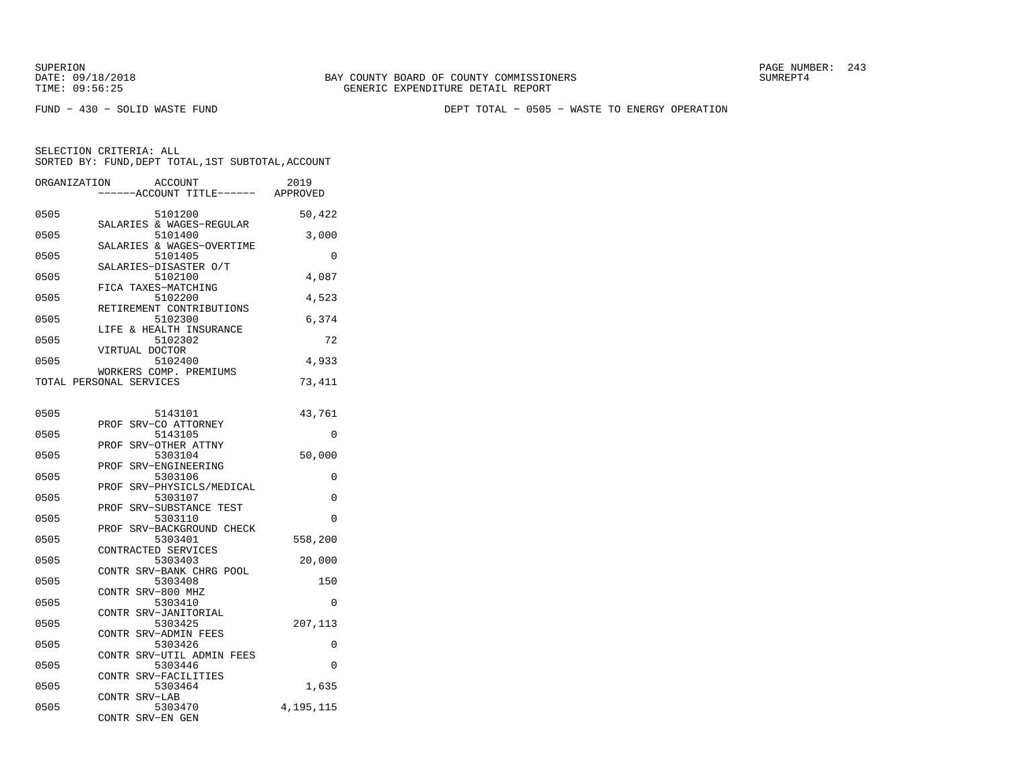FUND − 430 − SOLID WASTE FUND DEPT TOTAL − 0505 − WASTE TO ENERGY OPERATION

| ORGANIZATION | <b>ACCOUNT</b><br>---ACCOUNT TITLE------                | 2019<br>APPROVED |
|--------------|---------------------------------------------------------|------------------|
| 0505         | 5101200                                                 | 50,422           |
| 0505         | SALARIES & WAGES-REGULAR<br>5101400                     | 3,000            |
| 0505         | SALARIES & WAGES-OVERTIME<br>5101405                    | 0                |
| 0505         | SALARIES-DISASTER O/T<br>5102100<br>FICA TAXES-MATCHING | 4,087            |
| 0505         | 5102200<br>RETIREMENT CONTRIBUTIONS                     | 4,523            |
| 0505         | 5102300<br>LIFE & HEALTH INSURANCE                      | 6,374            |
| 0505         | 5102302<br>VIRTUAL DOCTOR                               | 72               |
| 0505         | 5102400<br>WORKERS COMP. PREMIUMS                       | 4,933            |
|              | TOTAL PERSONAL SERVICES                                 | 73,411           |
| 0505         | 5143101                                                 | 43,761           |
| 0505         | SRV-CO ATTORNEY<br>PROF<br>5143105                      | 0                |
| 0505         | SRV-OTHER ATTNY<br>PROF<br>5303104                      | 50,000           |
| 0505         | PROF SRV-ENGINEERING<br>5303106                         | 0                |
| 0505         | PROF SRV-PHYSICLS/MEDICAL<br>5303107                    | 0                |
| 0505         | SRV-SUBSTANCE TEST<br>PROF<br>5303110                   | 0                |
| 0505         | SRV-BACKGROUND CHECK<br>PROF<br>5303401                 | 558,200          |
| 0505         | CONTRACTED SERVICES<br>5303403                          | 20,000           |
| 0505         | CONTR SRV-BANK CHRG POOL<br>5303408                     | 150              |
| 0505         | CONTR SRV-800 MHZ<br>5303410                            | 0                |
| 0505         | <b>CONTR</b><br>SRV-JANITORIAL<br>5303425               | 207,113          |
| 0505         | CONTR SRV-ADMIN FEES<br>5303426                         | 0                |
| 0505         | CONTR SRV-UTIL ADMIN FEES<br>5303446                    | 0                |
| 0505         | CONTR SRV-FACILITIES<br>5303464                         | 1,635            |
| 0505         | CONTR SRV-LAB<br>5303470                                | 4, 195, 115      |
|              | CONTR SRV-EN GEN                                        |                  |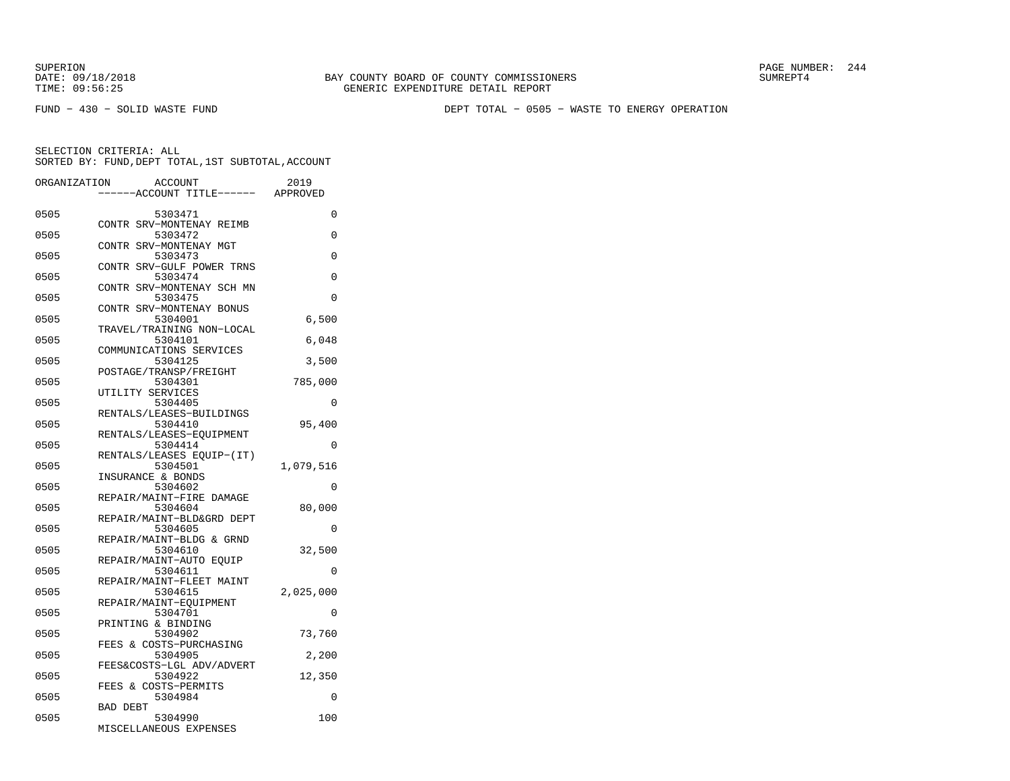FUND − 430 − SOLID WASTE FUND DEPT TOTAL − 0505 − WASTE TO ENERGY OPERATION

| ORGANIZATION | <b>ACCOUNT</b><br>--ACCOUNT TITLE------ | 2019<br>APPROVED |
|--------------|-----------------------------------------|------------------|
|              |                                         |                  |
| 0505         | 5303471                                 | 0                |
| 0505         | CONTR SRV-MONTENAY REIMB<br>5303472     | 0                |
| 0505         | CONTR SRV-MONTENAY MGT<br>5303473       | 0                |
|              | CONTR SRV-GULF POWER TRNS               |                  |
| 0505         | 5303474<br>CONTR SRV-MONTENAY SCH MN    | 0                |
| 0505         | 5303475                                 | $\Omega$         |
| 0505         | CONTR SRV-MONTENAY BONUS<br>5304001     | 6,500            |
|              | TRAVEL/TRAINING NON-LOCAL               |                  |
| 0505         | 5304101                                 | 6,048            |
| 0505         | COMMUNICATIONS SERVICES<br>5304125      | 3,500            |
|              | POSTAGE/TRANSP/FREIGHT                  |                  |
| 0505         | 5304301                                 | 785,000          |
| 0505         | UTILITY SERVICES                        | 0                |
|              | 5304405<br>RENTALS/LEASES-BUILDINGS     |                  |
| 0505         | 5304410                                 | 95,400           |
|              | RENTALS/LEASES-EQUIPMENT                |                  |
| 0505         | 5304414                                 | $\Omega$         |
|              | RENTALS/LEASES EQUIP-(IT)               |                  |
| 0505         | 5304501                                 | 1,079,516        |
|              | INSURANCE & BONDS                       |                  |
| 0505         | 5304602                                 | 0                |
| 0505         | REPAIR/MAINT-FIRE DAMAGE                | 80,000           |
|              | 5304604<br>REPAIR/MAINT-BLD&GRD DEPT    |                  |
| 0505         | 5304605                                 | $\Omega$         |
|              | REPAIR/MAINT-BLDG & GRND                |                  |
| 0505         | 5304610                                 | 32,500           |
|              | REPAIR/MAINT-AUTO EOUIP                 |                  |
| 0505         | 5304611                                 | 0                |
|              | REPAIR/MAINT-FLEET MAINT                |                  |
| 0505         | 5304615                                 | 2,025,000        |
|              | REPAIR/MAINT-EOUIPMENT                  |                  |
| 0505         | 5304701<br>PRINTING & BINDING           | 0                |
| 0505         | 5304902                                 | 73,760           |
|              | FEES & COSTS-PURCHASING                 |                  |
| 0505         | 5304905                                 | 2,200            |
|              | FEES&COSTS-LGL ADV/ADVERT               |                  |
| 0505         | 5304922                                 | 12,350           |
|              | FEES & COSTS-PERMITS                    |                  |
| 0505         | 5304984                                 | 0                |
|              | <b>BAD DEBT</b>                         |                  |
| 0505         | 5304990                                 | 100              |
|              | MISCELLANEOUS EXPENSES                  |                  |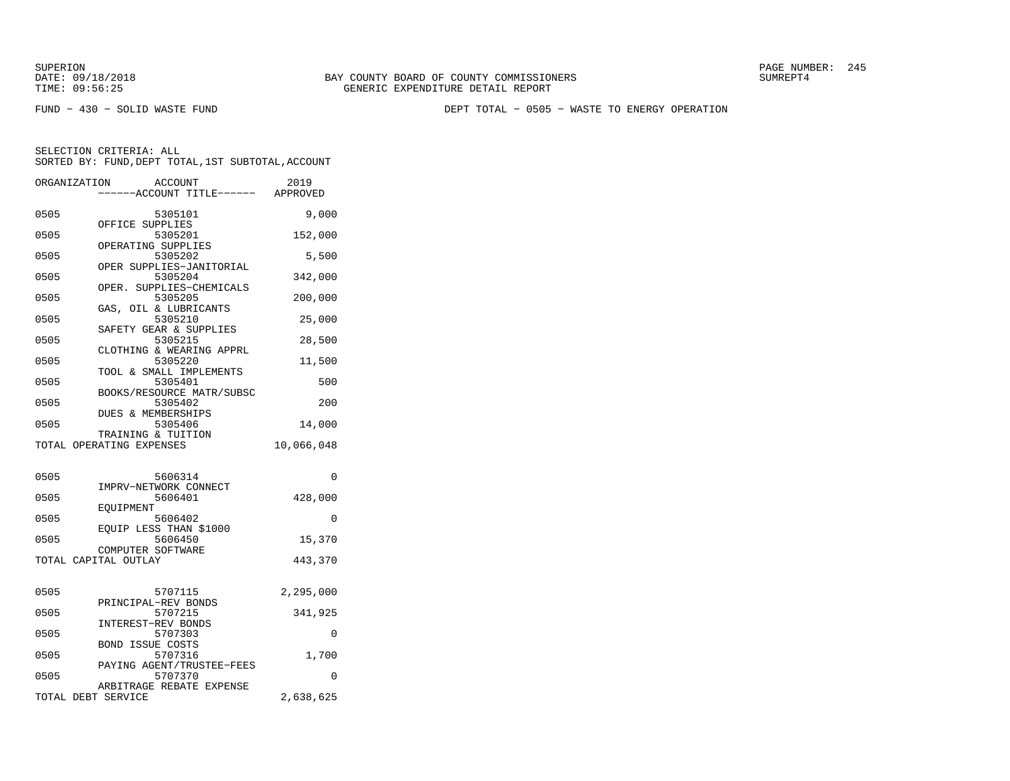FUND − 430 − SOLID WASTE FUND DEPT TOTAL − 0505 − WASTE TO ENERGY OPERATION

|      | ORGANIZATION<br>ACCOUNT<br>---ACCOUNT TITLE------ APPROVED | 2019       |
|------|------------------------------------------------------------|------------|
|      |                                                            |            |
| 0505 | 5305101                                                    | 9,000      |
| 0505 | OFFICE SUPPLIES<br>5305201                                 | 152,000    |
|      | OPERATING SUPPLIES                                         |            |
| 0505 | 5305202                                                    | 5,500      |
| 0505 | OPER SUPPLIES-JANITORIAL<br>5305204                        | 342,000    |
|      | OPER. SUPPLIES-CHEMICALS                                   |            |
| 0505 | 5305205                                                    | 200,000    |
| 0505 | GAS, OIL & LUBRICANTS<br>5305210                           | 25,000     |
|      | SAFETY GEAR & SUPPLIES                                     |            |
| 0505 | 5305215                                                    | 28,500     |
|      | CLOTHING & WEARING APPRL                                   |            |
| 0505 | 5305220<br>TOOL & SMALL IMPLEMENTS                         | 11,500     |
| 0505 | 5305401                                                    | 500        |
|      | BOOKS/RESOURCE MATR/SUBSC                                  |            |
| 0505 | 5305402                                                    | 200        |
| 0505 | <b>DUES &amp; MEMBERSHIPS</b><br>5305406                   | 14,000     |
|      | TRAINING & TUITION                                         |            |
|      | TOTAL OPERATING EXPENSES                                   | 10,066,048 |
|      |                                                            |            |
| 0505 | 5606314                                                    | $\Omega$   |
|      | IMPRV-NETWORK CONNECT                                      |            |
| 0505 | 5606401                                                    | 428,000    |
| 0505 | EOUIPMENT<br>5606402                                       | 0          |
|      | EQUIP LESS THAN \$1000                                     |            |
| 0505 | 5606450                                                    | 15,370     |
|      | COMPUTER SOFTWARE                                          |            |
|      | TOTAL CAPITAL OUTLAY                                       | 443,370    |
|      |                                                            |            |
| 0505 | 5707115                                                    | 2,295,000  |
| 0505 | PRINCIPAL-REV BONDS<br>5707215                             | 341,925    |
|      | INTEREST-REV BONDS                                         |            |
| 0505 | 5707303                                                    | $\Omega$   |
|      | <b>BOND ISSUE COSTS</b>                                    |            |
| 0505 | 5707316<br>PAYING AGENT/TRUSTEE-FEES                       | 1,700      |
| 0505 | 5707370                                                    | $\Omega$   |
|      | ARBITRAGE REBATE EXPENSE                                   |            |
|      | TOTAL DEBT SERVICE                                         | 2,638,625  |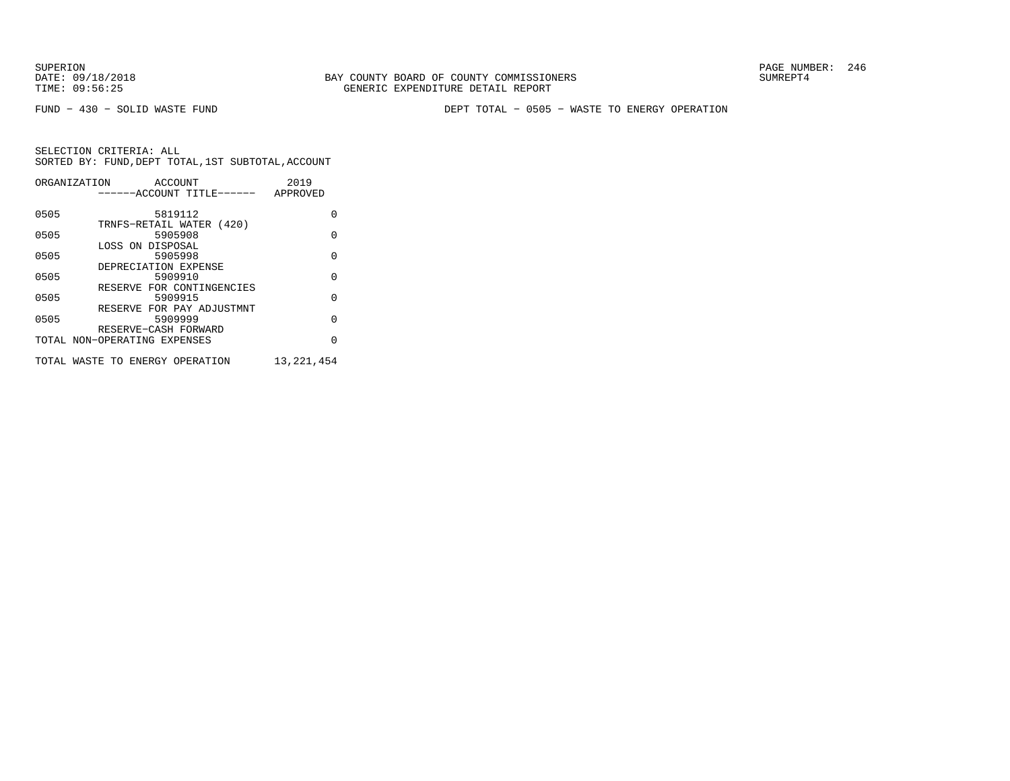FUND − 430 − SOLID WASTE FUND DEPT TOTAL − 0505 − WASTE TO ENERGY OPERATION

|      | ORGANIZATION<br>ACCOUNT         | 2019         |
|------|---------------------------------|--------------|
|      | ------ACCOUNT TITLE------       | APPROVED     |
|      |                                 |              |
| 0505 | 5819112                         | O            |
|      | TRNFS-RETAIL WATER (420)        |              |
| 0505 | 5905908                         | $\Omega$     |
|      | LOSS ON DISPOSAL                |              |
| 0505 | 5905998                         | $\Omega$     |
|      | DEPRECIATION EXPENSE            |              |
| 0505 | 5909910                         | $\Omega$     |
|      | RESERVE FOR CONTINGENCIES       |              |
| 0505 | 5909915                         | $\Omega$     |
|      | RESERVE FOR PAY ADJUSTMNT       |              |
| 0505 | 5909999                         | $\Omega$     |
|      | RESERVE-CASH FORWARD            |              |
|      | TOTAL NON-OPERATING EXPENSES    | $\cap$       |
|      |                                 |              |
|      | TOTAL WASTE TO ENERGY OPERATION | 13, 221, 454 |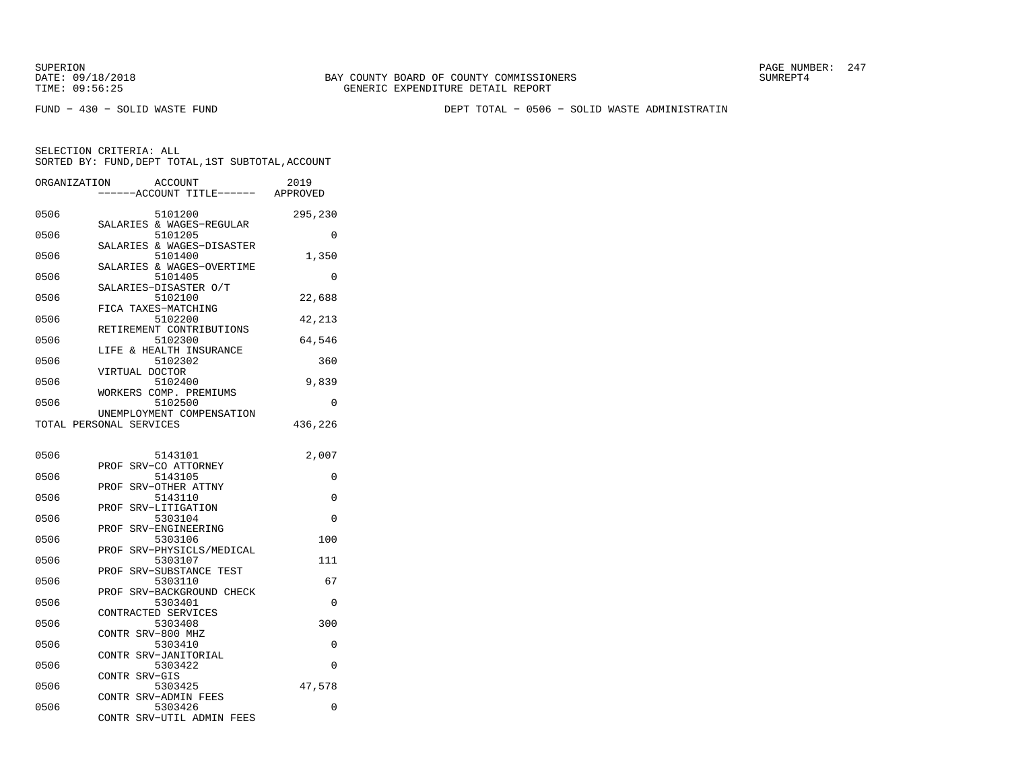FUND − 430 − SOLID WASTE FUND DEPT TOTAL − 0506 − SOLID WASTE ADMINISTRATIN

| ORGANIZATION | <b>ACCOUNT</b><br>----ACCOUNT TITLE------ APPROVED              | 2019     |
|--------------|-----------------------------------------------------------------|----------|
| 0506         | 5101200<br>SALARIES & WAGES-REGULAR                             | 295,230  |
| 0506         | 5101205                                                         | 0        |
| 0506         | SALARIES & WAGES-DISASTER<br>5101400                            | 1,350    |
| 0506         | SALARIES & WAGES-OVERTIME<br>5101405                            | 0        |
| 0506         | SALARIES-DISASTER O/T<br>5102100                                | 22,688   |
| 0506         | FICA TAXES-MATCHING<br>5102200                                  | 42,213   |
| 0506         | RETIREMENT CONTRIBUTIONS<br>5102300                             | 64,546   |
| 0506         | & HEALTH INSURANCE<br>LIFE<br>5102302                           | 360      |
| 0506         | VIRTUAL DOCTOR<br>5102400                                       | 9,839    |
| 0506         | WORKERS COMP. PREMIUMS<br>5102500                               | 0        |
|              | UNEMPLOYMENT COMPENSATION<br>TOTAL PERSONAL SERVICES            | 436,226  |
| 0506         | 5143101                                                         | 2,007    |
| 0506         | SRV-CO ATTORNEY<br>PROF<br>5143105                              | 0        |
| 0506         | SRV-OTHER ATTNY<br>PROF<br>5143110                              | $\Omega$ |
| 0506         | SRV-LITIGATION<br>PROF<br>5303104                               | 0        |
| 0506         | SRV-ENGINEERING<br>PROF<br>5303106                              | 100      |
| 0506         | SRV-PHYSICLS/MEDICAL<br>PROF<br>5303107                         | 111      |
| 0506         | PROF<br>SRV-SUBSTANCE TEST<br>5303110                           | 67       |
| 0506         | SRV-BACKGROUND CHECK<br>PROF<br>5303401                         | $\Omega$ |
| 0506         | CONTRACTED SERVICES<br>5303408                                  | 300      |
| 0506         | CONTR SRV-800 MHZ<br>5303410                                    | 0        |
| 0506         | SRV-JANITORIAL<br><b>CONTR</b><br>5303422                       | $\Omega$ |
| 0506         | CONTR SRV-GIS<br>5303425                                        | 47,578   |
| 0506         | SRV-ADMIN FEES<br>CONTR<br>5303426<br>CONTR SRV-UTIL ADMIN FEES | 0        |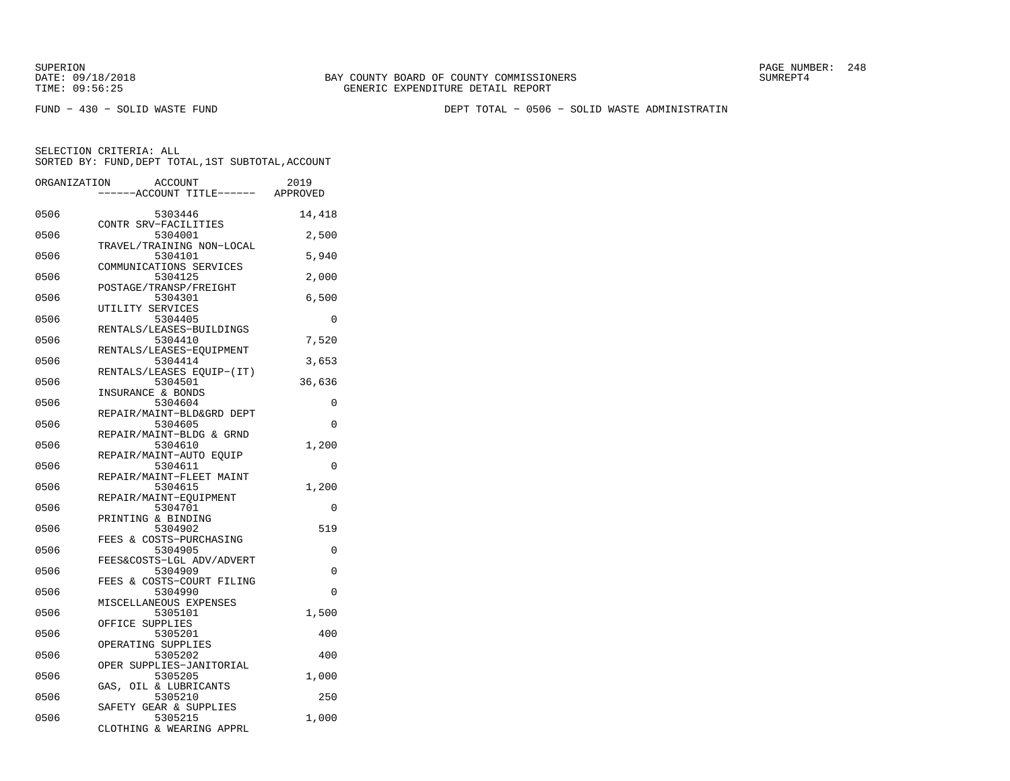FUND − 430 − SOLID WASTE FUND DEPT TOTAL − 0506 − SOLID WASTE ADMINISTRATIN

| ORGANIZATION | <b>ACCOUNT</b><br>---ACCOUNT TITLE------ APPROVED             | 2019     |
|--------------|---------------------------------------------------------------|----------|
| 0506         | 5303446                                                       | 14,418   |
| 0506         | CONTR SRV-FACILITIES<br>5304001                               | 2,500    |
| 0506         | TRAVEL/TRAINING NON-LOCAL<br>5304101                          | 5,940    |
| 0506         | COMMUNICATIONS SERVICES<br>5304125<br>POSTAGE/TRANSP/FREIGHT  | 2,000    |
| 0506         | 5304301<br>UTILITY SERVICES                                   | 6,500    |
| 0506         | 5304405<br>RENTALS/LEASES-BUILDINGS                           | 0        |
| 0506         | 5304410<br>RENTALS/LEASES-EQUIPMENT                           | 7,520    |
| 0506         | 5304414<br>RENTALS/LEASES EQUIP-(IT)                          | 3,653    |
| 0506         | 5304501<br>INSURANCE & BONDS                                  | 36,636   |
| 0506         | 5304604<br>REPAIR/MAINT-BLD&GRD DEPT                          | 0        |
| 0506         | 5304605<br>REPAIR/MAINT-BLDG & GRND                           | $\Omega$ |
| 0506         | 5304610                                                       | 1,200    |
| 0506         | REPAIR/MAINT-AUTO EQUIP<br>5304611                            | $\Omega$ |
| 0506         | REPAIR/MAINT-FLEET MAINT<br>5304615                           | 1,200    |
| 0506         | REPAIR/MAINT-EOUIPMENT<br>5304701                             | 0        |
| 0506         | PRINTING & BINDING<br>5304902                                 | 519      |
| 0506         | FEES & COSTS-PURCHASING<br>5304905                            | 0        |
| 0506         | FEES&COSTS-LGL ADV/ADVERT<br>5304909                          | 0        |
| 0506         | FEES & COSTS-COURT FILING<br>5304990                          | $\Omega$ |
| 0506         | MISCELLANEOUS EXPENSES<br>5305101                             | 1,500    |
| 0506         | OFFICE SUPPLIES<br>5305201                                    | 400      |
| 0506         | OPERATING SUPPLIES<br>5305202                                 | 400      |
| 0506         | OPER SUPPLIES-JANITORIAL<br>5305205                           | 1,000    |
| 0506         | GAS, OIL & LUBRICANTS<br>5305210                              | 250      |
| 0506         | SAFETY GEAR & SUPPLIES<br>5305215<br>CLOTHING & WEARING APPRL | 1,000    |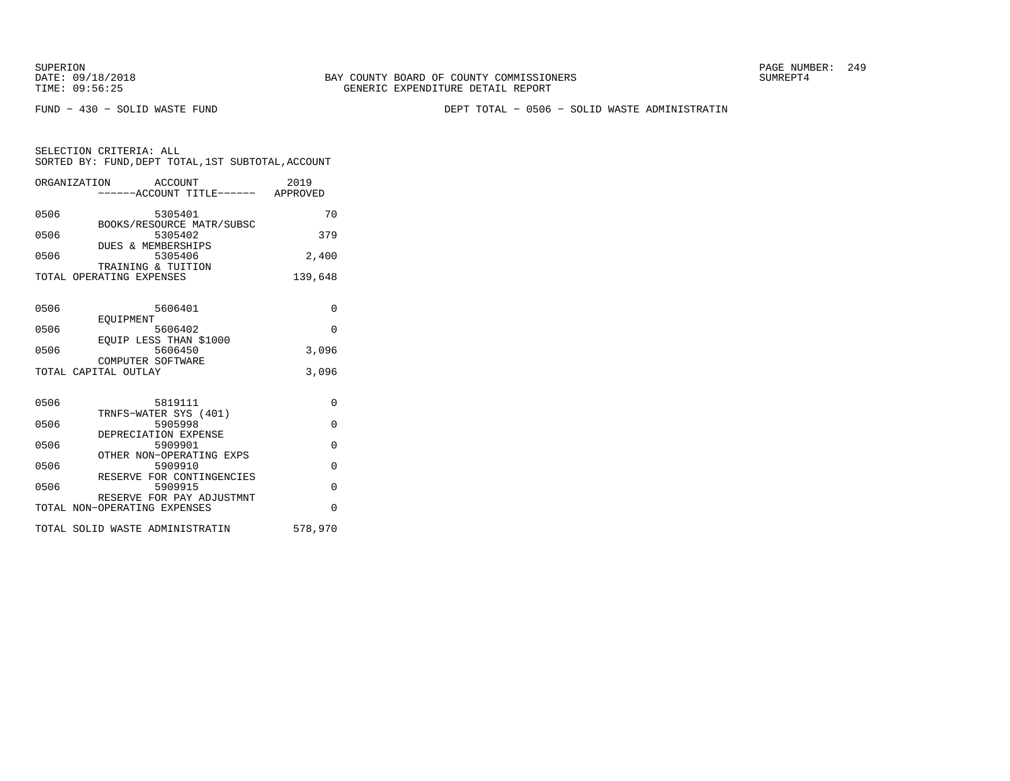FUND − 430 − SOLID WASTE FUND DEPT TOTAL − 0506 − SOLID WASTE ADMINISTRATIN

| SELECTION CRITERIA: ALL |  |  |                                                    |  |
|-------------------------|--|--|----------------------------------------------------|--|
|                         |  |  | SORTED BY: FUND, DEPT TOTAL, 1ST SUBTOTAL, ACCOUNT |  |
|                         |  |  |                                                    |  |

|      | ORGANIZATION<br>ACCOUNT<br>------ACCOUNT TITLE------      | 2019<br>APPROVED |
|------|-----------------------------------------------------------|------------------|
| 0506 | 5305401<br>BOOKS/RESOURCE MATR/SUBSC                      | 70               |
| 0506 | 5305402<br>DUES & MEMBERSHIPS                             | 379              |
| 0506 | 5305406<br>TRAINING & TUITION                             | 2.400            |
|      | TOTAL OPERATING EXPENSES                                  | 139,648          |
| 0506 | 5606401<br>EOUIPMENT                                      | $\Omega$         |
| 0506 | 5606402<br>EOUIP LESS THAN \$1000                         | $\Omega$         |
| 0506 | 5606450<br>COMPUTER SOFTWARE                              | 3,096            |
|      | TOTAL CAPITAL OUTLAY                                      | 3,096            |
| 0506 | 5819111<br>TRNFS-WATER SYS (401)                          | $\Omega$         |
| 0506 | 5905998<br>DEPRECIATION EXPENSE                           | $\Omega$         |
| 0506 | 5909901                                                   | $\Omega$         |
| 0506 | OTHER NON-OPERATING EXPS<br>5909910                       | $\Omega$         |
| 0506 | RESERVE FOR CONTINGENCIES<br>5909915                      | $\Omega$         |
|      | RESERVE FOR PAY ADJUSTMNT<br>TOTAL NON-OPERATING EXPENSES | $\Omega$         |
|      | TOTAL SOLID WASTE ADMINISTRATIN                           | 578,970          |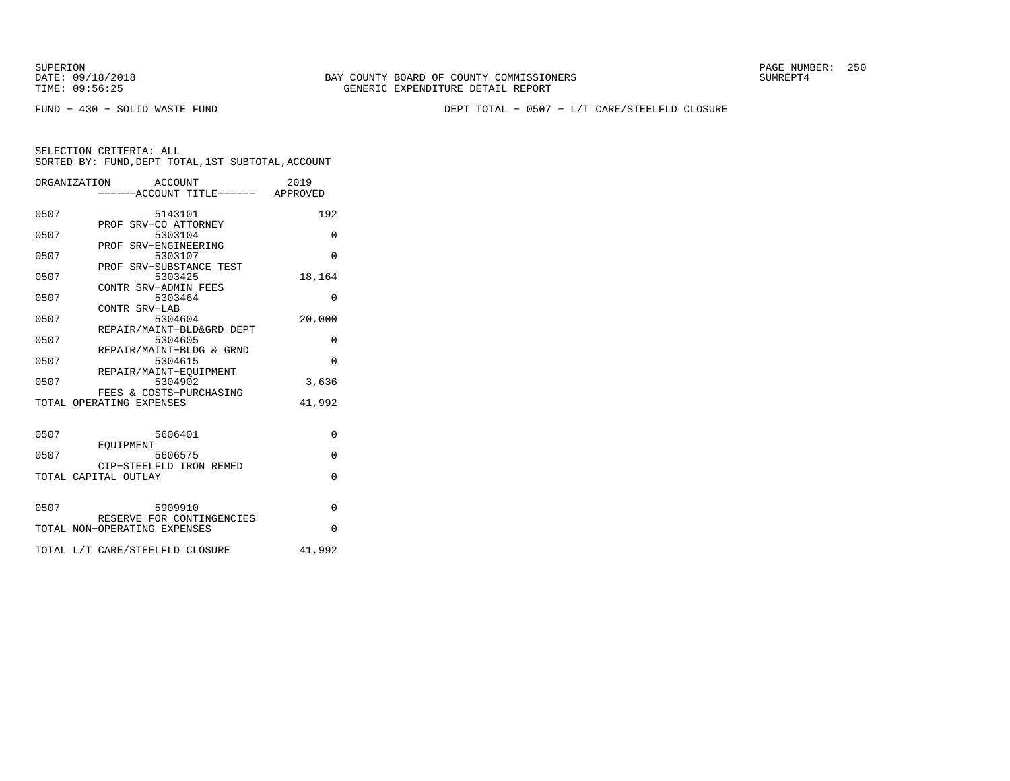DATE:  $09/18/2018$  SUMREPT4 TIME: 09:56:25 GENERIC EXPENDITURE DETAIL REPORT

SUPERION PAGE NUMBER: 250

FUND − 430 − SOLID WASTE FUND DEPT TOTAL − 0507 − L/T CARE/STEELFLD CLOSURE

|      | ORGANIZATION<br>ACCOUNT              | 2019     |
|------|--------------------------------------|----------|
|      | ----ACCOUNT TITLE------ APPROVED     |          |
| 0507 | 5143101                              | 192      |
|      | PROF SRV-CO ATTORNEY                 |          |
| 0507 | 5303104                              | $\Omega$ |
| 0507 | PROF SRV-ENGINEERING<br>5303107      | $\Omega$ |
|      | PROF SRV-SUBSTANCE TEST              |          |
| 0507 | 5303425                              | 18,164   |
|      | CONTR SRV-ADMIN FEES                 |          |
| 0507 | 5303464<br>CONTR SRV-LAB             | $\Omega$ |
| 0507 | 5304604                              | 20,000   |
|      | REPAIR/MAINT-BLD&GRD DEPT            |          |
| 0507 | 5304605                              | $\Omega$ |
| 0507 | REPAIR/MAINT-BLDG & GRND<br>5304615  | $\Omega$ |
|      | REPAIR/MAINT-EOUIPMENT               |          |
| 0507 | 5304902                              | 3,636    |
|      | FEES & COSTS-PURCHASING              |          |
|      | TOTAL OPERATING EXPENSES             | 41,992   |
|      |                                      |          |
| 0507 | 5606401                              | 0        |
| 0507 | EOUIPMENT                            | $\Omega$ |
|      | 5606575<br>CIP-STEELFLD IRON REMED   |          |
|      | TOTAL CAPITAL OUTLAY                 | $\Omega$ |
|      |                                      |          |
| 0507 |                                      | $\Omega$ |
|      | 5909910<br>RESERVE FOR CONTINGENCIES |          |
|      | TOTAL NON-OPERATING EXPENSES         | $\Omega$ |
|      |                                      |          |
|      | TOTAL L/T CARE/STEELFLD CLOSURE      | 41,992   |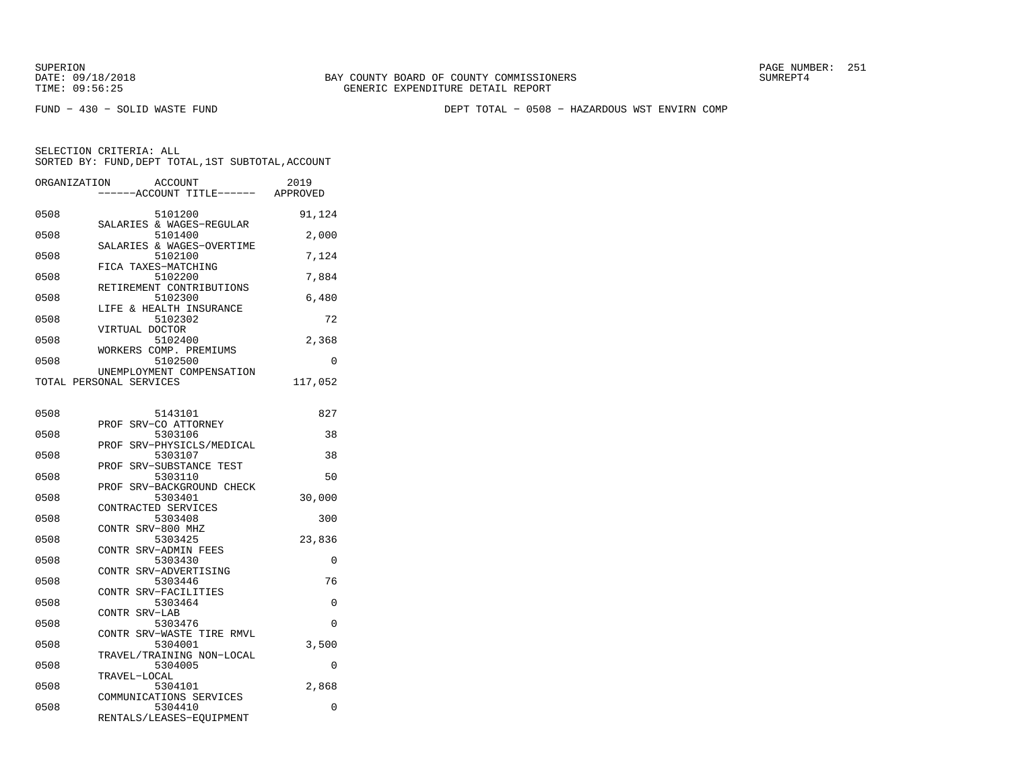FUND − 430 − SOLID WASTE FUND DEPT TOTAL − 0508 − HAZARDOUS WST ENVIRN COMP

| ORGANIZATION | <b>ACCOUNT</b>                                                 | 2019    |
|--------------|----------------------------------------------------------------|---------|
|              | ---ACCOUNT TITLE------ APPROVED                                |         |
| 0508         | 5101200                                                        | 91,124  |
| 0508         | SALARIES & WAGES-REGULAR<br>5101400                            | 2,000   |
| 0508         | SALARIES & WAGES-OVERTIME<br>5102100                           | 7,124   |
| 0508         | FICA TAXES-MATCHING<br>5102200                                 | 7,884   |
| 0508         | RETIREMENT CONTRIBUTIONS<br>5102300                            | 6,480   |
| 0508         | LIFE & HEALTH INSURANCE<br>5102302                             | 72      |
| 0508         | VIRTUAL DOCTOR<br>5102400                                      | 2,368   |
| 0508         | WORKERS COMP. PREMIUMS<br>5102500                              | 0       |
|              | UNEMPLOYMENT COMPENSATION<br>TOTAL PERSONAL SERVICES           | 117,052 |
|              |                                                                |         |
| 0508         | 5143101                                                        | 827     |
| 0508         | PROF SRV-CO ATTORNEY<br>5303106                                | 38      |
| 0508         | PROF SRV-PHYSICLS/MEDICAL<br>5303107                           | 38      |
| 0508         | PROF SRV-SUBSTANCE TEST<br>5303110                             | 50      |
| 0508         | PROF SRV-BACKGROUND CHECK<br>5303401                           | 30,000  |
| 0508         | CONTRACTED SERVICES<br>5303408                                 | 300     |
| 0508         | CONTR SRV-800 MHZ<br>5303425                                   | 23,836  |
| 0508         | CONTR SRV-ADMIN FEES<br>5303430                                | 0       |
| 0508         | CONTR SRV-ADVERTISING<br>5303446                               | 76      |
| 0508         | CONTR SRV-FACILITIES<br>5303464                                | 0       |
| 0508         | CONTR SRV-LAB<br>5303476                                       | 0       |
| 0508         | CONTR SRV-WASTE TIRE RMVL<br>5304001                           | 3,500   |
|              | TRAVEL/TRAINING NON-LOCAL                                      |         |
| 0508         | 5304005<br>TRAVEL-LOCAL                                        | 0       |
| 0508         | 5304101                                                        | 2,868   |
| 0508         | COMMUNICATIONS SERVICES<br>5304410<br>RENTALS/LEASES-EQUIPMENT | 0       |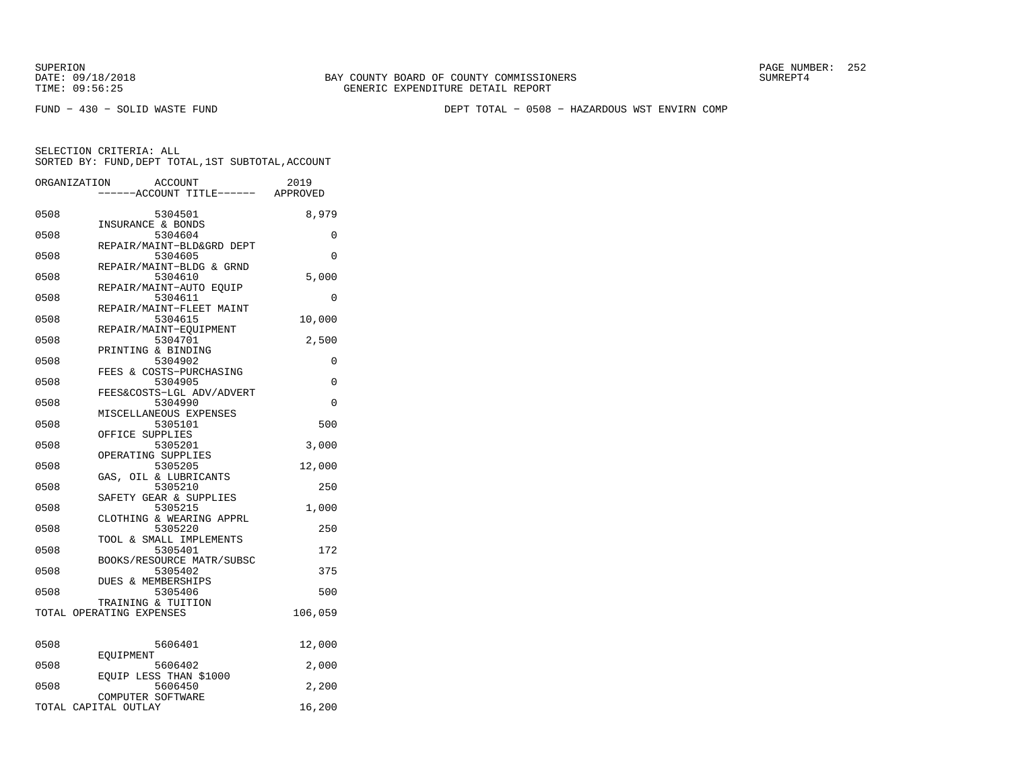DATE:  $09/18/2018$  SUMREPT4 TIME: 09:56:25 GENERIC EXPENDITURE DETAIL REPORT

SUPERION PAGE NUMBER: 252

FUND − 430 − SOLID WASTE FUND DEPT TOTAL − 0508 − HAZARDOUS WST ENVIRN COMP

|      | ORGANIZATION<br><b>ACCOUNT</b><br>---ACCOUNT TITLE------ APPROVED | 2019     |
|------|-------------------------------------------------------------------|----------|
| 0508 | 5304501                                                           | 8,979    |
| 0508 | INSURANCE & BONDS<br>5304604                                      | 0        |
| 0508 | REPAIR/MAINT-BLD&GRD DEPT<br>5304605                              | 0        |
| 0508 | REPAIR/MAINT-BLDG & GRND<br>5304610                               | 5,000    |
| 0508 | REPAIR/MAINT-AUTO EQUIP<br>5304611                                | $\Omega$ |
| 0508 | REPAIR/MAINT-FLEET MAINT<br>5304615                               | 10,000   |
| 0508 | REPAIR/MAINT-EQUIPMENT<br>5304701                                 | 2,500    |
| 0508 | PRINTING & BINDING<br>5304902                                     | 0        |
| 0508 | FEES & COSTS-PURCHASING<br>5304905                                | 0        |
| 0508 | FEES&COSTS-LGL ADV/ADVERT<br>5304990                              | 0        |
| 0508 | MISCELLANEOUS EXPENSES<br>5305101                                 | 500      |
| 0508 | OFFICE SUPPLIES<br>5305201                                        | 3,000    |
| 0508 | OPERATING SUPPLIES<br>5305205                                     | 12,000   |
| 0508 | GAS, OIL & LUBRICANTS<br>5305210                                  | 250      |
| 0508 | SAFETY GEAR & SUPPLIES<br>5305215                                 | 1,000    |
| 0508 | CLOTHING & WEARING APPRL<br>5305220                               | 250      |
| 0508 | TOOL & SMALL IMPLEMENTS<br>5305401                                | 172      |
| 0508 | BOOKS/RESOURCE MATR/SUBSC<br>5305402                              | 375      |
| 0508 | DUES & MEMBERSHIPS<br>5305406                                     | 500      |
|      | TRAINING & TUITION<br>TOTAL OPERATING EXPENSES                    | 106,059  |
| 0508 | 5606401                                                           | 12,000   |
| 0508 | EOUIPMENT<br>5606402                                              | 2,000    |
| 0508 | EQUIP LESS THAN \$1000<br>5606450                                 | 2,200    |
|      | COMPUTER SOFTWARE<br>TOTAL CAPITAL OUTLAY                         | 16,200   |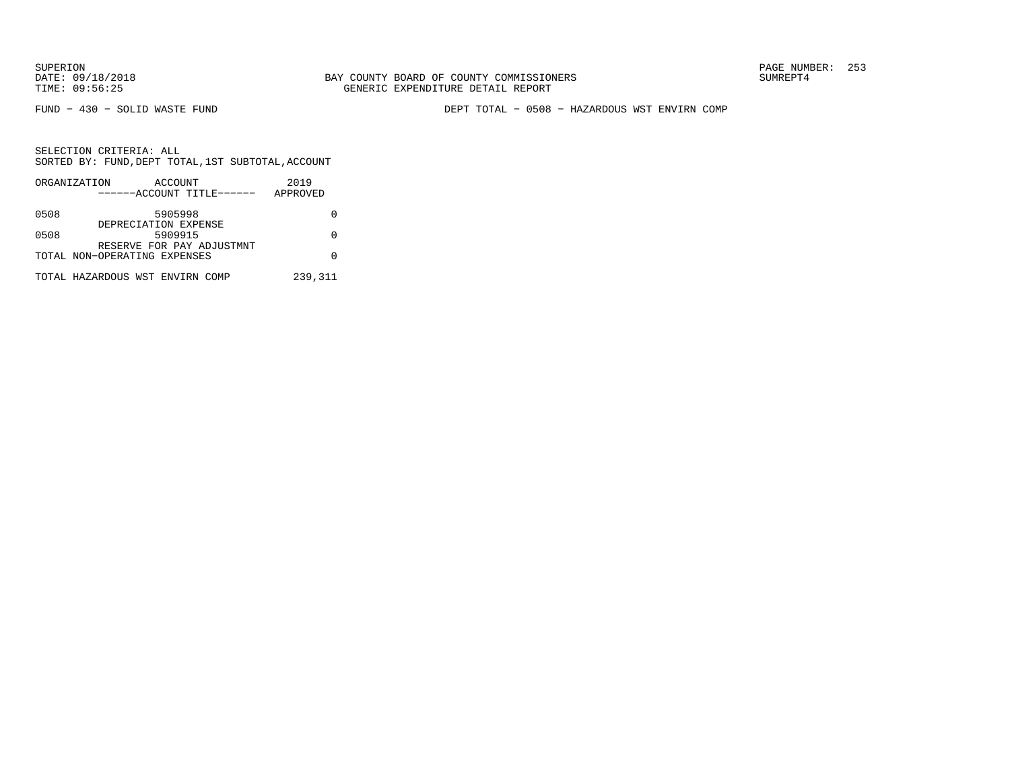FUND − 430 − SOLID WASTE FUND DEPT TOTAL − 0508 − HAZARDOUS WST ENVIRN COMP

|                                 | ORGANIZATION                 | ACCOUNT              |          |                           | 2019    |  |
|---------------------------------|------------------------------|----------------------|----------|---------------------------|---------|--|
| ------ACCOUNT TITLE------       |                              |                      | APPROVED |                           |         |  |
| 0508                            |                              | 5905998              |          |                           |         |  |
|                                 |                              | DEPRECIATION EXPENSE |          |                           |         |  |
| 0508                            |                              | 5909915              |          |                           |         |  |
|                                 |                              |                      |          | RESERVE FOR PAY ADJUSTMNT |         |  |
|                                 | TOTAL NON-OPERATING EXPENSES |                      |          |                           |         |  |
|                                 |                              |                      |          |                           | 239,311 |  |
| TOTAL HAZARDOUS WST ENVIRN COMP |                              |                      |          |                           |         |  |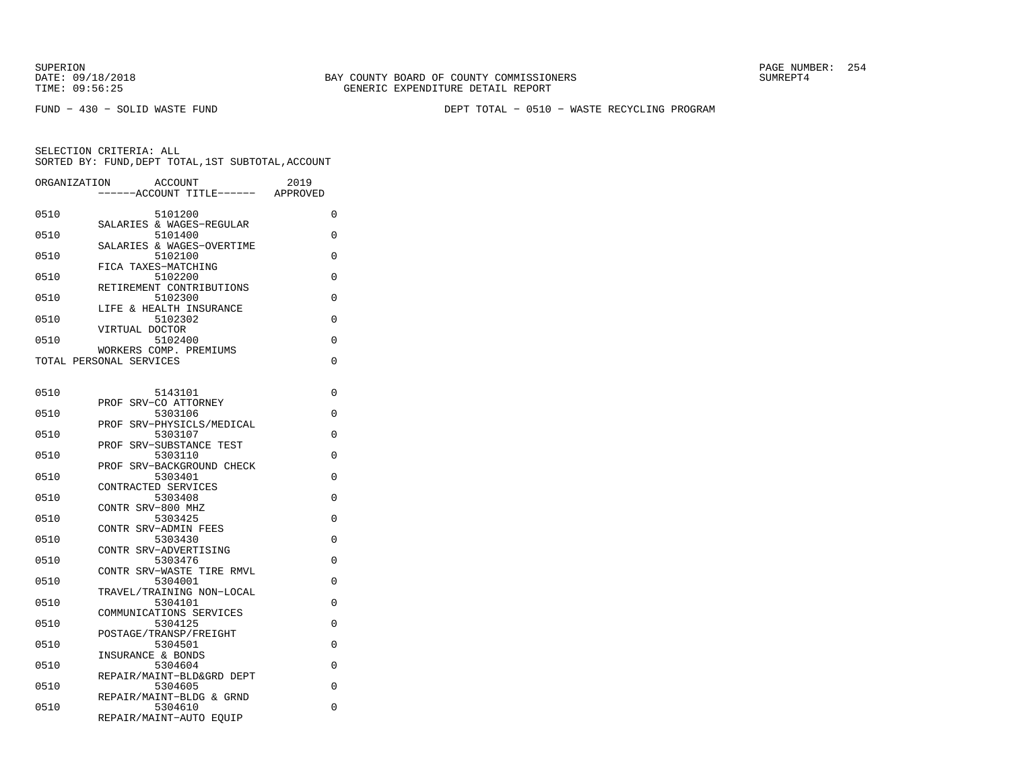DATE:  $09/18/2018$  SUMREPT4 TIME: 09:56:25 GENERIC EXPENDITURE DETAIL REPORT

SUPERION PAGE NUMBER: 254

FUND − 430 − SOLID WASTE FUND DEPT TOTAL − 0510 − WASTE RECYCLING PROGRAM

| ORGANIZATION | <b>ACCOUNT</b><br>---ACCOUNT TITLE------                       | 2019<br>APPROVED |
|--------------|----------------------------------------------------------------|------------------|
| 0510         | 5101200                                                        | 0                |
| 0510         | SALARIES & WAGES-REGULAR<br>5101400                            | 0                |
| 0510         | SALARIES & WAGES-OVERTIME<br>5102100                           | 0                |
| 0510         | FICA TAXES-MATCHING<br>5102200                                 | 0                |
| 0510         | RETIREMENT CONTRIBUTIONS<br>5102300                            | 0                |
| 0510         | LIFE & HEALTH INSURANCE<br>5102302                             | 0                |
| 0510         | VIRTUAL DOCTOR<br>5102400                                      | 0                |
|              | WORKERS COMP. PREMIUMS<br>TOTAL PERSONAL SERVICES              | 0                |
|              |                                                                |                  |
| 0510         | 5143101                                                        | 0                |
| 0510         | PROF SRV-CO ATTORNEY<br>5303106                                | 0                |
| 0510         | PROF SRV-PHYSICLS/MEDICAL<br>5303107                           | 0                |
| 0510         | PROF SRV-SUBSTANCE TEST<br>5303110                             | 0                |
| 0510         | PROF SRV-BACKGROUND CHECK<br>5303401                           | 0                |
| 0510         | CONTRACTED SERVICES<br>5303408                                 | 0                |
| 0510         | CONTR SRV-800 MHZ<br>5303425                                   | 0                |
|              | CONTR SRV-ADMIN FEES                                           |                  |
| 0510         | 5303430<br>CONTR SRV-ADVERTISING                               | 0                |
| 0510         | 5303476<br>CONTR SRV-WASTE TIRE RMVL                           | 0                |
| 0510         | 5304001<br>TRAVEL/TRAINING NON-LOCAL                           | 0                |
| 0510         | 5304101<br>COMMUNICATIONS SERVICES                             | 0                |
| 0510         | 5304125<br>POSTAGE/TRANSP/FREIGHT                              | 0                |
| 0510         | 5304501<br>INSURANCE & BONDS                                   | 0                |
| 0510         | 5304604                                                        | 0                |
| 0510         | REPAIR/MAINT-BLD&GRD DEPT<br>5304605                           | 0                |
| 0510         | REPAIR/MAINT-BLDG & GRND<br>5304610<br>REPAIR/MAINT-AUTO EQUIP | 0                |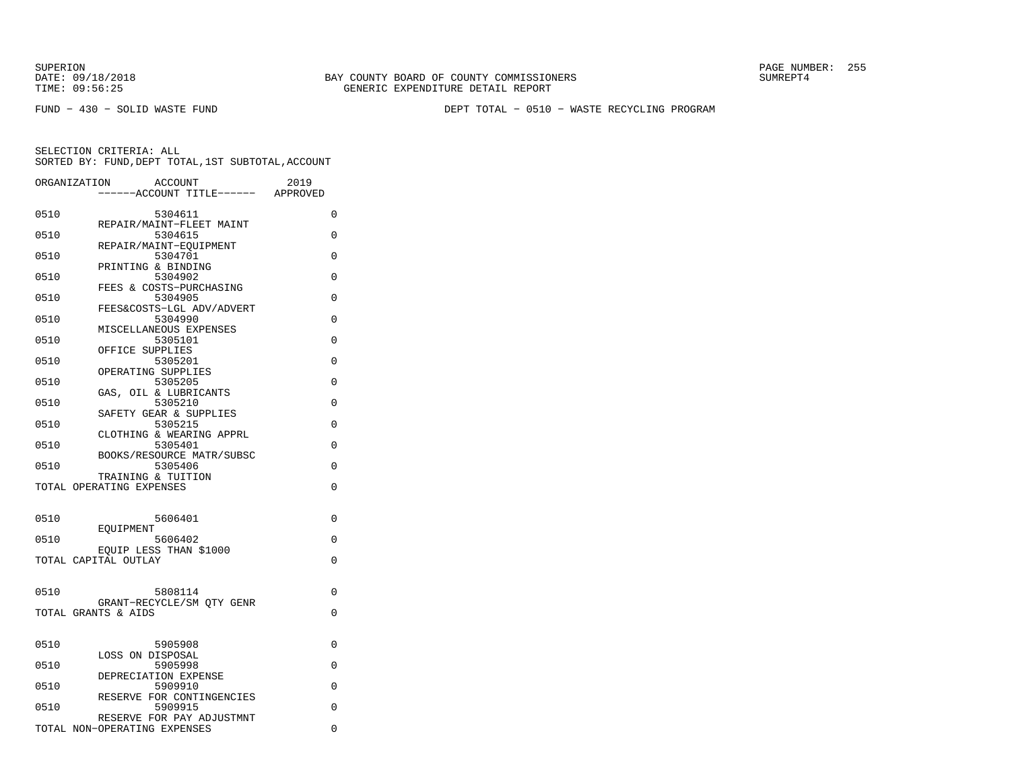FUND − 430 − SOLID WASTE FUND DEPT TOTAL − 0510 − WASTE RECYCLING PROGRAM

|      | ORGANIZATION                 | <b>ACCOUNT</b><br>---ACCOUNT TITLE------ APPROVED | 2019     |
|------|------------------------------|---------------------------------------------------|----------|
| 0510 |                              | 5304611                                           | 0        |
| 0510 |                              | REPAIR/MAINT-FLEET MAINT<br>5304615               | 0        |
| 0510 |                              | REPAIR/MAINT-EOUIPMENT<br>5304701                 | $\Omega$ |
| 0510 | PRINTING & BINDING           | 5304902                                           | 0        |
| 0510 |                              | FEES & COSTS-PURCHASING<br>5304905                | 0        |
| 0510 |                              | FEES&COSTS-LGL ADV/ADVERT<br>5304990              | $\Omega$ |
|      |                              | MISCELLANEOUS EXPENSES<br>5305101                 | $\Omega$ |
| 0510 | OFFICE SUPPLIES              |                                                   |          |
| 0510 | OPERATING SUPPLIES           | 5305201                                           | 0        |
| 0510 |                              | 5305205<br>GAS, OIL & LUBRICANTS                  | 0        |
| 0510 |                              | 5305210<br>SAFETY GEAR & SUPPLIES                 | 0        |
| 0510 |                              | 5305215<br>CLOTHING & WEARING APPRL               | 0        |
| 0510 |                              | 5305401<br>BOOKS/RESOURCE MATR/SUBSC              | 0        |
| 0510 | TRAINING & TUITION           | 5305406                                           | 0        |
|      | TOTAL OPERATING EXPENSES     |                                                   | $\Omega$ |
|      |                              |                                                   |          |
| 0510 | EOUIPMENT                    | 5606401                                           | 0        |
| 0510 |                              | 5606402<br>EQUIP LESS THAN \$1000                 | $\Omega$ |
|      | TOTAL CAPITAL OUTLAY         |                                                   | 0        |
| 0510 |                              | 5808114                                           | $\Omega$ |
|      | TOTAL GRANTS & AIDS          | GRANT-RECYCLE/SM OTY GENR                         | 0        |
|      |                              |                                                   |          |
| 0510 | LOSS ON DISPOSAL             | 5905908                                           | 0        |
| 0510 |                              | 5905998<br>DEPRECIATION EXPENSE                   | 0        |
| 0510 |                              | 5909910                                           | 0        |
| 0510 |                              | RESERVE FOR CONTINGENCIES<br>5909915              | 0        |
|      | TOTAL NON-OPERATING EXPENSES | RESERVE FOR PAY ADJUSTMNT                         | 0        |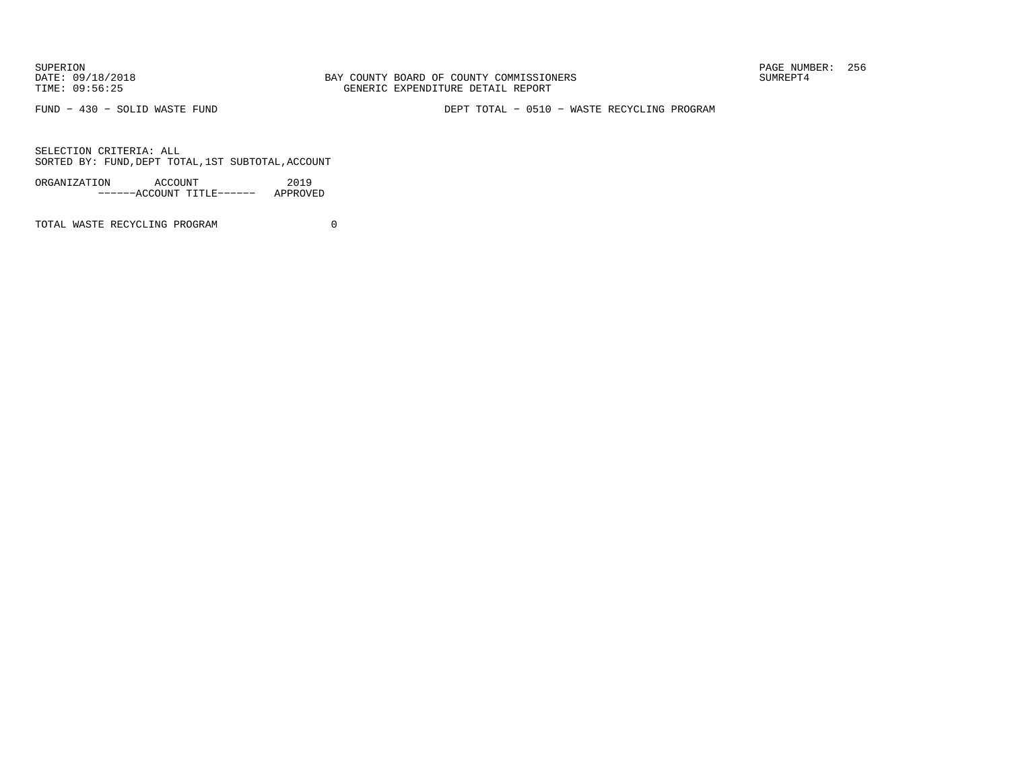FUND − 430 − SOLID WASTE FUND DEPT TOTAL − 0510 − WASTE RECYCLING PROGRAM

SELECTION CRITERIA: ALLSORTED BY: FUND,DEPT TOTAL,1ST SUBTOTAL,ACCOUNT

| ORGANIZATION | ACCOUNT |                           | 2019     |  |
|--------------|---------|---------------------------|----------|--|
|              |         | ------ACCOUNT TITLE------ | APPROVED |  |

TOTAL WASTE RECYCLING PROGRAM 0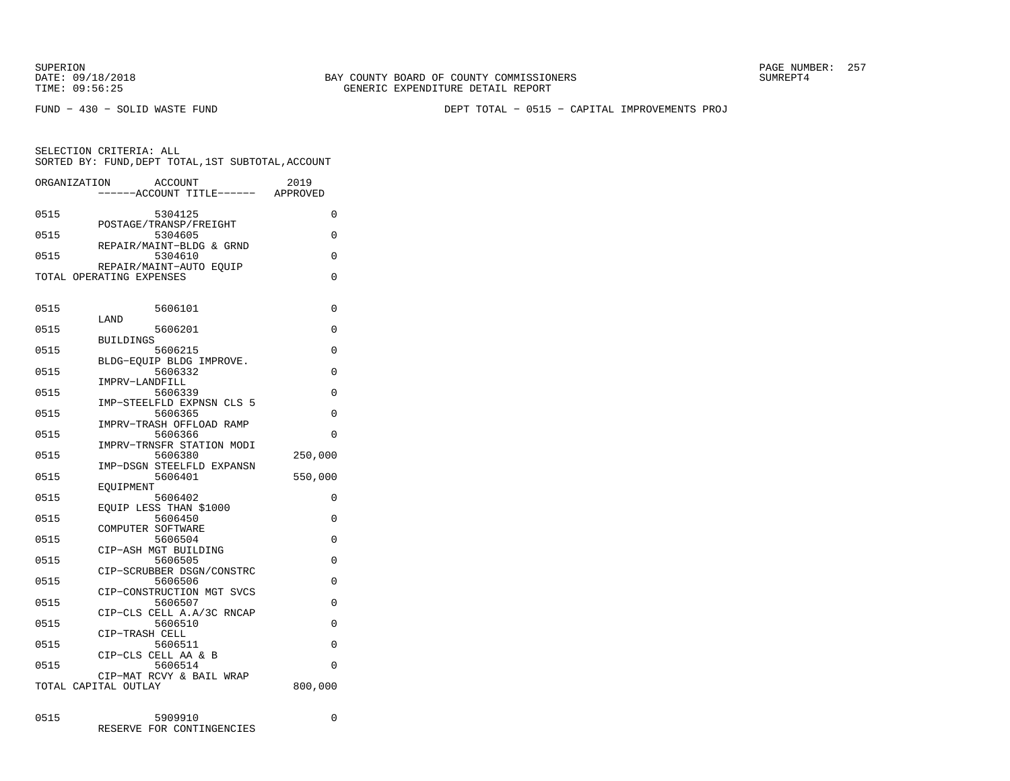DATE:  $09/18/2018$  SUMREPT4 TIME: 09:56:25 GENERIC EXPENDITURE DETAIL REPORT

SUPERION PAGE NUMBER: 257

FUND − 430 − SOLID WASTE FUND DEPT TOTAL − 0515 − CAPITAL IMPROVEMENTS PROJ

SELECTION CRITERIA: ALLSORTED BY: FUND,DEPT TOTAL,1ST SUBTOTAL,ACCOUNT

|      | ORGANIZATION<br><b>ACCOUNT</b>       | 2019     |
|------|--------------------------------------|----------|
|      | ------ACCOUNT TITLE------ APPROVED   |          |
| 0515 | 5304125                              | 0        |
|      | POSTAGE/TRANSP/FREIGHT               |          |
| 0515 | 5304605                              | 0        |
| 0515 | REPAIR/MAINT-BLDG & GRND<br>5304610  | 0        |
|      | REPAIR/MAINT-AUTO EOUIP              |          |
|      | TOTAL OPERATING EXPENSES             | 0        |
|      |                                      |          |
| 0515 | 5606101                              | 0        |
|      | LAND                                 |          |
| 0515 | 5606201                              | 0        |
|      | <b>BUILDINGS</b>                     |          |
| 0515 | 5606215                              | $\Omega$ |
| 0515 | BLDG-EOUIP BLDG IMPROVE.             | 0        |
|      | 5606332<br>IMPRV-LANDFILL            |          |
| 0515 | 5606339                              | 0        |
|      | IMP-STEELFLD EXPNSN CLS 5            |          |
| 0515 | 5606365                              | 0        |
|      | IMPRV-TRASH OFFLOAD RAMP             |          |
| 0515 | 5606366                              | 0        |
|      | IMPRV-TRNSFR STATION MODI            |          |
| 0515 | 5606380                              | 250,000  |
| 0515 | IMP-DSGN STEELFLD EXPANSN<br>5606401 | 550,000  |
|      | EOUIPMENT                            |          |
| 0515 | 5606402                              | 0        |
|      | EOUIP LESS THAN \$1000               |          |
| 0515 | 5606450                              | $\Omega$ |
|      | COMPUTER SOFTWARE                    |          |
| 0515 | 5606504                              | 0        |
|      | CIP-ASH MGT BUILDING                 |          |
| 0515 | 5606505                              | $\Omega$ |
| 0515 | CIP-SCRUBBER DSGN/CONSTRC<br>5606506 | 0        |
|      | CIP-CONSTRUCTION MGT SVCS            |          |
| 0515 | 5606507                              | 0        |
|      | CIP-CLS CELL A.A/3C RNCAP            |          |
| 0515 | 5606510                              | 0        |
|      | CIP-TRASH CELL                       |          |
| 0515 | 5606511                              | 0        |
|      | CIP-CLS CELL AA & B                  |          |
| 0515 | 5606514                              | $\Omega$ |
|      | CIP-MAT RCVY & BAIL WRAP             |          |
|      | TOTAL CAPITAL OUTLAY                 | 800,000  |
|      |                                      |          |
| 0515 | 5909910                              | $\Omega$ |

RESERVE FOR CONTINGENCIES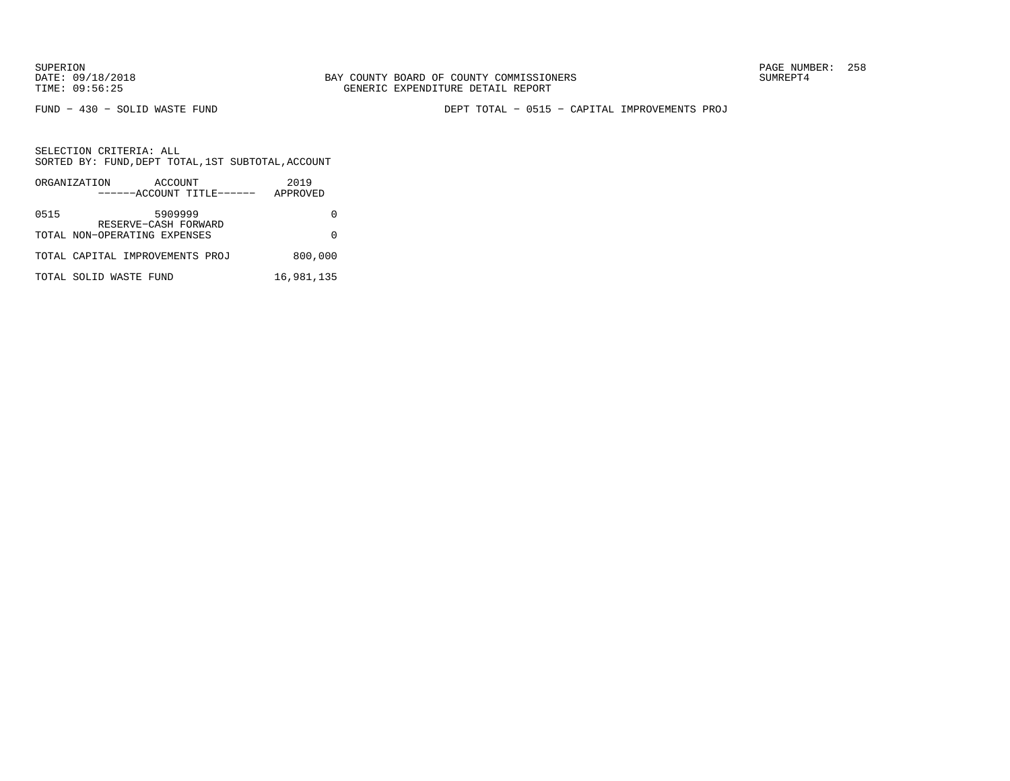FUND − 430 − SOLID WASTE FUND DEPT TOTAL − 0515 − CAPITAL IMPROVEMENTS PROJ

|      | ORGANIZATION                                         | ACCOUNT<br>------ACCOUNT TITLE------ | 2019<br>APPROVED |
|------|------------------------------------------------------|--------------------------------------|------------------|
|      |                                                      |                                      |                  |
| 0515 |                                                      | 5909999                              |                  |
|      | RESERVE-CASH FORWARD<br>TOTAL NON-OPERATING EXPENSES |                                      |                  |
|      | TOTAL CAPITAL IMPROVEMENTS PROJ                      |                                      | 800,000          |
|      | TOTAL SOLID WASTE FUND                               |                                      | 16,981,135       |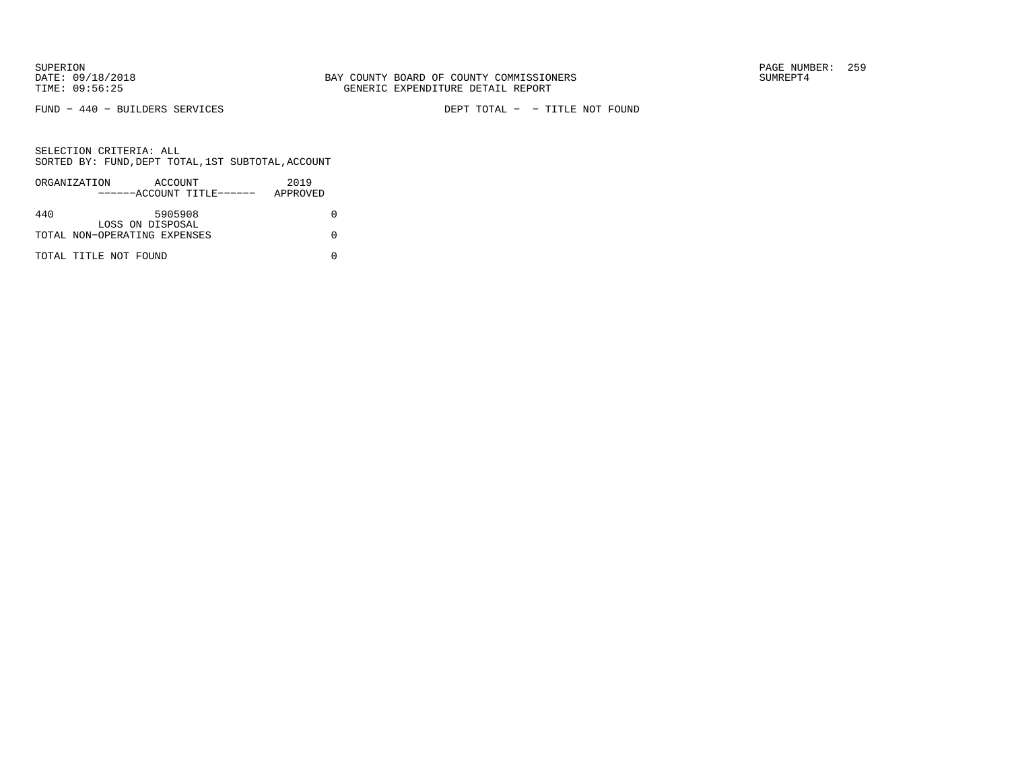FUND − 440 − BUILDERS SERVICES DEPT TOTAL − − TITLE NOT FOUND

|     | ORGANIZATION                 | ACCOUNT                   | 2019     |
|-----|------------------------------|---------------------------|----------|
|     |                              | ------ACCOUNT TITLE------ | APPROVED |
|     |                              |                           |          |
| 440 |                              | 5905908                   |          |
|     |                              | LOSS ON DISPOSAL          |          |
|     | TOTAL NON-OPERATING EXPENSES |                           |          |
|     |                              |                           |          |
|     | TOTAL TITLE NOT FOUND        |                           |          |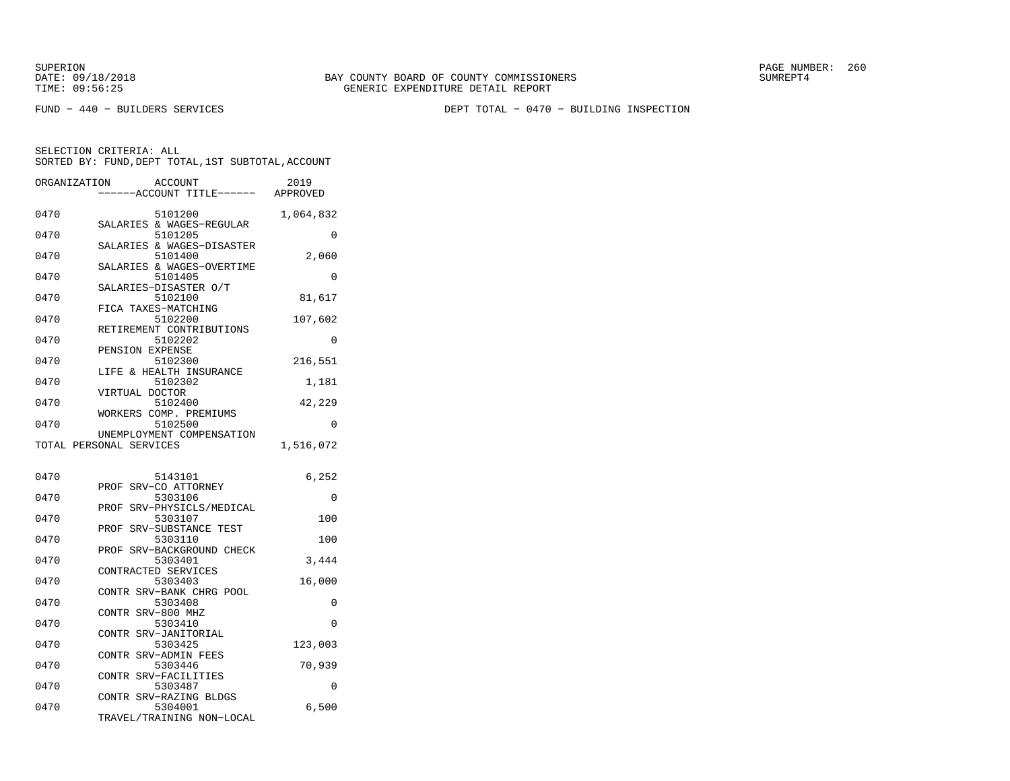FUND − 440 − BUILDERS SERVICES DEPT TOTAL − 0470 − BUILDING INSPECTION

| ORGANIZATION            |                   | ACCOUNT<br>---ACCOUNT TITLE------    | 2019<br>APPROVED |
|-------------------------|-------------------|--------------------------------------|------------------|
| 0470                    |                   | 5101200<br>SALARIES & WAGES-REGULAR  | 1,064,832        |
| 0470                    |                   | 5101205                              | $\Omega$         |
| 0470                    |                   | SALARIES & WAGES-DISASTER<br>5101400 | 2,060            |
| 0470                    |                   | SALARIES & WAGES-OVERTIME<br>5101405 | $\Omega$         |
| 0470                    |                   | SALARIES-DISASTER O/T<br>5102100     | 81,617           |
| 0470                    |                   | FICA TAXES-MATCHING<br>5102200       | 107,602          |
| 0470                    |                   | RETIREMENT CONTRIBUTIONS<br>5102202  | 0                |
| 0470                    | PENSION EXPENSE   | 5102300                              | 216,551          |
| 0470                    |                   | LIFE & HEALTH INSURANCE<br>5102302   | 1,181            |
| 0470                    | VIRTUAL DOCTOR    | 5102400                              | 42,229           |
| 0470                    |                   | WORKERS COMP. PREMIUMS<br>5102500    | $\Omega$         |
| TOTAL PERSONAL SERVICES |                   | UNEMPLOYMENT COMPENSATION            | 1,516,072        |
| 0470                    |                   | 5143101                              | 6,252            |
| 0470                    |                   | PROF SRV-CO ATTORNEY<br>5303106      | $\Omega$         |
| 0470                    | PROF              | SRV-PHYSICLS/MEDICAL<br>5303107      | 100              |
| 0470                    |                   | PROF SRV-SUBSTANCE TEST<br>5303110   | 100              |
| 0470                    | PROF              | SRV-BACKGROUND CHECK<br>5303401      | 3,444            |
| 0470                    |                   | CONTRACTED SERVICES<br>5303403       | 16,000           |
| 0470                    |                   | CONTR SRV-BANK CHRG POOL<br>5303408  | 0                |
| 0470                    | CONTR SRV-800 MHZ | 5303410                              | 0                |
| 0470                    |                   | CONTR SRV-JANITORIAL<br>5303425      | 123,003          |
| 0470                    |                   | CONTR SRV-ADMIN FEES<br>5303446      | 70,939           |
| 0470                    |                   | CONTR SRV-FACILITIES<br>5303487      | 0                |
| 0470                    |                   | CONTR SRV-RAZING BLDGS<br>5304001    | 6,500            |
|                         |                   | TRAVEL/TRAINING NON-LOCAL            |                  |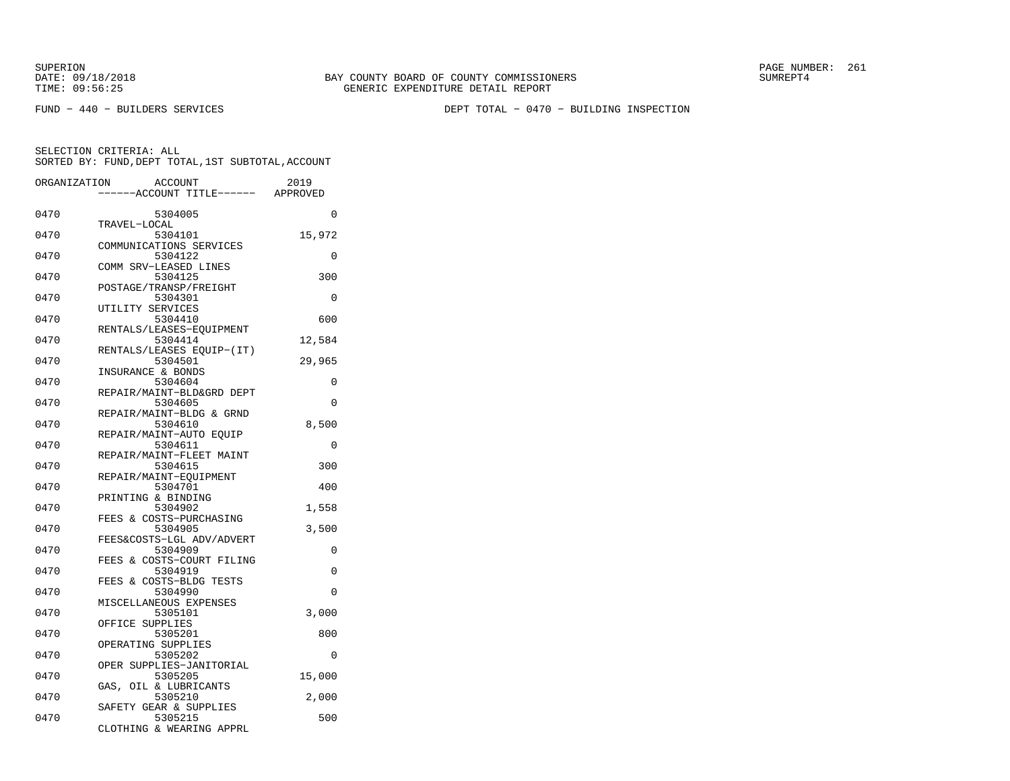FUND − 440 − BUILDERS SERVICES DEPT TOTAL − 0470 − BUILDING INSPECTION

| ORGANIZATION | <b>ACCOUNT</b><br>---ACCOUNT TITLE------ APPROVED                  | 2019     |
|--------------|--------------------------------------------------------------------|----------|
| 0470         | 5304005                                                            | $\Omega$ |
| 0470         | TRAVEL-LOCAL<br>5304101                                            | 15,972   |
| 0470         | COMMUNICATIONS SERVICES<br>5304122                                 | $\Omega$ |
| 0470         | COMM SRV-LEASED LINES<br>5304125                                   | 300      |
| 0470         | POSTAGE/TRANSP/FREIGHT<br>5304301                                  | $\Omega$ |
| 0470         | UTILITY SERVICES<br>5304410                                        | 600      |
| 0470         | RENTALS/LEASES-EQUIPMENT<br>5304414                                | 12,584   |
| 0470         | RENTALS/LEASES EQUIP-(IT)<br>5304501                               | 29,965   |
| 0470         | INSURANCE & BONDS<br>5304604                                       | 0        |
| 0470         | REPAIR/MAINT-BLD&GRD DEPT<br>5304605                               | $\Omega$ |
| 0470         | REPAIR/MAINT-BLDG & GRND<br>5304610                                | 8,500    |
| 0470         | REPAIR/MAINT-AUTO EOUIP<br>5304611                                 | 0        |
| 0470         | REPAIR/MAINT-FLEET MAINT<br>5304615                                | 300      |
| 0470         | REPAIR/MAINT-EOUIPMENT<br>5304701                                  | 400      |
| 0470         | PRINTING & BINDING<br>5304902                                      | 1,558    |
| 0470         | FEES & COSTS-PURCHASING<br>5304905                                 | 3,500    |
| 0470         | FEES&COSTS-LGL ADV/ADVERT<br>5304909                               | 0        |
| 0470         | & COSTS-COURT FILING<br>FEES<br>5304919<br>FEES & COSTS-BLDG TESTS | 0        |
| 0470         | 5304990<br>MISCELLANEOUS EXPENSES                                  | $\Omega$ |
| 0470         | 5305101<br>OFFICE SUPPLIES                                         | 3,000    |
| 0470         | 5305201<br>OPERATING SUPPLIES                                      | 800      |
| 0470         | 5305202<br>OPER SUPPLIES-JANITORIAL                                | 0        |
| 0470         | 5305205<br>GAS, OIL & LUBRICANTS                                   | 15,000   |
| 0470         | 5305210<br>SAFETY GEAR & SUPPLIES                                  | 2,000    |
| 0470         | 5305215<br>CLOTHING & WEARING APPRL                                | 500      |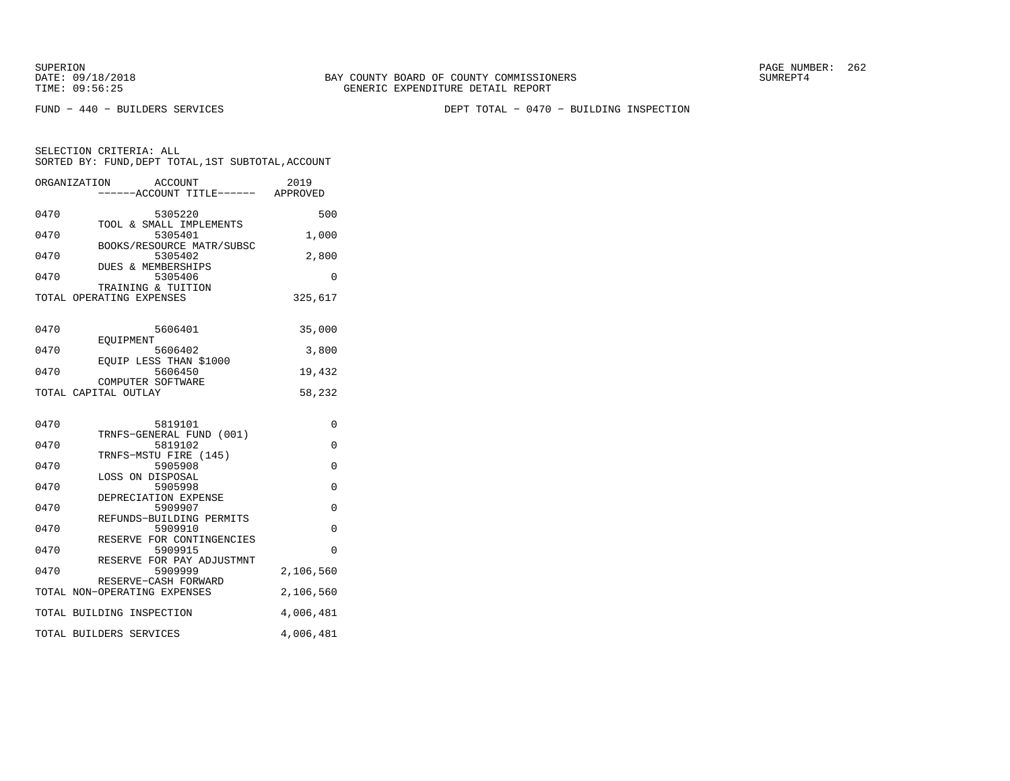FUND − 440 − BUILDERS SERVICES DEPT TOTAL − 0470 − BUILDING INSPECTION

| ORGANIZATION | <b>ACCOUNT</b><br>----ACCOUNT TITLE------ APPROVED | 2019          |
|--------------|----------------------------------------------------|---------------|
| 0470         | 5305220                                            | 500           |
| 0470         | TOOL & SMALL IMPLEMENTS<br>5305401                 | 1,000         |
| 0470         | BOOKS/RESOURCE MATR/SUBSC<br>5305402               | 2,800         |
| 0470         | <b>DUES &amp; MEMBERSHIPS</b><br>5305406           | $\Omega$      |
|              | TRAINING & TUITION<br>TOTAL OPERATING EXPENSES     | 325,617       |
| 0470         | 5606401                                            | 35,000        |
| 0470         | <b>EOUIPMENT</b><br>5606402                        | 3,800         |
| 0470         | EQUIP LESS THAN \$1000<br>5606450                  | 19,432        |
|              | COMPUTER SOFTWARE<br>TOTAL CAPITAL OUTLAY          | 58,232        |
| 0470         |                                                    |               |
| 0470         | 5819101<br>TRNFS-GENERAL FUND (001)<br>5819102     | 0<br>$\Omega$ |
| 0470         | TRNFS-MSTU FIRE (145)<br>5905908                   | $\mathbf 0$   |
|              | LOSS ON DISPOSAL                                   |               |
| 0470         | 5905998<br>DEPRECIATION EXPENSE                    | $\mathbf 0$   |
| 0470         | 5909907<br>REFUNDS-BUILDING PERMITS                | $\Omega$      |
| 0470         | 5909910<br>RESERVE FOR CONTINGENCIES               | 0             |
| 0470         | 5909915<br>RESERVE FOR PAY ADJUSTMNT               | $\Omega$      |
| 0470         | 5909999<br>RESERVE-CASH FORWARD                    | 2,106,560     |
|              | TOTAL NON-OPERATING EXPENSES                       | 2,106,560     |
|              | TOTAL BUILDING INSPECTION                          | 4,006,481     |
|              | TOTAL BUILDERS SERVICES                            | 4,006,481     |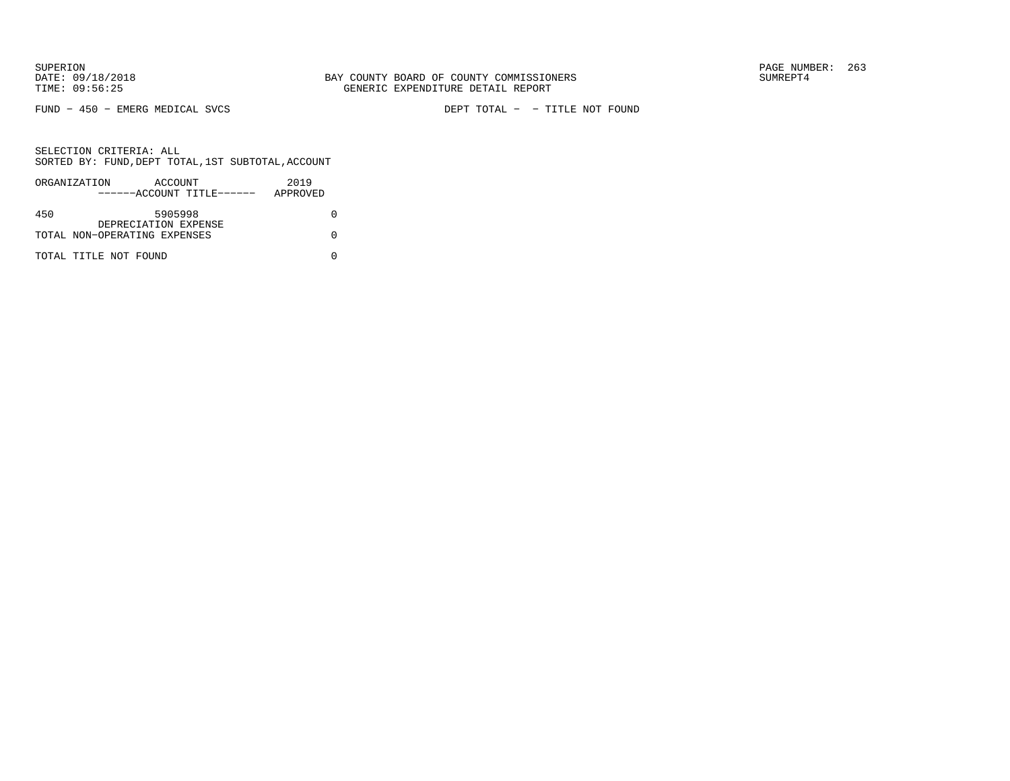FUND − 450 − EMERG MEDICAL SVCS DEPT TOTAL − − TITLE NOT FOUND

|     | ORGANIZATION                 | ACCOUNT              | ------ACCOUNT TITLE------ | 2019<br>APPROVED |  |
|-----|------------------------------|----------------------|---------------------------|------------------|--|
| 450 |                              | 5905998              |                           |                  |  |
|     | TOTAL NON-OPERATING EXPENSES | DEPRECIATION EXPENSE |                           |                  |  |
|     | TOTAL TITLE NOT FOUND        |                      |                           |                  |  |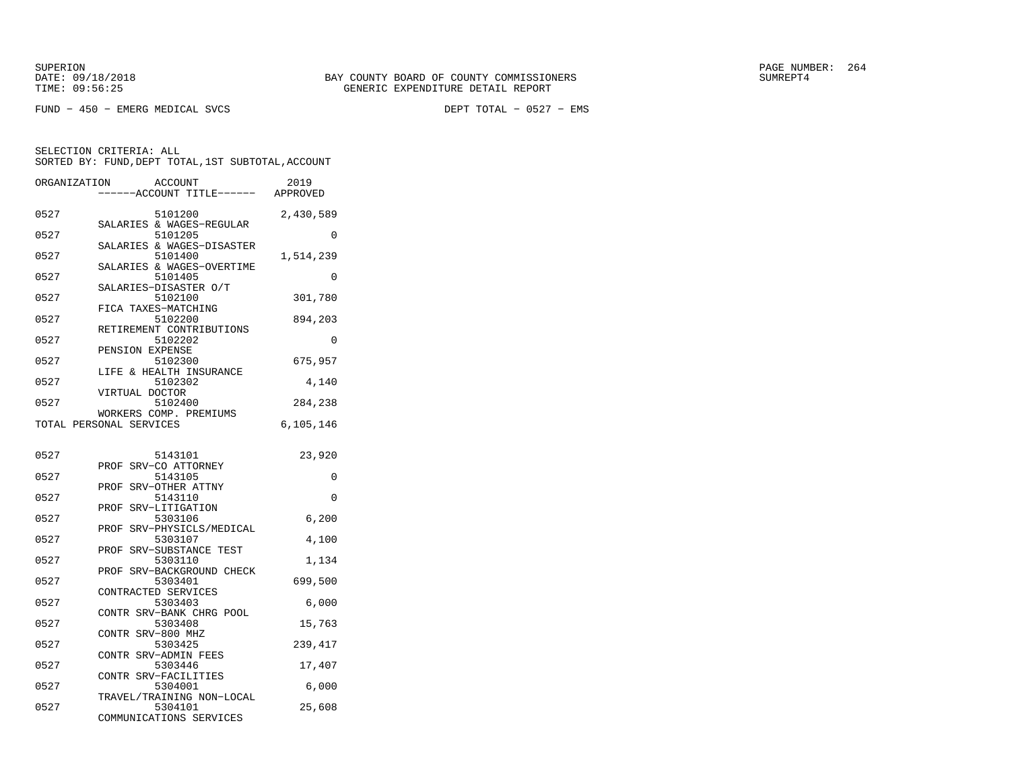FUND − 450 − EMERG MEDICAL SVCS DEPT TOTAL − 0527 − EMS

| ORGANIZATION | <b>ACCOUNT</b>                                    | 2019      |
|--------------|---------------------------------------------------|-----------|
|              | ---ACCOUNT TITLE------                            | APPROVED  |
| 0527         | 5101200                                           | 2,430,589 |
| 0527         | SALARIES & WAGES-REGULAR<br>5101205               | 0         |
|              | SALARIES & WAGES-DISASTER                         |           |
| 0527         | 5101400                                           | 1,514,239 |
| 0527         | SALARIES & WAGES-OVERTIME<br>5101405              | 0         |
|              | SALARIES-DISASTER O/T                             |           |
| 0527         | 5102100<br>FICA TAXES-MATCHING                    | 301,780   |
| 0527         | 5102200                                           | 894,203   |
|              | RETIREMENT CONTRIBUTIONS                          |           |
| 0527         | 5102202<br>PENSION EXPENSE                        | $\Omega$  |
| 0527         | 5102300                                           | 675,957   |
| 0527         | LIFE & HEALTH INSURANCE<br>5102302                | 4,140     |
|              | VIRTUAL DOCTOR                                    |           |
| 0527         | 5102400                                           | 284,238   |
|              | WORKERS COMP. PREMIUMS<br>TOTAL PERSONAL SERVICES | 6,105,146 |
|              |                                                   |           |
| 0527         | 5143101                                           | 23,920    |
|              | SRV-CO ATTORNEY<br>PROF                           |           |
| 0527         | 5143105<br>SRV-OTHER ATTNY<br>PROF                | $\Omega$  |
| 0527         | 5143110                                           | 0         |
|              | PROF<br>SRV-LITIGATION                            |           |
| 0527         | 5303106<br>SRV-PHYSICLS/MEDICAL<br>PROF           | 6,200     |
| 0527         | 5303107                                           | 4,100     |
|              | SRV-SUBSTANCE TEST<br>PROF                        |           |
| 0527         | 5303110<br>PROF<br>SRV-BACKGROUND CHECK           | 1,134     |
| 0527         | 5303401                                           | 699,500   |
| 0527         | CONTRACTED SERVICES<br>5303403                    | 6,000     |
|              | CONTR SRV-BANK CHRG POOL                          |           |
| 0527         | 5303408                                           | 15,763    |
| 0527         | CONTR SRV-800 MHZ<br>5303425                      | 239,417   |
|              | CONTR SRV-ADMIN FEES                              |           |
| 0527         | 5303446                                           | 17,407    |
| 0527         | CONTR SRV-FACILITIES<br>5304001                   | 6,000     |
|              | TRAVEL/TRAINING NON-LOCAL                         |           |
| 0527         | 5304101<br>COMMUNICATIONS SERVICES                | 25,608    |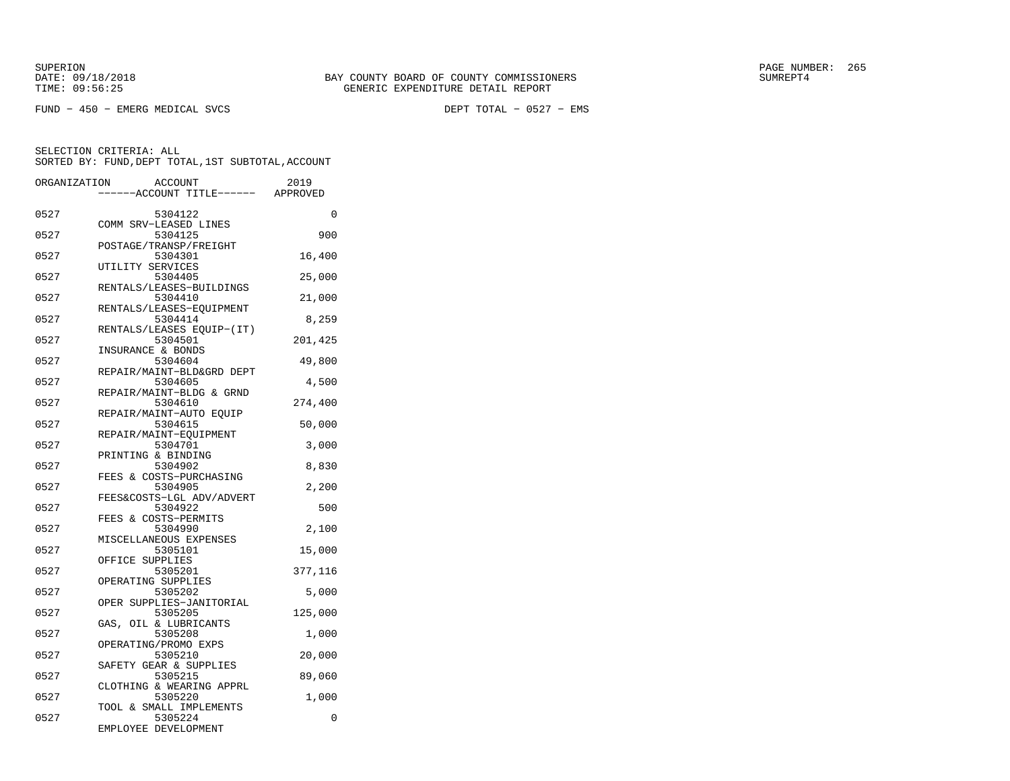FUND − 450 − EMERG MEDICAL SVCS DEPT TOTAL − 0527 − EMS

| ORGANIZATION |                   | <b>ACCOUNT</b>                       | 2019    |
|--------------|-------------------|--------------------------------------|---------|
|              |                   | ---ACCOUNT TITLE------ APPROVED      |         |
| 0527         |                   | 5304122                              | 0       |
| 0527         |                   | COMM SRV-LEASED LINES<br>5304125     | 900     |
| 0527         |                   | POSTAGE/TRANSP/FREIGHT<br>5304301    | 16,400  |
| 0527         | UTILITY SERVICES  | 5304405                              | 25,000  |
| 0527         |                   | RENTALS/LEASES-BUILDINGS<br>5304410  | 21,000  |
| 0527         |                   | RENTALS/LEASES-EQUIPMENT<br>5304414  | 8,259   |
| 0527         |                   | RENTALS/LEASES EQUIP-(IT)<br>5304501 | 201,425 |
| 0527         | INSURANCE & BONDS | 5304604                              | 49,800  |
| 0527         |                   | REPAIR/MAINT-BLD&GRD DEPT<br>5304605 | 4,500   |
| 0527         |                   | REPAIR/MAINT-BLDG & GRND<br>5304610  | 274,400 |
| 0527         |                   | REPAIR/MAINT-AUTO EQUIP<br>5304615   | 50,000  |
| 0527         |                   | REPAIR/MAINT-EQUIPMENT<br>5304701    | 3,000   |
| 0527         |                   | PRINTING & BINDING<br>5304902        | 8,830   |
|              |                   | FEES & COSTS-PURCHASING              |         |
| 0527         |                   | 5304905<br>FEES&COSTS-LGL ADV/ADVERT | 2,200   |
| 0527         |                   | 5304922<br>FEES & COSTS-PERMITS      | 500     |
| 0527         |                   | 5304990<br>MISCELLANEOUS EXPENSES    | 2,100   |
| 0527         | OFFICE SUPPLIES   | 5305101                              | 15,000  |
| 0527         |                   | 5305201<br>OPERATING SUPPLIES        | 377,116 |
| 0527         |                   | 5305202<br>OPER SUPPLIES-JANITORIAL  | 5,000   |
| 0527         | GAS,              | 5305205<br>OIL & LUBRICANTS          | 125,000 |
| 0527         |                   | 5305208<br>OPERATING/PROMO EXPS      | 1,000   |
| 0527         |                   | 5305210<br>SAFETY GEAR & SUPPLIES    | 20,000  |
| 0527         |                   | 5305215<br>CLOTHING & WEARING APPRL  | 89,060  |
| 0527         |                   | 5305220<br>TOOL & SMALL IMPLEMENTS   | 1,000   |
| 0527         |                   | 5305224<br>EMPLOYEE DEVELOPMENT      | 0       |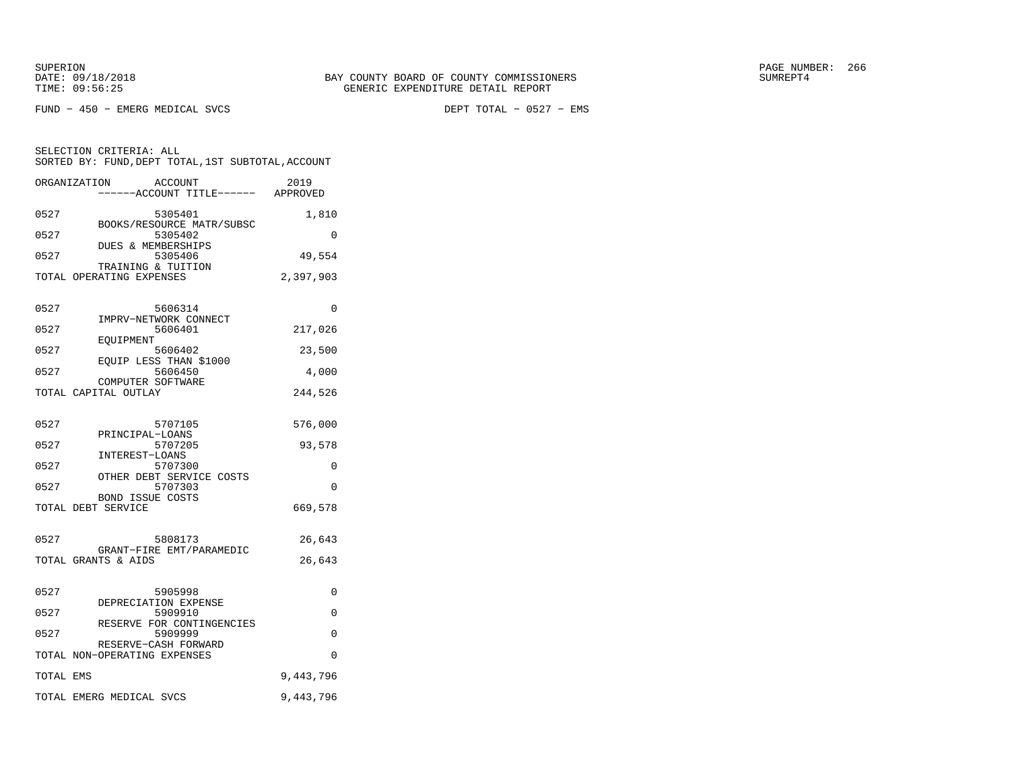FUND − 450 − EMERG MEDICAL SVCS DEPT TOTAL − 0527 − EMS

SELECTION CRITERIA: ALL

| -----ACCOUNT TITLE------                             | APPROVED  |
|------------------------------------------------------|-----------|
| 0527<br>5305401                                      | 1,810     |
| BOOKS/RESOURCE MATR/SUBSC<br>0527<br>5305402         | $\Omega$  |
| DUES & MEMBERSHIPS<br>0527<br>5305406                | 49,554    |
| TRAINING & TUITION<br>TOTAL OPERATING EXPENSES       | 2,397,903 |
| 0527<br>5606314                                      | $\Omega$  |
| IMPRV-NETWORK CONNECT<br>0527<br>5606401             | 217,026   |
| EOUIPMENT<br>0527<br>5606402                         | 23,500    |
| EOUIP LESS THAN \$1000<br>0527<br>5606450            | 4,000     |
| COMPUTER SOFTWARE<br>TOTAL CAPITAL OUTLAY            | 244,526   |
|                                                      |           |
| 0527<br>5707105<br>PRINCIPAL-LOANS                   | 576,000   |
| 0527<br>5707205<br>INTEREST-LOANS                    | 93,578    |
| 0527<br>5707300                                      | 0         |
| OTHER DEBT SERVICE COSTS<br>0527<br>5707303          | $\Omega$  |
| <b>BOND ISSUE COSTS</b><br>TOTAL DEBT SERVICE        | 669,578   |
|                                                      |           |
| 0527<br>5808173<br>GRANT-FIRE EMT/PARAMEDIC          | 26,643    |
| TOTAL GRANTS & AIDS                                  | 26,643    |
| 0527<br>5905998                                      | 0         |
| DEPRECIATION EXPENSE<br>0527<br>5909910              | 0         |
| RESERVE FOR CONTINGENCIES<br>0527<br>5909999         | 0         |
| RESERVE-CASH FORWARD<br>TOTAL NON-OPERATING EXPENSES | 0         |
| TOTAL EMS                                            | 9,443,796 |
| TOTAL EMERG MEDICAL SVCS                             | 9,443,796 |
|                                                      |           |

 SORTED BY: FUND,DEPT TOTAL,1ST SUBTOTAL,ACCOUNTORGANIZATION ACCOUNT 2019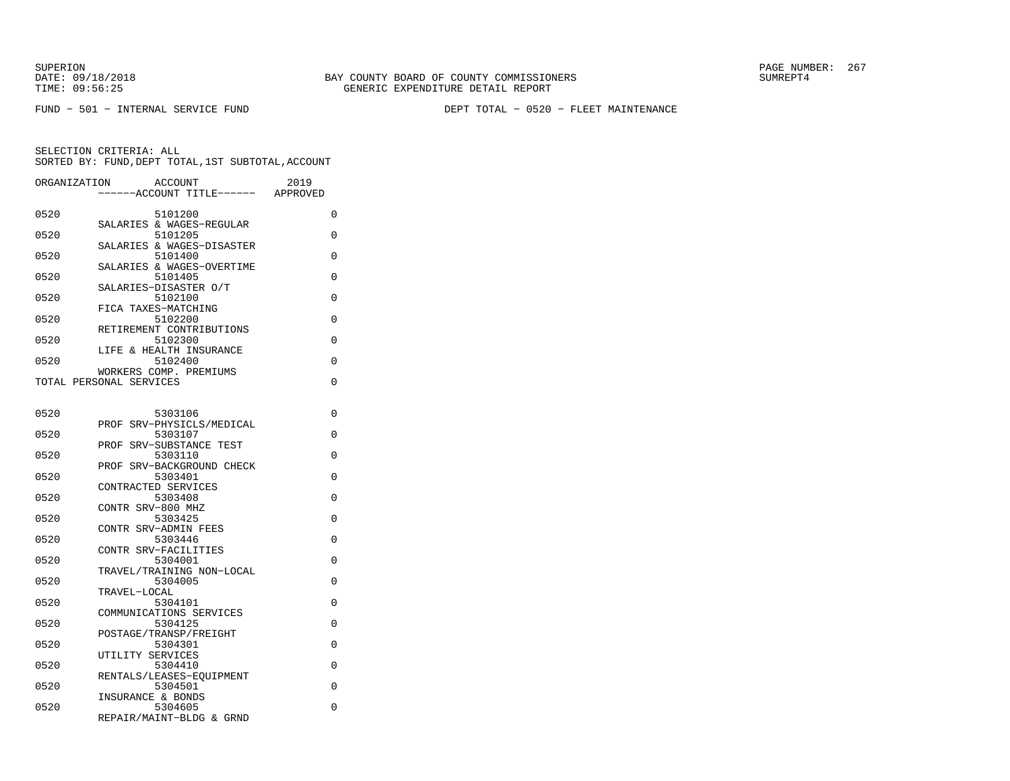FUND − 501 − INTERNAL SERVICE FUND DEPT TOTAL − 0520 − FLEET MAINTENANCE

| 0520<br>5101200<br>$\Omega$<br>SALARIES & WAGES-REGULAR<br>0520<br>5101205<br>0<br>SALARIES & WAGES-DISASTER<br>0520<br>5101400<br>0<br>SALARIES & WAGES-OVERTIME<br>0520<br>5101405<br>0<br>SALARIES-DISASTER O/T<br>0520<br>5102100<br>0<br>FICA TAXES-MATCHING<br>0520<br>5102200<br>0<br>RETIREMENT CONTRIBUTIONS<br>0520<br>5102300<br>0<br>LIFE & HEALTH INSURANCE<br>5102400<br>$\Omega$<br>0520<br>WORKERS COMP. PREMIUMS<br>0<br>TOTAL PERSONAL SERVICES |
|-------------------------------------------------------------------------------------------------------------------------------------------------------------------------------------------------------------------------------------------------------------------------------------------------------------------------------------------------------------------------------------------------------------------------------------------------------------------|
|                                                                                                                                                                                                                                                                                                                                                                                                                                                                   |
|                                                                                                                                                                                                                                                                                                                                                                                                                                                                   |
|                                                                                                                                                                                                                                                                                                                                                                                                                                                                   |
|                                                                                                                                                                                                                                                                                                                                                                                                                                                                   |
|                                                                                                                                                                                                                                                                                                                                                                                                                                                                   |
|                                                                                                                                                                                                                                                                                                                                                                                                                                                                   |
|                                                                                                                                                                                                                                                                                                                                                                                                                                                                   |
|                                                                                                                                                                                                                                                                                                                                                                                                                                                                   |
|                                                                                                                                                                                                                                                                                                                                                                                                                                                                   |
|                                                                                                                                                                                                                                                                                                                                                                                                                                                                   |
| 0520<br>5303106<br>0                                                                                                                                                                                                                                                                                                                                                                                                                                              |
| PROF SRV-PHYSICLS/MEDICAL<br>0520<br>5303107<br>0                                                                                                                                                                                                                                                                                                                                                                                                                 |
| PROF SRV-SUBSTANCE TEST<br>0520<br>5303110<br>0                                                                                                                                                                                                                                                                                                                                                                                                                   |
| PROF SRV-BACKGROUND CHECK<br>5303401<br>0<br>0520                                                                                                                                                                                                                                                                                                                                                                                                                 |
| CONTRACTED SERVICES<br>5303408<br>0<br>0520                                                                                                                                                                                                                                                                                                                                                                                                                       |
| CONTR SRV-800 MHZ<br>5303425<br>0<br>0520                                                                                                                                                                                                                                                                                                                                                                                                                         |
| CONTR SRV-ADMIN FEES<br>5303446<br>0                                                                                                                                                                                                                                                                                                                                                                                                                              |
| 0520<br>CONTR SRV-FACILITIES                                                                                                                                                                                                                                                                                                                                                                                                                                      |
| 0520<br>5304001<br>0<br>TRAVEL/TRAINING NON-LOCAL                                                                                                                                                                                                                                                                                                                                                                                                                 |
| 0520<br>5304005<br>0<br>TRAVEL-LOCAL                                                                                                                                                                                                                                                                                                                                                                                                                              |
| 0520<br>5304101<br>0<br>COMMUNICATIONS SERVICES                                                                                                                                                                                                                                                                                                                                                                                                                   |
| 5304125<br>0520<br>0<br>POSTAGE/TRANSP/FREIGHT                                                                                                                                                                                                                                                                                                                                                                                                                    |
| 0520<br>5304301<br>0<br>UTILITY SERVICES                                                                                                                                                                                                                                                                                                                                                                                                                          |
| 5304410<br>0520<br>0<br>RENTALS/LEASES-EOUIPMENT                                                                                                                                                                                                                                                                                                                                                                                                                  |
| 5304501<br>0<br>0520                                                                                                                                                                                                                                                                                                                                                                                                                                              |
| INSURANCE & BONDS<br>0520<br>5304605<br>0<br>REPAIR/MAINT-BLDG & GRND                                                                                                                                                                                                                                                                                                                                                                                             |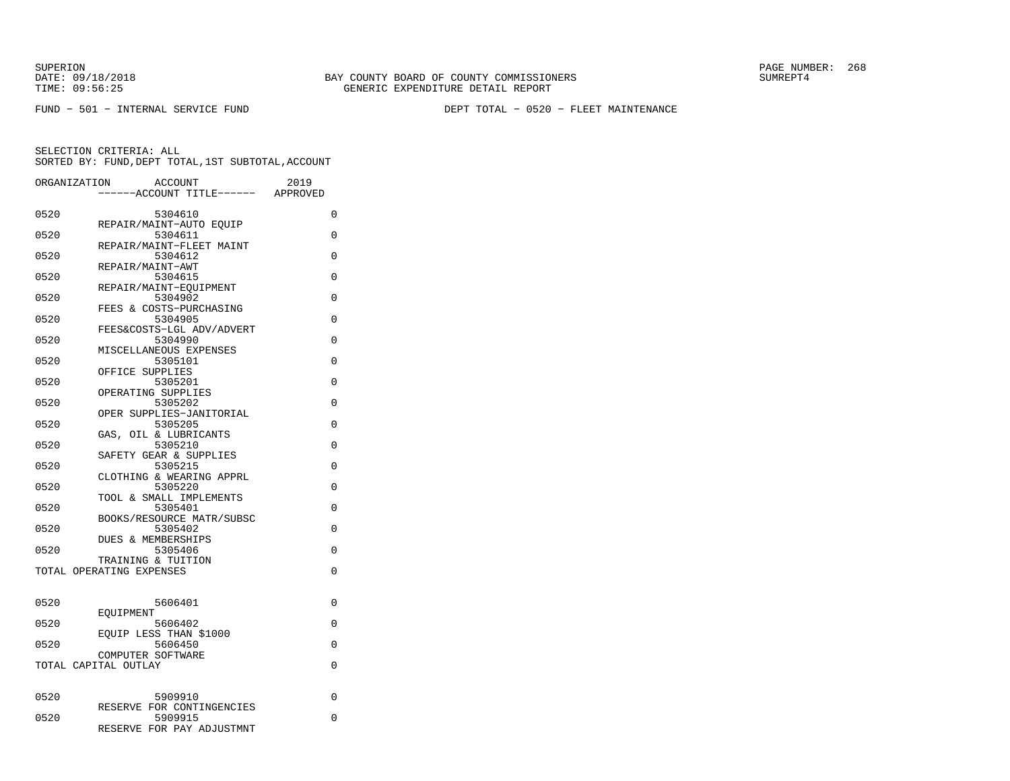FUND − 501 − INTERNAL SERVICE FUND DEPT TOTAL − 0520 − FLEET MAINTENANCE

SUPERION PAGE NUMBER: 268

| ORGANIZATION | <b>ACCOUNT</b><br>---ACCOUNT TITLE------       | 2019<br>APPROVED |
|--------------|------------------------------------------------|------------------|
| 0520         | 5304610                                        | 0                |
| 0520         | REPAIR/MAINT-AUTO EOUIP<br>5304611             | 0                |
| 0520         | REPAIR/MAINT-FLEET MAINT<br>5304612            | 0                |
|              | REPAIR/MAINT-AWT                               |                  |
| 0520         | 5304615<br>REPAIR/MAINT-EOUIPMENT              | 0                |
| 0520         | 5304902<br>FEES & COSTS-PURCHASING             | $\Omega$         |
| 0520         | 5304905                                        | 0                |
| 0520         | FEES&COSTS-LGL ADV/ADVERT<br>5304990           | 0                |
| 0520         | MISCELLANEOUS EXPENSES<br>5305101              | $\Omega$         |
| 0520         | OFFICE SUPPLIES<br>5305201                     | $\Omega$         |
|              | OPERATING SUPPLIES                             |                  |
| 0520         | 5305202<br>OPER SUPPLIES-JANITORIAL            | $\Omega$         |
| 0520         | 5305205<br>GAS, OIL & LUBRICANTS               | 0                |
| 0520         | 5305210                                        | 0                |
| 0520         | SAFETY GEAR & SUPPLIES<br>5305215              | 0                |
| 0520         | CLOTHING & WEARING APPRL<br>5305220            | 0                |
|              | TOOL & SMALL IMPLEMENTS                        |                  |
| 0520         | 5305401<br>BOOKS/RESOURCE MATR/SUBSC           | $\Omega$         |
| 0520         | 5305402<br>DUES & MEMBERSHIPS                  | 0                |
| 0520         | 5305406                                        | 0                |
|              | TRAINING & TUITION<br>TOTAL OPERATING EXPENSES | $\Omega$         |
|              |                                                |                  |
| 0520         | 5606401<br>EOUIPMENT                           | 0                |
| 0520         | 5606402                                        | $\Omega$         |
| 0520         | EOUIP LESS THAN \$1000<br>5606450              | 0                |
|              | COMPUTER SOFTWARE<br>TOTAL CAPITAL OUTLAY      | $\Omega$         |
|              |                                                |                  |
| 0520         | 5909910                                        | 0                |
| 0520         | RESERVE FOR CONTINGENCIES<br>5909915           | 0                |
|              | RESERVE FOR PAY ADJUSTMNT                      |                  |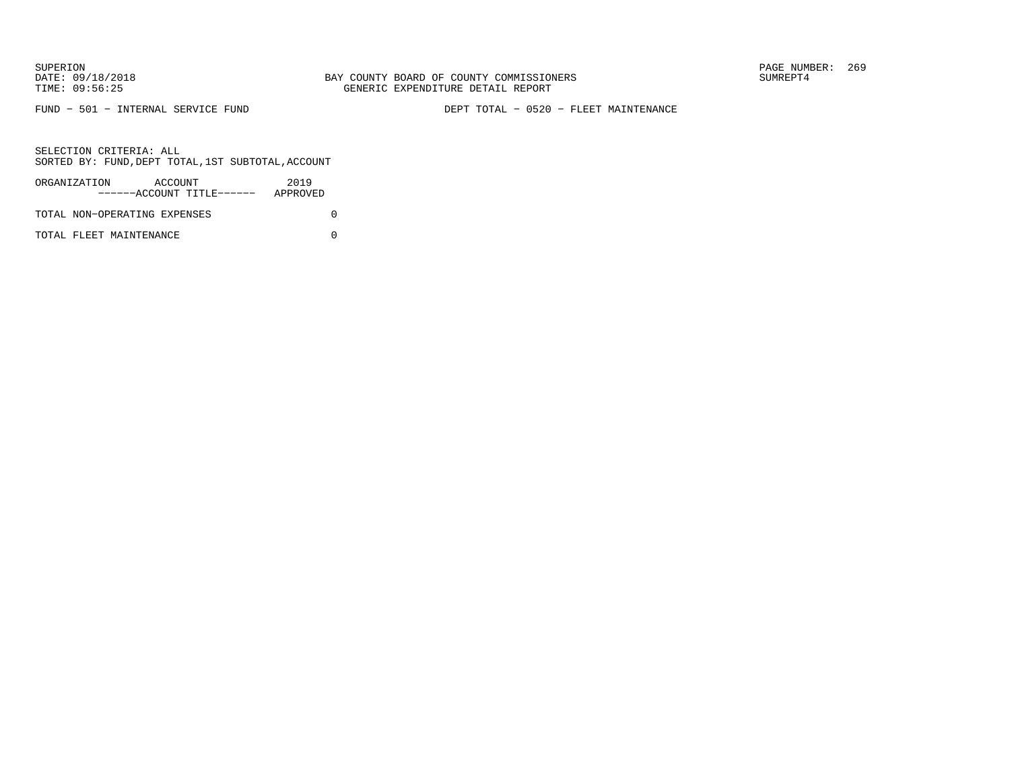FUND − 501 − INTERNAL SERVICE FUND DEPT TOTAL − 0520 − FLEET MAINTENANCE

SELECTION CRITERIA: ALLSORTED BY: FUND,DEPT TOTAL,1ST SUBTOTAL,ACCOUNT

| ORGANIZATION                 | ACCOUNT |                           | 2019     |  |
|------------------------------|---------|---------------------------|----------|--|
|                              |         | ------ACCOUNT TITLE------ | APPROVED |  |
| TOTAL NON-OPERATING EXPENSES |         |                           |          |  |

TOTAL FLEET MAINTENANCE 0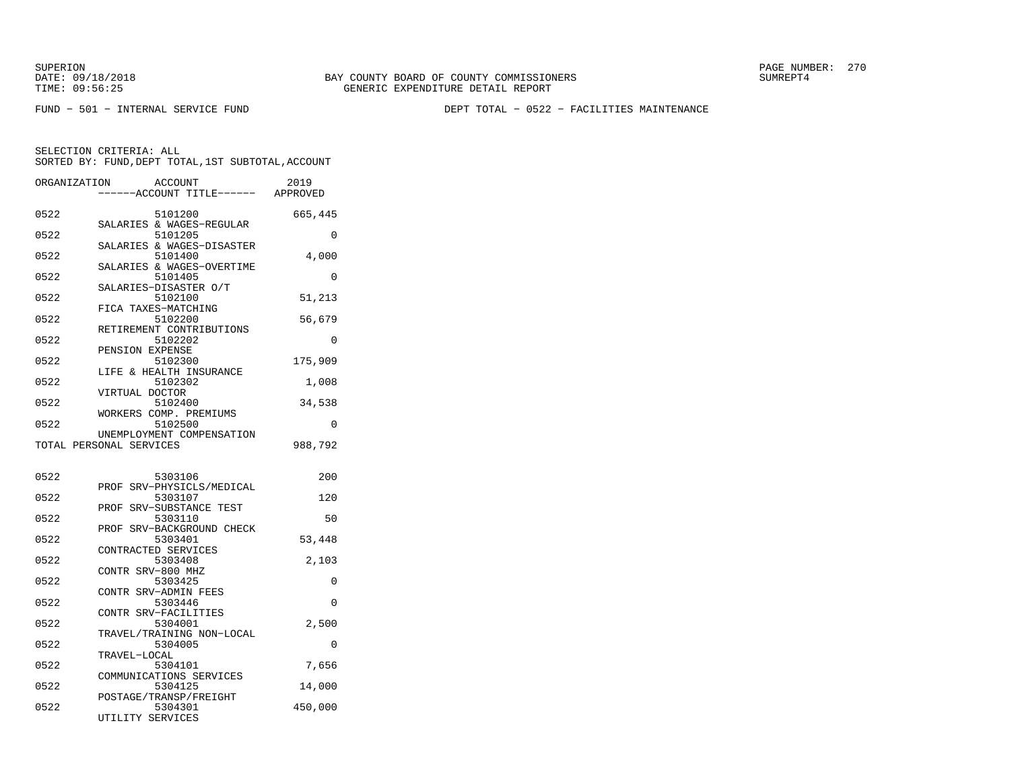FUND − 501 − INTERNAL SERVICE FUND DEPT TOTAL − 0522 − FACILITIES MAINTENANCE

| ORGANIZATION            |                   | ACCOUNT<br>---ACCOUNT TITLE------ APPROVED | 2019     |
|-------------------------|-------------------|--------------------------------------------|----------|
|                         |                   |                                            |          |
| 0522                    |                   | 5101200<br>SALARIES & WAGES-REGULAR        | 665,445  |
| 0522                    |                   | 5101205                                    | $\Omega$ |
| 0522                    |                   | SALARIES & WAGES-DISASTER<br>5101400       | 4,000    |
| 0522                    |                   | SALARIES & WAGES-OVERTIME<br>5101405       | 0        |
| 0522                    |                   | SALARIES-DISASTER O/T<br>5102100           | 51,213   |
| 0522                    |                   | FICA TAXES-MATCHING<br>5102200             | 56,679   |
| 0522                    |                   | RETIREMENT CONTRIBUTIONS<br>5102202        | $\Omega$ |
| 0522                    | PENSION EXPENSE   | 5102300                                    | 175,909  |
| 0522                    |                   | LIFE & HEALTH INSURANCE                    |          |
|                         | VIRTUAL DOCTOR    | 5102302                                    | 1,008    |
| 0522                    |                   | 5102400<br>WORKERS COMP. PREMIUMS          | 34,538   |
| 0522                    |                   | 5102500<br>UNEMPLOYMENT COMPENSATION       | $\Omega$ |
| TOTAL PERSONAL SERVICES |                   |                                            | 988,792  |
| 0522                    |                   | 5303106                                    | 200      |
|                         |                   | PROF SRV-PHYSICLS/MEDICAL                  |          |
| 0522                    | PROF              | 5303107<br>SRV-SUBSTANCE TEST              | 120      |
| 0522                    | PROF              | 5303110<br>SRV-BACKGROUND CHECK            | 50       |
| 0522                    |                   | 5303401<br>CONTRACTED SERVICES             | 53,448   |
| 0522                    | CONTR SRV-800 MHZ | 5303408                                    | 2,103    |
| 0522                    |                   | 5303425<br>CONTR SRV-ADMIN FEES            | 0        |
| 0522                    |                   | 5303446<br>CONTR SRV-FACILITIES            | $\Omega$ |
| 0522                    |                   | 5304001                                    | 2,500    |
| 0522                    |                   | TRAVEL/TRAINING NON-LOCAL<br>5304005       | 0        |
| 0522                    | TRAVEL-LOCAL      | 5304101                                    | 7,656    |
| 0522                    |                   | COMMUNICATIONS SERVICES<br>5304125         | 14,000   |
| 0522                    | UTILITY SERVICES  | POSTAGE/TRANSP/FREIGHT<br>5304301          | 450,000  |
|                         |                   |                                            |          |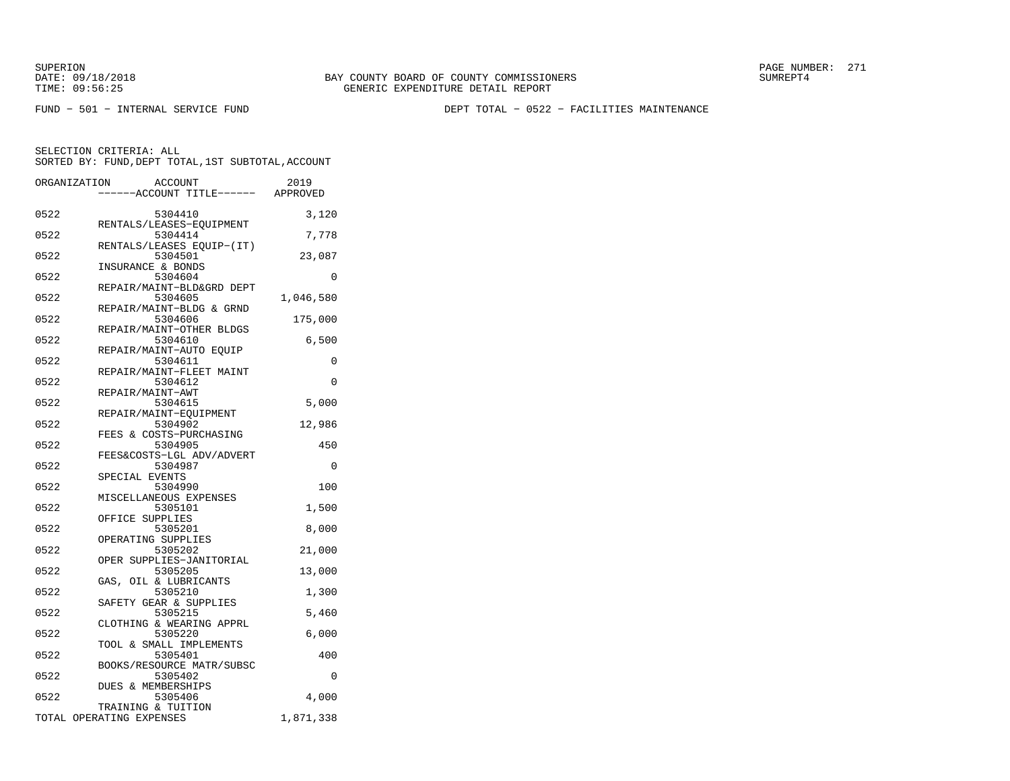FUND − 501 − INTERNAL SERVICE FUND DEPT TOTAL − 0522 − FACILITIES MAINTENANCE

|      | ORGANIZATION<br>ACCOUNT<br>----ACCOUNT TITLE------ APPROVED | 2019      |
|------|-------------------------------------------------------------|-----------|
|      |                                                             |           |
| 0522 | 5304410<br>RENTALS/LEASES-EOUIPMENT                         | 3,120     |
| 0522 | 5304414                                                     | 7,778     |
| 0522 | RENTALS/LEASES EQUIP-(IT)<br>5304501                        | 23,087    |
| 0522 | INSURANCE & BONDS<br>5304604                                | $\Omega$  |
| 0522 | REPAIR/MAINT-BLD&GRD DEPT<br>5304605                        | 1,046,580 |
| 0522 | REPAIR/MAINT-BLDG & GRND<br>5304606                         | 175,000   |
| 0522 | REPAIR/MAINT-OTHER BLDGS<br>5304610                         | 6,500     |
| 0522 | REPAIR/MAINT-AUTO EQUIP<br>5304611                          | 0         |
| 0522 | REPAIR/MAINT-FLEET MAINT                                    | 0         |
|      | 5304612<br>REPAIR/MAINT-AWT                                 |           |
| 0522 | 5304615<br>REPAIR/MAINT-EQUIPMENT                           | 5,000     |
| 0522 | 5304902<br>FEES & COSTS-PURCHASING                          | 12,986    |
| 0522 | 5304905<br>FEES&COSTS-LGL ADV/ADVERT                        | 450       |
| 0522 | 5304987<br>SPECIAL EVENTS                                   | $\Omega$  |
| 0522 | 5304990                                                     | 100       |
| 0522 | MISCELLANEOUS EXPENSES<br>5305101                           | 1,500     |
| 0522 | OFFICE SUPPLIES<br>5305201                                  | 8,000     |
| 0522 | OPERATING SUPPLIES<br>5305202                               | 21,000    |
| 0522 | OPER SUPPLIES-JANITORIAL<br>5305205                         | 13,000    |
| 0522 | GAS,<br>OIL & LUBRICANTS<br>5305210                         | 1,300     |
| 0522 | SAFETY GEAR & SUPPLIES<br>5305215                           | 5,460     |
| 0522 | CLOTHING & WEARING APPRL<br>5305220                         |           |
|      | TOOL & SMALL IMPLEMENTS                                     | 6,000     |
| 0522 | 5305401<br>BOOKS/RESOURCE MATR/SUBSC                        | 400       |
| 0522 | 5305402<br>DUES & MEMBERSHIPS                               | 0         |
| 0522 | 5305406<br>TRAINING & TUITION                               | 4,000     |
|      | TOTAL OPERATING EXPENSES                                    | 1,871,338 |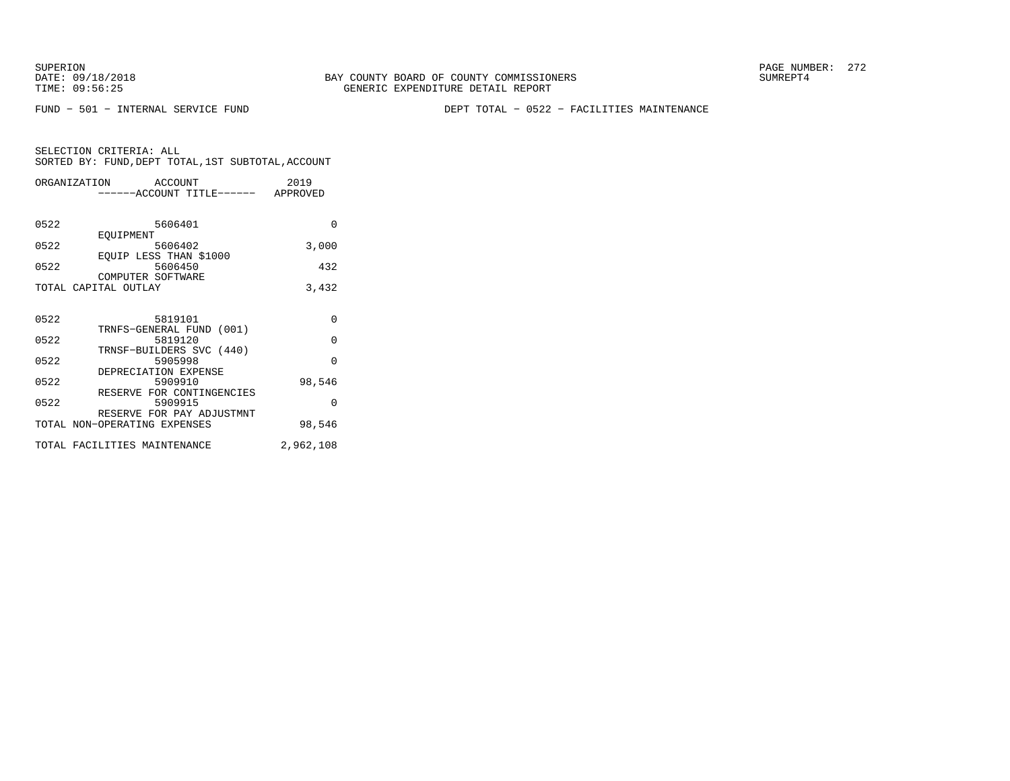FUND − 501 − INTERNAL SERVICE FUND DEPT TOTAL − 0522 − FACILITIES MAINTENANCE

|      | ORGANIZATION ACCOUNT               | 2019      |
|------|------------------------------------|-----------|
|      | ------ACCOUNT TITLE------ APPROVED |           |
|      |                                    |           |
| 0522 | 5606401                            | $\Omega$  |
|      | EOUIPMENT                          |           |
| 0522 | 5606402                            | 3,000     |
|      | EQUIP LESS THAN \$1000             |           |
| 0522 | 5606450                            | 432       |
|      | COMPUTER SOFTWARE                  |           |
|      | TOTAL CAPITAL OUTLAY               | 3,432     |
|      |                                    |           |
| 0522 | 5819101                            | $\Omega$  |
|      | TRNFS-GENERAL FUND (001)           |           |
| 0522 | 5819120                            | $\Omega$  |
|      | TRNSF-BUILDERS SVC (440)           |           |
| 0522 | 5905998                            | $\Omega$  |
|      | DEPRECIATION EXPENSE               |           |
| 0522 | 5909910                            | 98,546    |
|      | RESERVE FOR CONTINGENCIES          |           |
| 0522 | 5909915                            | $\Omega$  |
|      | RESERVE FOR PAY ADJUSTMNT          |           |
|      | TOTAL NON-OPERATING EXPENSES       | 98,546    |
|      | TOTAL FACILITIES MAINTENANCE       | 2,962,108 |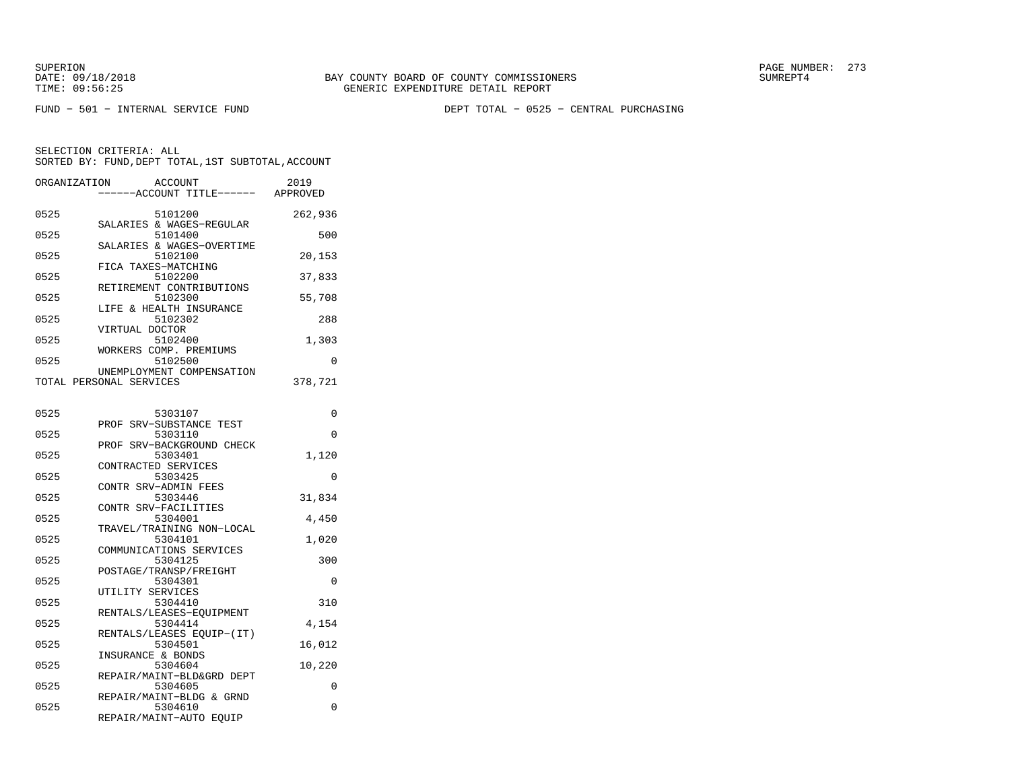DATE:  $09/18/2018$  SUMREPT4

SUPERION PAGE NUMBER: 273

FUND − 501 − INTERNAL SERVICE FUND DEPT TOTAL − 0525 − CENTRAL PURCHASING

SELECTION CRITERIA: ALL

|              | SORTED BY: FUND, DEPT TOTAL, 1ST SUBTOTAL, ACCOUNT |         |
|--------------|----------------------------------------------------|---------|
| ORGANIZATION | ACCOUNT<br>----ACCOUNT TITLE------ APPROVED        | 2019    |
| 0525         | 5101200                                            | 262,936 |
| 0525         | SALARIES & WAGES-REGULAR<br>5101400                | 500     |
| 0525         | SALARIES & WAGES-OVERTIME<br>5102100               | 20,153  |
| 0525         | FICA TAXES-MATCHING<br>5102200                     | 37,833  |
| 0525         | RETIREMENT CONTRIBUTIONS<br>5102300                | 55,708  |
| 0525         | LIFE & HEALTH INSURANCE<br>5102302                 | 288     |
|              | VIRTUAL DOCTOR                                     |         |
| 0525         | 5102400<br>WORKERS COMP. PREMIUMS                  | 1,303   |
| 0525         | 5102500<br>UNEMPLOYMENT COMPENSATION               | 0       |
|              | TOTAL PERSONAL SERVICES                            | 378,721 |
| 0525         | 5303107                                            | 0       |
| 0525         | PROF SRV-SUBSTANCE TEST<br>5303110                 | 0       |
| 0525         | PROF SRV-BACKGROUND CHECK<br>5303401               | 1,120   |
| 0525         | CONTRACTED SERVICES<br>5303425                     | 0       |
| 0525         | CONTR SRV-ADMIN FEES<br>5303446                    | 31,834  |
| 0525         | CONTR SRV-FACILITIES<br>5304001                    | 4,450   |
|              | TRAVEL/TRAINING NON-LOCAL                          |         |
| 0525         | 5304101<br>COMMUNICATIONS SERVICES                 | 1,020   |
| 0525         | 5304125<br>POSTAGE/TRANSP/FREIGHT                  | 300     |
| 0525         | 5304301<br>UTILITY SERVICES                        | 0       |
| 0525         | 5304410<br>RENTALS/LEASES-EOUIPMENT                | 310     |
| 0525         | 5304414<br>RENTALS/LEASES EQUIP-(IT)               | 4,154   |
| 0525         | 5304501                                            | 16,012  |
| 0525         | INSURANCE & BONDS<br>5304604                       | 10,220  |
| 0525         | REPAIR/MAINT-BLD&GRD DEPT<br>5304605               | 0       |
| 0525         | REPAIR/MAINT-BLDG & GRND<br>5304610                | 0       |
|              | REPAIR/MAINT-AUTO EQUIP                            |         |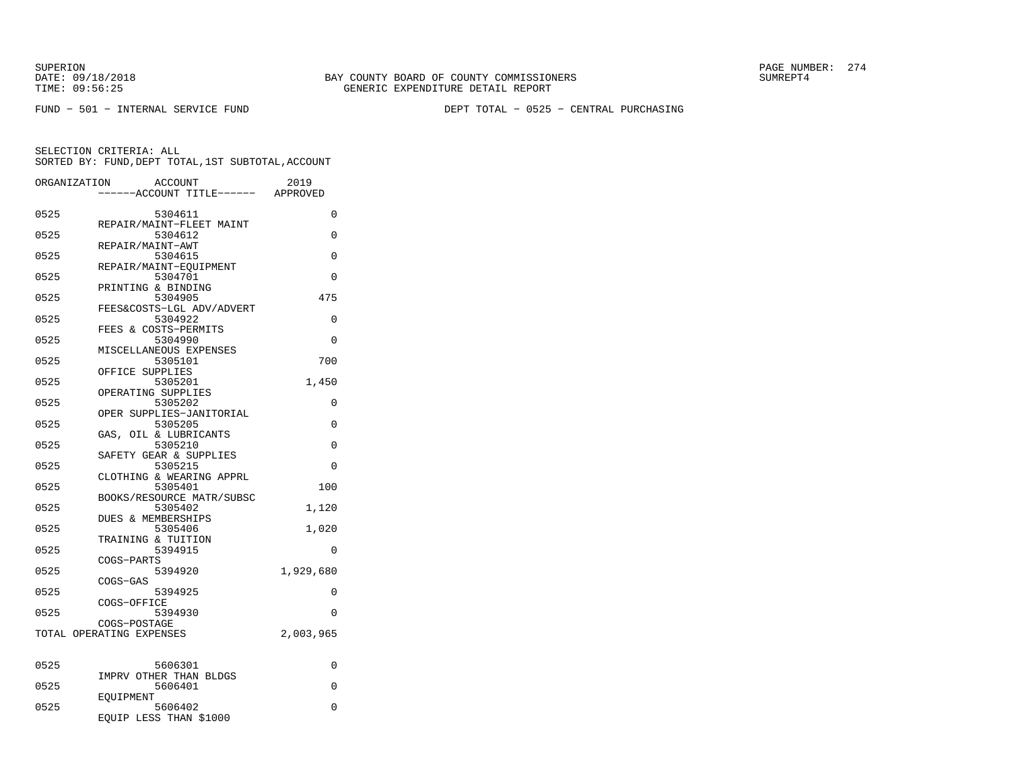FUND − 501 − INTERNAL SERVICE FUND DEPT TOTAL − 0525 − CENTRAL PURCHASING

|      | ORGANIZATION<br>ACCOUNT<br>---ACCOUNT TITLE------ | 2019<br>APPROVED |
|------|---------------------------------------------------|------------------|
| 0525 | 5304611                                           | 0                |
| 0525 | REPAIR/MAINT-FLEET MAINT<br>5304612               | 0                |
| 0525 | REPAIR/MAINT-AWT<br>5304615                       | 0                |
| 0525 | REPAIR/MAINT-EQUIPMENT<br>5304701                 | $\Omega$         |
| 0525 | PRINTING & BINDING<br>5304905                     | 475              |
| 0525 | FEES&COSTS-LGL ADV/ADVERT<br>5304922              | 0                |
| 0525 | FEES & COSTS-PERMITS<br>5304990                   | 0                |
| 0525 | MISCELLANEOUS EXPENSES<br>5305101                 | 700              |
| 0525 | OFFICE SUPPLIES<br>5305201                        | 1,450            |
| 0525 | OPERATING SUPPLIES<br>5305202                     | 0                |
| 0525 | OPER SUPPLIES-JANITORIAL<br>5305205               | $\Omega$         |
| 0525 | GAS, OIL & LUBRICANTS<br>5305210                  | $\Omega$         |
| 0525 | SAFETY GEAR & SUPPLIES<br>5305215                 | 0                |
| 0525 | CLOTHING & WEARING APPRL<br>5305401               | 100              |
| 0525 | BOOKS/RESOURCE MATR/SUBSC<br>5305402              | 1,120            |
| 0525 | <b>DUES &amp; MEMBERSHIPS</b><br>5305406          | 1,020            |
| 0525 | TRAINING & TUITION<br>5394915                     | 0                |
| 0525 | COGS-PARTS<br>5394920                             | 1,929,680        |
| 0525 | COGS-GAS<br>5394925<br>COGS-OFFICE                | 0                |
| 0525 | 5394930                                           | 0                |
|      | COGS-POSTAGE<br>TOTAL OPERATING EXPENSES          | 2,003,965        |
| 0525 | 5606301                                           | 0                |
| 0525 | IMPRV OTHER THAN BLDGS<br>5606401                 | $\Omega$         |
| 0525 | EOUIPMENT<br>5606402<br>EQUIP LESS THAN \$1000    | 0                |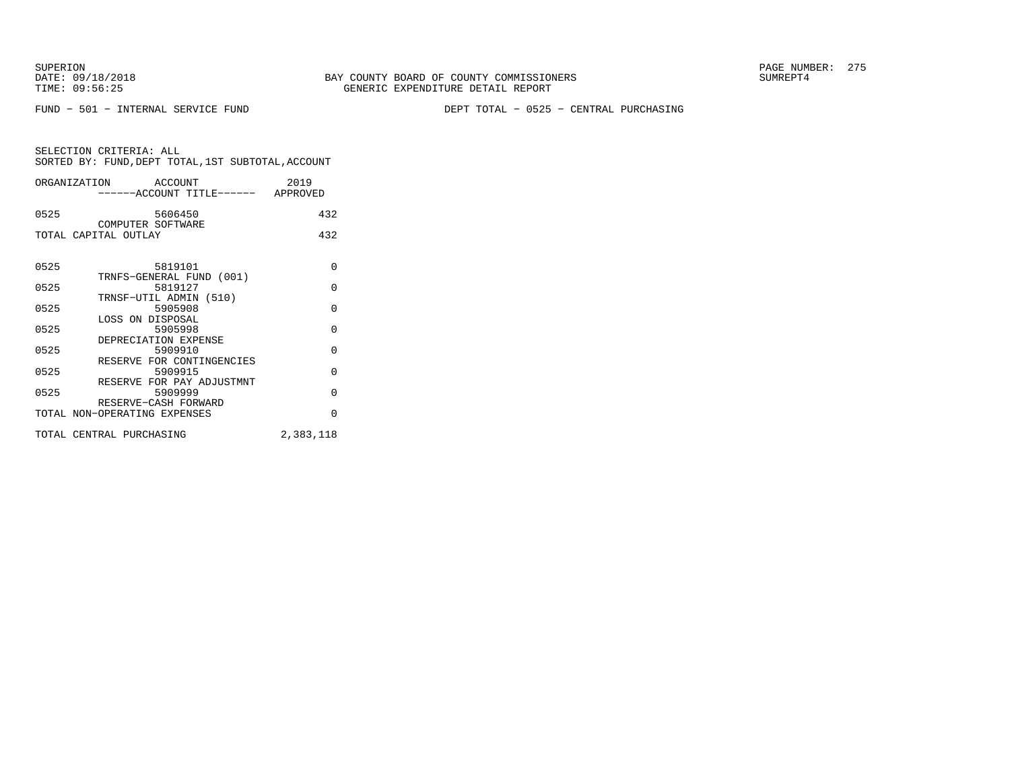FUND − 501 − INTERNAL SERVICE FUND DEPT TOTAL − 0525 − CENTRAL PURCHASING

| ORGANIZATION         |                    | ACCOUNT | ------ACCOUNT TITLE------ | 2019<br>APPROVED |
|----------------------|--------------------|---------|---------------------------|------------------|
| 0525                 |                    | 5606450 |                           | 432              |
| TOTAL CAPITAL OUTLAY | COMPUTER SOFTWARE  |         |                           | 432              |
| 0525                 | TRNFS-GENERAL FUND | 5819101 | (001)                     |                  |

|      | TRNFS-GENERAL FUND (UUI)     |           |
|------|------------------------------|-----------|
| 0525 | 5819127                      | U         |
|      | TRNSF-UTIL ADMIN (510)       |           |
| 0525 | 5905908                      | O         |
|      | LOSS ON DISPOSAL             |           |
| 0525 | 5905998                      | U         |
|      | DEPRECIATION EXPENSE         |           |
| 0525 | 5909910                      | O         |
|      | RESERVE FOR CONTINGENCIES    |           |
| 0525 | 5909915                      | O         |
|      | RESERVE FOR PAY ADJUSTMNT    |           |
| 0525 | 5909999                      | O         |
|      | RESERVE-CASH FORWARD         |           |
|      | TOTAL NON-OPERATING EXPENSES | U         |
|      |                              |           |
|      | TOTAL CENTRAL PURCHASING     | 2,383,118 |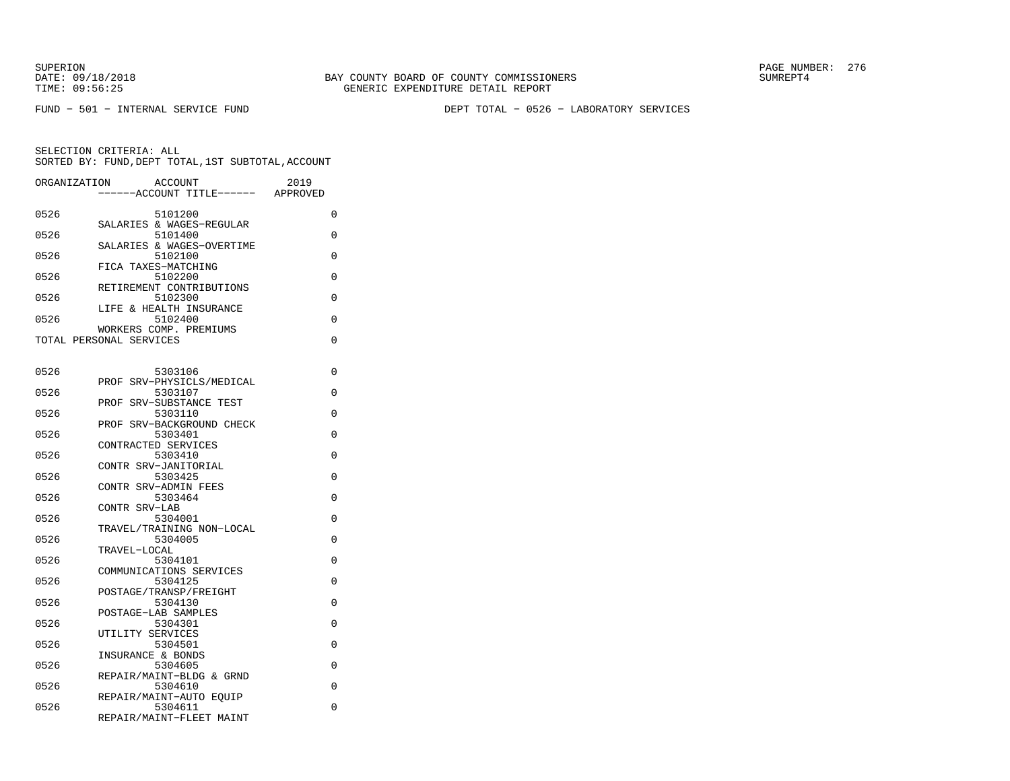FUND − 501 − INTERNAL SERVICE FUND DEPT TOTAL − 0526 − LABORATORY SERVICES

| ORGANIZATION | <b>ACCOUNT</b><br>--ACCOUNT TITLE------           | 2019<br>APPROVED |
|--------------|---------------------------------------------------|------------------|
| 0526         | 5101200                                           | 0                |
| 0526         | SALARIES & WAGES-REGULAR<br>5101400               | 0                |
| 0526         | SALARIES & WAGES-OVERTIME<br>5102100              | 0                |
| 0526         | FICA TAXES-MATCHING<br>5102200                    | 0                |
| 0526         | RETIREMENT CONTRIBUTIONS<br>5102300               | 0                |
| 0526         | LIFE & HEALTH INSURANCE<br>5102400                | 0                |
|              | WORKERS COMP. PREMIUMS<br>TOTAL PERSONAL SERVICES | 0                |
| 0526         | 5303106                                           | 0                |
| 0526         | SRV-PHYSICLS/MEDICAL<br>PROF<br>5303107           | 0                |
| 0526         | SRV-SUBSTANCE TEST<br>PROF<br>5303110             | 0                |
| 0526         | PROF SRV-BACKGROUND CHECK<br>5303401              | 0                |
| 0526         | CONTRACTED SERVICES<br>5303410                    | 0                |
| 0526         | CONTR SRV-JANITORIAL<br>5303425                   | 0                |
| 0526         | CONTR SRV-ADMIN FEES<br>5303464                   | 0                |
| 0526         | CONTR SRV-LAB<br>5304001                          | 0                |
| 0526         | TRAVEL/TRAINING NON-LOCAL<br>5304005              | 0                |
| 0526         | TRAVEL-LOCAL<br>5304101                           | 0                |
| 0526         | COMMUNICATIONS SERVICES<br>5304125                | 0                |
| 0526         | POSTAGE/TRANSP/FREIGHT<br>5304130                 | 0                |
| 0526         | POSTAGE-LAB SAMPLES<br>5304301                    | 0                |
| 0526         | UTILITY SERVICES<br>5304501                       | 0                |
| 0526         | INSURANCE & BONDS<br>5304605                      | 0                |
| 0526         | REPAIR/MAINT-BLDG & GRND<br>5304610               | 0                |
| 0526         | REPAIR/MAINT-AUTO EOUIP<br>5304611                | 0                |
|              | REPAIR/MAINT-FLEET MAINT                          |                  |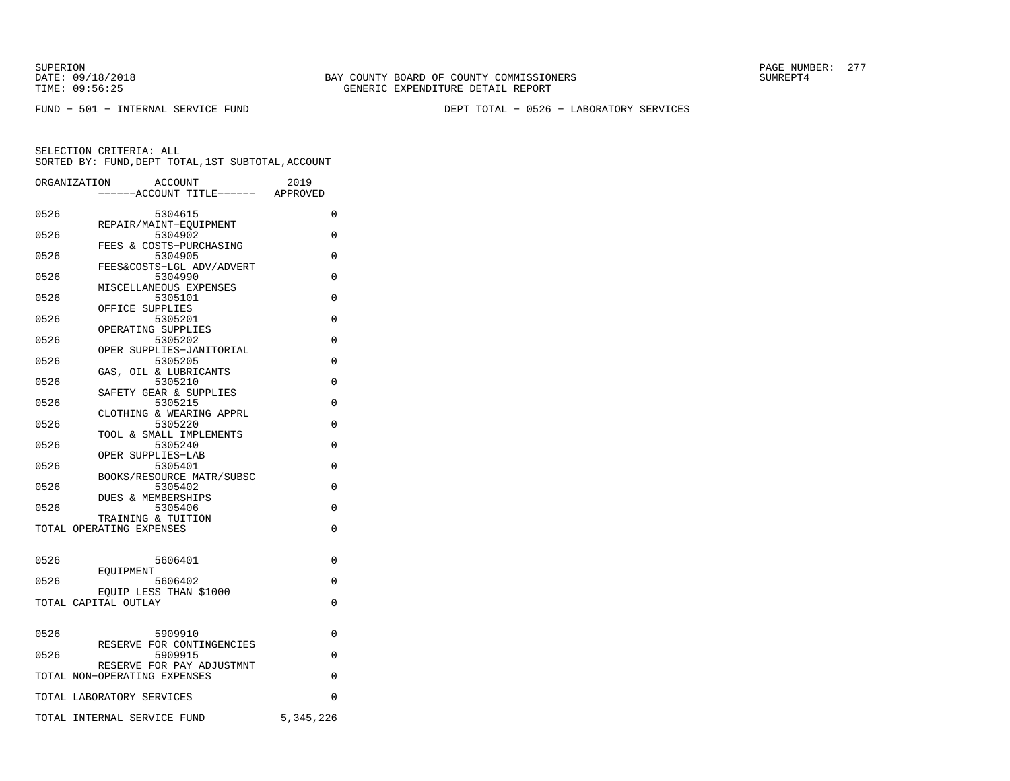FUND − 501 − INTERNAL SERVICE FUND DEPT TOTAL − 0526 − LABORATORY SERVICES

|      | <b>ACCOUNT</b><br>ORGANIZATION<br>---ACCOUNT TITLE------ APPROVED | 2019      |
|------|-------------------------------------------------------------------|-----------|
| 0526 | 5304615                                                           | $\Omega$  |
| 0526 | REPAIR/MAINT-EOUIPMENT<br>5304902                                 | 0         |
| 0526 | FEES & COSTS-PURCHASING<br>5304905                                | 0         |
| 0526 | FEES&COSTS-LGL ADV/ADVERT<br>5304990                              | 0         |
| 0526 | MISCELLANEOUS EXPENSES<br>5305101                                 | 0         |
|      | OFFICE SUPPLIES                                                   |           |
| 0526 | 5305201<br>OPERATING SUPPLIES                                     | 0         |
| 0526 | 5305202<br>OPER SUPPLIES-JANITORIAL                               | 0         |
| 0526 | 5305205<br>GAS, OIL & LUBRICANTS                                  | $\Omega$  |
| 0526 | 5305210<br>SAFETY GEAR & SUPPLIES                                 | $\Omega$  |
| 0526 | 5305215<br>CLOTHING & WEARING APPRL                               | $\Omega$  |
| 0526 | 5305220<br>TOOL & SMALL IMPLEMENTS                                | $\Omega$  |
| 0526 | 5305240                                                           | $\Omega$  |
| 0526 | OPER SUPPLIES-LAB<br>5305401                                      | 0         |
| 0526 | BOOKS/RESOURCE MATR/SUBSC<br>5305402                              | 0         |
| 0526 | DUES & MEMBERSHIPS<br>5305406                                     | 0         |
|      | TRAINING & TUITION<br>TOTAL OPERATING EXPENSES                    | 0         |
|      |                                                                   |           |
| 0526 | 5606401<br>EOUIPMENT                                              | 0         |
| 0526 | 5606402<br>EOUIP LESS THAN \$1000                                 | 0         |
|      | TOTAL CAPITAL OUTLAY                                              | 0         |
|      |                                                                   |           |
| 0526 | 5909910<br>RESERVE FOR CONTINGENCIES                              | $\Omega$  |
| 0526 | 5909915<br>RESERVE FOR PAY ADJUSTMNT                              | $\Omega$  |
|      | TOTAL NON-OPERATING EXPENSES                                      | $\Omega$  |
|      | TOTAL LABORATORY SERVICES                                         | 0         |
|      | TOTAL INTERNAL SERVICE FUND                                       | 5,345,226 |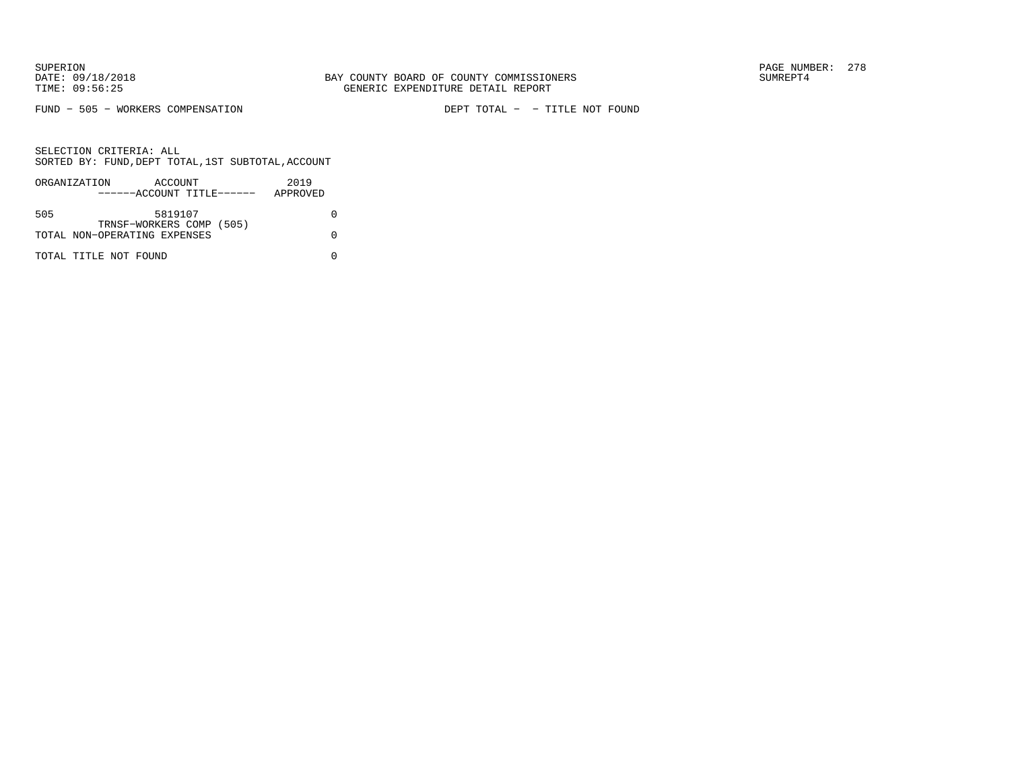FUND − 505 − WORKERS COMPENSATION DEPT TOTAL − − TITLE NOT FOUND

|     | ORGANIZATION                 | ACCOUNT |  | 2019     |  |
|-----|------------------------------|---------|--|----------|--|
|     | ------ACCOUNT TITLE------    |         |  | APPROVED |  |
|     |                              |         |  |          |  |
| 505 |                              | 5819107 |  |          |  |
|     | TRNSF-WORKERS COMP (505)     |         |  |          |  |
|     | TOTAL NON-OPERATING EXPENSES |         |  |          |  |
|     |                              |         |  |          |  |
|     | TOTAL TITLE NOT FOUND        |         |  |          |  |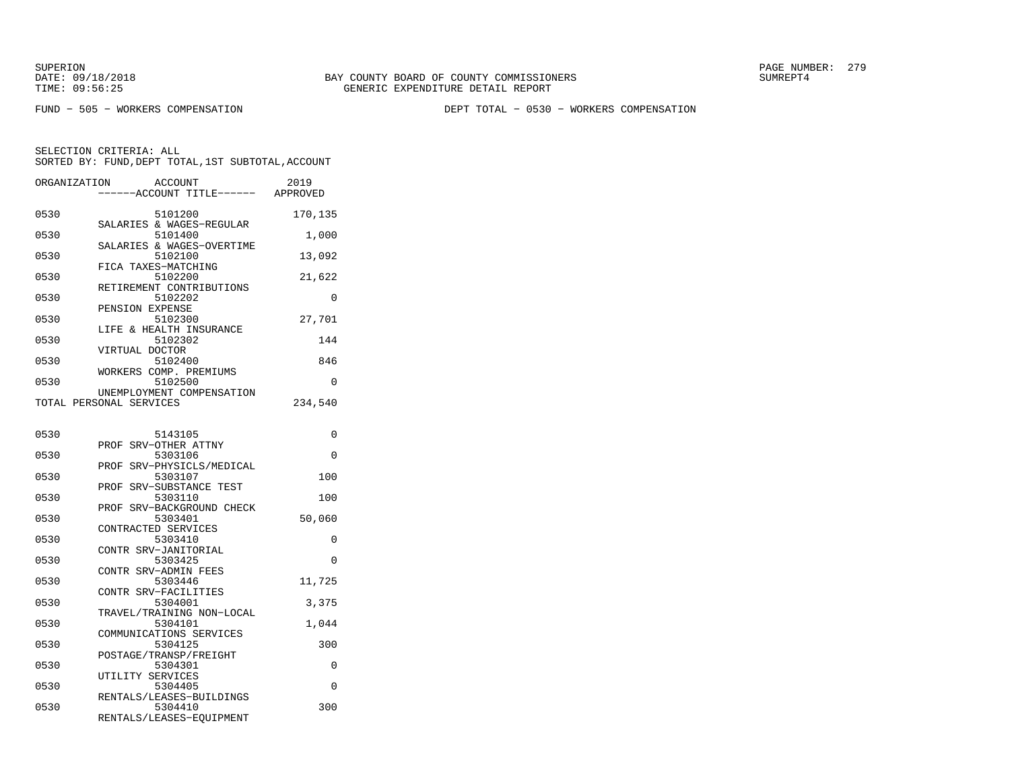FUND − 505 − WORKERS COMPENSATION DEPT TOTAL − 0530 − WORKERS COMPENSATION

| ORGANIZATION | <b>ACCOUNT</b><br>---ACCOUNT TITLE------ APPROVED               | 2019     |
|--------------|-----------------------------------------------------------------|----------|
| 0530         | 5101200<br>SALARIES & WAGES-REGULAR                             | 170,135  |
| 0530         | 5101400<br>SALARIES & WAGES-OVERTIME                            | 1,000    |
| 0530         | 5102100<br>FICA TAXES-MATCHING                                  | 13,092   |
| 0530         | 5102200<br>RETIREMENT CONTRIBUTIONS                             | 21,622   |
| 0530         | 5102202<br>PENSION EXPENSE                                      | $\Omega$ |
| 0530         | 5102300<br>LIFE & HEALTH INSURANCE                              | 27,701   |
| 0530         | 5102302<br>VIRTUAL DOCTOR                                       | 144      |
| 0530         | 5102400<br>WORKERS COMP. PREMIUMS                               | 846      |
| 0530         | 5102500<br>UNEMPLOYMENT COMPENSATION                            | 0        |
|              | TOTAL PERSONAL SERVICES                                         | 234,540  |
| 0530         | 5143105                                                         | 0        |
| 0530         | PROF SRV-OTHER ATTNY<br>5303106                                 | 0        |
| 0530         | PROF SRV-PHYSICLS/MEDICAL<br>5303107                            | 100      |
| 0530         | PROF SRV-SUBSTANCE TEST<br>5303110                              | 100      |
| 0530         | PROF<br>SRV-BACKGROUND CHECK<br>5303401                         | 50,060   |
| 0530         | CONTRACTED SERVICES<br>5303410                                  | 0        |
| 0530         | CONTR SRV-JANITORIAL<br>5303425                                 | 0        |
| 0530         | CONTR SRV-ADMIN FEES<br>5303446                                 | 11,725   |
| 0530         | CONTR SRV-FACILITIES<br>5304001                                 | 3,375    |
| 0530         | TRAVEL/TRAINING NON-LOCAL<br>5304101                            | 1,044    |
| 0530         | COMMUNICATIONS SERVICES<br>5304125                              | 300      |
| 0530         | POSTAGE/TRANSP/FREIGHT<br>5304301                               | 0        |
| 0530         | UTILITY SERVICES<br>5304405                                     | 0        |
| 0530         | RENTALS/LEASES-BUILDINGS<br>5304410<br>RENTALS/LEASES-EQUIPMENT | 300      |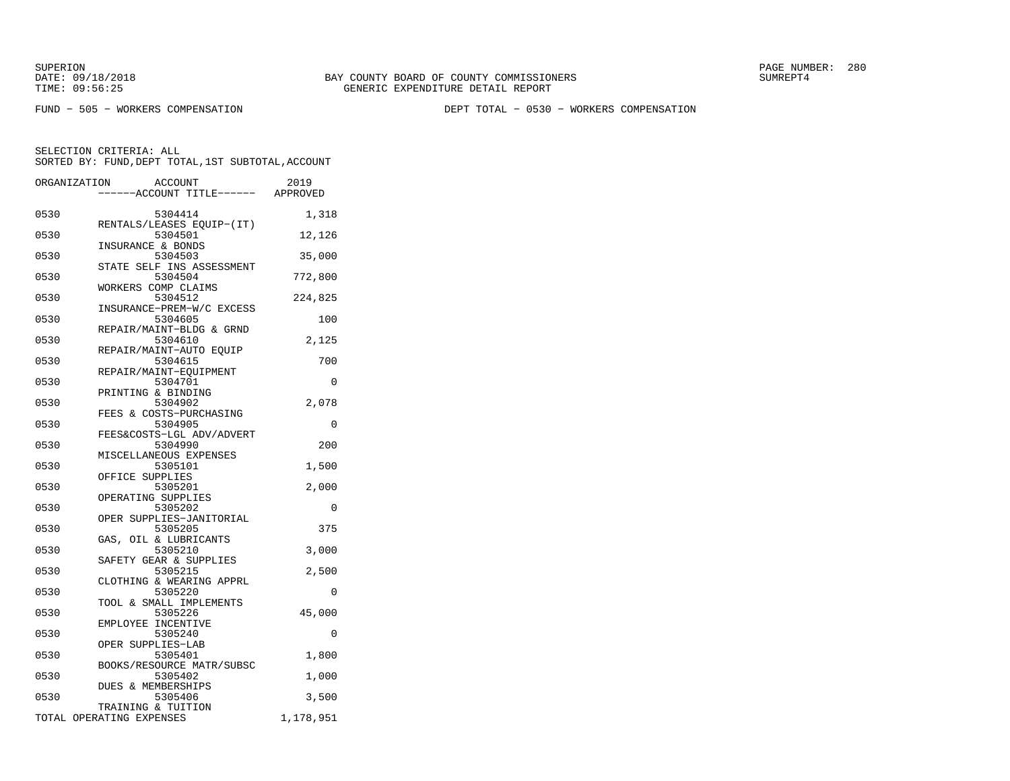FUND − 505 − WORKERS COMPENSATION DEPT TOTAL − 0530 − WORKERS COMPENSATION

| ORGANIZATION | <b>ACCOUNT</b>                                 | 2019      |
|--------------|------------------------------------------------|-----------|
|              | ---ACCOUNT TITLE------ APPROVED                |           |
| 0530         | 5304414<br>RENTALS/LEASES EQUIP-(IT)           | 1,318     |
| 0530         | 5304501<br>INSURANCE & BONDS                   | 12,126    |
| 0530         | 5304503                                        | 35,000    |
| 0530         | STATE SELF INS ASSESSMENT<br>5304504           | 772,800   |
| 0530         | WORKERS COMP CLAIMS<br>5304512                 | 224,825   |
| 0530         | INSURANCE-PREM-W/C EXCESS<br>5304605           | 100       |
| 0530         | REPAIR/MAINT-BLDG & GRND<br>5304610            | 2,125     |
| 0530         | REPAIR/MAINT-AUTO EQUIP<br>5304615             | 700       |
| 0530         | REPAIR/MAINT-EQUIPMENT<br>5304701              | 0         |
| 0530         | PRINTING & BINDING<br>5304902                  | 2,078     |
| 0530         | FEES & COSTS-PURCHASING<br>5304905             | 0         |
| 0530         | FEES&COSTS-LGL ADV/ADVERT<br>5304990           | 200       |
| 0530         | MISCELLANEOUS EXPENSES<br>5305101              | 1,500     |
| 0530         | OFFICE SUPPLIES<br>5305201                     | 2,000     |
| 0530         | OPERATING SUPPLIES<br>5305202                  | 0         |
| 0530         | OPER SUPPLIES-JANITORIAL<br>5305205            | 375       |
| 0530         | GAS, OIL & LUBRICANTS<br>5305210               | 3,000     |
| 0530         | SAFETY GEAR & SUPPLIES<br>5305215              | 2,500     |
| 0530         | CLOTHING & WEARING APPRL<br>5305220            | 0         |
| 0530         | TOOL & SMALL IMPLEMENTS<br>5305226             | 45,000    |
| 0530         | EMPLOYEE INCENTIVE<br>5305240                  | 0         |
| 0530         | OPER SUPPLIES-LAB<br>5305401                   | 1,800     |
| 0530         | BOOKS/RESOURCE MATR/SUBSC<br>5305402           | 1,000     |
| 0530         | <b>DUES &amp; MEMBERSHIPS</b><br>5305406       | 3,500     |
|              | TRAINING & TUITION<br>TOTAL OPERATING EXPENSES | 1,178,951 |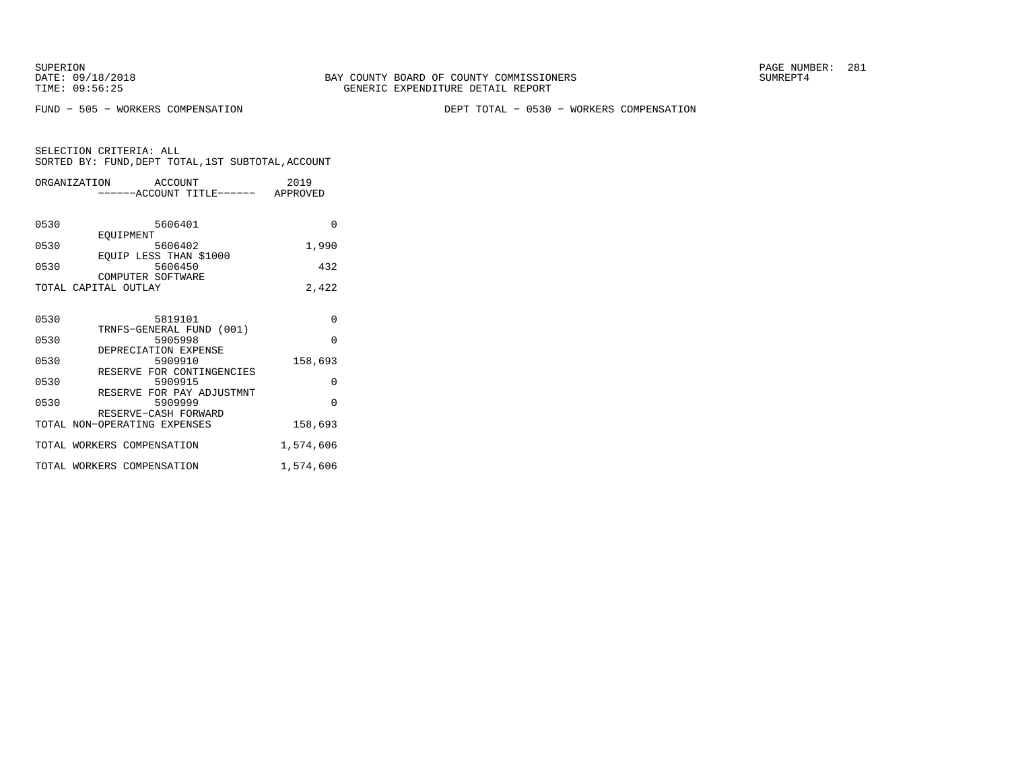FUND − 505 − WORKERS COMPENSATION DEPT TOTAL − 0530 − WORKERS COMPENSATION

|  | SELECTION CRITERIA: ALL |                                                    |
|--|-------------------------|----------------------------------------------------|
|  |                         | SORTED BY: FUND, DEPT TOTAL, 1ST SUBTOTAL, ACCOUNT |

|      | ORGANIZATION ACCOUNT<br>------ACCOUNT TITLE------ APPROVED | 2019      |
|------|------------------------------------------------------------|-----------|
| 0530 | 5606401<br>EOUIPMENT                                       | $\Omega$  |
| 0530 | 5606402                                                    | 1,990     |
| 0530 | EQUIP LESS THAN \$1000<br>5606450<br>COMPUTER SOFTWARE     | 432       |
|      | TOTAL CAPITAL OUTLAY                                       | 2,422     |
|      |                                                            |           |
| 0530 | 5819101                                                    | $\Omega$  |
| 0530 | TRNFS-GENERAL FUND (001)<br>5905998                        | $\Omega$  |
| 0530 | DEPRECIATION EXPENSE<br>5909910                            | 158,693   |
| 0530 | RESERVE FOR CONTINGENCIES<br>5909915                       | 0         |
| 0530 | RESERVE FOR PAY ADJUSTMNT<br>5909999                       | $\Omega$  |
|      | RESERVE-CASH FORWARD<br>TOTAL NON-OPERATING EXPENSES       | 158,693   |
|      | TOTAL WORKERS COMPENSATION                                 | 1,574,606 |
|      | TOTAL WORKERS COMPENSATION                                 | 1,574,606 |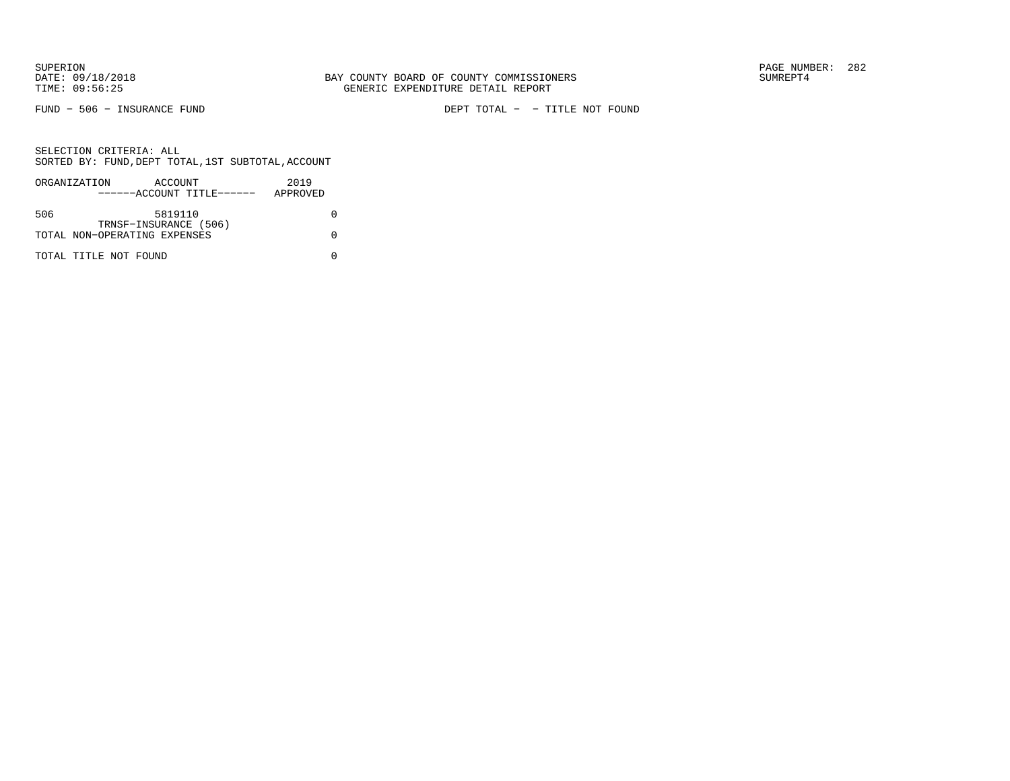FUND − 506 − INSURANCE FUND DEPT TOTAL − − TITLE NOT FOUND

|     | ORGANIZATION                 | ACCOUNT               |                           | 2019     |  |
|-----|------------------------------|-----------------------|---------------------------|----------|--|
|     |                              |                       | ------ACCOUNT TITLE------ | APPROVED |  |
|     |                              |                       |                           |          |  |
| 506 |                              | 5819110               |                           |          |  |
|     |                              | TRNSF-INSURANCE (506) |                           |          |  |
|     | TOTAL NON-OPERATING EXPENSES |                       |                           |          |  |
|     |                              |                       |                           |          |  |
|     | TOTAL TITLE NOT FOUND        |                       |                           |          |  |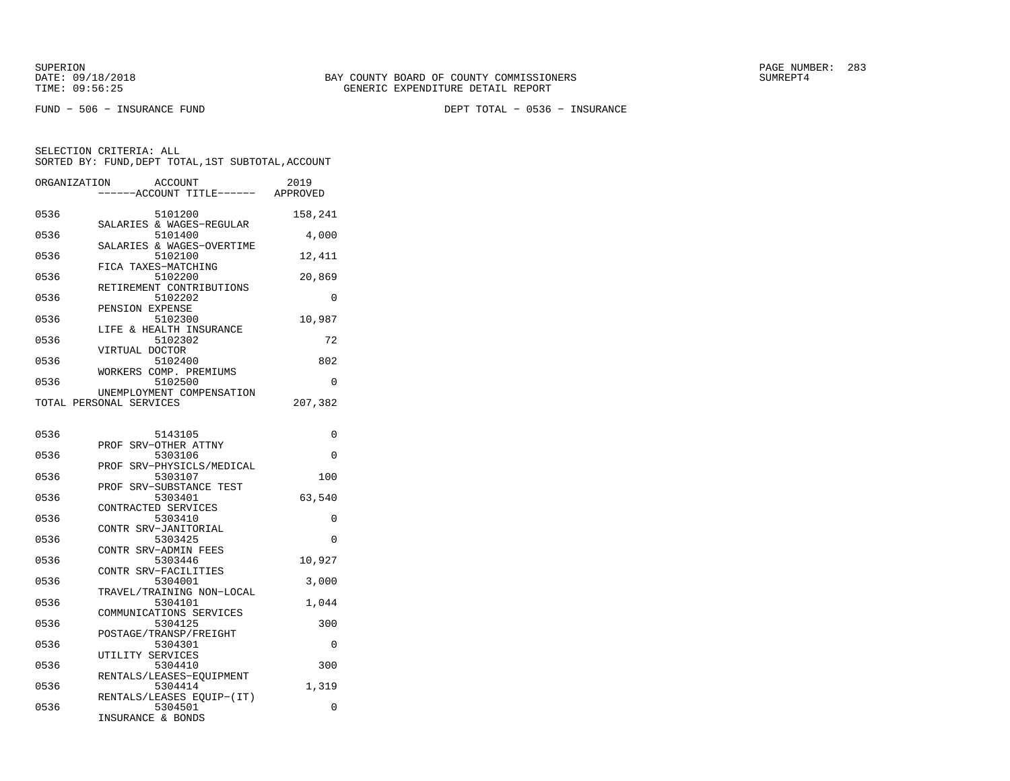FUND − 506 − INSURANCE FUND DEPT TOTAL − 0536 − INSURANCE

| ORGANIZATION            |                   | <b>ACCOUNT</b><br>---ACCOUNT TITLE------ APPROVED | 2019     |
|-------------------------|-------------------|---------------------------------------------------|----------|
| 0536                    |                   | 5101200<br>SALARIES & WAGES-REGULAR               | 158,241  |
| 0536                    |                   | 5101400<br>SALARIES & WAGES-OVERTIME              | 4,000    |
| 0536                    |                   | 5102100<br>FICA TAXES-MATCHING                    | 12,411   |
| 0536                    |                   | 5102200<br>RETIREMENT CONTRIBUTIONS               | 20,869   |
| 0536                    |                   | 5102202                                           | 0        |
| 0536                    | PENSION EXPENSE   | 5102300                                           | 10,987   |
| 0536                    |                   | LIFE & HEALTH INSURANCE<br>5102302                | 72       |
| 0536                    | VIRTUAL DOCTOR    | 5102400                                           | 802      |
| 0536                    |                   | WORKERS COMP. PREMIUMS<br>5102500                 | 0        |
| TOTAL PERSONAL SERVICES |                   | UNEMPLOYMENT COMPENSATION                         | 207,382  |
| 0536                    |                   | 5143105                                           | 0        |
| 0536                    |                   | PROF SRV-OTHER ATTNY<br>5303106                   | 0        |
| 0536                    |                   | PROF SRV-PHYSICLS/MEDICAL<br>5303107              | 100      |
| 0536                    |                   | PROF SRV-SUBSTANCE TEST<br>5303401                | 63,540   |
| 0536                    |                   | CONTRACTED SERVICES<br>5303410                    | 0        |
| 0536                    |                   | CONTR SRV-JANITORIAL<br>5303425                   | 0        |
| 0536                    |                   | CONTR SRV-ADMIN FEES<br>5303446                   | 10,927   |
| 0536                    |                   | CONTR SRV-FACILITIES<br>5304001                   | 3,000    |
| 0536                    |                   | TRAVEL/TRAINING NON-LOCAL<br>5304101              | 1,044    |
| 0536                    |                   | COMMUNICATIONS SERVICES<br>5304125                | 300      |
| 0536                    |                   | POSTAGE/TRANSP/FREIGHT<br>5304301                 | $\Omega$ |
| 0536                    | UTILITY SERVICES  | 5304410                                           | 300      |
| 0536                    |                   | RENTALS/LEASES-EQUIPMENT<br>5304414               | 1,319    |
| 0536                    | INSURANCE & BONDS | RENTALS/LEASES EQUIP-(IT)<br>5304501              | 0        |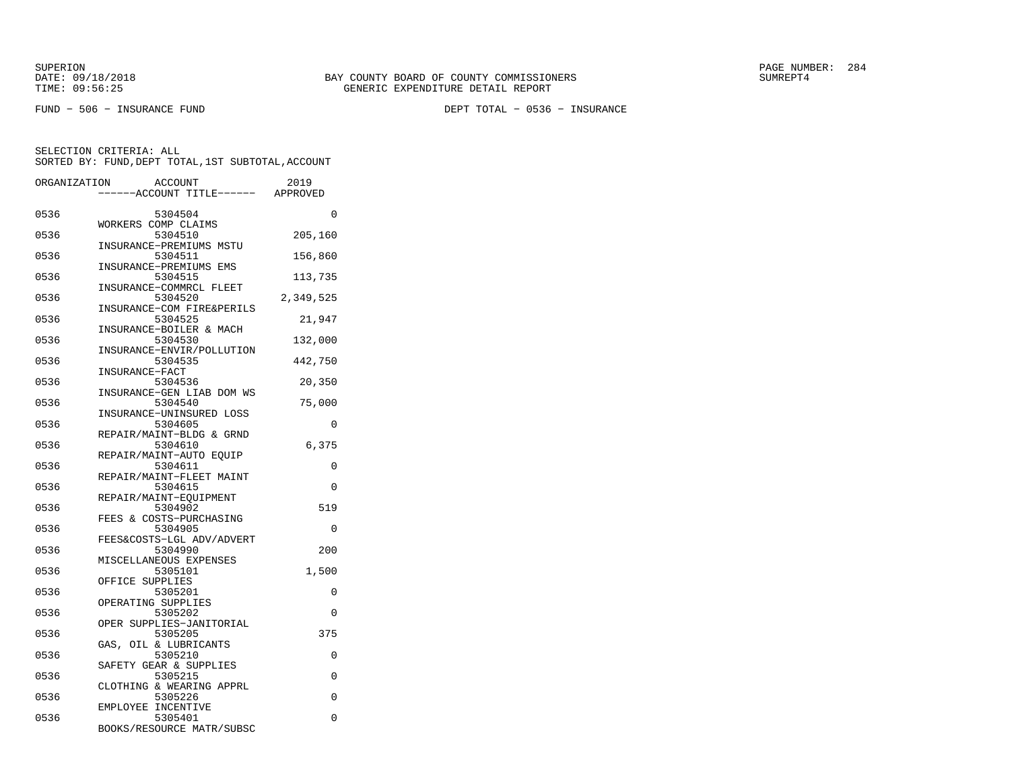FUND − 506 − INSURANCE FUND DEPT TOTAL − 0536 − INSURANCE

| ORGANIZATION | <b>ACCOUNT</b><br>---ACCOUNT TITLE------ APPROVED              | 2019      |
|--------------|----------------------------------------------------------------|-----------|
| 0536         | 5304504<br>WORKERS COMP CLAIMS                                 | $\Omega$  |
| 0536         | 5304510<br>INSURANCE-PREMIUMS MSTU                             | 205,160   |
| 0536         | 5304511<br>INSURANCE-PREMIUMS EMS                              | 156,860   |
| 0536         | 5304515<br>INSURANCE-COMMRCL FLEET                             | 113,735   |
| 0536         | 5304520<br>INSURANCE-COM FIRE&PERILS                           | 2,349,525 |
| 0536         | 5304525<br>INSURANCE-BOILER & MACH                             | 21,947    |
| 0536         | 5304530<br>INSURANCE-ENVIR/POLLUTION                           | 132,000   |
| 0536         | 5304535<br>INSURANCE-FACT                                      | 442,750   |
| 0536         | 5304536<br>INSURANCE-GEN LIAB DOM WS                           | 20,350    |
| 0536         | 5304540<br>INSURANCE-UNINSURED LOSS                            | 75,000    |
| 0536         | 5304605<br>REPAIR/MAINT-BLDG & GRND                            | $\Omega$  |
| 0536         | 5304610                                                        | 6,375     |
| 0536         | REPAIR/MAINT-AUTO EQUIP<br>5304611<br>REPAIR/MAINT-FLEET MAINT | 0         |
| 0536         | 5304615                                                        | 0         |
| 0536         | REPAIR/MAINT-EQUIPMENT<br>5304902<br>FEES & COSTS-PURCHASING   | 519       |
| 0536         | 5304905                                                        | 0         |
| 0536         | FEES&COSTS-LGL ADV/ADVERT<br>5304990<br>MISCELLANEOUS EXPENSES | 200       |
| 0536         | 5305101<br>OFFICE SUPPLIES                                     | 1,500     |
| 0536         | 5305201<br>OPERATING SUPPLIES                                  | 0         |
| 0536         | 5305202<br>OPER SUPPLIES-JANITORIAL                            | 0         |
| 0536         | 5305205                                                        | 375       |
| 0536         | GAS, OIL & LUBRICANTS<br>5305210                               | 0         |
| 0536         | SAFETY GEAR & SUPPLIES<br>5305215                              | $\Omega$  |
| 0536         | CLOTHING & WEARING APPRL<br>5305226                            | $\Omega$  |
| 0536         | EMPLOYEE INCENTIVE<br>5305401<br>BOOKS/RESOURCE MATR/SUBSC     | 0         |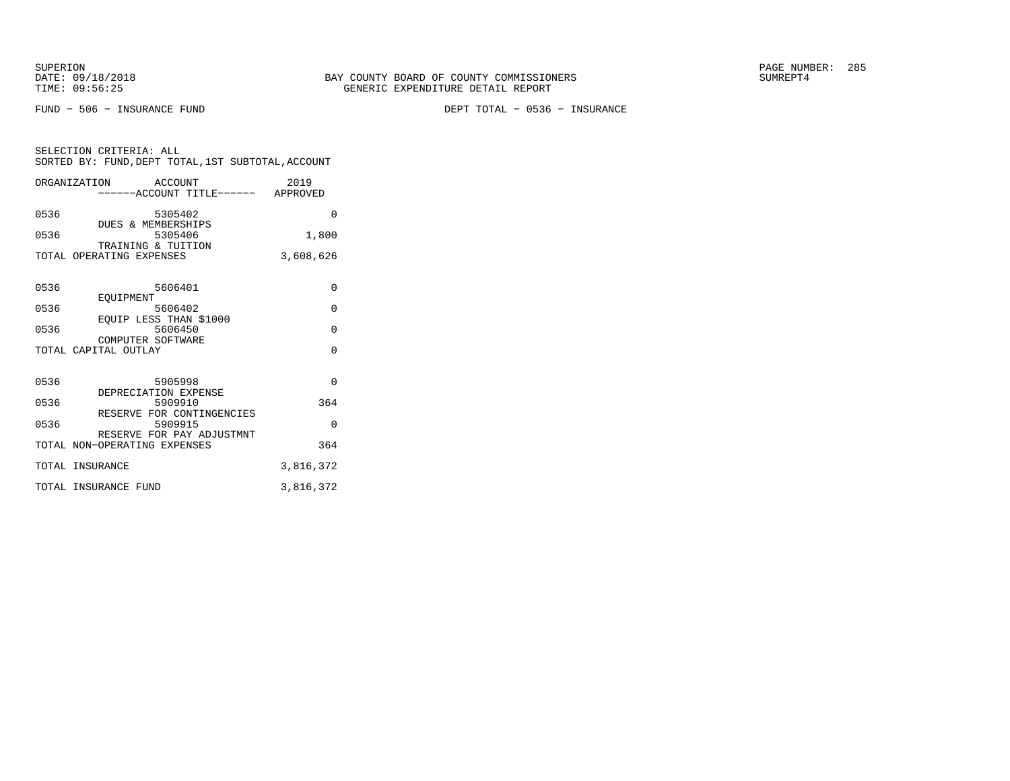FUND − 506 − INSURANCE FUND DEPT TOTAL − 0536 − INSURANCE

| SELECTION CRITERIA: ALL                            |  |
|----------------------------------------------------|--|
| SORTED BY: FUND, DEPT TOTAL, 1ST SUBTOTAL, ACCOUNT |  |

|      | ORGANIZATION ACCOUNT                      | ------ACCOUNT TITLE------ APPROVED   | 2019      |
|------|-------------------------------------------|--------------------------------------|-----------|
| 0536 | DUES & MEMBERSHIPS                        | 5305402                              | $\Omega$  |
| 0536 | TRAINING & TUITION                        | 5305406                              | 1,800     |
|      | TOTAL OPERATING EXPENSES                  |                                      | 3,608,626 |
| 0536 | EOUIPMENT                                 | 5606401                              | $\Omega$  |
| 0536 |                                           | 5606402                              | $\Omega$  |
| 0536 |                                           | EQUIP LESS THAN \$1000<br>5606450    | $\Omega$  |
|      | COMPUTER SOFTWARE<br>TOTAL CAPITAL OUTLAY |                                      | $\Omega$  |
| 0536 |                                           | 5905998<br>DEPRECIATION EXPENSE      | $\Omega$  |
| 0536 |                                           | 5909910<br>RESERVE FOR CONTINGENCIES | 364       |
| 0536 |                                           | 5909915<br>RESERVE FOR PAY ADJUSTMNT | $\Omega$  |
|      | TOTAL NON-OPERATING EXPENSES              |                                      | 364       |
|      | TOTAL INSURANCE                           |                                      | 3,816,372 |
|      | TOTAL INSURANCE FUND                      |                                      | 3,816,372 |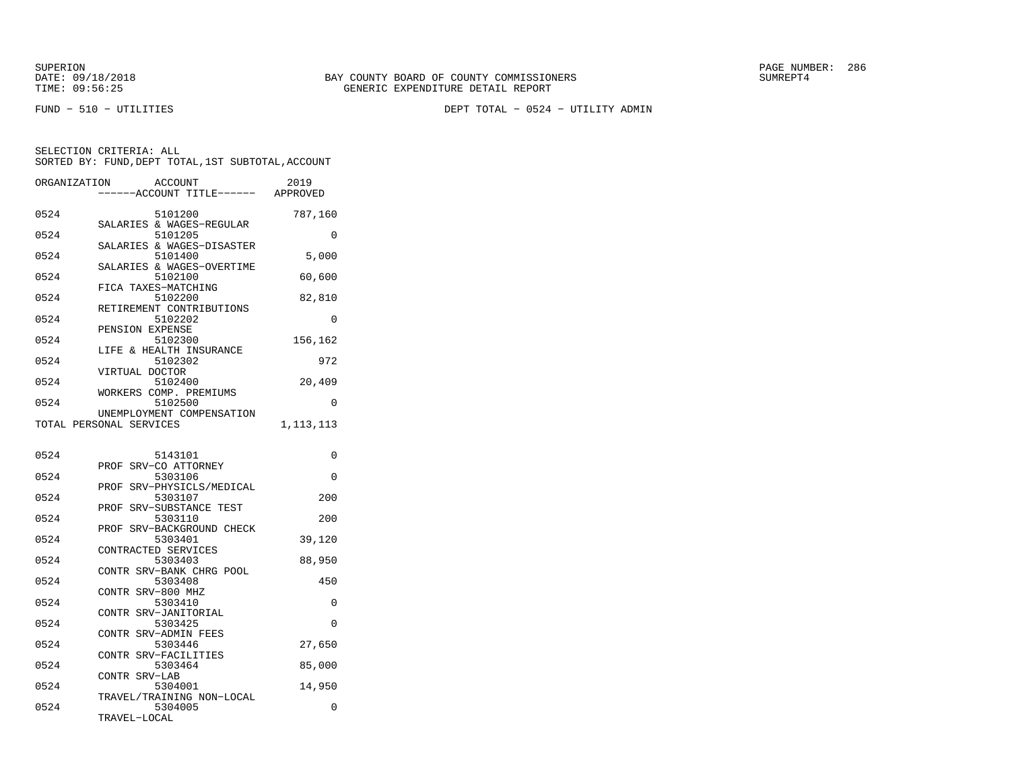FUND − 510 − UTILITIES DEPT TOTAL − 0524 − UTILITY ADMIN

| ORGANIZATION | <b>ACCOUNT</b><br>---ACCOUNT TITLE------ | 2019<br>APPROVED |
|--------------|------------------------------------------|------------------|
| 0524         | 5101200<br>SALARIES & WAGES-REGULAR      | 787,160          |
| 0524         | 5101205<br>SALARIES & WAGES-DISASTER     | 0                |
| 0524         | 5101400<br>SALARIES & WAGES-OVERTIME     | 5,000            |
| 0524         | 5102100<br>FICA TAXES-MATCHING           | 60,600           |
| 0524         | 5102200<br>RETIREMENT CONTRIBUTIONS      | 82,810           |
| 0524         | 5102202<br>PENSION EXPENSE               | $\Omega$         |
| 0524         | 5102300<br>LIFE & HEALTH INSURANCE       | 156,162          |
| 0524         | 5102302<br>VIRTUAL DOCTOR                | 972              |
| 0524         | 5102400<br>WORKERS COMP. PREMIUMS        | 20,409           |
| 0524         | 5102500<br>UNEMPLOYMENT COMPENSATION     | 0                |
|              | TOTAL PERSONAL SERVICES                  | 1,113,113        |
| 0524         | 5143101                                  | 0                |
| 0524         | PROF SRV-CO ATTORNEY<br>5303106          | 0                |
| 0524         | PROF SRV-PHYSICLS/MEDICAL<br>5303107     | 200              |
| 0524         | PROF<br>SRV-SUBSTANCE TEST<br>5303110    | 200              |
| 0524         | SRV-BACKGROUND CHECK<br>PROF<br>5303401  | 39,120           |
| 0524         | CONTRACTED SERVICES<br>5303403           | 88,950           |
| 0524         | CONTR SRV-BANK CHRG POOL<br>5303408      | 450              |
| 0524         | CONTR SRV-800 MHZ<br>5303410             | 0                |
| 0524         | CONTR SRV-JANITORIAL<br>5303425          | 0                |
| 0524         | CONTR SRV-ADMIN FEES<br>5303446          | 27,650           |
| 0524         | SRV-FACILITIES<br>CONTR<br>5303464       | 85,000           |
| 0524         | CONTR SRV-LAB<br>5304001                 | 14,950           |
| 0524         | TRAVEL/TRAINING NON-LOCAL<br>5304005     | 0                |
|              | TRAVEL-LOCAL                             |                  |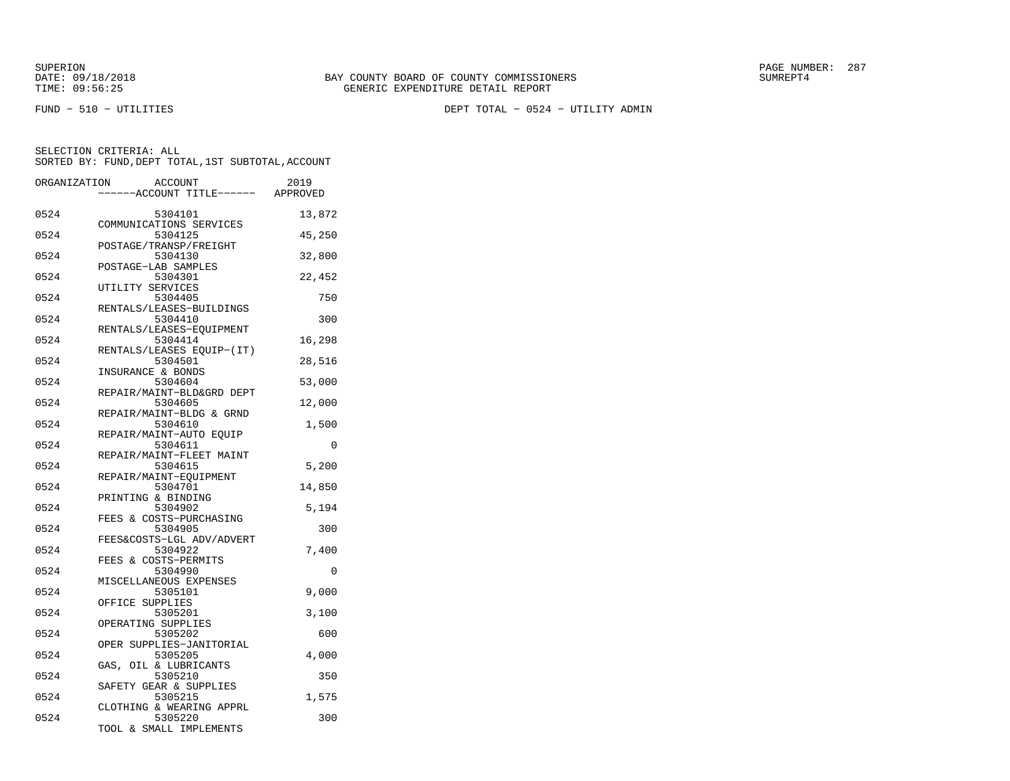FUND − 510 − UTILITIES DEPT TOTAL − 0524 − UTILITY ADMIN

| ORGANIZATION | <b>ACCOUNT</b>                       | 2019   |
|--------------|--------------------------------------|--------|
|              | ---ACCOUNT TITLE------ APPROVED      |        |
| 0524         | 5304101<br>COMMUNICATIONS SERVICES   | 13,872 |
| 0524         | 5304125<br>POSTAGE/TRANSP/FREIGHT    | 45,250 |
| 0524         | 5304130<br>POSTAGE-LAB SAMPLES       | 32,800 |
| 0524         | 5304301<br>UTILITY SERVICES          | 22,452 |
| 0524         | 5304405<br>RENTALS/LEASES-BUILDINGS  | 750    |
| 0524         | 5304410<br>RENTALS/LEASES-EQUIPMENT  | 300    |
| 0524         | 5304414<br>RENTALS/LEASES EQUIP-(IT) | 16,298 |
| 0524         | 5304501<br>INSURANCE & BONDS         | 28,516 |
| 0524         | 5304604<br>REPAIR/MAINT-BLD&GRD DEPT | 53,000 |
| 0524         | 5304605                              | 12,000 |
| 0524         | REPAIR/MAINT-BLDG & GRND<br>5304610  | 1,500  |
| 0524         | REPAIR/MAINT-AUTO EOUIP<br>5304611   | 0      |
| 0524         | REPAIR/MAINT-FLEET MAINT<br>5304615  | 5,200  |
| 0524         | REPAIR/MAINT-EQUIPMENT<br>5304701    | 14,850 |
| 0524         | PRINTING & BINDING<br>5304902        | 5,194  |
| 0524         | FEES & COSTS-PURCHASING<br>5304905   | 300    |
| 0524         | FEES&COSTS-LGL ADV/ADVERT<br>5304922 | 7,400  |
| 0524         | FEES & COSTS-PERMITS<br>5304990      | 0      |
| 0524         | MISCELLANEOUS EXPENSES<br>5305101    | 9,000  |
| 0524         | OFFICE SUPPLIES<br>5305201           | 3,100  |
| 0524         | OPERATING SUPPLIES<br>5305202        | 600    |
| 0524         | OPER SUPPLIES-JANITORIAL<br>5305205  | 4,000  |
| 0524         | OIL & LUBRICANTS<br>GAS,<br>5305210  | 350    |
| 0524         | SAFETY GEAR & SUPPLIES<br>5305215    | 1,575  |
| 0524         | CLOTHING & WEARING APPRL<br>5305220  | 300    |
|              | TOOL & SMALL IMPLEMENTS              |        |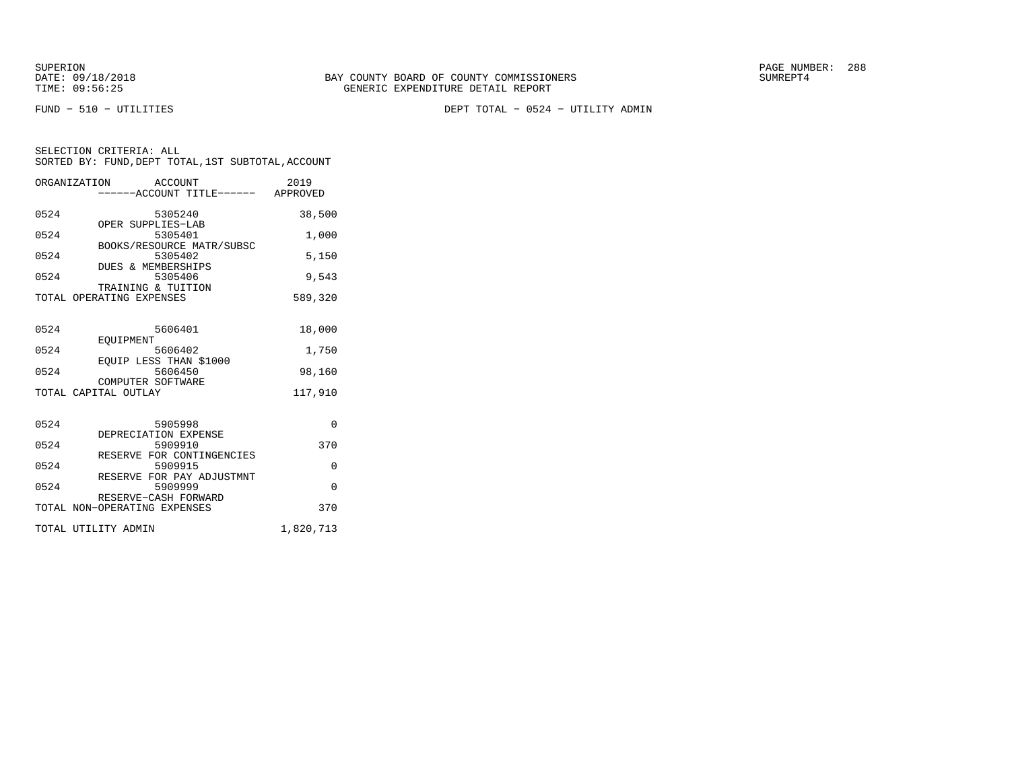FUND − 510 − UTILITIES DEPT TOTAL − 0524 − UTILITY ADMIN

|                     | ORGANIZATION ACCOUNT                           | -----ACCOUNT TITLE------ APPROVED    | 2019      |
|---------------------|------------------------------------------------|--------------------------------------|-----------|
| 0524                | OPER SUPPLIES-LAB                              | 5305240                              | 38,500    |
| 0524                |                                                | 5305401<br>BOOKS/RESOURCE MATR/SUBSC | 1,000     |
| 0524                |                                                | 5305402                              | 5,150     |
| 0524                | DUES & MEMBERSHIPS                             | 5305406                              | 9,543     |
|                     | TRAINING & TUITION<br>TOTAL OPERATING EXPENSES |                                      | 589,320   |
| 0524                |                                                | 5606401                              | 18,000    |
| 0524                | EOUIPMENT                                      | 5606402                              | 1,750     |
| 0524                | EOUIP LESS THAN \$1000                         | 5606450                              | 98,160    |
|                     | COMPUTER SOFTWARE<br>TOTAL CAPITAL OUTLAY      |                                      | 117,910   |
| 0524                |                                                | 5905998                              | $\Omega$  |
| 0524                | DEPRECIATION EXPENSE                           | 5909910                              | 370       |
|                     |                                                | RESERVE FOR CONTINGENCIES            |           |
| 0524                |                                                | 5909915<br>RESERVE FOR PAY ADJUSTMNT | $\Omega$  |
| 0524                | RESERVE-CASH FORWARD                           | 5909999                              | $\Omega$  |
|                     | TOTAL NON-OPERATING EXPENSES                   |                                      | 370       |
| TOTAL UTILITY ADMIN |                                                |                                      | 1,820,713 |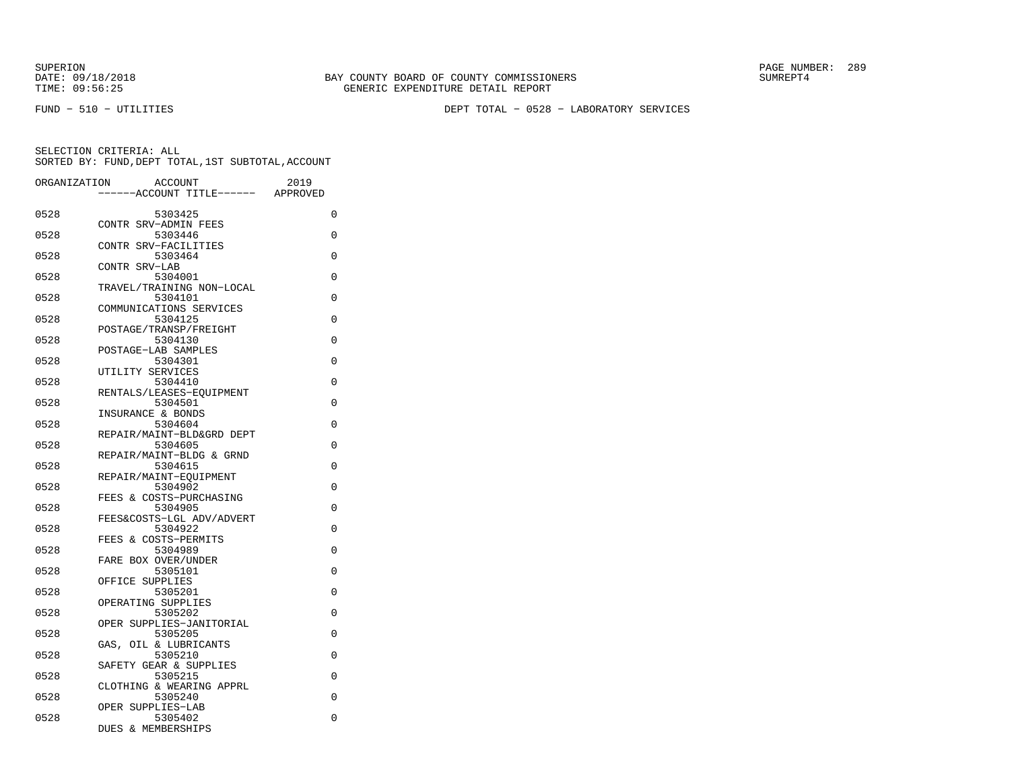FUND − 510 − UTILITIES DEPT TOTAL − 0528 − LABORATORY SERVICES

| ORGANIZATION | <b>ACCOUNT</b>                       | 2019     |
|--------------|--------------------------------------|----------|
|              | ----ACCOUNT TITLE------              | APPROVED |
| 0528         | 5303425                              | 0        |
| 0528         | CONTR SRV-ADMIN FEES<br>5303446      | 0        |
|              | CONTR SRV-FACILITIES                 |          |
| 0528         | 5303464                              | $\Omega$ |
|              | CONTR SRV-LAB                        |          |
| 0528         | 5304001                              | 0        |
| 0528         | TRAVEL/TRAINING NON-LOCAL<br>5304101 | 0        |
|              | COMMUNICATIONS SERVICES              |          |
| 0528         | 5304125                              | $\Omega$ |
|              | POSTAGE/TRANSP/FREIGHT               |          |
| 0528         | 5304130                              | 0        |
|              | POSTAGE-LAB SAMPLES                  |          |
| 0528         | 5304301<br>UTILITY SERVICES          | 0        |
| 0528         | 5304410                              | 0        |
|              | RENTALS/LEASES-EQUIPMENT             |          |
| 0528         | 5304501                              | $\Omega$ |
|              | INSURANCE & BONDS                    |          |
| 0528         | 5304604                              | 0        |
| 0528         | REPAIR/MAINT-BLD&GRD DEPT<br>5304605 | $\Omega$ |
|              | REPAIR/MAINT-BLDG & GRND             |          |
| 0528         | 5304615                              | $\Omega$ |
|              | REPAIR/MAINT-EOUIPMENT               |          |
| 0528         | 5304902                              | 0        |
|              | FEES & COSTS-PURCHASING              |          |
| 0528         | 5304905                              | $\Omega$ |
| 0528         | FEES&COSTS-LGL ADV/ADVERT<br>5304922 | 0        |
|              | FEES & COSTS-PERMITS                 |          |
| 0528         | 5304989                              | 0        |
|              | FARE BOX OVER/UNDER                  |          |
| 0528         | 5305101                              | $\Omega$ |
| 0528         | OFFICE SUPPLIES<br>5305201           | 0        |
|              | OPERATING SUPPLIES                   |          |
| 0528         | 5305202                              | 0        |
|              | OPER SUPPLIES-JANITORIAL             |          |
| 0528         | 5305205                              | $\Omega$ |
|              | GAS,<br>OIL & LUBRICANTS             |          |
| 0528         | 5305210<br>SAFETY GEAR & SUPPLIES    | 0        |
| 0528         | 5305215                              | 0        |
|              | CLOTHING & WEARING APPRL             |          |
| 0528         | 5305240                              | $\Omega$ |
|              | OPER SUPPLIES-LAB                    |          |
| 0528         | 5305402                              | 0        |
|              | DUES & MEMBERSHIPS                   |          |